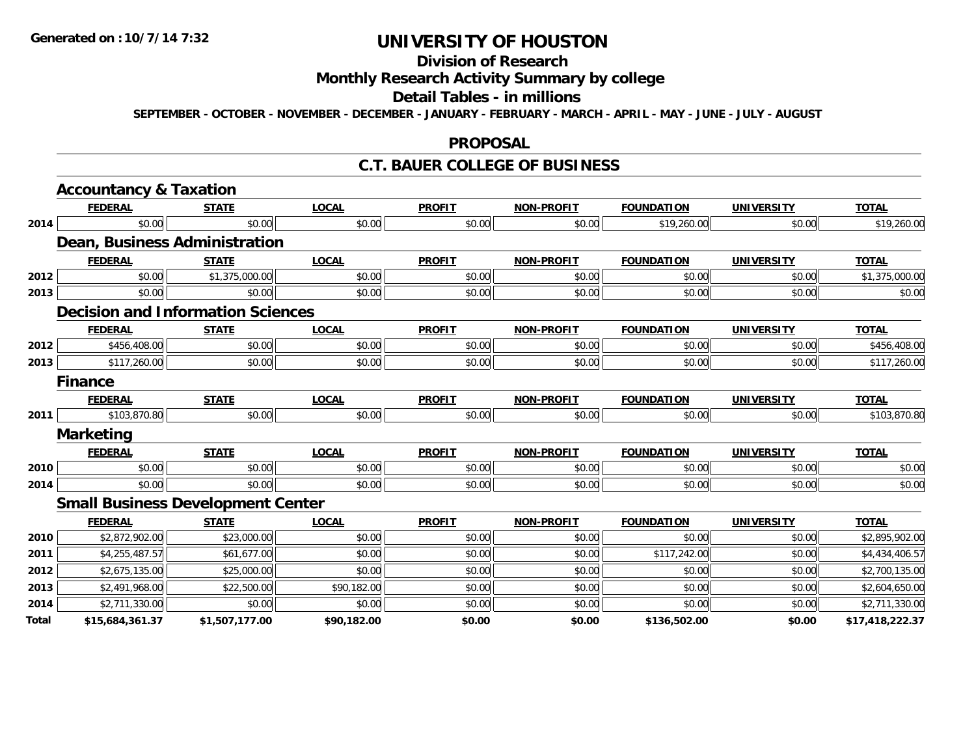# **Division of Research**

# **Monthly Research Activity Summary by college**

#### **Detail Tables - in millions**

**SEPTEMBER - OCTOBER - NOVEMBER - DECEMBER - JANUARY - FEBRUARY - MARCH - APRIL - MAY - JUNE - JULY - AUGUST**

#### **PROPOSAL**

#### **C.T. BAUER COLLEGE OF BUSINESS**

|       | <b>Accountancy &amp; Taxation</b>        |                |              |               |                   |                   |                   |                 |
|-------|------------------------------------------|----------------|--------------|---------------|-------------------|-------------------|-------------------|-----------------|
|       | <b>FEDERAL</b>                           | <b>STATE</b>   | <b>LOCAL</b> | <b>PROFIT</b> | <b>NON-PROFIT</b> | <b>FOUNDATION</b> | <b>UNIVERSITY</b> | <b>TOTAL</b>    |
| 2014  | \$0.00                                   | \$0.00         | \$0.00       | \$0.00        | \$0.00            | \$19,260.00       | \$0.00            | \$19,260.00     |
|       | Dean, Business Administration            |                |              |               |                   |                   |                   |                 |
|       | <b>FEDERAL</b>                           | <b>STATE</b>   | <b>LOCAL</b> | <b>PROFIT</b> | <b>NON-PROFIT</b> | <b>FOUNDATION</b> | <b>UNIVERSITY</b> | <b>TOTAL</b>    |
| 2012  | \$0.00                                   | \$1,375,000.00 | \$0.00       | \$0.00        | \$0.00            | \$0.00            | \$0.00            | \$1,375,000.00  |
| 2013  | \$0.00                                   | \$0.00         | \$0.00       | \$0.00        | \$0.00            | \$0.00            | \$0.00            | \$0.00          |
|       | <b>Decision and Information Sciences</b> |                |              |               |                   |                   |                   |                 |
|       | <b>FEDERAL</b>                           | <b>STATE</b>   | <b>LOCAL</b> | <b>PROFIT</b> | <b>NON-PROFIT</b> | <b>FOUNDATION</b> | <b>UNIVERSITY</b> | <b>TOTAL</b>    |
| 2012  | \$456,408.00                             | \$0.00         | \$0.00       | \$0.00        | \$0.00            | \$0.00            | \$0.00            | \$456,408.00    |
| 2013  | \$117,260.00                             | \$0.00         | \$0.00       | \$0.00        | \$0.00            | \$0.00            | \$0.00            | \$117,260.00    |
|       | <b>Finance</b>                           |                |              |               |                   |                   |                   |                 |
|       | <b>FEDERAL</b>                           | <b>STATE</b>   | <b>LOCAL</b> | <b>PROFIT</b> | <b>NON-PROFIT</b> | <b>FOUNDATION</b> | <b>UNIVERSITY</b> | <b>TOTAL</b>    |
| 2011  | \$103,870.80                             | \$0.00         | \$0.00       | \$0.00        | \$0.00            | \$0.00            | \$0.00            | \$103,870.80    |
|       | <b>Marketing</b>                         |                |              |               |                   |                   |                   |                 |
|       | <b>FEDERAL</b>                           | <b>STATE</b>   | <b>LOCAL</b> | <b>PROFIT</b> | <b>NON-PROFIT</b> | <b>FOUNDATION</b> | <b>UNIVERSITY</b> | <b>TOTAL</b>    |
| 2010  | \$0.00                                   | \$0.00         | \$0.00       | \$0.00        | \$0.00            | \$0.00            | \$0.00            | \$0.00          |
| 2014  | \$0.00                                   | \$0.00         | \$0.00       | \$0.00        | \$0.00            | \$0.00            | \$0.00            | \$0.00          |
|       | <b>Small Business Development Center</b> |                |              |               |                   |                   |                   |                 |
|       | <b>FEDERAL</b>                           | <b>STATE</b>   | <b>LOCAL</b> | <b>PROFIT</b> | <b>NON-PROFIT</b> | <b>FOUNDATION</b> | <b>UNIVERSITY</b> | <b>TOTAL</b>    |
| 2010  | \$2,872,902.00                           | \$23,000.00    | \$0.00       | \$0.00        | \$0.00            | \$0.00            | \$0.00            | \$2,895,902.00  |
| 2011  | \$4,255,487.57                           | \$61,677.00    | \$0.00       | \$0.00        | \$0.00            | \$117,242.00      | \$0.00            | \$4,434,406.57  |
| 2012  | \$2,675,135.00                           | \$25,000.00    | \$0.00       | \$0.00        | \$0.00            | \$0.00            | \$0.00            | \$2,700,135.00  |
| 2013  | \$2,491,968.00                           | \$22,500.00    | \$90,182.00  | \$0.00        | \$0.00            | \$0.00            | \$0.00            | \$2,604,650.00  |
| 2014  | \$2,711,330.00                           | \$0.00         | \$0.00       | \$0.00        | \$0.00            | \$0.00            | \$0.00            | \$2,711,330.00  |
| Total | \$15,684,361.37                          | \$1,507,177.00 | \$90,182.00  | \$0.00        | \$0.00            | \$136,502.00      | \$0.00            | \$17,418,222.37 |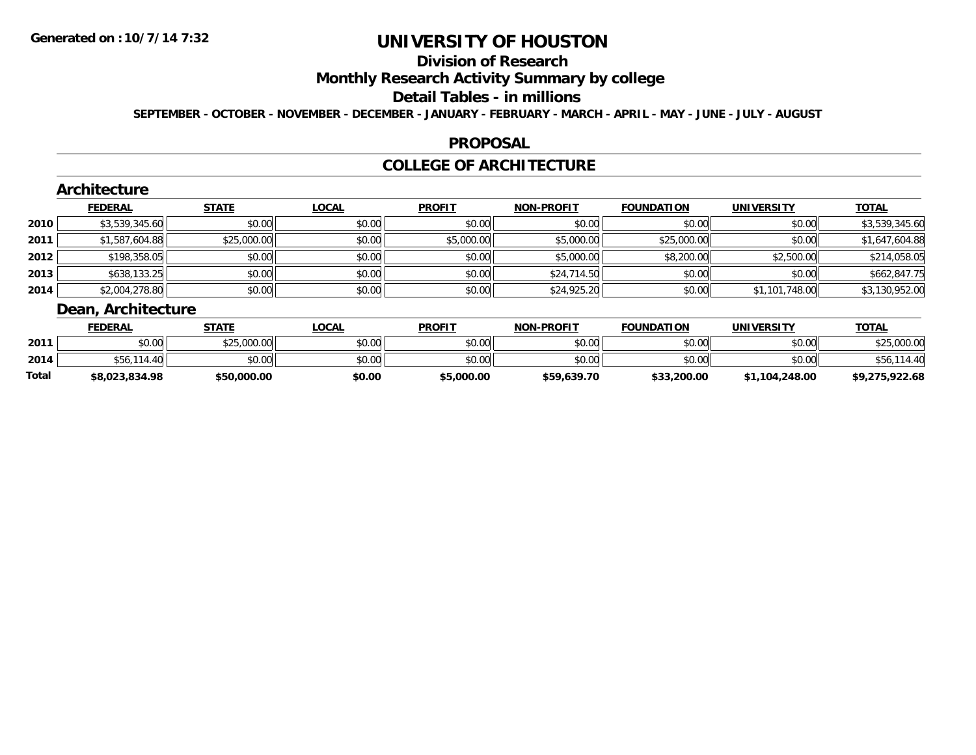# **Division of Research**

### **Monthly Research Activity Summary by college**

#### **Detail Tables - in millions**

**SEPTEMBER - OCTOBER - NOVEMBER - DECEMBER - JANUARY - FEBRUARY - MARCH - APRIL - MAY - JUNE - JULY - AUGUST**

#### **PROPOSAL**

# **COLLEGE OF ARCHITECTURE**

#### **Architecture FEDERAL STATE LOCAL PROFIT NON-PROFIT FOUNDATION UNIVERSITY TOTALTOTAL 2010** $\textsf{[0]} \quad \textsf{[0]} \quad \textsf{[0]} \quad \textsf{[0]} \quad \textsf{[0]} \quad \textsf{[0]} \quad \textsf{[0]} \quad \textsf{[0]} \quad \textsf{[0]} \quad \textsf{[0]} \quad \textsf{[0]} \quad \textsf{[0]} \quad \textsf{[0]} \quad \textsf{[0]} \quad \textsf{[0]} \quad \textsf{[0]} \quad \textsf{[0]} \quad \textsf{[0]} \quad \textsf{[0]} \quad \textsf{[0]} \quad \textsf{[0]} \quad \textsf{[0]} \quad \textsf{[0]} \quad \textsf{[0]} \quad \textsf{$ **2011** $\texttt{[1]} \qquad \texttt{[1] } \qquad \texttt{[1] } \qquad \texttt{[2] } \qquad \texttt{[2] } \qquad \texttt{[2] } \qquad \texttt{[3] } \qquad \texttt{[3] } \qquad \texttt{[3] } \qquad \texttt{[4] } \qquad \texttt{[4] } \qquad \texttt{[4] } \qquad \texttt{[5] } \qquad \texttt{[6] } \qquad \texttt{[6] } \qquad \texttt{[6] } \qquad \texttt{[6] } \qquad \texttt{[6] } \qquad \texttt{[6] } \qquad \texttt{[6] } \qquad \text$ **2012** \$198,358.05 \$0.00 \$0.00 \$0.00 \$5,000.00 \$8,200.00 \$2,500.00 \$214,058.05 **2013** \$638,133.25 \$0.00 \$0.00 \$0.00 \$24,714.50 \$0.00 \$0.00 \$662,847.75 **2014**4 \$2,004,278.80|| \$0.00|| \$0.00|| \$0.00|| \$24,925.20|| \$0.00|| \$1,101,748.00|| \$3,130,952.00

# **Dean, Architecture**

|       | <b>FEDERAL</b> | STATE       | _OCAL          | <b>PROFIT</b> | <b>NON-PROFIT</b> | <b>FOUNDATION</b> | UNIVERSITY     | <b>TOTAL</b>   |
|-------|----------------|-------------|----------------|---------------|-------------------|-------------------|----------------|----------------|
| 2011  | \$0.00         | \$25,000.00 | ≮N UU<br>JU.UU | \$0.00        | \$0.00            | \$0.00            | \$0.00         | .000.00        |
| 2014  | 90 C           | \$0.00      | \$0.00         | \$0.00        | \$0.00            | \$0.00            | \$0.00         |                |
| Total | \$8,023,834.98 | \$50,000.00 | \$0.00         | \$5,000.00    | \$59,639.70       | \$33,200.00       | \$1,104,248.00 | \$9,275,922.68 |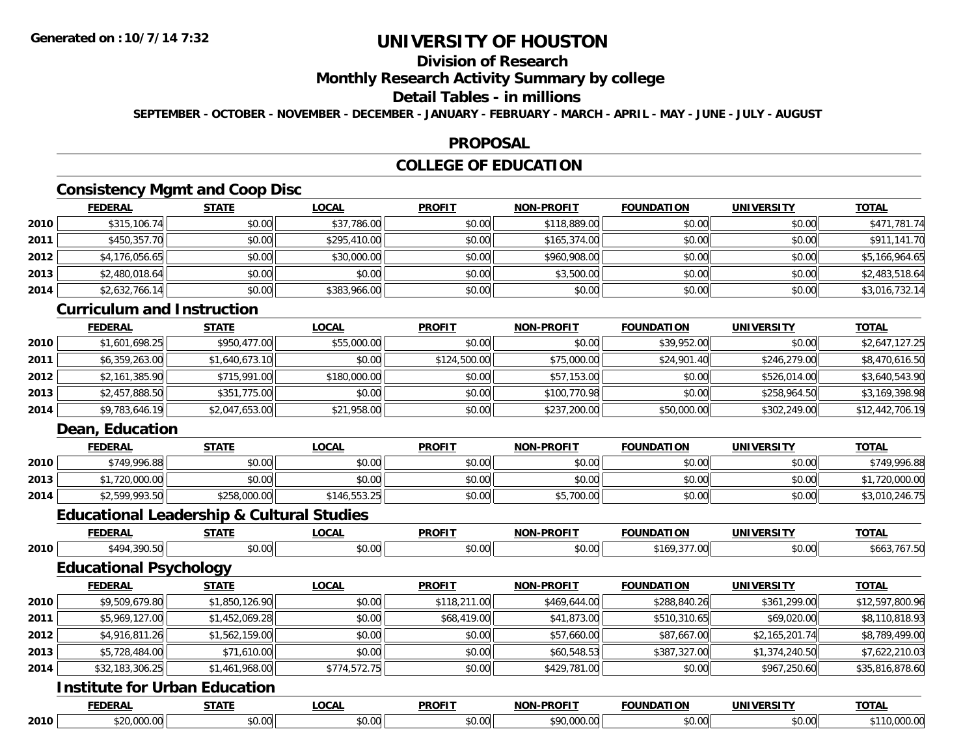# **Division of Research**

#### **Monthly Research Activity Summary by college**

### **Detail Tables - in millions**

**SEPTEMBER - OCTOBER - NOVEMBER - DECEMBER - JANUARY - FEBRUARY - MARCH - APRIL - MAY - JUNE - JULY - AUGUST**

#### **PROPOSAL**

# **COLLEGE OF EDUCATION**

### **Consistency Mgmt and Coop Disc**

|      | <b>FEDERAL</b> | <b>STATE</b> | <u>LOCAL</u> | <b>PROFIT</b> | <b>NON-PROFIT</b> | <b>FOUNDATION</b> | <b>UNIVERSITY</b> | <b>TOTAL</b>   |
|------|----------------|--------------|--------------|---------------|-------------------|-------------------|-------------------|----------------|
| 2010 | \$315,106.74   | \$0.00       | \$37,786.00  | \$0.00        | \$118,889.00      | \$0.00            | \$0.00            | \$471,781.74   |
| 2011 | \$450,357.70   | \$0.00       | \$295,410.00 | \$0.00        | \$165,374.00      | \$0.00            | \$0.00            | \$911,141.70   |
| 2012 | \$4,176,056.65 | \$0.00       | \$30,000.00  | \$0.00        | \$960,908.00      | \$0.00            | \$0.00            | \$5,166,964.65 |
| 2013 | \$2,480,018.64 | \$0.00       | \$0.00       | \$0.00        | \$3,500.00        | \$0.00            | \$0.00            | \$2,483,518.64 |
| 2014 | \$2,632,766.14 | \$0.00       | \$383,966.00 | \$0.00        | \$0.00            | \$0.00            | \$0.00            | \$3,016,732.14 |

#### **Curriculum and Instruction**

|      | <b>FEDERAL</b> | <u>STATE</u>   | <u>LOCAL</u> | <b>PROFIT</b> | <b>NON-PROFIT</b> | <b>FOUNDATION</b> | <b>UNIVERSITY</b> | <b>TOTAL</b>    |
|------|----------------|----------------|--------------|---------------|-------------------|-------------------|-------------------|-----------------|
| 2010 | \$1,601,698.25 | \$950,477.00   | \$55,000.00  | \$0.00        | \$0.00            | \$39,952.00       | \$0.00            | \$2,647,127.25  |
| 2011 | \$6,359,263.00 | \$1,640,673.10 | \$0.00       | \$124,500.00  | \$75,000.00       | \$24,901.40       | \$246,279.00      | \$8,470,616.50  |
| 2012 | \$2,161,385.90 | \$715,991.00   | \$180,000,00 | \$0.00        | \$57,153.00       | \$0.00            | \$526,014.00      | \$3,640,543.90  |
| 2013 | \$2,457,888.50 | \$351,775.00   | \$0.00       | \$0.00        | \$100,770.98      | \$0.00            | \$258,964.50      | \$3,169,398.98  |
| 2014 | \$9,783,646.19 | \$2,047,653.00 | \$21,958.00  | \$0.00        | \$237,200.00      | \$50,000.00       | \$302,249.00      | \$12,442,706.19 |

### **Dean, Education**

|      | <b>FEDERAL</b> | <b>STATE</b> | <u>LOCAL</u> | <b>PROFIT</b> | <b>NON-PROFIT</b> | <b>FOUNDATION</b> | UNIVERSITY | <b>TOTAL</b>   |
|------|----------------|--------------|--------------|---------------|-------------------|-------------------|------------|----------------|
| 2010 | \$749,996.88   | \$0.00       | \$0.00       | \$0.00        | \$0.00            | \$0.00            | \$0.00     | \$749,996.88   |
| 2013 | \$1,720,000.00 | \$0.00       | \$0.00       | \$0.00        | \$0.00            | \$0.00            | \$0.00     | \$1,720,000.00 |
| 2014 | \$2,599,993.50 | \$258,000.00 | \$146,553.25 | \$0.00        | \$5,700.00        | \$0.00            | \$0.00     | \$3,010,246.75 |

### **Educational Leadership & Cultural Studies**

|      |                                      | Equcational Leager ship & Cuitural Studies |              |               |                   |                   |                   |                 |  |  |  |  |
|------|--------------------------------------|--------------------------------------------|--------------|---------------|-------------------|-------------------|-------------------|-----------------|--|--|--|--|
|      | <b>FEDERAL</b>                       | <b>STATE</b>                               | <b>LOCAL</b> | <b>PROFIT</b> | <b>NON-PROFIT</b> | <b>FOUNDATION</b> | <b>UNIVERSITY</b> | <b>TOTAL</b>    |  |  |  |  |
| 2010 | \$494,390.50                         | \$0.00                                     | \$0.00       | \$0.00        | \$0.00            | \$169,377.00      | \$0.00            | \$663,767.50    |  |  |  |  |
|      | <b>Educational Psychology</b>        |                                            |              |               |                   |                   |                   |                 |  |  |  |  |
|      | <b>FEDERAL</b>                       | <b>STATE</b>                               | <b>LOCAL</b> | <b>PROFIT</b> | <b>NON-PROFIT</b> | <b>FOUNDATION</b> | <b>UNIVERSITY</b> | <b>TOTAL</b>    |  |  |  |  |
| 2010 | \$9,509,679.80                       | \$1,850,126.90                             | \$0.00       | \$118,211.00  | \$469,644.00      | \$288,840.26      | \$361,299.00      | \$12,597,800.96 |  |  |  |  |
| 2011 | \$5,969,127.00                       | \$1,452,069.28                             | \$0.00       | \$68,419.00   | \$41,873.00       | \$510,310.65      | \$69,020.00       | \$8,110,818.93  |  |  |  |  |
| 2012 | \$4,916,811.26                       | \$1,562,159.00                             | \$0.00       | \$0.00        | \$57,660.00       | \$87,667.00       | \$2,165,201.74    | \$8,789,499.00  |  |  |  |  |
| 2013 | \$5,728,484.00                       | \$71,610.00                                | \$0.00       | \$0.00        | \$60,548.53       | \$387,327.00      | \$1,374,240.50    | \$7,622,210.03  |  |  |  |  |
| 2014 | \$32,183,306.25                      | \$1,461,968.00                             | \$774,572.75 | \$0.00        | \$429,781.00      | \$0.00            | \$967,250.60      | \$35,816,878.60 |  |  |  |  |
|      | <b>Institute for Urban Education</b> |                                            |              |               |                   |                   |                   |                 |  |  |  |  |
|      | <b>FEDERAL</b>                       | <b>STATE</b>                               | <b>LOCAL</b> | <b>PROFIT</b> | <b>NON-PROFIT</b> | <b>FOUNDATION</b> | <b>UNIVERSITY</b> | <b>TOTAL</b>    |  |  |  |  |

**2010**\$20,000.00 \$0.00 \$0.00 \$0.00 \$90,000.00 \$0.00 \$0.00 \$110,000.00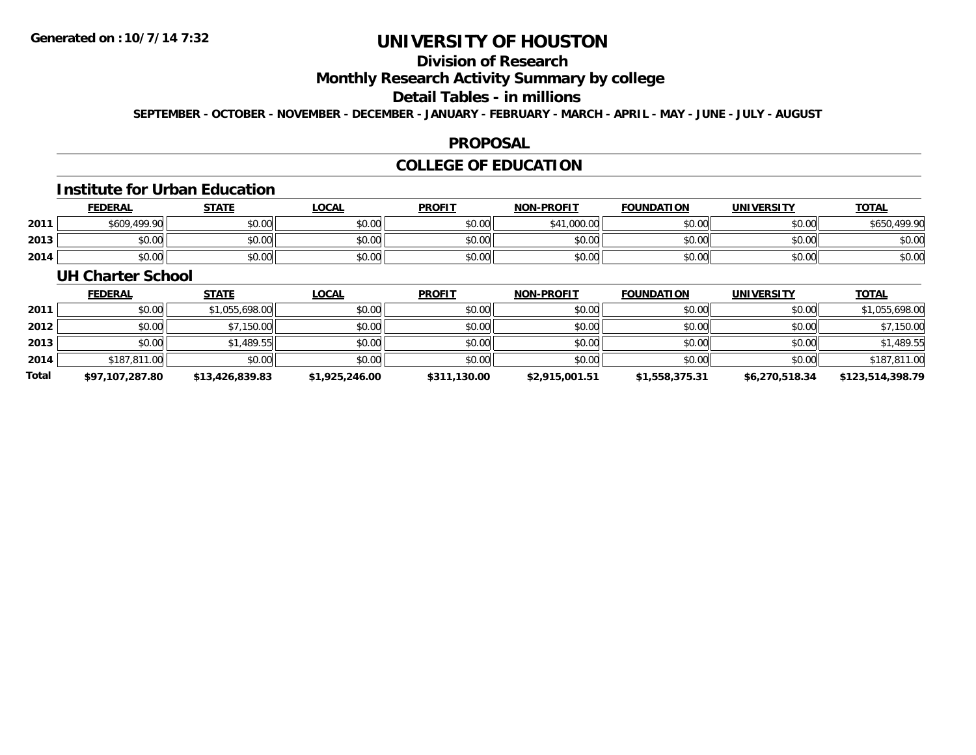# **Division of Research**

### **Monthly Research Activity Summary by college**

#### **Detail Tables - in millions**

**SEPTEMBER - OCTOBER - NOVEMBER - DECEMBER - JANUARY - FEBRUARY - MARCH - APRIL - MAY - JUNE - JULY - AUGUST**

#### **PROPOSAL**

### **COLLEGE OF EDUCATION**

#### **Institute for Urban Education**

|      | <b>FEDERAL</b> | <b>STATE</b> | <b>LOCAL</b> | <b>PROFIT</b> | <b>NON-PROFIT</b> | <b>FOUNDATION</b> | UNIVERSITY | <b>TOTAL</b>           |
|------|----------------|--------------|--------------|---------------|-------------------|-------------------|------------|------------------------|
| 2011 | \$609,499.90   | \$0.00       | \$0.00       | \$0.00        | .000.00           | \$0.00            | \$0.00     | $\sim$ 0.00 0.0 $\sim$ |
| 2013 | \$0.00         | \$0.00       | \$0.00       | \$0.00        | \$0.00            | \$0.00            | \$0.00     | \$0.00                 |
| 2014 | \$0.00         | \$0.00       | \$0.00       | \$0.00        | \$0.00            | \$0.00            | \$0.00     | \$0.00                 |

#### **UH Charter School**

|       | <b>FEDERAL</b>  | <b>STATE</b>    | <b>LOCAL</b>   | <b>PROFIT</b> | <b>NON-PROFIT</b> | <b>FOUNDATION</b> | <b>UNIVERSITY</b> | <b>TOTAL</b>     |
|-------|-----------------|-----------------|----------------|---------------|-------------------|-------------------|-------------------|------------------|
| 2011  | \$0.00          | \$1,055,698.00  | \$0.00         | \$0.00        | \$0.00            | \$0.00            | \$0.00            | \$1,055,698.00   |
| 2012  | \$0.00          | \$7,150.00      | \$0.00         | \$0.00        | \$0.00            | \$0.00            | \$0.00            | \$7,150.00       |
| 2013  | \$0.00          | \$1,489.55      | \$0.00         | \$0.00        | \$0.00            | \$0.00            | \$0.00            | \$1,489.55       |
| 2014  | \$187,811.00    | \$0.00          | \$0.00         | \$0.00        | \$0.00            | \$0.00            | \$0.00            | \$187,811.00     |
| Total | \$97,107,287.80 | \$13,426,839.83 | \$1,925,246.00 | \$311,130.00  | \$2,915,001.51    | \$1,558,375.31    | \$6,270,518.34    | \$123,514,398.79 |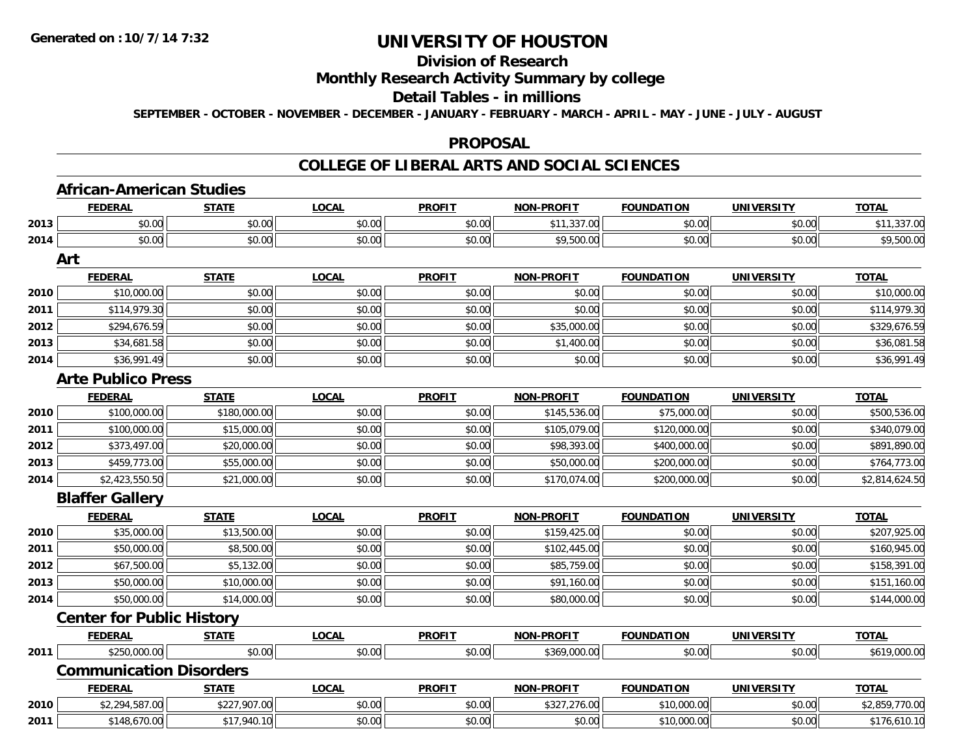# **Division of Research**

# **Monthly Research Activity Summary by college**

#### **Detail Tables - in millions**

**SEPTEMBER - OCTOBER - NOVEMBER - DECEMBER - JANUARY - FEBRUARY - MARCH - APRIL - MAY - JUNE - JULY - AUGUST**

#### **PROPOSAL**

#### **COLLEGE OF LIBERAL ARTS AND SOCIAL SCIENCES**

|      | <b>African-American Studies</b>  |              |              |               |                   |                   |                   |                |  |  |
|------|----------------------------------|--------------|--------------|---------------|-------------------|-------------------|-------------------|----------------|--|--|
|      | <b>FEDERAL</b>                   | <b>STATE</b> | <b>LOCAL</b> | <b>PROFIT</b> | <b>NON-PROFIT</b> | <b>FOUNDATION</b> | <b>UNIVERSITY</b> | <b>TOTAL</b>   |  |  |
| 2013 | \$0.00                           | \$0.00       | \$0.00       | \$0.00        | \$11,337.00       | \$0.00            | \$0.00            | \$11,337.00    |  |  |
| 2014 | \$0.00                           | \$0.00       | \$0.00       | \$0.00        | \$9,500.00        | \$0.00            | \$0.00            | \$9,500.00     |  |  |
|      | Art                              |              |              |               |                   |                   |                   |                |  |  |
|      | <b>FEDERAL</b>                   | <b>STATE</b> | <b>LOCAL</b> | <b>PROFIT</b> | <b>NON-PROFIT</b> | <b>FOUNDATION</b> | <b>UNIVERSITY</b> | <b>TOTAL</b>   |  |  |
| 2010 | \$10,000.00                      | \$0.00       | \$0.00       | \$0.00        | \$0.00            | \$0.00            | \$0.00            | \$10,000.00    |  |  |
| 2011 | \$114,979.30                     | \$0.00       | \$0.00       | \$0.00        | \$0.00            | \$0.00            | \$0.00            | \$114,979.30   |  |  |
| 2012 | \$294,676.59                     | \$0.00       | \$0.00       | \$0.00        | \$35,000.00       | \$0.00            | \$0.00            | \$329,676.59   |  |  |
| 2013 | \$34,681.58                      | \$0.00       | \$0.00       | \$0.00        | \$1,400.00        | \$0.00            | \$0.00            | \$36,081.58    |  |  |
| 2014 | \$36,991.49                      | \$0.00       | \$0.00       | \$0.00        | \$0.00            | \$0.00            | \$0.00            | \$36,991.49    |  |  |
|      | <b>Arte Publico Press</b>        |              |              |               |                   |                   |                   |                |  |  |
|      | <b>FEDERAL</b>                   | <b>STATE</b> | <b>LOCAL</b> | <b>PROFIT</b> | <b>NON-PROFIT</b> | <b>FOUNDATION</b> | <b>UNIVERSITY</b> | <b>TOTAL</b>   |  |  |
| 2010 | \$100,000.00                     | \$180,000.00 | \$0.00       | \$0.00        | \$145,536.00      | \$75,000.00       | \$0.00            | \$500,536.00   |  |  |
| 2011 | \$100,000.00                     | \$15,000.00  | \$0.00       | \$0.00        | \$105,079.00      | \$120,000.00      | \$0.00            | \$340,079.00   |  |  |
| 2012 | \$373,497.00                     | \$20,000.00  | \$0.00       | \$0.00        | \$98,393.00       | \$400,000.00      | \$0.00            | \$891,890.00   |  |  |
| 2013 | \$459,773.00                     | \$55,000.00  | \$0.00       | \$0.00        | \$50,000.00       | \$200,000.00      | \$0.00            | \$764,773.00   |  |  |
| 2014 | \$2,423,550.50                   | \$21,000.00  | \$0.00       | \$0.00        | \$170,074.00      | \$200,000.00      | \$0.00            | \$2,814,624.50 |  |  |
|      | <b>Blaffer Gallery</b>           |              |              |               |                   |                   |                   |                |  |  |
|      | <b>FEDERAL</b>                   | <b>STATE</b> | <b>LOCAL</b> | <b>PROFIT</b> | <b>NON-PROFIT</b> | <b>FOUNDATION</b> | <b>UNIVERSITY</b> | <b>TOTAL</b>   |  |  |
| 2010 | \$35,000.00                      | \$13,500.00  | \$0.00       | \$0.00        | \$159,425.00      | \$0.00            | \$0.00            | \$207,925.00   |  |  |
| 2011 | \$50,000.00                      | \$8,500.00   | \$0.00       | \$0.00        | \$102,445.00      | \$0.00            | \$0.00            | \$160,945.00   |  |  |
| 2012 | \$67,500.00                      | \$5,132.00   | \$0.00       | \$0.00        | \$85,759.00       | \$0.00            | \$0.00            | \$158,391.00   |  |  |
| 2013 | \$50,000.00                      | \$10,000.00  | \$0.00       | \$0.00        | \$91,160.00       | \$0.00            | \$0.00            | \$151,160.00   |  |  |
| 2014 | \$50,000.00                      | \$14,000.00  | \$0.00       | \$0.00        | \$80,000.00       | \$0.00            | \$0.00            | \$144,000.00   |  |  |
|      | <b>Center for Public History</b> |              |              |               |                   |                   |                   |                |  |  |
|      | <b>FEDERAL</b>                   | <u>STATE</u> | <b>LOCAL</b> | <b>PROFIT</b> | <b>NON-PROFIT</b> | <b>FOUNDATION</b> | <b>UNIVERSITY</b> | <b>TOTAL</b>   |  |  |
| 2011 | \$250,000.00                     | \$0.00       | \$0.00       | \$0.00        | \$369,000.00      | \$0.00            | \$0.00            | \$619,000.00   |  |  |
|      | <b>Communication Disorders</b>   |              |              |               |                   |                   |                   |                |  |  |
|      | <b>FEDERAL</b>                   | <b>STATE</b> | <b>LOCAL</b> | <b>PROFIT</b> | <b>NON-PROFIT</b> | <b>FOUNDATION</b> | <b>UNIVERSITY</b> | <b>TOTAL</b>   |  |  |
| 2010 | \$2,294,587.00                   | \$227,907.00 | \$0.00       | \$0.00        | \$327,276.00      | \$10,000.00       | \$0.00            | \$2,859,770.00 |  |  |
| 2011 | \$148,670.00                     | \$17,940.10  | \$0.00       | \$0.00        | \$0.00            | \$10,000.00       | \$0.00            | \$176,610.10   |  |  |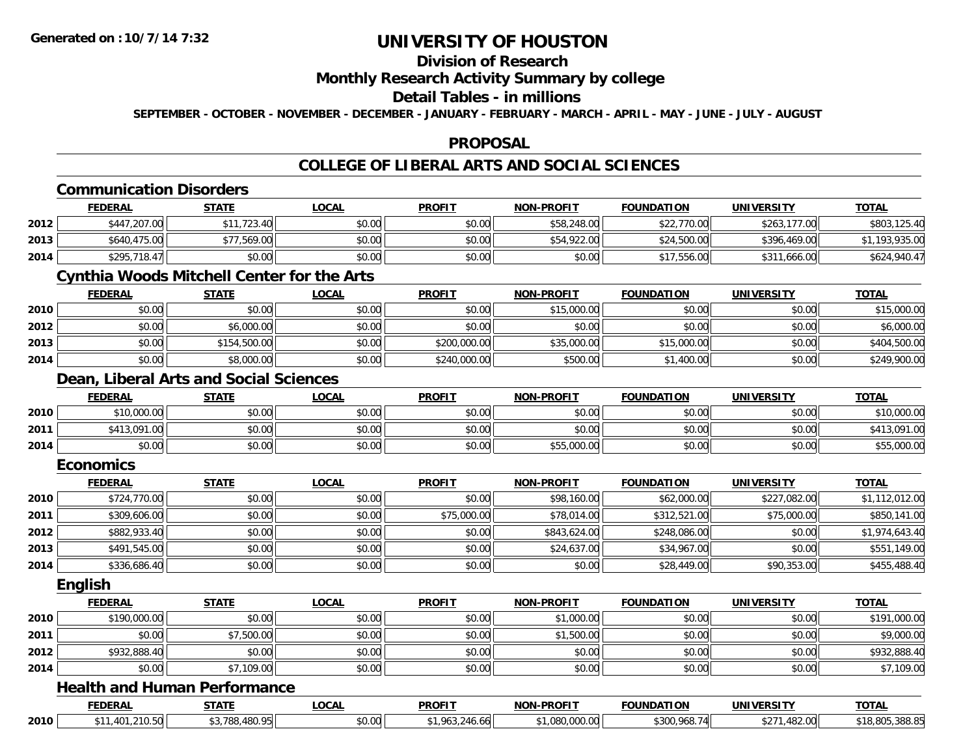# **Division of Research**

### **Monthly Research Activity Summary by college**

#### **Detail Tables - in millions**

**SEPTEMBER - OCTOBER - NOVEMBER - DECEMBER - JANUARY - FEBRUARY - MARCH - APRIL - MAY - JUNE - JULY - AUGUST**

#### **PROPOSAL**

### **COLLEGE OF LIBERAL ARTS AND SOCIAL SCIENCES**

|      | <b>FEDERAL</b>                                    | <b>STATE</b>   | <b>LOCAL</b> | <b>PROFIT</b>  | <b>NON-PROFIT</b> | <b>FOUNDATION</b> | <b>UNIVERSITY</b> | <b>TOTAL</b>    |
|------|---------------------------------------------------|----------------|--------------|----------------|-------------------|-------------------|-------------------|-----------------|
| 2012 | \$447,207.00                                      | \$11,723.40    | \$0.00       | \$0.00         | \$58,248.00       | \$22,770.00       | \$263,177.00      | \$803,125.40    |
| 2013 | \$640,475.00                                      | \$77,569.00    | \$0.00       | \$0.00         | \$54,922.00       | \$24,500.00       | \$396,469.00      | \$1,193,935.00  |
| 2014 | \$295,718.47                                      | \$0.00         | \$0.00       | \$0.00         | \$0.00            | \$17,556.00       | \$311,666.00      | \$624,940.47    |
|      | <b>Cynthia Woods Mitchell Center for the Arts</b> |                |              |                |                   |                   |                   |                 |
|      | <b>FEDERAL</b>                                    | <b>STATE</b>   | <b>LOCAL</b> | <b>PROFIT</b>  | <b>NON-PROFIT</b> | <b>FOUNDATION</b> | <b>UNIVERSITY</b> | <b>TOTAL</b>    |
| 2010 | \$0.00                                            | \$0.00         | \$0.00       | \$0.00         | \$15,000.00       | \$0.00            | \$0.00            | \$15,000.00     |
| 2012 | \$0.00                                            | \$6,000.00     | \$0.00       | \$0.00         | \$0.00            | \$0.00            | \$0.00            | \$6,000.00      |
| 2013 | \$0.00                                            | \$154,500.00   | \$0.00       | \$200,000.00   | \$35,000.00       | \$15,000.00       | \$0.00            | \$404,500.00    |
| 2014 | \$0.00                                            | \$8,000.00     | \$0.00       | \$240,000.00   | \$500.00          | \$1,400.00        | \$0.00            | \$249,900.00    |
|      | Dean, Liberal Arts and Social Sciences            |                |              |                |                   |                   |                   |                 |
|      | <b>FEDERAL</b>                                    | <b>STATE</b>   | <b>LOCAL</b> | <b>PROFIT</b>  | <b>NON-PROFIT</b> | <b>FOUNDATION</b> | <b>UNIVERSITY</b> | <b>TOTAL</b>    |
| 2010 | \$10,000.00                                       | \$0.00         | \$0.00       | \$0.00         | \$0.00            | \$0.00            | \$0.00            | \$10,000.00     |
| 2011 | \$413,091.00                                      | \$0.00         | \$0.00       | \$0.00         | \$0.00            | \$0.00            | \$0.00            | \$413,091.00    |
| 2014 | \$0.00                                            | \$0.00         | \$0.00       | \$0.00         | \$55,000.00       | \$0.00            | \$0.00            | \$55,000.00     |
|      | <b>Economics</b>                                  |                |              |                |                   |                   |                   |                 |
|      | <b>FEDERAL</b>                                    | <b>STATE</b>   | <b>LOCAL</b> | <b>PROFIT</b>  | <b>NON-PROFIT</b> | <b>FOUNDATION</b> | <b>UNIVERSITY</b> | <b>TOTAL</b>    |
| 2010 | \$724,770.00                                      | \$0.00         | \$0.00       | \$0.00         | \$98,160.00       | \$62,000.00       | \$227,082.00      | \$1,112,012.00  |
| 2011 | \$309,606.00                                      | \$0.00         | \$0.00       | \$75,000.00    | \$78,014.00       | \$312,521.00      | \$75,000.00       | \$850,141.00    |
| 2012 | \$882,933.40                                      | \$0.00         | \$0.00       | \$0.00         | \$843,624.00      | \$248,086.00      | \$0.00            | \$1,974,643.40  |
| 2013 | \$491,545.00                                      | \$0.00         | \$0.00       | \$0.00         | \$24,637.00       | \$34,967.00       | \$0.00            | \$551,149.00    |
| 2014 | \$336,686.40                                      | \$0.00         | \$0.00       | \$0.00         | \$0.00            | \$28,449.00       | \$90,353.00       | \$455,488.40    |
|      | English                                           |                |              |                |                   |                   |                   |                 |
|      | <b>FEDERAL</b>                                    | <b>STATE</b>   | <b>LOCAL</b> | <b>PROFIT</b>  | <b>NON-PROFIT</b> | <b>FOUNDATION</b> | <b>UNIVERSITY</b> | <b>TOTAL</b>    |
| 2010 | \$190,000.00                                      | \$0.00         | \$0.00       | \$0.00         | \$1,000.00        | \$0.00            | \$0.00            | \$191,000.00    |
| 2011 | \$0.00                                            | \$7,500.00     | \$0.00       | \$0.00         | \$1,500.00        | \$0.00            | \$0.00            | \$9,000.00      |
| 2012 | \$932,888.40                                      | \$0.00         | \$0.00       | \$0.00         | \$0.00            | \$0.00            | \$0.00            | \$932,888.40    |
| 2014 | \$0.00                                            | \$7,109.00     | \$0.00       | \$0.00         | \$0.00            | \$0.00            | \$0.00            | \$7,109.00      |
|      | <b>Health and Human Performance</b>               |                |              |                |                   |                   |                   |                 |
|      | <b>FEDERAL</b>                                    | <b>STATE</b>   | <b>LOCAL</b> | <b>PROFIT</b>  | <b>NON-PROFIT</b> | <b>FOUNDATION</b> | <b>UNIVERSITY</b> | <b>TOTAL</b>    |
| 2010 | \$11,401,210.50                                   | \$3,788,480.95 | \$0.00       | \$1,963,246.66 | \$1,080,000.00    | \$300,968.74      | \$271,482.00      | \$18,805,388.85 |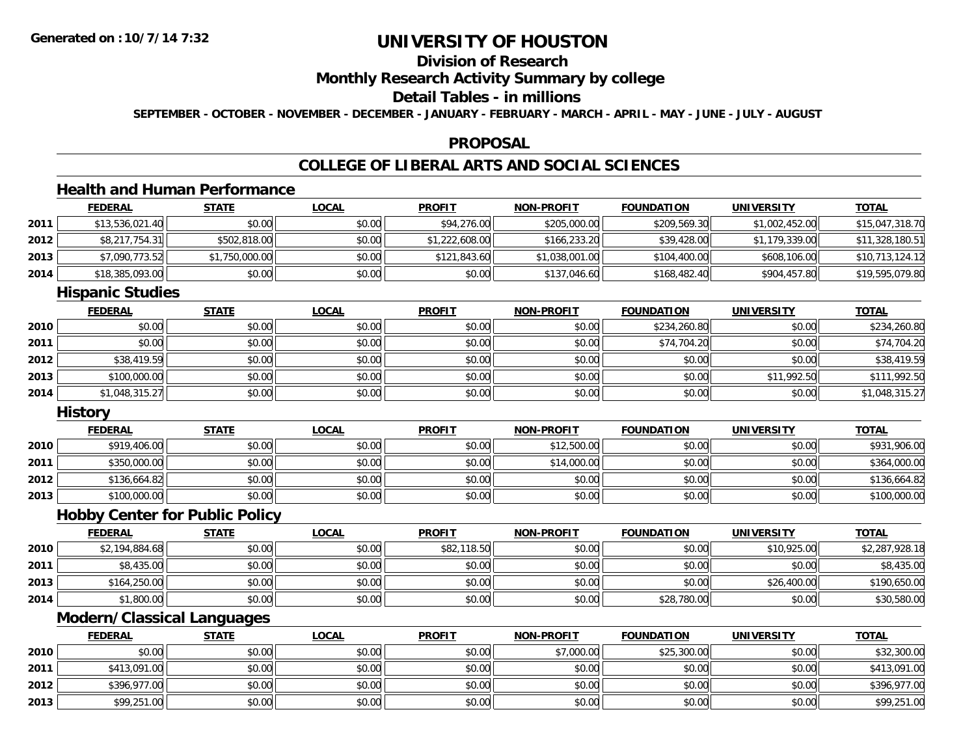# **Division of Research**

### **Monthly Research Activity Summary by college**

#### **Detail Tables - in millions**

**SEPTEMBER - OCTOBER - NOVEMBER - DECEMBER - JANUARY - FEBRUARY - MARCH - APRIL - MAY - JUNE - JULY - AUGUST**

#### **PROPOSAL**

#### **COLLEGE OF LIBERAL ARTS AND SOCIAL SCIENCES**

# **Health and Human Performance**

|      | <b>FEDERAL</b>                    | <b>STATE</b>                          | <b>LOCAL</b> | <b>PROFIT</b>  | <b>NON-PROFIT</b> | <b>FOUNDATION</b> | <b>UNIVERSITY</b> | <b>TOTAL</b>    |
|------|-----------------------------------|---------------------------------------|--------------|----------------|-------------------|-------------------|-------------------|-----------------|
| 2011 | \$13,536,021.40                   | \$0.00                                | \$0.00       | \$94,276.00    | \$205,000.00      | \$209,569.30      | \$1,002,452.00    | \$15,047,318.70 |
| 2012 | \$8,217,754.31                    | \$502,818.00                          | \$0.00       | \$1,222,608.00 | \$166,233.20      | \$39,428.00       | \$1,179,339.00    | \$11,328,180.51 |
| 2013 | \$7,090,773.52                    | \$1,750,000.00                        | \$0.00       | \$121,843.60   | \$1,038,001.00    | \$104,400.00      | \$608,106.00      | \$10,713,124.12 |
| 2014 | \$18,385,093.00                   | \$0.00                                | \$0.00       | \$0.00         | \$137,046.60      | \$168,482.40      | \$904,457.80      | \$19,595,079.80 |
|      | <b>Hispanic Studies</b>           |                                       |              |                |                   |                   |                   |                 |
|      | <b>FEDERAL</b>                    | <b>STATE</b>                          | <b>LOCAL</b> | <b>PROFIT</b>  | <b>NON-PROFIT</b> | <b>FOUNDATION</b> | <b>UNIVERSITY</b> | <b>TOTAL</b>    |
| 2010 | \$0.00                            | \$0.00                                | \$0.00       | \$0.00         | \$0.00            | \$234,260.80      | \$0.00            | \$234,260.80    |
| 2011 | \$0.00                            | \$0.00                                | \$0.00       | \$0.00         | \$0.00            | \$74,704.20       | \$0.00            | \$74,704.20     |
| 2012 | \$38,419.59                       | \$0.00                                | \$0.00       | \$0.00         | \$0.00            | \$0.00            | \$0.00            | \$38,419.59     |
| 2013 | \$100,000.00                      | \$0.00                                | \$0.00       | \$0.00         | \$0.00            | \$0.00            | \$11,992.50       | \$111,992.50    |
| 2014 | \$1,048,315.27                    | \$0.00                                | \$0.00       | \$0.00         | \$0.00            | \$0.00            | \$0.00            | \$1,048,315.27  |
|      | <b>History</b>                    |                                       |              |                |                   |                   |                   |                 |
|      | <b>FEDERAL</b>                    | <b>STATE</b>                          | <b>LOCAL</b> | <b>PROFIT</b>  | <b>NON-PROFIT</b> | <b>FOUNDATION</b> | <b>UNIVERSITY</b> | <b>TOTAL</b>    |
| 2010 | \$919,406.00                      | \$0.00                                | \$0.00       | \$0.00         | \$12,500.00       | \$0.00            | \$0.00            | \$931,906.00    |
| 2011 | \$350,000.00                      | \$0.00                                | \$0.00       | \$0.00         | \$14,000.00       | \$0.00            | \$0.00            | \$364,000.00    |
| 2012 | \$136,664.82                      | \$0.00                                | \$0.00       | \$0.00         | \$0.00            | \$0.00            | \$0.00            | \$136,664.82    |
| 2013 | \$100,000.00                      | \$0.00                                | \$0.00       | \$0.00         | \$0.00            | \$0.00            | \$0.00            | \$100,000.00    |
|      |                                   | <b>Hobby Center for Public Policy</b> |              |                |                   |                   |                   |                 |
|      | <b>FEDERAL</b>                    | <b>STATE</b>                          | <b>LOCAL</b> | <b>PROFIT</b>  | <b>NON-PROFIT</b> | <b>FOUNDATION</b> | <b>UNIVERSITY</b> | <b>TOTAL</b>    |
| 2010 | \$2,194,884.68                    | \$0.00                                | \$0.00       | \$82,118.50    | \$0.00            | \$0.00            | \$10,925.00       | \$2,287,928.18  |
| 2011 | \$8,435.00                        | \$0.00                                | \$0.00       | \$0.00         | \$0.00            | \$0.00            | \$0.00            | \$8,435.00      |
| 2013 | \$164,250.00                      | \$0.00                                | \$0.00       | \$0.00         | \$0.00            | \$0.00            | \$26,400.00       | \$190,650.00    |
| 2014 | \$1,800.00                        | \$0.00                                | \$0.00       | \$0.00         | \$0.00            | \$28,780.00       | \$0.00            | \$30,580.00     |
|      | <b>Modern/Classical Languages</b> |                                       |              |                |                   |                   |                   |                 |

|      | <b>FEDERAL</b> | <b>STATE</b> | <u>LOCAL</u> | <b>PROFIT</b> | <b>NON-PROFIT</b> | <b>FOUNDATION</b> | <b>UNIVERSITY</b> | <b>TOTAL</b> |
|------|----------------|--------------|--------------|---------------|-------------------|-------------------|-------------------|--------------|
| 2010 | \$0.00         | \$0.00       | \$0.00       | \$0.00        | \$7,000.00        | \$25,300.00       | \$0.00            | \$32,300.00  |
| 2011 | \$413,091.00   | \$0.00       | \$0.00       | \$0.00        | \$0.00            | \$0.00            | \$0.00            | \$413,091.00 |
| 2012 | \$396,977.00   | \$0.00       | \$0.00       | \$0.00        | \$0.00            | \$0.00            | \$0.00            | \$396,977.00 |
| 2013 | \$99,251.00    | \$0.00       | \$0.00       | \$0.00        | \$0.00            | \$0.00            | \$0.00            | \$99,251.00  |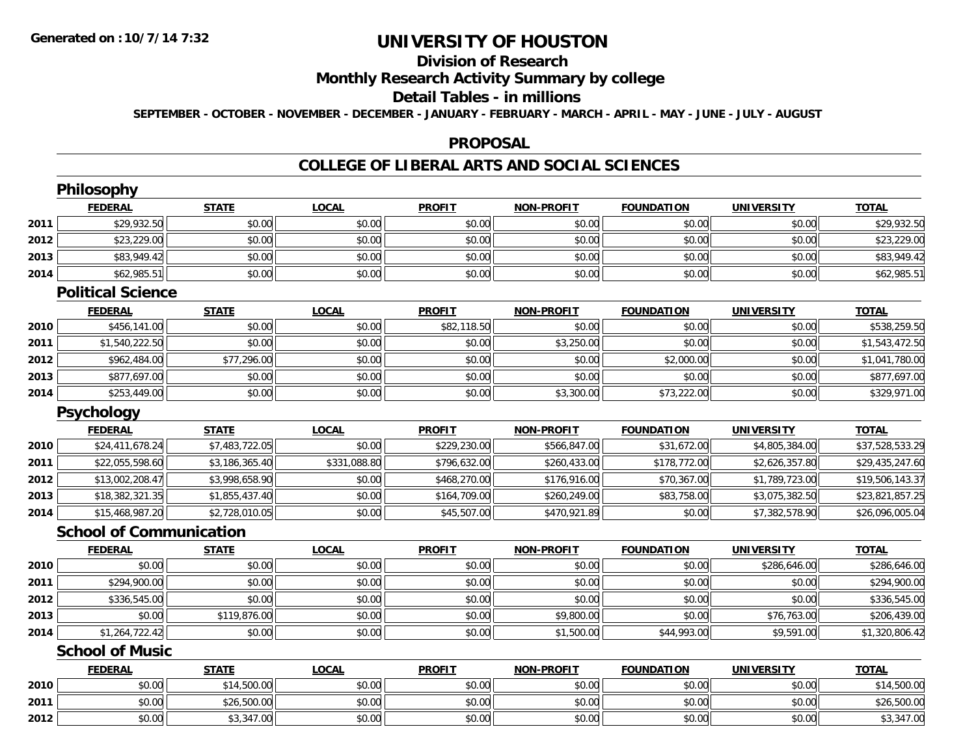# **Division of Research**

### **Monthly Research Activity Summary by college**

#### **Detail Tables - in millions**

**SEPTEMBER - OCTOBER - NOVEMBER - DECEMBER - JANUARY - FEBRUARY - MARCH - APRIL - MAY - JUNE - JULY - AUGUST**

#### **PROPOSAL**

#### **COLLEGE OF LIBERAL ARTS AND SOCIAL SCIENCES**

|      | <b>Philosophy</b>              |                |              |               |                   |                   |                   |                 |
|------|--------------------------------|----------------|--------------|---------------|-------------------|-------------------|-------------------|-----------------|
|      | <b>FEDERAL</b>                 | <b>STATE</b>   | <b>LOCAL</b> | <b>PROFIT</b> | <b>NON-PROFIT</b> | <b>FOUNDATION</b> | <b>UNIVERSITY</b> | <b>TOTAL</b>    |
| 2011 | \$29,932.50                    | \$0.00         | \$0.00       | \$0.00        | \$0.00            | \$0.00            | \$0.00            | \$29,932.50     |
| 2012 | \$23,229.00                    | \$0.00         | \$0.00       | \$0.00        | \$0.00            | \$0.00            | \$0.00            | \$23,229.00     |
| 2013 | \$83,949.42                    | \$0.00         | \$0.00       | \$0.00        | \$0.00            | \$0.00            | \$0.00            | \$83,949.42     |
| 2014 | \$62,985.51                    | \$0.00         | \$0.00       | \$0.00        | \$0.00            | \$0.00            | \$0.00            | \$62,985.51     |
|      | <b>Political Science</b>       |                |              |               |                   |                   |                   |                 |
|      | <b>FEDERAL</b>                 | <b>STATE</b>   | <b>LOCAL</b> | <b>PROFIT</b> | NON-PROFIT        | <b>FOUNDATION</b> | <b>UNIVERSITY</b> | <b>TOTAL</b>    |
| 2010 | \$456,141.00                   | \$0.00         | \$0.00       | \$82,118.50   | \$0.00            | \$0.00            | \$0.00            | \$538,259.50    |
| 2011 | \$1,540,222.50                 | \$0.00         | \$0.00       | \$0.00        | \$3,250.00        | \$0.00            | \$0.00            | \$1,543,472.50  |
| 2012 | \$962,484.00                   | \$77,296.00    | \$0.00       | \$0.00        | \$0.00            | \$2,000.00        | \$0.00            | \$1,041,780.00  |
| 2013 | \$877,697.00                   | \$0.00         | \$0.00       | \$0.00        | \$0.00            | \$0.00            | \$0.00            | \$877,697.00    |
| 2014 | \$253,449.00                   | \$0.00         | \$0.00       | \$0.00        | \$3,300.00        | \$73,222.00       | \$0.00            | \$329,971.00    |
|      | <b>Psychology</b>              |                |              |               |                   |                   |                   |                 |
|      | <b>FEDERAL</b>                 | <b>STATE</b>   | <b>LOCAL</b> | <b>PROFIT</b> | <b>NON-PROFIT</b> | <b>FOUNDATION</b> | <b>UNIVERSITY</b> | <b>TOTAL</b>    |
| 2010 | \$24,411,678.24                | \$7,483,722.05 | \$0.00       | \$229,230.00  | \$566,847.00      | \$31,672.00       | \$4,805,384.00    | \$37,528,533.29 |
| 2011 | \$22,055,598.60                | \$3,186,365.40 | \$331,088.80 | \$796,632.00  | \$260,433.00      | \$178,772.00      | \$2,626,357.80    | \$29,435,247.60 |
| 2012 | \$13,002,208.47                | \$3,998,658.90 | \$0.00       | \$468,270.00  | \$176,916.00      | \$70,367.00       | \$1,789,723.00    | \$19,506,143.37 |
| 2013 | \$18,382,321.35                | \$1,855,437.40 | \$0.00       | \$164,709.00  | \$260,249.00      | \$83,758.00       | \$3,075,382.50    | \$23,821,857.25 |
| 2014 | \$15,468,987.20                | \$2,728,010.05 | \$0.00       | \$45,507.00   | \$470,921.89      | \$0.00            | \$7,382,578.90    | \$26,096,005.04 |
|      | <b>School of Communication</b> |                |              |               |                   |                   |                   |                 |
|      | <b>FEDERAL</b>                 | <b>STATE</b>   | <b>LOCAL</b> | <b>PROFIT</b> | NON-PROFIT        | <b>FOUNDATION</b> | <b>UNIVERSITY</b> | <b>TOTAL</b>    |
| 2010 | \$0.00                         | \$0.00         | \$0.00       | \$0.00        | \$0.00            | \$0.00            | \$286,646.00      | \$286,646.00    |
| 2011 | \$294,900.00                   | \$0.00         | \$0.00       | \$0.00        | \$0.00            | \$0.00            | \$0.00            | \$294,900.00    |
| 2012 | \$336,545.00                   | \$0.00         | \$0.00       | \$0.00        | \$0.00            | \$0.00            | \$0.00            | \$336,545.00    |
| 2013 | \$0.00                         | \$119,876.00   | \$0.00       | \$0.00        | \$9,800.00        | \$0.00            | \$76,763.00       | \$206,439.00    |
| 2014 | \$1,264,722.42                 | \$0.00         | \$0.00       | \$0.00        | \$1,500.00        | \$44,993.00       | \$9,591.00        | \$1,320,806.42  |
|      | <b>School of Music</b>         |                |              |               |                   |                   |                   |                 |
|      | <b>FEDERAL</b>                 | <b>STATE</b>   | <b>LOCAL</b> | <b>PROFIT</b> | <b>NON-PROFIT</b> | <b>FOUNDATION</b> | <b>UNIVERSITY</b> | <b>TOTAL</b>    |
| 2010 | \$0.00                         | \$14,500.00    | \$0.00       | \$0.00        | \$0.00            | \$0.00            | \$0.00            | \$14,500.00     |
| 2011 | \$0.00                         | \$26,500.00    | \$0.00       | \$0.00        | \$0.00            | \$0.00            | \$0.00            | \$26,500.00     |
| 2012 | \$0.00                         | \$3,347.00     | \$0.00       | \$0.00        | \$0.00            | \$0.00            | \$0.00            | \$3,347.00      |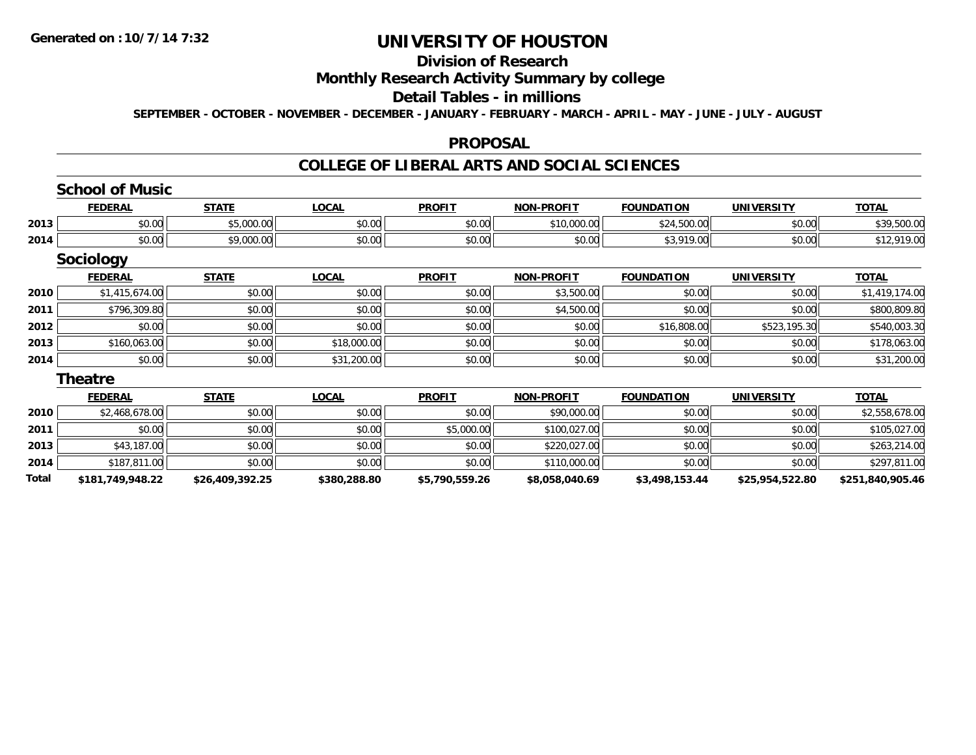### **Division of Research**

#### **Monthly Research Activity Summary by college**

# **Detail Tables - in millions**

**SEPTEMBER - OCTOBER - NOVEMBER - DECEMBER - JANUARY - FEBRUARY - MARCH - APRIL - MAY - JUNE - JULY - AUGUST**

#### **PROPOSAL**

#### **COLLEGE OF LIBERAL ARTS AND SOCIAL SCIENCES**

#### **School of Music**

|      | <b>FEDERAI</b>                                                                  | <b>STATE</b>                | <b>OCAL</b> | <b>PROFIT</b>                                      | <b>DDOEIT</b><br><b>MON</b>         | <b>FOUNDATION</b>                                    | <b>UNIVERSITY</b> | <b>TOTAL</b>               |
|------|---------------------------------------------------------------------------------|-----------------------------|-------------|----------------------------------------------------|-------------------------------------|------------------------------------------------------|-------------------|----------------------------|
| 2013 | 0000<br><b>DU.UU</b>                                                            | $AT$ $000$ $00$<br>O.UUU.UU | \$0.00      | $\mathfrak{c}\cap\mathfrak{a}\cap$<br><b>JU.UU</b> | \$10,000.00                         | $0.01$ FOO<br>$\sim$                                 | \$0.00            | EOO OO<br>\$39.<br>JUU.UI* |
| 2014 | 0.00<br><b>DU.UU</b>                                                            | 0.00000<br>,uuu.uu          | \$0.00      | 0000<br><b>JU.UU</b>                               | $\theta$ $\theta$ $\theta$<br>pu.uu | $\triangle$ $\cap$ $\triangle$ $\triangle$<br>$\sim$ | \$0.00            | 0.1000<br>LY.UU            |
|      | the contract of the contract of the contract of the contract of the contract of |                             |             |                                                    |                                     |                                                      |                   |                            |

### **Sociology**

|      | <b>FEDERAL</b> | <b>STATE</b> | <u>LOCAL</u> | <b>PROFIT</b> | <b>NON-PROFIT</b> | <b>FOUNDATION</b> | UNIVERSITY   | <b>TOTAL</b>   |
|------|----------------|--------------|--------------|---------------|-------------------|-------------------|--------------|----------------|
| 2010 | \$1,415,674.00 | \$0.00       | \$0.00       | \$0.00        | \$3,500.00        | \$0.00            | \$0.00       | \$1,419,174.00 |
| 2011 | \$796,309.80   | \$0.00       | \$0.00       | \$0.00        | \$4,500.00        | \$0.00            | \$0.00       | \$800,809.80   |
| 2012 | \$0.00         | \$0.00       | \$0.00       | \$0.00        | \$0.00            | \$16,808.00       | \$523,195.30 | \$540,003.30   |
| 2013 | \$160,063.00   | \$0.00       | \$18,000.00  | \$0.00        | \$0.00            | \$0.00            | \$0.00       | \$178,063.00   |
| 2014 | \$0.00         | \$0.00       | \$31,200.00  | \$0.00        | \$0.00            | \$0.00            | \$0.00       | \$31,200.00    |

#### **Theatre**

|       | <b>FEDERAL</b>   | <b>STATE</b>    | <b>LOCAL</b> | <b>PROFIT</b>  | <b>NON-PROFIT</b> | <b>FOUNDATION</b> | UNIVERSITY      | <b>TOTAL</b>     |
|-------|------------------|-----------------|--------------|----------------|-------------------|-------------------|-----------------|------------------|
| 2010  | \$2,468,678.00   | \$0.00          | \$0.00       | \$0.00         | \$90,000.00       | \$0.00            | \$0.00          | \$2,558,678.00   |
| 2011  | \$0.00           | \$0.00          | \$0.00       | \$5,000.00     | \$100,027.00      | \$0.00            | \$0.00          | \$105,027.00     |
| 2013  | \$43,187,00      | \$0.00          | \$0.00       | \$0.00         | \$220,027,00      | \$0.00            | \$0.00          | \$263,214.00     |
| 2014  | \$187,811.00     | \$0.00          | \$0.00       | \$0.00         | \$110,000.00      | \$0.00            | \$0.00          | \$297,811.00     |
| Total | \$181,749,948.22 | \$26,409,392.25 | \$380,288.80 | \$5,790,559.26 | \$8,058,040.69    | \$3,498,153.44    | \$25,954,522.80 | \$251,840,905.46 |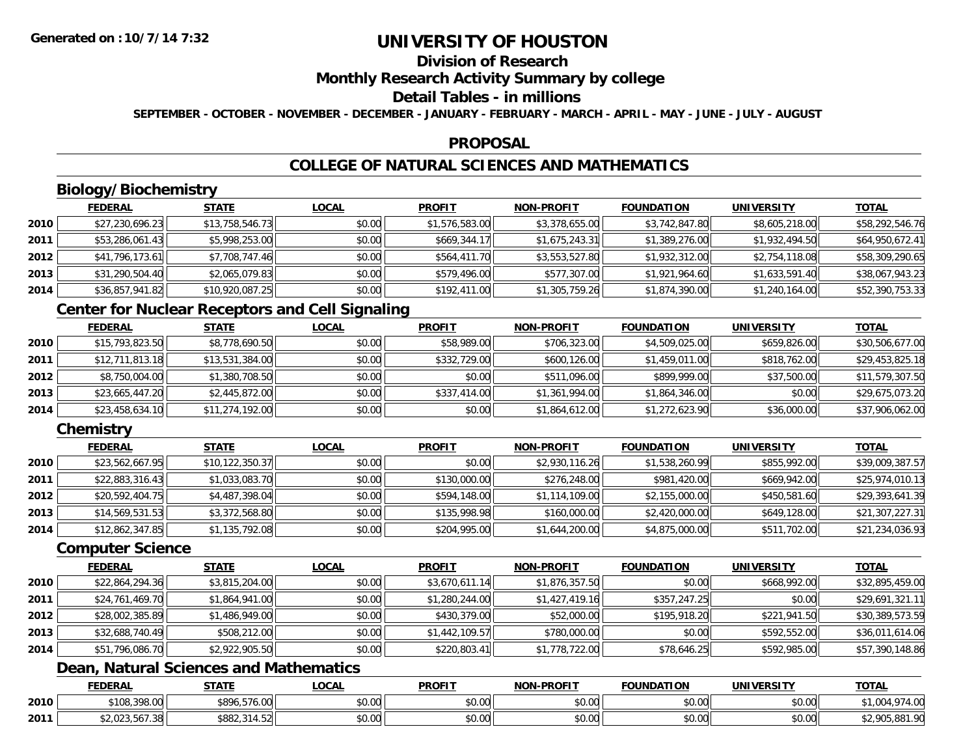# **Division of Research**

### **Monthly Research Activity Summary by college**

#### **Detail Tables - in millions**

**SEPTEMBER - OCTOBER - NOVEMBER - DECEMBER - JANUARY - FEBRUARY - MARCH - APRIL - MAY - JUNE - JULY - AUGUST**

#### **PROPOSAL**

# **COLLEGE OF NATURAL SCIENCES AND MATHEMATICS**

# **Biology/Biochemistry**

|      | <b>FEDERAL</b>  | <b>STATE</b>    | <u>LOCAL</u> | <b>PROFIT</b>  | <b>NON-PROFIT</b> | <b>FOUNDATION</b> | <b>UNIVERSITY</b> | <u>TOTAL</u>    |
|------|-----------------|-----------------|--------------|----------------|-------------------|-------------------|-------------------|-----------------|
| 2010 | \$27,230,696.23 | \$13,758,546.73 | \$0.00       | \$1,576,583.00 | \$3,378,655.00    | \$3,742,847.80    | \$8,605,218.00    | \$58,292,546.76 |
| 2011 | \$53,286,061.43 | \$5,998,253.00  | \$0.00       | \$669,344.17   | \$1,675,243.31    | \$1,389,276.00    | \$1,932,494.50    | \$64,950,672.41 |
| 2012 | \$41,796,173.61 | \$7,708,747.46  | \$0.00       | \$564,411.70   | \$3,553,527.80    | \$1,932,312.00    | \$2,754,118.08    | \$58,309,290.65 |
| 2013 | \$31,290,504.40 | \$2,065,079.83  | \$0.00       | \$579,496.00   | \$577,307.00      | \$1,921,964.60    | \$1,633,591.40    | \$38,067,943.23 |
| 2014 | \$36,857,941.82 | \$10,920,087.25 | \$0.00       | \$192,411.00   | \$1,305,759.26    | \$1,874,390.00    | \$1,240,164.00    | \$52,390,753.33 |

### **Center for Nuclear Receptors and Cell Signaling**

|      | <b>FEDERAL</b>  | <b>STATE</b>    | <b>LOCAL</b> | <b>PROFIT</b> | <b>NON-PROFIT</b> | <b>FOUNDATION</b> | <b>UNIVERSITY</b> | <u>TOTAL</u>    |
|------|-----------------|-----------------|--------------|---------------|-------------------|-------------------|-------------------|-----------------|
| 2010 | \$15,793,823.50 | \$8,778,690.50  | \$0.00       | \$58,989.00   | \$706,323.00      | \$4,509,025.00    | \$659,826.00      | \$30,506,677.00 |
| 2011 | \$12,711,813.18 | \$13,531,384.00 | \$0.00       | \$332,729.00  | \$600,126.00      | \$1,459,011.00    | \$818,762.00      | \$29,453,825.18 |
| 2012 | \$8,750,004.00  | \$1,380,708.50  | \$0.00       | \$0.00        | \$511,096.00      | \$899,999,00      | \$37,500.00       | \$11,579,307.50 |
| 2013 | \$23,665,447.20 | \$2,445,872.00  | \$0.00       | \$337,414.00  | \$1,361,994.00    | \$1,864,346.00    | \$0.00            | \$29,675,073.20 |
| 2014 | \$23,458,634.10 | \$11,274,192.00 | \$0.00       | \$0.00        | \$1,864,612.00    | \$1,272,623.90    | \$36,000.00       | \$37,906,062.00 |

### **Chemistry**

|      | <b>FEDERAL</b>  | <u>STATE</u>      | <b>LOCAL</b> | <b>PROFIT</b> | <b>NON-PROFIT</b> | <b>FOUNDATION</b> | <b>UNIVERSITY</b> | <b>TOTAL</b>    |
|------|-----------------|-------------------|--------------|---------------|-------------------|-------------------|-------------------|-----------------|
| 2010 | \$23,562,667.95 | \$10, 122, 350.37 | \$0.00       | \$0.00        | \$2,930,116.26    | \$1,538,260.99    | \$855,992.00      | \$39,009,387.57 |
| 2011 | \$22,883,316.43 | \$1,033,083.70    | \$0.00       | \$130,000.00  | \$276,248.00      | \$981,420.00      | \$669,942.00      | \$25,974,010.13 |
| 2012 | \$20,592,404.75 | \$4,487,398.04    | \$0.00       | \$594,148.00  | \$1,114,109.00    | \$2,155,000.00    | \$450,581.60      | \$29,393,641.39 |
| 2013 | \$14,569,531.53 | \$3,372,568.80    | \$0.00       | \$135,998.98  | \$160,000.00      | \$2,420,000.00    | \$649,128.00      | \$21,307,227.31 |
| 2014 | \$12,862,347.85 | \$1,135,792.08    | \$0.00       | \$204,995.00  | \$1,644,200.00    | \$4,875,000.00    | \$511,702.00      | \$21,234,036.93 |

#### **Computer Science**

|      | <b>FEDERAL</b>  | <b>STATE</b>   | <b>LOCAL</b> | <b>PROFIT</b>  | <b>NON-PROFIT</b> | <b>FOUNDATION</b> | <b>UNIVERSITY</b> | <b>TOTAL</b>    |
|------|-----------------|----------------|--------------|----------------|-------------------|-------------------|-------------------|-----------------|
| 2010 | \$22,864,294.36 | \$3,815,204.00 | \$0.00       | \$3,670,611.14 | \$1,876,357.50    | \$0.00            | \$668,992.00      | \$32,895,459.00 |
| 2011 | \$24,761,469.70 | \$1,864,941.00 | \$0.00       | \$1,280,244.00 | \$1,427,419.16    | \$357,247.25      | \$0.00            | \$29,691,321.11 |
| 2012 | \$28,002,385.89 | \$1,486,949.00 | \$0.00       | \$430,379.00   | \$52,000.00       | \$195,918.20      | \$221,941.50      | \$30,389,573.59 |
| 2013 | \$32,688,740.49 | \$508,212.00   | \$0.00       | \$1,442,109.57 | \$780,000.00      | \$0.00            | \$592,552.00      | \$36,011,614.06 |
| 2014 | \$51,796,086.70 | \$2,922,905.50 | \$0.00       | \$220,803.41   | \$1,778,722.00    | \$78,646.25       | \$592,985.00      | \$57,390,148.86 |

# **Dean, Natural Sciences and Mathematics**

|      | <b>FEDERAL</b>       | <b>CTATE</b><br>3 I A I I | <b>_OCAL</b>       | <b>PROFIT</b>              | <b>M-PROFIT</b><br><b>BIABI</b> | <b>FOUNDATION</b>    | UNIVERSITY | TOTA.              |
|------|----------------------|---------------------------|--------------------|----------------------------|---------------------------------|----------------------|------------|--------------------|
| 2010 | \$108,398.00         | $-1$<br>\$896,5.<br>76.00 | $\sim$ 00<br>pu.uu | 0000<br>DU.UU              | 0000<br>vu.vu                   | 0000<br>JU.UU        | \$0.00     | 4.Ul               |
| 2011 | $\sim$<br>20.007.001 | coot<br>300Z,3            | $\sim$ 00<br>pu.uu | $*$ $\cap$ $\cap$<br>DU.UU | $\sim$ 00<br>PO.OO              | 0000<br><b>DU.UU</b> | \$0.00     | 05.881.90<br>יחם ו |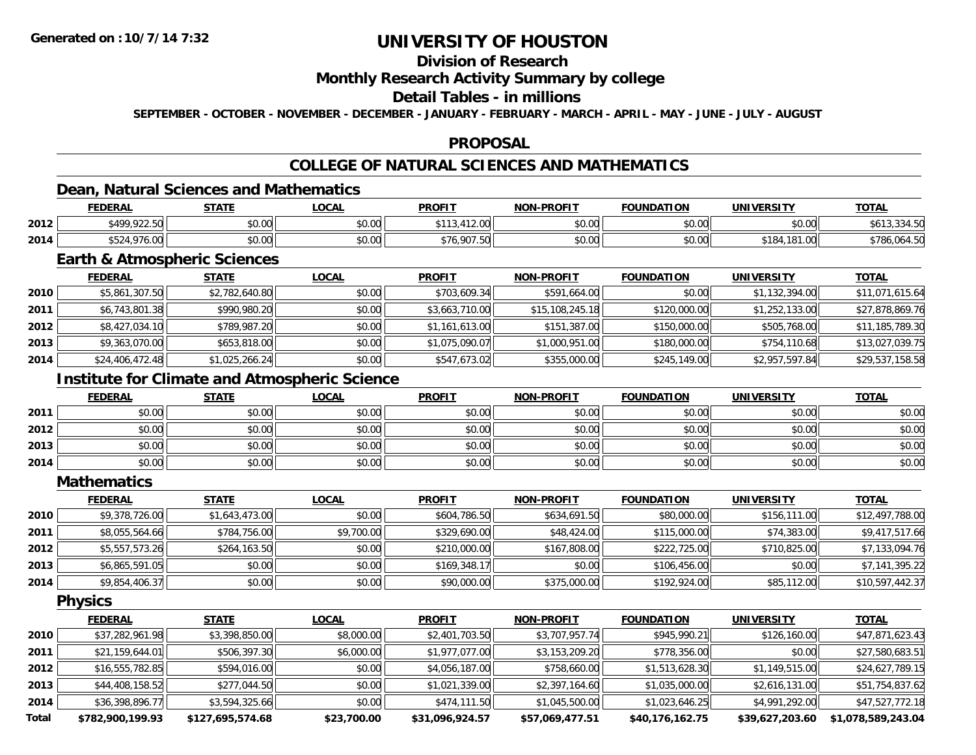# **Division of Research**

#### **Monthly Research Activity Summary by college**

### **Detail Tables - in millions**

**SEPTEMBER - OCTOBER - NOVEMBER - DECEMBER - JANUARY - FEBRUARY - MARCH - APRIL - MAY - JUNE - JULY - AUGUST**

#### **PROPOSAL**

# **COLLEGE OF NATURAL SCIENCES AND MATHEMATICS**

### **Dean, Natural Sciences and Mathematics**

|      | <b>FEDERAL</b>              | <b>CTATE</b><br>- 31 A L        | _OCAL  | <b>PROFIT</b>                  | <b>NON-PROFIT</b>                              | <b>FOUNDATION</b> | <b>UNIVERSITY</b>              | <b>TOTAL</b>           |
|------|-----------------------------|---------------------------------|--------|--------------------------------|------------------------------------------------|-------------------|--------------------------------|------------------------|
| 2012 | 0.1000025<br>9499<br>722.JU | 0000<br>JU.UU                   | \$0.00 | AAA<br>$\sim$                  | 0000<br>pu.uu                                  | 0000<br>JU.UU     | 0000<br>JU.UU                  | 3 O I J<br><b>T.JU</b> |
| 2014 | 1071<br>DJ 24<br>10.00      | $\circ$ $\circ$<br><b>JU.UU</b> | \$0.00 | \$76.007E<br>76.907<br>$\cdot$ | $\mathfrak{g} \cap \mathfrak{g} \cap$<br>DU.UU | 0.00<br>JU.UU     | 01. OO<br>10<br>. 0<br>. . UU" | \$786.064.50           |

### **Earth & Atmospheric Sciences**

|      | <b>FEDERAL</b>  | <u>STATE</u>   | <b>LOCAL</b> | <b>PROFIT</b>  | NON-PROFIT      | <b>FOUNDATION</b> | <b>UNIVERSITY</b> | <u>TOTAL</u>    |
|------|-----------------|----------------|--------------|----------------|-----------------|-------------------|-------------------|-----------------|
| 2010 | \$5,861,307.50  | \$2,782,640.80 | \$0.00       | \$703,609.34   | \$591,664.00    | \$0.00            | \$1,132,394.00    | \$11,071,615.64 |
| 2011 | \$6,743,801.38  | \$990,980.20   | \$0.00       | \$3,663,710.00 | \$15,108,245.18 | \$120,000.00      | \$1,252,133.00    | \$27,878,869.76 |
| 2012 | \$8,427,034.10  | \$789,987.20   | \$0.00       | \$1,161,613.00 | \$151,387.00    | \$150,000.00      | \$505,768.00      | \$11,185,789.30 |
| 2013 | \$9,363,070.00  | \$653,818.00   | \$0.00       | \$1,075,090.07 | \$1,000,951.00  | \$180,000.00      | \$754,110.68      | \$13,027,039.75 |
| 2014 | \$24,406,472.48 | \$1,025,266.24 | \$0.00       | \$547,673.02   | \$355,000.00    | \$245,149.00      | \$2,957,597.84    | \$29,537,158.58 |

# **Institute for Climate and Atmospheric Science**

|      | <b>FEDERAL</b> | <b>STATE</b> | <u>LOCAL</u> | <b>PROFIT</b> | <b>NON-PROFIT</b> | <b>FOUNDATION</b> | <b>UNIVERSITY</b> | <b>TOTAL</b> |
|------|----------------|--------------|--------------|---------------|-------------------|-------------------|-------------------|--------------|
| 2011 | \$0.00         | \$0.00       | \$0.00       | \$0.00        | \$0.00            | \$0.00            | \$0.00            | \$0.00       |
| 2012 | \$0.00         | \$0.00       | \$0.00       | \$0.00        | \$0.00            | \$0.00            | \$0.00            | \$0.00       |
| 2013 | \$0.00         | \$0.00       | \$0.00       | \$0.00        | \$0.00            | \$0.00            | \$0.00            | \$0.00       |
| 2014 | \$0.00         | \$0.00       | \$0.00       | \$0.00        | \$0.00            | \$0.00            | \$0.00            | \$0.00       |

#### **Mathematics**

|      | <u>FEDERAL</u> | <b>STATE</b>   | <b>LOCAL</b> | <b>PROFIT</b> | <b>NON-PROFIT</b> | <b>FOUNDATION</b> | <b>UNIVERSITY</b> | <u>TOTAL</u>    |
|------|----------------|----------------|--------------|---------------|-------------------|-------------------|-------------------|-----------------|
| 2010 | \$9,378,726.00 | \$1,643,473.00 | \$0.00       | \$604,786.50  | \$634,691.50      | \$80,000.00       | \$156,111.00      | \$12,497,788.00 |
| 2011 | \$8,055,564.66 | \$784,756.00   | \$9,700.00   | \$329,690.00  | \$48,424.00       | \$115,000.00      | \$74,383.00       | \$9,417,517.66  |
| 2012 | \$5,557,573.26 | \$264,163.50   | \$0.00       | \$210,000.00  | \$167,808.00      | \$222,725.00      | \$710,825.00      | \$7,133,094.76  |
| 2013 | \$6,865,591.05 | \$0.00         | \$0.00       | \$169,348.17  | \$0.00            | \$106,456.00      | \$0.00            | \$7,141,395.22  |
| 2014 | \$9,854,406.37 | \$0.00         | \$0.00       | \$90,000.00   | \$375,000.00      | \$192,924.00      | \$85,112.00       | \$10,597,442.37 |

**Physics**

|       | <u>FEDERAL</u>   | <b>STATE</b>     | <b>LOCAL</b> | <b>PROFIT</b>   | <b>NON-PROFIT</b> | <b>FOUNDATION</b> | <b>UNIVERSITY</b> | <u>TOTAL</u>       |
|-------|------------------|------------------|--------------|-----------------|-------------------|-------------------|-------------------|--------------------|
| 2010  | \$37,282,961.98  | \$3,398,850.00   | \$8,000.00   | \$2,401,703.50  | \$3,707,957.74    | \$945,990.21      | \$126,160.00      | \$47,871,623.43    |
| 2011  | \$21,159,644.01  | \$506,397.30     | \$6,000.00   | \$1,977,077.00  | \$3,153,209.20    | \$778,356.00      | \$0.00            | \$27,580,683.51    |
| 2012  | \$16,555,782.85  | \$594,016.00     | \$0.00       | \$4,056,187.00  | \$758,660.00      | \$1,513,628.30    | \$1,149,515.00    | \$24,627,789.15    |
| 2013  | \$44,408,158.52  | \$277,044.50     | \$0.00       | \$1,021,339.00  | \$2,397,164.60    | \$1,035,000.00    | \$2,616,131.00    | \$51,754,837.62    |
| 2014  | \$36,398,896.77  | \$3,594,325.66   | \$0.00       | \$474,111.50    | \$1,045,500.00    | \$1,023,646.25    | \$4,991,292.00    | \$47,527,772.18    |
| Total | \$782,900,199.93 | \$127.695.574.68 | \$23,700.00  | \$31,096,924.57 | \$57,069,477.51   | \$40,176,162.75   | \$39.627.203.60   | \$1,078,589,243.04 |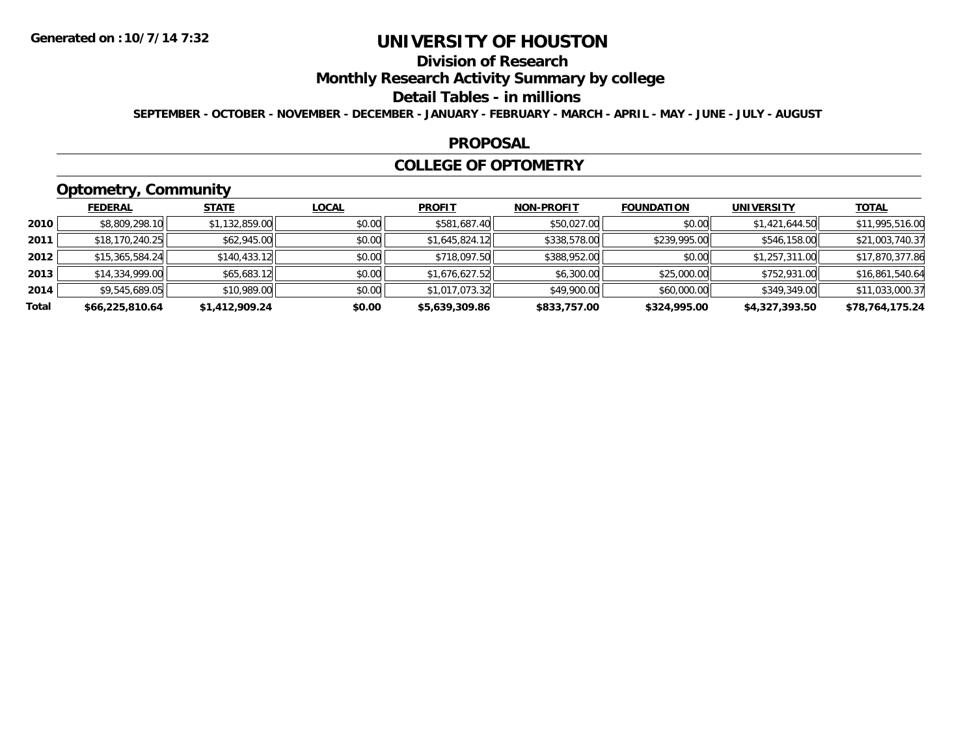# **Division of Research**

### **Monthly Research Activity Summary by college**

#### **Detail Tables - in millions**

**SEPTEMBER - OCTOBER - NOVEMBER - DECEMBER - JANUARY - FEBRUARY - MARCH - APRIL - MAY - JUNE - JULY - AUGUST**

#### **PROPOSAL**

#### **COLLEGE OF OPTOMETRY**

# **Optometry, Community**

|       | <b>FEDERAL</b>  | <b>STATE</b>   | <b>LOCAL</b> | <b>PROFIT</b>  | <b>NON-PROFIT</b> | <b>FOUNDATION</b> | <b>UNIVERSITY</b> | <u>TOTAL</u>    |
|-------|-----------------|----------------|--------------|----------------|-------------------|-------------------|-------------------|-----------------|
| 2010  | \$8,809,298.10  | \$1,132,859.00 | \$0.00       | \$581,687.40   | \$50,027.00       | \$0.00            | \$1,421,644.50    | \$11,995,516.00 |
| 2011  | \$18,170,240.25 | \$62,945.00    | \$0.00       | \$1,645,824.12 | \$338,578.00      | \$239,995.00      | \$546,158.00      | \$21,003,740.37 |
| 2012  | \$15,365,584.24 | \$140,433.12   | \$0.00       | \$718,097.50   | \$388,952.00      | \$0.00            | \$1,257,311.00    | \$17,870,377.86 |
| 2013  | \$14,334,999.00 | \$65,683.12    | \$0.00       | \$1,676,627.52 | \$6,300.00        | \$25,000.00       | \$752,931.00      | \$16,861,540.64 |
| 2014  | \$9,545,689.05  | \$10,989.00    | \$0.00       | \$1,017,073.32 | \$49,900.00       | \$60,000.00       | \$349,349.00      | \$11,033,000.37 |
| Total | \$66,225,810.64 | \$1,412,909.24 | \$0.00       | \$5,639,309.86 | \$833,757.00      | \$324,995.00      | \$4,327,393.50    | \$78,764,175.24 |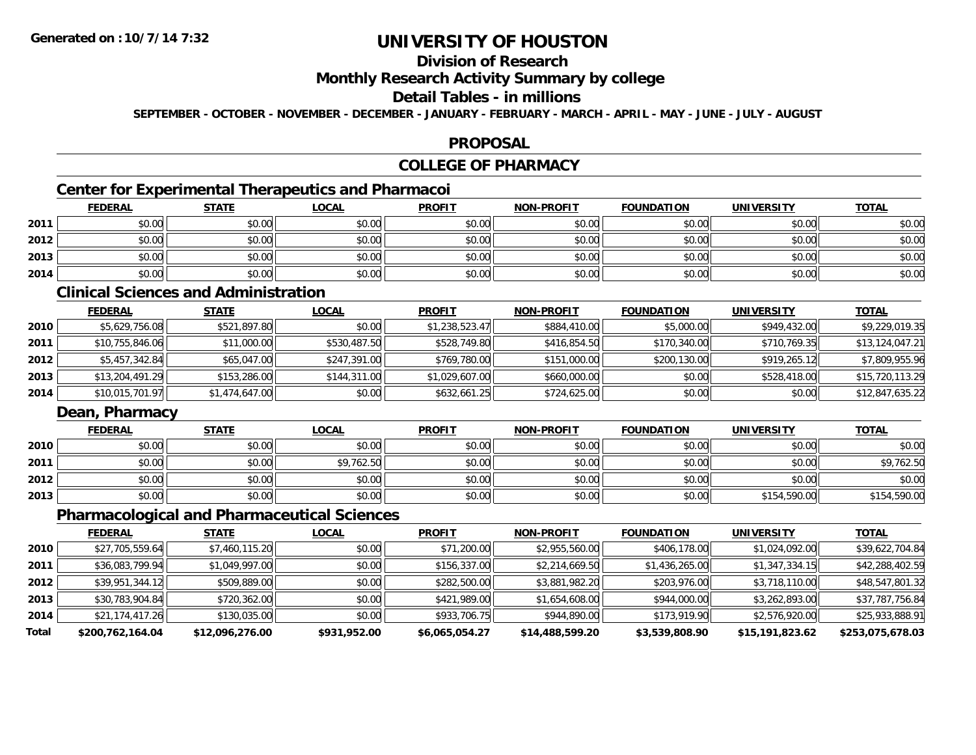# **Division of Research**

### **Monthly Research Activity Summary by college**

### **Detail Tables - in millions**

**SEPTEMBER - OCTOBER - NOVEMBER - DECEMBER - JANUARY - FEBRUARY - MARCH - APRIL - MAY - JUNE - JULY - AUGUST**

#### **PROPOSAL**

### **COLLEGE OF PHARMACY**

### **Center for Experimental Therapeutics and Pharmacoi**

|      | <b>FEDERAL</b> | <b>STATE</b> | <u>LOCAL</u> | <b>PROFIT</b> | NON-PROFIT | <b>FOUNDATION</b> | <b>UNIVERSITY</b> | <b>TOTAL</b> |
|------|----------------|--------------|--------------|---------------|------------|-------------------|-------------------|--------------|
| 2011 | \$0.00         | \$0.00       | \$0.00       | \$0.00        | \$0.00     | \$0.00            | \$0.00            | \$0.00       |
| 2012 | \$0.00         | \$0.00       | \$0.00       | \$0.00        | \$0.00     | \$0.00            | \$0.00            | \$0.00       |
| 2013 | \$0.00         | \$0.00       | \$0.00       | \$0.00        | \$0.00     | \$0.00            | \$0.00            | \$0.00       |
| 2014 | \$0.00         | \$0.00       | \$0.00       | \$0.00        | \$0.00     | \$0.00            | \$0.00            | \$0.00       |

#### **Clinical Sciences and Administration**

|      | <b>FEDERAL</b>  | <b>STATE</b>   | <u>LOCAL</u> | <b>PROFIT</b>  | <b>NON-PROFIT</b> | <b>FOUNDATION</b> | UNIVERSITY   | <b>TOTAL</b>    |
|------|-----------------|----------------|--------------|----------------|-------------------|-------------------|--------------|-----------------|
| 2010 | \$5,629,756.08  | \$521,897.80   | \$0.00       | \$1,238,523.47 | \$884,410.00      | \$5,000.00        | \$949,432.00 | \$9,229,019.35  |
| 2011 | \$10,755,846.06 | \$11,000.00    | \$530,487.50 | \$528,749.80   | \$416,854.50      | \$170,340.00      | \$710,769.35 | \$13,124,047.21 |
| 2012 | \$5,457,342.84  | \$65,047.00    | \$247,391,00 | \$769,780.00   | \$151,000.00      | \$200,130,00      | \$919,265.12 | \$7,809,955.96  |
| 2013 | \$13,204,491.29 | \$153,286.00   | \$144,311.00 | \$1,029,607.00 | \$660,000.00      | \$0.00            | \$528,418.00 | \$15,720,113.29 |
| 2014 | \$10,015,701.97 | \$1,474,647.00 | \$0.00       | \$632,661.25   | \$724,625.00      | \$0.00            | \$0.00       | \$12,847,635.22 |

### **Dean, Pharmacy**

|      | <b>FEDERAL</b> | <b>STATE</b> | <b>LOCAL</b> | <b>PROFIT</b> | <b>NON-PROFIT</b> | <b>FOUNDATION</b> | <b>UNIVERSITY</b> | <b>TOTAL</b> |
|------|----------------|--------------|--------------|---------------|-------------------|-------------------|-------------------|--------------|
| 2010 | \$0.00         | \$0.00       | \$0.00       | \$0.00        | \$0.00            | \$0.00            | \$0.00            | \$0.00       |
| 2011 | \$0.00         | \$0.00       | \$9,762.50   | \$0.00        | \$0.00            | \$0.00            | \$0.00            | \$9,762.50   |
| 2012 | \$0.00         | \$0.00       | \$0.00       | \$0.00        | \$0.00            | \$0.00            | \$0.00            | \$0.00       |
| 2013 | \$0.00         | \$0.00       | \$0.00       | \$0.00        | \$0.00            | \$0.00            | \$154,590.00      | \$154,590.00 |

### **Pharmacological and Pharmaceutical Sciences**

|       | <b>FEDERAL</b>   | <u>STATE</u>    | <b>LOCAL</b> | <b>PROFIT</b>  | <b>NON-PROFIT</b> | <b>FOUNDATION</b> | <b>UNIVERSITY</b> | <b>TOTAL</b>     |
|-------|------------------|-----------------|--------------|----------------|-------------------|-------------------|-------------------|------------------|
| 2010  | \$27,705,559.64  | \$7,460,115.20  | \$0.00       | \$71,200.00    | \$2,955,560.00    | \$406,178.00      | \$1,024,092.00    | \$39,622,704.84  |
| 2011  | \$36,083,799.94  | \$1,049,997.00  | \$0.00       | \$156,337.00   | \$2,214,669.50    | \$1,436,265.00    | \$1,347,334.15    | \$42,288,402.59  |
| 2012  | \$39,951,344.12  | \$509,889.00    | \$0.00       | \$282,500.00   | \$3,881,982.20    | \$203,976.00      | \$3,718,110.00    | \$48,547,801.32  |
| 2013  | \$30,783,904.84  | \$720,362.00    | \$0.00       | \$421,989.00   | \$1,654,608.00    | \$944,000.00      | \$3,262,893.00    | \$37,787,756.84  |
| 2014  | \$21,174,417.26  | \$130,035.00    | \$0.00       | \$933,706.75   | \$944,890.00      | \$173,919.90      | \$2,576,920.00    | \$25,933,888.91  |
| Total | \$200,762,164.04 | \$12,096,276.00 | \$931,952.00 | \$6,065,054.27 | \$14,488,599.20   | \$3,539,808.90    | \$15,191,823.62   | \$253,075,678.03 |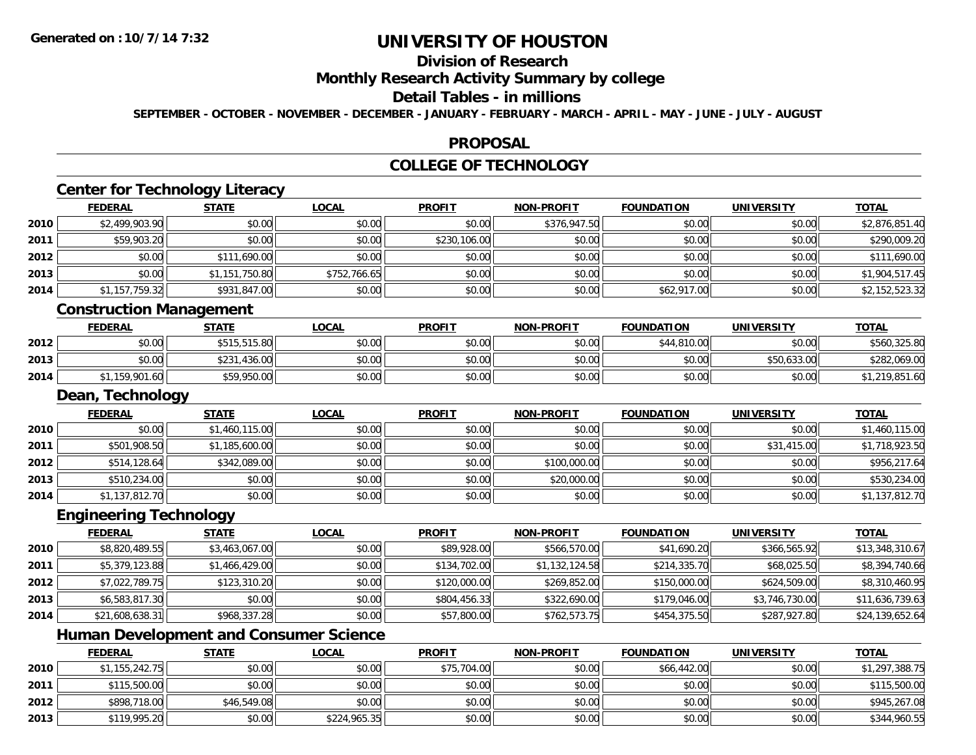**2012**

**2013**

# **UNIVERSITY OF HOUSTON**

# **Division of Research**

### **Monthly Research Activity Summary by college**

#### **Detail Tables - in millions**

**SEPTEMBER - OCTOBER - NOVEMBER - DECEMBER - JANUARY - FEBRUARY - MARCH - APRIL - MAY - JUNE - JULY - AUGUST**

### **PROPOSAL**

# **COLLEGE OF TECHNOLOGY**

|      |                                               |                |              | COLLLOL OF TLUTHVOLOUT |                   |                   |                   |                 |
|------|-----------------------------------------------|----------------|--------------|------------------------|-------------------|-------------------|-------------------|-----------------|
|      | <b>Center for Technology Literacy</b>         |                |              |                        |                   |                   |                   |                 |
|      | <b>FEDERAL</b>                                | <b>STATE</b>   | <b>LOCAL</b> | <b>PROFIT</b>          | <b>NON-PROFIT</b> | <b>FOUNDATION</b> | <b>UNIVERSITY</b> | <b>TOTAL</b>    |
| 2010 | \$2,499,903.90                                | \$0.00         | \$0.00       | \$0.00                 | \$376,947.50      | \$0.00            | \$0.00            | \$2,876,851.40  |
| 2011 | \$59,903.20                                   | \$0.00         | \$0.00       | \$230,106.00           | \$0.00            | \$0.00            | \$0.00            | \$290,009.20    |
| 2012 | \$0.00                                        | \$111,690.00   | \$0.00       | \$0.00                 | \$0.00            | \$0.00            | \$0.00            | \$111,690.00    |
| 2013 | \$0.00                                        | \$1,151,750.80 | \$752,766.65 | \$0.00                 | \$0.00            | \$0.00            | \$0.00            | \$1,904,517.45  |
| 2014 | \$1,157,759.32                                | \$931,847.00   | \$0.00       | \$0.00                 | \$0.00            | \$62,917.00       | \$0.00            | \$2,152,523.32  |
|      | <b>Construction Management</b>                |                |              |                        |                   |                   |                   |                 |
|      | <b>FEDERAL</b>                                | <b>STATE</b>   | <b>LOCAL</b> | <b>PROFIT</b>          | <b>NON-PROFIT</b> | <b>FOUNDATION</b> | <b>UNIVERSITY</b> | <b>TOTAL</b>    |
| 2012 | \$0.00                                        | \$515,515.80   | \$0.00       | \$0.00                 | \$0.00            | \$44,810.00       | \$0.00            | \$560,325.80    |
| 2013 | \$0.00                                        | \$231,436.00   | \$0.00       | \$0.00                 | \$0.00            | \$0.00            | \$50,633.00       | \$282,069.00    |
| 2014 | \$1,159,901.60                                | \$59,950.00    | \$0.00       | \$0.00                 | \$0.00            | \$0.00            | \$0.00            | \$1,219,851.60  |
|      | Dean, Technology                              |                |              |                        |                   |                   |                   |                 |
|      | <b>FEDERAL</b>                                | <b>STATE</b>   | <b>LOCAL</b> | <b>PROFIT</b>          | <b>NON-PROFIT</b> | <b>FOUNDATION</b> | <b>UNIVERSITY</b> | <b>TOTAL</b>    |
| 2010 | \$0.00                                        | \$1,460,115.00 | \$0.00       | \$0.00                 | \$0.00            | \$0.00            | \$0.00            | \$1,460,115.00  |
| 2011 | \$501,908.50                                  | \$1,185,600.00 | \$0.00       | \$0.00                 | \$0.00            | \$0.00            | \$31,415.00       | \$1,718,923.50  |
| 2012 | \$514,128.64                                  | \$342,089.00   | \$0.00       | \$0.00                 | \$100,000.00      | \$0.00            | \$0.00            | \$956,217.64    |
| 2013 | \$510,234.00                                  | \$0.00         | \$0.00       | \$0.00                 | \$20,000.00       | \$0.00            | \$0.00            | \$530,234.00    |
| 2014 | \$1,137,812.70                                | \$0.00         | \$0.00       | \$0.00                 | \$0.00            | \$0.00            | \$0.00            | \$1,137,812.70  |
|      | <b>Engineering Technology</b>                 |                |              |                        |                   |                   |                   |                 |
|      | <b>FEDERAL</b>                                | <b>STATE</b>   | <b>LOCAL</b> | <b>PROFIT</b>          | <b>NON-PROFIT</b> | <b>FOUNDATION</b> | <b>UNIVERSITY</b> | <b>TOTAL</b>    |
| 2010 | \$8,820,489.55                                | \$3,463,067.00 | \$0.00       | \$89,928.00            | \$566,570.00      | \$41,690.20       | \$366,565.92      | \$13,348,310.67 |
| 2011 | \$5,379,123.88                                | \$1,466,429.00 | \$0.00       | \$134,702.00           | \$1,132,124.58    | \$214,335.70      | \$68,025.50       | \$8,394,740.66  |
| 2012 | \$7,022,789.75                                | \$123,310.20   | \$0.00       | \$120,000.00           | \$269,852.00      | \$150,000.00      | \$624,509.00      | \$8,310,460.95  |
| 2013 | \$6,583,817.30                                | \$0.00         | \$0.00       | \$804,456.33           | \$322,690.00      | \$179,046.00      | \$3,746,730.00    | \$11,636,739.63 |
| 2014 | \$21,608,638.31                               | \$968,337.28   | \$0.00       | \$57,800.00            | \$762,573.75      | \$454,375.50      | \$287,927.80      | \$24,139,652.64 |
|      | <b>Human Development and Consumer Science</b> |                |              |                        |                   |                   |                   |                 |
|      | <b>FEDERAL</b>                                | <b>STATE</b>   | <b>LOCAL</b> | <b>PROFIT</b>          | <b>NON-PROFIT</b> | <b>FOUNDATION</b> | <b>UNIVERSITY</b> | <b>TOTAL</b>    |
| 2010 | \$1,155,242.75                                | \$0.00         | \$0.00       | \$75,704.00            | \$0.00            | \$66,442.00       | \$0.00            | \$1,297,388.75  |
| 2011 | \$115,500.00                                  | \$0.00         | \$0.00       | \$0.00                 | \$0.00            | \$0.00            | \$0.00            | \$115,500.00    |

2 | \$898,718.00|| \$46,549.08|| \$0.00|| \$0.00|| \$0.00|| \$0.00|| \$0.00|| \$0.00|| \$0.00|| \$0.00|| \$945,267.08

\$119,995.20 \$0.00 \$224,965.35 \$0.00 \$0.00 \$0.00 \$0.00 \$344,960.55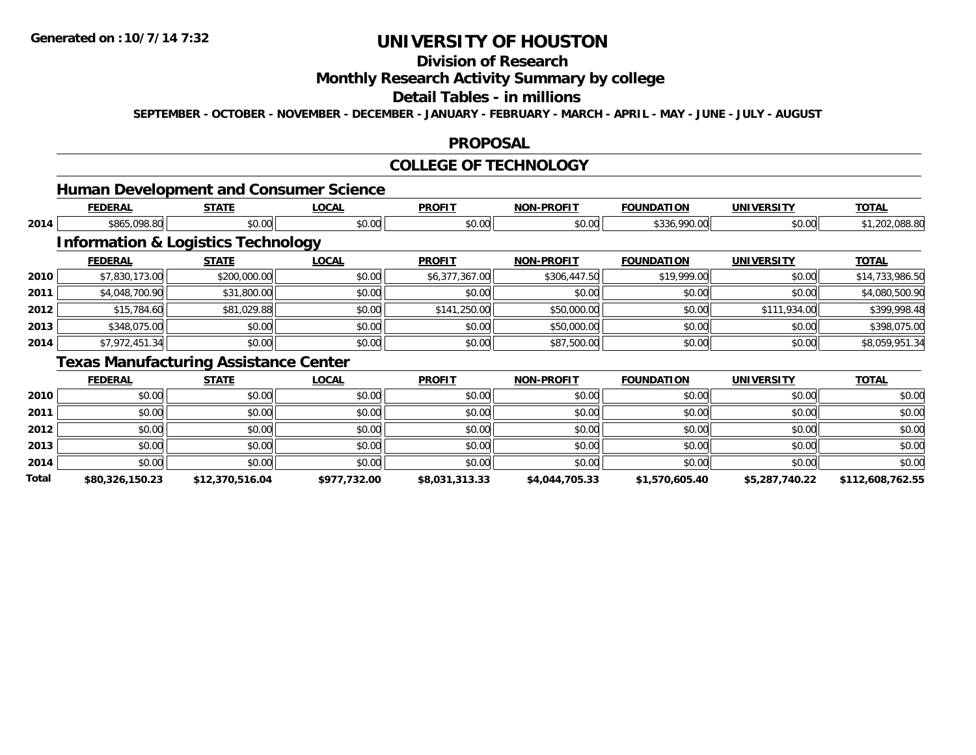# **Division of Research**

### **Monthly Research Activity Summary by college**

#### **Detail Tables - in millions**

**SEPTEMBER - OCTOBER - NOVEMBER - DECEMBER - JANUARY - FEBRUARY - MARCH - APRIL - MAY - JUNE - JULY - AUGUST**

#### **PROPOSAL**

#### **COLLEGE OF TECHNOLOGY**

### **Human Development and Consumer Science**

|      | <b>FEDERAL</b> | <b>STATE</b>                                  | <b>LOCAL</b> | <b>PROFIT</b>  | <b>NON-PROFIT</b> | <b>FOUNDATION</b> | <b>UNIVERSITY</b> | <b>TOTAL</b>    |
|------|----------------|-----------------------------------------------|--------------|----------------|-------------------|-------------------|-------------------|-----------------|
| 2014 | \$865,098.80   | \$0.00                                        | \$0.00       | \$0.00         | \$0.00            | \$336,990.00      | \$0.00            | \$1,202,088.80  |
|      |                | <b>Information &amp; Logistics Technology</b> |              |                |                   |                   |                   |                 |
|      | <b>FEDERAL</b> | <b>STATE</b>                                  | <b>LOCAL</b> | <b>PROFIT</b>  | <b>NON-PROFIT</b> | <b>FOUNDATION</b> | <b>UNIVERSITY</b> | <b>TOTAL</b>    |
| 2010 | \$7,830,173.00 | \$200,000.00                                  | \$0.00       | \$6,377,367.00 | \$306,447.50      | \$19,999.00       | \$0.00            | \$14,733,986.50 |
| 2011 | \$4,048,700.90 | \$31,800.00                                   | \$0.00       | \$0.00         | \$0.00            | \$0.00            | \$0.00            | \$4,080,500.90  |
| 2012 | \$15,784.60    | \$81,029.88                                   | \$0.00       | \$141,250.00   | \$50,000.00       | \$0.00            | \$111,934.00      | \$399,998.48    |
| 2013 | \$348,075.00   | \$0.00                                        | \$0.00       | \$0.00         | \$50,000.00       | \$0.00            | \$0.00            | \$398,075.00    |
| 2014 | \$7,972,451.34 | \$0.00                                        | \$0.00       | \$0.00         | \$87,500.00       | \$0.00            | \$0.00            | \$8,059,951.34  |
|      | –              | $\blacksquare$                                |              |                |                   |                   |                   |                 |

#### **Texas Manufacturing Assistance Center**

|       | <b>FEDERAL</b>  | <b>STATE</b>    | <b>LOCAL</b> | <b>PROFIT</b>  | <b>NON-PROFIT</b> | <b>FOUNDATION</b> | <b>UNIVERSITY</b> | <b>TOTAL</b>     |
|-------|-----------------|-----------------|--------------|----------------|-------------------|-------------------|-------------------|------------------|
| 2010  | \$0.00          | \$0.00          | \$0.00       | \$0.00         | \$0.00            | \$0.00            | \$0.00            | \$0.00           |
| 2011  | \$0.00          | \$0.00          | \$0.00       | \$0.00         | \$0.00            | \$0.00            | \$0.00            | \$0.00           |
| 2012  | \$0.00          | \$0.00          | \$0.00       | \$0.00         | \$0.00            | \$0.00            | \$0.00            | \$0.00           |
| 2013  | \$0.00          | \$0.00          | \$0.00       | \$0.00         | \$0.00            | \$0.00            | \$0.00            | \$0.00           |
| 2014  | \$0.00          | \$0.00          | \$0.00       | \$0.00         | \$0.00            | \$0.00            | \$0.00            | \$0.00           |
| Total | \$80,326,150.23 | \$12,370,516.04 | \$977,732.00 | \$8,031,313.33 | \$4,044,705.33    | \$1,570,605.40    | \$5,287,740.22    | \$112,608,762.55 |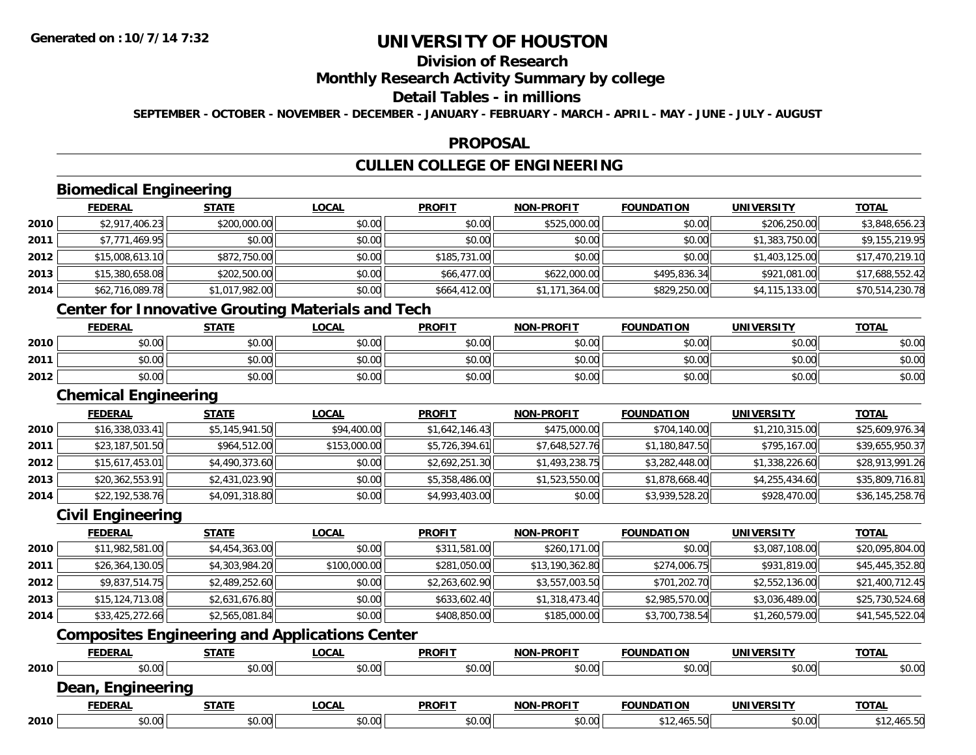# **Division of Research**

### **Monthly Research Activity Summary by college**

#### **Detail Tables - in millions**

**SEPTEMBER - OCTOBER - NOVEMBER - DECEMBER - JANUARY - FEBRUARY - MARCH - APRIL - MAY - JUNE - JULY - AUGUST**

#### **PROPOSAL**

# **CULLEN COLLEGE OF ENGINEERING**

# **Biomedical Engineering**

|        | <b>Biomedical Engineering</b> |                |              |               |                   |                   |                   |                 |  |  |  |
|--------|-------------------------------|----------------|--------------|---------------|-------------------|-------------------|-------------------|-----------------|--|--|--|
|        | <b>FEDERAL</b>                | <b>STATE</b>   | <b>LOCAL</b> | <b>PROFIT</b> | <b>NON-PROFIT</b> | <b>FOUNDATION</b> | <b>UNIVERSITY</b> | <b>TOTAL</b>    |  |  |  |
| ا 2010 | \$2,917,406.23                | \$200,000.00   | \$0.00       | \$0.00        | \$525,000.00      | \$0.00            | \$206,250.00      | \$3,848,656.23  |  |  |  |
| 2011   | \$7,771,469.95                | \$0.00         | \$0.00       | \$0.00        | \$0.00            | \$0.00            | \$1,383,750.00    | \$9,155,219.95  |  |  |  |
| 2012   | \$15,008,613.10               | \$872,750.00   | \$0.00       | \$185,731.00  | \$0.00            | \$0.00            | \$1,403,125.00    | \$17,470,219.10 |  |  |  |
| 2013   | \$15,380,658.08               | \$202,500.00   | \$0.00       | \$66,477.00   | \$622,000.00      | \$495,836.34      | \$921,081.00      | \$17,688,552.42 |  |  |  |
| 2014   | \$62,716,089.78               | \$1,017,982.00 | \$0.00       | \$664,412.00  | \$1,171,364.00    | \$829,250.00      | \$4,115,133.00    | \$70,514,230.78 |  |  |  |
|        |                               |                |              |               |                   |                   |                   |                 |  |  |  |

### **Center for Innovative Grouting Materials and Tech**

|      | <b>FEDERAL</b> | <b>STATE</b>   | <u>LOCAL</u>  | <b>PROFIT</b>                                        | <b>NON-PROFIT</b> | <b>FOUNDATION</b> | UNIVERSITY | <b>TOTAL</b> |
|------|----------------|----------------|---------------|------------------------------------------------------|-------------------|-------------------|------------|--------------|
| 2010 | 0000<br>DU.UU  | \$0.00         | 0000<br>JU.UU | ≮∩ ∩∩<br><b>SU.UU</b>                                | \$0.00            | \$0.00            | \$0.00     | \$0.00       |
| 2011 | \$0.00         | ≮N UU<br>PU.UU | \$0.00        | $\mathsf{A}\cap\mathsf{A}\cap\mathsf{A}$<br>$-40.06$ | \$0.00            | \$0.00            | \$0.00     | \$0.00       |
| 2012 | \$0.00         | \$0.00         | \$0.00        | ≮N UU<br><b>SU.UU</b>                                | \$0.00            | \$0.00            | \$0.00     | \$0.00       |

#### **Chemical Engineering**

|      | <b>FEDERAL</b>  | <b>STATE</b>   | <u>LOCAL</u> | <b>PROFIT</b>  | <b>NON-PROFIT</b> | <b>FOUNDATION</b> | UNIVERSITY     | <b>TOTAL</b>    |
|------|-----------------|----------------|--------------|----------------|-------------------|-------------------|----------------|-----------------|
| 2010 | \$16,338,033.41 | \$5,145,941.50 | \$94,400.00  | \$1,642,146.43 | \$475,000.00      | \$704,140.00      | \$1,210,315.00 | \$25,609,976.34 |
| 2011 | \$23,187,501.50 | \$964,512.00   | \$153,000.00 | \$5,726,394.61 | \$7,648,527.76    | \$1,180,847.50    | \$795,167,00   | \$39,655,950.37 |
| 2012 | \$15,617,453.01 | \$4,490,373.60 | \$0.00       | \$2,692,251.30 | \$1,493,238.75    | \$3,282,448.00    | \$1,338,226.60 | \$28,913,991.26 |
| 2013 | \$20,362,553.91 | \$2,431,023.90 | \$0.00       | \$5,358,486.00 | \$1,523,550.00    | \$1,878,668.40    | \$4,255,434.60 | \$35,809,716.81 |
| 2014 | \$22,192,538.76 | \$4,091,318.80 | \$0.00       | \$4,993,403.00 | \$0.00            | \$3,939,528.20    | \$928,470.00   | \$36,145,258.76 |

#### **Civil Engineering**

|      | <b>FEDERAL</b>    | <b>STATE</b>   | <b>LOCAL</b> | <b>PROFIT</b>  | NON-PROFIT      | <b>FOUNDATION</b> | <b>UNIVERSITY</b> | <u>TOTAL</u>    |
|------|-------------------|----------------|--------------|----------------|-----------------|-------------------|-------------------|-----------------|
| 2010 | \$11,982,581.00   | \$4,454,363.00 | \$0.00       | \$311,581.00   | \$260,171.00    | \$0.00            | \$3,087,108.00    | \$20,095,804.00 |
| 2011 | \$26,364,130.05   | \$4,303,984.20 | \$100,000.00 | \$281,050.00   | \$13,190,362.80 | \$274,006.75      | \$931,819.00      | \$45,445,352.80 |
| 2012 | \$9,837,514.75    | \$2,489,252.60 | \$0.00       | \$2,263,602.90 | \$3,557,003.50  | \$701,202.70      | \$2,552,136.00    | \$21,400,712.45 |
| 2013 | \$15, 124, 713.08 | \$2,631,676.80 | \$0.00       | \$633,602.40   | \$1,318,473.40  | \$2,985,570.00    | \$3,036,489.00    | \$25,730,524.68 |
| 2014 | \$33,425,272.66   | \$2,565,081.84 | \$0.00       | \$408,850.00   | \$185,000.00    | \$3,700,738.54    | \$1,260,579.00    | \$41,545,522.04 |

### **Composites Engineering and Applications Center**

|      | <b>FEDERAL</b>         | <u>STATE</u> | <u>LOCAL</u> | <b>PROFIT</b> | <b>NON-PROFIT</b> | <b>FOUNDATION</b> | UNIVERSITY | <b>TOTAL</b> |
|------|------------------------|--------------|--------------|---------------|-------------------|-------------------|------------|--------------|
| 2010 | \$0.00                 | \$0.00       | \$0.00       | \$0.00        | \$0.00            | \$0.00            | \$0.00     | \$0.00       |
|      | Dean,<br>, Engineering |              |              |               |                   |                   |            |              |
|      | <b>FEDERAL</b>         | <u>STATE</u> | <u>LOCAL</u> | <b>PROFIT</b> | <b>NON-PROFIT</b> | <b>FOUNDATION</b> | UNIVERSITY | <b>TOTAL</b> |
| 2010 | \$0.00                 | \$0.00       | \$0.00       | \$0.00        | \$0.00            | \$12,465.50       | \$0.00     | \$12,465.50  |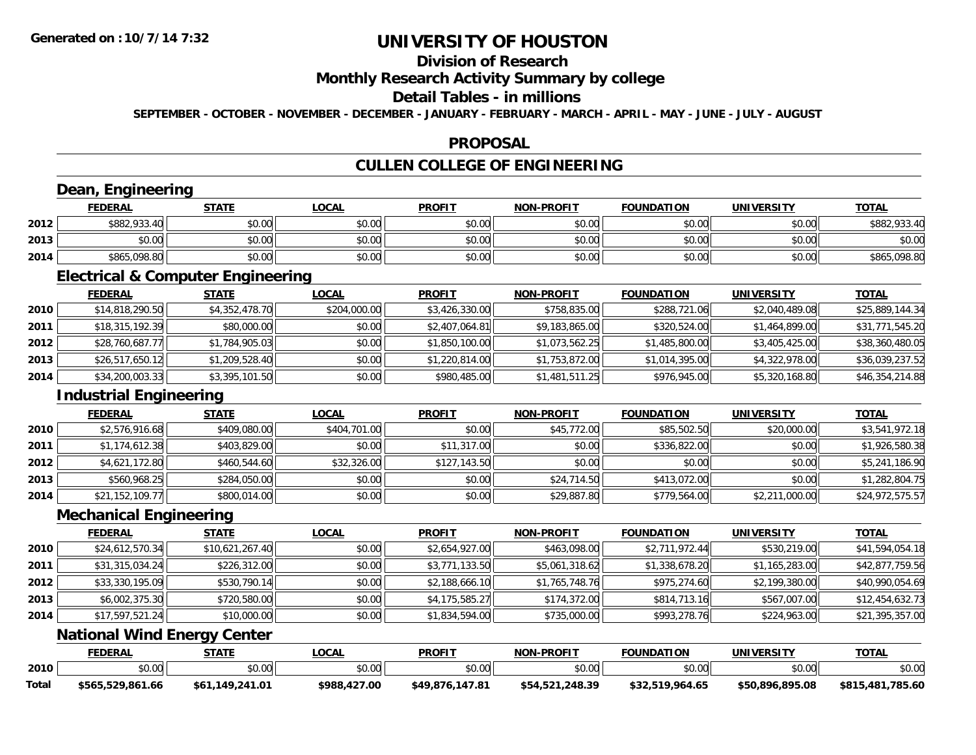# **Division of Research**

### **Monthly Research Activity Summary by college**

#### **Detail Tables - in millions**

**SEPTEMBER - OCTOBER - NOVEMBER - DECEMBER - JANUARY - FEBRUARY - MARCH - APRIL - MAY - JUNE - JULY - AUGUST**

### **PROPOSAL**

# **CULLEN COLLEGE OF ENGINEERING**

### **Dean, Engineering**

|      | Dean           | Engineering  |              |               |                   |                   |                   |              |  |  |  |  |
|------|----------------|--------------|--------------|---------------|-------------------|-------------------|-------------------|--------------|--|--|--|--|
|      | <b>FEDERAL</b> | <u>STATE</u> | <u>LOCAL</u> | <b>PROFIT</b> | <b>NON-PROFIT</b> | <b>FOUNDATION</b> | <b>UNIVERSITY</b> | <b>TOTAL</b> |  |  |  |  |
| 2012 | \$882,933.40   | \$0.00       | \$0.00       | \$0.00        | \$0.00            | \$0.00            | \$0.00            | \$882,933.40 |  |  |  |  |
| 2013 | \$0.00         | \$0.00       | \$0.00       | \$0.00        | \$0.00            | \$0.00            | \$0.00            | \$0.00       |  |  |  |  |
| 2014 | \$865,098.80   | \$0.00       | \$0.00       | \$0.00        | \$0.00            | \$0.00            | \$0.00            | \$865,098.80 |  |  |  |  |

<u> 1989 - Johann Stoff, deutscher Stoffen und der Stoffen und der Stoffen und der Stoffen und der Stoffen und de</u>

### **Electrical & Computer Engineering**

<u> 1980 - Johann Barbara, martxa amerikan personal (</u>

|      | <b>FEDERAL</b>  | <u>STATE</u>   | <b>LOCAL</b> | <b>PROFIT</b>  | <b>NON-PROFIT</b> | <b>FOUNDATION</b> | <b>UNIVERSITY</b> | <b>TOTAL</b>    |
|------|-----------------|----------------|--------------|----------------|-------------------|-------------------|-------------------|-----------------|
| 2010 | \$14,818,290.50 | \$4,352,478.70 | \$204,000.00 | \$3,426,330.00 | \$758,835.00      | \$288,721.06      | \$2,040,489.08    | \$25,889,144.34 |
| 2011 | \$18,315,192.39 | \$80,000.00    | \$0.00       | \$2,407,064.81 | \$9,183,865.00    | \$320,524.00      | \$1,464,899.00    | \$31,771,545.20 |
| 2012 | \$28,760,687.77 | \$1,784,905.03 | \$0.00       | \$1,850,100.00 | \$1,073,562.25    | \$1,485,800.00    | \$3,405,425.00    | \$38,360,480.05 |
| 2013 | \$26,517,650.12 | \$1,209,528.40 | \$0.00       | \$1,220,814.00 | \$1,753,872.00    | \$1,014,395.00    | \$4,322,978.00    | \$36,039,237.52 |
| 2014 | \$34,200,003.33 | \$3,395,101.50 | \$0.00       | \$980,485.00   | \$1,481,511.25    | \$976,945.00      | \$5,320,168.80    | \$46,354,214.88 |

### **Industrial Engineering**

|      | <b>FEDERAL</b>  | <b>STATE</b> | <u>LOCAL</u> | <b>PROFIT</b> | <b>NON-PROFIT</b> | <b>FOUNDATION</b> | <b>UNIVERSITY</b> | <b>TOTAL</b>    |
|------|-----------------|--------------|--------------|---------------|-------------------|-------------------|-------------------|-----------------|
| 2010 | \$2,576,916.68  | \$409,080.00 | \$404,701.00 | \$0.00        | \$45,772.00       | \$85,502.50       | \$20,000.00       | \$3,541,972.18  |
| 2011 | \$1,174,612.38  | \$403,829.00 | \$0.00       | \$11,317.00   | \$0.00            | \$336,822.00      | \$0.00            | \$1,926,580.38  |
| 2012 | \$4,621,172.80  | \$460,544.60 | \$32,326.00  | \$127,143.50  | \$0.00            | \$0.00            | \$0.00            | \$5,241,186.90  |
| 2013 | \$560,968.25    | \$284,050.00 | \$0.00       | \$0.00        | \$24,714.50       | \$413,072.00      | \$0.00            | \$1,282,804.75  |
| 2014 | \$21,152,109.77 | \$800,014.00 | \$0.00       | \$0.00        | \$29,887.80       | \$779,564.00      | \$2,211,000.00    | \$24,972,575.57 |

#### **Mechanical Engineering**

|      | <b>FEDERAL</b>  | <b>STATE</b>    | <u>LOCAL</u> | <b>PROFIT</b>  | <b>NON-PROFIT</b> | <b>FOUNDATION</b> | <b>UNIVERSITY</b> | <b>TOTAL</b>    |
|------|-----------------|-----------------|--------------|----------------|-------------------|-------------------|-------------------|-----------------|
| 2010 | \$24,612,570.34 | \$10,621,267.40 | \$0.00       | \$2,654,927.00 | \$463,098.00      | \$2,711,972.44    | \$530,219.00      | \$41,594,054.18 |
| 2011 | \$31,315,034.24 | \$226,312.00    | \$0.00       | \$3,771,133.50 | \$5,061,318.62    | \$1,338,678.20    | \$1,165,283.00    | \$42,877,759.56 |
| 2012 | \$33,330,195.09 | \$530,790.14    | \$0.00       | \$2,188,666.10 | \$1,765,748.76    | \$975,274.60      | \$2,199,380.00    | \$40,990,054.69 |
| 2013 | \$6,002,375.30  | \$720,580.00    | \$0.00       | \$4,175,585.27 | \$174,372.00      | \$814,713.16      | \$567,007.00      | \$12,454,632.73 |
| 2014 | \$17,597,521.24 | \$10,000.00     | \$0.00       | \$1,834,594.00 | \$735,000.00      | \$993,278.76      | \$224,963.00      | \$21,395,357.00 |

### **National Wind Energy Center**

|       | <b>FEDERAL</b>      | <b>TATE</b>              | .OCAL         | <b>PROFIT</b>         | <b>NON-PROFIT</b>   | <b>FOUNDATION</b>        | UNIVERSITY      | <b>TOTA</b>          |
|-------|---------------------|--------------------------|---------------|-----------------------|---------------------|--------------------------|-----------------|----------------------|
| 2010  | ტი იი<br>40.01      | 0000<br>JU.UU            | 0000<br>pv.uu | 0 <sup>n</sup><br>υv. | 0000<br>PU.UU       | \$0.00                   | \$0.00          | \$0.00               |
| Total | 529.861.66.<br>5565 | 41.01<br>\$61<br>.149.24 | \$988,427.00  | ,147.81<br>\$49.876.  | .248.39<br>\$54.521 | $^{\circ}$ 964.65<br>よつつ | \$50.896.895.08 | \$815,481<br>.785.60 |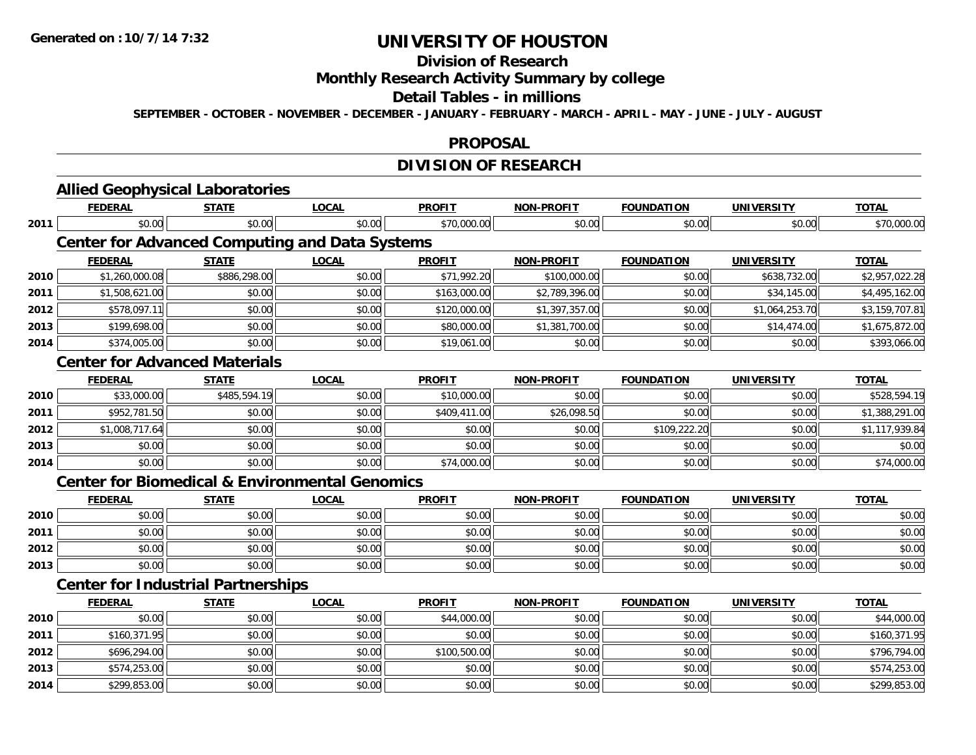#### **Division of Research**

# **Monthly Research Activity Summary by college**

#### **Detail Tables - in millions**

**SEPTEMBER - OCTOBER - NOVEMBER - DECEMBER - JANUARY - FEBRUARY - MARCH - APRIL - MAY - JUNE - JULY - AUGUST**

#### **PROPOSAL**

# **DIVISION OF RESEARCH**

|      |                | <b>Allied Geophysical Laboratories</b>    |                                                           |               |                   |                   |                   |                |
|------|----------------|-------------------------------------------|-----------------------------------------------------------|---------------|-------------------|-------------------|-------------------|----------------|
|      | <b>FEDERAL</b> | <b>STATE</b>                              | <b>LOCAL</b>                                              | <b>PROFIT</b> | <b>NON-PROFIT</b> | <b>FOUNDATION</b> | <b>UNIVERSITY</b> | <b>TOTAL</b>   |
| 2011 | \$0.00         | \$0.00                                    | \$0.00                                                    | \$70,000.00   | \$0.00            | \$0.00            | \$0.00            | \$70,000.00    |
|      |                |                                           | <b>Center for Advanced Computing and Data Systems</b>     |               |                   |                   |                   |                |
|      | <b>FEDERAL</b> | <b>STATE</b>                              | <b>LOCAL</b>                                              | <b>PROFIT</b> | <b>NON-PROFIT</b> | <b>FOUNDATION</b> | <b>UNIVERSITY</b> | <b>TOTAL</b>   |
| 2010 | \$1,260,000.08 | \$886,298.00                              | \$0.00                                                    | \$71,992.20   | \$100,000.00      | \$0.00            | \$638,732.00      | \$2,957,022.28 |
| 2011 | \$1,508,621.00 | \$0.00                                    | \$0.00                                                    | \$163,000.00  | \$2,789,396.00    | \$0.00            | \$34,145.00       | \$4,495,162.00 |
| 2012 | \$578,097.11   | \$0.00                                    | \$0.00                                                    | \$120,000.00  | \$1,397,357.00    | \$0.00            | \$1,064,253.70    | \$3,159,707.81 |
| 2013 | \$199,698.00   | \$0.00                                    | \$0.00                                                    | \$80,000.00   | \$1,381,700.00    | \$0.00            | \$14,474.00       | \$1,675,872.00 |
| 2014 | \$374,005.00   | \$0.00                                    | \$0.00                                                    | \$19,061.00   | \$0.00            | \$0.00            | \$0.00            | \$393,066.00   |
|      |                | <b>Center for Advanced Materials</b>      |                                                           |               |                   |                   |                   |                |
|      | <b>FEDERAL</b> | <b>STATE</b>                              | <b>LOCAL</b>                                              | <b>PROFIT</b> | <b>NON-PROFIT</b> | <b>FOUNDATION</b> | <b>UNIVERSITY</b> | <b>TOTAL</b>   |
| 2010 | \$33,000.00    | \$485,594.19                              | \$0.00                                                    | \$10,000.00   | \$0.00            | \$0.00            | \$0.00            | \$528,594.19   |
| 2011 | \$952,781.50   | \$0.00                                    | \$0.00                                                    | \$409,411.00  | \$26,098.50       | \$0.00            | \$0.00            | \$1,388,291.00 |
| 2012 | \$1,008,717.64 | \$0.00                                    | \$0.00                                                    | \$0.00        | \$0.00            | \$109,222.20      | \$0.00            | \$1,117,939.84 |
| 2013 | \$0.00         | \$0.00                                    | \$0.00                                                    | \$0.00        | \$0.00            | \$0.00            | \$0.00            | \$0.00         |
| 2014 | \$0.00         | \$0.00                                    | \$0.00                                                    | \$74,000.00   | \$0.00            | \$0.00            | \$0.00            | \$74,000.00    |
|      |                |                                           | <b>Center for Biomedical &amp; Environmental Genomics</b> |               |                   |                   |                   |                |
|      | <b>FEDERAL</b> | <b>STATE</b>                              | <b>LOCAL</b>                                              | <b>PROFIT</b> | NON-PROFIT        | <b>FOUNDATION</b> | <b>UNIVERSITY</b> | <b>TOTAL</b>   |
| 2010 | \$0.00         | \$0.00                                    | \$0.00                                                    | \$0.00        | \$0.00            | \$0.00            | \$0.00            | \$0.00         |
| 2011 | \$0.00         | \$0.00                                    | \$0.00                                                    | \$0.00        | \$0.00            | \$0.00            | \$0.00            | \$0.00         |
| 2012 | \$0.00         | \$0.00                                    | \$0.00                                                    | \$0.00        | \$0.00            | \$0.00            | \$0.00            | \$0.00         |
| 2013 | \$0.00         | \$0.00                                    | \$0.00                                                    | \$0.00        | \$0.00            | \$0.00            | \$0.00            | \$0.00         |
|      |                | <b>Center for Industrial Partnerships</b> |                                                           |               |                   |                   |                   |                |
|      | <b>FEDERAL</b> | <b>STATE</b>                              | <b>LOCAL</b>                                              | <b>PROFIT</b> | <b>NON-PROFIT</b> | <b>FOUNDATION</b> | <b>UNIVERSITY</b> | <b>TOTAL</b>   |
| 2010 | \$0.00         | \$0.00                                    | \$0.00                                                    | \$44,000.00   | \$0.00            | \$0.00            | \$0.00            | \$44,000.00    |
| 2011 | \$160,371.95   | \$0.00                                    | \$0.00                                                    | \$0.00        | \$0.00            | \$0.00            | \$0.00            | \$160,371.95   |
| 2012 | \$696,294.00   | \$0.00                                    | \$0.00                                                    | \$100,500.00  | \$0.00            | \$0.00            | \$0.00            | \$796,794.00   |
| 2013 | \$574,253.00   | \$0.00                                    | \$0.00                                                    | \$0.00        | \$0.00            | \$0.00            | \$0.00            | \$574,253.00   |
| 2014 | \$299,853.00   | \$0.00                                    | \$0.00                                                    | \$0.00        | \$0.00            | \$0.00            | \$0.00            | \$299,853.00   |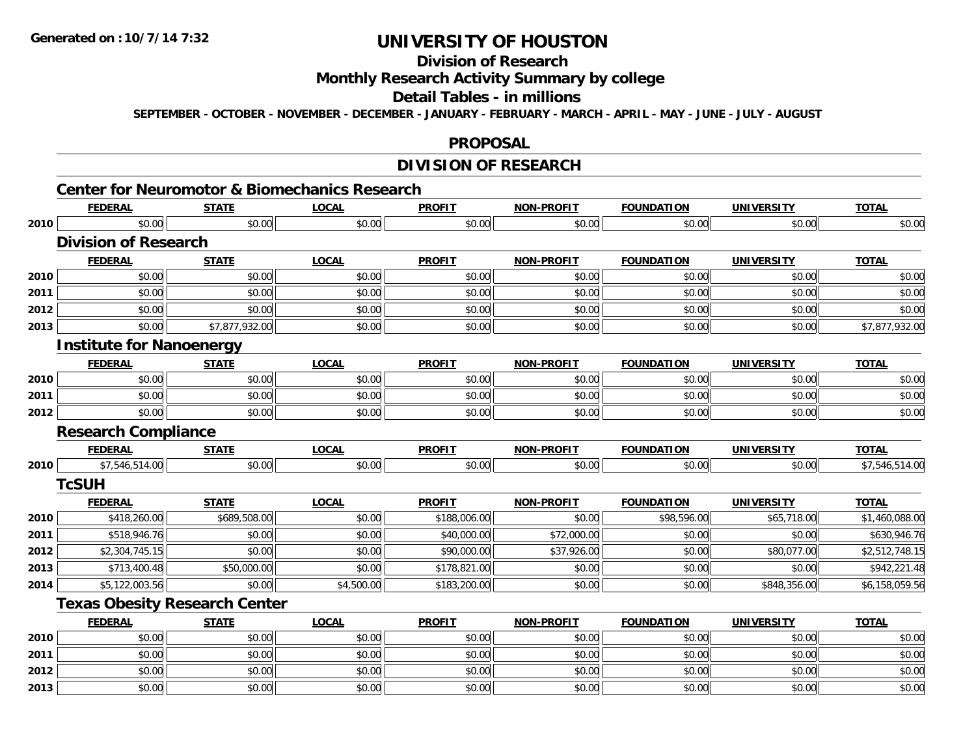**2011**

**2012**

**2013**

# **UNIVERSITY OF HOUSTON**

# **Division of Research**

### **Monthly Research Activity Summary by college**

### **Detail Tables - in millions**

**SEPTEMBER - OCTOBER - NOVEMBER - DECEMBER - JANUARY - FEBRUARY - MARCH - APRIL - MAY - JUNE - JULY - AUGUST**

#### **PROPOSAL**

### **DIVISION OF RESEARCH**

# **Center for Neuromotor & Biomechanics Research**

|      | <b>FEDERAL</b>                  | <b>STATE</b>                         | <b>LOCAL</b> | <b>PROFIT</b> | <b>NON-PROFIT</b> | <b>FOUNDATION</b> | <b>UNIVERSITY</b> | <b>TOTAL</b>   |
|------|---------------------------------|--------------------------------------|--------------|---------------|-------------------|-------------------|-------------------|----------------|
| 2010 | \$0.00                          | \$0.00                               | \$0.00       | \$0.00        | \$0.00            | \$0.00            | \$0.00            | \$0.00         |
|      | <b>Division of Research</b>     |                                      |              |               |                   |                   |                   |                |
|      | <b>FEDERAL</b>                  | <b>STATE</b>                         | <b>LOCAL</b> | <b>PROFIT</b> | <b>NON-PROFIT</b> | <b>FOUNDATION</b> | <b>UNIVERSITY</b> | <b>TOTAL</b>   |
| 2010 | \$0.00                          | \$0.00                               | \$0.00       | \$0.00        | \$0.00            | \$0.00            | \$0.00            | \$0.00         |
| 2011 | \$0.00                          | \$0.00                               | \$0.00       | \$0.00        | \$0.00            | \$0.00            | \$0.00            | \$0.00         |
| 2012 | \$0.00                          | \$0.00                               | \$0.00       | \$0.00        | \$0.00            | \$0.00            | \$0.00            | \$0.00         |
| 2013 | \$0.00                          | \$7,877,932.00                       | \$0.00       | \$0.00        | \$0.00            | \$0.00            | \$0.00            | \$7,877,932.00 |
|      | <b>Institute for Nanoenergy</b> |                                      |              |               |                   |                   |                   |                |
|      | <b>FEDERAL</b>                  | <b>STATE</b>                         | <b>LOCAL</b> | <b>PROFIT</b> | <b>NON-PROFIT</b> | <b>FOUNDATION</b> | <b>UNIVERSITY</b> | <b>TOTAL</b>   |
| 2010 | \$0.00                          | \$0.00                               | \$0.00       | \$0.00        | \$0.00            | \$0.00            | \$0.00            | \$0.00         |
| 2011 | \$0.00                          | \$0.00                               | \$0.00       | \$0.00        | \$0.00            | \$0.00            | \$0.00            | \$0.00         |
| 2012 | \$0.00                          | \$0.00                               | \$0.00       | \$0.00        | \$0.00            | \$0.00            | \$0.00            | \$0.00         |
|      | <b>Research Compliance</b>      |                                      |              |               |                   |                   |                   |                |
|      | <b>FEDERAL</b>                  | <b>STATE</b>                         | <b>LOCAL</b> | <b>PROFIT</b> | <b>NON-PROFIT</b> | <b>FOUNDATION</b> | <b>UNIVERSITY</b> | <b>TOTAL</b>   |
| 2010 | \$7,546,514.00                  | \$0.00                               | \$0.00       | \$0.00        | \$0.00            | \$0.00            | \$0.00            | \$7,546,514.00 |
|      | <b>TcSUH</b>                    |                                      |              |               |                   |                   |                   |                |
|      | <b>FEDERAL</b>                  | <b>STATE</b>                         | <b>LOCAL</b> | <b>PROFIT</b> | <b>NON-PROFIT</b> | <b>FOUNDATION</b> | <b>UNIVERSITY</b> | <b>TOTAL</b>   |
| 2010 | \$418,260.00                    | \$689,508.00                         | \$0.00       | \$188,006.00  | \$0.00            | \$98,596.00       | \$65,718.00       | \$1,460,088.00 |
| 2011 | \$518,946.76                    | \$0.00                               | \$0.00       | \$40,000.00   | \$72,000.00       | \$0.00            | \$0.00            | \$630,946.76   |
| 2012 | \$2,304,745.15                  | \$0.00                               | \$0.00       | \$90,000.00   | \$37,926.00       | \$0.00            | \$80,077.00       | \$2,512,748.15 |
| 2013 | \$713,400.48                    | \$50,000.00                          | \$0.00       | \$178,821.00  | \$0.00            | \$0.00            | \$0.00            | \$942,221.48   |
| 2014 | \$5,122,003.56                  | \$0.00                               | \$4,500.00   | \$183,200.00  | \$0.00            | \$0.00            | \$848,356.00      | \$6,158,059.56 |
|      |                                 | <b>Texas Obesity Research Center</b> |              |               |                   |                   |                   |                |
|      | <b>FEDERAL</b>                  | <b>STATE</b>                         | <b>LOCAL</b> | <b>PROFIT</b> | <b>NON-PROFIT</b> | <b>FOUNDATION</b> | <b>UNIVERSITY</b> | <b>TOTAL</b>   |
| 2010 | \$0.00                          | \$0.00                               | \$0.00       | \$0.00        | \$0.00            | \$0.00            | \$0.00            | \$0.00         |

\$0.00 \$0.00 \$0.00 \$0.00 \$0.00 \$0.00 \$0.00 \$0.00

2 | \$0.00 \$0.00 \$0.00 \$0.00 \$0.00 \$0.00 \$0.00 \$0.00 \$0.00 \$0.00 \$0.00 \$0.00 \$0.00 \$0.00 \$0.00 \$0.00 \$0.00 \$0.0

 $\textbf{3} \quad \textbf{\textcolor{blue}{\textbf{50.00}}} \quad \textbf{\textcolor{blue}{\textbf{50.00}}} \quad \textbf{\textcolor{blue}{\textbf{50.00}}} \quad \textbf{\textcolor{blue}{\textbf{50.00}}} \quad \textbf{\textcolor{blue}{\textbf{50.00}}} \quad \textbf{\textcolor{blue}{\textbf{50.00}}} \quad \textbf{\textcolor{blue}{\textbf{50.00}}} \quad \textbf{\textcolor{blue}{\textbf{50.00}}} \quad \textbf{\textcolor{blue}{\textbf{50.00}}} \quad \textbf{\textcolor{blue}{\textbf{50.00}}} \quad \text$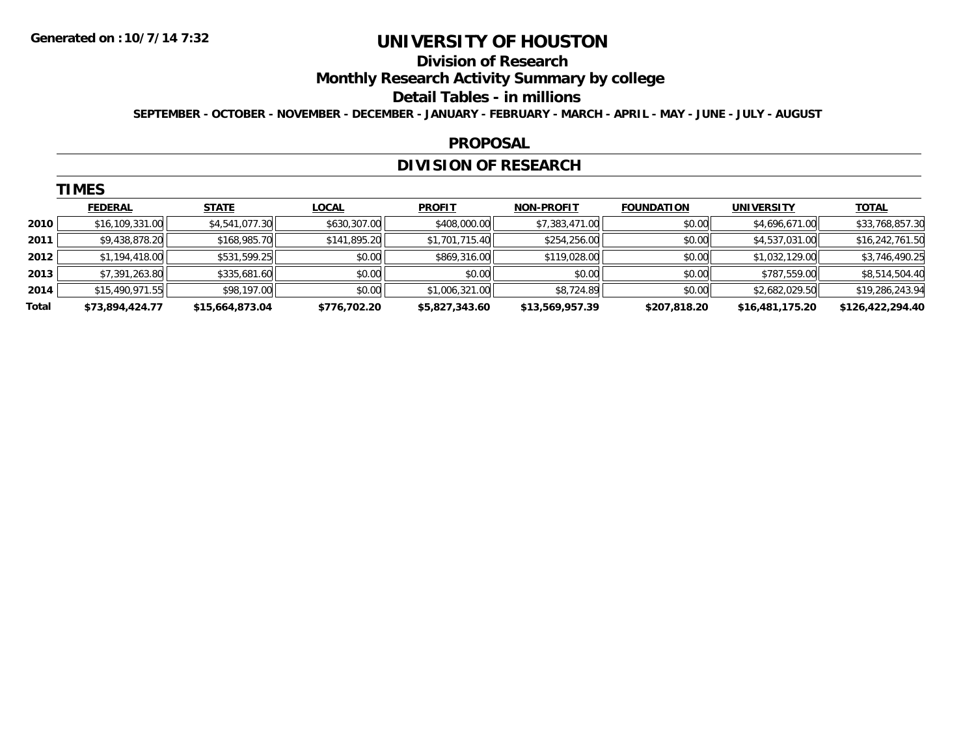**TIMES** 

# **UNIVERSITY OF HOUSTON**

#### **Division of Research**

**Monthly Research Activity Summary by college**

#### **Detail Tables - in millions**

**SEPTEMBER - OCTOBER - NOVEMBER - DECEMBER - JANUARY - FEBRUARY - MARCH - APRIL - MAY - JUNE - JULY - AUGUST**

#### **PROPOSAL**

### **DIVISION OF RESEARCH**

|       | <b>IMES</b>     |                 |              |                |                   |                   |                   |                  |
|-------|-----------------|-----------------|--------------|----------------|-------------------|-------------------|-------------------|------------------|
|       | <b>FEDERAL</b>  | <b>STATE</b>    | <b>LOCAL</b> | <b>PROFIT</b>  | <b>NON-PROFIT</b> | <b>FOUNDATION</b> | <b>UNIVERSITY</b> | <b>TOTAL</b>     |
| 2010  | \$16,109,331.00 | \$4,541,077.30  | \$630,307.00 | \$408,000.00   | \$7,383,471.00    | \$0.00            | \$4,696,671.00    | \$33,768,857.30  |
| 2011  | \$9,438,878.20  | \$168,985.70    | \$141,895.20 | \$1,701,715.40 | \$254,256.00      | \$0.00            | \$4,537,031.00    | \$16,242,761.50  |
| 2012  | \$1,194,418.00  | \$531,599.25    | \$0.00       | \$869,316.00   | \$119,028.00      | \$0.00            | \$1,032,129.00    | \$3,746,490.25   |
| 2013  | \$7,391,263.80  | \$335,681.60    | \$0.00       | \$0.00         | \$0.00            | \$0.00            | \$787,559.00      | \$8,514,504.40   |
| 2014  | \$15,490,971.55 | \$98,197.00     | \$0.00       | \$1,006,321.00 | \$8,724.89        | \$0.00            | \$2,682,029.50    | \$19,286,243.94  |
| Total | \$73,894,424.77 | \$15,664,873.04 | \$776,702.20 | \$5,827,343.60 | \$13,569,957.39   | \$207,818.20      | \$16,481,175.20   | \$126,422,294.40 |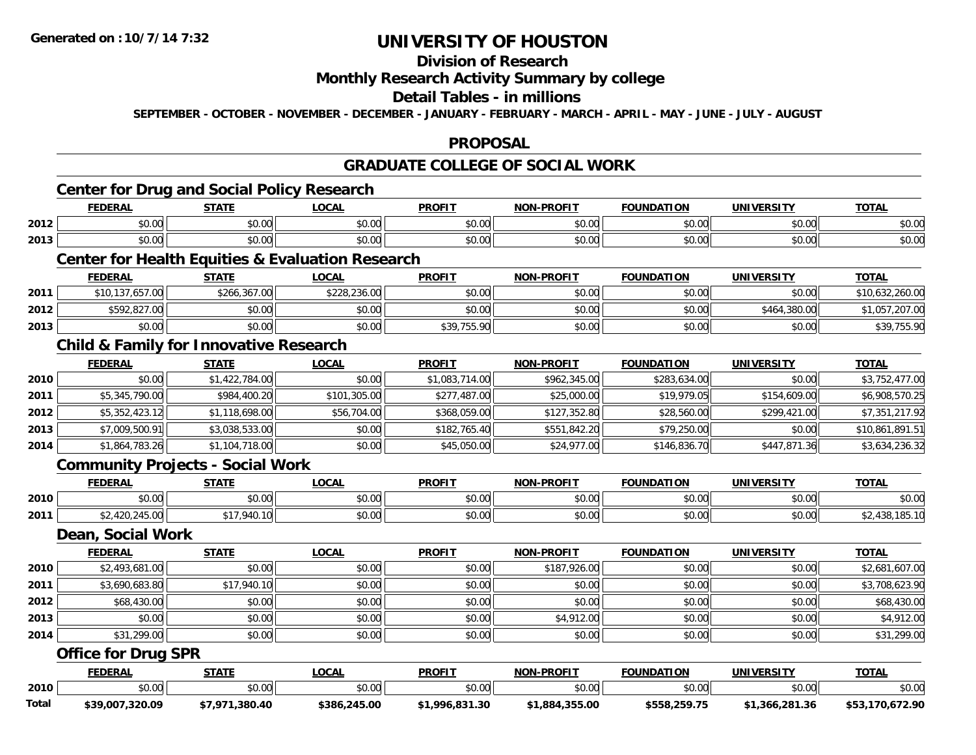# **Division of Research**

#### **Monthly Research Activity Summary by college**

### **Detail Tables - in millions**

**SEPTEMBER - OCTOBER - NOVEMBER - DECEMBER - JANUARY - FEBRUARY - MARCH - APRIL - MAY - JUNE - JULY - AUGUST**

### **PROPOSAL**

# **GRADUATE COLLEGE OF SOCIAL WORK**

# **Center for Drug and Social Policy Research**

|      | <b>FEDERAL</b>                                              | <b>STATE</b> | <b>LOCAL</b> | <b>PROFIT</b> | <b>NON-PROFIT</b> | <b>FOUNDATION</b> | UNIVERSITY | <b>TOTAL</b> |  |
|------|-------------------------------------------------------------|--------------|--------------|---------------|-------------------|-------------------|------------|--------------|--|
| 2012 | \$0.00                                                      | \$0.00       | \$0.00       | \$0.00        | \$0.00            | \$0.00            | \$0.00     | \$0.00       |  |
| 2013 | \$0.00                                                      | \$0.00       | \$0.00       | \$0.00        | \$0.00            | \$0.00            | \$0.00 l   | \$0.00       |  |
|      | <b>Center for Health Equities &amp; Evaluation Research</b> |              |              |               |                   |                   |            |              |  |

#### **FEDERAL STATE LOCAL PROFIT NON-PROFIT FOUNDATION UNIVERSITY TOTALTOTAL 2011** $\texttt{1} \parallel \texttt{1} \parallel \texttt{37,657.00} \parallel \texttt{3266,367.00} \parallel \texttt{4228,236.00} \parallel \texttt{50.00} \parallel \texttt{50.00} \parallel \texttt{50.00} \parallel \texttt{50.00} \parallel \texttt{50.00} \parallel \texttt{50.00} \parallel \texttt{50.00} \parallel \texttt{50.00} \parallel \texttt{50.00} \parallel \texttt{50.00} \parallel \texttt{50.00} \parallel \texttt{50.00} \parallel \texttt{50.00$ **2012** \$592,827.00 \$0.00 \$0.00 \$0.00 \$0.00 \$0.00 \$464,380.00 \$1,057,207.00 **2013**3 | \$0.00 \$0.00 \$0.00 \$0.00 \$0.00 \$0.00 \$0.00 \$39,755.90 \$0.00 \$0.00 \$0.00 \$0.00 \$0.00 \$0.00 \$39,755.90

#### **Child & Family for Innovative Research**

|      | <b>FEDERAL</b> | <b>STATE</b>   | <b>LOCAL</b> | <b>PROFIT</b>  | <b>NON-PROFIT</b> | <b>FOUNDATION</b> | <b>UNIVERSITY</b> | <b>TOTAL</b>    |
|------|----------------|----------------|--------------|----------------|-------------------|-------------------|-------------------|-----------------|
| 2010 | \$0.00         | \$1,422,784.00 | \$0.00       | \$1,083,714.00 | \$962,345.00      | \$283,634.00      | \$0.00            | \$3,752,477.00  |
| 2011 | \$5,345,790.00 | \$984,400.20   | \$101,305.00 | \$277,487.00   | \$25,000.00       | \$19,979.05       | \$154,609.00      | \$6,908,570.25  |
| 2012 | \$5,352,423.12 | \$1,118,698.00 | \$56,704.00  | \$368,059.00   | \$127,352.80      | \$28,560.00       | \$299,421.00      | \$7,351,217.92  |
| 2013 | \$7,009,500.91 | \$3,038,533.00 | \$0.00       | \$182,765.40   | \$551,842.20      | \$79,250.00       | \$0.00            | \$10,861,891.51 |
| 2014 | \$1,864,783.26 | \$1,104,718.00 | \$0.00       | \$45,050.00    | \$24,977.00       | \$146,836.70      | \$447,871.36      | \$3,634,236.32  |

### **Community Projects - Social Work**

|      | <b>FEDERAL</b> | <b>STATL</b>          | .OCAI              | <b>PROFIT</b> | <b>M-PROFIT</b><br>.   | <b>FOUNDATION</b> | JNIV          | <b>TOTAL</b> |
|------|----------------|-----------------------|--------------------|---------------|------------------------|-------------------|---------------|--------------|
| 2010 | 0000<br>וט.טי  | ሖ へ<br>$\sim$<br>ט. ט | ሶስ ስስ<br>PU.UU     | 0.00<br>JU.UU | $\sim$ $\sim$<br>vu.vu | \$0.00            | 0000<br>PO.OO | \$0.00       |
| 2011 | $\sim$         | 940.<br>---           | $\sim$ 00<br>PU.UU | \$0.00        | vv.vv                  | \$0.00            | \$0.00        |              |

#### **Dean, Social Work**

|      | <b>FEDERAL</b> | <b>STATE</b> | <u>LOCAL</u> | <b>PROFIT</b> | <b>NON-PROFIT</b> | <b>FOUNDATION</b> | <b>UNIVERSITY</b> | <b>TOTAL</b>   |
|------|----------------|--------------|--------------|---------------|-------------------|-------------------|-------------------|----------------|
| 2010 | \$2,493,681.00 | \$0.00       | \$0.00       | \$0.00        | \$187,926.00      | \$0.00            | \$0.00            | \$2,681,607.00 |
| 2011 | \$3,690,683.80 | \$17,940.10  | \$0.00       | \$0.00        | \$0.00            | \$0.00            | \$0.00            | \$3,708,623.90 |
| 2012 | \$68,430.00    | \$0.00       | \$0.00       | \$0.00        | \$0.00            | \$0.00            | \$0.00            | \$68,430.00    |
| 2013 | \$0.00         | \$0.00       | \$0.00       | \$0.00        | \$4,912.00        | \$0.00            | \$0.00            | \$4,912.00     |
| 2014 | \$31,299.00    | \$0.00       | \$0.00       | \$0.00        | \$0.00            | \$0.00            | \$0.00            | \$31,299.00    |

#### **Office for Drug SPR**

|       | <b>FEDERAL</b>  | <b>STATE</b>     | _OCAL        | <b>PROFIT</b>   | <b>M-PROFIT</b><br>NON | <b>FOUNDATION</b>                                  | UNIVERSITY     | TOTA.               |
|-------|-----------------|------------------|--------------|-----------------|------------------------|----------------------------------------------------|----------------|---------------------|
| 2010  | \$0.00          | \$0.00           | \$0.00       | \$0.00          | \$0.00                 | $\mathfrak{c}\cap\mathfrak{c}\cap$<br><b>JU.UU</b> | \$0.00         | \$0.00              |
| Total | \$39,007,320.09 | 47.07<br>.380.40 | \$386,245.00 | 96.831.30<br>റാ | \$1,884,355.00         | <b>¢558 950 75</b>                                 | \$1,366,281,36 | 170.672.90<br>\$53. |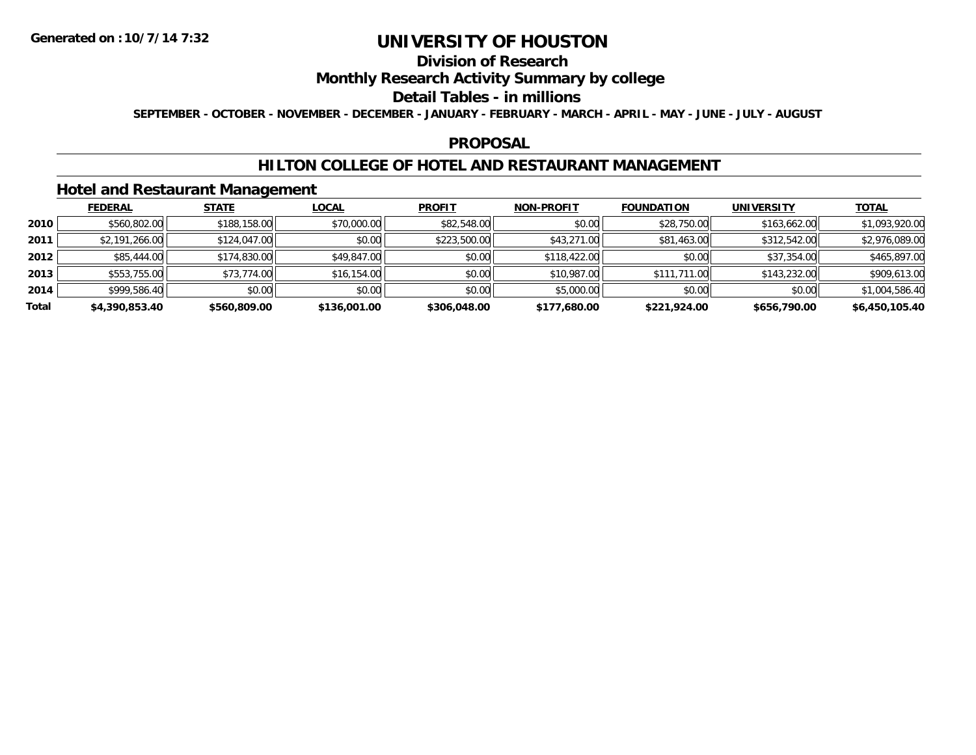# **Division of Research**

### **Monthly Research Activity Summary by college**

#### **Detail Tables - in millions**

**SEPTEMBER - OCTOBER - NOVEMBER - DECEMBER - JANUARY - FEBRUARY - MARCH - APRIL - MAY - JUNE - JULY - AUGUST**

#### **PROPOSAL**

### **HILTON COLLEGE OF HOTEL AND RESTAURANT MANAGEMENT**

### **Hotel and Restaurant Management**

|       | <b>FEDERAL</b> | <b>STATE</b> | <u>LOCAL</u> | <b>PROFIT</b> | <b>NON-PROFIT</b> | <b>FOUNDATION</b> | <b>UNIVERSITY</b> | <b>TOTAL</b>   |
|-------|----------------|--------------|--------------|---------------|-------------------|-------------------|-------------------|----------------|
| 2010  | \$560,802.00   | \$188,158.00 | \$70,000.00  | \$82,548.00   | \$0.00            | \$28,750.00       | \$163,662.00      | \$1,093,920.00 |
| 2011  | \$2,191,266.00 | \$124,047.00 | \$0.00       | \$223,500.00  | \$43,271.00       | \$81,463.00       | \$312,542.00      | \$2,976,089.00 |
| 2012  | \$85,444.00    | \$174,830.00 | \$49,847.00  | \$0.00        | \$118,422.00      | \$0.00            | \$37,354.00       | \$465,897.00   |
| 2013  | \$553,755.00   | \$73,774.00  | \$16,154.00  | \$0.00        | \$10,987.00       | \$111,711.00      | \$143,232.00      | \$909,613.00   |
| 2014  | \$999,586.40   | \$0.00       | \$0.00       | \$0.00        | \$5,000.00        | \$0.00            | \$0.00            | \$1,004,586.40 |
| Total | \$4,390,853.40 | \$560,809.00 | \$136,001.00 | \$306,048.00  | \$177,680.00      | \$221,924.00      | \$656,790.00      | \$6,450,105.40 |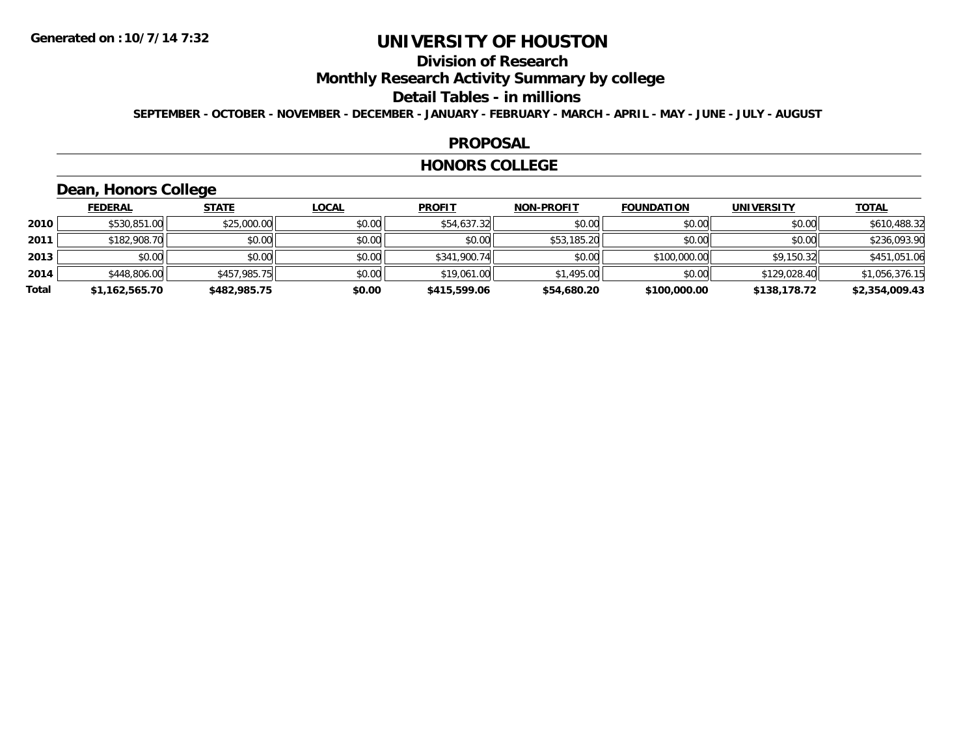# **Division of Research**

**Monthly Research Activity Summary by college**

#### **Detail Tables - in millions**

**SEPTEMBER - OCTOBER - NOVEMBER - DECEMBER - JANUARY - FEBRUARY - MARCH - APRIL - MAY - JUNE - JULY - AUGUST**

#### **PROPOSAL**

#### **HONORS COLLEGE**

# **Dean, Honors College**

|       | <b>FEDERAL</b> | <b>STATE</b> | <b>LOCAL</b> | <b>PROFIT</b> | <b>NON-PROFIT</b> | <b>FOUNDATION</b> | <b>UNIVERSITY</b> | <b>TOTAL</b>   |
|-------|----------------|--------------|--------------|---------------|-------------------|-------------------|-------------------|----------------|
| 2010  | \$530,851.00   | \$25,000.00  | \$0.00       | \$54,637.32   | \$0.00            | \$0.00            | \$0.00            | \$610,488.32   |
| 2011  | \$182,908.70   | \$0.00       | \$0.00       | \$0.00        | \$53,185.20       | \$0.00            | \$0.00            | \$236,093.90   |
| 2013  | \$0.00         | \$0.00       | \$0.00       | \$341,900.74  | \$0.00            | \$100,000.00      | \$9.150.32        | \$451,051.06   |
| 2014  | \$448,806.00   | \$457,985.75 | \$0.00       | \$19,061.00   | \$1,495.00        | \$0.00            | \$129,028.40      | \$1,056,376.15 |
| Total | \$1,162,565.70 | \$482,985.75 | \$0.00       | \$415,599.06  | \$54,680.20       | \$100,000.00      | \$138,178.72      | \$2,354,009.43 |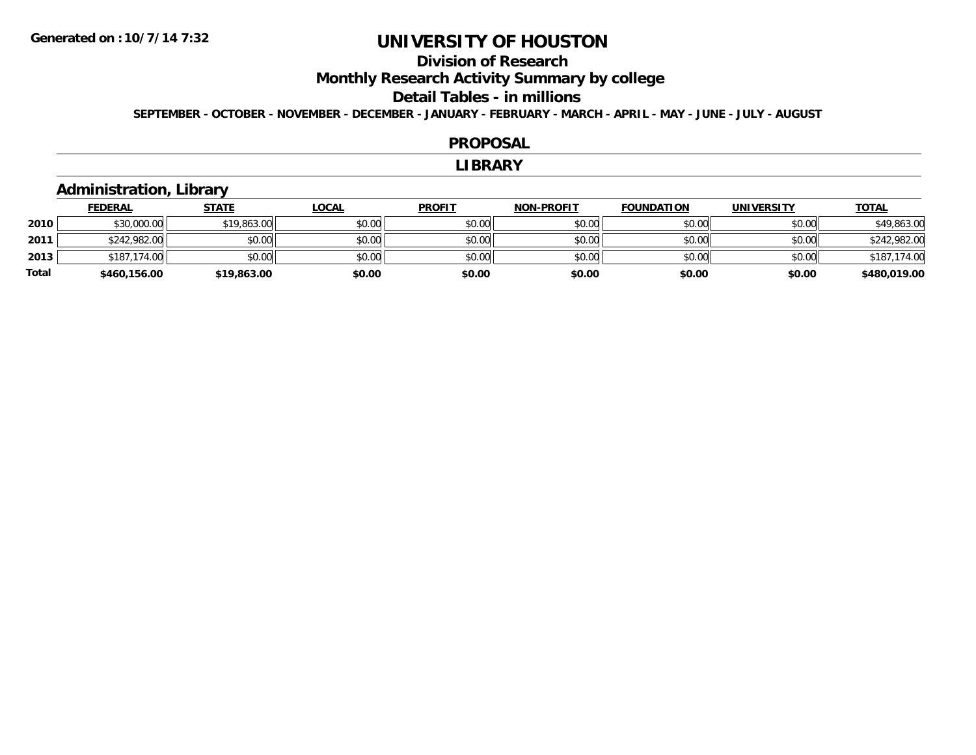# **Division of Research**

**Monthly Research Activity Summary by college**

#### **Detail Tables - in millions**

**SEPTEMBER - OCTOBER - NOVEMBER - DECEMBER - JANUARY - FEBRUARY - MARCH - APRIL - MAY - JUNE - JULY - AUGUST**

#### **PROPOSAL**

#### **LIBRARY**

### **Administration, Library**

|              | <b>FEDERAL</b> | <b>STATE</b> | <u>LOCAL</u> | <b>PROFIT</b> | <b>NON-PROFIT</b> | <b>FOUNDATION</b> | <b>UNIVERSITY</b> | <b>TOTAL</b> |
|--------------|----------------|--------------|--------------|---------------|-------------------|-------------------|-------------------|--------------|
| 2010         | \$30,000.00    | \$19,863.00  | \$0.00       | \$0.00        | \$0.00            | \$0.00            | \$0.00            | \$49,863.00  |
| 2011         | \$242,982.00   | \$0.00       | \$0.00       | \$0.00        | \$0.00            | \$0.00            | \$0.00            | \$242,982.00 |
| 2013         | \$187,174.00   | \$0.00       | \$0.00       | \$0.00        | \$0.00            | \$0.00            | \$0.00            | \$187,174.00 |
| <b>Total</b> | \$460,156.00   | \$19,863.00  | \$0.00       | \$0.00        | \$0.00            | \$0.00            | \$0.00            | \$480,019.00 |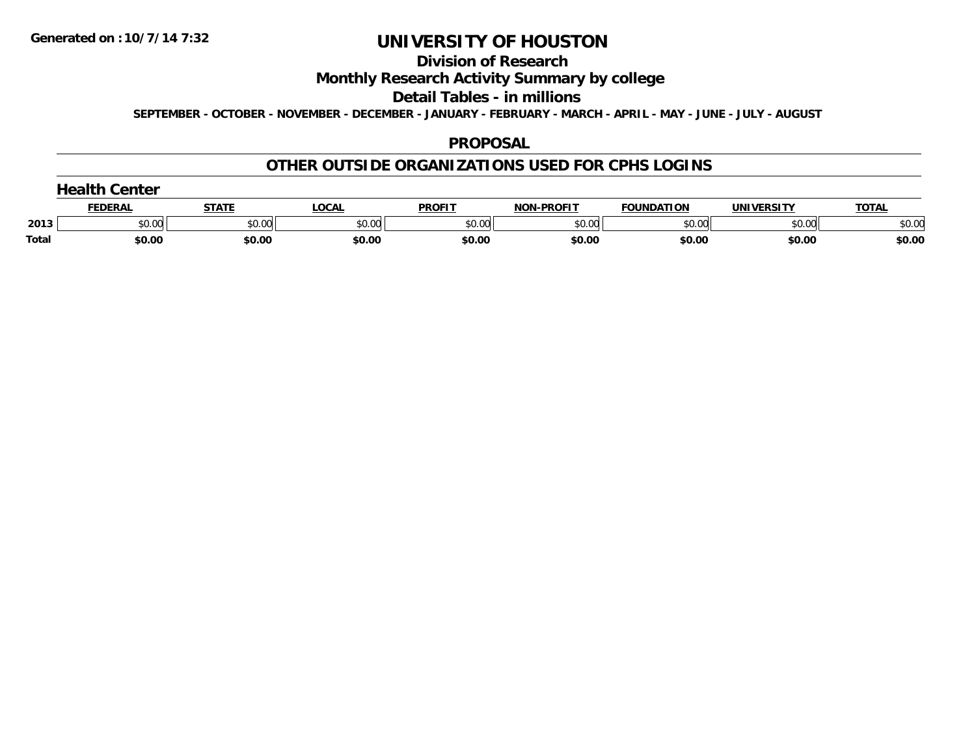#### **Division of Research**

### **Monthly Research Activity Summary by college**

#### **Detail Tables - in millions**

**SEPTEMBER - OCTOBER - NOVEMBER - DECEMBER - JANUARY - FEBRUARY - MARCH - APRIL - MAY - JUNE - JULY - AUGUST**

#### **PROPOSAL**

### **OTHER OUTSIDE ORGANIZATIONS USED FOR CPHS LOGINS**

|       | <b>FEDERA.</b> | <b>CTATE</b><br>$\overline{\phantom{a}}$ | 000<br>.                     | <b>PROFIT</b>                        | -DDAFIT<br><b>NON</b> | <b>DATION</b> | HNI.               | ΤΩΤΑ   |
|-------|----------------|------------------------------------------|------------------------------|--------------------------------------|-----------------------|---------------|--------------------|--------|
| 2013  | ተሰ ሰሰ<br>JU.UU | 0000<br>טט.טט                            | $n \cap \overline{a}$<br>,uu | $\uparrow$ $\wedge$ $\wedge$<br>∪.∪∪ | $n \cap$<br>וטט.טש    | 0000<br>u.uu  | $\sim$ 00<br>וטטוע | \$0.00 |
| Total | \$0.00         | \$0.00                                   | \$0.00                       | \$0.00                               | \$0.00                | \$0.00        | \$0.00             | \$0.00 |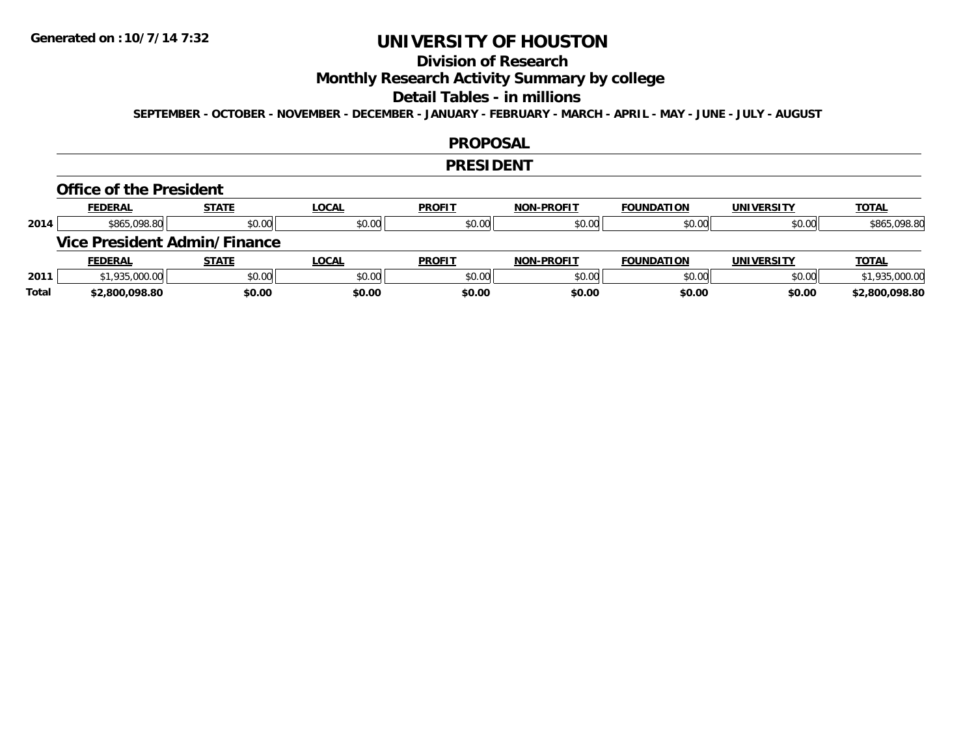# **Division of Research**

### **Monthly Research Activity Summary by college**

#### **Detail Tables - in millions**

**SEPTEMBER - OCTOBER - NOVEMBER - DECEMBER - JANUARY - FEBRUARY - MARCH - APRIL - MAY - JUNE - JULY - AUGUST**

#### **PROPOSAL**

#### **PRESIDENT**

#### **Office of the President**

|      | <b>FEDERAL</b> | <b>STATE</b>                        | <u>LOCAL</u> | <b>PROFIT</b> | <b>NON-PROFIT</b> | <b>FOUNDATION</b> | <b>UNIVERSITY</b> | <b>TOTAL</b>   |
|------|----------------|-------------------------------------|--------------|---------------|-------------------|-------------------|-------------------|----------------|
| 2014 | \$865,098.80   | \$0.00                              | \$0.00       | \$0.00        | \$0.00            | \$0.00            | \$0.00            | \$865,098.80   |
|      |                | <b>Vice President Admin/Finance</b> |              |               |                   |                   |                   |                |
|      |                |                                     |              |               |                   |                   |                   |                |
|      | <b>FEDERAL</b> | <u>STATE</u>                        | <u>LOCAL</u> | <b>PROFIT</b> | <b>NON-PROFIT</b> | <b>FOUNDATION</b> | <b>UNIVERSITY</b> | <b>TOTAL</b>   |
| 2011 | \$1,935,000.00 | \$0.00                              | \$0.00       | \$0.00        | \$0.00            | \$0.00            | \$0.00            | \$1,935,000.00 |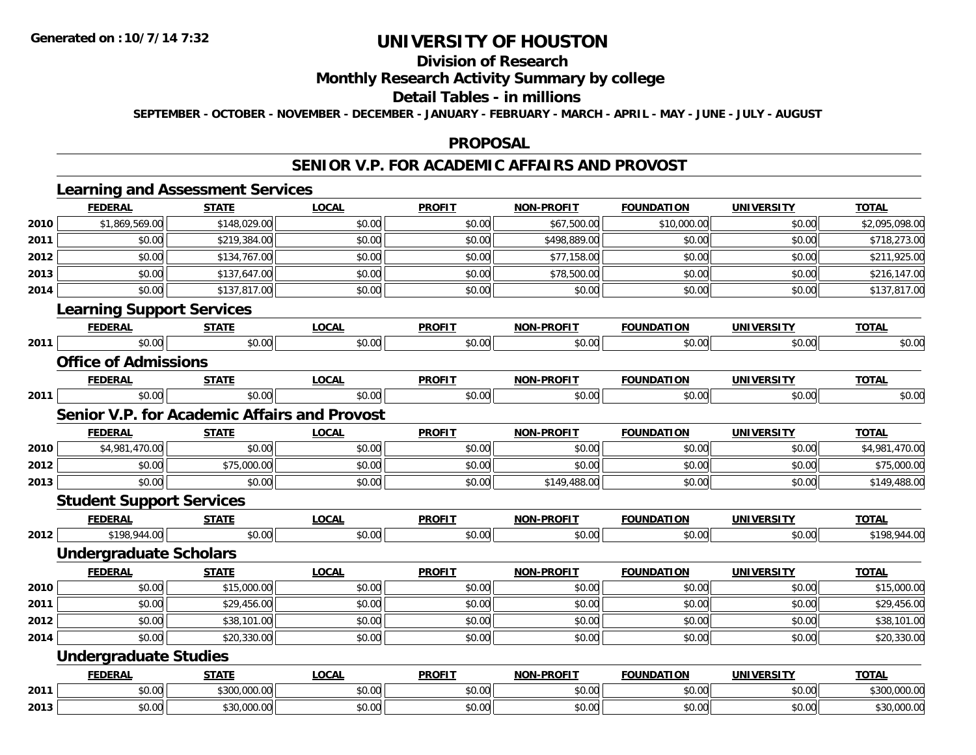# **Division of Research**

### **Monthly Research Activity Summary by college**

#### **Detail Tables - in millions**

**SEPTEMBER - OCTOBER - NOVEMBER - DECEMBER - JANUARY - FEBRUARY - MARCH - APRIL - MAY - JUNE - JULY - AUGUST**

#### **PROPOSAL**

#### **SENIOR V.P. FOR ACADEMIC AFFAIRS AND PROVOST**

|      |                                  | <b>Learning and Assessment Services</b>             |              |               |                   |                   |                   |                |
|------|----------------------------------|-----------------------------------------------------|--------------|---------------|-------------------|-------------------|-------------------|----------------|
|      | <b>FEDERAL</b>                   | <b>STATE</b>                                        | <b>LOCAL</b> | <b>PROFIT</b> | <b>NON-PROFIT</b> | <b>FOUNDATION</b> | <b>UNIVERSITY</b> | <b>TOTAL</b>   |
| 2010 | \$1,869,569.00                   | \$148,029.00                                        | \$0.00       | \$0.00        | \$67,500.00       | \$10,000.00       | \$0.00            | \$2,095,098.00 |
| 2011 | \$0.00                           | \$219,384.00                                        | \$0.00       | \$0.00        | \$498,889.00      | \$0.00            | \$0.00            | \$718,273.00   |
| 2012 | \$0.00                           | \$134,767.00                                        | \$0.00       | \$0.00        | \$77,158.00       | \$0.00            | \$0.00            | \$211,925.00   |
| 2013 | \$0.00                           | \$137,647.00                                        | \$0.00       | \$0.00        | \$78,500.00       | \$0.00            | \$0.00            | \$216,147.00   |
| 2014 | \$0.00                           | \$137,817.00                                        | \$0.00       | \$0.00        | \$0.00            | \$0.00            | \$0.00            | \$137,817.00   |
|      | <b>Learning Support Services</b> |                                                     |              |               |                   |                   |                   |                |
|      | <b>FEDERAL</b>                   | <b>STATE</b>                                        | <b>LOCAL</b> | <b>PROFIT</b> | <b>NON-PROFIT</b> | <b>FOUNDATION</b> | <b>UNIVERSITY</b> | <b>TOTAL</b>   |
| 2011 | \$0.00                           | \$0.00                                              | \$0.00       | \$0.00        | \$0.00            | \$0.00            | \$0.00            | \$0.00         |
|      | <b>Office of Admissions</b>      |                                                     |              |               |                   |                   |                   |                |
|      | <b>FEDERAL</b>                   | <b>STATE</b>                                        | <b>LOCAL</b> | <b>PROFIT</b> | <b>NON-PROFIT</b> | <b>FOUNDATION</b> | <b>UNIVERSITY</b> | <b>TOTAL</b>   |
| 2011 | \$0.00                           | \$0.00                                              | \$0.00       | \$0.00        | \$0.00            | \$0.00            | \$0.00            | \$0.00         |
|      |                                  | <b>Senior V.P. for Academic Affairs and Provost</b> |              |               |                   |                   |                   |                |
|      | <b>FEDERAL</b>                   | <b>STATE</b>                                        | <b>LOCAL</b> | <b>PROFIT</b> | <b>NON-PROFIT</b> | <b>FOUNDATION</b> | <b>UNIVERSITY</b> | TOTAL          |
| 2010 | \$4,981,470.00                   | \$0.00                                              | \$0.00       | \$0.00        | \$0.00            | \$0.00            | \$0.00            | \$4,981,470.00 |
| 2012 | \$0.00                           | \$75,000.00                                         | \$0.00       | \$0.00        | \$0.00            | \$0.00            | \$0.00            | \$75,000.00    |
| 2013 | \$0.00                           | \$0.00                                              | \$0.00       | \$0.00        | \$149,488.00      | \$0.00            | \$0.00            | \$149,488.00   |
|      | <b>Student Support Services</b>  |                                                     |              |               |                   |                   |                   |                |
|      | <b>FEDERAL</b>                   | <b>STATE</b>                                        | <b>LOCAL</b> | <b>PROFIT</b> | <b>NON-PROFIT</b> | <b>FOUNDATION</b> | <b>UNIVERSITY</b> | <b>TOTAL</b>   |
| 2012 | \$198,944.00                     | \$0.00                                              | \$0.00       | \$0.00        | \$0.00            | \$0.00            | \$0.00            | \$198,944.00   |
|      | <b>Undergraduate Scholars</b>    |                                                     |              |               |                   |                   |                   |                |
|      | <b>FEDERAL</b>                   | <b>STATE</b>                                        | <b>LOCAL</b> | <b>PROFIT</b> | <b>NON-PROFIT</b> | <b>FOUNDATION</b> | <b>UNIVERSITY</b> | <b>TOTAL</b>   |
| 2010 | \$0.00                           | \$15,000.00                                         | \$0.00       | \$0.00        | \$0.00            | \$0.00            | \$0.00            | \$15,000.00    |
| 2011 | \$0.00                           | \$29,456.00                                         | \$0.00       | \$0.00        | \$0.00            | \$0.00            | \$0.00            | \$29,456.00    |
| 2012 | \$0.00                           | \$38,101.00                                         | \$0.00       | \$0.00        | \$0.00            | \$0.00            | \$0.00            | \$38,101.00    |
| 2014 | \$0.00                           | \$20,330.00                                         | \$0.00       | \$0.00        | \$0.00            | \$0.00            | \$0.00            | \$20,330.00    |
|      | <b>Undergraduate Studies</b>     |                                                     |              |               |                   |                   |                   |                |
|      | <b>FEDERAL</b>                   | <b>STATE</b>                                        | <b>LOCAL</b> | <b>PROFIT</b> | <b>NON-PROFIT</b> | <b>FOUNDATION</b> | <b>UNIVERSITY</b> | <b>TOTAL</b>   |
| 2011 | \$0.00                           | \$300,000.00                                        | \$0.00       | \$0.00        | \$0.00            | \$0.00            | \$0.00            | \$300,000.00   |
| 2013 | \$0.00                           | \$30,000.00                                         | \$0.00       | \$0.00        | \$0.00            | \$0.00            | \$0.00            | \$30,000.00    |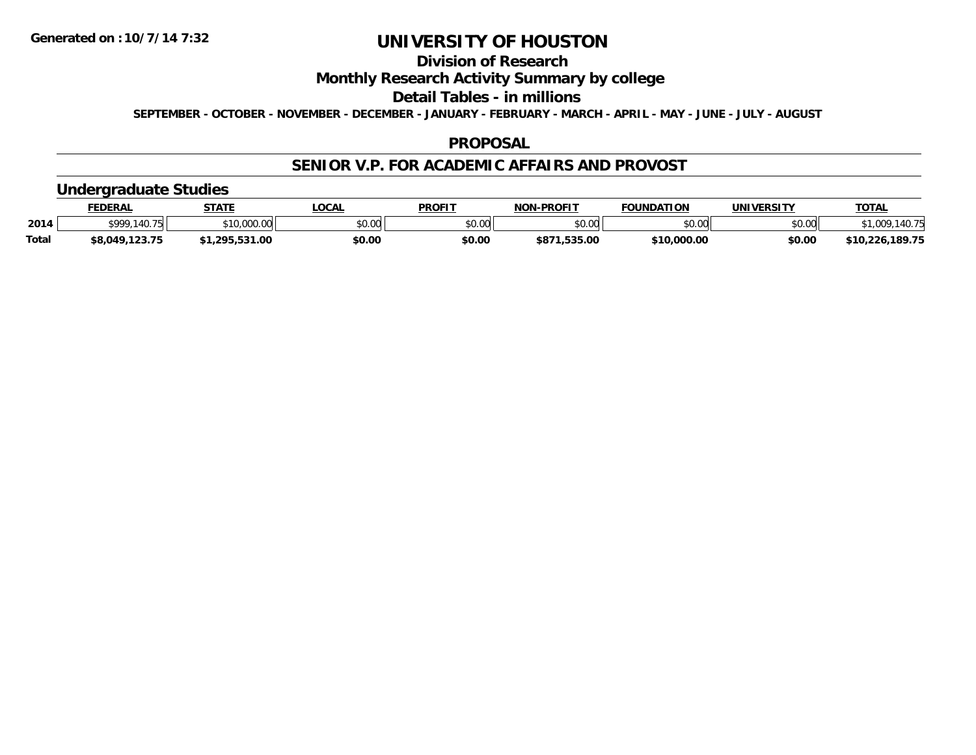# **Division of Research**

### **Monthly Research Activity Summary by college**

#### **Detail Tables - in millions**

**SEPTEMBER - OCTOBER - NOVEMBER - DECEMBER - JANUARY - FEBRUARY - MARCH - APRIL - MAY - JUNE - JULY - AUGUST**

#### **PROPOSAL**

#### **SENIOR V.P. FOR ACADEMIC AFFAIRS AND PROVOST**

#### **Undergraduate Studies**

|              | <b>FEDERAL</b>       | <b>STATE</b>         | <b>LOCAL</b> | <b>PROFIT</b>  | <b>J-PROFIT</b><br>NON | <b>FOUNDATION</b> | UNIVERSITY | <u> ΤΟΤΑ.</u>           |
|--------------|----------------------|----------------------|--------------|----------------|------------------------|-------------------|------------|-------------------------|
| 2014         | <b>cooo</b><br>11075 | 000.6<br>\$10.       | \$0.00       | 40.00<br>PU.UU | \$0.00                 | \$0.00            | \$0.00     | 1077                    |
| <b>Total</b> | ,123.75<br>\$8,049,1 | 531.00<br><b>205</b> | \$0.00       | \$0.00         | \$871<br>.535.00       | \$10,000.00       | \$0.00     | .189.75<br>226.<br>יז י |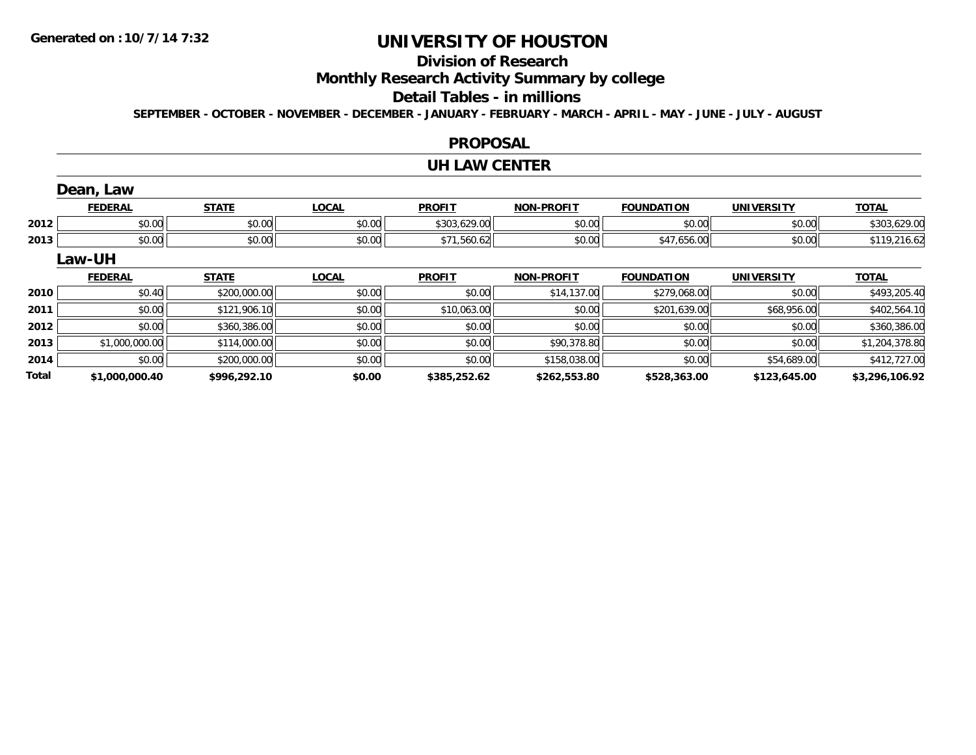**Total**

# **UNIVERSITY OF HOUSTON**

# **Division of Research**

**Monthly Research Activity Summary by college**

#### **Detail Tables - in millions**

**SEPTEMBER - OCTOBER - NOVEMBER - DECEMBER - JANUARY - FEBRUARY - MARCH - APRIL - MAY - JUNE - JULY - AUGUST**

#### **PROPOSAL**

#### **UH LAW CENTER**

|      | Dean, Law      |              |              |               |                   |                   |                   |                |
|------|----------------|--------------|--------------|---------------|-------------------|-------------------|-------------------|----------------|
|      | <b>FEDERAL</b> | <b>STATE</b> | <b>LOCAL</b> | <b>PROFIT</b> | <b>NON-PROFIT</b> | <b>FOUNDATION</b> | <b>UNIVERSITY</b> | <b>TOTAL</b>   |
| 2012 | \$0.00         | \$0.00       | \$0.00       | \$303,629.00  | \$0.00            | \$0.00            | \$0.00            | \$303,629.00   |
| 2013 | \$0.00         | \$0.00       | \$0.00       | \$71,560.62   | \$0.00            | \$47,656.00       | \$0.00            | \$119,216.62   |
|      | Law-UH         |              |              |               |                   |                   |                   |                |
|      | <b>FEDERAL</b> | <b>STATE</b> | <b>LOCAL</b> | <b>PROFIT</b> | <b>NON-PROFIT</b> | <b>FOUNDATION</b> | <b>UNIVERSITY</b> | <b>TOTAL</b>   |
| 2010 | \$0.40         | \$200,000.00 | \$0.00       | \$0.00        | \$14,137.00       | \$279,068.00      | \$0.00            | \$493,205.40   |
| 2011 | \$0.00         | \$121,906.10 | \$0.00       | \$10,063.00   | \$0.00            | \$201,639.00      | \$68,956.00       | \$402,564.10   |
| 2012 | \$0.00         | \$360,386.00 | \$0.00       | \$0.00        | \$0.00            | \$0.00            | \$0.00            | \$360,386.00   |
| 2013 | \$1,000,000.00 | \$114,000.00 | \$0.00       | \$0.00        | \$90,378.80       | \$0.00            | \$0.00            | \$1,204,378.80 |
| 2014 | \$0.00         | \$200,000.00 | \$0.00       | \$0.00        | \$158,038.00      | \$0.00            | \$54,689.00       | \$412,727.00   |

**\$1,000,000.40 \$996,292.10 \$0.00 \$385,252.62 \$262,553.80 \$528,363.00 \$123,645.00 \$3,296,106.92**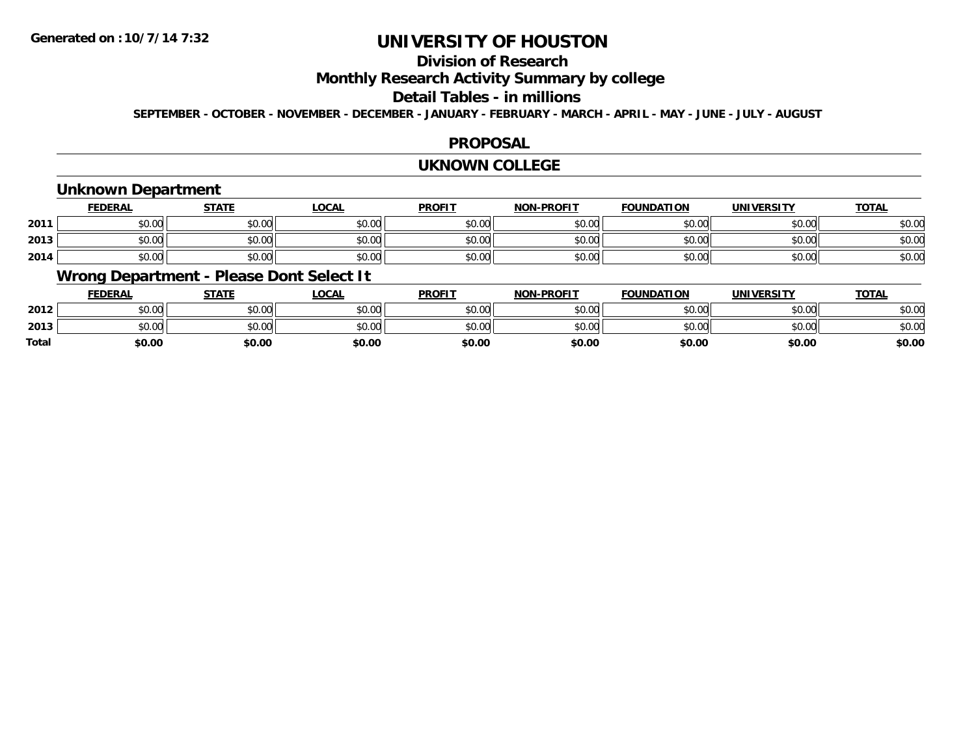# **Division of Research**

### **Monthly Research Activity Summary by college**

#### **Detail Tables - in millions**

**SEPTEMBER - OCTOBER - NOVEMBER - DECEMBER - JANUARY - FEBRUARY - MARCH - APRIL - MAY - JUNE - JULY - AUGUST**

#### **PROPOSAL**

#### **UKNOWN COLLEGE**

### **Unknown Department**

|      | FEDERAL | <b>STATE</b> | <u>LOCAI</u> | <b>PROFIT</b> | <b>NON-PROFIT</b> | <b>FOUNDATION</b> | <b>UNIVERSITY</b> | <b>TOTAL</b> |
|------|---------|--------------|--------------|---------------|-------------------|-------------------|-------------------|--------------|
| 2011 | \$0.00  | \$0.00       | \$0.00       | \$0.00        | ደሰ ሰሰ<br>JU.UU    | \$0.00            | \$0.00            | \$0.00       |
| 2013 | \$0.00  | \$0.00       | \$0.00       | \$0.00        | ku uy<br>ง∪.∪บ    | \$0.00            | \$0.00            | \$0.00       |
| 2014 | \$0.00  | \$0.00       | \$0.00       | \$0.00        | \$0.00            | \$0.00            | \$0.00            | \$0.00       |

### **Wrong Department - Please Dont Select It**

|              | <b>FEDERAL</b> | <b>STATE</b> | <u>LOCAL</u> | <b>PROFIT</b> | <b>NON-PROFIT</b> | <b>FOUNDATION</b> | <b>UNIVERSITY</b> | <b>TOTAL</b> |
|--------------|----------------|--------------|--------------|---------------|-------------------|-------------------|-------------------|--------------|
| 2012         | \$0.00         | \$0.00       | \$0.00       | \$0.00        | \$0.00            | \$0.00            | \$0.00            | \$0.00       |
| 2013         | \$0.00         | \$0.00       | \$0.00       | \$0.00        | \$0.00            | \$0.00            | \$0.00            | \$0.00       |
| <b>Total</b> | \$0.00         | \$0.00       | \$0.00       | \$0.00        | \$0.00            | \$0.00            | \$0.00            | \$0.00       |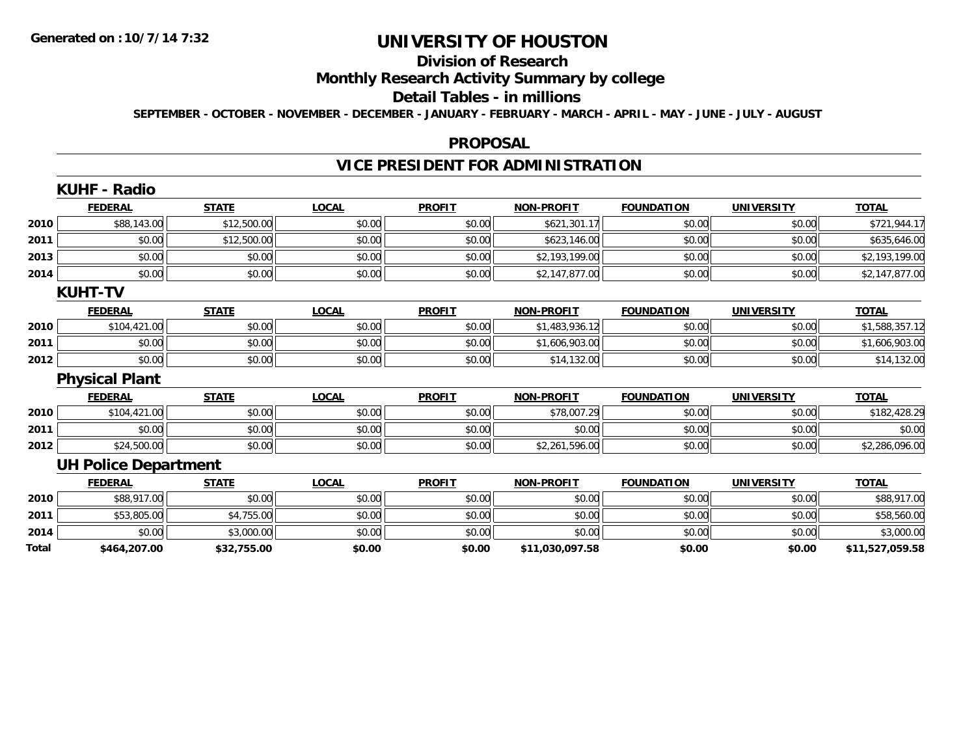# **Division of Research**

### **Monthly Research Activity Summary by college**

#### **Detail Tables - in millions**

**SEPTEMBER - OCTOBER - NOVEMBER - DECEMBER - JANUARY - FEBRUARY - MARCH - APRIL - MAY - JUNE - JULY - AUGUST**

#### **PROPOSAL**

# **VICE PRESIDENT FOR ADMINISTRATION**

|       | <b>KUHF - Radio</b>         |              |              |               |                   |                   |                   |                 |
|-------|-----------------------------|--------------|--------------|---------------|-------------------|-------------------|-------------------|-----------------|
|       | <b>FEDERAL</b>              | <b>STATE</b> | <b>LOCAL</b> | <b>PROFIT</b> | <b>NON-PROFIT</b> | <b>FOUNDATION</b> | <b>UNIVERSITY</b> | <b>TOTAL</b>    |
| 2010  | \$88,143.00                 | \$12,500.00  | \$0.00       | \$0.00        | \$621,301.17      | \$0.00            | \$0.00            | \$721,944.17    |
| 2011  | \$0.00                      | \$12,500.00  | \$0.00       | \$0.00        | \$623,146.00      | \$0.00            | \$0.00            | \$635,646.00    |
| 2013  | \$0.00                      | \$0.00       | \$0.00       | \$0.00        | \$2,193,199.00    | \$0.00            | \$0.00            | \$2,193,199.00  |
| 2014  | \$0.00                      | \$0.00       | \$0.00       | \$0.00        | \$2,147,877.00    | \$0.00            | \$0.00            | \$2,147,877.00  |
|       | <b>KUHT-TV</b>              |              |              |               |                   |                   |                   |                 |
|       | <b>FEDERAL</b>              | <b>STATE</b> | <b>LOCAL</b> | <b>PROFIT</b> | <b>NON-PROFIT</b> | <b>FOUNDATION</b> | <b>UNIVERSITY</b> | <b>TOTAL</b>    |
| 2010  | \$104,421.00                | \$0.00       | \$0.00       | \$0.00        | \$1,483,936.12    | \$0.00            | \$0.00            | \$1,588,357.12  |
| 2011  | \$0.00                      | \$0.00       | \$0.00       | \$0.00        | \$1,606,903.00    | \$0.00            | \$0.00            | \$1,606,903.00  |
| 2012  | \$0.00                      | \$0.00       | \$0.00       | \$0.00        | \$14,132.00       | \$0.00            | \$0.00            | \$14,132.00     |
|       | <b>Physical Plant</b>       |              |              |               |                   |                   |                   |                 |
|       | <b>FEDERAL</b>              | <b>STATE</b> | <b>LOCAL</b> | <b>PROFIT</b> | <b>NON-PROFIT</b> | <b>FOUNDATION</b> | <b>UNIVERSITY</b> | <b>TOTAL</b>    |
| 2010  | \$104,421.00                | \$0.00       | \$0.00       | \$0.00        | \$78,007.29       | \$0.00            | \$0.00            | \$182,428.29    |
| 2011  | \$0.00                      | \$0.00       | \$0.00       | \$0.00        | \$0.00            | \$0.00            | \$0.00            | \$0.00          |
| 2012  | \$24,500.00                 | \$0.00       | \$0.00       | \$0.00        | \$2,261,596.00    | \$0.00            | \$0.00            | \$2,286,096.00  |
|       | <b>UH Police Department</b> |              |              |               |                   |                   |                   |                 |
|       | <b>FEDERAL</b>              | <b>STATE</b> | <b>LOCAL</b> | <b>PROFIT</b> | <b>NON-PROFIT</b> | <b>FOUNDATION</b> | <b>UNIVERSITY</b> | <b>TOTAL</b>    |
| 2010  | \$88,917.00                 | \$0.00       | \$0.00       | \$0.00        | \$0.00            | \$0.00            | \$0.00            | \$88,917.00     |
| 2011  | \$53,805.00                 | \$4,755.00   | \$0.00       | \$0.00        | \$0.00            | \$0.00            | \$0.00            | \$58,560.00     |
| 2014  | \$0.00                      | \$3,000.00   | \$0.00       | \$0.00        | \$0.00            | \$0.00            | \$0.00            | \$3,000.00      |
| Total | \$464,207.00                | \$32,755.00  | \$0.00       | \$0.00        | \$11,030,097.58   | \$0.00            | \$0.00            | \$11,527,059.58 |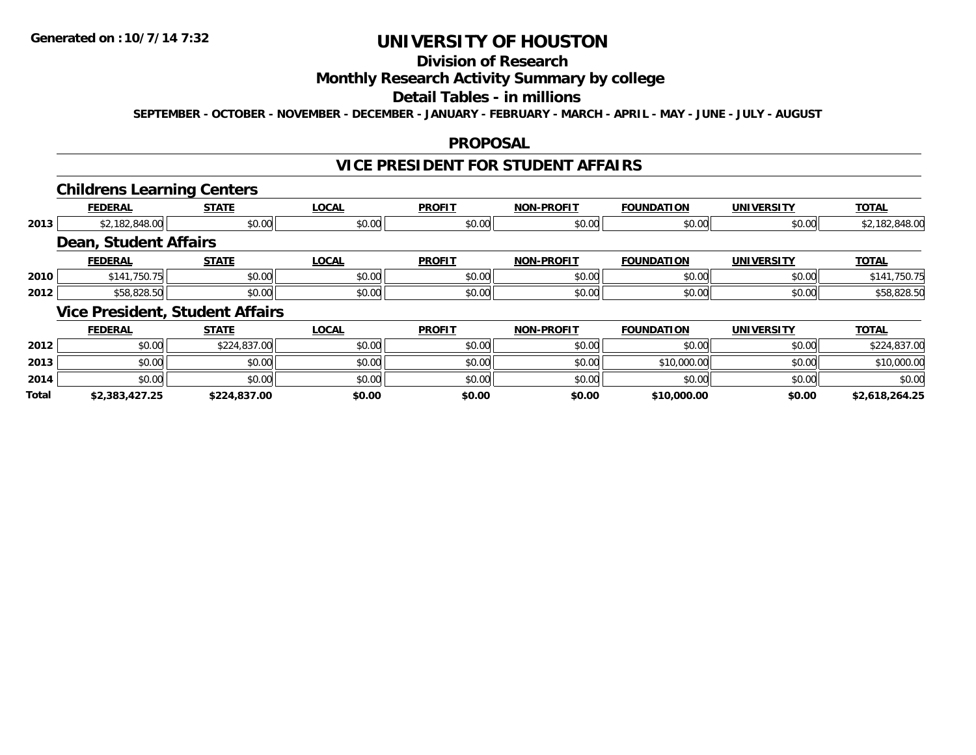**Total**

# **UNIVERSITY OF HOUSTON**

# **Division of Research**

### **Monthly Research Activity Summary by college**

#### **Detail Tables - in millions**

**SEPTEMBER - OCTOBER - NOVEMBER - DECEMBER - JANUARY - FEBRUARY - MARCH - APRIL - MAY - JUNE - JULY - AUGUST**

#### **PROPOSAL**

# **VICE PRESIDENT FOR STUDENT AFFAIRS**

#### **Childrens Learning Centers**

|      |                              | --                                     |              |               |                   |                   |                   |                |
|------|------------------------------|----------------------------------------|--------------|---------------|-------------------|-------------------|-------------------|----------------|
|      | <b>FEDERAL</b>               | <b>STATE</b>                           | <b>LOCAL</b> | <b>PROFIT</b> | <b>NON-PROFIT</b> | <b>FOUNDATION</b> | UNIVERSITY        | <b>TOTAL</b>   |
| 2013 | \$2,182,848.00               | \$0.00                                 | \$0.00       | \$0.00        | \$0.00            | \$0.00            | \$0.00            | \$2,182,848.00 |
|      | <b>Dean, Student Affairs</b> |                                        |              |               |                   |                   |                   |                |
|      | <b>FEDERAL</b>               | <b>STATE</b>                           | <b>LOCAL</b> | <b>PROFIT</b> | <b>NON-PROFIT</b> | <b>FOUNDATION</b> | UNIVERSITY        | <b>TOTAL</b>   |
| 2010 | \$141,750.75                 | \$0.00                                 | \$0.00       | \$0.00        | \$0.00            | \$0.00            | \$0.00            | \$141,750.75   |
| 2012 | \$58,828.50                  | \$0.00                                 | \$0.00       | \$0.00        | \$0.00            | \$0.00            | \$0.00            | \$58,828.50    |
|      |                              | <b>Vice President, Student Affairs</b> |              |               |                   |                   |                   |                |
|      | <b>FEDERAL</b>               | <b>STATE</b>                           | <b>LOCAL</b> | <b>PROFIT</b> | <b>NON-PROFIT</b> | <b>FOUNDATION</b> | <b>UNIVERSITY</b> | <b>TOTAL</b>   |
| 2012 | \$0.00                       | \$224,837.00                           | \$0.00       | \$0.00        | \$0.00            | \$0.00            | \$0.00            | \$224,837.00   |
| 2013 | \$0.00                       | \$0.00                                 | \$0.00       | \$0.00        | \$0.00            | \$10,000.00       | \$0.00            | \$10,000.00    |
| 2014 | \$0.00                       | \$0.00                                 | \$0.00       | \$0.00        | \$0.00            | \$0.00            | \$0.00            | \$0.00         |

**\$2,383,427.25 \$224,837.00 \$0.00 \$0.00 \$0.00 \$10,000.00 \$0.00 \$2,618,264.25**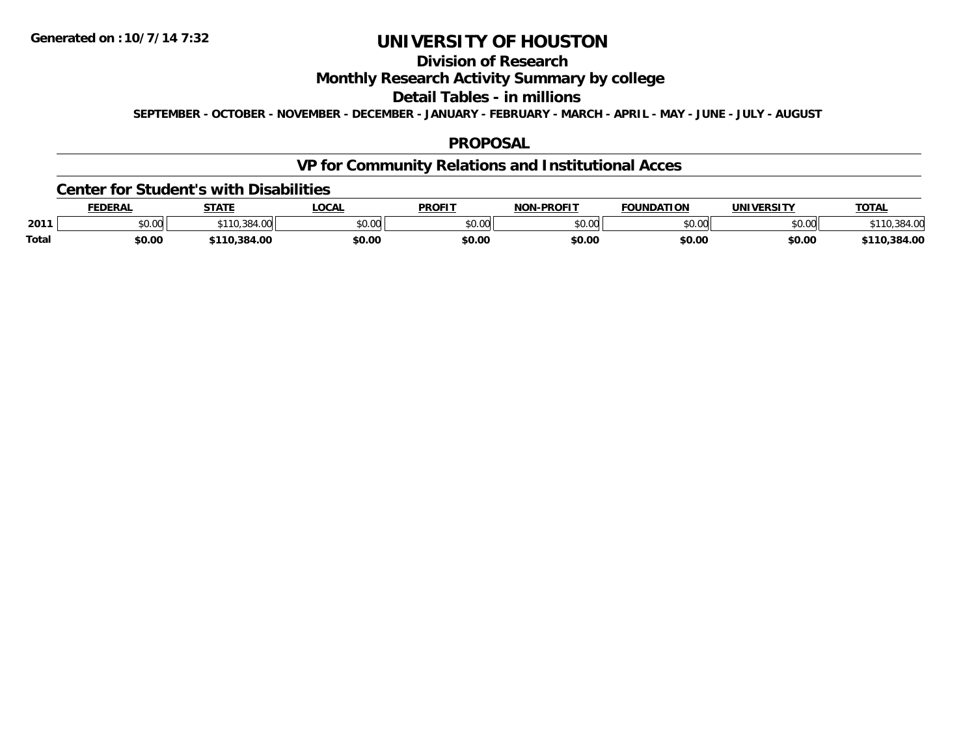# **Division of Research**

### **Monthly Research Activity Summary by college**

#### **Detail Tables - in millions**

**SEPTEMBER - OCTOBER - NOVEMBER - DECEMBER - JANUARY - FEBRUARY - MARCH - APRIL - MAY - JUNE - JULY - AUGUST**

#### **PROPOSAL**

# **VP for Community Relations and Institutional Acces**

#### **Center for Student's with Disabilities**

|              | <b>FEDERAL</b> | <b>STATE</b>         | LOCAI          | <b>PROFIT</b> | -PROFIT<br><b>NON</b> | <b>FOUNDATION</b>  | <b>UNIVERSITY</b> | <b>TOTAL</b> |
|--------------|----------------|----------------------|----------------|---------------|-----------------------|--------------------|-------------------|--------------|
| 2011         | JU.UU          | 384<br>$. \, \cdots$ | ልስ ስስ<br>JU.UU | 0.00<br>ט.טע  | \$0.00                | $\sim$ 00<br>JU.UU | \$0.00            |              |
| <b>Total</b> | \$0.00         | .384.00              | \$0.OC         | \$0.00        | \$0.00                | \$0.00             | \$0.00            | .384.00      |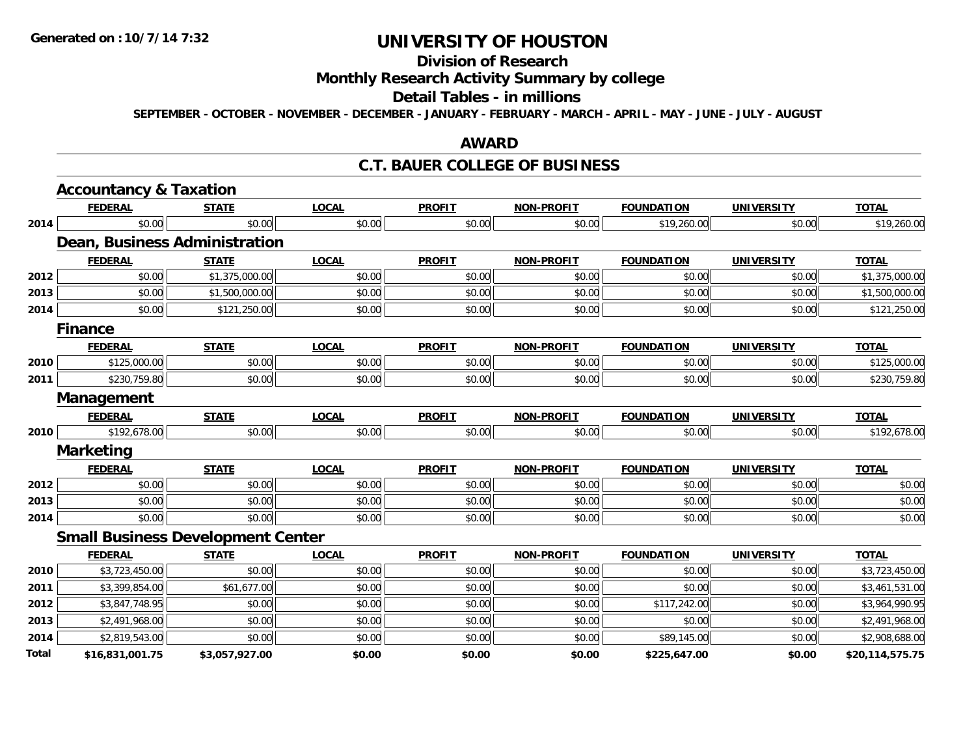# **Division of Research**

# **Monthly Research Activity Summary by college**

#### **Detail Tables - in millions**

**SEPTEMBER - OCTOBER - NOVEMBER - DECEMBER - JANUARY - FEBRUARY - MARCH - APRIL - MAY - JUNE - JULY - AUGUST**

#### **AWARD**

#### **C.T. BAUER COLLEGE OF BUSINESS**

|       | <b>Accountancy &amp; Taxation</b>        |                |              |               |                   |                   |                   |                 |
|-------|------------------------------------------|----------------|--------------|---------------|-------------------|-------------------|-------------------|-----------------|
|       | <b>FEDERAL</b>                           | <b>STATE</b>   | <b>LOCAL</b> | <b>PROFIT</b> | <b>NON-PROFIT</b> | <b>FOUNDATION</b> | <b>UNIVERSITY</b> | <b>TOTAL</b>    |
| 2014  | \$0.00                                   | \$0.00         | \$0.00       | \$0.00        | \$0.00            | \$19,260.00       | \$0.00            | \$19,260.00     |
|       | Dean, Business Administration            |                |              |               |                   |                   |                   |                 |
|       | <b>FEDERAL</b>                           | <b>STATE</b>   | <b>LOCAL</b> | <b>PROFIT</b> | <b>NON-PROFIT</b> | <b>FOUNDATION</b> | <b>UNIVERSITY</b> | <b>TOTAL</b>    |
| 2012  | \$0.00                                   | \$1,375,000.00 | \$0.00       | \$0.00        | \$0.00            | \$0.00            | \$0.00            | \$1,375,000.00  |
| 2013  | \$0.00                                   | \$1,500,000.00 | \$0.00       | \$0.00        | \$0.00            | \$0.00            | \$0.00            | \$1,500,000.00  |
| 2014  | \$0.00                                   | \$121,250.00   | \$0.00       | \$0.00        | \$0.00            | \$0.00            | \$0.00            | \$121,250.00    |
|       | <b>Finance</b>                           |                |              |               |                   |                   |                   |                 |
|       | <b>FEDERAL</b>                           | <b>STATE</b>   | <b>LOCAL</b> | <b>PROFIT</b> | <b>NON-PROFIT</b> | <b>FOUNDATION</b> | <b>UNIVERSITY</b> | <b>TOTAL</b>    |
| 2010  | \$125,000.00                             | \$0.00         | \$0.00       | \$0.00        | \$0.00            | \$0.00            | \$0.00            | \$125,000.00    |
| 2011  | \$230,759.80                             | \$0.00         | \$0.00       | \$0.00        | \$0.00            | \$0.00            | \$0.00            | \$230,759.80    |
|       | Management                               |                |              |               |                   |                   |                   |                 |
|       | <b>FEDERAL</b>                           | <b>STATE</b>   | <b>LOCAL</b> | <b>PROFIT</b> | <b>NON-PROFIT</b> | <b>FOUNDATION</b> | <b>UNIVERSITY</b> | <b>TOTAL</b>    |
| 2010  | \$192,678.00                             | \$0.00         | \$0.00       | \$0.00        | \$0.00            | \$0.00            | \$0.00            | \$192,678.00    |
|       | <b>Marketing</b>                         |                |              |               |                   |                   |                   |                 |
|       | <b>FEDERAL</b>                           | <b>STATE</b>   | <b>LOCAL</b> | <b>PROFIT</b> | <b>NON-PROFIT</b> | <b>FOUNDATION</b> | <b>UNIVERSITY</b> | <b>TOTAL</b>    |
| 2012  | \$0.00                                   | \$0.00         | \$0.00       | \$0.00        | \$0.00            | \$0.00            | \$0.00            | \$0.00          |
| 2013  | \$0.00                                   | \$0.00         | \$0.00       | \$0.00        | \$0.00            | \$0.00            | \$0.00            | \$0.00          |
| 2014  | \$0.00                                   | \$0.00         | \$0.00       | \$0.00        | \$0.00            | \$0.00            | \$0.00            | \$0.00          |
|       | <b>Small Business Development Center</b> |                |              |               |                   |                   |                   |                 |
|       | <b>FEDERAL</b>                           | <b>STATE</b>   | <b>LOCAL</b> | <b>PROFIT</b> | <b>NON-PROFIT</b> | <b>FOUNDATION</b> | <b>UNIVERSITY</b> | <b>TOTAL</b>    |
| 2010  | \$3,723,450.00                           | \$0.00         | \$0.00       | \$0.00        | \$0.00            | \$0.00            | \$0.00            | \$3,723,450.00  |
| 2011  | \$3,399,854.00                           | \$61,677.00    | \$0.00       | \$0.00        | \$0.00            | \$0.00            | \$0.00            | \$3,461,531.00  |
| 2012  | \$3,847,748.95                           | \$0.00         | \$0.00       | \$0.00        | \$0.00            | \$117,242.00      | \$0.00            | \$3,964,990.95  |
| 2013  | \$2,491,968.00                           | \$0.00         | \$0.00       | \$0.00        | \$0.00            | \$0.00            | \$0.00            | \$2,491,968.00  |
| 2014  | \$2,819,543.00                           | \$0.00         | \$0.00       | \$0.00        | \$0.00            | \$89,145.00       | \$0.00            | \$2,908,688.00  |
| Total | \$16,831,001.75                          | \$3,057,927.00 | \$0.00       | \$0.00        | \$0.00            | \$225,647.00      | \$0.00            | \$20,114,575.75 |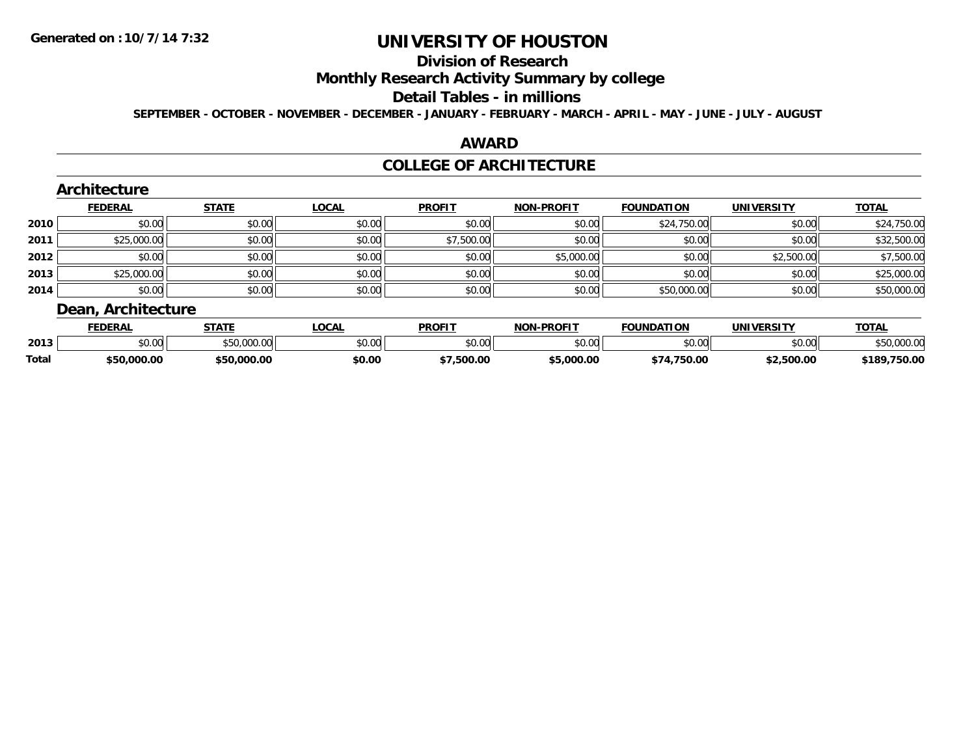# **Division of Research**

# **Monthly Research Activity Summary by college**

#### **Detail Tables - in millions**

**SEPTEMBER - OCTOBER - NOVEMBER - DECEMBER - JANUARY - FEBRUARY - MARCH - APRIL - MAY - JUNE - JULY - AUGUST**

### **AWARD**

#### **COLLEGE OF ARCHITECTURE**

|      | <b>FEDERAL</b> | <b>STATE</b> | <b>LOCAL</b> | <b>PROFIT</b> | <b>NON-PROFIT</b> | <b>FOUNDATION</b> | <b>UNIVERSITY</b> | <b>TOTAL</b> |
|------|----------------|--------------|--------------|---------------|-------------------|-------------------|-------------------|--------------|
| 2010 | \$0.00         | \$0.00       | \$0.00       | \$0.00        | \$0.00            | \$24,750.00       | \$0.00            | \$24,750.00  |
| 2011 | \$25,000.00    | \$0.00       | \$0.00       | \$7,500.00    | \$0.00            | \$0.00            | \$0.00            | \$32,500.00  |
| 2012 | \$0.00         | \$0.00       | \$0.00       | \$0.00        | \$5,000.00        | \$0.00            | \$2,500.00        | \$7,500.00   |
| 2013 | \$25,000.00    | \$0.00       | \$0.00       | \$0.00        | \$0.00            | \$0.00            | \$0.00            | \$25,000.00  |
| 2014 | \$0.00         | \$0.00       | \$0.00       | \$0.00        | \$0.00            | \$50,000.00       | \$0.00            | \$50,000.00  |

|       | <b>FEDERAI</b> | <b>STATE</b> | _OCAL                                         | <b>PROFIT</b> | <b>DDAFIT</b><br>លកា | <b>FOUNDATION</b> | UNIVERSITY | <b>TOTAL</b>          |
|-------|----------------|--------------|-----------------------------------------------|---------------|----------------------|-------------------|------------|-----------------------|
| 2013  | 50.00<br>JU.UU |              | $\uparrow$ $\uparrow$ $\uparrow$<br>- 50.00 L | \$0.00        | $\sim$ 00<br>טט.טע   | ልስ ሰሰ             | \$0.00     | 00000                 |
| Total | \$50.000.00    | nnr          | \$0.00                                        | .500.00       | .000.00              | $\sim$            | \$2.500.00 | 750.QQ<br>:18<br>ov.u |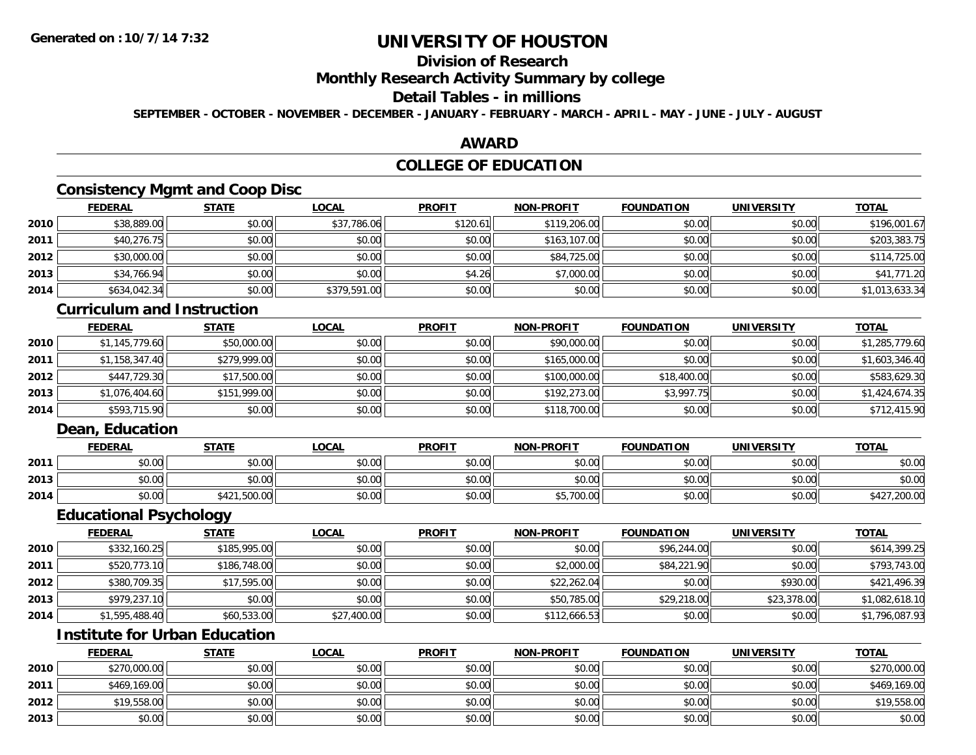# **Division of Research**

#### **Monthly Research Activity Summary by college**

#### **Detail Tables - in millions**

**SEPTEMBER - OCTOBER - NOVEMBER - DECEMBER - JANUARY - FEBRUARY - MARCH - APRIL - MAY - JUNE - JULY - AUGUST**

### **AWARD**

# **COLLEGE OF EDUCATION**

# **Consistency Mgmt and Coop Disc**

|      | <b>FEDERAL</b> | <b>STATE</b> | <u>LOCAL</u> | <b>PROFIT</b> | <b>NON-PROFIT</b> | <b>FOUNDATION</b> | <b>UNIVERSITY</b> | <b>TOTAL</b>   |
|------|----------------|--------------|--------------|---------------|-------------------|-------------------|-------------------|----------------|
| 2010 | \$38,889.00    | \$0.00       | \$37,786.06  | \$120.61      | \$119,206.00      | \$0.00            | \$0.00            | \$196,001.67   |
| 2011 | \$40,276.75    | \$0.00       | \$0.00       | \$0.00        | \$163,107.00      | \$0.00            | \$0.00            | \$203,383.75   |
| 2012 | \$30,000.00    | \$0.00       | \$0.00       | \$0.00        | \$84,725.00       | \$0.00            | \$0.00            | \$114,725.00   |
| 2013 | \$34,766.94    | \$0.00       | \$0.00       | \$4.26        | \$7,000.00        | \$0.00            | \$0.00            | \$41,771.20    |
| 2014 | \$634,042.34   | \$0.00       | \$379,591.00 | \$0.00        | \$0.00            | \$0.00            | \$0.00            | \$1,013,633.34 |

### **Curriculum and Instruction**

|      | <b>FEDERAL</b> | <b>STATE</b> | <b>LOCAL</b> | <b>PROFIT</b> | <b>NON-PROFIT</b> | <b>FOUNDATION</b> | <b>UNIVERSITY</b> | <b>TOTAL</b>   |
|------|----------------|--------------|--------------|---------------|-------------------|-------------------|-------------------|----------------|
| 2010 | \$1,145,779.60 | \$50,000.00  | \$0.00       | \$0.00        | \$90,000.00       | \$0.00            | \$0.00            | \$1,285,779.60 |
| 2011 | \$1,158,347.40 | \$279,999.00 | \$0.00       | \$0.00        | \$165,000.00      | \$0.00            | \$0.00            | \$1,603,346.40 |
| 2012 | \$447,729.30   | \$17,500.00  | \$0.00       | \$0.00        | \$100,000.00      | \$18,400.00       | \$0.00            | \$583,629.30   |
| 2013 | \$1,076,404.60 | \$151,999.00 | \$0.00       | \$0.00        | \$192,273.00      | \$3,997.75        | \$0.00            | \$1,424,674.35 |
| 2014 | \$593,715.90   | \$0.00       | \$0.00       | \$0.00        | \$118,700.00      | \$0.00            | \$0.00            | \$712,415.90   |

### **Dean, Education**

|      | <u>FEDERAL</u> | <b>STATE</b> | <u>LOCAL</u> | <b>PROFIT</b> | <b>NON-PROFIT</b> | <b>FOUNDATION</b> | UNIVERSITY | <u>TOTAL</u>     |
|------|----------------|--------------|--------------|---------------|-------------------|-------------------|------------|------------------|
| 2011 | \$0.00         | \$0.00       | \$0.00       | \$0.00        | \$0.00            | \$0.00            | \$0.00     | \$0.00           |
| 2013 | \$0.00         | \$0.00       | \$0.00       | \$0.00        | \$0.00            | \$0.00            | \$0.00     | \$0.00           |
| 2014 | \$0.00         | \$421,500.00 | \$0.00       | \$0.00        | \$5,700.00        | \$0.00            | \$0.00     | ,200.00<br>ተ ላ ግ |

### **Educational Psychology**

|      | <b>FEDERAL</b> | <u>STATE</u> | <u>LOCAL</u> | <b>PROFIT</b> | <b>NON-PROFIT</b> | <b>FOUNDATION</b> | <b>UNIVERSITY</b> | <b>TOTAL</b>   |
|------|----------------|--------------|--------------|---------------|-------------------|-------------------|-------------------|----------------|
| 2010 | \$332,160.25   | \$185,995.00 | \$0.00       | \$0.00        | \$0.00            | \$96,244.00       | \$0.00            | \$614,399.25   |
| 2011 | \$520,773.10   | \$186,748.00 | \$0.00       | \$0.00        | \$2,000.00        | \$84,221.90       | \$0.00            | \$793,743.00   |
| 2012 | \$380,709.35   | \$17,595.00  | \$0.00       | \$0.00        | \$22,262.04       | \$0.00            | \$930.00          | \$421,496.39   |
| 2013 | \$979,237.10   | \$0.00       | \$0.00       | \$0.00        | \$50,785.00       | \$29,218.00       | \$23,378.00       | \$1,082,618.10 |
| 2014 | \$1,595,488.40 | \$60,533.00  | \$27,400.00  | \$0.00        | \$112,666.53      | \$0.00            | \$0.00            | \$1,796,087.93 |

# **Institute for Urban Education**

|      | <b>FEDERAL</b> | <u>STATE</u> | <u>LOCAL</u> | <b>PROFIT</b> | <b>NON-PROFIT</b> | <b>FOUNDATION</b> | <b>UNIVERSITY</b> | <b>TOTAL</b> |
|------|----------------|--------------|--------------|---------------|-------------------|-------------------|-------------------|--------------|
| 2010 | \$270,000.00   | \$0.00       | \$0.00       | \$0.00        | \$0.00            | \$0.00            | \$0.00            | \$270,000.00 |
| 2011 | \$469,169.00   | \$0.00       | \$0.00       | \$0.00        | \$0.00            | \$0.00            | \$0.00            | \$469,169.00 |
| 2012 | \$19,558.00    | \$0.00       | \$0.00       | \$0.00        | \$0.00            | \$0.00            | \$0.00            | \$19,558.00  |
| 2013 | \$0.00         | \$0.00       | \$0.00       | \$0.00        | \$0.00            | \$0.00            | \$0.00            | \$0.00       |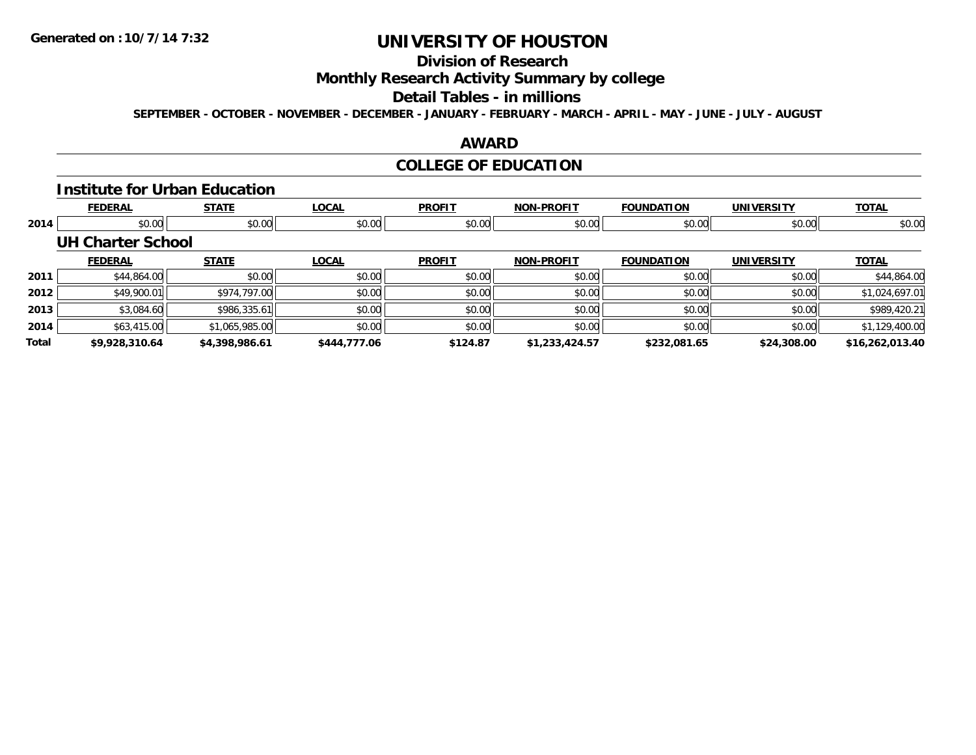# **Division of Research**

**Monthly Research Activity Summary by college**

#### **Detail Tables - in millions**

**SEPTEMBER - OCTOBER - NOVEMBER - DECEMBER - JANUARY - FEBRUARY - MARCH - APRIL - MAY - JUNE - JULY - AUGUST**

### **AWARD**

## **COLLEGE OF EDUCATION**

#### **Institute for Urban Education**

|       | <b>FEDERAL</b>           | <b>STATE</b>   | <b>LOCAL</b> | <b>PROFIT</b> | <b>NON-PROFIT</b> | <b>FOUNDATION</b> | <b>UNIVERSITY</b> | <b>TOTAL</b>    |
|-------|--------------------------|----------------|--------------|---------------|-------------------|-------------------|-------------------|-----------------|
| 2014  | \$0.00                   | \$0.00         | \$0.00       | \$0.00        | \$0.00            | \$0.00            | \$0.00            | \$0.00          |
|       | <b>UH Charter School</b> |                |              |               |                   |                   |                   |                 |
|       | <b>FEDERAL</b>           | <b>STATE</b>   | <b>LOCAL</b> | <b>PROFIT</b> | <b>NON-PROFIT</b> | <b>FOUNDATION</b> | <b>UNIVERSITY</b> | <b>TOTAL</b>    |
| 2011  | \$44,864.00              | \$0.00         | \$0.00       | \$0.00        | \$0.00            | \$0.00            | \$0.00            | \$44,864.00     |
| 2012  | \$49,900.01              | \$974,797.00   | \$0.00       | \$0.00        | \$0.00            | \$0.00            | \$0.00            | \$1,024,697.01  |
| 2013  | \$3,084.60               | \$986,335.61   | \$0.00       | \$0.00        | \$0.00            | \$0.00            | \$0.00            | \$989,420.21    |
| 2014  | \$63,415.00              | \$1,065,985.00 | \$0.00       | \$0.00        | \$0.00            | \$0.00            | \$0.00            | \$1,129,400.00  |
| Total | \$9,928,310.64           | \$4,398,986.61 | \$444,777.06 | \$124.87      | \$1,233,424.57    | \$232,081.65      | \$24,308.00       | \$16,262,013.40 |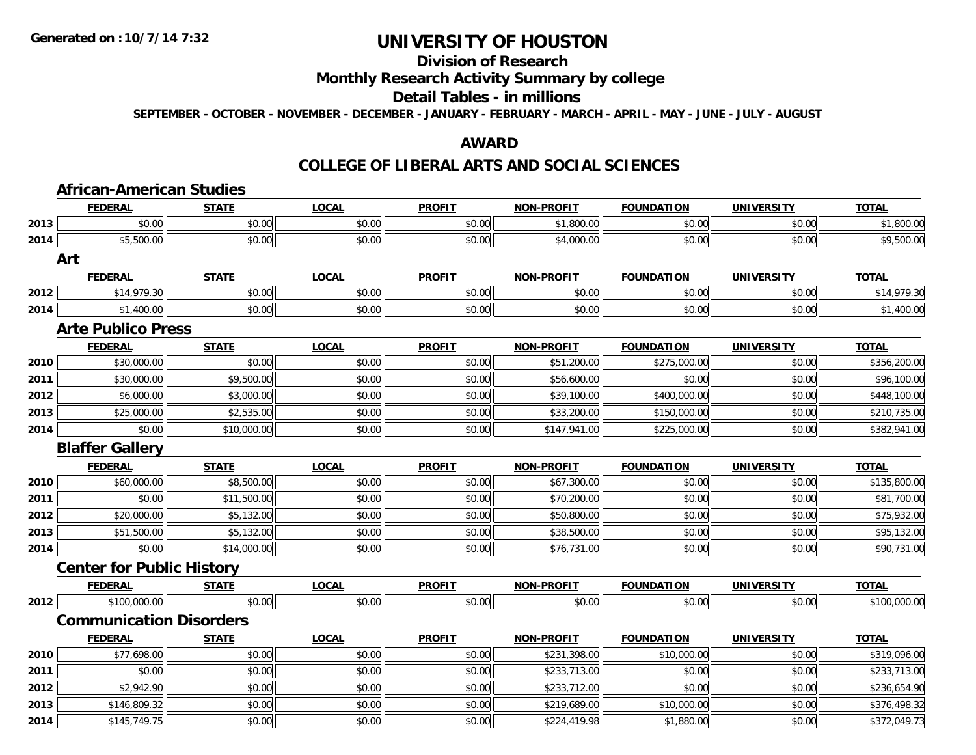# **Division of Research**

### **Monthly Research Activity Summary by college**

#### **Detail Tables - in millions**

**SEPTEMBER - OCTOBER - NOVEMBER - DECEMBER - JANUARY - FEBRUARY - MARCH - APRIL - MAY - JUNE - JULY - AUGUST**

### **AWARD**

### **COLLEGE OF LIBERAL ARTS AND SOCIAL SCIENCES**

|      | <b>African-American Studies</b>  |              |              |               |                   |                   |                   |              |
|------|----------------------------------|--------------|--------------|---------------|-------------------|-------------------|-------------------|--------------|
|      | <b>FEDERAL</b>                   | <b>STATE</b> | <b>LOCAL</b> | <b>PROFIT</b> | <b>NON-PROFIT</b> | <b>FOUNDATION</b> | <b>UNIVERSITY</b> | <b>TOTAL</b> |
| 2013 | \$0.00                           | \$0.00       | \$0.00       | \$0.00        | \$1,800.00        | \$0.00            | \$0.00            | \$1,800.00   |
| 2014 | \$5,500.00                       | \$0.00       | \$0.00       | \$0.00        | \$4,000.00        | \$0.00            | \$0.00            | \$9,500.00   |
|      | Art                              |              |              |               |                   |                   |                   |              |
|      | <b>FEDERAL</b>                   | <b>STATE</b> | <b>LOCAL</b> | <b>PROFIT</b> | <b>NON-PROFIT</b> | <b>FOUNDATION</b> | <b>UNIVERSITY</b> | <b>TOTAL</b> |
| 2012 | \$14,979.30                      | \$0.00       | \$0.00       | \$0.00        | \$0.00            | \$0.00            | \$0.00            | \$14,979.30  |
| 2014 | \$1,400.00                       | \$0.00       | \$0.00       | \$0.00        | \$0.00            | \$0.00            | \$0.00            | \$1,400.00   |
|      | <b>Arte Publico Press</b>        |              |              |               |                   |                   |                   |              |
|      | <b>FEDERAL</b>                   | <b>STATE</b> | <b>LOCAL</b> | <b>PROFIT</b> | <b>NON-PROFIT</b> | <b>FOUNDATION</b> | <b>UNIVERSITY</b> | <b>TOTAL</b> |
| 2010 | \$30,000.00                      | \$0.00       | \$0.00       | \$0.00        | \$51,200.00       | \$275,000.00      | \$0.00            | \$356,200.00 |
| 2011 | \$30,000.00                      | \$9,500.00   | \$0.00       | \$0.00        | \$56,600.00       | \$0.00            | \$0.00            | \$96,100.00  |
| 2012 | \$6,000.00                       | \$3,000.00   | \$0.00       | \$0.00        | \$39,100.00       | \$400,000.00      | \$0.00            | \$448,100.00 |
| 2013 | \$25,000.00                      | \$2,535.00   | \$0.00       | \$0.00        | \$33,200.00       | \$150,000.00      | \$0.00            | \$210,735.00 |
| 2014 | \$0.00                           | \$10,000.00  | \$0.00       | \$0.00        | \$147,941.00      | \$225,000.00      | \$0.00            | \$382,941.00 |
|      | <b>Blaffer Gallery</b>           |              |              |               |                   |                   |                   |              |
|      | <b>FEDERAL</b>                   | <b>STATE</b> | <b>LOCAL</b> | <b>PROFIT</b> | <b>NON-PROFIT</b> | <b>FOUNDATION</b> | <b>UNIVERSITY</b> | <b>TOTAL</b> |
| 2010 | \$60,000.00                      | \$8,500.00   | \$0.00       | \$0.00        | \$67,300.00       | \$0.00            | \$0.00            | \$135,800.00 |
| 2011 | \$0.00                           | \$11,500.00  | \$0.00       | \$0.00        | \$70,200.00       | \$0.00            | \$0.00            | \$81,700.00  |
| 2012 | \$20,000.00                      | \$5,132.00   | \$0.00       | \$0.00        | \$50,800.00       | \$0.00            | \$0.00            | \$75,932.00  |
| 2013 | \$51,500.00                      | \$5,132.00   | \$0.00       | \$0.00        | \$38,500.00       | \$0.00            | \$0.00            | \$95,132.00  |
| 2014 | \$0.00                           | \$14,000.00  | \$0.00       | \$0.00        | \$76,731.00       | \$0.00            | \$0.00            | \$90,731.00  |
|      | <b>Center for Public History</b> |              |              |               |                   |                   |                   |              |
|      | <b>FEDERAL</b>                   | <b>STATE</b> | <b>LOCAL</b> | <b>PROFIT</b> | <b>NON-PROFIT</b> | <b>FOUNDATION</b> | <b>UNIVERSITY</b> | <b>TOTAL</b> |
| 2012 | \$100,000.00                     | \$0.00       | \$0.00       | \$0.00        | \$0.00            | \$0.00            | \$0.00            | \$100,000.00 |
|      | <b>Communication Disorders</b>   |              |              |               |                   |                   |                   |              |
|      | <b>FEDERAL</b>                   | <b>STATE</b> | <b>LOCAL</b> | <b>PROFIT</b> | <b>NON-PROFIT</b> | <b>FOUNDATION</b> | <b>UNIVERSITY</b> | <b>TOTAL</b> |
| 2010 | \$77,698.00                      | \$0.00       | \$0.00       | \$0.00        | \$231,398.00      | \$10,000.00       | \$0.00            | \$319,096.00 |
| 2011 | \$0.00                           | \$0.00       | \$0.00       | \$0.00        | \$233,713.00      | \$0.00            | \$0.00            | \$233,713.00 |
| 2012 | \$2,942.90                       | \$0.00       | \$0.00       | \$0.00        | \$233,712.00      | \$0.00            | \$0.00            | \$236,654.90 |
| 2013 | \$146,809.32                     | \$0.00       | \$0.00       | \$0.00        | \$219,689.00      | \$10,000.00       | \$0.00            | \$376,498.32 |
| 2014 | \$145,749.75                     | \$0.00       | \$0.00       | \$0.00        | \$224,419.98      | \$1,880.00        | \$0.00            | \$372,049.73 |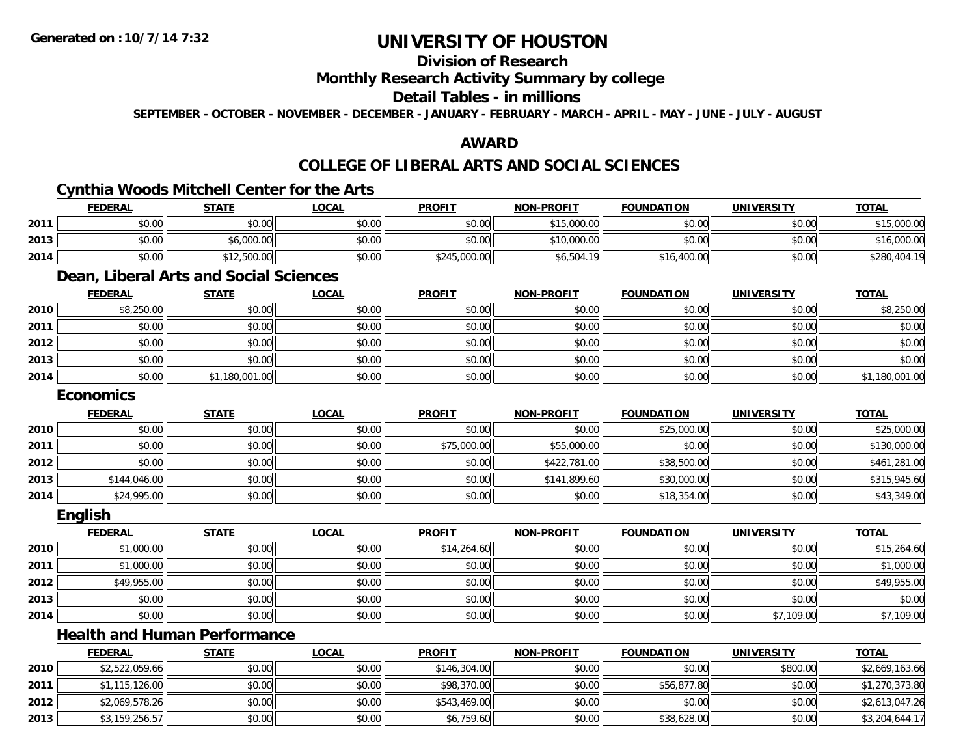## **Division of Research**

### **Monthly Research Activity Summary by college**

### **Detail Tables - in millions**

**SEPTEMBER - OCTOBER - NOVEMBER - DECEMBER - JANUARY - FEBRUARY - MARCH - APRIL - MAY - JUNE - JULY - AUGUST**

### **AWARD**

## **COLLEGE OF LIBERAL ARTS AND SOCIAL SCIENCES**

## **Cynthia Woods Mitchell Center for the Arts**

|      | <b>FEDERAL</b> | <b>STATE</b> | <u>LOCAL</u> | <b>PROFIT</b> | <b>NON-PROFIT</b> | <b>FOUNDATION</b> | <b>UNIVERSITY</b> | <u>TOTAL</u> |
|------|----------------|--------------|--------------|---------------|-------------------|-------------------|-------------------|--------------|
| 2011 | \$0.00         | \$0.00       | \$0.00       | \$0.00        | \$15,000.00       | \$0.00            | \$0.00            | \$15,000.00  |
| 2013 | \$0.00         | \$6,000.00   | \$0.00       | \$0.00        | \$10,000.00       | \$0.00            | \$0.00            | \$16,000.00  |
| 2014 | \$0.00         | \$12,500.00  | \$0.00       | \$245,000.00  | \$6,504.19        | \$16,400.00       | \$0.00            | \$280,404.19 |

## **Dean, Liberal Arts and Social Sciences**

|      | <b>FEDERAL</b> | <b>STATE</b>   | <b>LOCAL</b> | <b>PROFIT</b> | <b>NON-PROFIT</b> | <b>FOUNDATION</b> | <b>UNIVERSITY</b> | <b>TOTAL</b>   |
|------|----------------|----------------|--------------|---------------|-------------------|-------------------|-------------------|----------------|
| 2010 | \$8,250.00     | \$0.00         | \$0.00       | \$0.00        | \$0.00            | \$0.00            | \$0.00            | \$8,250.00     |
| 2011 | \$0.00         | \$0.00         | \$0.00       | \$0.00        | \$0.00            | \$0.00            | \$0.00            | \$0.00         |
| 2012 | \$0.00         | \$0.00         | \$0.00       | \$0.00        | \$0.00            | \$0.00            | \$0.00            | \$0.00         |
| 2013 | \$0.00         | \$0.00         | \$0.00       | \$0.00        | \$0.00            | \$0.00            | \$0.00            | \$0.00         |
| 2014 | \$0.00         | \$1,180,001.00 | \$0.00       | \$0.00        | \$0.00            | \$0.00            | \$0.00            | \$1,180,001.00 |

#### **Economics**

|      | <b>FEDERAL</b> | <b>STATE</b> | <b>LOCAL</b> | <b>PROFIT</b> | <b>NON-PROFIT</b> | <b>FOUNDATION</b> | <b>UNIVERSITY</b> | <b>TOTAL</b> |
|------|----------------|--------------|--------------|---------------|-------------------|-------------------|-------------------|--------------|
| 2010 | \$0.00         | \$0.00       | \$0.00       | \$0.00        | \$0.00            | \$25,000.00       | \$0.00            | \$25,000.00  |
| 2011 | \$0.00         | \$0.00       | \$0.00       | \$75,000.00   | \$55,000.00       | \$0.00            | \$0.00            | \$130,000.00 |
| 2012 | \$0.00         | \$0.00       | \$0.00       | \$0.00        | \$422,781.00      | \$38,500.00       | \$0.00            | \$461,281.00 |
| 2013 | \$144,046.00   | \$0.00       | \$0.00       | \$0.00        | \$141,899.60      | \$30,000.00       | \$0.00            | \$315,945.60 |
| 2014 | \$24,995.00    | \$0.00       | \$0.00       | \$0.00        | \$0.00            | \$18,354.00       | \$0.00            | \$43,349.00  |

#### **English**

|      | <b>FEDERAL</b> | <b>STATE</b> | <u>LOCAL</u> | <b>PROFIT</b> | <b>NON-PROFIT</b> | <b>FOUNDATION</b> | <b>UNIVERSITY</b> | <b>TOTAL</b> |
|------|----------------|--------------|--------------|---------------|-------------------|-------------------|-------------------|--------------|
| 2010 | \$1,000.00     | \$0.00       | \$0.00       | \$14,264.60   | \$0.00            | \$0.00            | \$0.00            | \$15,264.60  |
| 2011 | \$1,000.00     | \$0.00       | \$0.00       | \$0.00        | \$0.00            | \$0.00            | \$0.00            | \$1,000.00   |
| 2012 | \$49,955.00    | \$0.00       | \$0.00       | \$0.00        | \$0.00            | \$0.00            | \$0.00            | \$49,955.00  |
| 2013 | \$0.00         | \$0.00       | \$0.00       | \$0.00        | \$0.00            | \$0.00            | \$0.00            | \$0.00       |
| 2014 | \$0.00         | \$0.00       | \$0.00       | \$0.00        | \$0.00            | \$0.00            | \$7,109.00        | \$7,109.00   |

# **Health and Human Performance**

|      | <b>FEDERAL</b> | <u>STATE</u> | <b>LOCAL</b> | <b>PROFIT</b> | <b>NON-PROFIT</b> | <b>FOUNDATION</b> | UNIVERSITY | <b>TOTAL</b>   |
|------|----------------|--------------|--------------|---------------|-------------------|-------------------|------------|----------------|
| 2010 | \$2,522,059.66 | \$0.00       | \$0.00       | \$146,304.00  | \$0.00            | \$0.00            | \$800.00   | \$2,669,163.66 |
| 2011 | \$1,115,126.00 | \$0.00       | \$0.00       | \$98,370.00   | \$0.00            | \$56,877.80       | \$0.00     | \$1,270,373.80 |
| 2012 | \$2,069,578.26 | \$0.00       | \$0.00       | \$543,469.00  | \$0.00            | \$0.00            | \$0.00     | \$2,613,047.26 |
| 2013 | \$3,159,256.57 | \$0.00       | \$0.00       | \$6,759.60    | \$0.00            | \$38,628.00       | \$0.00     | \$3,204,644.17 |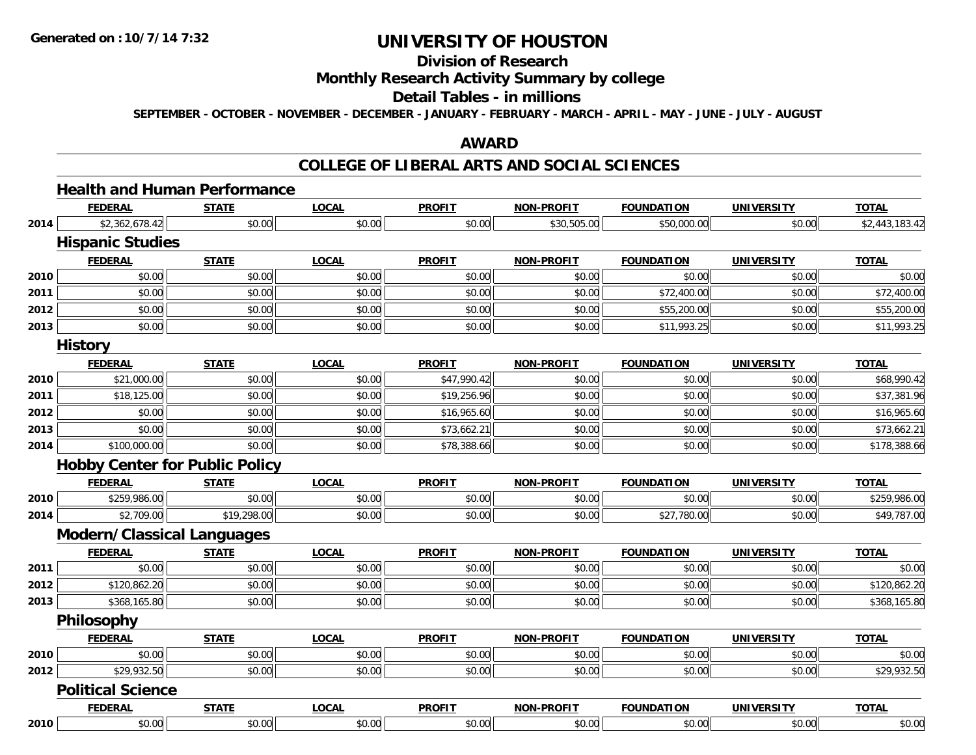## **Division of Research**

### **Monthly Research Activity Summary by college**

# **Detail Tables - in millions**

**SEPTEMBER - OCTOBER - NOVEMBER - DECEMBER - JANUARY - FEBRUARY - MARCH - APRIL - MAY - JUNE - JULY - AUGUST**

### **AWARD**

### **COLLEGE OF LIBERAL ARTS AND SOCIAL SCIENCES**

# **Health and Human Performance**

|      | <b>FEDERAL</b>                        | <b>STATE</b> | <b>LOCAL</b> | <b>PROFIT</b> | <b>NON-PROFIT</b> | <b>FOUNDATION</b> | <b>UNIVERSITY</b> | <b>TOTAL</b>   |
|------|---------------------------------------|--------------|--------------|---------------|-------------------|-------------------|-------------------|----------------|
| 2014 | \$2,362,678.42                        | \$0.00       | \$0.00       | \$0.00        | \$30,505.00       | \$50,000.00       | \$0.00            | \$2,443,183.42 |
|      | <b>Hispanic Studies</b>               |              |              |               |                   |                   |                   |                |
|      | <b>FEDERAL</b>                        | <b>STATE</b> | <b>LOCAL</b> | <b>PROFIT</b> | <b>NON-PROFIT</b> | <b>FOUNDATION</b> | <b>UNIVERSITY</b> | <b>TOTAL</b>   |
| 2010 | \$0.00                                | \$0.00       | \$0.00       | \$0.00        | \$0.00            | \$0.00            | \$0.00            | \$0.00         |
| 2011 | \$0.00                                | \$0.00       | \$0.00       | \$0.00        | \$0.00            | \$72,400.00       | \$0.00            | \$72,400.00    |
| 2012 | \$0.00                                | \$0.00       | \$0.00       | \$0.00        | \$0.00            | \$55,200.00       | \$0.00            | \$55,200.00    |
| 2013 | \$0.00                                | \$0.00       | \$0.00       | \$0.00        | \$0.00            | \$11,993.25       | \$0.00            | \$11,993.25    |
|      | <b>History</b>                        |              |              |               |                   |                   |                   |                |
|      | <b>FEDERAL</b>                        | <b>STATE</b> | <b>LOCAL</b> | <b>PROFIT</b> | <b>NON-PROFIT</b> | <b>FOUNDATION</b> | <b>UNIVERSITY</b> | <b>TOTAL</b>   |
| 2010 | \$21,000.00                           | \$0.00       | \$0.00       | \$47,990.42   | \$0.00            | \$0.00            | \$0.00            | \$68,990.42    |
| 2011 | \$18,125.00                           | \$0.00       | \$0.00       | \$19,256.96   | \$0.00            | \$0.00            | \$0.00            | \$37,381.96    |
| 2012 | \$0.00                                | \$0.00       | \$0.00       | \$16,965.60   | \$0.00            | \$0.00            | \$0.00            | \$16,965.60    |
| 2013 | \$0.00                                | \$0.00       | \$0.00       | \$73,662.21   | \$0.00            | \$0.00            | \$0.00            | \$73,662.21    |
| 2014 | \$100,000.00                          | \$0.00       | \$0.00       | \$78,388.66   | \$0.00            | \$0.00            | \$0.00            | \$178,388.66   |
|      | <b>Hobby Center for Public Policy</b> |              |              |               |                   |                   |                   |                |
|      | <b>FEDERAL</b>                        | <b>STATE</b> | <b>LOCAL</b> | <b>PROFIT</b> | <b>NON-PROFIT</b> | <b>FOUNDATION</b> | <b>UNIVERSITY</b> | <b>TOTAL</b>   |
| 2010 | \$259,986.00                          | \$0.00       | \$0.00       | \$0.00        | \$0.00            | \$0.00            | \$0.00            | \$259,986.00   |
| 2014 | \$2,709.00                            | \$19,298.00  | \$0.00       | \$0.00        | \$0.00            | \$27,780.00       | \$0.00            | \$49,787.00    |
|      | <b>Modern/Classical Languages</b>     |              |              |               |                   |                   |                   |                |
|      | <b>FEDERAL</b>                        | <b>STATE</b> | <b>LOCAL</b> | <b>PROFIT</b> | <b>NON-PROFIT</b> | <b>FOUNDATION</b> | <b>UNIVERSITY</b> | <b>TOTAL</b>   |
| 2011 | \$0.00                                | \$0.00       | \$0.00       | \$0.00        | \$0.00            | \$0.00            | \$0.00            | \$0.00         |
| 2012 | \$120,862.20                          | \$0.00       | \$0.00       | \$0.00        | \$0.00            | \$0.00            | \$0.00            | \$120,862.20   |
| 2013 | \$368,165.80                          | \$0.00       | \$0.00       | \$0.00        | \$0.00            | \$0.00            | \$0.00            | \$368,165.80   |
|      | Philosophy                            |              |              |               |                   |                   |                   |                |
|      | <b>FEDERAL</b>                        | <b>STATE</b> | <b>LOCAL</b> | <b>PROFIT</b> | <b>NON-PROFIT</b> | <b>FOUNDATION</b> | <b>UNIVERSITY</b> | <b>TOTAL</b>   |
| 2010 | \$0.00                                | \$0.00       | \$0.00       | \$0.00        | \$0.00            | \$0.00            | \$0.00            | \$0.00         |
| 2012 | \$29,932.50                           | \$0.00       | \$0.00       | \$0.00        | \$0.00            | \$0.00            | \$0.00            | \$29,932.50    |
|      | <b>Political Science</b>              |              |              |               |                   |                   |                   |                |
|      | <b>FEDERAL</b>                        | <b>STATE</b> | <b>LOCAL</b> | <b>PROFIT</b> | <b>NON-PROFIT</b> | <b>FOUNDATION</b> | <b>UNIVERSITY</b> | <b>TOTAL</b>   |
| 2010 | \$0.00                                | \$0.00       | \$0.00       | \$0.00        | \$0.00            | \$0.00            | \$0.00            | \$0.00         |

**2010**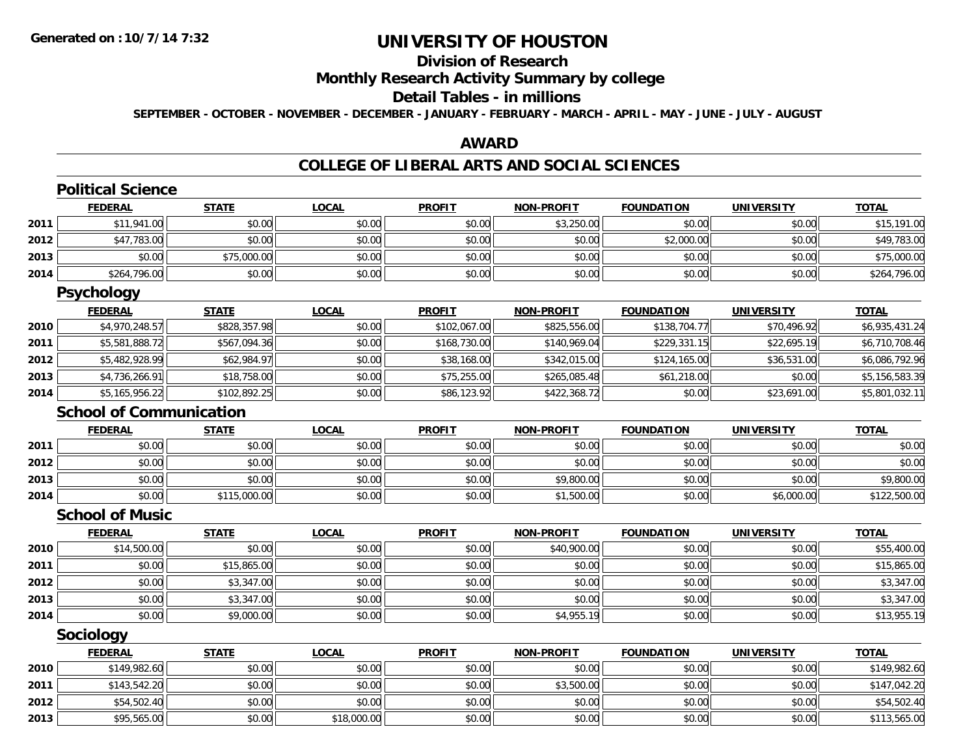## **Division of Research**

### **Monthly Research Activity Summary by college**

#### **Detail Tables - in millions**

**SEPTEMBER - OCTOBER - NOVEMBER - DECEMBER - JANUARY - FEBRUARY - MARCH - APRIL - MAY - JUNE - JULY - AUGUST**

### **AWARD**

### **COLLEGE OF LIBERAL ARTS AND SOCIAL SCIENCES**

|      | <b>Political Science</b>       |              |              |               |                   |                   |                   |                |
|------|--------------------------------|--------------|--------------|---------------|-------------------|-------------------|-------------------|----------------|
|      | <b>FEDERAL</b>                 | <b>STATE</b> | <b>LOCAL</b> | <b>PROFIT</b> | <b>NON-PROFIT</b> | <b>FOUNDATION</b> | <b>UNIVERSITY</b> | <b>TOTAL</b>   |
| 2011 | \$11,941.00                    | \$0.00       | \$0.00       | \$0.00        | \$3,250.00        | \$0.00            | \$0.00            | \$15,191.00    |
| 2012 | \$47,783.00                    | \$0.00       | \$0.00       | \$0.00        | \$0.00            | \$2,000.00        | \$0.00            | \$49,783.00    |
| 2013 | \$0.00                         | \$75,000.00  | \$0.00       | \$0.00        | \$0.00            | \$0.00            | \$0.00            | \$75,000.00    |
| 2014 | \$264,796.00                   | \$0.00       | \$0.00       | \$0.00        | \$0.00            | \$0.00            | \$0.00            | \$264,796.00   |
|      | <b>Psychology</b>              |              |              |               |                   |                   |                   |                |
|      | <b>FEDERAL</b>                 | <b>STATE</b> | <b>LOCAL</b> | <b>PROFIT</b> | <b>NON-PROFIT</b> | <b>FOUNDATION</b> | <b>UNIVERSITY</b> | <b>TOTAL</b>   |
| 2010 | \$4,970,248.57                 | \$828,357.98 | \$0.00       | \$102,067.00  | \$825,556.00      | \$138,704.77      | \$70,496.92       | \$6,935,431.24 |
| 2011 | \$5,581,888.72                 | \$567,094.36 | \$0.00       | \$168,730.00  | \$140,969.04      | \$229,331.15      | \$22,695.19       | \$6,710,708.46 |
| 2012 | \$5,482,928.99                 | \$62,984.97  | \$0.00       | \$38,168.00   | \$342,015.00      | \$124,165.00      | \$36,531.00       | \$6,086,792.96 |
| 2013 | \$4,736,266.91                 | \$18,758.00  | \$0.00       | \$75,255.00   | \$265,085.48      | \$61,218.00       | \$0.00            | \$5,156,583.39 |
| 2014 | \$5,165,956.22                 | \$102,892.25 | \$0.00       | \$86,123.92   | \$422,368.72      | \$0.00            | \$23,691.00       | \$5,801,032.11 |
|      | <b>School of Communication</b> |              |              |               |                   |                   |                   |                |
|      | <b>FEDERAL</b>                 | <b>STATE</b> | <b>LOCAL</b> | <b>PROFIT</b> | <b>NON-PROFIT</b> | <b>FOUNDATION</b> | <b>UNIVERSITY</b> | <b>TOTAL</b>   |
| 2011 | \$0.00                         | \$0.00       | \$0.00       | \$0.00        | \$0.00            | \$0.00            | \$0.00            | \$0.00         |
| 2012 | \$0.00                         | \$0.00       | \$0.00       | \$0.00        | \$0.00            | \$0.00            | \$0.00            | \$0.00         |
| 2013 | \$0.00                         | \$0.00       | \$0.00       | \$0.00        | \$9,800.00        | \$0.00            | \$0.00            | \$9,800.00     |
| 2014 | \$0.00                         | \$115,000.00 | \$0.00       | \$0.00        | \$1,500.00        | \$0.00            | \$6,000.00        | \$122,500.00   |
|      | <b>School of Music</b>         |              |              |               |                   |                   |                   |                |
|      | <b>FEDERAL</b>                 | <b>STATE</b> | <b>LOCAL</b> | <b>PROFIT</b> | <b>NON-PROFIT</b> | <b>FOUNDATION</b> | <b>UNIVERSITY</b> | <b>TOTAL</b>   |
| 2010 | \$14,500.00                    | \$0.00       | \$0.00       | \$0.00        | \$40,900.00       | \$0.00            | \$0.00            | \$55,400.00    |
| 2011 | \$0.00                         | \$15,865.00  | \$0.00       | \$0.00        | \$0.00            | \$0.00            | \$0.00            | \$15,865.00    |
| 2012 | \$0.00                         | \$3,347.00   | \$0.00       | \$0.00        | \$0.00            | \$0.00            | \$0.00            | \$3,347.00     |
| 2013 | \$0.00                         | \$3,347.00   | \$0.00       | \$0.00        | \$0.00            | \$0.00            | \$0.00            | \$3,347.00     |
| 2014 | \$0.00                         | \$9,000.00   | \$0.00       | \$0.00        | \$4,955.19        | \$0.00            | \$0.00            | \$13,955.19    |
|      | Sociology                      |              |              |               |                   |                   |                   |                |
|      | <b>FEDERAL</b>                 | <b>STATE</b> | <b>LOCAL</b> | <b>PROFIT</b> | <b>NON-PROFIT</b> | <b>FOUNDATION</b> | <b>UNIVERSITY</b> | <b>TOTAL</b>   |
| 2010 | \$149,982.60                   | \$0.00       | \$0.00       | \$0.00        | \$0.00            | \$0.00            | \$0.00            | \$149,982.60   |
| 2011 | \$143,542.20                   | \$0.00       | \$0.00       | \$0.00        | \$3,500.00        | \$0.00            | \$0.00            | \$147,042.20   |
| 2012 | \$54,502.40                    | \$0.00       | \$0.00       | \$0.00        | \$0.00            | \$0.00            | \$0.00            | \$54,502.40    |
| 2013 | \$95,565.00                    | \$0.00       | \$18,000.00  | \$0.00        | \$0.00            | \$0.00            | \$0.00            | \$113,565.00   |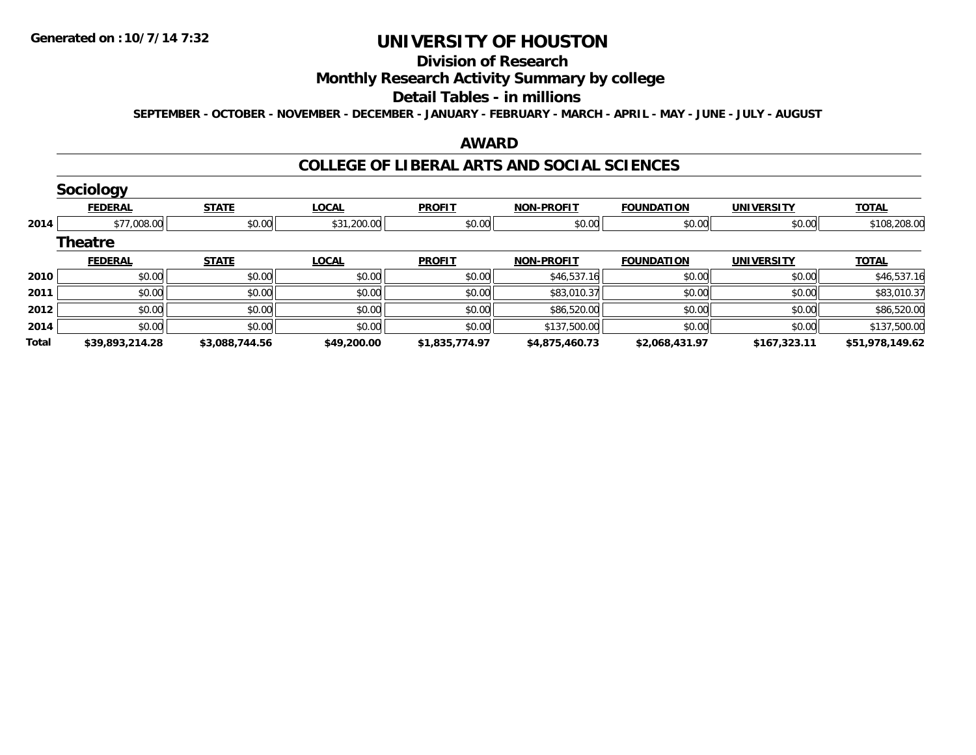#### **Division of Research**

### **Monthly Research Activity Summary by college**

#### **Detail Tables - in millions**

**SEPTEMBER - OCTOBER - NOVEMBER - DECEMBER - JANUARY - FEBRUARY - MARCH - APRIL - MAY - JUNE - JULY - AUGUST**

### **AWARD**

### **COLLEGE OF LIBERAL ARTS AND SOCIAL SCIENCES**

|              | <b>Sociology</b> |                |              |                |                   |                   |                   |                 |
|--------------|------------------|----------------|--------------|----------------|-------------------|-------------------|-------------------|-----------------|
|              | <b>FEDERAL</b>   | <b>STATE</b>   | <b>LOCAL</b> | <b>PROFIT</b>  | <b>NON-PROFIT</b> | <b>FOUNDATION</b> | <b>UNIVERSITY</b> | <b>TOTAL</b>    |
| 2014         | \$77,008.00      | \$0.00         | \$31,200.00  | \$0.00         | \$0.00            | \$0.00            | \$0.00            | \$108,208.00    |
|              | <b>Theatre</b>   |                |              |                |                   |                   |                   |                 |
|              | <b>FEDERAL</b>   | <b>STATE</b>   | <b>LOCAL</b> | <b>PROFIT</b>  | <b>NON-PROFIT</b> | <b>FOUNDATION</b> | <b>UNIVERSITY</b> | <b>TOTAL</b>    |
| 2010         | \$0.00           | \$0.00         | \$0.00       | \$0.00         | \$46,537.16       | \$0.00            | \$0.00            | \$46,537.16     |
| 2011         | \$0.00           | \$0.00         | \$0.00       | \$0.00         | \$83,010.37       | \$0.00            | \$0.00            | \$83,010.37     |
| 2012         | \$0.00           | \$0.00         | \$0.00       | \$0.00         | \$86,520.00       | \$0.00            | \$0.00            | \$86,520.00     |
| 2014         | \$0.00           | \$0.00         | \$0.00       | \$0.00         | \$137,500.00      | \$0.00            | \$0.00            | \$137,500.00    |
| <b>Total</b> | \$39,893,214.28  | \$3,088,744.56 | \$49,200.00  | \$1,835,774.97 | \$4,875,460.73    | \$2,068,431.97    | \$167,323.11      | \$51,978,149.62 |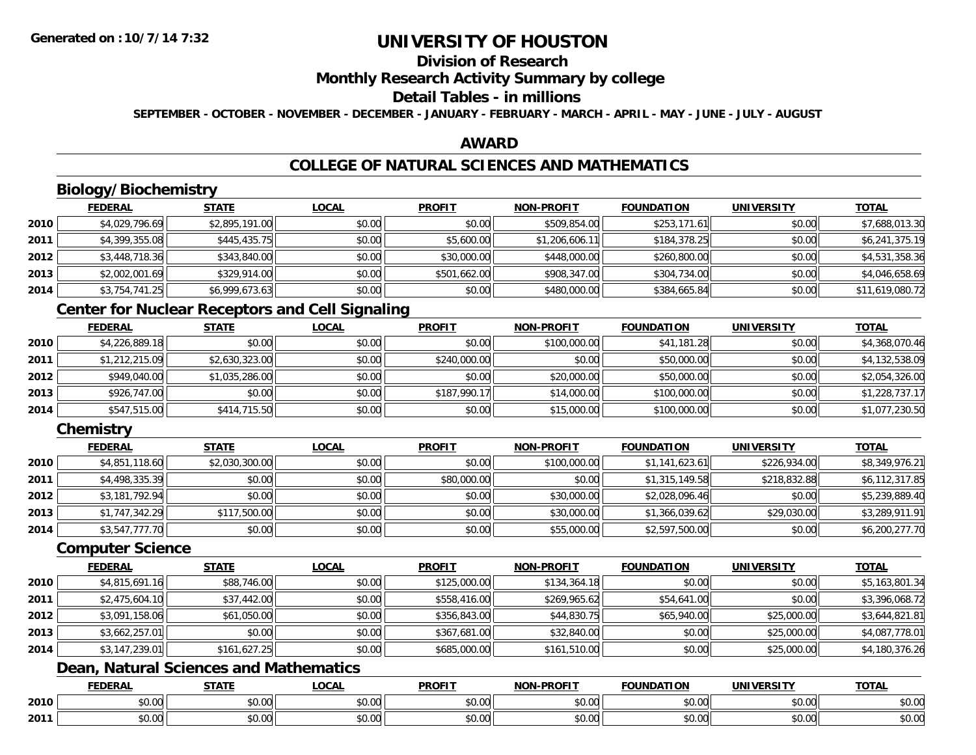## **Division of Research**

### **Monthly Research Activity Summary by college**

## **Detail Tables - in millions**

**SEPTEMBER - OCTOBER - NOVEMBER - DECEMBER - JANUARY - FEBRUARY - MARCH - APRIL - MAY - JUNE - JULY - AUGUST**

### **AWARD**

## **COLLEGE OF NATURAL SCIENCES AND MATHEMATICS**

# **Biology/Biochemistry**

|      | <b>FEDERAL</b> | <b>STATE</b>   | <u>LOCAL</u> | <b>PROFIT</b> | <b>NON-PROFIT</b> | <b>FOUNDATION</b> | <b>UNIVERSITY</b> | <b>TOTAL</b>    |
|------|----------------|----------------|--------------|---------------|-------------------|-------------------|-------------------|-----------------|
| 2010 | \$4,029,796.69 | \$2,895,191.00 | \$0.00       | \$0.00        | \$509,854.00      | \$253,171.61      | \$0.00            | \$7,688,013.30  |
| 2011 | \$4,399,355.08 | \$445,435.75   | \$0.00       | \$5,600.00    | \$1,206,606.11    | \$184,378.25      | \$0.00            | \$6,241,375.19  |
| 2012 | \$3,448,718.36 | \$343,840.00   | \$0.00       | \$30,000.00   | \$448,000.00      | \$260,800.00      | \$0.00            | \$4,531,358.36  |
| 2013 | \$2,002,001.69 | \$329,914.00   | \$0.00       | \$501,662.00  | \$908,347.00      | \$304,734.00      | \$0.00            | \$4,046,658.69  |
| 2014 | \$3,754,741.25 | \$6,999,673.63 | \$0.00       | \$0.00        | \$480,000.00      | \$384,665.84      | \$0.00            | \$11,619,080.72 |

## **Center for Nuclear Receptors and Cell Signaling**

|      | <b>FEDERAL</b> | <u>STATE</u>   | <b>LOCAL</b> | <b>PROFIT</b> | <b>NON-PROFIT</b> | <b>FOUNDATION</b> | <b>UNIVERSITY</b> | <b>TOTAL</b>   |
|------|----------------|----------------|--------------|---------------|-------------------|-------------------|-------------------|----------------|
| 2010 | \$4,226,889.18 | \$0.00         | \$0.00       | \$0.00        | \$100,000.00      | \$41,181.28       | \$0.00            | \$4,368,070.46 |
| 2011 | \$1,212,215.09 | \$2,630,323.00 | \$0.00       | \$240,000.00  | \$0.00            | \$50,000.00       | \$0.00            | \$4,132,538.09 |
| 2012 | \$949,040.00   | \$1,035,286.00 | \$0.00       | \$0.00        | \$20,000.00       | \$50,000.00       | \$0.00            | \$2,054,326.00 |
| 2013 | \$926,747.00   | \$0.00         | \$0.00       | \$187,990.17  | \$14,000.00       | \$100,000.00      | \$0.00            | \$1,228,737.17 |
| 2014 | \$547,515.00   | \$414,715.50   | \$0.00       | \$0.00        | \$15,000.00       | \$100,000.00      | \$0.00            | \$1,077,230.50 |

## **Chemistry**

|      | <b>FEDERAL</b> | <b>STATE</b>   | <b>LOCAL</b> | <b>PROFIT</b> | <b>NON-PROFIT</b> | <b>FOUNDATION</b> | <b>UNIVERSITY</b> | <b>TOTAL</b>   |
|------|----------------|----------------|--------------|---------------|-------------------|-------------------|-------------------|----------------|
| 2010 | \$4,851,118.60 | \$2,030,300.00 | \$0.00       | \$0.00        | \$100,000.00      | \$1,141,623.61    | \$226,934.00      | \$8,349,976.21 |
| 2011 | \$4,498,335.39 | \$0.00         | \$0.00       | \$80,000.00   | \$0.00            | \$1,315,149.58    | \$218,832.88      | \$6,112,317.85 |
| 2012 | \$3,181,792.94 | \$0.00         | \$0.00       | \$0.00        | \$30,000.00       | \$2,028,096.46    | \$0.00            | \$5,239,889.40 |
| 2013 | \$1,747,342.29 | \$117,500.00   | \$0.00       | \$0.00        | \$30,000.00       | \$1,366,039.62    | \$29,030.00       | \$3,289,911.91 |
| 2014 | \$3,547,777.70 | \$0.00         | \$0.00       | \$0.00        | \$55,000.00       | \$2,597,500.00    | \$0.00            | \$6,200,277.70 |

### **Computer Science**

|      | <b>FEDERAL</b> | <b>STATE</b> | <b>LOCAL</b> | <b>PROFIT</b> | <b>NON-PROFIT</b> | <b>FOUNDATION</b> | <b>UNIVERSITY</b> | <b>TOTAL</b>   |
|------|----------------|--------------|--------------|---------------|-------------------|-------------------|-------------------|----------------|
| 2010 | \$4,815,691.16 | \$88,746.00  | \$0.00       | \$125,000.00  | \$134,364.18      | \$0.00            | \$0.00            | \$5,163,801.34 |
| 2011 | \$2,475,604.10 | \$37,442.00  | \$0.00       | \$558,416.00  | \$269,965.62      | \$54,641.00       | \$0.00            | \$3,396,068.72 |
| 2012 | \$3,091,158.06 | \$61,050.00  | \$0.00       | \$356,843.00  | \$44,830.75       | \$65,940.00       | \$25,000.00       | \$3,644,821.81 |
| 2013 | \$3,662,257.01 | \$0.00       | \$0.00       | \$367,681.00  | \$32,840.00       | \$0.00            | \$25,000.00       | \$4,087,778.01 |
| 2014 | \$3,147,239.01 | \$161,627.25 | \$0.00       | \$685,000.00  | \$161,510.00      | \$0.00            | \$25,000.00       | \$4,180,376.26 |

## **Dean, Natural Sciences and Mathematics**

|      | <b>FEBER!</b><br>LI\ <i>r</i> | $C = 1$                                                                  | $\bigcap_{n=1}^{\infty}$<br>.OCAI   | <b>PROFIT</b>                   | יוחמחח<br><b>BIOB</b>         | ាកា<br>I ) Д                                   | . <i></i> .<br>.JIV∶ | <b>TOTAL</b>           |
|------|-------------------------------|--------------------------------------------------------------------------|-------------------------------------|---------------------------------|-------------------------------|------------------------------------------------|----------------------|------------------------|
| 2010 | 0.00<br>שט.טע                 | $\uparrow$ $\uparrow$ $\uparrow$ $\uparrow$ $\uparrow$ $\uparrow$<br>ט.ט | $\sim$ 00<br>וטטוע                  | $\sim$ $\sim$<br>וטטוע          | $\sim$ $\sim$ $\sim$<br>vv.vv | $\triangle$ $\triangle$ $\triangle$<br>— JU.U∪ | 0.00<br>PU.UU        | $\sim$ $\sim$<br>JU.UU |
| 2011 | 0000<br>JU.UU                 | <b>↑∩</b><br>JU.U                                                        | $\uparrow$ $\land$ $\land$<br>PU.UU | $\sim$ 00<br>$\vee$ . Ut $\vee$ | $\sim$<br>$\sim$<br>vv.vv     | $\sim$<br>JU.UU                                | 0000<br><b>JU.UU</b> | <b>JU.UU</b>           |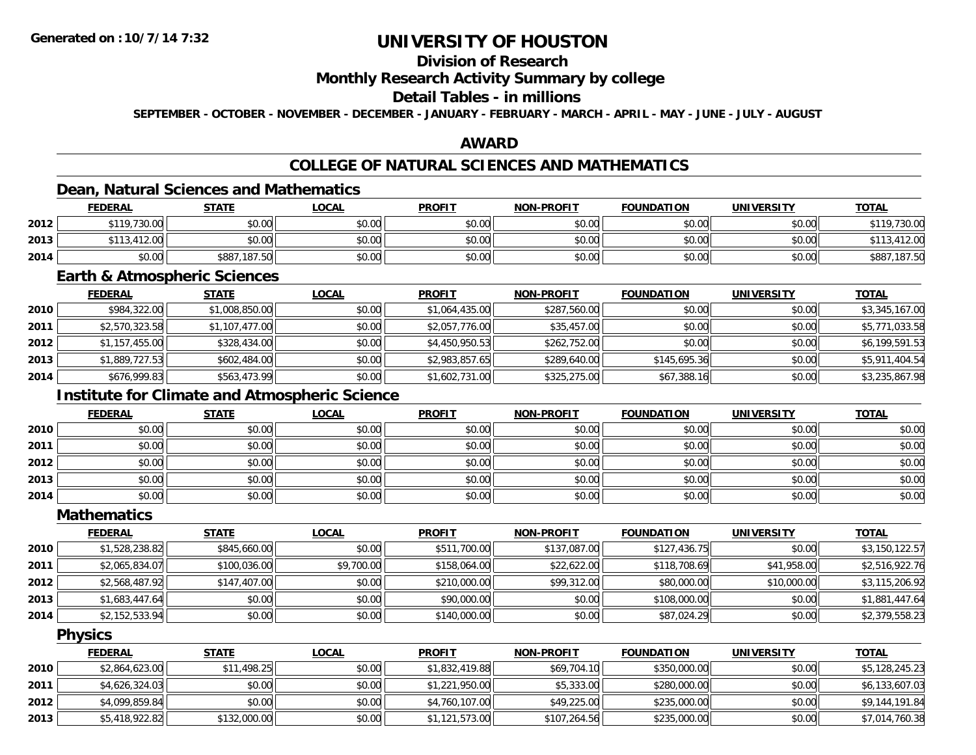## **Division of Research**

### **Monthly Research Activity Summary by college**

### **Detail Tables - in millions**

**SEPTEMBER - OCTOBER - NOVEMBER - DECEMBER - JANUARY - FEBRUARY - MARCH - APRIL - MAY - JUNE - JULY - AUGUST**

### **AWARD**

## **COLLEGE OF NATURAL SCIENCES AND MATHEMATICS**

## **Dean, Natural Sciences and Mathematics**

|      | <b>FEDERAL</b> | <b>STATE</b> | <b>LOCAL</b> | <b>PROFIT</b> | <b>NON-PROFIT</b> | <b>FOUNDATION</b> | <b>UNIVERSITY</b> | <u>TOTAL</u>           |
|------|----------------|--------------|--------------|---------------|-------------------|-------------------|-------------------|------------------------|
| 2012 | \$119,730.00   | \$0.00       | \$0.00       | \$0.00        | \$0.00            | \$0.00            | \$0.00            | ,730.00<br><b>¢110</b> |
| 2013 | \$113,412.00   | \$0.00       | \$0.00       | \$0.00        | \$0.00            | \$0.00            | \$0.00            | \$113,412.00           |
| 2014 | \$0.00         | \$887,187.50 | \$0.00       | \$0.00        | \$0.00            | \$0.00            | \$0.00            | \$887,187.50           |

### **Earth & Atmospheric Sciences**

|      | <b>FEDERAL</b> | <b>STATE</b>   | <b>LOCAL</b> | <b>PROFIT</b>  | <b>NON-PROFIT</b> | <b>FOUNDATION</b> | <b>UNIVERSITY</b> | <b>TOTAL</b>   |
|------|----------------|----------------|--------------|----------------|-------------------|-------------------|-------------------|----------------|
| 2010 | \$984,322.00   | \$1,008,850.00 | \$0.00       | \$1,064,435.00 | \$287,560.00      | \$0.00            | \$0.00            | \$3,345,167.00 |
| 2011 | \$2,570,323.58 | \$1,107,477.00 | \$0.00       | \$2,057,776.00 | \$35,457.00       | \$0.00            | \$0.00            | \$5,771,033.58 |
| 2012 | \$1,157,455.00 | \$328,434.00   | \$0.00       | \$4,450,950.53 | \$262,752.00      | \$0.00            | \$0.00            | \$6,199,591.53 |
| 2013 | \$1,889,727.53 | \$602,484.00   | \$0.00       | \$2,983,857.65 | \$289,640.00      | \$145,695.36      | \$0.00            | \$5,911,404.54 |
| 2014 | \$676,999.83   | \$563,473.99   | \$0.00       | \$1,602,731.00 | \$325,275.00      | \$67,388.16       | \$0.00            | \$3,235,867.98 |

## **Institute for Climate and Atmospheric Science**

|      | <u>FEDERAL</u> | <b>STATE</b> | <u>LOCAL</u> | <b>PROFIT</b> | <b>NON-PROFIT</b> | <b>FOUNDATION</b> | <b>UNIVERSITY</b> | <b>TOTAL</b> |
|------|----------------|--------------|--------------|---------------|-------------------|-------------------|-------------------|--------------|
| 2010 | \$0.00         | \$0.00       | \$0.00       | \$0.00        | \$0.00            | \$0.00            | \$0.00            | \$0.00       |
| 2011 | \$0.00         | \$0.00       | \$0.00       | \$0.00        | \$0.00            | \$0.00            | \$0.00            | \$0.00       |
| 2012 | \$0.00         | \$0.00       | \$0.00       | \$0.00        | \$0.00            | \$0.00            | \$0.00            | \$0.00       |
| 2013 | \$0.00         | \$0.00       | \$0.00       | \$0.00        | \$0.00            | \$0.00            | \$0.00            | \$0.00       |
| 2014 | \$0.00         | \$0.00       | \$0.00       | \$0.00        | \$0.00            | \$0.00            | \$0.00            | \$0.00       |

#### **Mathematics**

|      | <b>FEDERAL</b> | <b>STATE</b> | <b>LOCAL</b> | <b>PROFIT</b> | <b>NON-PROFIT</b> | <b>FOUNDATION</b> | <b>UNIVERSITY</b> | <b>TOTAL</b>   |
|------|----------------|--------------|--------------|---------------|-------------------|-------------------|-------------------|----------------|
| 2010 | \$1,528,238.82 | \$845,660.00 | \$0.00       | \$511,700.00  | \$137,087.00      | \$127,436.75      | \$0.00            | \$3,150,122.57 |
| 2011 | \$2,065,834.07 | \$100,036.00 | \$9,700.00   | \$158,064.00  | \$22,622.00       | \$118,708.69      | \$41,958.00       | \$2,516,922.76 |
| 2012 | \$2,568,487.92 | \$147,407.00 | \$0.00       | \$210,000.00  | \$99,312.00       | \$80,000.00       | \$10,000.00       | \$3,115,206.92 |
| 2013 | \$1,683,447.64 | \$0.00       | \$0.00       | \$90,000.00   | \$0.00            | \$108,000.00      | \$0.00            | \$1,881,447.64 |
| 2014 | \$2,152,533.94 | \$0.00       | \$0.00       | \$140,000.00  | \$0.00            | \$87,024.29       | \$0.00            | \$2,379,558.23 |

### **Physics**

|      | <b>FEDERAL</b> | <u>STATE</u> | <u>LOCAL</u> | <b>PROFIT</b>  | <b>NON-PROFIT</b> | <b>FOUNDATION</b> | <b>UNIVERSITY</b> | <b>TOTAL</b>   |
|------|----------------|--------------|--------------|----------------|-------------------|-------------------|-------------------|----------------|
| 2010 | \$2,864,623.00 | \$11,498.25  | \$0.00       | \$1,832,419.88 | \$69,704.10       | \$350,000.00      | \$0.00            | \$5,128,245.23 |
| 2011 | \$4,626,324.03 | \$0.00       | \$0.00       | \$1,221,950.00 | \$5,333,00        | \$280,000.00      | \$0.00            | \$6,133,607.03 |
| 2012 | \$4,099,859.84 | \$0.00       | \$0.00       | \$4,760,107.00 | \$49,225.00       | \$235,000.00      | \$0.00            | \$9,144,191.84 |
| 2013 | \$5,418,922.82 | \$132,000.00 | \$0.00       | \$1,121,573.00 | \$107,264.56      | \$235,000.00      | \$0.00            | \$7,014,760.38 |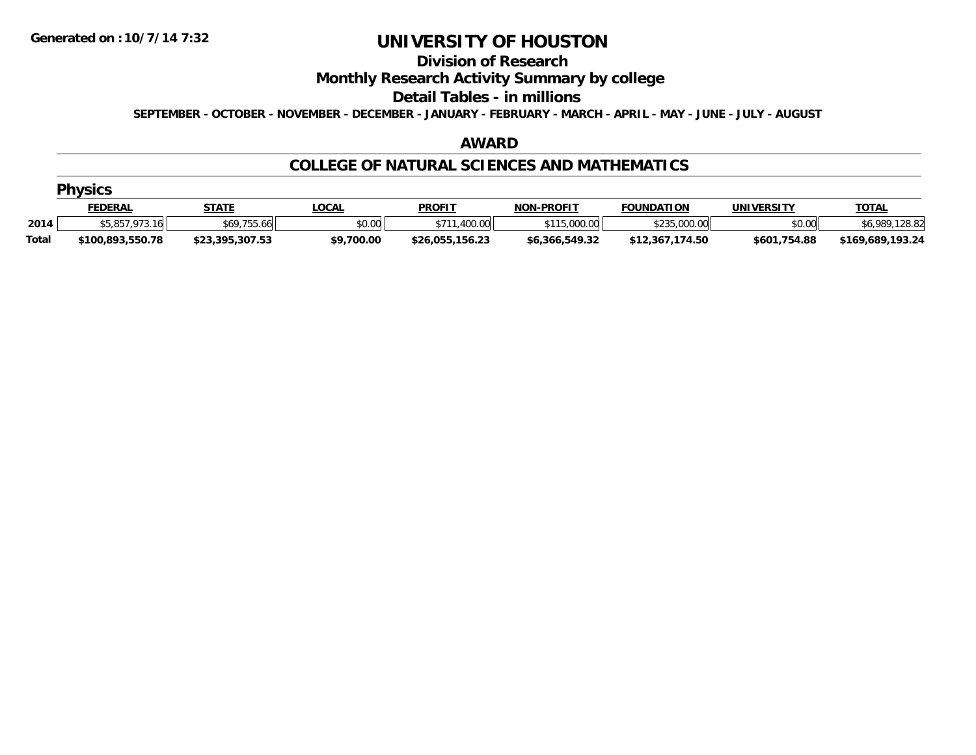#### **Division of Research**

### **Monthly Research Activity Summary by college**

#### **Detail Tables - in millions**

**SEPTEMBER - OCTOBER - NOVEMBER - DECEMBER - JANUARY - FEBRUARY - MARCH - APRIL - MAY - JUNE - JULY - AUGUST**

#### **AWARD**

### **COLLEGE OF NATURAL SCIENCES AND MATHEMATICS**

|  | . . | IVS<br>١Ι |  |
|--|-----|-----------|--|
|  |     |           |  |

|       | <b>FEDERAL</b>                                                          | <b>STATE</b>                                                        | .OCAL      | <b>PROFIT</b>   | <b>NON-PROFIT</b>          | <b>FOUNDATION</b>                          | UNIVERSITY   | <b>TOTAL</b>     |
|-------|-------------------------------------------------------------------------|---------------------------------------------------------------------|------------|-----------------|----------------------------|--------------------------------------------|--------------|------------------|
| 2014  | $\triangle$ C O C 7 0 7 2 $\triangle$<br>$.973.16$ <sup>1</sup><br>ט, ט | $\uparrow$ / $\uparrow$ 7 $\uparrow$ $\uparrow$<br>.755.66 '<br>১০৬ | \$0.00     | .400.00         | : nnn nn<br>611E<br>uuu.uu | <b>COOL</b> OOO OO<br>,uuu.uu<br>، ب ب ے پ | \$0.00       | 6.989.128.82     |
| Total | \$100.893.550.78                                                        | \$23,395,307.53                                                     | \$9,700.00 | \$26,055,156.23 | \$6,366,549.32             | 174.50<br>\$12.367                         | \$601,754.88 | \$169,689,193.24 |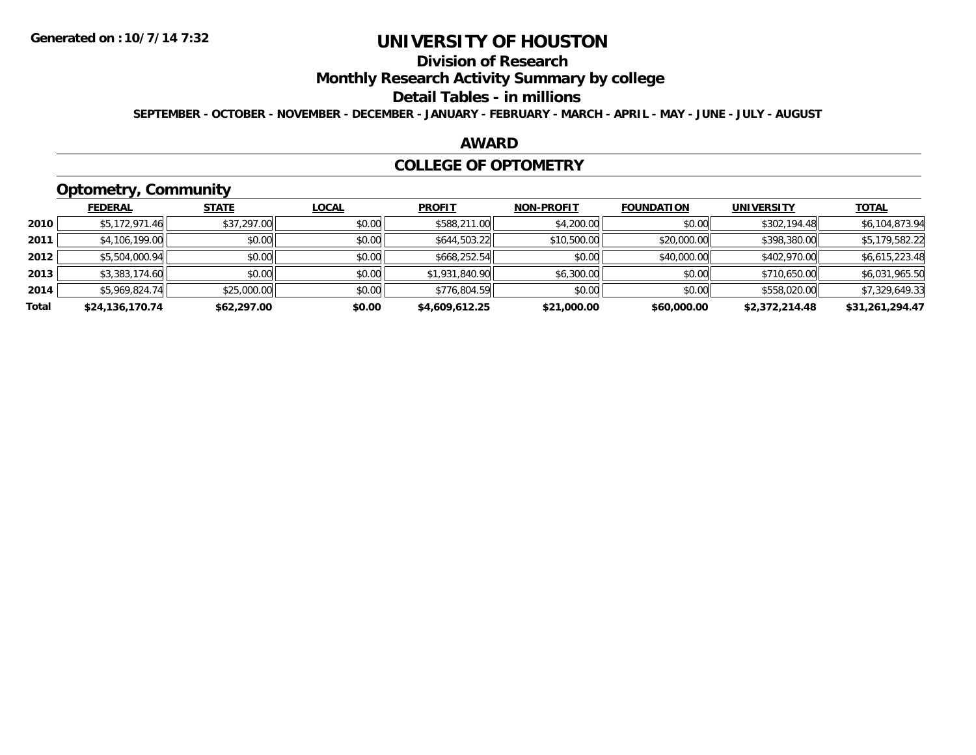# **Division of Research**

**Monthly Research Activity Summary by college**

#### **Detail Tables - in millions**

**SEPTEMBER - OCTOBER - NOVEMBER - DECEMBER - JANUARY - FEBRUARY - MARCH - APRIL - MAY - JUNE - JULY - AUGUST**

### **AWARD**

### **COLLEGE OF OPTOMETRY**

# **Optometry, Community**

|       | .               |              |              |                |                   |                   |                   |                 |
|-------|-----------------|--------------|--------------|----------------|-------------------|-------------------|-------------------|-----------------|
|       | <b>FEDERAL</b>  | <b>STATE</b> | <u>LOCAL</u> | <b>PROFIT</b>  | <b>NON-PROFIT</b> | <b>FOUNDATION</b> | <b>UNIVERSITY</b> | <b>TOTAL</b>    |
| 2010  | \$5,172,971.46  | \$37,297.00  | \$0.00       | \$588,211.00   | \$4,200.00        | \$0.00            | \$302,194.48      | \$6,104,873.94  |
| 2011  | \$4,106,199.00  | \$0.00       | \$0.00       | \$644,503.22   | \$10,500.00       | \$20,000.00       | \$398,380,00      | \$5,179,582.22  |
| 2012  | \$5,504,000.94  | \$0.00       | \$0.00       | \$668,252.54   | \$0.00            | \$40,000.00       | \$402,970.00      | \$6,615,223.48  |
| 2013  | \$3,383,174.60  | \$0.00       | \$0.00       | \$1,931,840.90 | \$6,300.00        | \$0.00            | \$710,650.00      | \$6,031,965.50  |
| 2014  | \$5,969,824.74  | \$25,000.00  | \$0.00       | \$776,804.59   | \$0.00            | \$0.00            | \$558,020.00      | \$7,329,649.33  |
| Total | \$24,136,170.74 | \$62,297.00  | \$0.00       | \$4,609,612.25 | \$21,000.00       | \$60,000.00       | \$2,372,214.48    | \$31,261,294.47 |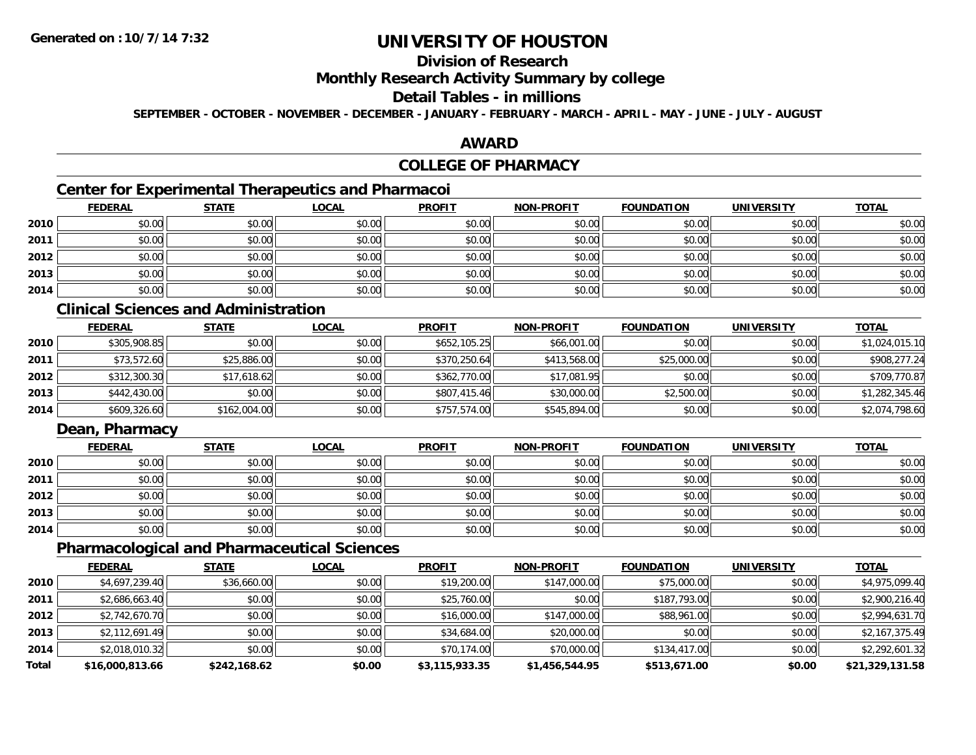## **Division of Research**

### **Monthly Research Activity Summary by college**

## **Detail Tables - in millions**

**SEPTEMBER - OCTOBER - NOVEMBER - DECEMBER - JANUARY - FEBRUARY - MARCH - APRIL - MAY - JUNE - JULY - AUGUST**

### **AWARD**

## **COLLEGE OF PHARMACY**

# **Center for Experimental Therapeutics and Pharmacoi**

|      | <b>FEDERAL</b> | <b>STATE</b> | <u>LOCAL</u> | <b>PROFIT</b> | <b>NON-PROFIT</b> | <b>FOUNDATION</b> | <b>UNIVERSITY</b> | <b>TOTAL</b> |
|------|----------------|--------------|--------------|---------------|-------------------|-------------------|-------------------|--------------|
| 2010 | \$0.00         | \$0.00       | \$0.00       | \$0.00        | \$0.00            | \$0.00            | \$0.00            | \$0.00       |
| 2011 | \$0.00         | \$0.00       | \$0.00       | \$0.00        | \$0.00            | \$0.00            | \$0.00            | \$0.00       |
| 2012 | \$0.00         | \$0.00       | \$0.00       | \$0.00        | \$0.00            | \$0.00            | \$0.00            | \$0.00       |
| 2013 | \$0.00         | \$0.00       | \$0.00       | \$0.00        | \$0.00            | \$0.00            | \$0.00            | \$0.00       |
| 2014 | \$0.00         | \$0.00       | \$0.00       | \$0.00        | \$0.00            | \$0.00            | \$0.00            | \$0.00       |

# **Clinical Sciences and Administration**

|      | <b>FEDERAL</b> | <b>STATE</b> | <b>LOCAL</b> | <b>PROFIT</b> | <b>NON-PROFIT</b> | <b>FOUNDATION</b> | <b>UNIVERSITY</b> | <b>TOTAL</b>   |
|------|----------------|--------------|--------------|---------------|-------------------|-------------------|-------------------|----------------|
| 2010 | \$305,908.85   | \$0.00       | \$0.00       | \$652,105.25  | \$66,001.00       | \$0.00            | \$0.00            | \$1,024,015.10 |
| 2011 | \$73,572.60    | \$25,886.00  | \$0.00       | \$370,250.64  | \$413,568.00      | \$25,000.00       | \$0.00            | \$908,277.24   |
| 2012 | \$312,300.30   | \$17,618.62  | \$0.00       | \$362,770.00  | \$17,081.95       | \$0.00            | \$0.00            | \$709,770.87   |
| 2013 | \$442,430.00   | \$0.00       | \$0.00       | \$807,415.46  | \$30,000.00       | \$2,500.00        | \$0.00            | \$1,282,345.46 |
| 2014 | \$609,326.60   | \$162,004.00 | \$0.00       | \$757,574.00  | \$545,894.00      | \$0.00            | \$0.00            | \$2,074,798.60 |

## **Dean, Pharmacy**

|      | <b>FEDERAL</b> | <b>STATE</b> | <b>LOCAL</b> | <b>PROFIT</b> | <b>NON-PROFIT</b> | <b>FOUNDATION</b> | <b>UNIVERSITY</b> | <b>TOTAL</b> |
|------|----------------|--------------|--------------|---------------|-------------------|-------------------|-------------------|--------------|
| 2010 | \$0.00         | \$0.00       | \$0.00       | \$0.00        | \$0.00            | \$0.00            | \$0.00            | \$0.00       |
| 2011 | \$0.00         | \$0.00       | \$0.00       | \$0.00        | \$0.00            | \$0.00            | \$0.00            | \$0.00       |
| 2012 | \$0.00         | \$0.00       | \$0.00       | \$0.00        | \$0.00            | \$0.00            | \$0.00            | \$0.00       |
| 2013 | \$0.00         | \$0.00       | \$0.00       | \$0.00        | \$0.00            | \$0.00            | \$0.00            | \$0.00       |
| 2014 | \$0.00         | \$0.00       | \$0.00       | \$0.00        | \$0.00            | \$0.00            | \$0.00            | \$0.00       |

### **Pharmacological and Pharmaceutical Sciences**

|              | <b>FEDERAL</b>  | <b>STATE</b> | <u>LOCAL</u> | <b>PROFIT</b>  | <b>NON-PROFIT</b> | <b>FOUNDATION</b> | <b>UNIVERSITY</b> | <b>TOTAL</b>    |
|--------------|-----------------|--------------|--------------|----------------|-------------------|-------------------|-------------------|-----------------|
| 2010         | \$4,697,239.40  | \$36,660.00  | \$0.00       | \$19,200.00    | \$147,000.00      | \$75,000.00       | \$0.00            | \$4,975,099.40  |
| 2011         | \$2,686,663.40  | \$0.00       | \$0.00       | \$25,760.00    | \$0.00            | \$187,793.00      | \$0.00            | \$2,900,216.40  |
| 2012         | \$2,742,670.70  | \$0.00       | \$0.00       | \$16,000.00    | \$147,000.00      | \$88,961.00       | \$0.00            | \$2,994,631.70  |
| 2013         | \$2,112,691.49  | \$0.00       | \$0.00       | \$34,684.00    | \$20,000.00       | \$0.00            | \$0.00            | \$2,167,375.49  |
| 2014         | \$2,018,010.32  | \$0.00       | \$0.00       | \$70,174.00    | \$70,000.00       | \$134,417.00      | \$0.00            | \$2,292,601.32  |
| <b>Total</b> | \$16,000,813.66 | \$242,168.62 | \$0.00       | \$3,115,933.35 | \$1,456,544.95    | \$513,671.00      | \$0.00            | \$21,329,131.58 |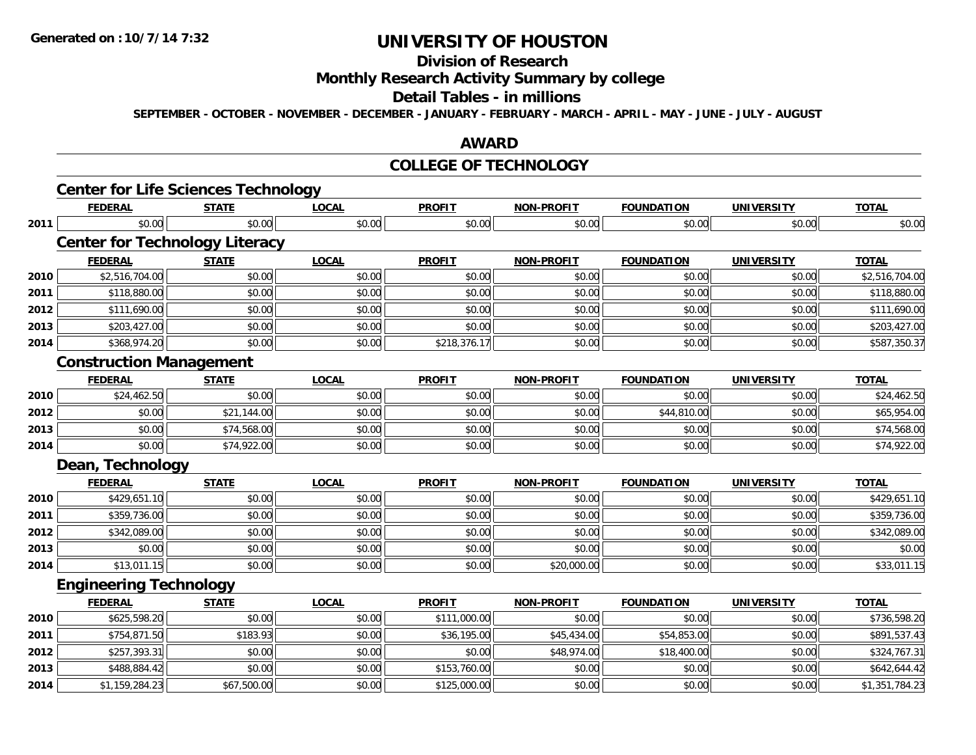# **Division of Research**

**Monthly Research Activity Summary by college**

#### **Detail Tables - in millions**

**SEPTEMBER - OCTOBER - NOVEMBER - DECEMBER - JANUARY - FEBRUARY - MARCH - APRIL - MAY - JUNE - JULY - AUGUST**

### **AWARD**

### **COLLEGE OF TECHNOLOGY**

|      | <b>FEDERAL</b>                        | <b>STATE</b> | <b>LOCAL</b> | <b>PROFIT</b> | <b>NON-PROFIT</b> | <b>FOUNDATION</b> | <b>UNIVERSITY</b> | <b>TOTAL</b>   |
|------|---------------------------------------|--------------|--------------|---------------|-------------------|-------------------|-------------------|----------------|
| 2011 | \$0.00                                | \$0.00       | \$0.00       | \$0.00        | \$0.00            | \$0.00            | \$0.00            | \$0.00         |
|      | <b>Center for Technology Literacy</b> |              |              |               |                   |                   |                   |                |
|      | <b>FEDERAL</b>                        | <b>STATE</b> | <b>LOCAL</b> | <b>PROFIT</b> | <b>NON-PROFIT</b> | <b>FOUNDATION</b> | <b>UNIVERSITY</b> | <b>TOTAL</b>   |
| 2010 | \$2,516,704.00                        | \$0.00       | \$0.00       | \$0.00        | \$0.00            | \$0.00            | \$0.00            | \$2,516,704.00 |
| 2011 | \$118,880.00                          | \$0.00       | \$0.00       | \$0.00        | \$0.00            | \$0.00            | \$0.00            | \$118,880.00   |
| 2012 | \$111,690.00                          | \$0.00       | \$0.00       | \$0.00        | \$0.00            | \$0.00            | \$0.00            | \$111,690.00   |
| 2013 | \$203,427.00                          | \$0.00       | \$0.00       | \$0.00        | \$0.00            | \$0.00            | \$0.00            | \$203,427.00   |
| 2014 | \$368,974.20                          | \$0.00       | \$0.00       | \$218,376.17  | \$0.00            | \$0.00            | \$0.00            | \$587,350.37   |
|      | <b>Construction Management</b>        |              |              |               |                   |                   |                   |                |
|      | <b>FEDERAL</b>                        | <b>STATE</b> | <b>LOCAL</b> | <b>PROFIT</b> | <b>NON-PROFIT</b> | <b>FOUNDATION</b> | <b>UNIVERSITY</b> | <b>TOTAL</b>   |
| 2010 | \$24,462.50                           | \$0.00       | \$0.00       | \$0.00        | \$0.00            | \$0.00            | \$0.00            | \$24,462.50    |
| 2012 | \$0.00                                | \$21,144.00  | \$0.00       | \$0.00        | \$0.00            | \$44,810.00       | \$0.00            | \$65,954.00    |
| 2013 | \$0.00                                | \$74,568.00  | \$0.00       | \$0.00        | \$0.00            | \$0.00            | \$0.00            | \$74,568.00    |
| 2014 | \$0.00                                | \$74,922.00  | \$0.00       | \$0.00        | \$0.00            | \$0.00            | \$0.00            | \$74,922.00    |
|      | Dean, Technology                      |              |              |               |                   |                   |                   |                |
|      | <b>FEDERAL</b>                        | <b>STATE</b> | <b>LOCAL</b> | <b>PROFIT</b> | <b>NON-PROFIT</b> | <b>FOUNDATION</b> | <b>UNIVERSITY</b> | <b>TOTAL</b>   |
| 2010 | \$429,651.10                          | \$0.00       | \$0.00       | \$0.00        | \$0.00            | \$0.00            | \$0.00            | \$429,651.10   |
| 2011 | \$359,736.00                          | \$0.00       | \$0.00       | \$0.00        | \$0.00            | \$0.00            | \$0.00            | \$359,736.00   |
| 2012 | \$342,089.00                          | \$0.00       | \$0.00       | \$0.00        | \$0.00            | \$0.00            | \$0.00            | \$342,089.00   |
| 2013 | \$0.00                                | \$0.00       | \$0.00       | \$0.00        | \$0.00            | \$0.00            | \$0.00            | \$0.00         |
| 2014 | \$13,011.15                           | \$0.00       | \$0.00       | \$0.00        | \$20,000.00       | \$0.00            | \$0.00            | \$33,011.15    |
|      | <b>Engineering Technology</b>         |              |              |               |                   |                   |                   |                |
|      | <b>FEDERAL</b>                        | <b>STATE</b> | <b>LOCAL</b> | <b>PROFIT</b> | <b>NON-PROFIT</b> | <b>FOUNDATION</b> | <b>UNIVERSITY</b> | <b>TOTAL</b>   |
| 2010 | \$625,598.20                          | \$0.00       | \$0.00       | \$111,000.00  | \$0.00            | \$0.00            | \$0.00            | \$736,598.20   |
| 2011 | \$754,871.50                          | \$183.93     | \$0.00       | \$36,195.00   | \$45,434.00       | \$54,853.00       | \$0.00            | \$891,537.43   |
| 2012 | \$257,393.31                          | \$0.00       | \$0.00       | \$0.00        | \$48,974.00       | \$18,400.00       | \$0.00            | \$324,767.31   |
| 2013 | \$488,884.42                          | \$0.00       | \$0.00       | \$153,760.00  | \$0.00            | \$0.00            | \$0.00            | \$642,644.42   |
| 2014 | \$1,159,284.23                        | \$67,500.00  | \$0.00       | \$125,000.00  | \$0.00            | \$0.00            | \$0.00            | \$1,351,784.23 |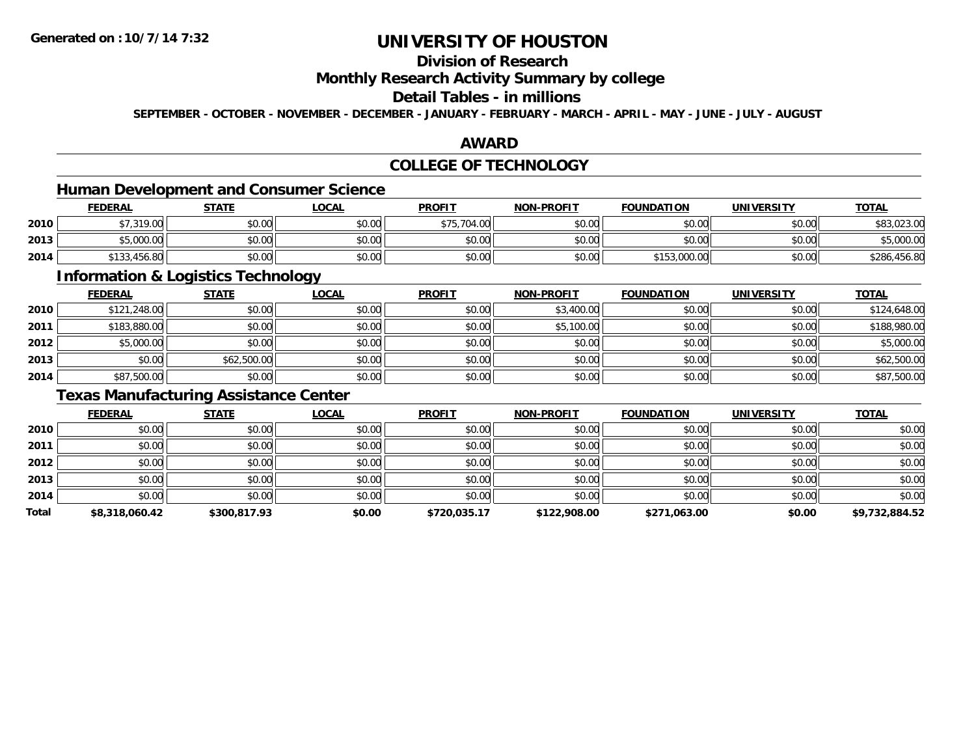## **Division of Research**

### **Monthly Research Activity Summary by college**

### **Detail Tables - in millions**

**SEPTEMBER - OCTOBER - NOVEMBER - DECEMBER - JANUARY - FEBRUARY - MARCH - APRIL - MAY - JUNE - JULY - AUGUST**

### **AWARD**

## **COLLEGE OF TECHNOLOGY**

# **Human Development and Consumer Science**

|      | <b>FEDERAL</b> | <u>STATE</u> | <b>LOCAL</b> | <b>PROFIT</b> | <b>NON-PROFIT</b> | <b>FOUNDATION</b> | <b>UNIVERSITY</b> | <b>TOTAL</b> |
|------|----------------|--------------|--------------|---------------|-------------------|-------------------|-------------------|--------------|
| 2010 | \$7,319.00     | \$0.00       | \$0.00       | \$75,704.00   | \$0.00            | \$0.00            | \$0.00            | \$83,023.00  |
| 2013 | \$5,000.00     | \$0.00       | \$0.00       | \$0.00        | \$0.00            | \$0.00            | \$0.00            | \$5,000.00   |
| 2014 | \$133,456.80   | \$0.00       | \$0.00       | \$0.00        | \$0.00            | \$153,000.00      | \$0.00            | \$286,456.80 |

<u> 1989 - Johann Stoff, deutscher Stoffen und der Stoffen und der Stoffen und der Stoffen und der Stoffen und de</u>

### **Information & Logistics Technology**

|      | <b>FEDERAL</b> | <b>STATE</b> | <u>LOCAL</u> | <b>PROFIT</b> | <b>NON-PROFIT</b> | <b>FOUNDATION</b> | <b>UNIVERSITY</b> | <b>TOTAL</b> |
|------|----------------|--------------|--------------|---------------|-------------------|-------------------|-------------------|--------------|
| 2010 | \$121,248.00   | \$0.00       | \$0.00       | \$0.00        | \$3,400.00        | \$0.00            | \$0.00            | \$124,648.00 |
| 2011 | \$183,880.00   | \$0.00       | \$0.00       | \$0.00        | \$5,100.00        | \$0.00            | \$0.00            | \$188,980.00 |
| 2012 | \$5,000.00     | \$0.00       | \$0.00       | \$0.00        | \$0.00            | \$0.00            | \$0.00            | \$5,000.00   |
| 2013 | \$0.00         | \$62,500.00  | \$0.00       | \$0.00        | \$0.00            | \$0.00            | \$0.00            | \$62,500.00  |
| 2014 | \$87,500.00    | \$0.00       | \$0.00       | \$0.00        | \$0.00            | \$0.00            | \$0.00            | \$87,500.00  |

## **Texas Manufacturing Assistance Center**

|       | <b>FEDERAL</b> | <b>STATE</b> | <u>LOCAL</u> | <b>PROFIT</b> | <b>NON-PROFIT</b> | <b>FOUNDATION</b> | <b>UNIVERSITY</b> | <b>TOTAL</b>   |
|-------|----------------|--------------|--------------|---------------|-------------------|-------------------|-------------------|----------------|
| 2010  | \$0.00         | \$0.00       | \$0.00       | \$0.00        | \$0.00            | \$0.00            | \$0.00            | \$0.00         |
| 2011  | \$0.00         | \$0.00       | \$0.00       | \$0.00        | \$0.00            | \$0.00            | \$0.00            | \$0.00         |
| 2012  | \$0.00         | \$0.00       | \$0.00       | \$0.00        | \$0.00            | \$0.00            | \$0.00            | \$0.00         |
| 2013  | \$0.00         | \$0.00       | \$0.00       | \$0.00        | \$0.00            | \$0.00            | \$0.00            | \$0.00         |
| 2014  | \$0.00         | \$0.00       | \$0.00       | \$0.00        | \$0.00            | \$0.00            | \$0.00            | \$0.00         |
| Total | \$8,318,060.42 | \$300,817.93 | \$0.00       | \$720,035.17  | \$122,908.00      | \$271,063.00      | \$0.00            | \$9,732,884.52 |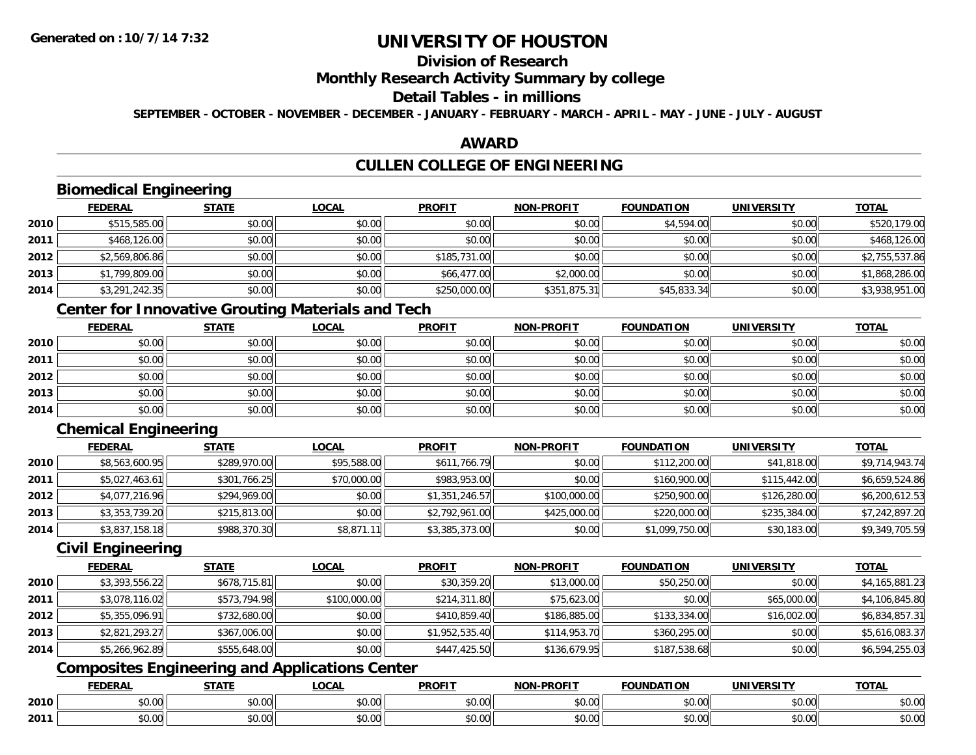## **Division of Research**

### **Monthly Research Activity Summary by college**

## **Detail Tables - in millions**

**SEPTEMBER - OCTOBER - NOVEMBER - DECEMBER - JANUARY - FEBRUARY - MARCH - APRIL - MAY - JUNE - JULY - AUGUST**

### **AWARD**

# **CULLEN COLLEGE OF ENGINEERING**

# **Biomedical Engineering**

|      | <b>FEDERAL</b> | <b>STATE</b> | <b>LOCAL</b> | <b>PROFIT</b> | <b>NON-PROFIT</b> | <b>FOUNDATION</b> | <b>UNIVERSITY</b> | <b>TOTAL</b>   |
|------|----------------|--------------|--------------|---------------|-------------------|-------------------|-------------------|----------------|
| 2010 | \$515,585.00   | \$0.00       | \$0.00       | \$0.00        | \$0.00            | \$4,594.00        | \$0.00            | \$520,179.00   |
| 2011 | \$468,126.00   | \$0.00       | \$0.00       | \$0.00        | \$0.00            | \$0.00            | \$0.00            | \$468,126.00   |
| 2012 | \$2,569,806.86 | \$0.00       | \$0.00       | \$185,731.00  | \$0.00            | \$0.00            | \$0.00            | \$2,755,537.86 |
| 2013 | \$1,799,809.00 | \$0.00       | \$0.00       | \$66,477.00   | \$2,000.00        | \$0.00            | \$0.00            | \$1,868,286.00 |
| 2014 | \$3,291,242.35 | \$0.00       | \$0.00       | \$250,000.00  | \$351,875.31      | \$45,833.34       | \$0.00            | \$3,938,951.00 |

## **Center for Innovative Grouting Materials and Tech**

|      | <b>FEDERAL</b> | <b>STATE</b> | <u>LOCAL</u> | <b>PROFIT</b> | <b>NON-PROFIT</b> | <b>FOUNDATION</b> | <b>UNIVERSITY</b> | <b>TOTAL</b> |
|------|----------------|--------------|--------------|---------------|-------------------|-------------------|-------------------|--------------|
| 2010 | \$0.00         | \$0.00       | \$0.00       | \$0.00        | \$0.00            | \$0.00            | \$0.00            | \$0.00       |
| 2011 | \$0.00         | \$0.00       | \$0.00       | \$0.00        | \$0.00            | \$0.00            | \$0.00            | \$0.00       |
| 2012 | \$0.00         | \$0.00       | \$0.00       | \$0.00        | \$0.00            | \$0.00            | \$0.00            | \$0.00       |
| 2013 | \$0.00         | \$0.00       | \$0.00       | \$0.00        | \$0.00            | \$0.00            | \$0.00            | \$0.00       |
| 2014 | \$0.00         | \$0.00       | \$0.00       | \$0.00        | \$0.00            | \$0.00            | \$0.00            | \$0.00       |

# **Chemical Engineering**

|      | <b>FEDERAL</b> | <b>STATE</b> | <b>LOCAL</b> | <b>PROFIT</b>  | <b>NON-PROFIT</b> | <b>FOUNDATION</b> | <b>UNIVERSITY</b> | <b>TOTAL</b>   |
|------|----------------|--------------|--------------|----------------|-------------------|-------------------|-------------------|----------------|
| 2010 | \$8,563,600.95 | \$289,970.00 | \$95,588.00  | \$611,766.79   | \$0.00            | \$112,200.00      | \$41,818.00       | \$9,714,943.74 |
| 2011 | \$5,027,463.61 | \$301,766.25 | \$70,000.00  | \$983,953.00   | \$0.00            | \$160,900.00      | \$115,442.00      | \$6,659,524.86 |
| 2012 | \$4,077,216.96 | \$294,969.00 | \$0.00       | \$1,351,246.57 | \$100,000.00      | \$250,900.00      | \$126,280.00      | \$6,200,612.53 |
| 2013 | \$3,353,739.20 | \$215,813.00 | \$0.00       | \$2,792,961.00 | \$425,000.00      | \$220,000.00      | \$235,384.00      | \$7,242,897.20 |
| 2014 | \$3,837,158.18 | \$988,370.30 | \$8,871.11   | \$3,385,373.00 | \$0.00            | \$1,099,750.00    | \$30,183.00       | \$9,349,705.59 |

### **Civil Engineering**

|      | <b>FEDERAL</b> | <b>STATE</b> | <b>LOCAL</b> | <b>PROFIT</b>  | <b>NON-PROFIT</b> | <b>FOUNDATION</b> | <b>UNIVERSITY</b> | <b>TOTAL</b>   |
|------|----------------|--------------|--------------|----------------|-------------------|-------------------|-------------------|----------------|
| 2010 | \$3,393,556.22 | \$678,715.81 | \$0.00       | \$30,359.20    | \$13,000.00       | \$50,250.00       | \$0.00            | \$4,165,881.23 |
| 2011 | \$3,078,116.02 | \$573,794.98 | \$100,000.00 | \$214,311.80   | \$75,623.00       | \$0.00            | \$65,000.00       | \$4,106,845.80 |
| 2012 | \$5,355,096.91 | \$732,680.00 | \$0.00       | \$410,859.40   | \$186,885.00      | \$133,334.00      | \$16,002.00       | \$6,834,857.31 |
| 2013 | \$2,821,293.27 | \$367,006.00 | \$0.00       | \$1,952,535.40 | \$114,953.70      | \$360,295.00      | \$0.00            | \$5,616,083.37 |
| 2014 | \$5,266,962.89 | \$555,648.00 | \$0.00       | \$447,425.50   | \$136,679.95      | \$187,538.68      | \$0.00            | \$6,594,255.03 |

## **Composites Engineering and Applications Center**

|      | <b>FEDERAL</b>          | <b>STATE</b> | <b>_OCAL</b>       | <b>PROFIT</b> | <b>NON-PROFIT</b><br>. RUF : | <b>FOUNDATION</b> | <b>UNIVERSITY</b>    | <b>TOTAL</b>         |
|------|-------------------------|--------------|--------------------|---------------|------------------------------|-------------------|----------------------|----------------------|
| 2010 | $n \cap \Omega$<br>U.UU | ሖ ሰ<br>JU.UU | $\sim$ 00<br>JU.UU | 0000<br>JU.UU | 0.00<br>JU.UU                | \$0.00            | 0.00<br><b>JU.UU</b> | 0.00<br><b>JU.UU</b> |
| 2011 | \$0.00                  | ÷0.<br>JU.UU | $\sim$ 00<br>JU.UU | 0000<br>JU.UU | 0.00<br>PO.OO                | \$0.00            | 0000<br>\$0.00       | \$0.00               |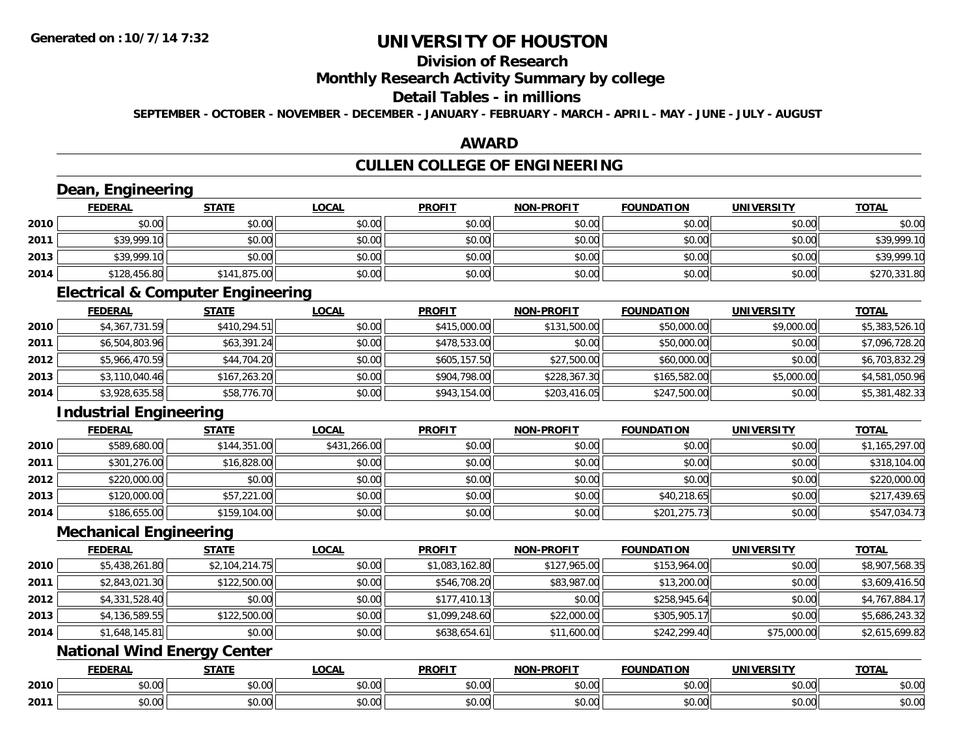**2011**

# **UNIVERSITY OF HOUSTON**

# **Division of Research**

### **Monthly Research Activity Summary by college**

#### **Detail Tables - in millions**

**SEPTEMBER - OCTOBER - NOVEMBER - DECEMBER - JANUARY - FEBRUARY - MARCH - APRIL - MAY - JUNE - JULY - AUGUST**

### **AWARD**

## **CULLEN COLLEGE OF ENGINEERING**

|      | Dean, Engineering                            |                |              |                |                   |                   |                   |                |
|------|----------------------------------------------|----------------|--------------|----------------|-------------------|-------------------|-------------------|----------------|
|      | <b>FEDERAL</b>                               | <b>STATE</b>   | <b>LOCAL</b> | <b>PROFIT</b>  | <b>NON-PROFIT</b> | <b>FOUNDATION</b> | <b>UNIVERSITY</b> | <b>TOTAL</b>   |
| 2010 | \$0.00                                       | \$0.00         | \$0.00       | \$0.00         | \$0.00            | \$0.00            | \$0.00            | \$0.00         |
| 2011 | \$39,999.10                                  | \$0.00         | \$0.00       | \$0.00         | \$0.00            | \$0.00            | \$0.00            | \$39,999.10    |
| 2013 | \$39,999.10                                  | \$0.00         | \$0.00       | \$0.00         | \$0.00            | \$0.00            | \$0.00            | \$39,999.10    |
| 2014 | \$128,456.80                                 | \$141,875.00   | \$0.00       | \$0.00         | \$0.00            | \$0.00            | \$0.00            | \$270,331.80   |
|      | <b>Electrical &amp; Computer Engineering</b> |                |              |                |                   |                   |                   |                |
|      | <b>FEDERAL</b>                               | <b>STATE</b>   | <b>LOCAL</b> | <b>PROFIT</b>  | <b>NON-PROFIT</b> | <b>FOUNDATION</b> | <b>UNIVERSITY</b> | <b>TOTAL</b>   |
| 2010 | \$4,367,731.59                               | \$410,294.51   | \$0.00       | \$415,000.00   | \$131,500.00      | \$50,000.00       | \$9,000.00        | \$5,383,526.10 |
| 2011 | \$6,504,803.96                               | \$63,391.24    | \$0.00       | \$478,533.00   | \$0.00            | \$50,000.00       | \$0.00            | \$7,096,728.20 |
| 2012 | \$5,966,470.59                               | \$44,704.20    | \$0.00       | \$605,157.50   | \$27,500.00       | \$60,000.00       | \$0.00            | \$6,703,832.29 |
| 2013 | \$3,110,040.46                               | \$167,263.20   | \$0.00       | \$904,798.00   | \$228,367.30      | \$165,582.00      | \$5,000.00        | \$4,581,050.96 |
| 2014 | \$3,928,635.58                               | \$58,776.70    | \$0.00       | \$943,154.00   | \$203,416.05      | \$247,500.00      | \$0.00            | \$5,381,482.33 |
|      | <b>Industrial Engineering</b>                |                |              |                |                   |                   |                   |                |
|      | <b>FEDERAL</b>                               | <b>STATE</b>   | <b>LOCAL</b> | <b>PROFIT</b>  | <b>NON-PROFIT</b> | <b>FOUNDATION</b> | <b>UNIVERSITY</b> | <b>TOTAL</b>   |
| 2010 | \$589,680.00                                 | \$144,351.00   | \$431,266.00 | \$0.00         | \$0.00            | \$0.00            | \$0.00            | \$1,165,297.00 |
| 2011 | \$301,276.00                                 | \$16,828.00    | \$0.00       | \$0.00         | \$0.00            | \$0.00            | \$0.00            | \$318,104.00   |
| 2012 | \$220,000.00                                 | \$0.00         | \$0.00       | \$0.00         | \$0.00            | \$0.00            | \$0.00            | \$220,000.00   |
| 2013 | \$120,000.00                                 | \$57,221.00    | \$0.00       | \$0.00         | \$0.00            | \$40,218.65       | \$0.00            | \$217,439.65   |
| 2014 | \$186,655.00                                 | \$159,104.00   | \$0.00       | \$0.00         | \$0.00            | \$201,275.73      | \$0.00            | \$547,034.73   |
|      | <b>Mechanical Engineering</b>                |                |              |                |                   |                   |                   |                |
|      | <b>FEDERAL</b>                               | <b>STATE</b>   | <b>LOCAL</b> | <b>PROFIT</b>  | <b>NON-PROFIT</b> | <b>FOUNDATION</b> | <b>UNIVERSITY</b> | <b>TOTAL</b>   |
| 2010 | \$5,438,261.80                               | \$2,104,214.75 | \$0.00       | \$1,083,162.80 | \$127,965.00      | \$153,964.00      | \$0.00            | \$8,907,568.35 |
| 2011 | \$2,843,021.30                               | \$122,500.00   | \$0.00       | \$546,708.20   | \$83,987.00       | \$13,200.00       | \$0.00            | \$3,609,416.50 |
| 2012 | \$4,331,528.40                               | \$0.00         | \$0.00       | \$177,410.13   | \$0.00            | \$258,945.64      | \$0.00            | \$4,767,884.17 |
| 2013 | \$4,136,589.55                               | \$122,500.00   | \$0.00       | \$1,099,248.60 | \$22,000.00       | \$305,905.17      | \$0.00            | \$5,686,243.32 |
| 2014 | \$1,648,145.81                               | \$0.00         | \$0.00       | \$638,654.61   | \$11,600.00       | \$242,299.40      | \$75,000.00       | \$2,615,699.82 |
|      | <b>National Wind Energy Center</b>           |                |              |                |                   |                   |                   |                |
|      | <b>FEDERAL</b>                               | <b>STATE</b>   | <b>LOCAL</b> | <b>PROFIT</b>  | <b>NON-PROFIT</b> | <b>FOUNDATION</b> | <b>UNIVERSITY</b> | <b>TOTAL</b>   |
| 2010 | \$0.00                                       | \$0.00         | \$0.00       | \$0.00         | \$0.00            | \$0.00            | \$0.00            | \$0.00         |
|      |                                              |                |              |                |                   |                   |                   |                |

1 \$0.00 \$0.00 \$0.00 \$0.00 \$0.00 \$0.00 \$0.00 \$0.00 \$0.00 \$0.00 \$0.00 \$0.00 \$0.00 \$0.00 \$0.00 \$0.00 \$0.00 \$0.00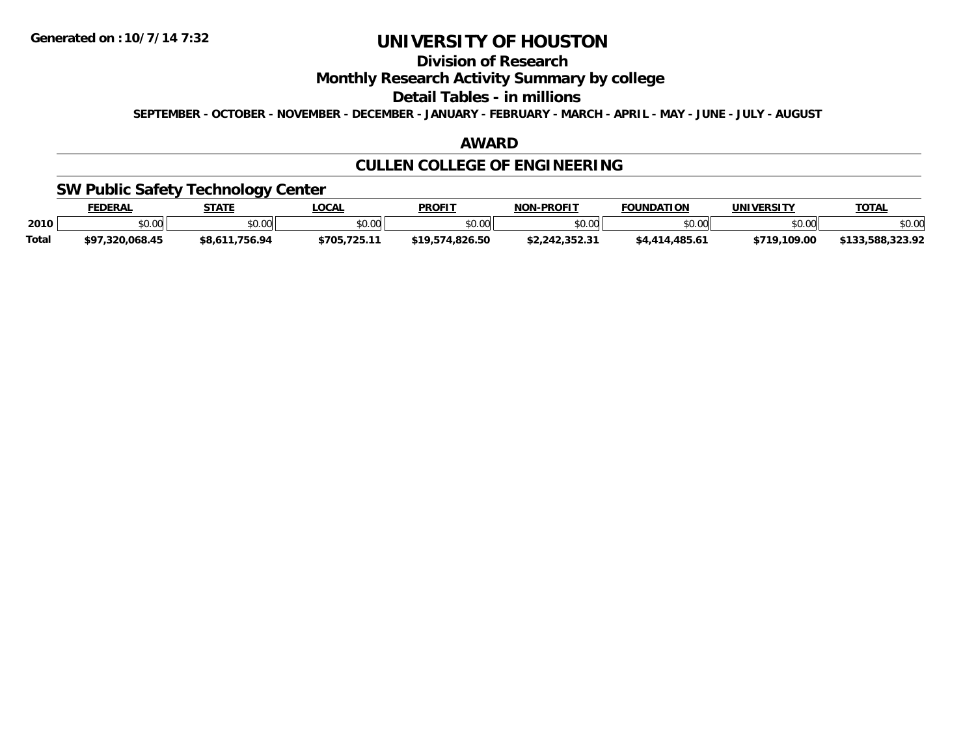# **Division of Research**

### **Monthly Research Activity Summary by college**

#### **Detail Tables - in millions**

**SEPTEMBER - OCTOBER - NOVEMBER - DECEMBER - JANUARY - FEBRUARY - MARCH - APRIL - MAY - JUNE - JULY - AUGUST**

### **AWARD**

# **CULLEN COLLEGE OF ENGINEERING**

### **SW Public Safety Technology Center**

|       | <b>FEDERAL</b>      | <b>STATE</b>      | <b>LOCA</b>    | <b>PROFIT</b> | <b>NON-PROFIT</b>            | <b>FOUNDATION</b> | UNIVERSITY    | <b>TOTAL</b>                    |
|-------|---------------------|-------------------|----------------|---------------|------------------------------|-------------------|---------------|---------------------------------|
| 2010  | \$0.00              | \$0.00            | ልስ ሀህ<br>pv.uu | \$0.00        | 0.00                         | ≛∩ ∩∩lı<br>טט.טע  | 0000<br>JU.UU | \$0.00                          |
| Total | .320.068.45<br>\$97 | .756.94<br>\$8.61 | \$705.725.1    | 1.826.50      | <b>¢ C C R C N C C &amp;</b> | .485.61           | \$719.109.00  | 2220<br>.588.<br>ホィクク<br>323.72 |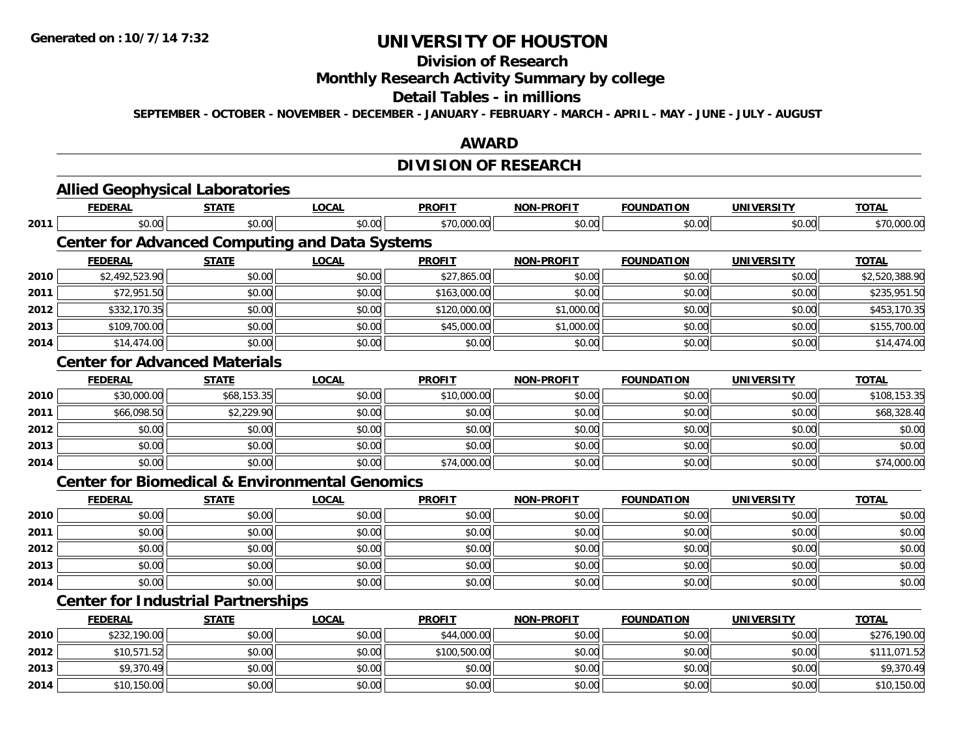**2014**

# **UNIVERSITY OF HOUSTON**

# **Division of Research**

# **Monthly Research Activity Summary by college**

#### **Detail Tables - in millions**

**SEPTEMBER - OCTOBER - NOVEMBER - DECEMBER - JANUARY - FEBRUARY - MARCH - APRIL - MAY - JUNE - JULY - AUGUST**

### **AWARD**

## **DIVISION OF RESEARCH**

|      | <b>Allied Geophysical Laboratories</b>                    |              |              |               |                   |                   |                   |                |
|------|-----------------------------------------------------------|--------------|--------------|---------------|-------------------|-------------------|-------------------|----------------|
|      | <b>FEDERAL</b>                                            | <b>STATE</b> | <b>LOCAL</b> | <b>PROFIT</b> | <b>NON-PROFIT</b> | <b>FOUNDATION</b> | <b>UNIVERSITY</b> | <b>TOTAL</b>   |
| 2011 | \$0.00                                                    | \$0.00       | \$0.00       | \$70,000.00   | \$0.00            | \$0.00            | \$0.00            | \$70,000.00    |
|      | <b>Center for Advanced Computing and Data Systems</b>     |              |              |               |                   |                   |                   |                |
|      | <b>FEDERAL</b>                                            | <b>STATE</b> | <b>LOCAL</b> | <b>PROFIT</b> | <b>NON-PROFIT</b> | <b>FOUNDATION</b> | <b>UNIVERSITY</b> | <b>TOTAL</b>   |
| 2010 | \$2,492,523.90                                            | \$0.00       | \$0.00       | \$27,865.00   | \$0.00            | \$0.00            | \$0.00            | \$2,520,388.90 |
| 2011 | \$72,951.50                                               | \$0.00       | \$0.00       | \$163,000.00  | \$0.00            | \$0.00            | \$0.00            | \$235,951.50   |
| 2012 | \$332,170.35                                              | \$0.00       | \$0.00       | \$120,000.00  | \$1,000.00        | \$0.00            | \$0.00            | \$453,170.35   |
| 2013 | \$109,700.00                                              | \$0.00       | \$0.00       | \$45,000.00   | \$1,000.00        | \$0.00            | \$0.00            | \$155,700.00   |
| 2014 | \$14,474.00                                               | \$0.00       | \$0.00       | \$0.00        | \$0.00            | \$0.00            | \$0.00            | \$14,474.00    |
|      | <b>Center for Advanced Materials</b>                      |              |              |               |                   |                   |                   |                |
|      | <b>FEDERAL</b>                                            | <b>STATE</b> | <b>LOCAL</b> | <b>PROFIT</b> | <b>NON-PROFIT</b> | <b>FOUNDATION</b> | <b>UNIVERSITY</b> | <b>TOTAL</b>   |
| 2010 | \$30,000.00                                               | \$68,153.35  | \$0.00       | \$10,000.00   | \$0.00            | \$0.00            | \$0.00            | \$108,153.35   |
| 2011 | \$66,098.50                                               | \$2,229.90   | \$0.00       | \$0.00        | \$0.00            | \$0.00            | \$0.00            | \$68,328.40    |
| 2012 | \$0.00                                                    | \$0.00       | \$0.00       | \$0.00        | \$0.00            | \$0.00            | \$0.00            | \$0.00         |
| 2013 | \$0.00                                                    | \$0.00       | \$0.00       | \$0.00        | \$0.00            | \$0.00            | \$0.00            | \$0.00         |
| 2014 | \$0.00                                                    | \$0.00       | \$0.00       | \$74,000.00   | \$0.00            | \$0.00            | \$0.00            | \$74,000.00    |
|      | <b>Center for Biomedical &amp; Environmental Genomics</b> |              |              |               |                   |                   |                   |                |
|      | <b>FEDERAL</b>                                            | <b>STATE</b> | <b>LOCAL</b> | <b>PROFIT</b> | <b>NON-PROFIT</b> | <b>FOUNDATION</b> | <b>UNIVERSITY</b> | <b>TOTAL</b>   |
| 2010 | \$0.00                                                    | \$0.00       | \$0.00       | \$0.00        | \$0.00            | \$0.00            | \$0.00            | \$0.00         |
| 2011 | \$0.00                                                    | \$0.00       | \$0.00       | \$0.00        | \$0.00            | \$0.00            | \$0.00            | \$0.00         |
| 2012 | \$0.00                                                    | \$0.00       | \$0.00       | \$0.00        | \$0.00            | \$0.00            | \$0.00            | \$0.00         |
| 2013 | \$0.00                                                    | \$0.00       | \$0.00       | \$0.00        | \$0.00            | \$0.00            | \$0.00            | \$0.00         |
| 2014 | \$0.00                                                    | \$0.00       | \$0.00       | \$0.00        | \$0.00            | \$0.00            | \$0.00            | \$0.00         |
|      | <b>Center for Industrial Partnerships</b>                 |              |              |               |                   |                   |                   |                |
|      | <b>FEDERAL</b>                                            | <b>STATE</b> | <b>LOCAL</b> | <b>PROFIT</b> | <b>NON-PROFIT</b> | <b>FOUNDATION</b> | <b>UNIVERSITY</b> | <b>TOTAL</b>   |
| 2010 | \$232,190.00                                              | \$0.00       | \$0.00       | \$44,000.00   | \$0.00            | \$0.00            | \$0.00            | \$276,190.00   |
| 2012 | \$10,571.52                                               | \$0.00       | \$0.00       | \$100,500.00  | \$0.00            | \$0.00            | \$0.00            | \$111,071.52   |
| 2013 | \$9,370.49                                                | \$0.00       | \$0.00       | \$0.00        | \$0.00            | \$0.00            | \$0.00            | \$9,370.49     |

4 \$10,150.00| \$0.00| \$0.00| \$0.00| \$0.00| \$0.00| \$10,150.00| \$10,150.00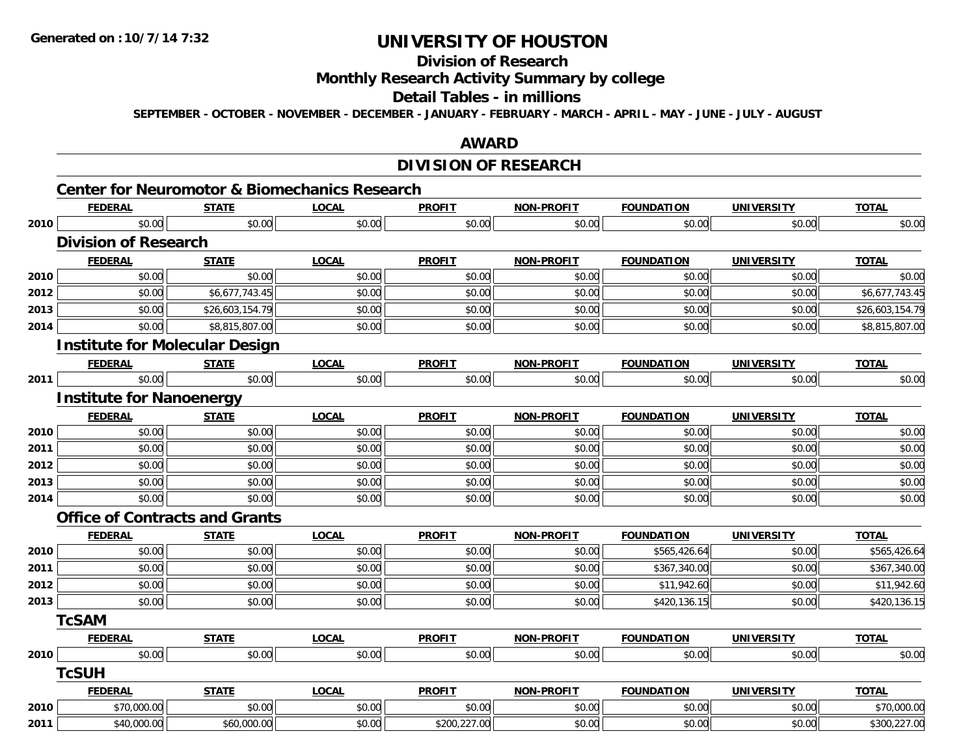**2011**

# **UNIVERSITY OF HOUSTON**

# **Division of Research**

### **Monthly Research Activity Summary by college**

#### **Detail Tables - in millions**

**SEPTEMBER - OCTOBER - NOVEMBER - DECEMBER - JANUARY - FEBRUARY - MARCH - APRIL - MAY - JUNE - JULY - AUGUST**

### **AWARD**

## **DIVISION OF RESEARCH**

|      | <b>FEDERAL</b>                        | <b>STATE</b>    | <b>Center for Neuromotor &amp; Biomechanics Research</b><br><b>LOCAL</b> | <b>PROFIT</b> | <b>NON-PROFIT</b> | <b>FOUNDATION</b> | <b>UNIVERSITY</b> | <b>TOTAL</b>    |
|------|---------------------------------------|-----------------|--------------------------------------------------------------------------|---------------|-------------------|-------------------|-------------------|-----------------|
| 2010 | \$0.00                                | \$0.00          | \$0.00                                                                   | \$0.00        | \$0.00            | \$0.00            | \$0.00            | \$0.00          |
|      | <b>Division of Research</b>           |                 |                                                                          |               |                   |                   |                   |                 |
|      | <b>FEDERAL</b>                        | <b>STATE</b>    | <b>LOCAL</b>                                                             | <b>PROFIT</b> | <b>NON-PROFIT</b> | <b>FOUNDATION</b> | <b>UNIVERSITY</b> | <b>TOTAL</b>    |
| 2010 | \$0.00                                | \$0.00          | \$0.00                                                                   | \$0.00        | \$0.00            | \$0.00            | \$0.00            | \$0.00          |
| 2012 | \$0.00                                | \$6,677,743.45  | \$0.00                                                                   | \$0.00        | \$0.00            | \$0.00            | \$0.00            | \$6,677,743.45  |
| 2013 | \$0.00                                | \$26,603,154.79 | \$0.00                                                                   | \$0.00        | \$0.00            | \$0.00            | \$0.00            | \$26,603,154.79 |
| 2014 | \$0.00                                | \$8,815,807.00  | \$0.00                                                                   | \$0.00        | \$0.00            | \$0.00            | \$0.00            | \$8,815,807.00  |
|      | <b>Institute for Molecular Design</b> |                 |                                                                          |               |                   |                   |                   |                 |
|      | <b>FEDERAL</b>                        | <b>STATE</b>    | <b>LOCAL</b>                                                             | <b>PROFIT</b> | <b>NON-PROFIT</b> | <b>FOUNDATION</b> | <b>UNIVERSITY</b> | <b>TOTAL</b>    |
| 2011 | \$0.00                                | \$0.00          | \$0.00                                                                   | \$0.00        | \$0.00            | \$0.00            | \$0.00            | \$0.00          |
|      | <b>Institute for Nanoenergy</b>       |                 |                                                                          |               |                   |                   |                   |                 |
|      | <b>FEDERAL</b>                        | <b>STATE</b>    | <b>LOCAL</b>                                                             | <b>PROFIT</b> | <b>NON-PROFIT</b> | <b>FOUNDATION</b> | <b>UNIVERSITY</b> | <b>TOTAL</b>    |
| 2010 | \$0.00                                | \$0.00          | \$0.00                                                                   | \$0.00        | \$0.00            | \$0.00            | \$0.00            | \$0.00          |
| 2011 | \$0.00                                | \$0.00          | \$0.00                                                                   | \$0.00        | \$0.00            | \$0.00            | \$0.00            | \$0.00          |
| 2012 | \$0.00                                | \$0.00          | \$0.00                                                                   | \$0.00        | \$0.00            | \$0.00            | \$0.00            | \$0.00          |
| 2013 | \$0.00                                | \$0.00          | \$0.00                                                                   | \$0.00        | \$0.00            | \$0.00            | \$0.00            | \$0.00          |
| 2014 | \$0.00                                | \$0.00          | \$0.00                                                                   | \$0.00        | \$0.00            | \$0.00            | \$0.00            | \$0.00          |
|      | <b>Office of Contracts and Grants</b> |                 |                                                                          |               |                   |                   |                   |                 |
|      | <b>FEDERAL</b>                        | <b>STATE</b>    | <b>LOCAL</b>                                                             | <b>PROFIT</b> | <b>NON-PROFIT</b> | <b>FOUNDATION</b> | <b>UNIVERSITY</b> | <b>TOTAL</b>    |
| 2010 | \$0.00                                | \$0.00          | \$0.00                                                                   | \$0.00        | \$0.00            | \$565,426.64      | \$0.00            | \$565,426.64    |
| 2011 | \$0.00                                | \$0.00          | \$0.00                                                                   | \$0.00        | \$0.00            | \$367,340.00      | \$0.00            | \$367,340.00    |
| 2012 | \$0.00                                | \$0.00          | \$0.00                                                                   | \$0.00        | \$0.00            | \$11,942.60       | \$0.00            | \$11,942.60     |
| 2013 | \$0.00                                | \$0.00          | \$0.00                                                                   | \$0.00        | \$0.00            | \$420,136.15      | \$0.00            | \$420,136.15    |
|      | <b>TcSAM</b>                          |                 |                                                                          |               |                   |                   |                   |                 |
|      | <b>FEDERAL</b>                        | <b>STATE</b>    | <b>LOCAL</b>                                                             | <b>PROFIT</b> | <b>NON-PROFIT</b> | <b>FOUNDATION</b> | <b>UNIVERSITY</b> | <b>TOTAL</b>    |
| 2010 | \$0.00                                | \$0.00          | \$0.00                                                                   | \$0.00        | \$0.00            | \$0.00            | \$0.00            | \$0.00          |
|      | <b>TcSUH</b>                          |                 |                                                                          |               |                   |                   |                   |                 |
|      | <b>FEDERAL</b>                        | <b>STATE</b>    | <b>LOCAL</b>                                                             | <b>PROFIT</b> | NON-PROFIT        | <b>FOUNDATION</b> | <b>UNIVERSITY</b> | <b>TOTAL</b>    |
| 2010 | \$70,000.00                           | \$0.00          | \$0.00                                                                   | \$0.00        | \$0.00            | \$0.00            | \$0.00            | \$70,000.00     |

 $\texttt{[1]} \quad \texttt{[1]} \quad \texttt{[1]} \quad \texttt{[1]} \quad \texttt{[1]} \quad \texttt{[1]} \quad \texttt{[1]} \quad \texttt{[1]} \quad \texttt{[1]} \quad \texttt{[1]} \quad \texttt{[1]} \quad \texttt{[1]} \quad \texttt{[1]} \quad \texttt{[1]} \quad \texttt{[1]} \quad \texttt{[1]} \quad \texttt{[1]} \quad \texttt{[1]} \quad \texttt{[1]} \quad \texttt{[1]} \quad \texttt{[1]} \quad \texttt{[1]} \quad \texttt{[1]} \quad \texttt{[1]} \quad \texttt{$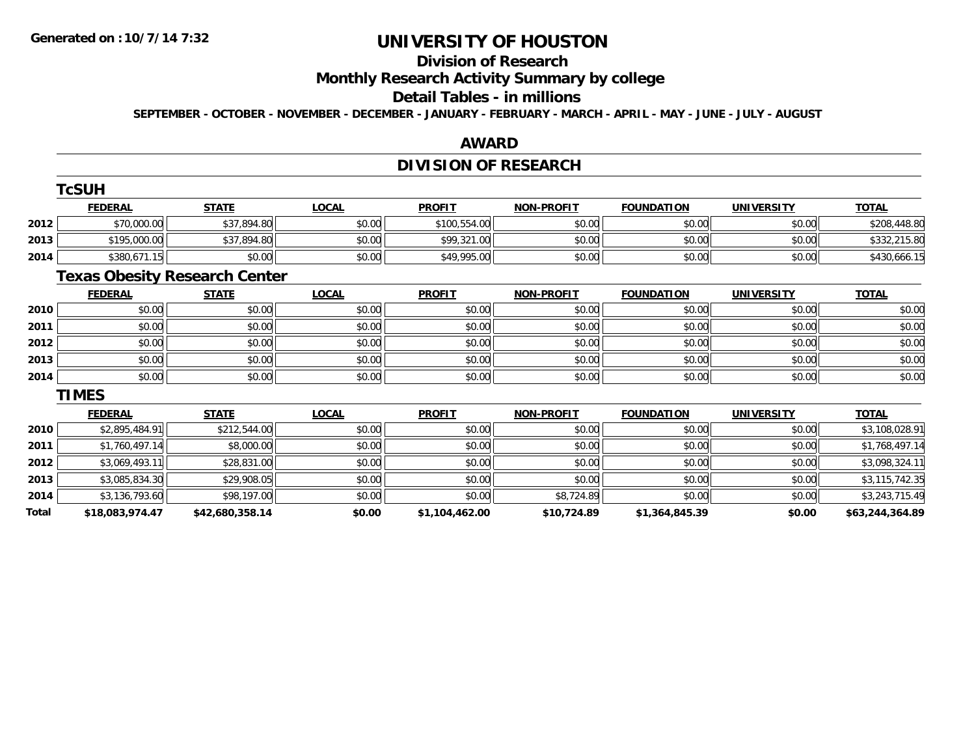# **Division of Research**

**Monthly Research Activity Summary by college**

#### **Detail Tables - in millions**

**SEPTEMBER - OCTOBER - NOVEMBER - DECEMBER - JANUARY - FEBRUARY - MARCH - APRIL - MAY - JUNE - JULY - AUGUST**

### **AWARD**

# **DIVISION OF RESEARCH**

|              | <b>TcSUH</b>                         |                 |              |                |                   |                   |                   |                 |
|--------------|--------------------------------------|-----------------|--------------|----------------|-------------------|-------------------|-------------------|-----------------|
|              | <b>FEDERAL</b>                       | <b>STATE</b>    | <b>LOCAL</b> | <b>PROFIT</b>  | <b>NON-PROFIT</b> | <b>FOUNDATION</b> | <b>UNIVERSITY</b> | <b>TOTAL</b>    |
| 2012         | \$70,000.00                          | \$37,894.80     | \$0.00       | \$100,554.00   | \$0.00            | \$0.00            | \$0.00            | \$208,448.80    |
| 2013         | \$195,000.00                         | \$37,894.80     | \$0.00       | \$99,321.00    | \$0.00            | \$0.00            | \$0.00            | \$332,215.80    |
| 2014         | \$380,671.15                         | \$0.00          | \$0.00       | \$49,995.00    | \$0.00            | \$0.00            | \$0.00            | \$430,666.15    |
|              | <b>Texas Obesity Research Center</b> |                 |              |                |                   |                   |                   |                 |
|              | <b>FEDERAL</b>                       | <b>STATE</b>    | <b>LOCAL</b> | <b>PROFIT</b>  | <b>NON-PROFIT</b> | <b>FOUNDATION</b> | <b>UNIVERSITY</b> | <b>TOTAL</b>    |
| 2010         | \$0.00                               | \$0.00          | \$0.00       | \$0.00         | \$0.00            | \$0.00            | \$0.00            | \$0.00          |
| 2011         | \$0.00                               | \$0.00          | \$0.00       | \$0.00         | \$0.00            | \$0.00            | \$0.00            | \$0.00          |
| 2012         | \$0.00                               | \$0.00          | \$0.00       | \$0.00         | \$0.00            | \$0.00            | \$0.00            | \$0.00          |
| 2013         | \$0.00                               | \$0.00          | \$0.00       | \$0.00         | \$0.00            | \$0.00            | \$0.00            | \$0.00          |
| 2014         | \$0.00                               | \$0.00          | \$0.00       | \$0.00         | \$0.00            | \$0.00            | \$0.00            | \$0.00          |
|              | <b>TIMES</b>                         |                 |              |                |                   |                   |                   |                 |
|              | <b>FEDERAL</b>                       | <b>STATE</b>    | <b>LOCAL</b> | <b>PROFIT</b>  | NON-PROFIT        | <b>FOUNDATION</b> | <b>UNIVERSITY</b> | <b>TOTAL</b>    |
| 2010         | \$2,895,484.91                       | \$212,544.00    | \$0.00       | \$0.00         | \$0.00            | \$0.00            | \$0.00            | \$3,108,028.91  |
| 2011         | \$1,760,497.14                       | \$8,000.00      | \$0.00       | \$0.00         | \$0.00            | \$0.00            | \$0.00            | \$1,768,497.14  |
| 2012         | \$3,069,493.11                       | \$28,831.00     | \$0.00       | \$0.00         | \$0.00            | \$0.00            | \$0.00            | \$3,098,324.11  |
| 2013         | \$3,085,834.30                       | \$29,908.05     | \$0.00       | \$0.00         | \$0.00            | \$0.00            | \$0.00            | \$3,115,742.35  |
| 2014         | \$3,136,793.60                       | \$98,197.00     | \$0.00       | \$0.00         | \$8,724.89        | \$0.00            | \$0.00            | \$3,243,715.49  |
| <b>Total</b> | \$18,083,974.47                      | \$42,680,358.14 | \$0.00       | \$1,104,462.00 | \$10,724.89       | \$1,364,845.39    | \$0.00            | \$63,244,364.89 |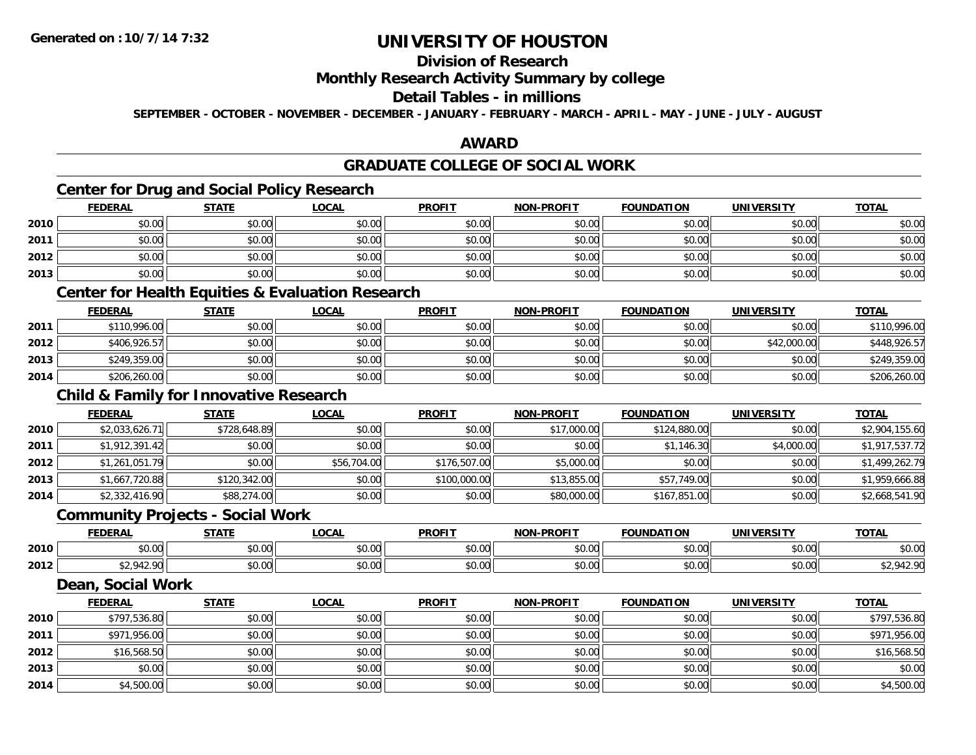## **Division of Research**

### **Monthly Research Activity Summary by college**

### **Detail Tables - in millions**

**SEPTEMBER - OCTOBER - NOVEMBER - DECEMBER - JANUARY - FEBRUARY - MARCH - APRIL - MAY - JUNE - JULY - AUGUST**

### **AWARD**

## **GRADUATE COLLEGE OF SOCIAL WORK**

## **Center for Drug and Social Policy Research**

|      | <b>FEDERAL</b> | <b>STATE</b> | <b>LOCAL</b> | <b>PROFIT</b> | <b>NON-PROFIT</b> | <b>FOUNDATION</b> | <b>UNIVERSITY</b> | <b>TOTAL</b> |
|------|----------------|--------------|--------------|---------------|-------------------|-------------------|-------------------|--------------|
| 2010 | \$0.00         | \$0.00       | \$0.00       | \$0.00        | \$0.00            | \$0.00            | \$0.00            | \$0.00       |
| 2011 | \$0.00         | \$0.00       | \$0.00       | \$0.00        | \$0.00            | \$0.00            | \$0.00            | \$0.00       |
| 2012 | \$0.00         | \$0.00       | \$0.00       | \$0.00        | \$0.00            | \$0.00            | \$0.00            | \$0.00       |
| 2013 | \$0.00         | \$0.00       | \$0.00       | \$0.00        | \$0.00            | \$0.00            | \$0.00            | \$0.00       |

### **Center for Health Equities & Evaluation Research**

|      | <u>FEDERAL</u> | <b>STATE</b> | <u>LOCAL</u> | <b>PROFIT</b> | <b>NON-PROFIT</b> | <b>FOUNDATION</b> | <b>UNIVERSITY</b> | <b>TOTAL</b> |
|------|----------------|--------------|--------------|---------------|-------------------|-------------------|-------------------|--------------|
| 2011 | \$110,996.00   | \$0.00       | \$0.00       | \$0.00        | \$0.00            | \$0.00            | \$0.00            | \$110,996.00 |
| 2012 | \$406,926.57   | \$0.00       | \$0.00       | \$0.00        | \$0.00            | \$0.00            | \$42,000.00       | \$448,926.57 |
| 2013 | \$249,359.00   | \$0.00       | \$0.00       | \$0.00        | \$0.00            | \$0.00            | \$0.00            | \$249,359.00 |
| 2014 | \$206,260.00   | \$0.00       | \$0.00       | \$0.00        | \$0.00            | \$0.00            | \$0.00            | \$206,260.00 |

## **Child & Family for Innovative Research**

|      | <b>FEDERAL</b> | <b>STATE</b> | <b>LOCAL</b> | <b>PROFIT</b> | <b>NON-PROFIT</b> | <b>FOUNDATION</b> | <b>UNIVERSITY</b> | <b>TOTAL</b>   |
|------|----------------|--------------|--------------|---------------|-------------------|-------------------|-------------------|----------------|
| 2010 | \$2,033,626.71 | \$728,648.89 | \$0.00       | \$0.00        | \$17,000.00       | \$124,880.00      | \$0.00            | \$2,904,155.60 |
| 2011 | \$1,912,391.42 | \$0.00       | \$0.00       | \$0.00        | \$0.00            | \$1,146.30        | \$4,000.00        | \$1,917,537.72 |
| 2012 | \$1,261,051.79 | \$0.00       | \$56,704.00  | \$176,507.00  | \$5,000.00        | \$0.00            | \$0.00            | \$1,499,262.79 |
| 2013 | \$1,667,720.88 | \$120,342.00 | \$0.00       | \$100,000.00  | \$13,855.00       | \$57,749.00       | \$0.00            | \$1,959,666.88 |
| 2014 | \$2,332,416.90 | \$88,274.00  | \$0.00       | \$0.00        | \$80,000.00       | \$167,851.00      | \$0.00            | \$2,668,541.90 |

### **Community Projects - Social Work**

|      | つERAL                            | <b>CTATI</b>                             | $\sim$                                                 | <b>PROFIT</b>   | <b>.PROFIT</b><br>៱៲កស                                | <b>EQUINDAT</b><br><b>100</b> | <b><i>'INIVERSITY</i></b> | <b>TOTAL</b>    |
|------|----------------------------------|------------------------------------------|--------------------------------------------------------|-----------------|-------------------------------------------------------|-------------------------------|---------------------------|-----------------|
| 2010 | $\overline{a}$<br>$\sim$<br>ט.טע | 0000<br>ט.ט                              | $\uparrow$ $\uparrow$ $\uparrow$ $\uparrow$<br>ູນບ.ບບ, | 0.00<br>- 50.OG | $\mathsf{A} \cap \mathsf{A} \cap \mathsf{A}$<br>JU.UU | 0000<br>u.uu                  | \$0.00                    | \$0.00          |
| 2012 | $\sim$ $\sim$<br>$\sim$          | $\uparrow$ $\uparrow$ $\uparrow$<br>JU.U | $\sim$ 00<br>ູນບ.ບບ,                                   | 0.00<br>ູ⊶ບ.ບບ  | $\mathsf{A} \cap \mathsf{A} \cap \mathsf{A}$<br>vu.u  | 0000<br>,u.uu                 | \$0.00                    | $\overline{10}$ |

### **Dean, Social Work**

|      | <b>FEDERAL</b> | <b>STATE</b> | <b>LOCAL</b> | <b>PROFIT</b> | <b>NON-PROFIT</b> | <b>FOUNDATION</b> | <b>UNIVERSITY</b> | <b>TOTAL</b> |
|------|----------------|--------------|--------------|---------------|-------------------|-------------------|-------------------|--------------|
| 2010 | \$797,536.80   | \$0.00       | \$0.00       | \$0.00        | \$0.00            | \$0.00            | \$0.00            | \$797,536.80 |
| 2011 | \$971,956.00   | \$0.00       | \$0.00       | \$0.00        | \$0.00            | \$0.00            | \$0.00            | \$971,956.00 |
| 2012 | \$16,568.50    | \$0.00       | \$0.00       | \$0.00        | \$0.00            | \$0.00            | \$0.00            | \$16,568.50  |
| 2013 | \$0.00         | \$0.00       | \$0.00       | \$0.00        | \$0.00            | \$0.00            | \$0.00            | \$0.00       |
| 2014 | \$4,500.00     | \$0.00       | \$0.00       | \$0.00        | \$0.00            | \$0.00            | \$0.00            | \$4,500.00   |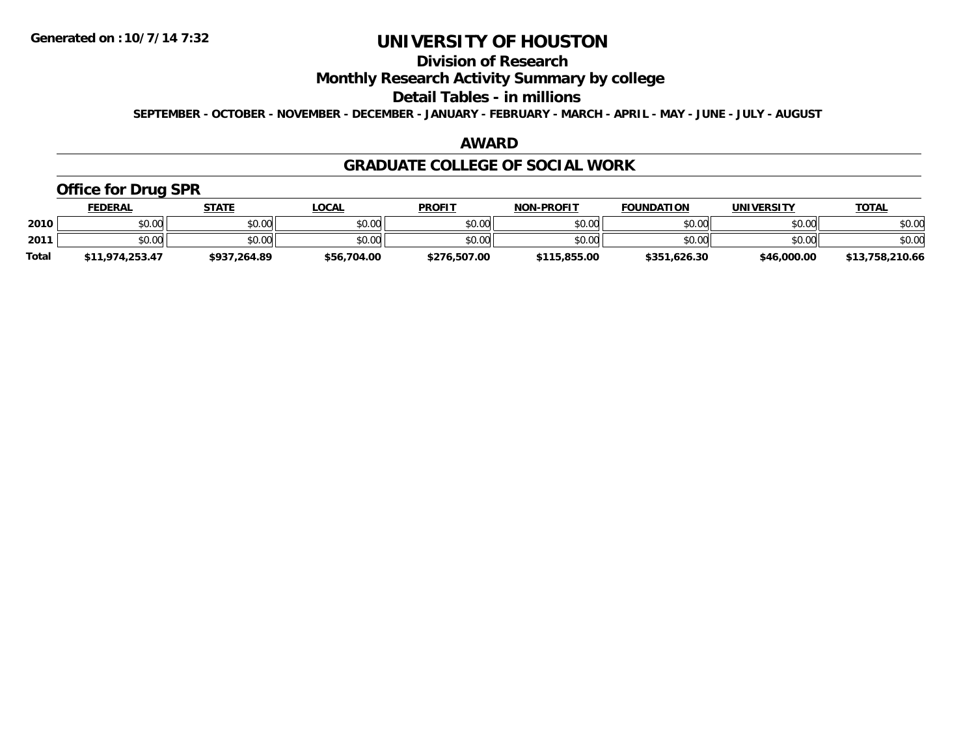# **Division of Research**

### **Monthly Research Activity Summary by college**

#### **Detail Tables - in millions**

**SEPTEMBER - OCTOBER - NOVEMBER - DECEMBER - JANUARY - FEBRUARY - MARCH - APRIL - MAY - JUNE - JULY - AUGUST**

### **AWARD**

### **GRADUATE COLLEGE OF SOCIAL WORK**

## **Office for Drug SPR**

|              | <u>FEDERAL</u>  | STATE        | _OCAL       | <b>PROFIT</b> | <b>NON-PROFIT</b> | <b>FOUNDATION</b> | <b>UNIVERSITY</b> | <b>TOTAL</b>    |
|--------------|-----------------|--------------|-------------|---------------|-------------------|-------------------|-------------------|-----------------|
| 2010         | \$0.00          | \$0.00       | \$0.00      | \$0.00        | \$0.00            | \$0.00            | \$0.00            | \$0.00          |
| 2011         | \$0.00          | \$0.00       | \$0.00      | \$0.00        | \$0.00            | \$0.00            | \$0.00            | \$0.00          |
| <b>Total</b> | \$11,974,253.47 | \$937,264.89 | \$56,704.00 | \$276,507.00  | \$115,855.00      | \$351,626.30      | \$46,000.00       | \$13,758,210.66 |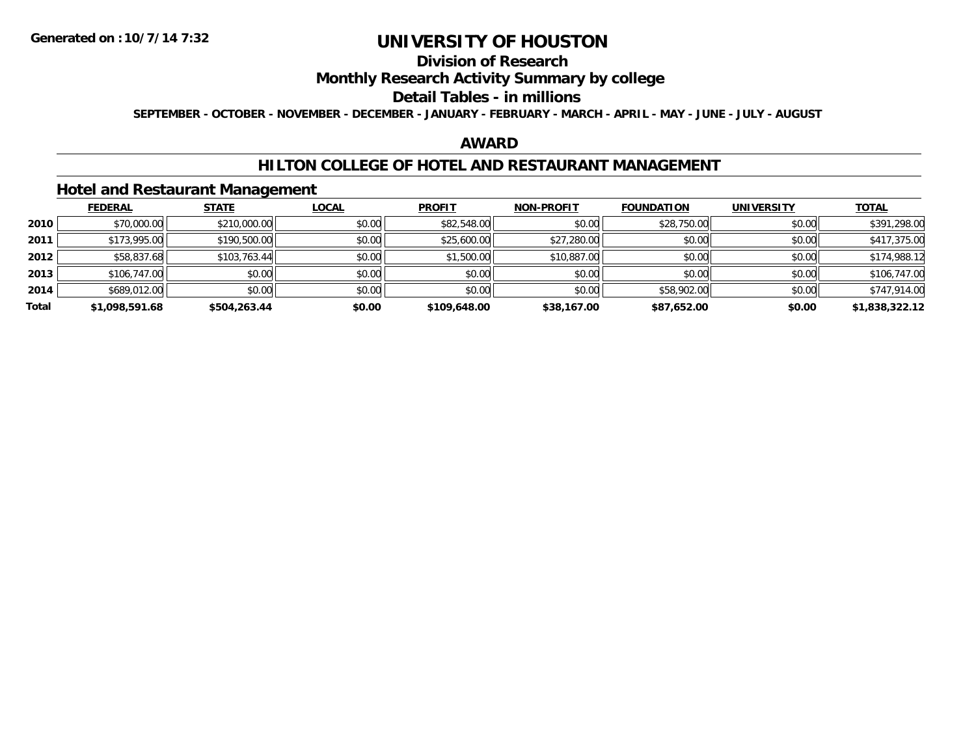# **Division of Research**

### **Monthly Research Activity Summary by college**

#### **Detail Tables - in millions**

**SEPTEMBER - OCTOBER - NOVEMBER - DECEMBER - JANUARY - FEBRUARY - MARCH - APRIL - MAY - JUNE - JULY - AUGUST**

### **AWARD**

### **HILTON COLLEGE OF HOTEL AND RESTAURANT MANAGEMENT**

### **Hotel and Restaurant Management**

|       | <b>FEDERAL</b> | <b>STATE</b> | <b>LOCAL</b> | <b>PROFIT</b> | <b>NON-PROFIT</b> | <b>FOUNDATION</b> | <b>UNIVERSITY</b> | <b>TOTAL</b>   |
|-------|----------------|--------------|--------------|---------------|-------------------|-------------------|-------------------|----------------|
| 2010  | \$70,000.00    | \$210,000.00 | \$0.00       | \$82,548.00   | \$0.00            | \$28,750.00       | \$0.00            | \$391,298.00   |
| 2011  | \$173,995.00   | \$190,500.00 | \$0.00       | \$25,600.00   | \$27,280.00       | \$0.00            | \$0.00            | \$417,375.00   |
| 2012  | \$58,837.68    | \$103,763.44 | \$0.00       | \$1,500.00    | \$10,887.00       | \$0.00            | \$0.00            | \$174,988.12   |
| 2013  | \$106,747.00   | \$0.00       | \$0.00       | \$0.00        | \$0.00            | \$0.00            | \$0.00            | \$106,747.00   |
| 2014  | \$689,012.00   | \$0.00       | \$0.00       | \$0.00        | \$0.00            | \$58,902.00       | \$0.00            | \$747,914.00   |
| Total | \$1,098,591.68 | \$504,263.44 | \$0.00       | \$109,648.00  | \$38,167.00       | \$87,652.00       | \$0.00            | \$1,838,322.12 |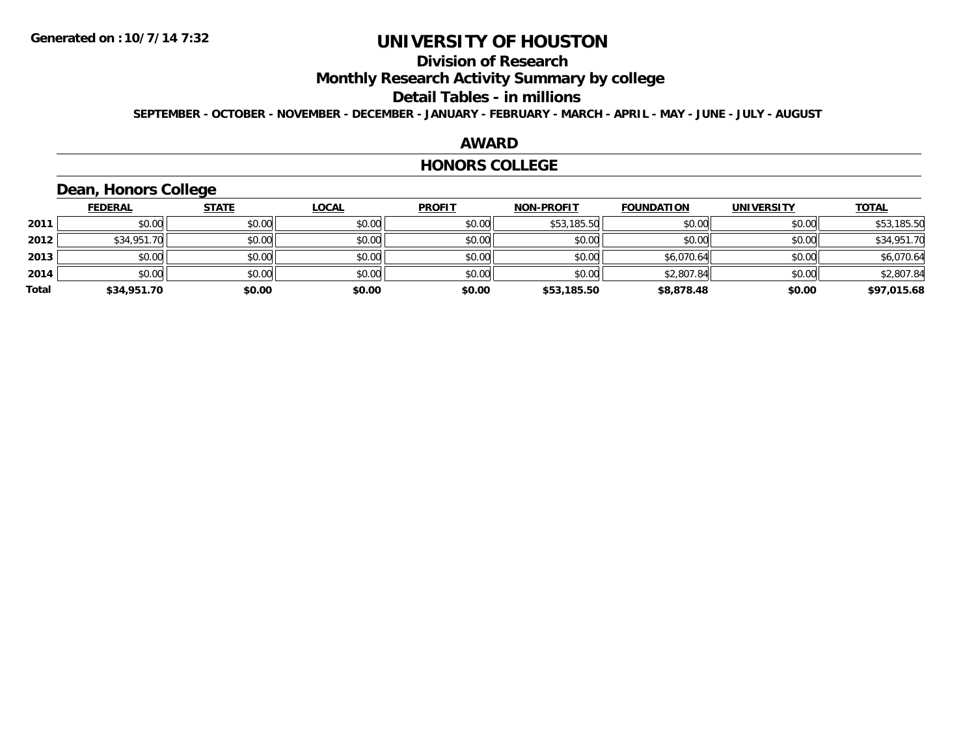## **Division of Research**

**Monthly Research Activity Summary by college**

#### **Detail Tables - in millions**

**SEPTEMBER - OCTOBER - NOVEMBER - DECEMBER - JANUARY - FEBRUARY - MARCH - APRIL - MAY - JUNE - JULY - AUGUST**

#### **AWARD**

#### **HONORS COLLEGE**

### **Dean, Honors College**

|       | <b>FEDERAL</b> | <b>STATE</b> | <u>LOCAL</u> | <b>PROFIT</b> | <b>NON-PROFIT</b> | <b>FOUNDATION</b> | <b>UNIVERSITY</b> | <b>TOTAL</b> |
|-------|----------------|--------------|--------------|---------------|-------------------|-------------------|-------------------|--------------|
| 2011  | \$0.00         | \$0.00       | \$0.00       | \$0.00        | \$53,185.50       | \$0.00            | \$0.00            | \$53,185.50  |
| 2012  | \$34,951.70    | \$0.00       | \$0.00       | \$0.00        | \$0.00            | \$0.00            | \$0.00            | \$34,951.70  |
| 2013  | \$0.00         | \$0.00       | \$0.00       | \$0.00        | \$0.00            | \$6,070.64        | \$0.00            | \$6,070.64   |
| 2014  | \$0.00         | \$0.00       | \$0.00       | \$0.00        | \$0.00            | \$2,807.84        | \$0.00            | \$2,807.84   |
| Total | \$34,951.70    | \$0.00       | \$0.00       | \$0.00        | \$53,185.50       | \$8,878.48        | \$0.00            | \$97,015.68  |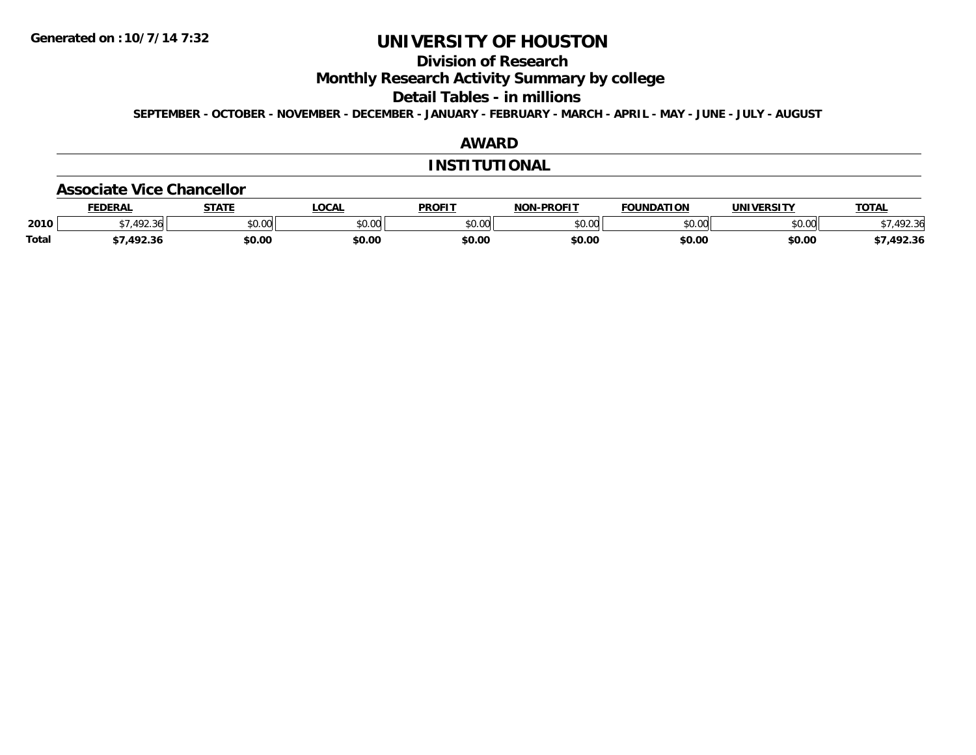## **Division of Research**

**Monthly Research Activity Summary by college**

**Detail Tables - in millions**

**SEPTEMBER - OCTOBER - NOVEMBER - DECEMBER - JANUARY - FEBRUARY - MARCH - APRIL - MAY - JUNE - JULY - AUGUST**

### **AWARD**

#### **INSTITUTIONAL**

#### **Associate Vice Chancellor**

|              | <b>FEDERAL</b>      | 27.77                | <b>OCAL</b>     | <b>PROFIT</b> | <b>NON-PROFIT</b> | FOUNDATION    | UNIVERSITY    | <b>TOTAL</b>         |
|--------------|---------------------|----------------------|-----------------|---------------|-------------------|---------------|---------------|----------------------|
| 2010         | $\sqrt{2}$<br>92.36 | 0000<br><b>JU.UU</b> | 0000<br>- DU.UU | \$0.00        | \$0.00            | 0000<br>DU.UU | 0000<br>JU.UU | 102.21<br>՝<br>72.30 |
| <b>Total</b> | 1022                | \$0.00               | \$0.00          | \$0.00        | \$0.00            | \$0.00        | \$0.00        | ,492.36              |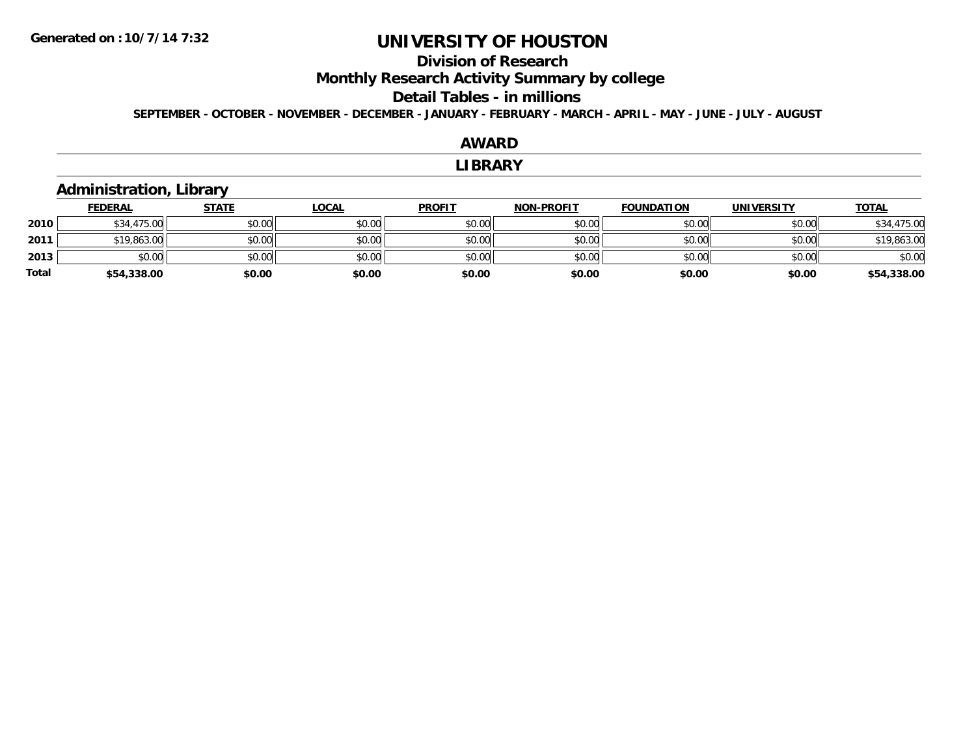### **Division of Research**

**Monthly Research Activity Summary by college**

### **Detail Tables - in millions**

**SEPTEMBER - OCTOBER - NOVEMBER - DECEMBER - JANUARY - FEBRUARY - MARCH - APRIL - MAY - JUNE - JULY - AUGUST**

#### **AWARDLIBRARY Administration, Library FEDERAL STATE LOCAL PROFIT NON-PROFIT FOUNDATION UNIVERSITY TOTALTOTAL 2010** $\textsf{0} \parallel \textsf{0} \parallel \textsf{0} \parallel \textsf{0} \parallel \textsf{0} \parallel \textsf{0} \parallel \textsf{0} \parallel \textsf{0} \parallel \textsf{0} \parallel \textsf{0} \parallel \textsf{0} \parallel \textsf{0} \parallel \textsf{0} \parallel \textsf{0} \parallel \textsf{0} \parallel \textsf{0} \parallel \textsf{0} \parallel \textsf{0} \parallel \textsf{0} \parallel \textsf{0} \parallel \textsf{0} \parallel \textsf{0} \parallel \textsf{0} \parallel \textsf{0} \parallel \textsf{0} \parallel \textsf{0} \parallel \textsf{0} \parallel \textsf{$ **2011**1 \$19,863.00 \$0.00 \$0.00 \$0.00 \$0.00 \$0.00 \$0.00 \$0.00 \$0.00 \$0.00 \$0.00 \$0.00 \$19,863.00 \$19,863.00 **2013** $\textbf{3} \quad \textbf{\textcolor{blue}{\textbf{50.00}}} \quad \textbf{\textcolor{blue}{\textbf{50.00}}} \quad \textbf{\textcolor{blue}{\textbf{50.00}}} \quad \textbf{\textcolor{blue}{\textbf{50.00}}} \quad \textbf{\textcolor{blue}{\textbf{50.00}}} \quad \textbf{\textcolor{blue}{\textbf{50.00}}} \quad \textbf{\textcolor{blue}{\textbf{50.00}}} \quad \textbf{\textcolor{blue}{\textbf{50.00}}} \quad \textbf{\textcolor{blue}{\textbf{50.00}}} \quad \textbf{\textcolor{blue}{\textbf{50.00}}} \quad \text$ **Total\$54,338.00 \$0.00 \$0.00 \$0.00 \$0.00 \$0.00 \$0.00 \$54,338.00**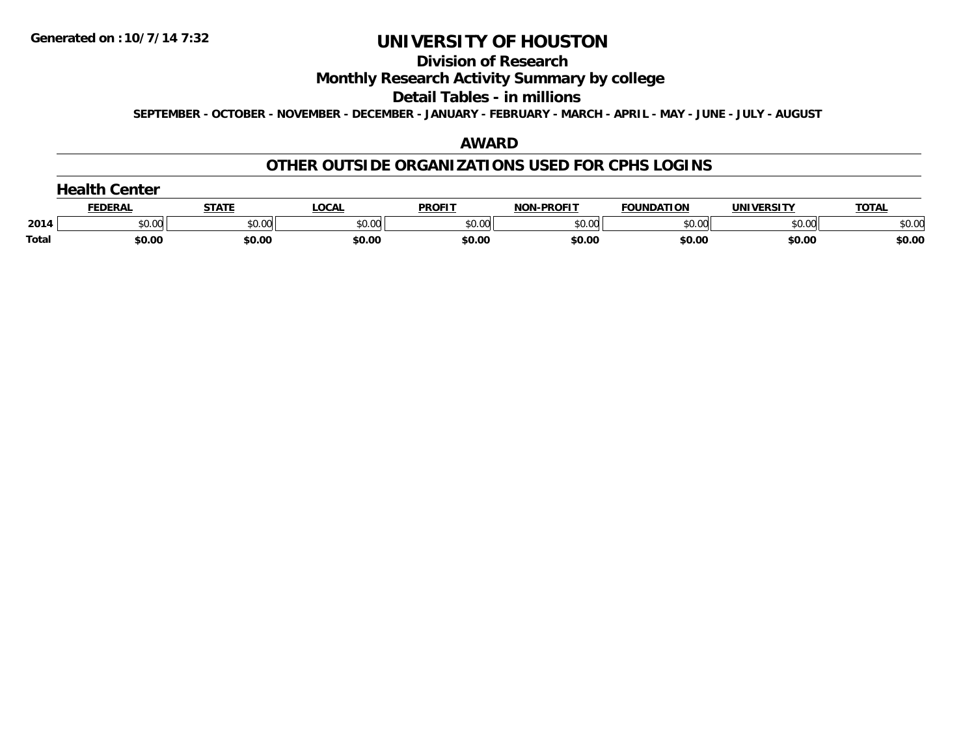#### **Division of Research**

### **Monthly Research Activity Summary by college**

#### **Detail Tables - in millions**

**SEPTEMBER - OCTOBER - NOVEMBER - DECEMBER - JANUARY - FEBRUARY - MARCH - APRIL - MAY - JUNE - JULY - AUGUST**

### **AWARD**

### **OTHER OUTSIDE ORGANIZATIONS USED FOR CPHS LOGINS**

| <b>Health Center</b> |
|----------------------|
|----------------------|

|       | EDERAI        |              | <b>OCAL</b> | <b>PROFIT</b> | <b>DDOFIT</b><br>. | <b>FOUNDATION</b> | IINIVERSITV | <b>TOTA</b> |
|-------|---------------|--------------|-------------|---------------|--------------------|-------------------|-------------|-------------|
| 2014  | 0.00<br>וט.טי | 0000<br>u.uu | \$0.00      | \$0.00        | JU.UU              | טט.טע             | \$0.00      | \$0.00      |
| Total | \$0.00        | \$0.00       | \$0.00      | \$0.00        | \$0.00             | \$0.00            | \$0.00      | \$0.00      |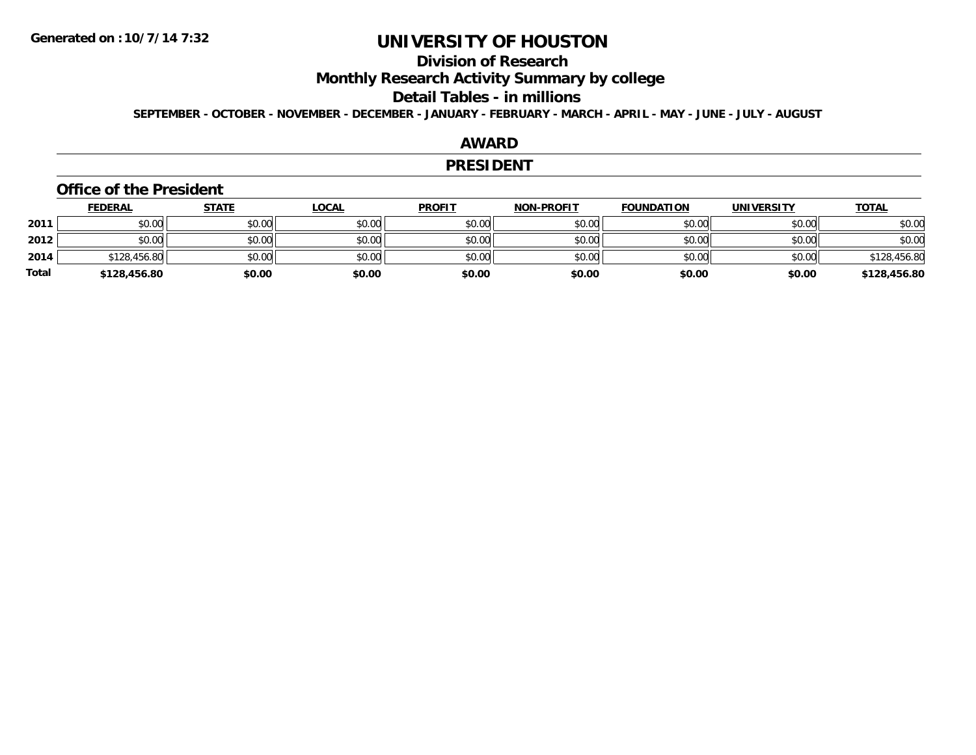## **Division of Research**

**Monthly Research Activity Summary by college**

#### **Detail Tables - in millions**

**SEPTEMBER - OCTOBER - NOVEMBER - DECEMBER - JANUARY - FEBRUARY - MARCH - APRIL - MAY - JUNE - JULY - AUGUST**

### **AWARD**

#### **PRESIDENT**

#### **Office of the President**

|       | <b>FEDERAL</b> | <u>STATE</u> | <b>LOCAL</b> | <b>PROFIT</b> | <b>NON-PROFIT</b> | <b>FOUNDATION</b> | <b>UNIVERSITY</b> | <b>TOTAL</b> |
|-------|----------------|--------------|--------------|---------------|-------------------|-------------------|-------------------|--------------|
| 2011  | \$0.00         | \$0.00       | \$0.00       | \$0.00        | \$0.00            | \$0.00            | \$0.00            | \$0.00       |
| 2012  | \$0.00         | \$0.00       | \$0.00       | \$0.00        | \$0.00            | \$0.00            | \$0.00            | \$0.00       |
| 2014  | \$128,456.80   | \$0.00       | \$0.00       | \$0.00        | \$0.00            | \$0.00            | \$0.00            | \$128,456.80 |
| Total | \$128,456.80   | \$0.00       | \$0.00       | \$0.00        | \$0.00            | \$0.00            | \$0.00            | \$128,456.80 |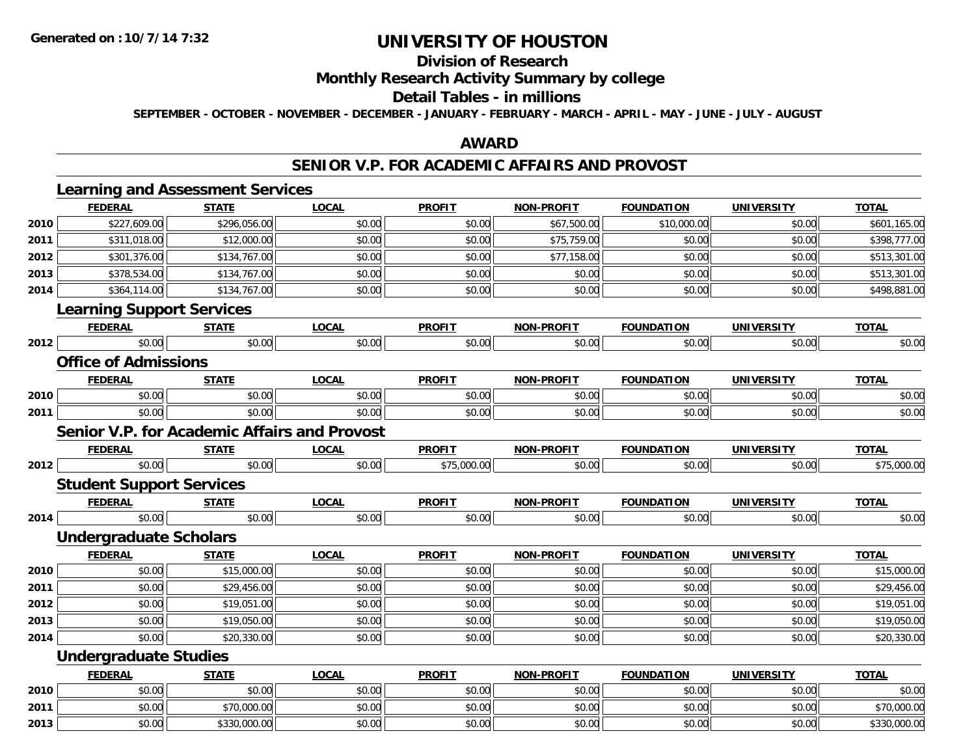## **Division of Research**

### **Monthly Research Activity Summary by college**

#### **Detail Tables - in millions**

**SEPTEMBER - OCTOBER - NOVEMBER - DECEMBER - JANUARY - FEBRUARY - MARCH - APRIL - MAY - JUNE - JULY - AUGUST**

### **AWARD**

### **SENIOR V.P. FOR ACADEMIC AFFAIRS AND PROVOST**

|      | <b>Learning and Assessment Services</b>             |              |              |               |                   |                   |                   |              |
|------|-----------------------------------------------------|--------------|--------------|---------------|-------------------|-------------------|-------------------|--------------|
|      | <b>FEDERAL</b>                                      | <b>STATE</b> | <b>LOCAL</b> | <b>PROFIT</b> | <b>NON-PROFIT</b> | <b>FOUNDATION</b> | <b>UNIVERSITY</b> | <b>TOTAL</b> |
| 2010 | \$227,609.00                                        | \$296,056.00 | \$0.00       | \$0.00        | \$67,500.00       | \$10,000.00       | \$0.00            | \$601,165.00 |
| 2011 | \$311,018.00                                        | \$12,000.00  | \$0.00       | \$0.00        | \$75,759.00       | \$0.00            | \$0.00            | \$398,777.00 |
| 2012 | \$301,376.00                                        | \$134,767.00 | \$0.00       | \$0.00        | \$77,158.00       | \$0.00            | \$0.00            | \$513,301.00 |
| 2013 | \$378,534.00                                        | \$134,767.00 | \$0.00       | \$0.00        | \$0.00            | \$0.00            | \$0.00            | \$513,301.00 |
| 2014 | \$364,114.00                                        | \$134,767.00 | \$0.00       | \$0.00        | \$0.00            | \$0.00            | \$0.00            | \$498,881.00 |
|      | <b>Learning Support Services</b>                    |              |              |               |                   |                   |                   |              |
|      | <b>FEDERAL</b>                                      | <b>STATE</b> | <b>LOCAL</b> | <b>PROFIT</b> | <b>NON-PROFIT</b> | <b>FOUNDATION</b> | <b>UNIVERSITY</b> | <b>TOTAL</b> |
| 2012 | \$0.00                                              | \$0.00       | \$0.00       | \$0.00        | \$0.00            | \$0.00            | \$0.00            | \$0.00       |
|      | <b>Office of Admissions</b>                         |              |              |               |                   |                   |                   |              |
|      | <b>FEDERAL</b>                                      | <b>STATE</b> | <b>LOCAL</b> | <b>PROFIT</b> | <b>NON-PROFIT</b> | <b>FOUNDATION</b> | <b>UNIVERSITY</b> | <b>TOTAL</b> |
| 2010 | \$0.00                                              | \$0.00       | \$0.00       | \$0.00        | \$0.00            | \$0.00            | \$0.00            | \$0.00       |
| 2011 | \$0.00                                              | \$0.00       | \$0.00       | \$0.00        | \$0.00            | \$0.00            | \$0.00            | \$0.00       |
|      | <b>Senior V.P. for Academic Affairs and Provost</b> |              |              |               |                   |                   |                   |              |
|      | <b>FEDERAL</b>                                      | <b>STATE</b> | <b>LOCAL</b> | <b>PROFIT</b> | <b>NON-PROFIT</b> | <b>FOUNDATION</b> | <b>UNIVERSITY</b> | <b>TOTAL</b> |
| 2012 | \$0.00                                              | \$0.00       | \$0.00       | \$75,000.00   | \$0.00            | \$0.00            | \$0.00            | \$75,000.00  |
|      | <b>Student Support Services</b>                     |              |              |               |                   |                   |                   |              |
|      | <b>FEDERAL</b>                                      | <b>STATE</b> | <b>LOCAL</b> | <b>PROFIT</b> | <b>NON-PROFIT</b> | <b>FOUNDATION</b> | <b>UNIVERSITY</b> | <b>TOTAL</b> |
| 2014 | \$0.00                                              | \$0.00       | \$0.00       | \$0.00        | \$0.00            | \$0.00            | \$0.00            | \$0.00       |
|      | <b>Undergraduate Scholars</b>                       |              |              |               |                   |                   |                   |              |
|      | <b>FEDERAL</b>                                      | <b>STATE</b> | <b>LOCAL</b> | <b>PROFIT</b> | <b>NON-PROFIT</b> | <b>FOUNDATION</b> | <b>UNIVERSITY</b> | <b>TOTAL</b> |
| 2010 | \$0.00                                              | \$15,000.00  | \$0.00       | \$0.00        | \$0.00            | \$0.00            | \$0.00            | \$15,000.00  |
| 2011 | \$0.00                                              | \$29,456.00  | \$0.00       | \$0.00        | \$0.00            | \$0.00            | \$0.00            | \$29,456.00  |
| 2012 | \$0.00                                              | \$19,051.00  | \$0.00       | \$0.00        | \$0.00            | \$0.00            | \$0.00            | \$19,051.00  |
| 2013 | \$0.00                                              | \$19,050.00  | \$0.00       | \$0.00        | \$0.00            | \$0.00            | \$0.00            | \$19,050.00  |
| 2014 | \$0.00                                              | \$20,330.00  | \$0.00       | \$0.00        | \$0.00            | \$0.00            | \$0.00            | \$20,330.00  |
|      | <b>Undergraduate Studies</b>                        |              |              |               |                   |                   |                   |              |
|      | <b>FEDERAL</b>                                      | <b>STATE</b> | <b>LOCAL</b> | <b>PROFIT</b> | <b>NON-PROFIT</b> | <b>FOUNDATION</b> | <b>UNIVERSITY</b> | <b>TOTAL</b> |
| 2010 | \$0.00                                              | \$0.00       | \$0.00       | \$0.00        | \$0.00            | \$0.00            | \$0.00            | \$0.00       |
| 2011 | \$0.00                                              | \$70,000.00  | \$0.00       | \$0.00        | \$0.00            | \$0.00            | \$0.00            | \$70,000.00  |
| 2013 | \$0.00                                              | \$330,000.00 | \$0.00       | \$0.00        | \$0.00            | \$0.00            | \$0.00            | \$330,000.00 |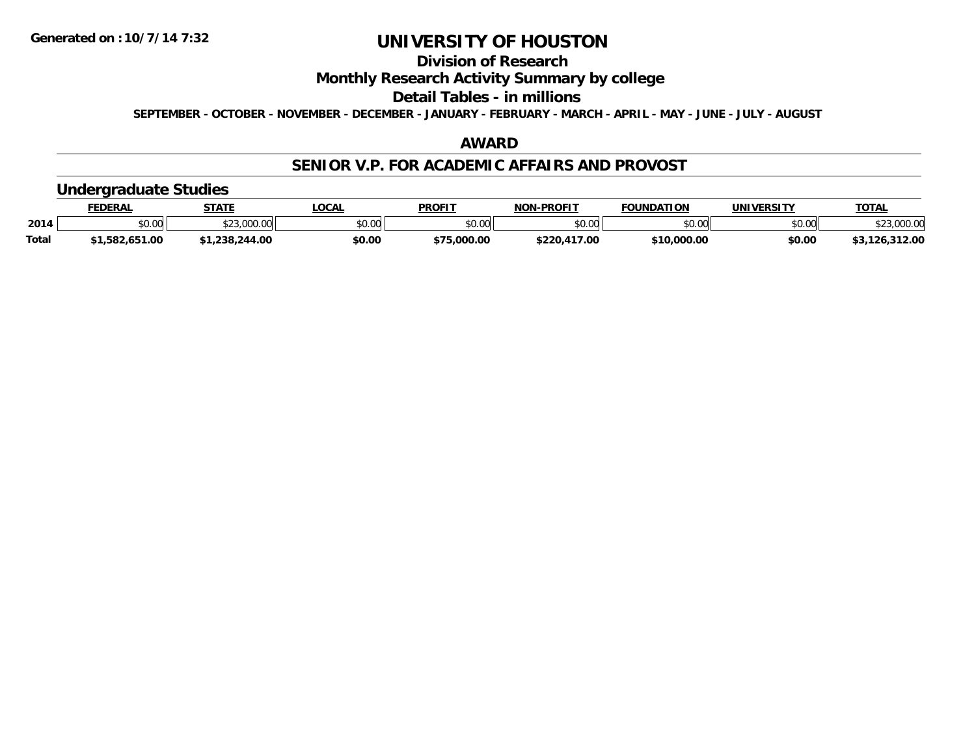## **Division of Research**

### **Monthly Research Activity Summary by college**

#### **Detail Tables - in millions**

**SEPTEMBER - OCTOBER - NOVEMBER - DECEMBER - JANUARY - FEBRUARY - MARCH - APRIL - MAY - JUNE - JULY - AUGUST**

### **AWARD**

### **SENIOR V.P. FOR ACADEMIC AFFAIRS AND PROVOST**

### **Undergraduate Studies**

|       | FEDERAL          | <b>STATE</b>           | LOCAI         | <b>PROFIT</b>  | <b>J-PROFIT</b><br>NON | <b>FOUNDATION</b> | UNIVERSITY | <b>TOTAL</b>     |
|-------|------------------|------------------------|---------------|----------------|------------------------|-------------------|------------|------------------|
| 2014  | \$0.00           | 0.00000<br>$\cdots$ UU | 0000<br>JU.UU | ደስ ሰሰ<br>JU.UU | \$0.00                 | \$0.00            | \$0.00     | מח החו<br>JUU.UL |
| Total | .651.00<br>.582. | .244.00<br>.238.       | \$0.00        | \$75,000.00    | \$220.417.00           | \$10,000.00       | \$0.00     | 312.00           |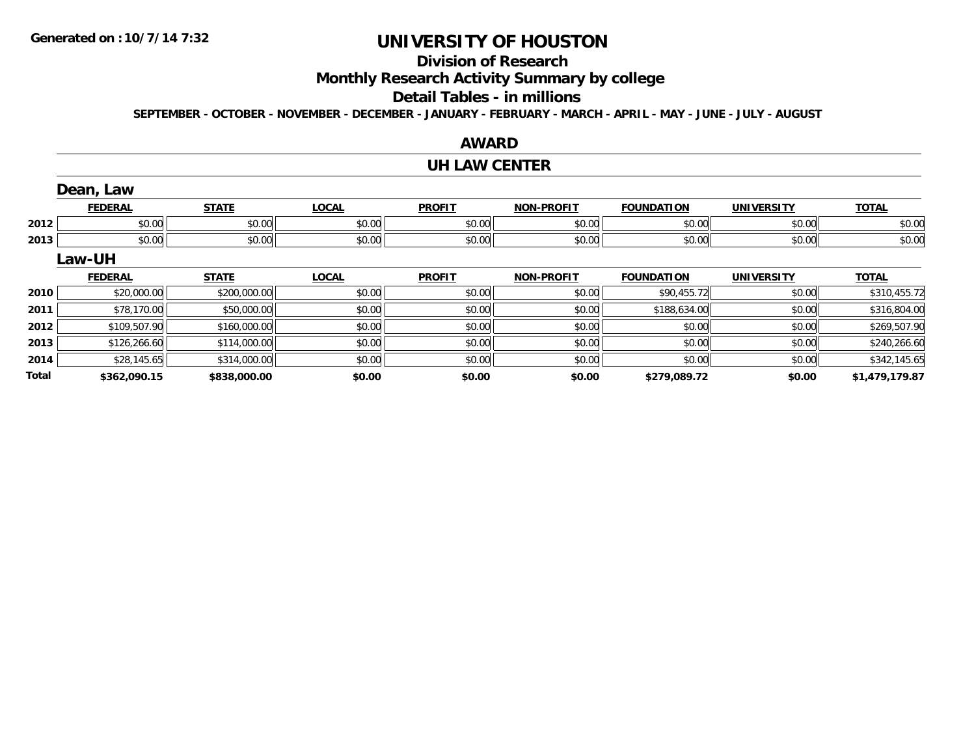# **Division of Research**

**Monthly Research Activity Summary by college**

#### **Detail Tables - in millions**

**SEPTEMBER - OCTOBER - NOVEMBER - DECEMBER - JANUARY - FEBRUARY - MARCH - APRIL - MAY - JUNE - JULY - AUGUST**

|              |                |              |              | AWARD                |                   |                   |                   |                |
|--------------|----------------|--------------|--------------|----------------------|-------------------|-------------------|-------------------|----------------|
|              |                |              |              | <b>UH LAW CENTER</b> |                   |                   |                   |                |
|              | Dean, Law      |              |              |                      |                   |                   |                   |                |
|              | <b>FEDERAL</b> | <b>STATE</b> | <b>LOCAL</b> | <b>PROFIT</b>        | <b>NON-PROFIT</b> | <b>FOUNDATION</b> | <b>UNIVERSITY</b> | <b>TOTAL</b>   |
| 2012         | \$0.00         | \$0.00       | \$0.00       | \$0.00               | \$0.00            | \$0.00            | \$0.00            | \$0.00         |
| 2013         | \$0.00         | \$0.00       | \$0.00       | \$0.00               | \$0.00            | \$0.00            | \$0.00            | \$0.00         |
|              | Law-UH         |              |              |                      |                   |                   |                   |                |
|              | <b>FEDERAL</b> | <b>STATE</b> | <b>LOCAL</b> | <b>PROFIT</b>        | <b>NON-PROFIT</b> | <b>FOUNDATION</b> | <b>UNIVERSITY</b> | <b>TOTAL</b>   |
| 2010         | \$20,000.00    | \$200,000.00 | \$0.00       | \$0.00               | \$0.00            | \$90,455.72       | \$0.00            | \$310,455.72   |
| 2011         | \$78,170.00    | \$50,000.00  | \$0.00       | \$0.00               | \$0.00            | \$188,634.00      | \$0.00            | \$316,804.00   |
| 2012         | \$109,507.90   | \$160,000.00 | \$0.00       | \$0.00               | \$0.00            | \$0.00            | \$0.00            | \$269,507.90   |
| 2013         | \$126,266.60   | \$114,000.00 | \$0.00       | \$0.00               | \$0.00            | \$0.00            | \$0.00            | \$240,266.60   |
| 2014         | \$28,145.65    | \$314,000.00 | \$0.00       | \$0.00               | \$0.00            | \$0.00            | \$0.00            | \$342,145.65   |
| <b>Total</b> | \$362,090.15   | \$838,000.00 | \$0.00       | \$0.00               | \$0.00            | \$279,089.72      | \$0.00            | \$1,479,179.87 |

#### **AWARD**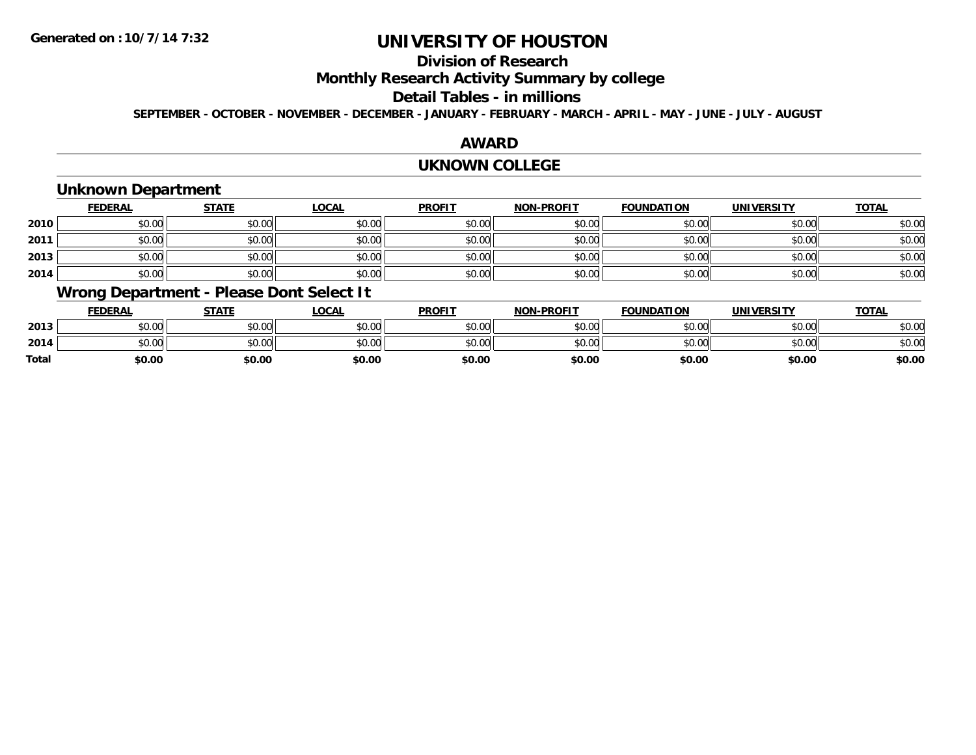# **Division of Research**

**Monthly Research Activity Summary by college**

#### **Detail Tables - in millions**

**SEPTEMBER - OCTOBER - NOVEMBER - DECEMBER - JANUARY - FEBRUARY - MARCH - APRIL - MAY - JUNE - JULY - AUGUST**

### **AWARD**

#### **UKNOWN COLLEGE**

## **Unknown Department**

|      | <b>FEDERAL</b> | <b>STATE</b> | <u>LOCAL</u> | <b>PROFIT</b> | <b>NON-PROFIT</b> | <b>FOUNDATION</b> | <b>UNIVERSITY</b> | <b>TOTAL</b> |
|------|----------------|--------------|--------------|---------------|-------------------|-------------------|-------------------|--------------|
| 2010 | \$0.00         | \$0.00       | \$0.00       | \$0.00        | \$0.00            | \$0.00            | \$0.00            | \$0.00       |
| 2011 | \$0.00         | \$0.00       | \$0.00       | \$0.00        | \$0.00            | \$0.00            | \$0.00            | \$0.00       |
| 2013 | \$0.00         | \$0.00       | \$0.00       | \$0.00        | \$0.00            | \$0.00            | \$0.00            | \$0.00       |
| 2014 | \$0.00         | \$0.00       | \$0.00       | \$0.00        | \$0.00            | \$0.00            | \$0.00            | \$0.00       |

### **Wrong Department - Please Dont Select It**

|              | <b>FEDERAL</b> | <b>STATE</b> | <b>OCAL</b> | <b>PROFIT</b> | <b>NON-PROFIT</b> | <b>FOUNDATION</b> | UNIVERSITY | TOTAL  |
|--------------|----------------|--------------|-------------|---------------|-------------------|-------------------|------------|--------|
| 2013         | \$0.00         | \$0.00       | \$0.00      | \$0.00        | \$0.00            | \$0.00            | \$0.00     | \$0.00 |
| 2014         | \$0.00         | \$0.00       | \$0.00      | \$0.00        | \$0.00            | \$0.00            | \$0.00     | \$0.00 |
| <b>Total</b> | \$0.00         | \$0.00       | \$0.00      | \$0.00        | \$0.00            | \$0.00            | \$0.00     | \$0.00 |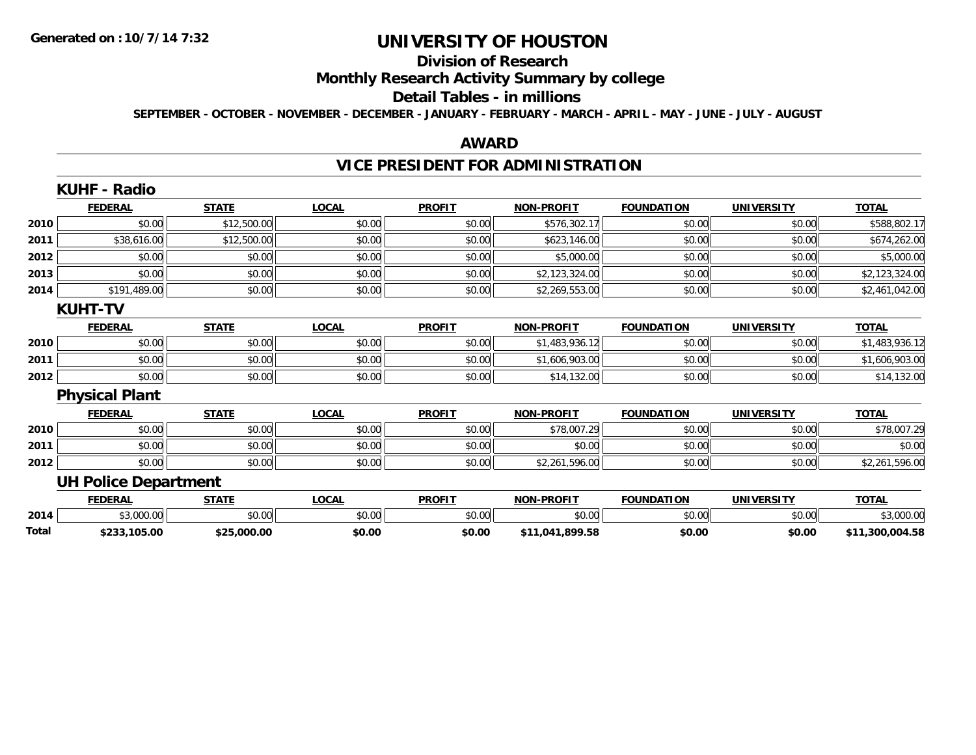#### **Division of Research**

# **Monthly Research Activity Summary by college**

#### **Detail Tables - in millions**

**SEPTEMBER - OCTOBER - NOVEMBER - DECEMBER - JANUARY - FEBRUARY - MARCH - APRIL - MAY - JUNE - JULY - AUGUST**

### **AWARD**

# **VICE PRESIDENT FOR ADMINISTRATION**

|       | <b>KUHF - Radio</b>         |              |              |               |                   |                   |                   |                 |
|-------|-----------------------------|--------------|--------------|---------------|-------------------|-------------------|-------------------|-----------------|
|       | <b>FEDERAL</b>              | <b>STATE</b> | <b>LOCAL</b> | <b>PROFIT</b> | <b>NON-PROFIT</b> | <b>FOUNDATION</b> | <b>UNIVERSITY</b> | <b>TOTAL</b>    |
| 2010  | \$0.00                      | \$12,500.00  | \$0.00       | \$0.00        | \$576,302.17      | \$0.00            | \$0.00            | \$588,802.17    |
| 2011  | \$38,616.00                 | \$12,500.00  | \$0.00       | \$0.00        | \$623,146.00      | \$0.00            | \$0.00            | \$674,262.00    |
| 2012  | \$0.00                      | \$0.00       | \$0.00       | \$0.00        | \$5,000.00        | \$0.00            | \$0.00            | \$5,000.00      |
| 2013  | \$0.00                      | \$0.00       | \$0.00       | \$0.00        | \$2,123,324.00    | \$0.00            | \$0.00            | \$2,123,324.00  |
| 2014  | \$191,489.00                | \$0.00       | \$0.00       | \$0.00        | \$2,269,553.00    | \$0.00            | \$0.00            | \$2,461,042.00  |
|       | <b>KUHT-TV</b>              |              |              |               |                   |                   |                   |                 |
|       | <b>FEDERAL</b>              | <b>STATE</b> | <b>LOCAL</b> | <b>PROFIT</b> | <b>NON-PROFIT</b> | <b>FOUNDATION</b> | <b>UNIVERSITY</b> | <b>TOTAL</b>    |
| 2010  | \$0.00                      | \$0.00       | \$0.00       | \$0.00        | \$1,483,936.12    | \$0.00            | \$0.00            | \$1,483,936.12  |
| 2011  | \$0.00                      | \$0.00       | \$0.00       | \$0.00        | \$1,606,903.00    | \$0.00            | \$0.00            | \$1,606,903.00  |
| 2012  | \$0.00                      | \$0.00       | \$0.00       | \$0.00        | \$14,132.00       | \$0.00            | \$0.00            | \$14,132.00     |
|       | <b>Physical Plant</b>       |              |              |               |                   |                   |                   |                 |
|       | <b>FEDERAL</b>              | <b>STATE</b> | <b>LOCAL</b> | <b>PROFIT</b> | <b>NON-PROFIT</b> | <b>FOUNDATION</b> | <b>UNIVERSITY</b> | <b>TOTAL</b>    |
| 2010  | \$0.00                      | \$0.00       | \$0.00       | \$0.00        | \$78,007.29       | \$0.00            | \$0.00            | \$78,007.29     |
| 2011  | \$0.00                      | \$0.00       | \$0.00       | \$0.00        | \$0.00            | \$0.00            | \$0.00            | \$0.00          |
| 2012  | \$0.00                      | \$0.00       | \$0.00       | \$0.00        | \$2,261,596.00    | \$0.00            | \$0.00            | \$2,261,596.00  |
|       | <b>UH Police Department</b> |              |              |               |                   |                   |                   |                 |
|       | <b>FEDERAL</b>              | <b>STATE</b> | <b>LOCAL</b> | <b>PROFIT</b> | <b>NON-PROFIT</b> | <b>FOUNDATION</b> | <b>UNIVERSITY</b> | <b>TOTAL</b>    |
| 2014  | \$3,000.00                  | \$0.00       | \$0.00       | \$0.00        | \$0.00            | \$0.00            | \$0.00            | \$3,000.00      |
| Total | \$233,105.00                | \$25,000.00  | \$0.00       | \$0.00        | \$11,041,899.58   | \$0.00            | \$0.00            | \$11,300,004.58 |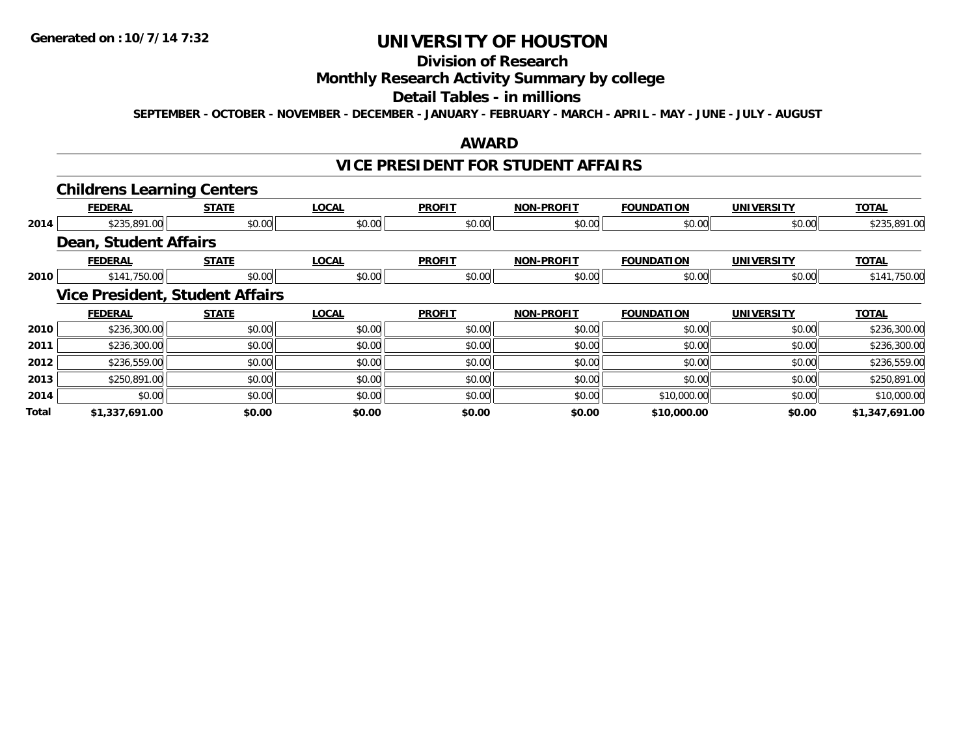#### **Division of Research**

# **Monthly Research Activity Summary by college**

#### **Detail Tables - in millions**

**SEPTEMBER - OCTOBER - NOVEMBER - DECEMBER - JANUARY - FEBRUARY - MARCH - APRIL - MAY - JUNE - JULY - AUGUST**

#### **AWARD**

### **VICE PRESIDENT FOR STUDENT AFFAIRS**

|       | <b>Childrens Learning Centers</b> |                                        |              |               |                   |                   |                   |                |
|-------|-----------------------------------|----------------------------------------|--------------|---------------|-------------------|-------------------|-------------------|----------------|
|       | <b>FEDERAL</b>                    | <b>STATE</b>                           | <b>LOCAL</b> | <b>PROFIT</b> | <b>NON-PROFIT</b> | <b>FOUNDATION</b> | <b>UNIVERSITY</b> | <b>TOTAL</b>   |
| 2014  | \$235,891.00                      | \$0.00                                 | \$0.00       | \$0.00        | \$0.00            | \$0.00            | \$0.00            | \$235,891.00   |
|       | Dean, Student Affairs             |                                        |              |               |                   |                   |                   |                |
|       | <b>FEDERAL</b>                    | <b>STATE</b>                           | <b>LOCAL</b> | <b>PROFIT</b> | <b>NON-PROFIT</b> | <b>FOUNDATION</b> | <b>UNIVERSITY</b> | <b>TOTAL</b>   |
| 2010  | \$141,750.00                      | \$0.00                                 | \$0.00       | \$0.00        | \$0.00            | \$0.00            | \$0.00            | \$141,750.00   |
|       |                                   | <b>Vice President, Student Affairs</b> |              |               |                   |                   |                   |                |
|       | <b>FEDERAL</b>                    | <b>STATE</b>                           | <b>LOCAL</b> | <b>PROFIT</b> | <b>NON-PROFIT</b> | <b>FOUNDATION</b> | <b>UNIVERSITY</b> | <b>TOTAL</b>   |
| 2010  | \$236,300.00                      | \$0.00                                 | \$0.00       | \$0.00        | \$0.00            | \$0.00            | \$0.00            | \$236,300.00   |
| 2011  | \$236,300.00                      | \$0.00                                 | \$0.00       | \$0.00        | \$0.00            | \$0.00            | \$0.00            | \$236,300.00   |
| 2012  | \$236,559.00                      | \$0.00                                 | \$0.00       | \$0.00        | \$0.00            | \$0.00            | \$0.00            | \$236,559.00   |
| 2013  | \$250,891.00                      | \$0.00                                 | \$0.00       | \$0.00        | \$0.00            | \$0.00            | \$0.00            | \$250,891.00   |
| 2014  | \$0.00                            | \$0.00                                 | \$0.00       | \$0.00        | \$0.00            | \$10,000.00       | \$0.00            | \$10,000.00    |
| Total | \$1,337,691.00                    | \$0.00                                 | \$0.00       | \$0.00        | \$0.00            | \$10,000.00       | \$0.00            | \$1,347,691.00 |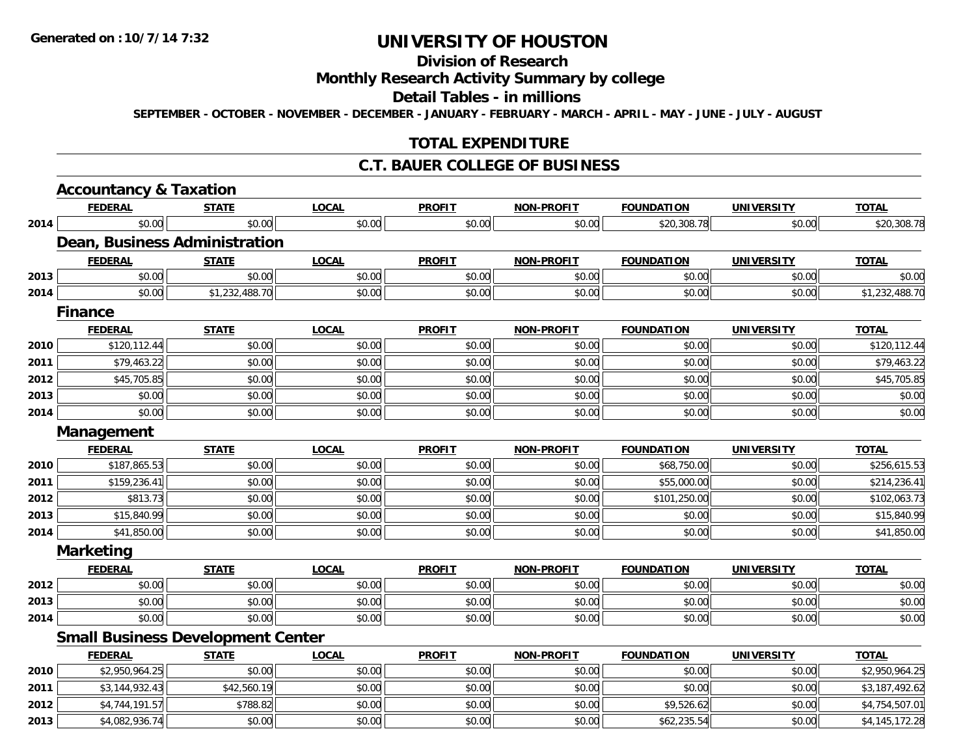# **Division of Research**

# **Monthly Research Activity Summary by college**

#### **Detail Tables - in millions**

**SEPTEMBER - OCTOBER - NOVEMBER - DECEMBER - JANUARY - FEBRUARY - MARCH - APRIL - MAY - JUNE - JULY - AUGUST**

### **TOTAL EXPENDITURE**

### **C.T. BAUER COLLEGE OF BUSINESS**

|      | <b>Accountancy &amp; Taxation</b>        |                |              |               |                   |                   |                   |                |
|------|------------------------------------------|----------------|--------------|---------------|-------------------|-------------------|-------------------|----------------|
|      | <b>FEDERAL</b>                           | <b>STATE</b>   | <b>LOCAL</b> | <b>PROFIT</b> | <b>NON-PROFIT</b> | <b>FOUNDATION</b> | <b>UNIVERSITY</b> | <b>TOTAL</b>   |
| 2014 | \$0.00                                   | \$0.00         | \$0.00       | \$0.00        | \$0.00            | \$20,308.78       | \$0.00            | \$20,308.78    |
|      | Dean, Business Administration            |                |              |               |                   |                   |                   |                |
|      | <b>FEDERAL</b>                           | <b>STATE</b>   | <b>LOCAL</b> | <b>PROFIT</b> | <b>NON-PROFIT</b> | <b>FOUNDATION</b> | <b>UNIVERSITY</b> | <b>TOTAL</b>   |
| 2013 | \$0.00                                   | \$0.00         | \$0.00       | \$0.00        | \$0.00            | \$0.00            | \$0.00            | \$0.00         |
| 2014 | \$0.00                                   | \$1,232,488.70 | \$0.00       | \$0.00        | \$0.00            | \$0.00            | \$0.00            | \$1,232,488.70 |
|      | <b>Finance</b>                           |                |              |               |                   |                   |                   |                |
|      | <b>FEDERAL</b>                           | <b>STATE</b>   | <b>LOCAL</b> | <b>PROFIT</b> | <b>NON-PROFIT</b> | <b>FOUNDATION</b> | <b>UNIVERSITY</b> | <b>TOTAL</b>   |
| 2010 | \$120,112.44                             | \$0.00         | \$0.00       | \$0.00        | \$0.00            | \$0.00            | \$0.00            | \$120,112.44   |
| 2011 | \$79,463.22                              | \$0.00         | \$0.00       | \$0.00        | \$0.00            | \$0.00            | \$0.00            | \$79,463.22    |
| 2012 | \$45,705.85                              | \$0.00         | \$0.00       | \$0.00        | \$0.00            | \$0.00            | \$0.00            | \$45,705.85    |
| 2013 | \$0.00                                   | \$0.00         | \$0.00       | \$0.00        | \$0.00            | \$0.00            | \$0.00            | \$0.00         |
| 2014 | \$0.00                                   | \$0.00         | \$0.00       | \$0.00        | \$0.00            | \$0.00            | \$0.00            | \$0.00         |
|      | Management                               |                |              |               |                   |                   |                   |                |
|      | <b>FEDERAL</b>                           | <b>STATE</b>   | <b>LOCAL</b> | <b>PROFIT</b> | <b>NON-PROFIT</b> | <b>FOUNDATION</b> | <b>UNIVERSITY</b> | <b>TOTAL</b>   |
| 2010 | \$187,865.53                             | \$0.00         | \$0.00       | \$0.00        | \$0.00            | \$68,750.00       | \$0.00            | \$256,615.53   |
| 2011 | \$159,236.41                             | \$0.00         | \$0.00       | \$0.00        | \$0.00            | \$55,000.00       | \$0.00            | \$214,236.41   |
| 2012 | \$813.73                                 | \$0.00         | \$0.00       | \$0.00        | \$0.00            | \$101,250.00      | \$0.00            | \$102,063.73   |
| 2013 | \$15,840.99                              | \$0.00         | \$0.00       | \$0.00        | \$0.00            | \$0.00            | \$0.00            | \$15,840.99    |
| 2014 | \$41,850.00                              | \$0.00         | \$0.00       | \$0.00        | \$0.00            | \$0.00            | \$0.00            | \$41,850.00    |
|      | <b>Marketing</b>                         |                |              |               |                   |                   |                   |                |
|      | <b>FEDERAL</b>                           | <b>STATE</b>   | <b>LOCAL</b> | <b>PROFIT</b> | <b>NON-PROFIT</b> | <b>FOUNDATION</b> | <b>UNIVERSITY</b> | <b>TOTAL</b>   |
| 2012 | \$0.00                                   | \$0.00         | \$0.00       | \$0.00        | \$0.00            | \$0.00            | \$0.00            | \$0.00         |
| 2013 | \$0.00                                   | \$0.00         | \$0.00       | \$0.00        | \$0.00            | \$0.00            | \$0.00            | \$0.00         |
| 2014 | \$0.00                                   | \$0.00         | \$0.00       | \$0.00        | \$0.00            | \$0.00            | \$0.00            | \$0.00         |
|      | <b>Small Business Development Center</b> |                |              |               |                   |                   |                   |                |
|      | <b>FEDERAL</b>                           | <b>STATE</b>   | <b>LOCAL</b> | <b>PROFIT</b> | <b>NON-PROFIT</b> | <b>FOUNDATION</b> | <b>UNIVERSITY</b> | <b>TOTAL</b>   |
| 2010 | \$2,950,964.25                           | \$0.00         | \$0.00       | \$0.00        | \$0.00            | \$0.00            | \$0.00            | \$2,950,964.25 |
| 2011 | \$3,144,932.43                           | \$42,560.19    | \$0.00       | \$0.00        | \$0.00            | \$0.00            | \$0.00            | \$3,187,492.62 |
| 2012 | \$4,744,191.57                           | \$788.82       | \$0.00       | \$0.00        | \$0.00            | \$9,526.62        | \$0.00            | \$4,754,507.01 |
| 2013 | \$4,082,936.74                           | \$0.00         | \$0.00       | \$0.00        | \$0.00            | \$62,235.54       | \$0.00            | \$4,145,172.28 |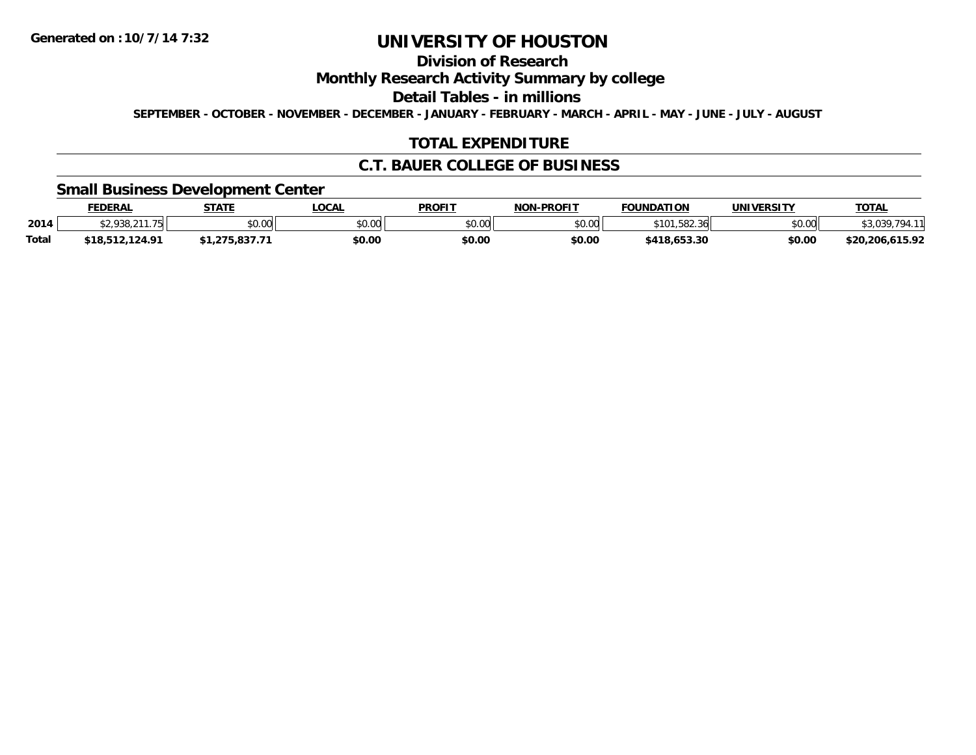# **Division of Research**

**Monthly Research Activity Summary by college**

**Detail Tables - in millions**

**SEPTEMBER - OCTOBER - NOVEMBER - DECEMBER - JANUARY - FEBRUARY - MARCH - APRIL - MAY - JUNE - JULY - AUGUST**

## **TOTAL EXPENDITURE**

### **C.T. BAUER COLLEGE OF BUSINESS**

### **Small Business Development Center**

|              | FEDERAL                    | <b>STATE</b>         | .OCAL  | <b>PROFIT</b> | <b>NON-PROFIT</b> | <b>FOUNDATION</b>         | <b>UNIVERSITY</b> | <u> ΤΟΤΑL</u>        |
|--------------|----------------------------|----------------------|--------|---------------|-------------------|---------------------------|-------------------|----------------------|
| 2014         | 020 211 7E<br>$-1.730, 21$ | 0000<br><b>JU.UU</b> | \$0.00 | 0000<br>PO.OO | \$0.00            | 58236<br>\$101<br>06.200، | \$0.00            | , ט, ט               |
| <b>Total</b> | \$18,512,124.91            | 0277<br>. .<br>      | \$0.00 | \$0.00        | \$0.00            | \$418,653.30              | \$0.00            | .615.92<br>\$20.206. |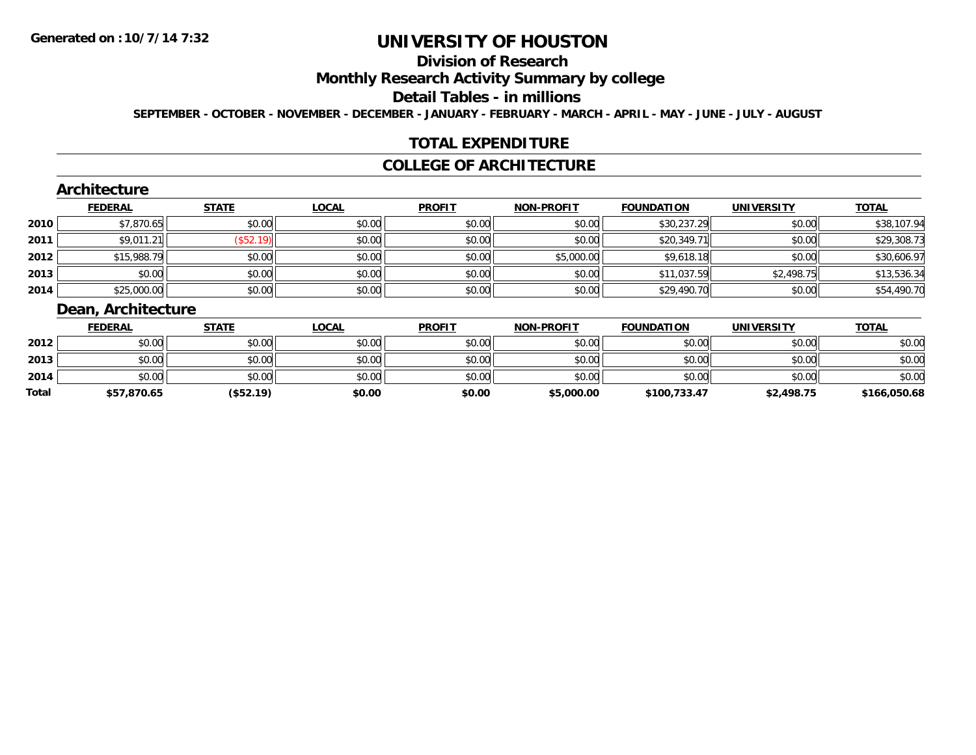# **Division of Research**

### **Monthly Research Activity Summary by college**

#### **Detail Tables - in millions**

**SEPTEMBER - OCTOBER - NOVEMBER - DECEMBER - JANUARY - FEBRUARY - MARCH - APRIL - MAY - JUNE - JULY - AUGUST**

### **TOTAL EXPENDITURE**

### **COLLEGE OF ARCHITECTURE**

### **Architecture**

|      | <b>FEDERAL</b> | <b>STATE</b> | <b>LOCAL</b> | <b>PROFIT</b> | <b>NON-PROFIT</b> | <b>FOUNDATION</b> | <b>UNIVERSITY</b> | <b>TOTAL</b> |
|------|----------------|--------------|--------------|---------------|-------------------|-------------------|-------------------|--------------|
| 2010 | \$7,870.65     | \$0.00       | \$0.00       | \$0.00        | \$0.00            | \$30,237.29       | \$0.00            | \$38,107.94  |
| 2011 | \$9,011.21     | $($ \$52.19) | \$0.00       | \$0.00        | \$0.00            | \$20,349.71       | \$0.00            | \$29,308.73  |
| 2012 | \$15,988.79    | \$0.00       | \$0.00       | \$0.00        | \$5,000.00        | \$9,618.18        | \$0.00            | \$30,606.97  |
| 2013 | \$0.00         | \$0.00       | \$0.00       | \$0.00        | \$0.00            | \$11,037.59       | \$2,498.75        | \$13,536.34  |
| 2014 | \$25,000.00    | \$0.00       | \$0.00       | \$0.00        | \$0.00            | \$29,490.70       | \$0.00            | \$54,490.70  |

### **Dean, Architecture**

|       | <b>FEDERAL</b> | <u>STATE</u> | <u>LOCAL</u> | <b>PROFIT</b> | <b>NON-PROFIT</b> | <b>FOUNDATION</b> | <b>UNIVERSITY</b> | <b>TOTAL</b> |
|-------|----------------|--------------|--------------|---------------|-------------------|-------------------|-------------------|--------------|
| 2012  | \$0.00         | \$0.00       | \$0.00       | \$0.00        | \$0.00            | \$0.00            | \$0.00            | \$0.00       |
| 2013  | \$0.00         | \$0.00       | \$0.00       | \$0.00        | \$0.00            | \$0.00            | \$0.00            | \$0.00       |
| 2014  | \$0.00         | \$0.00       | \$0.00       | \$0.00        | \$0.00            | \$0.00            | \$0.00            | \$0.00       |
| Total | \$57,870.65    | (\$52.19)    | \$0.00       | \$0.00        | \$5,000.00        | \$100,733.47      | \$2,498.75        | \$166,050.68 |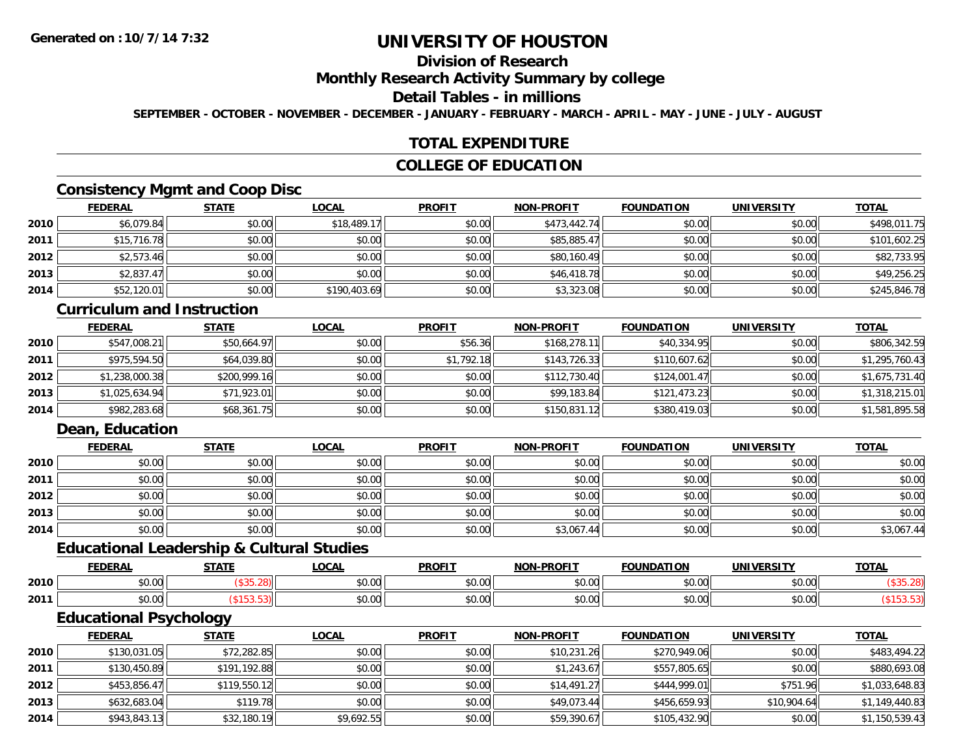# **Division of Research**

### **Monthly Research Activity Summary by college**

### **Detail Tables - in millions**

**SEPTEMBER - OCTOBER - NOVEMBER - DECEMBER - JANUARY - FEBRUARY - MARCH - APRIL - MAY - JUNE - JULY - AUGUST**

### **TOTAL EXPENDITURE**

### **COLLEGE OF EDUCATION**

## **Consistency Mgmt and Coop Disc**

|      | <b>FEDERAL</b> | <b>STATE</b> | <u>LOCAL</u> | <b>PROFIT</b> | <b>NON-PROFIT</b> | <b>FOUNDATION</b> | <b>UNIVERSITY</b> | <b>TOTAL</b> |
|------|----------------|--------------|--------------|---------------|-------------------|-------------------|-------------------|--------------|
| 2010 | \$6,079.84     | \$0.00       | \$18,489.17  | \$0.00        | \$473,442.74      | \$0.00            | \$0.00            | \$498,011.75 |
| 2011 | \$15,716.78    | \$0.00       | \$0.00       | \$0.00        | \$85,885.47       | \$0.00            | \$0.00            | \$101,602.25 |
| 2012 | \$2,573.46     | \$0.00       | \$0.00       | \$0.00        | \$80,160.49       | \$0.00            | \$0.00            | \$82,733.95  |
| 2013 | \$2,837.47     | \$0.00       | \$0.00       | \$0.00        | \$46,418.78       | \$0.00            | \$0.00            | \$49,256.25  |
| 2014 | \$52,120.01    | \$0.00       | \$190,403.69 | \$0.00        | \$3,323.08        | \$0.00            | \$0.00            | \$245,846.78 |

#### **Curriculum and Instruction**

|      | <b>FEDERAL</b> | <b>STATE</b> | <u>LOCAL</u> | <b>PROFIT</b> | <b>NON-PROFIT</b> | <b>FOUNDATION</b> | <b>UNIVERSITY</b> | <b>TOTAL</b>   |
|------|----------------|--------------|--------------|---------------|-------------------|-------------------|-------------------|----------------|
| 2010 | \$547,008.21   | \$50,664.97  | \$0.00       | \$56.36       | \$168,278.11      | \$40,334.95       | \$0.00            | \$806,342.59   |
| 2011 | \$975,594.50   | \$64,039.80  | \$0.00       | \$1,792.18    | \$143.726.33      | \$110,607.62      | \$0.00            | \$1,295,760.43 |
| 2012 | \$1,238,000.38 | \$200,999.16 | \$0.00       | \$0.00        | \$112,730.40      | \$124,001.47      | \$0.00            | \$1,675,731.40 |
| 2013 | \$1,025,634.94 | \$71,923.01  | \$0.00       | \$0.00        | \$99,183.84       | \$121.473.23      | \$0.00            | \$1,318,215.01 |
| 2014 | \$982,283.68   | \$68,361.75  | \$0.00       | \$0.00        | \$150,831.12      | \$380,419.03      | \$0.00            | \$1,581,895.58 |

## **Dean, Education**

|      | <b>FEDERAL</b> | <b>STATE</b> | <b>LOCAL</b> | <b>PROFIT</b> | <b>NON-PROFIT</b> | <b>FOUNDATION</b> | <b>UNIVERSITY</b> | <b>TOTAL</b> |
|------|----------------|--------------|--------------|---------------|-------------------|-------------------|-------------------|--------------|
| 2010 | \$0.00         | \$0.00       | \$0.00       | \$0.00        | \$0.00            | \$0.00            | \$0.00            | \$0.00       |
| 2011 | \$0.00         | \$0.00       | \$0.00       | \$0.00        | \$0.00            | \$0.00            | \$0.00            | \$0.00       |
| 2012 | \$0.00         | \$0.00       | \$0.00       | \$0.00        | \$0.00            | \$0.00            | \$0.00            | \$0.00       |
| 2013 | \$0.00         | \$0.00       | \$0.00       | \$0.00        | \$0.00            | \$0.00            | \$0.00            | \$0.00       |
| 2014 | \$0.00         | \$0.00       | \$0.00       | \$0.00        | \$3,067.44        | \$0.00            | \$0.00            | \$3,067.44   |

#### **Educational Leadership & Cultural Studies**

|      | <b>FEDERAL</b>  | <b>CTATE</b> | .OCAL                                                   | <b>PROFIT</b>          | <b>DDAFIT</b><br><b>NON</b> | <b>FOUNDATION</b> | UNIVERSITY    | <b>TOTAL</b> |
|------|-----------------|--------------|---------------------------------------------------------|------------------------|-----------------------------|-------------------|---------------|--------------|
| 2010 | ሐሴ ሰሰ<br>טט.טע  |              | $\mathfrak{e}\cap\mathfrak{g}\cap\mathfrak{g}$<br>pu.uu | 0000<br>JU.U           | ტი იი<br>vu.uu              | 0 <sub>n</sub>    | 0000          |              |
| 2011 | $\sim$<br>vv.vv |              | \$0.00                                                  | 0 <sub>n</sub><br>JU.U | 0000<br>vv.vv               | $\sim$ 00         | 0000<br>JU.UU |              |

<u> 1980 - Johann Stoff, amerikansk politiker (d. 1980)</u>

# **Educational Psychology**

|      | <b>FEDERAL</b> | <u>STATE</u> | <u>LOCAL</u> | <b>PROFIT</b> | <b>NON-PROFIT</b> | <b>FOUNDATION</b> | <b>UNIVERSITY</b> | <b>TOTAL</b>   |
|------|----------------|--------------|--------------|---------------|-------------------|-------------------|-------------------|----------------|
| 2010 | \$130,031.05   | \$72,282.85  | \$0.00       | \$0.00        | \$10.231.26       | \$270,949.06      | \$0.00            | \$483,494.22   |
| 2011 | \$130,450.89   | \$191,192.88 | \$0.00       | \$0.00        | \$1,243.67        | \$557,805.65      | \$0.00            | \$880,693.08   |
| 2012 | \$453,856.47   | \$119,550.12 | \$0.00       | \$0.00        | \$14.491.27       | \$444,999.01      | \$751.96          | \$1,033,648.83 |
| 2013 | \$632,683.04   | \$119.78     | \$0.00       | \$0.00        | \$49,073.44       | \$456,659.93      | \$10,904.64       | \$1,149,440.83 |
| 2014 | \$943,843.13   | \$32,180.19  | \$9,692.55   | \$0.00        | \$59,390.67       | \$105,432.90      | \$0.00            | \$1,150,539.43 |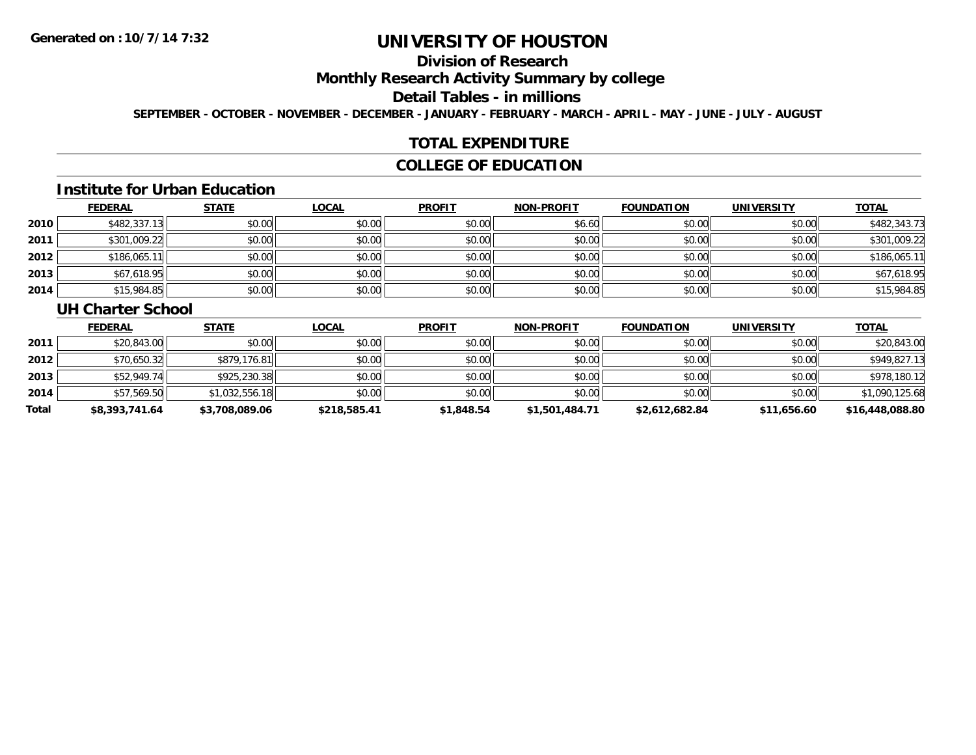# **Division of Research**

### **Monthly Research Activity Summary by college**

#### **Detail Tables - in millions**

**SEPTEMBER - OCTOBER - NOVEMBER - DECEMBER - JANUARY - FEBRUARY - MARCH - APRIL - MAY - JUNE - JULY - AUGUST**

### **TOTAL EXPENDITURE**

## **COLLEGE OF EDUCATION**

#### **Institute for Urban Education**

|      | <b>FEDERAL</b> | <b>STATE</b> | <b>LOCAL</b> | <b>PROFIT</b> | <b>NON-PROFIT</b> | <b>FOUNDATION</b> | <b>UNIVERSITY</b> | <b>TOTAL</b> |
|------|----------------|--------------|--------------|---------------|-------------------|-------------------|-------------------|--------------|
| 2010 | \$482,337.13   | \$0.00       | \$0.00       | \$0.00        | \$6.60            | \$0.00            | \$0.00            | \$482,343.73 |
| 2011 | \$301,009.22   | \$0.00       | \$0.00       | \$0.00        | \$0.00            | \$0.00            | \$0.00            | \$301,009.22 |
| 2012 | \$186,065.1    | \$0.00       | \$0.00       | \$0.00        | \$0.00            | \$0.00            | \$0.00            | \$186,065.11 |
| 2013 | \$67,618.95    | \$0.00       | \$0.00       | \$0.00        | \$0.00            | \$0.00            | \$0.00            | \$67,618.95  |
| 2014 | \$15,984.85    | \$0.00       | \$0.00       | \$0.00        | \$0.00            | \$0.00            | \$0.00            | \$15,984.85  |

#### **UH Charter School**

|       | <b>FEDERAL</b> | <u>STATE</u>   | <u>LOCAL</u> | <b>PROFIT</b> | <b>NON-PROFIT</b> | <b>FOUNDATION</b> | UNIVERSITY  | <b>TOTAL</b>    |
|-------|----------------|----------------|--------------|---------------|-------------------|-------------------|-------------|-----------------|
| 2011  | \$20,843.00    | \$0.00         | \$0.00       | \$0.00        | \$0.00            | \$0.00            | \$0.00      | \$20,843.00     |
| 2012  | \$70,650.32    | \$879,176.81   | \$0.00       | \$0.00        | \$0.00            | \$0.00            | \$0.00      | \$949,827.13    |
| 2013  | \$52,949.74    | \$925,230.38   | \$0.00       | \$0.00        | \$0.00            | \$0.00            | \$0.00      | \$978,180.12    |
| 2014  | \$57,569.50    | \$1,032,556.18 | \$0.00       | \$0.00        | \$0.00            | \$0.00            | \$0.00      | \$1,090,125.68  |
| Total | \$8,393,741.64 | \$3,708,089.06 | \$218,585.41 | \$1,848.54    | \$1,501,484.71    | \$2,612,682.84    | \$11,656.60 | \$16,448,088.80 |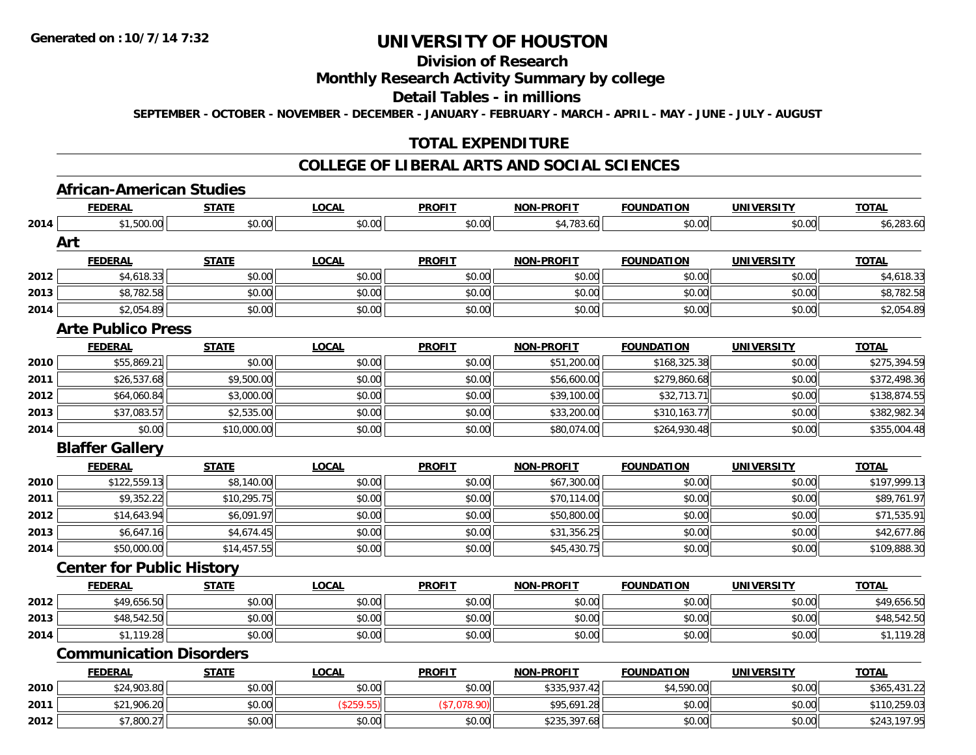# **Division of Research**

### **Monthly Research Activity Summary by college**

#### **Detail Tables - in millions**

**SEPTEMBER - OCTOBER - NOVEMBER - DECEMBER - JANUARY - FEBRUARY - MARCH - APRIL - MAY - JUNE - JULY - AUGUST**

## **TOTAL EXPENDITURE**

#### **COLLEGE OF LIBERAL ARTS AND SOCIAL SCIENCES**

#### **African-American Studies**

|      | <b>FEDERAL</b>                   | <b>STATE</b> | <b>LOCAL</b> | <b>PROFIT</b> | <b>NON-PROFIT</b> | <b>FOUNDATION</b> | <b>UNIVERSITY</b> | <b>TOTAL</b> |
|------|----------------------------------|--------------|--------------|---------------|-------------------|-------------------|-------------------|--------------|
| 2014 | \$1,500.00                       | \$0.00       | \$0.00       | \$0.00        | \$4,783.60        | \$0.00            | \$0.00            | \$6,283.60   |
|      | Art                              |              |              |               |                   |                   |                   |              |
|      | <b>FEDERAL</b>                   | <b>STATE</b> | <b>LOCAL</b> | <b>PROFIT</b> | <b>NON-PROFIT</b> | <b>FOUNDATION</b> | <b>UNIVERSITY</b> | <b>TOTAL</b> |
| 2012 | \$4,618.33                       | \$0.00       | \$0.00       | \$0.00        | \$0.00            | \$0.00            | \$0.00            | \$4,618.33   |
| 2013 | \$8,782.58                       | \$0.00       | \$0.00       | \$0.00        | \$0.00            | \$0.00            | \$0.00            | \$8,782.58   |
| 2014 | \$2,054.89                       | \$0.00       | \$0.00       | \$0.00        | \$0.00            | \$0.00            | \$0.00            | \$2,054.89   |
|      | <b>Arte Publico Press</b>        |              |              |               |                   |                   |                   |              |
|      | <b>FEDERAL</b>                   | <b>STATE</b> | <b>LOCAL</b> | <b>PROFIT</b> | <b>NON-PROFIT</b> | <b>FOUNDATION</b> | <b>UNIVERSITY</b> | <b>TOTAL</b> |
| 2010 | \$55,869.21                      | \$0.00       | \$0.00       | \$0.00        | \$51,200.00       | \$168,325.38      | \$0.00            | \$275,394.59 |
| 2011 | \$26,537.68                      | \$9,500.00   | \$0.00       | \$0.00        | \$56,600.00       | \$279,860.68      | \$0.00            | \$372,498.36 |
| 2012 | \$64,060.84                      | \$3,000.00   | \$0.00       | \$0.00        | \$39,100.00       | \$32,713.71       | \$0.00            | \$138,874.55 |
| 2013 | \$37,083.57                      | \$2,535.00   | \$0.00       | \$0.00        | \$33,200.00       | \$310,163.77      | \$0.00            | \$382,982.34 |
| 2014 | \$0.00                           | \$10,000.00  | \$0.00       | \$0.00        | \$80,074.00       | \$264,930.48      | \$0.00            | \$355,004.48 |
|      | <b>Blaffer Gallery</b>           |              |              |               |                   |                   |                   |              |
|      | <b>FEDERAL</b>                   | <b>STATE</b> | <b>LOCAL</b> | <b>PROFIT</b> | <b>NON-PROFIT</b> | <b>FOUNDATION</b> | <b>UNIVERSITY</b> | <b>TOTAL</b> |
| 2010 | \$122,559.13                     | \$8,140.00   | \$0.00       | \$0.00        | \$67,300.00       | \$0.00            | \$0.00            | \$197,999.13 |
| 2011 | \$9,352.22                       | \$10,295.75  | \$0.00       | \$0.00        | \$70,114.00       | \$0.00            | \$0.00            | \$89,761.97  |
| 2012 | \$14,643.94                      | \$6,091.97   | \$0.00       | \$0.00        | \$50,800.00       | \$0.00            | \$0.00            | \$71,535.91  |
| 2013 | \$6,647.16                       | \$4,674.45   | \$0.00       | \$0.00        | \$31,356.25       | \$0.00            | \$0.00            | \$42,677.86  |
| 2014 | \$50,000.00                      | \$14,457.55  | \$0.00       | \$0.00        | \$45,430.75       | \$0.00            | \$0.00            | \$109,888.30 |
|      | <b>Center for Public History</b> |              |              |               |                   |                   |                   |              |
|      | <b>FEDERAL</b>                   | <b>STATE</b> | <b>LOCAL</b> | <b>PROFIT</b> | <b>NON-PROFIT</b> | <b>FOUNDATION</b> | <b>UNIVERSITY</b> | <b>TOTAL</b> |
| 2012 | \$49,656.50                      | \$0.00       | \$0.00       | \$0.00        | \$0.00            | \$0.00            | \$0.00            | \$49,656.50  |
| 2013 | \$48,542.50                      | \$0.00       | \$0.00       | \$0.00        | \$0.00            | \$0.00            | \$0.00            | \$48,542.50  |
| 2014 | \$1,119.28                       | \$0.00       | \$0.00       | \$0.00        | \$0.00            | \$0.00            | \$0.00            | \$1,119.28   |
|      | <b>Communication Disorders</b>   |              |              |               |                   |                   |                   |              |
|      | <b>FEDERAL</b>                   | <b>STATE</b> | <b>LOCAL</b> | <b>PROFIT</b> | <b>NON-PROFIT</b> | <b>FOUNDATION</b> | <b>UNIVERSITY</b> | <b>TOTAL</b> |
| 2010 | \$24,903.80                      | \$0.00       | \$0.00       | \$0.00        | \$335,937.42      | \$4,590.00        | \$0.00            | \$365,431.22 |
| 2011 | \$21,906.20                      | \$0.00       | (\$259.55)   | (\$7,078.90)  | \$95,691.28       | \$0.00            | \$0.00            | \$110,259.03 |
| 2012 | \$7,800.27                       | \$0.00       | \$0.00       | \$0.00        | \$235,397.68      | \$0.00            | \$0.00            | \$243,197.95 |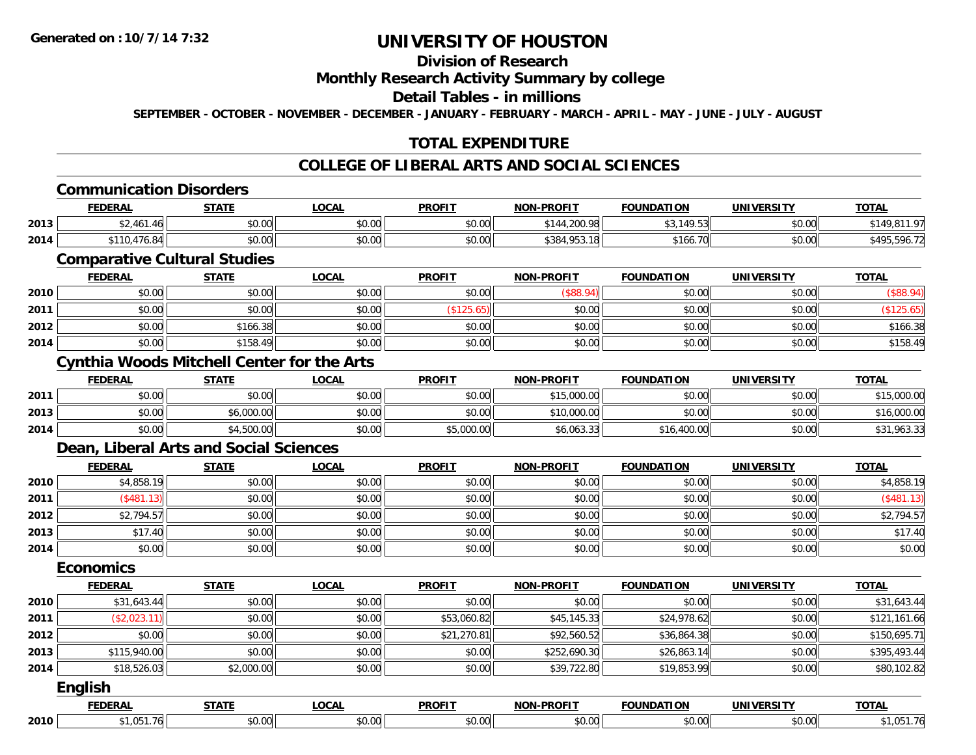# **Division of Research**

#### **Monthly Research Activity Summary by college**

#### **Detail Tables - in millions**

**SEPTEMBER - OCTOBER - NOVEMBER - DECEMBER - JANUARY - FEBRUARY - MARCH - APRIL - MAY - JUNE - JULY - AUGUST**

## **TOTAL EXPENDITURE**

## **COLLEGE OF LIBERAL ARTS AND SOCIAL SCIENCES**

#### **Communication Disorders**

|      | <b>FEDERAL</b>                                                               | <b>CTATE</b><br>- 31 A L        | _OCAL  | <b>PROFIT</b> | <b>NON-PROFIT</b> | <b>FOUNDATION</b> | <b>UNIVERSITY</b> | <b>TOTAL</b>        |
|------|------------------------------------------------------------------------------|---------------------------------|--------|---------------|-------------------|-------------------|-------------------|---------------------|
| 2013 | .461.46                                                                      | 0000<br>JU.UU                   | \$0.00 | \$0.00        | \$144,200.98      | 10F2<br>.70<br>╯  | 0000<br>JU.UU     | 07                  |
| 2014 | $A \rightarrow A$<br><b>A110</b><br>ດ⊿∥<br>70.84<br>$\overline{\phantom{a}}$ | $\circ$ $\circ$<br><b>JU.UU</b> | \$0.00 | \$0.00        | \$384,953.18      | \$166.            | 4000<br>DU.UU     | \$49F<br>$-$ 596.72 |

### **Comparative Cultural Studies**

|      | <b>FEDERAL</b> | <b>STATE</b> | <u>LOCAL</u> | <b>PROFIT</b> | <b>NON-PROFIT</b> | <b>FOUNDATION</b> | UNIVERSITY | <b>TOTAL</b> |
|------|----------------|--------------|--------------|---------------|-------------------|-------------------|------------|--------------|
| 2010 | \$0.00         | \$0.00       | \$0.00       | \$0.00        | DOO.              | \$0.00            | \$0.00     | (\$88.94)    |
| 2011 | \$0.00         | \$0.00       | \$0.00       |               | \$0.00            | \$0.00            | \$0.00     |              |
| 2012 | \$0.00         | \$166.38     | \$0.00       | \$0.00        | \$0.00            | \$0.00            | \$0.00     | \$166.38     |
| 2014 | \$0.00         | \$158.49     | \$0.00       | \$0.00        | \$0.00            | \$0.00            | \$0.00     | \$158.49     |

#### **Cynthia Woods Mitchell Center for the Arts**

|      | <b>FEDERAL</b>  | STATE      | LOCAL                                        | <b>PROFIT</b> | <b>NON-PROFIT</b> | <b>FOUNDATION</b> | UNIVERSITY | <b>TOTAL</b>            |
|------|-----------------|------------|----------------------------------------------|---------------|-------------------|-------------------|------------|-------------------------|
| 2011 | ሰሰ ሰሰ<br>\$U.UU | \$0.00     | $\triangle$ $\triangle$ $\triangle$<br>PO.OO | \$0.00        | \$15,000.00       | \$0.00            | \$0.00     | 000.00.<br><b>φ 1 Γ</b> |
| 2013 | \$0.00          | \$6,000.00 | \$0.00                                       | \$0.00        | \$10,000.00       | \$0.00            | \$0.00     | \$16,000.00             |
| 2014 | \$0.00          | 4,500.00   | \$0.00                                       | \$5,000.00    | \$6,063.33        | \$16,400.00       | \$0.00     | 903.30                  |

### **Dean, Liberal Arts and Social Sciences**

|      | <u>FEDERAL</u> | <b>STATE</b> | <u>LOCAL</u> | <b>PROFIT</b> | <b>NON-PROFIT</b> | <b>FOUNDATION</b> | <b>UNIVERSITY</b> | <b>TOTAL</b> |
|------|----------------|--------------|--------------|---------------|-------------------|-------------------|-------------------|--------------|
| 2010 | \$4,858.19     | \$0.00       | \$0.00       | \$0.00        | \$0.00            | \$0.00            | \$0.00            | \$4,858.19   |
| 2011 | (\$481.13)     | \$0.00       | \$0.00       | \$0.00        | \$0.00            | \$0.00            | \$0.00            | (\$481.13)   |
| 2012 | \$2,794.57     | \$0.00       | \$0.00       | \$0.00        | \$0.00            | \$0.00            | \$0.00            | \$2,794.57   |
| 2013 | \$17.40        | \$0.00       | \$0.00       | \$0.00        | \$0.00            | \$0.00            | \$0.00            | \$17.40      |
| 2014 | \$0.00         | \$0.00       | \$0.00       | \$0.00        | \$0.00            | \$0.00            | \$0.00            | \$0.00       |

#### **Economics**

|      | <b>FEDERAL</b> | <b>STATE</b> | <b>LOCAL</b> | <b>PROFIT</b> | <b>NON-PROFIT</b> | <b>FOUNDATION</b> | <b>UNIVERSITY</b> | <b>TOTAL</b> |
|------|----------------|--------------|--------------|---------------|-------------------|-------------------|-------------------|--------------|
| 2010 | \$31,643.44    | \$0.00       | \$0.00       | \$0.00        | \$0.00            | \$0.00            | \$0.00            | \$31,643.44  |
| 2011 | (\$2,023.11)   | \$0.00       | \$0.00       | \$53,060.82   | \$45,145.33       | \$24,978.62       | \$0.00            | \$121,161.66 |
| 2012 | \$0.00         | \$0.00       | \$0.00       | \$21,270.81   | \$92,560.52       | \$36,864.38       | \$0.00            | \$150,695.71 |
| 2013 | \$115,940.00   | \$0.00       | \$0.00       | \$0.00        | \$252,690.30      | \$26,863.14       | \$0.00            | \$395,493.44 |
| 2014 | \$18,526.03    | \$2,000.00   | \$0.00       | \$0.00        | \$39,722.80       | \$19,853.99       | \$0.00            | \$80,102.82  |
|      | <b>English</b> |              |              |               |                   |                   |                   |              |

|      | <b>FFBFBA</b><br>. | -----  | $\sim$ $\sim$ $\sim$<br>uunl | <b>DDOEIT</b><br>73 J.J | <b>DDAEIT</b><br><b>NION</b> | `INI∩                                      | JNI)                   | $T^{\sim}$<br>. . |
|------|--------------------|--------|------------------------------|-------------------------|------------------------------|--------------------------------------------|------------------------|-------------------|
| 2010 |                    | $\sim$ | $\sim$<br>``<br>,,,,         | 30.00                   | $\sim$ 00                    | $\uparrow$ $\uparrow$ $\uparrow$<br>,,,,,, | $\sim$ $\sim$<br>90.OC |                   |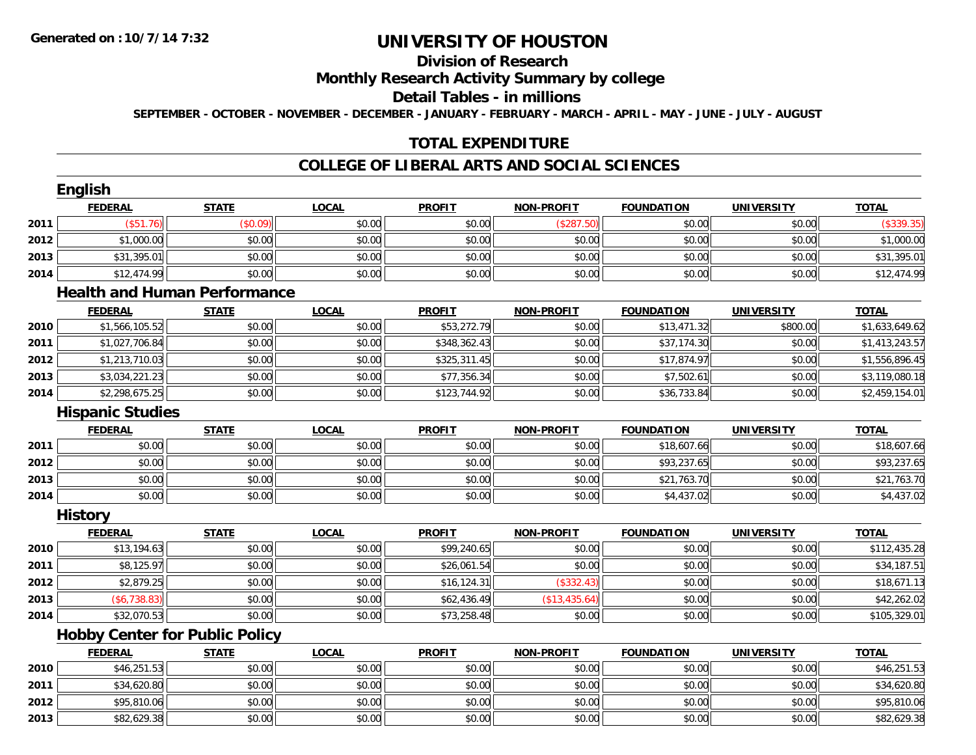**2013**

# **UNIVERSITY OF HOUSTON**

# **Division of Research**

### **Monthly Research Activity Summary by college**

#### **Detail Tables - in millions**

**SEPTEMBER - OCTOBER - NOVEMBER - DECEMBER - JANUARY - FEBRUARY - MARCH - APRIL - MAY - JUNE - JULY - AUGUST**

## **TOTAL EXPENDITURE**

#### **COLLEGE OF LIBERAL ARTS AND SOCIAL SCIENCES**

|      | English                               |                                     |              |               |                   |                   |                   |                |
|------|---------------------------------------|-------------------------------------|--------------|---------------|-------------------|-------------------|-------------------|----------------|
|      | <b>FEDERAL</b>                        | <b>STATE</b>                        | <b>LOCAL</b> | <b>PROFIT</b> | <b>NON-PROFIT</b> | <b>FOUNDATION</b> | <b>UNIVERSITY</b> | <b>TOTAL</b>   |
| 2011 | (\$51.76)                             | (\$0.09)                            | \$0.00       | \$0.00        | (\$287.50)        | \$0.00            | \$0.00            | (\$339.35)     |
| 2012 | \$1,000.00                            | \$0.00                              | \$0.00       | \$0.00        | \$0.00            | \$0.00            | \$0.00            | \$1,000.00     |
| 2013 | \$31,395.01                           | \$0.00                              | \$0.00       | \$0.00        | \$0.00            | \$0.00            | \$0.00            | \$31,395.01    |
| 2014 | \$12,474.99                           | \$0.00                              | \$0.00       | \$0.00        | \$0.00            | \$0.00            | \$0.00            | \$12,474.99    |
|      |                                       | <b>Health and Human Performance</b> |              |               |                   |                   |                   |                |
|      | <b>FEDERAL</b>                        | <b>STATE</b>                        | <b>LOCAL</b> | <b>PROFIT</b> | <b>NON-PROFIT</b> | <b>FOUNDATION</b> | <b>UNIVERSITY</b> | <b>TOTAL</b>   |
| 2010 | \$1,566,105.52                        | \$0.00                              | \$0.00       | \$53,272.79   | \$0.00            | \$13,471.32       | \$800.00          | \$1,633,649.62 |
| 2011 | \$1,027,706.84                        | \$0.00                              | \$0.00       | \$348,362.43  | \$0.00            | \$37,174.30       | \$0.00            | \$1,413,243.57 |
| 2012 | \$1,213,710.03                        | \$0.00                              | \$0.00       | \$325,311.45  | \$0.00            | \$17,874.97       | \$0.00            | \$1,556,896.45 |
| 2013 | \$3,034,221.23                        | \$0.00                              | \$0.00       | \$77,356.34   | \$0.00            | \$7,502.61        | \$0.00            | \$3,119,080.18 |
| 2014 | \$2,298,675.25                        | \$0.00                              | \$0.00       | \$123,744.92  | \$0.00            | \$36,733.84       | \$0.00            | \$2,459,154.01 |
|      | <b>Hispanic Studies</b>               |                                     |              |               |                   |                   |                   |                |
|      | <b>FEDERAL</b>                        | <b>STATE</b>                        | <b>LOCAL</b> | <b>PROFIT</b> | <b>NON-PROFIT</b> | <b>FOUNDATION</b> | <b>UNIVERSITY</b> | <b>TOTAL</b>   |
| 2011 | \$0.00                                | \$0.00                              | \$0.00       | \$0.00        | \$0.00            | \$18,607.66       | \$0.00            | \$18,607.66    |
| 2012 | \$0.00                                | \$0.00                              | \$0.00       | \$0.00        | \$0.00            | \$93,237.65       | \$0.00            | \$93,237.65    |
| 2013 | \$0.00                                | \$0.00                              | \$0.00       | \$0.00        | \$0.00            | \$21,763.70       | \$0.00            | \$21,763.70    |
| 2014 | \$0.00                                | \$0.00                              | \$0.00       | \$0.00        | \$0.00            | \$4,437.02        | \$0.00            | \$4,437.02     |
|      | <b>History</b>                        |                                     |              |               |                   |                   |                   |                |
|      | <b>FEDERAL</b>                        | <b>STATE</b>                        | <b>LOCAL</b> | <b>PROFIT</b> | <b>NON-PROFIT</b> | <b>FOUNDATION</b> | <b>UNIVERSITY</b> | <b>TOTAL</b>   |
| 2010 | \$13,194.63                           | \$0.00                              | \$0.00       | \$99,240.65   | \$0.00            | \$0.00            | \$0.00            | \$112,435.28   |
| 2011 | \$8,125.97                            | \$0.00                              | \$0.00       | \$26,061.54   | \$0.00            | \$0.00            | \$0.00            | \$34,187.51    |
| 2012 | \$2,879.25                            | \$0.00                              | \$0.00       | \$16,124.31   | (\$332.43)        | \$0.00            | \$0.00            | \$18,671.13    |
| 2013 | (\$6,738.83)                          | \$0.00                              | \$0.00       | \$62,436.49   | (\$13,435.64)     | \$0.00            | \$0.00            | \$42,262.02    |
| 2014 | \$32,070.53                           | \$0.00                              | \$0.00       | \$73,258.48   | \$0.00            | \$0.00            | \$0.00            | \$105,329.01   |
|      | <b>Hobby Center for Public Policy</b> |                                     |              |               |                   |                   |                   |                |
|      | <b>FEDERAL</b>                        | <b>STATE</b>                        | <b>LOCAL</b> | <b>PROFIT</b> | <b>NON-PROFIT</b> | <b>FOUNDATION</b> | <b>UNIVERSITY</b> | <b>TOTAL</b>   |
| 2010 | \$46,251.53                           | \$0.00                              | \$0.00       | \$0.00        | \$0.00            | \$0.00            | \$0.00            | \$46,251.53    |
| 2011 | \$34,620.80                           | \$0.00                              | \$0.00       | \$0.00        | \$0.00            | \$0.00            | \$0.00            | \$34,620.80    |
| 2012 | \$95,810.06                           | \$0.00                              | \$0.00       | \$0.00        | \$0.00            | \$0.00            | \$0.00            | \$95,810.06    |

 $\textbf{3} \quad \textbf{\textcolor{blue}{83.5}} \quad \textbf{\textcolor{blue}{89.5}} \quad \textbf{\textcolor{blue}{89.5}} \quad \textbf{\textcolor{blue}{89.5}} \quad \textbf{\textcolor{blue}{89.5}} \quad \textbf{\textcolor{blue}{89.5}} \quad \textbf{\textcolor{blue}{89.5}} \quad \textbf{\textcolor{blue}{89.5}} \quad \textbf{\textcolor{blue}{89.5}} \quad \textbf{\textcolor{blue}{89.5}} \quad \textbf{\textcolor{blue}{89.5}} \quad \textbf{\textcolor{blue}{89.5}} \quad \textbf{\textcolor{blue}{89.5}} \quad \textbf{\$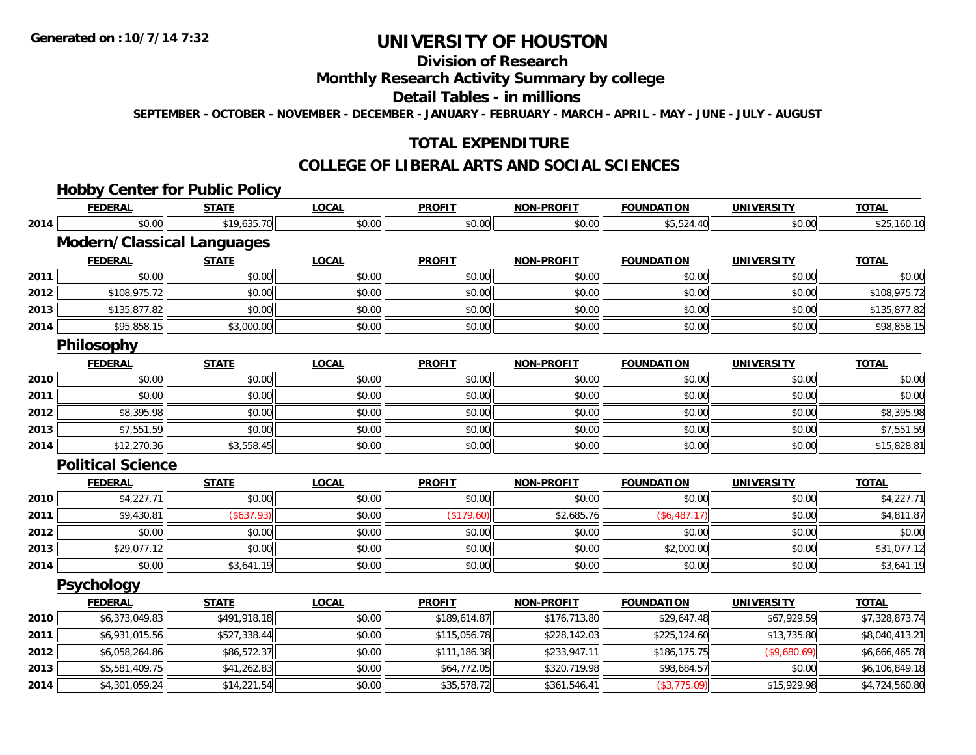# **Division of Research**

### **Monthly Research Activity Summary by college**

#### **Detail Tables - in millions**

**SEPTEMBER - OCTOBER - NOVEMBER - DECEMBER - JANUARY - FEBRUARY - MARCH - APRIL - MAY - JUNE - JULY - AUGUST**

## **TOTAL EXPENDITURE**

#### **COLLEGE OF LIBERAL ARTS AND SOCIAL SCIENCES**

## **Hobby Center for Public Policy**

|      | <b>FEDERAL</b>                    | <b>STATE</b> | <b>LOCAL</b> | <b>PROFIT</b> | <b>NON-PROFIT</b> | <b>FOUNDATION</b> | <b>UNIVERSITY</b> | <b>TOTAL</b>   |
|------|-----------------------------------|--------------|--------------|---------------|-------------------|-------------------|-------------------|----------------|
| 2014 | \$0.00                            | \$19,635.70  | \$0.00       | \$0.00        | \$0.00            | \$5,524.40        | \$0.00            | \$25,160.10    |
|      | <b>Modern/Classical Languages</b> |              |              |               |                   |                   |                   |                |
|      | <b>FEDERAL</b>                    | <b>STATE</b> | <b>LOCAL</b> | <b>PROFIT</b> | <b>NON-PROFIT</b> | <b>FOUNDATION</b> | <b>UNIVERSITY</b> | <b>TOTAL</b>   |
| 2011 | \$0.00                            | \$0.00       | \$0.00       | \$0.00        | \$0.00            | \$0.00            | \$0.00            | \$0.00         |
| 2012 | \$108,975.72                      | \$0.00       | \$0.00       | \$0.00        | \$0.00            | \$0.00            | \$0.00            | \$108,975.72   |
| 2013 | \$135,877.82                      | \$0.00       | \$0.00       | \$0.00        | \$0.00            | \$0.00            | \$0.00            | \$135,877.82   |
| 2014 | \$95,858.15                       | \$3,000.00   | \$0.00       | \$0.00        | \$0.00            | \$0.00            | \$0.00            | \$98,858.15    |
|      | <b>Philosophy</b>                 |              |              |               |                   |                   |                   |                |
|      | <b>FEDERAL</b>                    | <b>STATE</b> | <b>LOCAL</b> | <b>PROFIT</b> | <b>NON-PROFIT</b> | <b>FOUNDATION</b> | <b>UNIVERSITY</b> | <b>TOTAL</b>   |
| 2010 | \$0.00                            | \$0.00       | \$0.00       | \$0.00        | \$0.00            | \$0.00            | \$0.00            | \$0.00         |
| 2011 | \$0.00                            | \$0.00       | \$0.00       | \$0.00        | \$0.00            | \$0.00            | \$0.00            | \$0.00         |
| 2012 | \$8,395.98                        | \$0.00       | \$0.00       | \$0.00        | \$0.00            | \$0.00            | \$0.00            | \$8,395.98     |
| 2013 | \$7,551.59                        | \$0.00       | \$0.00       | \$0.00        | \$0.00            | \$0.00            | \$0.00            | \$7,551.59     |
| 2014 | \$12,270.36                       | \$3,558.45   | \$0.00       | \$0.00        | \$0.00            | \$0.00            | \$0.00            | \$15,828.81    |
|      | <b>Political Science</b>          |              |              |               |                   |                   |                   |                |
|      | <b>FEDERAL</b>                    | <b>STATE</b> | <b>LOCAL</b> | <b>PROFIT</b> | <b>NON-PROFIT</b> | <b>FOUNDATION</b> | <b>UNIVERSITY</b> | <b>TOTAL</b>   |
| 2010 | \$4,227.71                        | \$0.00       | \$0.00       | \$0.00        | \$0.00            | \$0.00            | \$0.00            | \$4,227.71     |
| 2011 | \$9,430.81                        | (\$637.93)   | \$0.00       | (\$179.60)    | \$2,685.76        | (\$6,487.17)      | \$0.00            | \$4,811.87     |
| 2012 | \$0.00                            | \$0.00       | \$0.00       | \$0.00        | \$0.00            | \$0.00            | \$0.00            | \$0.00         |
| 2013 | \$29,077.12                       | \$0.00       | \$0.00       | \$0.00        | \$0.00            | \$2,000.00        | \$0.00            | \$31,077.12    |
| 2014 | \$0.00                            | \$3,641.19   | \$0.00       | \$0.00        | \$0.00            | \$0.00            | \$0.00            | \$3,641.19     |
|      | <b>Psychology</b>                 |              |              |               |                   |                   |                   |                |
|      | <b>FEDERAL</b>                    | <b>STATE</b> | <b>LOCAL</b> | <b>PROFIT</b> | <b>NON-PROFIT</b> | <b>FOUNDATION</b> | <b>UNIVERSITY</b> | <b>TOTAL</b>   |
| 2010 | \$6,373,049.83                    | \$491,918.18 | \$0.00       | \$189,614.87  | \$176,713.80      | \$29,647.48       | \$67,929.59       | \$7,328,873.74 |
| 2011 | \$6,931,015.56                    | \$527,338.44 | \$0.00       | \$115,056.78  | \$228,142.03      | \$225,124.60      | \$13,735.80       | \$8,040,413.21 |
| 2012 | \$6,058,264.86                    | \$86,572.37  | \$0.00       | \$111,186.38  | \$233,947.11      | \$186,175.75      | (\$9,680.69)      | \$6,666,465.78 |
| 2013 | \$5,581,409.75                    | \$41,262.83  | \$0.00       | \$64,772.05   | \$320,719.98      | \$98,684.57       | \$0.00            | \$6,106,849.18 |
| 2014 | \$4,301,059.24                    | \$14,221.54  | \$0.00       | \$35,578.72   | \$361,546.41      | (\$3,775.09)      | \$15,929.98       | \$4,724,560.80 |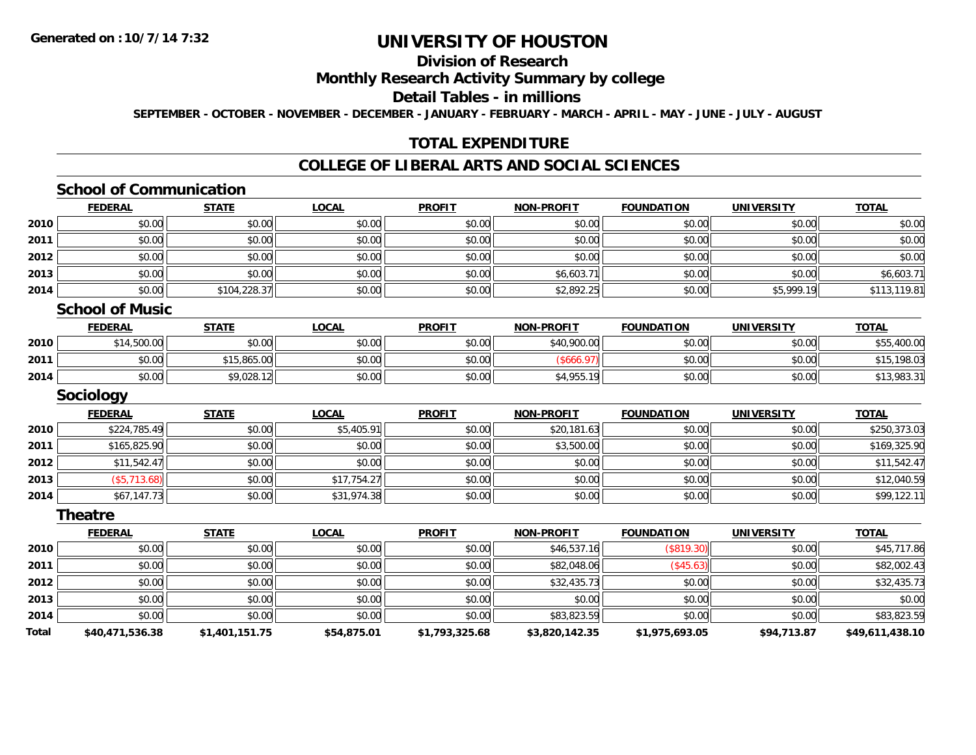# **Division of Research**

#### **Monthly Research Activity Summary by college**

#### **Detail Tables - in millions**

**SEPTEMBER - OCTOBER - NOVEMBER - DECEMBER - JANUARY - FEBRUARY - MARCH - APRIL - MAY - JUNE - JULY - AUGUST**

## **TOTAL EXPENDITURE**

## **COLLEGE OF LIBERAL ARTS AND SOCIAL SCIENCES**

### **School of Communication**

|      | <b>FEDERAL</b> | <b>STATE</b> | <b>LOCAL</b> | <b>PROFIT</b> | <b>NON-PROFIT</b> | <b>FOUNDATION</b> | <b>UNIVERSITY</b> | <b>TOTAL</b> |
|------|----------------|--------------|--------------|---------------|-------------------|-------------------|-------------------|--------------|
| 2010 | \$0.00         | \$0.00       | \$0.00       | \$0.00        | \$0.00            | \$0.00            | \$0.00            | \$0.00       |
| 2011 | \$0.00         | \$0.00       | \$0.00       | \$0.00        | \$0.00            | \$0.00            | \$0.00            | \$0.00       |
| 2012 | \$0.00         | \$0.00       | \$0.00       | \$0.00        | \$0.00            | \$0.00            | \$0.00            | \$0.00       |
| 2013 | \$0.00         | \$0.00       | \$0.00       | \$0.00        | \$6,603.71        | \$0.00            | \$0.00            | \$6,603.71   |
| 2014 | \$0.00         | \$104,228.37 | \$0.00       | \$0.00        | \$2,892.25        | \$0.00            | \$5,999.19        | \$113,119.81 |

#### **School of Music**

|      | <u>FEDERAL</u> | <b>STATE</b> | <u>LOCAL</u> | <b>PROFIT</b> | <b>NON-PROFIT</b>                     | <b>FOUNDATION</b> | UNIVERSITY | <b>TOTAL</b> |
|------|----------------|--------------|--------------|---------------|---------------------------------------|-------------------|------------|--------------|
| 2010 | \$14,500.00    | \$0.00       | \$0.00       | \$0.00        | \$40,900.00                           | \$0.00            | \$0.00     | \$55,400.00  |
| 2011 | \$0.00         | \$15,865.00  | \$0.00       | \$0.00        |                                       | \$0.00            | \$0.00     | .198.03      |
| 2014 | \$0.00         | \$9,028.12   | \$0.00       | \$0.00        | $A$ Q <sub>55</sub><br>-10<br>94,700. | \$0.00            | \$0.00     | \$13,983.31  |

#### **Sociology**

|      | <b>FEDERAL</b> | <b>STATE</b> | <u>LOCAL</u> | <b>PROFIT</b> | <b>NON-PROFIT</b> | <b>FOUNDATION</b> | <b>UNIVERSITY</b> | <b>TOTAL</b> |
|------|----------------|--------------|--------------|---------------|-------------------|-------------------|-------------------|--------------|
| 2010 | \$224,785.49   | \$0.00       | \$5,405.91   | \$0.00        | \$20,181.63       | \$0.00            | \$0.00            | \$250,373.03 |
| 2011 | \$165,825.90   | \$0.00       | \$0.00       | \$0.00        | \$3,500.00        | \$0.00            | \$0.00            | \$169,325.90 |
| 2012 | \$11,542.47    | \$0.00       | \$0.00       | \$0.00        | \$0.00            | \$0.00            | \$0.00            | \$11,542.47  |
| 2013 | (\$5,713.68)   | \$0.00       | \$17,754.27  | \$0.00        | \$0.00            | \$0.00            | \$0.00            | \$12,040.59  |
| 2014 | \$67,147.73    | \$0.00       | \$31,974.38  | \$0.00        | \$0.00            | \$0.00            | \$0.00            | \$99,122.11  |

#### **Theatre**

|              | <b>FEDERAL</b>  | <b>STATE</b>   | <b>LOCAL</b> | <b>PROFIT</b>  | <b>NON-PROFIT</b> | <b>FOUNDATION</b> | <b>UNIVERSITY</b> | <b>TOTAL</b>    |
|--------------|-----------------|----------------|--------------|----------------|-------------------|-------------------|-------------------|-----------------|
| 2010         | \$0.00          | \$0.00         | \$0.00       | \$0.00         | \$46,537.16       | (\$819.30)        | \$0.00            | \$45,717.86     |
| 2011         | \$0.00          | \$0.00         | \$0.00       | \$0.00         | \$82,048.06       | (\$45.63)         | \$0.00            | \$82,002.43     |
| 2012         | \$0.00          | \$0.00         | \$0.00       | \$0.00         | \$32,435.73       | \$0.00            | \$0.00            | \$32,435.73     |
| 2013         | \$0.00          | \$0.00         | \$0.00       | \$0.00         | \$0.00            | \$0.00            | \$0.00            | \$0.00          |
| 2014         | \$0.00          | \$0.00         | \$0.00       | \$0.00         | \$83,823.59       | \$0.00            | \$0.00            | \$83,823.59     |
| <b>Total</b> | \$40,471,536.38 | \$1,401,151.75 | \$54,875.01  | \$1,793,325.68 | \$3,820,142.35    | \$1,975,693.05    | \$94,713.87       | \$49,611,438.10 |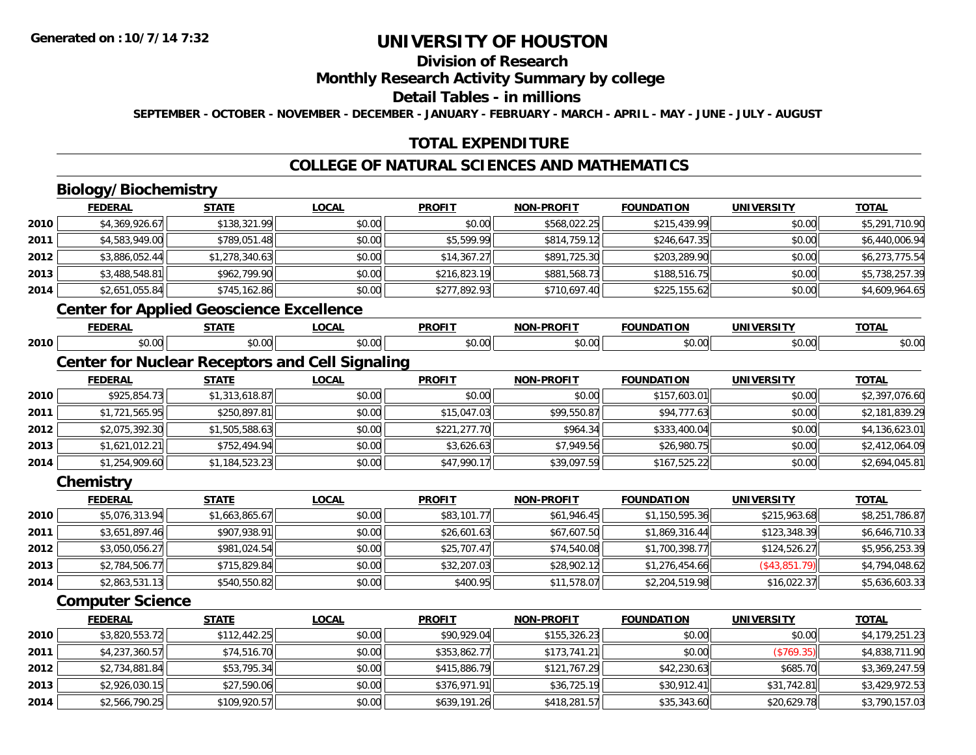# **Division of Research**

### **Monthly Research Activity Summary by college**

#### **Detail Tables - in millions**

**SEPTEMBER - OCTOBER - NOVEMBER - DECEMBER - JANUARY - FEBRUARY - MARCH - APRIL - MAY - JUNE - JULY - AUGUST**

## **TOTAL EXPENDITURE**

# **COLLEGE OF NATURAL SCIENCES AND MATHEMATICS**

# **Biology/Biochemistry**

**2014**

|      | <b>FEDERAL</b>                                  | <b>STATE</b>   | <b>LOCAL</b>                                           | <b>PROFIT</b> | <b>NON-PROFIT</b> | <b>FOUNDATION</b> | <b>UNIVERSITY</b> | <b>TOTAL</b>   |
|------|-------------------------------------------------|----------------|--------------------------------------------------------|---------------|-------------------|-------------------|-------------------|----------------|
| 2010 | \$4,369,926.67                                  | \$138,321.99   | \$0.00                                                 | \$0.00        | \$568,022.25      | \$215,439.99      | \$0.00            | \$5,291,710.90 |
| 2011 | \$4,583,949.00                                  | \$789,051.48   | \$0.00                                                 | \$5,599.99    | \$814,759.12      | \$246,647.35      | \$0.00            | \$6,440,006.94 |
| 2012 | \$3,886,052.44                                  | \$1,278,340.63 | \$0.00                                                 | \$14,367.27   | \$891,725.30      | \$203,289.90      | \$0.00            | \$6,273,775.54 |
| 2013 | \$3,488,548.81                                  | \$962,799.90   | \$0.00                                                 | \$216,823.19  | \$881,568.73      | \$188,516.75      | \$0.00            | \$5,738,257.39 |
| 2014 | \$2,651,055.84                                  | \$745,162.86   | \$0.00                                                 | \$277,892.93  | \$710,697.40      | \$225,155.62      | \$0.00            | \$4,609,964.65 |
|      | <b>Center for Applied Geoscience Excellence</b> |                |                                                        |               |                   |                   |                   |                |
|      | <b>FEDERAL</b>                                  | <b>STATE</b>   | <b>LOCAL</b>                                           | <b>PROFIT</b> | <b>NON-PROFIT</b> | <b>FOUNDATION</b> | <b>UNIVERSITY</b> | <b>TOTAL</b>   |
| 2010 | \$0.00                                          | \$0.00         | \$0.00                                                 | \$0.00        | \$0.00            | \$0.00            | \$0.00            | \$0.00         |
|      |                                                 |                | <b>Center for Nuclear Receptors and Cell Signaling</b> |               |                   |                   |                   |                |
|      | <b>FEDERAL</b>                                  | <b>STATE</b>   | <b>LOCAL</b>                                           | <b>PROFIT</b> | <b>NON-PROFIT</b> | <b>FOUNDATION</b> | <b>UNIVERSITY</b> | <b>TOTAL</b>   |
| 2010 | \$925,854.73                                    | \$1,313,618.87 | \$0.00                                                 | \$0.00        | \$0.00            | \$157,603.01      | \$0.00            | \$2,397,076.60 |
| 2011 | \$1,721,565.95                                  | \$250,897.81   | \$0.00                                                 | \$15,047.03   | \$99,550.87       | \$94,777.63       | \$0.00            | \$2,181,839.29 |
| 2012 | \$2,075,392.30                                  | \$1,505,588.63 | \$0.00                                                 | \$221,277.70  | \$964.34          | \$333,400.04      | \$0.00            | \$4,136,623.01 |
| 2013 | \$1,621,012.21                                  | \$752,494.94   | \$0.00                                                 | \$3,626.63    | \$7,949.56        | \$26,980.75       | \$0.00            | \$2,412,064.09 |
| 2014 | \$1,254,909.60                                  | \$1,184,523.23 | \$0.00                                                 | \$47,990.17   | \$39,097.59       | \$167,525.22      | \$0.00            | \$2,694,045.81 |
|      | Chemistry                                       |                |                                                        |               |                   |                   |                   |                |
|      | <b>FEDERAL</b>                                  | <b>STATE</b>   | <b>LOCAL</b>                                           | <b>PROFIT</b> | <b>NON-PROFIT</b> | <b>FOUNDATION</b> | <b>UNIVERSITY</b> | <b>TOTAL</b>   |
| 2010 | \$5,076,313.94                                  | \$1,663,865.67 | \$0.00                                                 | \$83,101.77   | \$61,946.45       | \$1,150,595.36    | \$215,963.68      | \$8,251,786.87 |
| 2011 | \$3,651,897.46                                  | \$907,938.91   | \$0.00                                                 | \$26,601.63   | \$67,607.50       | \$1,869,316.44    | \$123,348.39      | \$6,646,710.33 |
| 2012 | \$3,050,056.27                                  | \$981,024.54   | \$0.00                                                 | \$25,707.47   | \$74,540.08       | \$1,700,398.77    | \$124,526.27      | \$5,956,253.39 |
| 2013 | \$2,784,506.77                                  | \$715,829.84   | \$0.00                                                 | \$32,207.03   | \$28,902.12       | \$1,276,454.66    | (\$43,851.79)     | \$4,794,048.62 |
| 2014 | \$2,863,531.13                                  | \$540,550.82   | \$0.00                                                 | \$400.95      | \$11,578.07       | \$2,204,519.98    | \$16,022.37       | \$5,636,603.33 |
|      | <b>Computer Science</b>                         |                |                                                        |               |                   |                   |                   |                |
|      | <b>FEDERAL</b>                                  | <b>STATE</b>   | <b>LOCAL</b>                                           | <b>PROFIT</b> | <b>NON-PROFIT</b> | <b>FOUNDATION</b> | <b>UNIVERSITY</b> | <b>TOTAL</b>   |
| 2010 | \$3,820,553.72                                  | \$112,442.25   | \$0.00                                                 | \$90,929.04   | \$155,326.23      | \$0.00            | \$0.00            | \$4,179,251.23 |
| 2011 | \$4,237,360.57                                  | \$74,516.70    | \$0.00                                                 | \$353,862.77  | \$173,741.21      | \$0.00            | (\$769.35)        | \$4,838,711.90 |
| 2012 | \$2,734,881.84                                  | \$53,795.34    | \$0.00                                                 | \$415,886.79  | \$121,767.29      | \$42,230.63       | \$685.70          | \$3,369,247.59 |
| 2013 | \$2,926,030.15                                  | \$27,590.06    | \$0.00                                                 | \$376,971.91  | \$36,725.19       | \$30,912.41       | \$31,742.81       | \$3,429,972.53 |

4 \$2,566,790.25|| \$109,920.57|| \$0.00|| \$639,191.26|| \$418,281.57|| \$35,343.60|| \$20,629.78|| \$3,790,157.03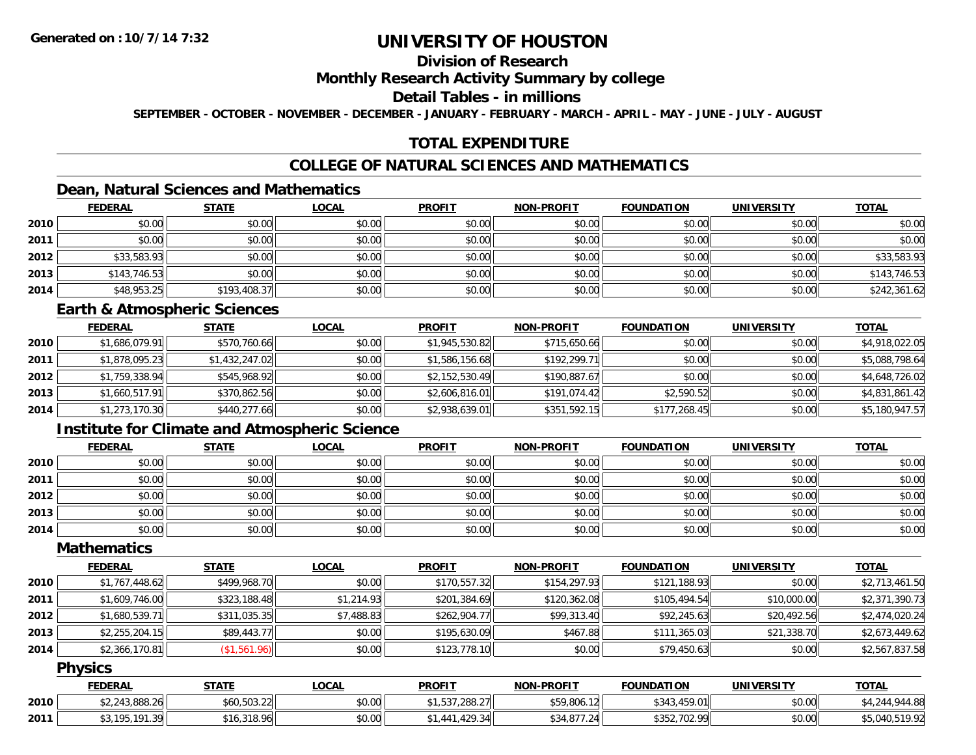# **Division of Research**

### **Monthly Research Activity Summary by college**

### **Detail Tables - in millions**

**SEPTEMBER - OCTOBER - NOVEMBER - DECEMBER - JANUARY - FEBRUARY - MARCH - APRIL - MAY - JUNE - JULY - AUGUST**

# **TOTAL EXPENDITURE**

# **COLLEGE OF NATURAL SCIENCES AND MATHEMATICS**

# **Dean, Natural Sciences and Mathematics**

|      | <b>FEDERAL</b> | <b>STATE</b> | <u>LOCAL</u> | <b>PROFIT</b> | <b>NON-PROFIT</b> | <b>FOUNDATION</b> | <b>UNIVERSITY</b> | <b>TOTAL</b> |
|------|----------------|--------------|--------------|---------------|-------------------|-------------------|-------------------|--------------|
| 2010 | \$0.00         | \$0.00       | \$0.00       | \$0.00        | \$0.00            | \$0.00            | \$0.00            | \$0.00       |
| 2011 | \$0.00         | \$0.00       | \$0.00       | \$0.00        | \$0.00            | \$0.00            | \$0.00            | \$0.00       |
| 2012 | \$33,583.93    | \$0.00       | \$0.00       | \$0.00        | \$0.00            | \$0.00            | \$0.00            | \$33,583.93  |
| 2013 | \$143,746.53   | \$0.00       | \$0.00       | \$0.00        | \$0.00            | \$0.00            | \$0.00            | \$143,746.53 |
| 2014 | \$48,953.25    | \$193,408.37 | \$0.00       | \$0.00        | \$0.00            | \$0.00            | \$0.00            | \$242,361.62 |

#### **Earth & Atmospheric Sciences**

|      | <b>FEDERAL</b> | <b>STATE</b>   | <b>LOCAL</b> | <b>PROFIT</b>  | <b>NON-PROFIT</b> | <b>FOUNDATION</b> | <b>UNIVERSITY</b> | <b>TOTAL</b>   |
|------|----------------|----------------|--------------|----------------|-------------------|-------------------|-------------------|----------------|
| 2010 | \$1,686,079.91 | \$570,760.66   | \$0.00       | \$1,945,530.82 | \$715,650.66      | \$0.00            | \$0.00            | \$4,918,022.05 |
| 2011 | \$1,878,095.23 | \$1,432,247.02 | \$0.00       | \$1,586,156.68 | \$192,299.71      | \$0.00            | \$0.00            | \$5,088,798.64 |
| 2012 | \$1,759,338.94 | \$545,968.92   | \$0.00       | \$2,152,530.49 | \$190,887.67      | \$0.00            | \$0.00            | \$4,648,726.02 |
| 2013 | \$1,660,517.91 | \$370,862.56   | \$0.00       | \$2,606,816.01 | \$191,074.42      | \$2,590.52        | \$0.00            | \$4,831,861.42 |
| 2014 | \$1,273,170.30 | \$440,277.66   | \$0.00       | \$2,938,639.01 | \$351,592.15      | \$177,268.45      | \$0.00            | \$5,180,947.57 |

## **Institute for Climate and Atmospheric Science**

|      | <b>FEDERAL</b> | <b>STATE</b> | <u>LOCAL</u> | <b>PROFIT</b> | NON-PROFIT | <b>FOUNDATION</b> | <b>UNIVERSITY</b> | <b>TOTAL</b> |
|------|----------------|--------------|--------------|---------------|------------|-------------------|-------------------|--------------|
| 2010 | \$0.00         | \$0.00       | \$0.00       | \$0.00        | \$0.00     | \$0.00            | \$0.00            | \$0.00       |
| 2011 | \$0.00         | \$0.00       | \$0.00       | \$0.00        | \$0.00     | \$0.00            | \$0.00            | \$0.00       |
| 2012 | \$0.00         | \$0.00       | \$0.00       | \$0.00        | \$0.00     | \$0.00            | \$0.00            | \$0.00       |
| 2013 | \$0.00         | \$0.00       | \$0.00       | \$0.00        | \$0.00     | \$0.00            | \$0.00            | \$0.00       |
| 2014 | \$0.00         | \$0.00       | \$0.00       | \$0.00        | \$0.00     | \$0.00            | \$0.00            | \$0.00       |

### **Mathematics**

|      | <b>FEDERAL</b> | <u>STATE</u> | <b>LOCAL</b> | <b>PROFIT</b> | <b>NON-PROFIT</b> | <b>FOUNDATION</b> | UNIVERSITY  | <u>TOTAL</u>   |
|------|----------------|--------------|--------------|---------------|-------------------|-------------------|-------------|----------------|
| 2010 | \$1,767,448.62 | \$499,968.70 | \$0.00       | \$170,557.32  | \$154,297.93      | \$121,188.93      | \$0.00      | \$2,713,461.50 |
| 2011 | \$1,609,746.00 | \$323,188.48 | \$1,214.93   | \$201,384.69  | \$120,362.08      | \$105,494.54      | \$10,000.00 | \$2,371,390.73 |
| 2012 | \$1,680,539.71 | \$311,035.35 | \$7.488.83   | \$262,904.77  | \$99,313.40       | \$92,245.63       | \$20,492.56 | \$2,474,020.24 |
| 2013 | \$2,255,204.15 | \$89,443.77  | \$0.00       | \$195,630.09  | \$467.88          | \$111,365.03      | \$21,338.70 | \$2,673,449.62 |
| 2014 | \$2,366,170.81 | (\$1,561.96) | \$0.00       | \$123,778.10  | \$0.00            | \$79,450.63       | \$0.00      | \$2,567,837.58 |

#### **Physics**

|      | <b>FEDERAL</b>                                                                 | <b>STATE</b>                       | <b>LOCAL</b> | <b>PROFIT</b>                      | <b>NON-PROFIT</b> | <b>FOUNDATION</b> | <b>UNIVERSITY</b> | <b>TOTAL</b>  |
|------|--------------------------------------------------------------------------------|------------------------------------|--------------|------------------------------------|-------------------|-------------------|-------------------|---------------|
| 2010 | $^{\circ}$ יו גר החס כונר ר<br>243.888.20                                      | 46050221<br>J0U,5U3.ZZ⊟            | \$0.00       | <b>EQR 000 07.</b><br>, , 200. Z / | \$59,806.12       | 459.01<br>\$343   | \$0.00            | 944.88<br>4.O |
| 2011 | 101 30<br>$\wedge$ $\wedge$ $\wedge$ $\wedge$<br>.<br>$\overline{\phantom{a}}$ | 318.96<br><b>A</b> 1<br>$\cdot$ 16 | \$0.00       | 429.34<br>34                       | \$34,877.24       | \$352,702.99      | \$0.00            | <b>-10.02</b> |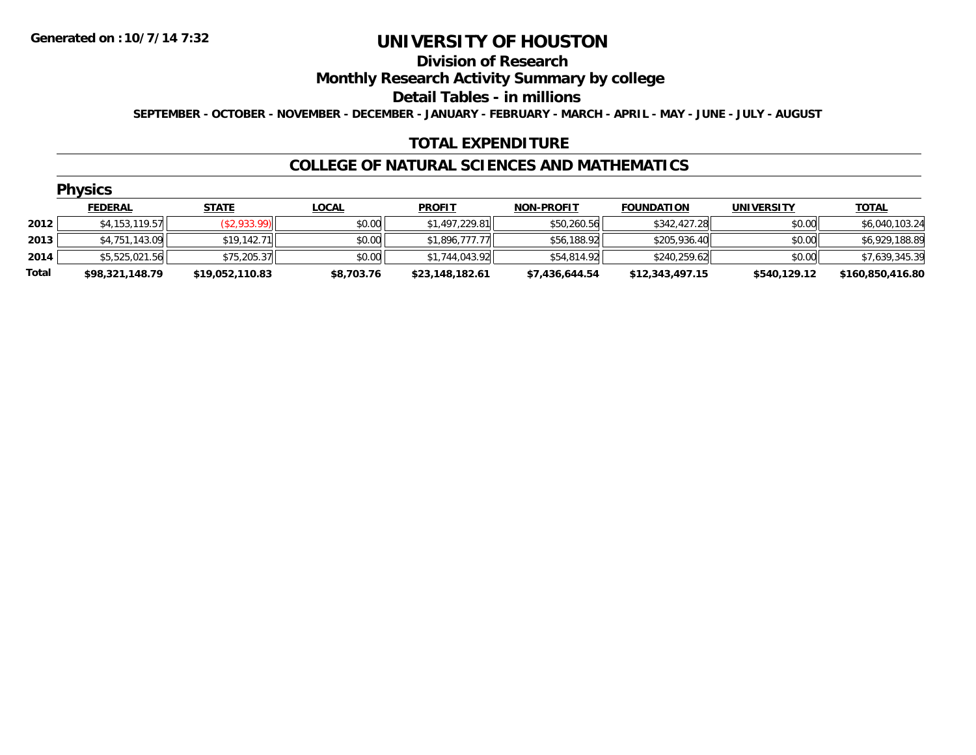#### **Division of Research**

### **Monthly Research Activity Summary by college**

#### **Detail Tables - in millions**

**SEPTEMBER - OCTOBER - NOVEMBER - DECEMBER - JANUARY - FEBRUARY - MARCH - APRIL - MAY - JUNE - JULY - AUGUST**

## **TOTAL EXPENDITURE**

#### **COLLEGE OF NATURAL SCIENCES AND MATHEMATICS**

| ٧<br>N<br>1 | 7S. |  |
|-------------|-----|--|
|             |     |  |

|       | <b>FEDERAL</b>  | <b>STATE</b>    | <b>LOCAL</b> | <b>PROFIT</b>   | <b>NON-PROFIT</b> | <b>FOUNDATION</b> | <b>UNIVERSITY</b> | <b>TOTAL</b>     |
|-------|-----------------|-----------------|--------------|-----------------|-------------------|-------------------|-------------------|------------------|
| 2012  | \$4,153,119.57  | (\$2,933.99)    | \$0.00       | \$1,497,229.81  | \$50,260.56       | \$342,427.28      | \$0.00            | \$6,040,103.24   |
| 2013  | \$4,751,143.09  | \$19,142.71     | \$0.00       | \$1,896,777.77  | \$56,188.92       | \$205,936.40      | \$0.00            | \$6,929,188.89   |
| 2014  | \$5,525,021.56  | \$75,205.37     | \$0.00       | \$1,744,043.92  | \$54,814.92       | \$240.259.62      | \$0.00            | \$7,639,345.39   |
| Total | \$98.321.148.79 | \$19,052,110.83 | \$8,703.76   | \$23.148.182.61 | \$7,436,644.54    | \$12,343,497.15   | \$540,129.12      | \$160,850,416.80 |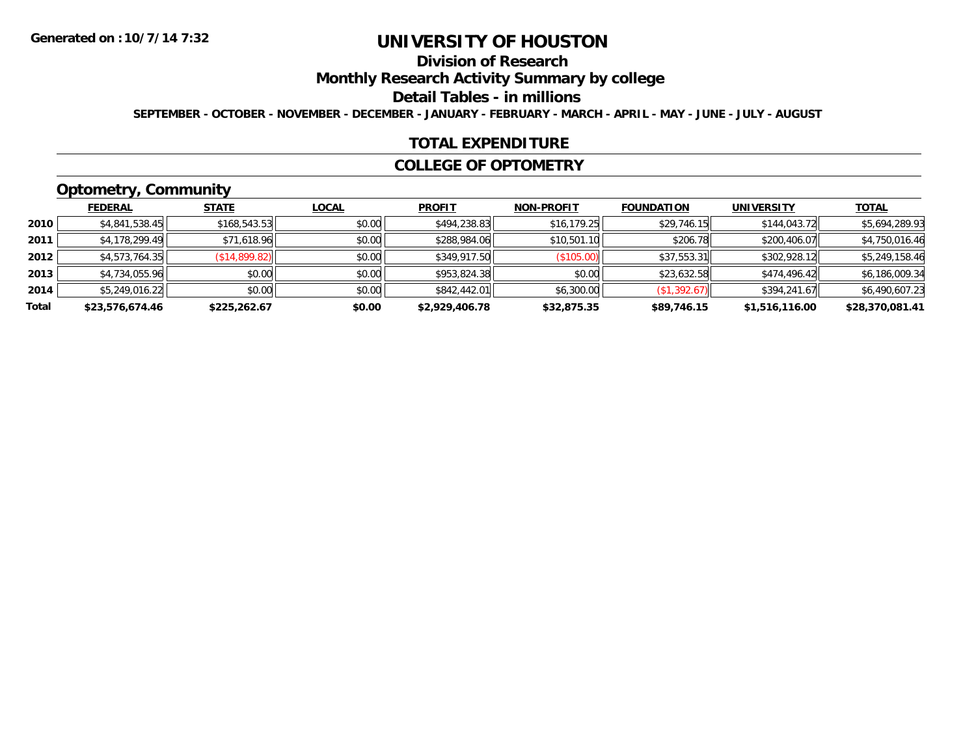# **Division of Research**

**Monthly Research Activity Summary by college**

#### **Detail Tables - in millions**

**SEPTEMBER - OCTOBER - NOVEMBER - DECEMBER - JANUARY - FEBRUARY - MARCH - APRIL - MAY - JUNE - JULY - AUGUST**

#### **TOTAL EXPENDITURE**

#### **COLLEGE OF OPTOMETRY**

# **Optometry, Community**

|       | <b>FEDERAL</b>  | <b>STATE</b>  | <u>LOCAL</u> | <b>PROFIT</b>  | <b>NON-PROFIT</b> | <b>FOUNDATION</b> | <b>UNIVERSITY</b> | <b>TOTAL</b>    |
|-------|-----------------|---------------|--------------|----------------|-------------------|-------------------|-------------------|-----------------|
| 2010  | \$4,841,538.45  | \$168,543.53  | \$0.00       | \$494,238.83   | \$16, 179.25      | \$29,746.15       | \$144,043.72      | \$5,694,289.93  |
| 2011  | \$4,178,299.49  | \$71,618.96   | \$0.00       | \$288,984.06   | \$10,501.10       | \$206.78          | \$200,406.07      | \$4,750,016.46  |
| 2012  | \$4,573,764.35  | (\$14,899.82) | \$0.00       | \$349,917.50   | $($ \$105.00) $ $ | \$37,553.31       | \$302,928.12      | \$5,249,158.46  |
| 2013  | \$4,734,055.96  | \$0.00        | \$0.00       | \$953,824.38   | \$0.00            | \$23,632.58       | \$474,496.42      | \$6,186,009.34  |
| 2014  | \$5,249,016.22  | \$0.00        | \$0.00       | \$842,442.01   | \$6,300.00        | (S1, 392.67)      | \$394,241.67      | \$6,490,607.23  |
| Total | \$23,576,674.46 | \$225,262.67  | \$0.00       | \$2,929,406.78 | \$32,875.35       | \$89,746.15       | \$1,516,116.00    | \$28,370,081.41 |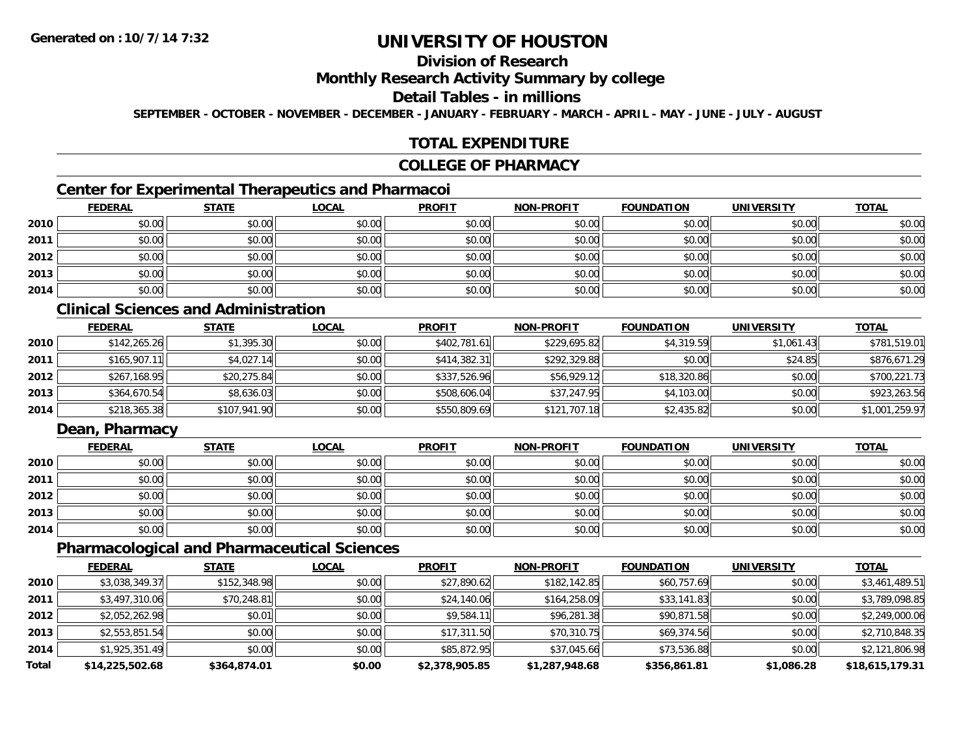# **Division of Research**

### **Monthly Research Activity Summary by college**

### **Detail Tables - in millions**

**SEPTEMBER - OCTOBER - NOVEMBER - DECEMBER - JANUARY - FEBRUARY - MARCH - APRIL - MAY - JUNE - JULY - AUGUST**

## **TOTAL EXPENDITURE**

#### **COLLEGE OF PHARMACY**

# **Center for Experimental Therapeutics and Pharmacoi**

|      | <b>FEDERAL</b> | <b>STATE</b> | <b>LOCAL</b> | <b>PROFIT</b> | <b>NON-PROFIT</b> | <b>FOUNDATION</b> | <b>UNIVERSITY</b> | <b>TOTAL</b> |
|------|----------------|--------------|--------------|---------------|-------------------|-------------------|-------------------|--------------|
| 2010 | \$0.00         | \$0.00       | \$0.00       | \$0.00        | \$0.00            | \$0.00            | \$0.00            | \$0.00       |
| 2011 | \$0.00         | \$0.00       | \$0.00       | \$0.00        | \$0.00            | \$0.00            | \$0.00            | \$0.00       |
| 2012 | \$0.00         | \$0.00       | \$0.00       | \$0.00        | \$0.00            | \$0.00            | \$0.00            | \$0.00       |
| 2013 | \$0.00         | \$0.00       | \$0.00       | \$0.00        | \$0.00            | \$0.00            | \$0.00            | \$0.00       |
| 2014 | \$0.00         | \$0.00       | \$0.00       | \$0.00        | \$0.00            | \$0.00            | \$0.00            | \$0.00       |

# **Clinical Sciences and Administration**

|      | <b>FEDERAL</b> | <u>STATE</u> | <b>LOCAL</b> | <b>PROFIT</b> | <b>NON-PROFIT</b> | <b>FOUNDATION</b> | <b>UNIVERSITY</b> | <b>TOTAL</b>   |
|------|----------------|--------------|--------------|---------------|-------------------|-------------------|-------------------|----------------|
| 2010 | \$142,265.26   | \$1,395.30   | \$0.00       | \$402,781.61  | \$229,695.82      | \$4,319.59        | \$1,061.43        | \$781,519.01   |
| 2011 | \$165,907.11   | \$4,027.14   | \$0.00       | \$414,382.31  | \$292,329.88      | \$0.00            | \$24.85           | \$876,671.29   |
| 2012 | \$267,168.95   | \$20,275.84  | \$0.00       | \$337,526.96  | \$56,929.12       | \$18,320.86       | \$0.00            | \$700,221.73   |
| 2013 | \$364,670.54   | \$8,636.03   | \$0.00       | \$508,606.04  | \$37,247.95       | \$4,103.00        | \$0.00            | \$923,263.56   |
| 2014 | \$218,365.38   | \$107,941.90 | \$0.00       | \$550,809.69  | \$121,707.18      | \$2,435.82        | \$0.00            | \$1,001,259.97 |

# **Dean, Pharmacy**

|      | <b>FEDERAL</b> | <b>STATE</b> | <u>LOCAL</u> | <b>PROFIT</b> | <b>NON-PROFIT</b> | <b>FOUNDATION</b> | <b>UNIVERSITY</b> | <b>TOTAL</b> |
|------|----------------|--------------|--------------|---------------|-------------------|-------------------|-------------------|--------------|
| 2010 | \$0.00         | \$0.00       | \$0.00       | \$0.00        | \$0.00            | \$0.00            | \$0.00            | \$0.00       |
| 2011 | \$0.00         | \$0.00       | \$0.00       | \$0.00        | \$0.00            | \$0.00            | \$0.00            | \$0.00       |
| 2012 | \$0.00         | \$0.00       | \$0.00       | \$0.00        | \$0.00            | \$0.00            | \$0.00            | \$0.00       |
| 2013 | \$0.00         | \$0.00       | \$0.00       | \$0.00        | \$0.00            | \$0.00            | \$0.00            | \$0.00       |
| 2014 | \$0.00         | \$0.00       | \$0.00       | \$0.00        | \$0.00            | \$0.00            | \$0.00            | \$0.00       |

#### **Pharmacological and Pharmaceutical Sciences**

|       | <b>FEDERAL</b>  | <b>STATE</b> | <b>LOCAL</b> | <b>PROFIT</b>  | <b>NON-PROFIT</b> | <b>FOUNDATION</b> | <b>UNIVERSITY</b> | <b>TOTAL</b>    |
|-------|-----------------|--------------|--------------|----------------|-------------------|-------------------|-------------------|-----------------|
| 2010  | \$3,038,349.37  | \$152,348.98 | \$0.00       | \$27,890.62    | \$182,142.85      | \$60,757.69       | \$0.00            | \$3,461,489.51  |
| 2011  | \$3,497,310.06  | \$70,248.81  | \$0.00       | \$24,140.06    | \$164,258.09      | \$33,141.83       | \$0.00            | \$3,789,098.85  |
| 2012  | \$2,052,262.98  | \$0.01       | \$0.00       | \$9,584.11     | \$96,281.38       | \$90,871.58       | \$0.00            | \$2,249,000.06  |
| 2013  | \$2,553,851.54  | \$0.00       | \$0.00       | \$17,311.50    | \$70,310.75       | \$69,374.56       | \$0.00            | \$2,710,848.35  |
| 2014  | \$1,925,351.49  | \$0.00       | \$0.00       | \$85,872.95    | \$37,045.66       | \$73,536.88       | \$0.00            | \$2,121,806.98  |
| Total | \$14,225,502.68 | \$364,874.01 | \$0.00       | \$2,378,905.85 | \$1,287,948.68    | \$356,861.81      | \$1,086.28        | \$18,615,179.31 |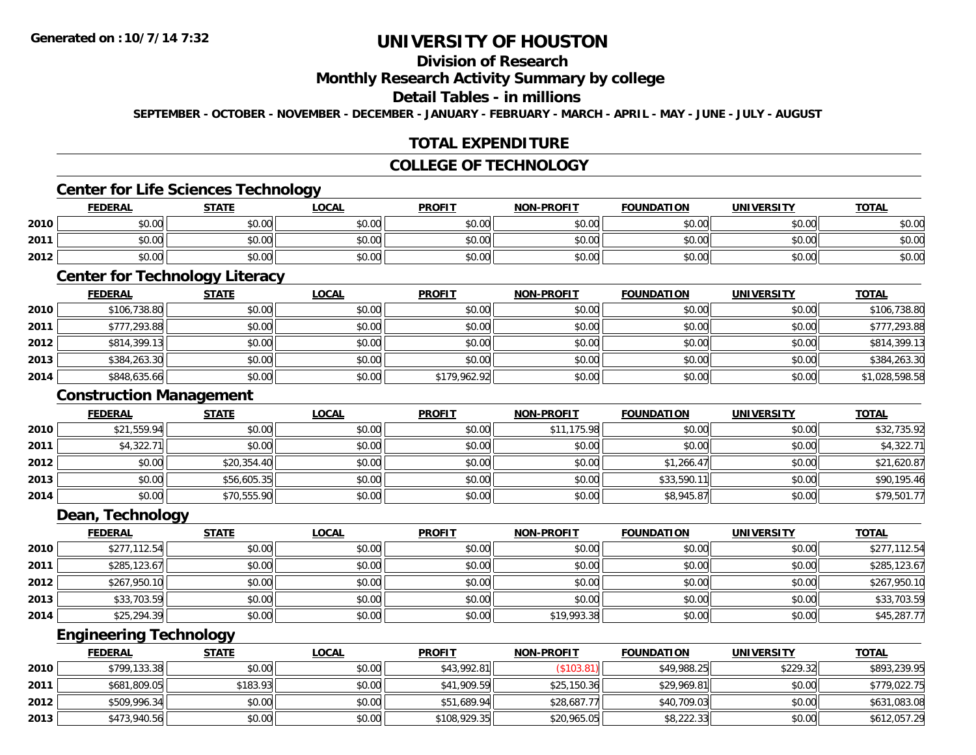# **Division of Research**

#### **Monthly Research Activity Summary by college**

#### **Detail Tables - in millions**

**SEPTEMBER - OCTOBER - NOVEMBER - DECEMBER - JANUARY - FEBRUARY - MARCH - APRIL - MAY - JUNE - JULY - AUGUST**

## **TOTAL EXPENDITURE**

#### **COLLEGE OF TECHNOLOGY**

# **Center for Life Sciences Technology**

|      | <b>FEDERAL</b> | <b>STATE</b>   | <u>_OCAL</u> | <b>PROFIT</b> | <b>NON-PROFIT</b> | <b>FOUNDATION</b> | <b>UNIVERSITY</b> | <b>TOTAL</b> |
|------|----------------|----------------|--------------|---------------|-------------------|-------------------|-------------------|--------------|
| 2010 | \$0.00         | \$0.00         | \$0.00       | \$0.00        | \$0.00            | \$0.00            | \$0.00            | \$0.00       |
| 2011 | \$0.00         | \$0.00         | \$0.00       | \$0.00        | \$0.00            | \$0.00            | \$0.00            | \$0.00       |
| 2012 | \$0.00         | en uu<br>DU.UC | \$0.00       | \$0.00        | \$0.00            | \$0.00            | \$0.00            | \$0.00       |

<u> 1989 - Johann Stoff, deutscher Stoff, der Stoff, der Stoff, der Stoff, der Stoff, der Stoff, der Stoff, der S</u>

#### **Center for Technology Literacy**

|      | <b>FEDERAL</b> | <b>STATE</b> | <u>LOCAL</u> | <b>PROFIT</b> | <b>NON-PROFIT</b> | <b>FOUNDATION</b> | UNIVERSITY | <b>TOTAL</b>   |
|------|----------------|--------------|--------------|---------------|-------------------|-------------------|------------|----------------|
| 2010 | \$106,738.80   | \$0.00       | \$0.00       | \$0.00        | \$0.00            | \$0.00            | \$0.00     | \$106,738.80   |
| 2011 | \$777,293.88   | \$0.00       | \$0.00       | \$0.00        | \$0.00            | \$0.00            | \$0.00     | \$777,293.88   |
| 2012 | \$814,399.13   | \$0.00       | \$0.00       | \$0.00        | \$0.00            | \$0.00            | \$0.00     | \$814,399.13   |
| 2013 | \$384,263.30   | \$0.00       | \$0.00       | \$0.00        | \$0.00            | \$0.00            | \$0.00     | \$384,263.30   |
| 2014 | \$848,635.66   | \$0.00       | \$0.00       | \$179,962.92  | \$0.00            | \$0.00            | \$0.00     | \$1,028,598.58 |

#### **Construction Management**

|      | <b>FEDERAL</b> | <b>STATE</b> | <u>LOCAL</u> | <b>PROFIT</b> | <b>NON-PROFIT</b> | <b>FOUNDATION</b> | <b>UNIVERSITY</b> | <b>TOTAL</b> |
|------|----------------|--------------|--------------|---------------|-------------------|-------------------|-------------------|--------------|
| 2010 | \$21,559.94    | \$0.00       | \$0.00       | \$0.00        | \$11,175.98       | \$0.00            | \$0.00            | \$32,735.92  |
| 2011 | \$4,322.71     | \$0.00       | \$0.00       | \$0.00        | \$0.00            | \$0.00            | \$0.00            | \$4,322.71   |
| 2012 | \$0.00         | \$20,354.40  | \$0.00       | \$0.00        | \$0.00            | \$1,266.47        | \$0.00            | \$21,620.87  |
| 2013 | \$0.00         | \$56,605.35  | \$0.00       | \$0.00        | \$0.00            | \$33,590.11       | \$0.00            | \$90,195.46  |
| 2014 | \$0.00         | \$70,555.90  | \$0.00       | \$0.00        | \$0.00            | \$8,945.87        | \$0.00            | \$79,501.77  |

<u> 1980 - Johann Stoff, deutscher Stoff, der Stoff, der Stoff, der Stoff, der Stoff, der Stoff, der Stoff, der S</u>

#### **Dean, Technology**

|      | <u>FEDERAL</u> | <b>STATE</b> | <u>LOCAL</u> | <b>PROFIT</b> | <b>NON-PROFIT</b> | <b>FOUNDATION</b> | <b>UNIVERSITY</b> | <b>TOTAL</b> |
|------|----------------|--------------|--------------|---------------|-------------------|-------------------|-------------------|--------------|
| 2010 | \$277,112.54   | \$0.00       | \$0.00       | \$0.00        | \$0.00            | \$0.00            | \$0.00            | \$277,112.54 |
| 2011 | \$285,123.67   | \$0.00       | \$0.00       | \$0.00        | \$0.00            | \$0.00            | \$0.00            | \$285,123.67 |
| 2012 | \$267,950.10   | \$0.00       | \$0.00       | \$0.00        | \$0.00            | \$0.00            | \$0.00            | \$267,950.10 |
| 2013 | \$33,703.59    | \$0.00       | \$0.00       | \$0.00        | \$0.00            | \$0.00            | \$0.00            | \$33,703.59  |
| 2014 | \$25,294.39    | \$0.00       | \$0.00       | \$0.00        | \$19,993.38       | \$0.00            | \$0.00            | \$45,287.77  |

### **Engineering Technology**

|      | <b>FEDERAL</b> | <u>STATE</u> | <u>LOCAL</u> | <b>PROFIT</b> | <b>NON-PROFIT</b> | <b>FOUNDATION</b> | UNIVERSITY | <b>TOTAL</b> |
|------|----------------|--------------|--------------|---------------|-------------------|-------------------|------------|--------------|
| 2010 | \$799,133.38   | \$0.00       | \$0.00       | \$43,992.81   | $($ \$103.81)     | \$49,988.25       | \$229.32   | \$893,239.95 |
| 2011 | \$681,809.05   | \$183.93     | \$0.00       | \$41,909.59   | \$25,150.36       | \$29,969.81       | \$0.00     | \$779,022.75 |
| 2012 | \$509,996.34   | \$0.00       | \$0.00       | \$51,689.94   | \$28,687.77       | \$40,709.03       | \$0.00     | \$631,083.08 |
| 2013 | \$473,940.56   | \$0.00       | \$0.00       | \$108,929.35  | \$20,965.05       | \$8,222.33        | \$0.00     | \$612,057.29 |

<u> 1989 - Johann Stoff, amerikansk politiker (d. 1989)</u>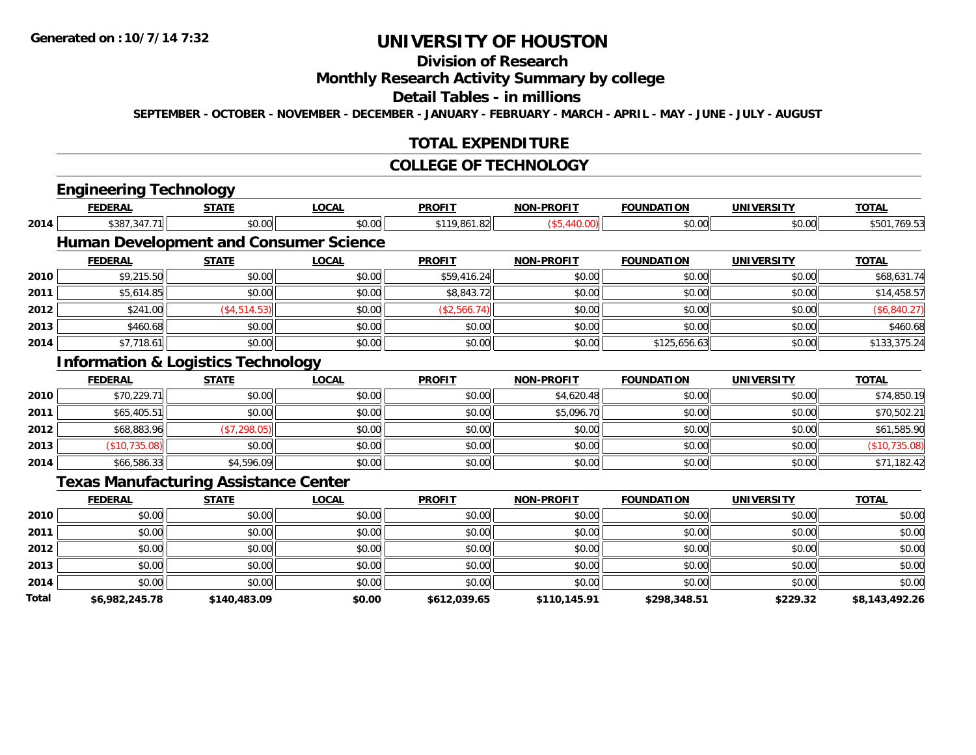# **Division of Research**

# **Monthly Research Activity Summary by college**

#### **Detail Tables - in millions**

**SEPTEMBER - OCTOBER - NOVEMBER - DECEMBER - JANUARY - FEBRUARY - MARCH - APRIL - MAY - JUNE - JULY - AUGUST**

## **TOTAL EXPENDITURE**

#### **COLLEGE OF TECHNOLOGY**

| <b>FEDERAL</b> | <b>STATE</b>  | <b>LOCAL</b>                  | <b>PROFIT</b>                                                                                                                                  | <b>NON-PROFIT</b> | <b>FOUNDATION</b> | <b>UNIVERSITY</b> | <b>TOTAL</b>   |
|----------------|---------------|-------------------------------|------------------------------------------------------------------------------------------------------------------------------------------------|-------------------|-------------------|-------------------|----------------|
| \$387,347.71   | \$0.00        | \$0.00                        | \$119,861.82                                                                                                                                   | (\$5,440.00)      | \$0.00            | \$0.00            | \$501,769.53   |
|                |               |                               |                                                                                                                                                |                   |                   |                   |                |
| <b>FEDERAL</b> | <b>STATE</b>  | <b>LOCAL</b>                  | <b>PROFIT</b>                                                                                                                                  | <b>NON-PROFIT</b> | <b>FOUNDATION</b> | <b>UNIVERSITY</b> | <b>TOTAL</b>   |
| \$9,215.50     | \$0.00        | \$0.00                        | \$59,416.24                                                                                                                                    | \$0.00            | \$0.00            | \$0.00            | \$68,631.74    |
| \$5,614.85     | \$0.00        | \$0.00                        | \$8,843.72                                                                                                                                     | \$0.00            | \$0.00            | \$0.00            | \$14,458.57    |
| \$241.00       | ( \$4,514.53) | \$0.00                        | (\$2,566.74)                                                                                                                                   | \$0.00            | \$0.00            | \$0.00            | (\$6,840.27)   |
| \$460.68       | \$0.00        | \$0.00                        | \$0.00                                                                                                                                         | \$0.00            | \$0.00            | \$0.00            | \$460.68       |
| \$7,718.61     | \$0.00        | \$0.00                        | \$0.00                                                                                                                                         | \$0.00            | \$125,656.63      | \$0.00            | \$133,375.24   |
|                |               |                               |                                                                                                                                                |                   |                   |                   |                |
| <b>FEDERAL</b> | <b>STATE</b>  | <b>LOCAL</b>                  | <b>PROFIT</b>                                                                                                                                  | <b>NON-PROFIT</b> | <b>FOUNDATION</b> | <b>UNIVERSITY</b> | <b>TOTAL</b>   |
| \$70,229.71    | \$0.00        | \$0.00                        | \$0.00                                                                                                                                         | \$4,620.48        | \$0.00            | \$0.00            | \$74,850.19    |
| \$65,405.51    | \$0.00        | \$0.00                        | \$0.00                                                                                                                                         | \$5,096.70        | \$0.00            | \$0.00            | \$70,502.21    |
| \$68,883.96    | (\$7,298.05)  | \$0.00                        | \$0.00                                                                                                                                         | \$0.00            | \$0.00            | \$0.00            | \$61,585.90    |
| (\$10,735.08)  | \$0.00        | \$0.00                        | \$0.00                                                                                                                                         | \$0.00            | \$0.00            | \$0.00            | (\$10,735.08)  |
| \$66,586.33    | \$4,596.09    | \$0.00                        | \$0.00                                                                                                                                         | \$0.00            | \$0.00            | \$0.00            | \$71,182.42    |
|                |               |                               |                                                                                                                                                |                   |                   |                   |                |
| <b>FEDERAL</b> | <b>STATE</b>  | <b>LOCAL</b>                  | <b>PROFIT</b>                                                                                                                                  | <b>NON-PROFIT</b> | <b>FOUNDATION</b> | <b>UNIVERSITY</b> | <b>TOTAL</b>   |
| \$0.00         | \$0.00        | \$0.00                        | \$0.00                                                                                                                                         | \$0.00            | \$0.00            | \$0.00            | \$0.00         |
| \$0.00         | \$0.00        | \$0.00                        | \$0.00                                                                                                                                         | \$0.00            | \$0.00            | \$0.00            | \$0.00         |
| \$0.00         | \$0.00        | \$0.00                        | \$0.00                                                                                                                                         | \$0.00            | \$0.00            | \$0.00            | \$0.00         |
| \$0.00         | \$0.00        | \$0.00                        | \$0.00                                                                                                                                         | \$0.00            | \$0.00            | \$0.00            | \$0.00         |
| \$0.00         | \$0.00        | \$0.00                        | \$0.00                                                                                                                                         | \$0.00            | \$0.00            | \$0.00            | \$0.00         |
| \$6,982,245.78 | \$140,483.09  | \$0.00                        | \$612,039.65                                                                                                                                   | \$110,145.91      | \$298,348.51      | \$229.32          | \$8,143,492.26 |
|                |               | <b>Engineering Technology</b> | <b>Human Development and Consumer Science</b><br><b>Information &amp; Logistics Technology</b><br><b>Texas Manufacturing Assistance Center</b> |                   |                   |                   |                |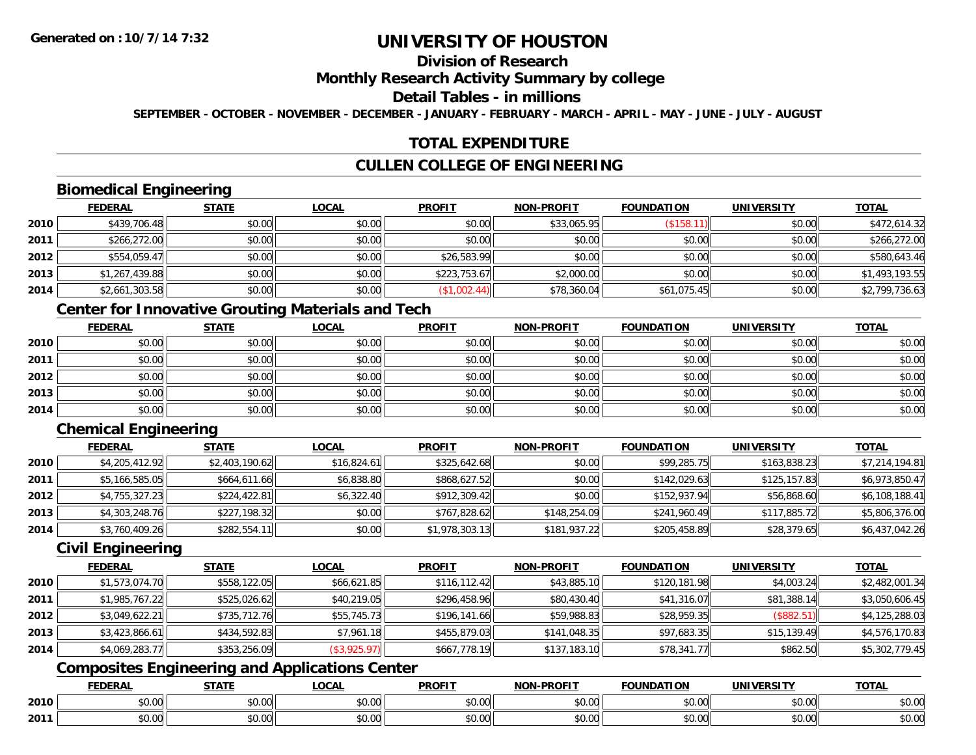# **Division of Research**

### **Monthly Research Activity Summary by college**

#### **Detail Tables - in millions**

**SEPTEMBER - OCTOBER - NOVEMBER - DECEMBER - JANUARY - FEBRUARY - MARCH - APRIL - MAY - JUNE - JULY - AUGUST**

## **TOTAL EXPENDITURE**

# **CULLEN COLLEGE OF ENGINEERING**

# **Biomedical Engineering**

|      | <b>FEDERAL</b> | <b>STATE</b> | <b>LOCAL</b> | <b>PROFIT</b> | <b>NON-PROFIT</b> | <b>FOUNDATION</b> | <b>UNIVERSITY</b> | <b>TOTAL</b>   |
|------|----------------|--------------|--------------|---------------|-------------------|-------------------|-------------------|----------------|
| 2010 | \$439,706.48   | \$0.00       | \$0.00       | \$0.00        | \$33,065.95       | (\$158.1          | \$0.00            | \$472,614.32   |
| 2011 | \$266,272.00   | \$0.00       | \$0.00       | \$0.00        | \$0.00            | \$0.00            | \$0.00            | \$266,272.00   |
| 2012 | \$554,059.47   | \$0.00       | \$0.00       | \$26,583.99   | \$0.00            | \$0.00            | \$0.00            | \$580,643.46   |
| 2013 | \$1,267,439.88 | \$0.00       | \$0.00       | \$223,753.67  | \$2,000.00        | \$0.00            | \$0.00            | \$1,493,193.55 |
| 2014 | \$2,661,303.58 | \$0.00       | \$0.00       | (\$1,002.44)  | \$78,360.04       | \$61,075.45       | \$0.00            | \$2,799,736.63 |

# **Center for Innovative Grouting Materials and Tech**

|      | <u>FEDERAL</u> | <b>STATE</b> | <b>LOCAL</b> | <b>PROFIT</b> | <b>NON-PROFIT</b> | <b>FOUNDATION</b> | <b>UNIVERSITY</b> | <b>TOTAL</b> |
|------|----------------|--------------|--------------|---------------|-------------------|-------------------|-------------------|--------------|
| 2010 | \$0.00         | \$0.00       | \$0.00       | \$0.00        | \$0.00            | \$0.00            | \$0.00            | \$0.00       |
| 2011 | \$0.00         | \$0.00       | \$0.00       | \$0.00        | \$0.00            | \$0.00            | \$0.00            | \$0.00       |
| 2012 | \$0.00         | \$0.00       | \$0.00       | \$0.00        | \$0.00            | \$0.00            | \$0.00            | \$0.00       |
| 2013 | \$0.00         | \$0.00       | \$0.00       | \$0.00        | \$0.00            | \$0.00            | \$0.00            | \$0.00       |
| 2014 | \$0.00         | \$0.00       | \$0.00       | \$0.00        | \$0.00            | \$0.00            | \$0.00            | \$0.00       |

# **Chemical Engineering**

|      | <b>FEDERAL</b> | <u>STATE</u>   | <u>LOCAL</u> | <b>PROFIT</b>  | <b>NON-PROFIT</b> | <b>FOUNDATION</b> | <b>UNIVERSITY</b> | <b>TOTAL</b>   |
|------|----------------|----------------|--------------|----------------|-------------------|-------------------|-------------------|----------------|
| 2010 | \$4,205,412.92 | \$2,403,190.62 | \$16,824.61  | \$325,642.68   | \$0.00            | \$99,285.75       | \$163,838.23      | \$7,214,194.81 |
| 2011 | \$5,166,585.05 | \$664,611.66   | \$6,838.80   | \$868,627.52   | \$0.00            | \$142,029.63      | \$125,157.83      | \$6,973,850.47 |
| 2012 | \$4,755,327.23 | \$224,422.81   | \$6,322.40   | \$912,309.42   | \$0.00            | \$152,937.94      | \$56,868.60       | \$6,108,188.41 |
| 2013 | \$4,303,248.76 | \$227,198.32   | \$0.00       | \$767,828.62   | \$148,254.09      | \$241,960.49      | \$117,885.72      | \$5,806,376.00 |
| 2014 | \$3,760,409.26 | \$282,554.11   | \$0.00       | \$1,978,303.13 | \$181,937.22      | \$205,458.89      | \$28,379.65       | \$6,437,042.26 |

#### **Civil Engineering**

|      | <b>FEDERAL</b> | <b>STATE</b> | <u>LOCAL</u> | <b>PROFIT</b> | <b>NON-PROFIT</b> | <b>FOUNDATION</b> | <b>UNIVERSITY</b> | <b>TOTAL</b>   |
|------|----------------|--------------|--------------|---------------|-------------------|-------------------|-------------------|----------------|
| 2010 | \$1,573,074.70 | \$558,122.05 | \$66,621.85  | \$116, 112.42 | \$43,885.10       | \$120,181.98      | \$4,003.24        | \$2,482,001.34 |
| 2011 | \$1,985,767.22 | \$525,026.62 | \$40,219.05  | \$296,458.96  | \$80,430.40       | \$41,316.07       | \$81,388.14       | \$3,050,606.45 |
| 2012 | \$3,049,622.21 | \$735,712.76 | \$55,745.73  | \$196,141.66  | \$59,988.83       | \$28,959.35       | (\$882.51)        | \$4,125,288.03 |
| 2013 | \$3,423,866.61 | \$434,592.83 | \$7,961.18   | \$455,879.03  | \$141,048.35      | \$97,683.35       | \$15,139.49       | \$4,576,170.83 |
| 2014 | \$4,069,283.77 | \$353,256.09 | (\$3,925.97) | \$667,778.19  | \$137,183.10      | \$78,341.77       | \$862.50          | \$5,302,779.45 |

# **Composites Engineering and Applications Center**

|      | DERAI   | CTATI     | .OCAL     | <b>PROFIT</b> | <b>DDOCIT</b><br><b>ארות</b> | ΓΙΟΝ  | UNIVERSITY                                   | <b>TOTAL</b> |
|------|---------|-----------|-----------|---------------|------------------------------|-------|----------------------------------------------|--------------|
| 2010 | $\sim$  | $\sim$    | $\sim$    | $\cdots$      | 0.00                         | 0.00  | $\mathsf{A} \cap \mathsf{A} \cap \mathsf{A}$ | 0000         |
|      | , U. UU | JU.UU     | vv.vv     | vu.vu         | J∪.∪∪                        | JU.UU | PO.OO                                        | <b>JU.UU</b> |
|      | 0.00    | $\sim$ 00 | $\sim$ 00 | $\cdots$      | 0.00                         | 0.00  | $\sim$ 00                                    | $\cdots$     |
| 2011 | וט.טי   | JU.L      | JU.UU     | vv.vv         | JU.UU                        | ww.uu | <b>JU.UU</b>                                 | <b>JU.UU</b> |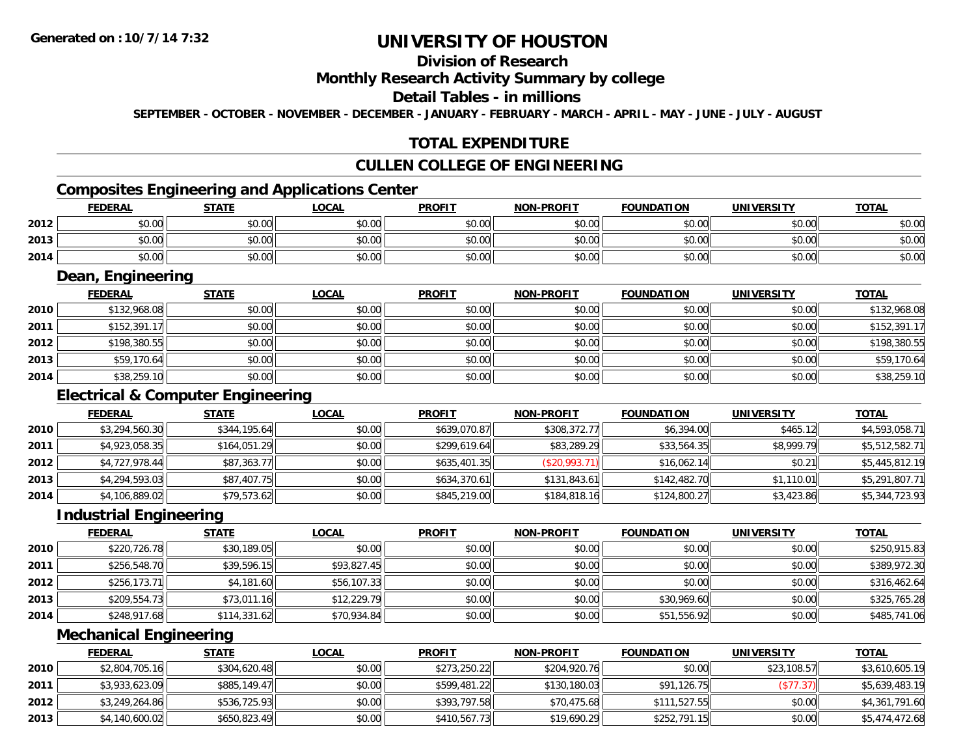# **Division of Research**

#### **Monthly Research Activity Summary by college**

#### **Detail Tables - in millions**

**SEPTEMBER - OCTOBER - NOVEMBER - DECEMBER - JANUARY - FEBRUARY - MARCH - APRIL - MAY - JUNE - JULY - AUGUST**

## **TOTAL EXPENDITURE**

#### **CULLEN COLLEGE OF ENGINEERING**

<u> 1989 - Johann Stoff, Amerikaansk politiker († 1908)</u>

# **Composites Engineering and Applications Center**

|      | <b>FEDERAL</b> | <b>STATE</b> | LOCAL  | <b>PROFIT</b> | <b>NON-PROFIT</b> | <b>FOUNDATION</b> | <b>UNIVERSITY</b> | <b>TOTAL</b> |
|------|----------------|--------------|--------|---------------|-------------------|-------------------|-------------------|--------------|
| 2012 | \$0.00         | \$0.00       | \$0.00 | \$0.00        | \$0.00            | \$0.00            | \$0.00            | \$0.00       |
| 2013 | \$0.00         | \$0.00       | \$0.00 | \$0.00        | \$0.00            | \$0.00            | \$0.00            | \$0.00       |
| 2014 | \$0.00         | \$0.00       | \$0.00 | \$0.00        | \$0.00            | \$0.00            | \$0.00            | \$0.00       |

<u> 1989 - Johann Stoff, deutscher Stoffen und der Stoffen und der Stoffen und der Stoffen und der Stoffen und der</u>

### **Dean, Engineering**

|      | <b>FEDERAL</b> | <b>STATE</b> | <b>LOCAL</b> | <b>PROFIT</b> | <b>NON-PROFIT</b> | <b>FOUNDATION</b> | <b>UNIVERSITY</b> | <b>TOTAL</b> |
|------|----------------|--------------|--------------|---------------|-------------------|-------------------|-------------------|--------------|
| 2010 | \$132,968.08   | \$0.00       | \$0.00       | \$0.00        | \$0.00            | \$0.00            | \$0.00            | \$132,968.08 |
| 2011 | \$152,391.17   | \$0.00       | \$0.00       | \$0.00        | \$0.00            | \$0.00            | \$0.00            | \$152,391.17 |
| 2012 | \$198,380.55   | \$0.00       | \$0.00       | \$0.00        | \$0.00            | \$0.00            | \$0.00            | \$198,380.55 |
| 2013 | \$59,170.64    | \$0.00       | \$0.00       | \$0.00        | \$0.00            | \$0.00            | \$0.00            | \$59,170.64  |
| 2014 | \$38,259.10    | \$0.00       | \$0.00       | \$0.00        | \$0.00            | \$0.00            | \$0.00            | \$38,259.10  |

## **Electrical & Computer Engineering**

|      | <b>FEDERAL</b> | <b>STATE</b> | <b>LOCAL</b> | <b>PROFIT</b> | <b>NON-PROFIT</b> | <b>FOUNDATION</b> | <b>UNIVERSITY</b> | <b>TOTAL</b>   |
|------|----------------|--------------|--------------|---------------|-------------------|-------------------|-------------------|----------------|
| 2010 | \$3,294,560.30 | \$344,195.64 | \$0.00       | \$639,070.87  | \$308,372.77      | \$6,394.00        | \$465.12          | \$4,593,058.71 |
| 2011 | \$4,923,058.35 | \$164,051.29 | \$0.00       | \$299,619.64  | \$83,289.29       | \$33,564.35       | \$8,999.79        | \$5,512,582.71 |
| 2012 | \$4,727,978.44 | \$87,363.77  | \$0.00       | \$635,401.35  | (S20, 993.71)     | \$16,062.14       | \$0.21            | \$5,445,812.19 |
| 2013 | \$4,294,593.03 | \$87,407.75  | \$0.00       | \$634,370.61  | \$131,843.61      | \$142,482.70      | \$1,110.01        | \$5,291,807.71 |
| 2014 | \$4,106,889.02 | \$79,573.62  | \$0.00       | \$845,219.00  | \$184,818.16      | \$124,800.27      | \$3,423.86        | \$5,344,723.93 |

<u> 1980 - Johann Barn, mars ann an t-Amhain Aonaich an t-Aonaich an t-Aonaich an t-Aonaich an t-Aonaich an t-Aon</u>

#### **Industrial Engineering**

|      | <b>FEDERAL</b> | <b>STATE</b> | <u>LOCAL</u> | <b>PROFIT</b> | <b>NON-PROFIT</b> | <b>FOUNDATION</b> | <b>UNIVERSITY</b> | <b>TOTAL</b> |
|------|----------------|--------------|--------------|---------------|-------------------|-------------------|-------------------|--------------|
| 2010 | \$220,726.78   | \$30,189.05  | \$0.00       | \$0.00        | \$0.00            | \$0.00            | \$0.00            | \$250,915.83 |
| 2011 | \$256,548.70   | \$39,596.15  | \$93,827.45  | \$0.00        | \$0.00            | \$0.00            | \$0.00            | \$389,972.30 |
| 2012 | \$256,173.71   | \$4,181.60   | \$56,107.33  | \$0.00        | \$0.00            | \$0.00            | \$0.00            | \$316,462.64 |
| 2013 | \$209,554.73   | \$73,011.16  | \$12,229.79  | \$0.00        | \$0.00            | \$30,969.60       | \$0.00            | \$325,765.28 |
| 2014 | \$248,917.68   | \$114,331.62 | \$70,934.84  | \$0.00        | \$0.00            | \$51,556.92       | \$0.00            | \$485,741.06 |

<u> 1989 - Johann Stoff, deutscher Stoffen und der Stoffen und der Stoffen und der Stoffen und der Stoffen und der</u>

#### **Mechanical Engineering**

|      | <b>FEDERAL</b> | <b>STATE</b> | <u>LOCAL</u> | <b>PROFIT</b> | <b>NON-PROFIT</b> | <b>FOUNDATION</b> | <b>UNIVERSITY</b> | <b>TOTAL</b>   |
|------|----------------|--------------|--------------|---------------|-------------------|-------------------|-------------------|----------------|
| 2010 | \$2,804,705.16 | \$304,620.48 | \$0.00       | \$273,250.22  | \$204,920.76      | \$0.00            | \$23,108.57       | \$3,610,605.19 |
| 2011 | \$3,933,623.09 | \$885,149.47 | \$0.00       | \$599,481.22  | \$130,180.03      | \$91.126.75       | (\$77.37)         | \$5,639,483.19 |
| 2012 | \$3,249,264.86 | \$536,725.93 | \$0.00       | \$393,797.58  | \$70,475.68       | \$111.527.55      | \$0.00            | \$4,361,791.60 |
| 2013 | \$4,140,600.02 | \$650.823.49 | \$0.00       | \$410,567.73  | \$19,690.29       | \$252,791.15      | \$0.00            | \$5,474,472.68 |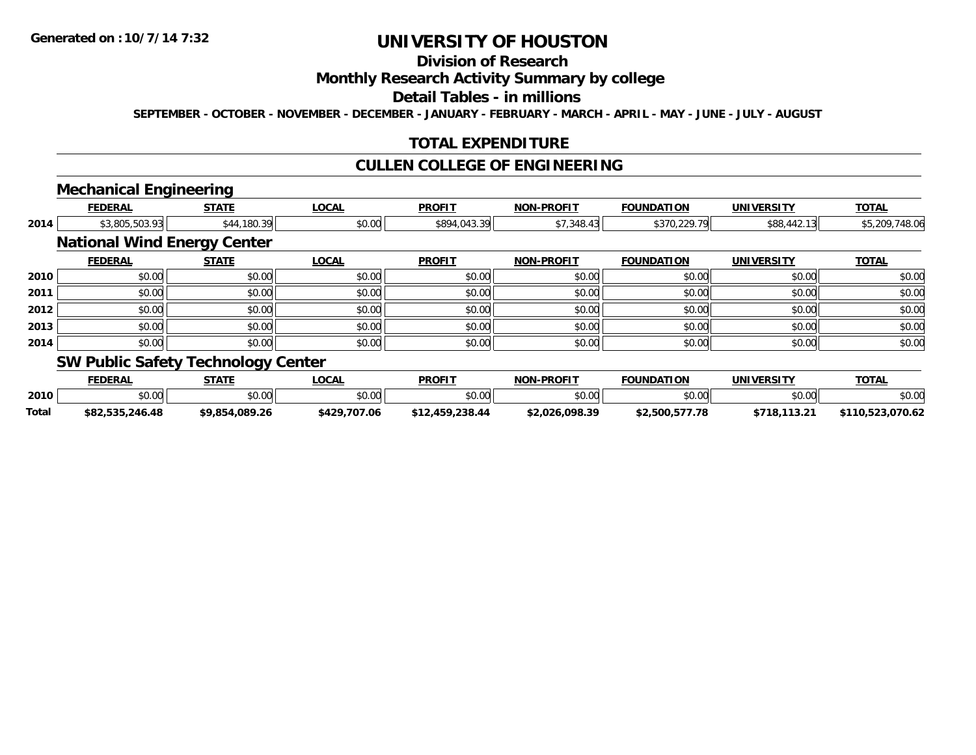# **Division of Research**

### **Monthly Research Activity Summary by college**

#### **Detail Tables - in millions**

**SEPTEMBER - OCTOBER - NOVEMBER - DECEMBER - JANUARY - FEBRUARY - MARCH - APRIL - MAY - JUNE - JULY - AUGUST**

## **TOTAL EXPENDITURE**

## **CULLEN COLLEGE OF ENGINEERING**

### **Mechanical Engineering**

|      | <b>FEDERAL</b>                     | <b>STATE</b> | <b>LOCAL</b> | <b>PROFIT</b> | <b>NON-PROFIT</b> | <b>FOUNDATION</b> | <b>UNIVERSITY</b> | <b>TOTAL</b>   |
|------|------------------------------------|--------------|--------------|---------------|-------------------|-------------------|-------------------|----------------|
| 2014 | \$3,805,503.93                     | \$44,180.39  | \$0.00       | \$894,043.39  | \$7,348.43        | \$370,229.79      | \$88,442.13       | \$5,209,748.06 |
|      | <b>National Wind Energy Center</b> |              |              |               |                   |                   |                   |                |
|      | <b>FEDERAL</b>                     | <b>STATE</b> | <b>LOCAL</b> | <b>PROFIT</b> | <b>NON-PROFIT</b> | <b>FOUNDATION</b> | <b>UNIVERSITY</b> | <b>TOTAL</b>   |
| 2010 | \$0.00                             | \$0.00       | \$0.00       | \$0.00        | \$0.00            | \$0.00            | \$0.00            | \$0.00         |
| 2011 | \$0.00                             | \$0.00       | \$0.00       | \$0.00        | \$0.00            | \$0.00            | \$0.00            | \$0.00         |
| 2012 | \$0.00                             | \$0.00       | \$0.00       | \$0.00        | \$0.00            | \$0.00            | \$0.00            | \$0.00         |
| 2013 | \$0.00                             | \$0.00       | \$0.00       | \$0.00        | \$0.00            | \$0.00            | \$0.00            | \$0.00         |
| 2014 | \$0.00                             | \$0.00       | \$0.00       | \$0.00        | \$0.00            | \$0.00            | \$0.00            | \$0.00         |
|      | SW Public Safety Technology Center |              |              |               |                   |                   |                   |                |

# **PUBIIC SAFETY TECHNOLOGY CENTER 1999**

|       | <b>FEDERAI</b>  | STATE          | ∟OCAL              | <b>PROFI</b>    | <b>NON-PROFIT</b> | <b>FOUNDATION</b> | UNIVERSITY   | <b>TOTAL</b>     |
|-------|-----------------|----------------|--------------------|-----------------|-------------------|-------------------|--------------|------------------|
| 2010  | 60.00           | \$0.00         | $\sim$ 00<br>JU.UU | \$0.00          | \$0.00            | \$0.00            | \$0.00       | \$0.00           |
| Total | \$82.535.246.48 | \$9.854.089.26 | \$429,707.06       | \$12,459,238.44 | \$2.026.098.39    | \$2,500,577.78    | \$718.113.21 | \$110,523,070.62 |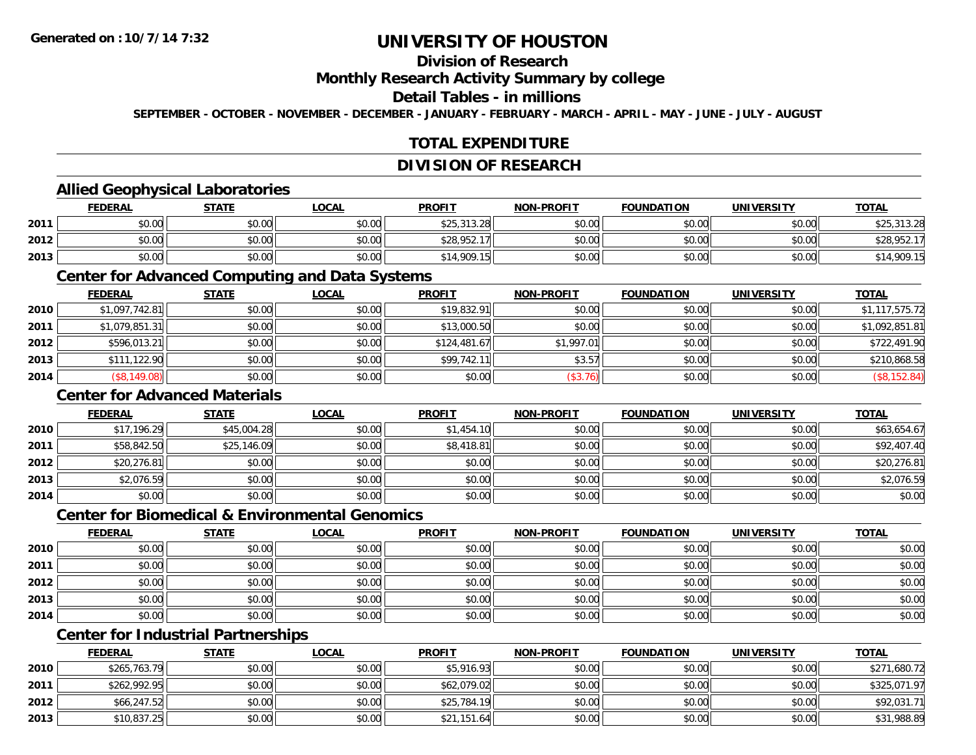# **Division of Research**

### **Monthly Research Activity Summary by college**

### **Detail Tables - in millions**

**SEPTEMBER - OCTOBER - NOVEMBER - DECEMBER - JANUARY - FEBRUARY - MARCH - APRIL - MAY - JUNE - JULY - AUGUST**

## **TOTAL EXPENDITURE**

#### **DIVISION OF RESEARCH**

### **Allied Geophysical Laboratories**

|      | <b>FEDERAL</b> | <b>STATE</b> | <u>LOCAL</u> | <b>PROFIT</b> | <b>NON-PROFIT</b> | <b>FOUNDATION</b> | <b>UNIVERSITY</b> | <b>TOTAL</b> |
|------|----------------|--------------|--------------|---------------|-------------------|-------------------|-------------------|--------------|
| 2011 | \$0.00         | \$0.00       | \$0.00       | \$25,313.28   | \$0.00            | \$0.00            | \$0.00            | \$25,313.28  |
| 2012 | \$0.00         | \$0.00       | \$0.00       | \$28,952.     | \$0.00            | \$0.00            | \$0.00            | \$28,952.1   |
| 2013 | \$0.00         | \$0.00       | \$0.00       | \$14,909.15   | \$0.00            | \$0.00            | \$0.00            | \$14,909.15  |

#### **Center for Advanced Computing and Data Systems**

|      | <b>FEDERAL</b> | <b>STATE</b> | <b>LOCAL</b> | <b>PROFIT</b> | <b>NON-PROFIT</b> | <b>FOUNDATION</b> | <b>UNIVERSITY</b> | <b>TOTAL</b>   |
|------|----------------|--------------|--------------|---------------|-------------------|-------------------|-------------------|----------------|
| 2010 | \$1,097,742.81 | \$0.00       | \$0.00       | \$19,832.91   | \$0.00            | \$0.00            | \$0.00            | \$1,117,575.72 |
| 2011 | \$1,079,851.31 | \$0.00       | \$0.00       | \$13,000.50   | \$0.00            | \$0.00            | \$0.00            | \$1,092,851.81 |
| 2012 | \$596,013.21   | \$0.00       | \$0.00       | \$124,481.67  | \$1,997.01        | \$0.00            | \$0.00            | \$722,491.90   |
| 2013 | \$111,122.90   | \$0.00       | \$0.00       | \$99,742.11   | \$3.57            | \$0.00            | \$0.00            | \$210,868.58   |
| 2014 | (\$8,149.08)   | \$0.00       | \$0.00       | \$0.00        | (\$3.76)          | \$0.00            | \$0.00            | (\$8, 152.84)  |

## **Center for Advanced Materials**

|      | <u>FEDERAL</u> | <b>STATE</b> | <u>LOCAL</u> | <b>PROFIT</b> | <b>NON-PROFIT</b> | <b>FOUNDATION</b> | <b>UNIVERSITY</b> | <b>TOTAL</b> |
|------|----------------|--------------|--------------|---------------|-------------------|-------------------|-------------------|--------------|
| 2010 | \$17,196.29    | \$45,004.28  | \$0.00       | \$1,454.10    | \$0.00            | \$0.00            | \$0.00            | \$63,654.67  |
| 2011 | \$58,842.50    | \$25,146.09  | \$0.00       | \$8,418.81    | \$0.00            | \$0.00            | \$0.00            | \$92,407.40  |
| 2012 | \$20,276.81    | \$0.00       | \$0.00       | \$0.00        | \$0.00            | \$0.00            | \$0.00            | \$20,276.81  |
| 2013 | \$2,076.59     | \$0.00       | \$0.00       | \$0.00        | \$0.00            | \$0.00            | \$0.00            | \$2,076.59   |
| 2014 | \$0.00         | \$0.00       | \$0.00       | \$0.00        | \$0.00            | \$0.00            | \$0.00            | \$0.00       |

#### **Center for Biomedical & Environmental Genomics**

|      | <u>FEDERAL</u> | <b>STATE</b> | <b>LOCAL</b> | <b>PROFIT</b> | NON-PROFIT | <b>FOUNDATION</b> | <b>UNIVERSITY</b> | <b>TOTAL</b> |
|------|----------------|--------------|--------------|---------------|------------|-------------------|-------------------|--------------|
| 2010 | \$0.00         | \$0.00       | \$0.00       | \$0.00        | \$0.00     | \$0.00            | \$0.00            | \$0.00       |
| 2011 | \$0.00         | \$0.00       | \$0.00       | \$0.00        | \$0.00     | \$0.00            | \$0.00            | \$0.00       |
| 2012 | \$0.00         | \$0.00       | \$0.00       | \$0.00        | \$0.00     | \$0.00            | \$0.00            | \$0.00       |
| 2013 | \$0.00         | \$0.00       | \$0.00       | \$0.00        | \$0.00     | \$0.00            | \$0.00            | \$0.00       |
| 2014 | \$0.00         | \$0.00       | \$0.00       | \$0.00        | \$0.00     | \$0.00            | \$0.00            | \$0.00       |

# **Center for Industrial Partnerships**

|      | <b>FEDERAL</b> | <u>STATE</u> | <u>LOCAL</u> | <b>PROFIT</b> | <b>NON-PROFIT</b> | <b>FOUNDATION</b> | <b>UNIVERSITY</b> | <b>TOTAL</b> |
|------|----------------|--------------|--------------|---------------|-------------------|-------------------|-------------------|--------------|
| 2010 | \$265,763.79   | \$0.00       | \$0.00       | \$5,916.93    | \$0.00            | \$0.00            | \$0.00            | \$271,680.72 |
| 2011 | \$262,992.95   | \$0.00       | \$0.00       | \$62,079.02   | \$0.00            | \$0.00            | \$0.00            | \$325,071.97 |
| 2012 | \$66,247.52    | \$0.00       | \$0.00       | \$25,784.19   | \$0.00            | \$0.00            | \$0.00            | \$92,031.71  |
| 2013 | \$10,837.25    | \$0.00       | \$0.00       | \$21,151.64   | \$0.00            | \$0.00            | \$0.00            | \$31,988.89  |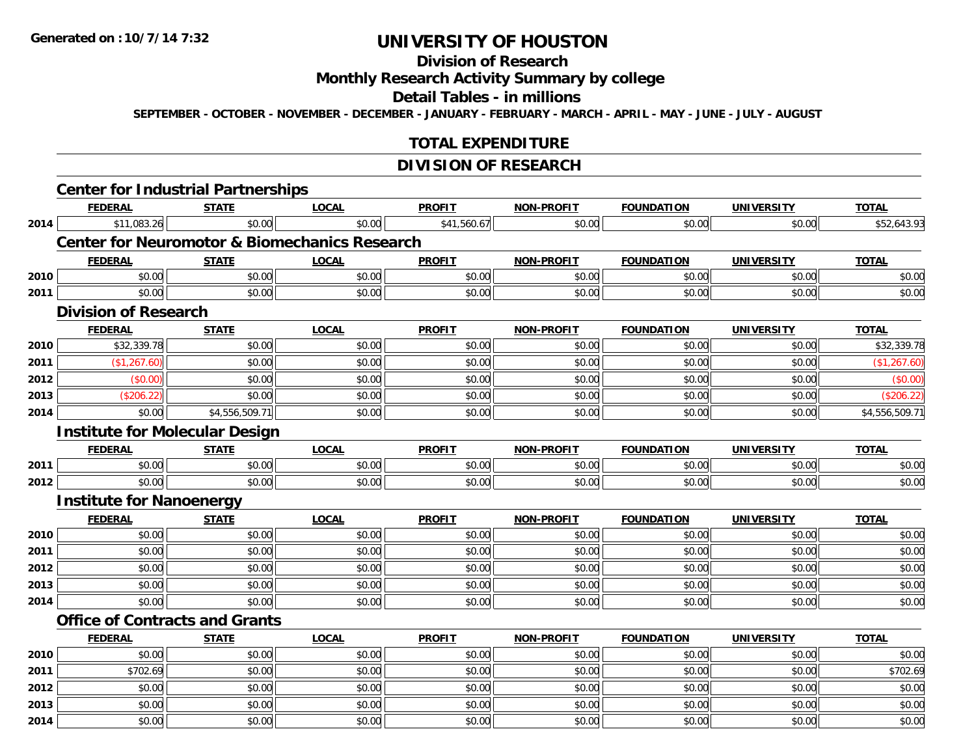**2014**

# **UNIVERSITY OF HOUSTON**

# **Division of Research**

# **Monthly Research Activity Summary by college**

#### **Detail Tables - in millions**

**SEPTEMBER - OCTOBER - NOVEMBER - DECEMBER - JANUARY - FEBRUARY - MARCH - APRIL - MAY - JUNE - JULY - AUGUST**

## **TOTAL EXPENDITURE**

## **DIVISION OF RESEARCH**

|      | <b>Center for Industrial Partnerships</b>                |                |              |               |                   |                   |                   |                |
|------|----------------------------------------------------------|----------------|--------------|---------------|-------------------|-------------------|-------------------|----------------|
|      | <b>FEDERAL</b>                                           | <b>STATE</b>   | <b>LOCAL</b> | <b>PROFIT</b> | <b>NON-PROFIT</b> | <b>FOUNDATION</b> | <b>UNIVERSITY</b> | <b>TOTAL</b>   |
| 2014 | \$11,083.26                                              | \$0.00         | \$0.00       | \$41,560.67   | \$0.00            | \$0.00            | \$0.00            | \$52,643.93    |
|      | <b>Center for Neuromotor &amp; Biomechanics Research</b> |                |              |               |                   |                   |                   |                |
|      | <b>FEDERAL</b>                                           | <b>STATE</b>   | <b>LOCAL</b> | <b>PROFIT</b> | <b>NON-PROFIT</b> | <b>FOUNDATION</b> | <b>UNIVERSITY</b> | <b>TOTAL</b>   |
| 2010 | \$0.00                                                   | \$0.00         | \$0.00       | \$0.00        | \$0.00            | \$0.00            | \$0.00            | \$0.00         |
| 2011 | \$0.00                                                   | \$0.00         | \$0.00       | \$0.00        | \$0.00            | \$0.00            | \$0.00            | \$0.00         |
|      | <b>Division of Research</b>                              |                |              |               |                   |                   |                   |                |
|      | <b>FEDERAL</b>                                           | <b>STATE</b>   | <b>LOCAL</b> | <b>PROFIT</b> | <b>NON-PROFIT</b> | <b>FOUNDATION</b> | <b>UNIVERSITY</b> | <b>TOTAL</b>   |
| 2010 | \$32,339.78                                              | \$0.00         | \$0.00       | \$0.00        | \$0.00            | \$0.00            | \$0.00            | \$32,339.78    |
| 2011 | (\$1,267.60)                                             | \$0.00         | \$0.00       | \$0.00        | \$0.00            | \$0.00            | \$0.00            | (\$1,267.60)   |
| 2012 | (\$0.00)                                                 | \$0.00         | \$0.00       | \$0.00        | \$0.00            | \$0.00            | \$0.00            | (\$0.00)       |
| 2013 | (\$206.22)                                               | \$0.00         | \$0.00       | \$0.00        | \$0.00            | \$0.00            | \$0.00            | (\$206.22)     |
| 2014 | \$0.00                                                   | \$4,556,509.71 | \$0.00       | \$0.00        | \$0.00            | \$0.00            | \$0.00            | \$4,556,509.71 |
|      | <b>Institute for Molecular Design</b>                    |                |              |               |                   |                   |                   |                |
|      | <b>FEDERAL</b>                                           | <b>STATE</b>   | <b>LOCAL</b> | <b>PROFIT</b> | <b>NON-PROFIT</b> | <b>FOUNDATION</b> | <b>UNIVERSITY</b> | <b>TOTAL</b>   |
| 2011 | \$0.00                                                   | \$0.00         | \$0.00       | \$0.00        | \$0.00            | \$0.00            | \$0.00            | \$0.00         |
| 2012 | \$0.00                                                   | \$0.00         | \$0.00       | \$0.00        | \$0.00            | \$0.00            | \$0.00            | \$0.00         |
|      | <b>Institute for Nanoenergy</b>                          |                |              |               |                   |                   |                   |                |
|      | <b>FEDERAL</b>                                           | <b>STATE</b>   | <b>LOCAL</b> | <b>PROFIT</b> | <b>NON-PROFIT</b> | <b>FOUNDATION</b> | <b>UNIVERSITY</b> | <b>TOTAL</b>   |
| 2010 | \$0.00                                                   | \$0.00         | \$0.00       | \$0.00        | \$0.00            | \$0.00            | \$0.00            | \$0.00         |
| 2011 | \$0.00                                                   | \$0.00         | \$0.00       | \$0.00        | \$0.00            | \$0.00            | \$0.00            | \$0.00         |
| 2012 | \$0.00                                                   | \$0.00         | \$0.00       | \$0.00        | \$0.00            | \$0.00            | \$0.00            | \$0.00         |
| 2013 | \$0.00                                                   | \$0.00         | \$0.00       | \$0.00        | \$0.00            | \$0.00            | \$0.00            | \$0.00         |
| 2014 | \$0.00                                                   | \$0.00         | \$0.00       | \$0.00        | \$0.00            | \$0.00            | \$0.00            | \$0.00         |
|      | <b>Office of Contracts and Grants</b>                    |                |              |               |                   |                   |                   |                |
|      | <b>FEDERAL</b>                                           | <b>STATE</b>   | <b>LOCAL</b> | <b>PROFIT</b> | <b>NON-PROFIT</b> | <b>FOUNDATION</b> | <b>UNIVERSITY</b> | <b>TOTAL</b>   |
| 2010 | \$0.00                                                   | \$0.00         | \$0.00       | \$0.00        | \$0.00            | \$0.00            | \$0.00            | \$0.00         |
| 2011 | \$702.69                                                 | \$0.00         | \$0.00       | \$0.00        | \$0.00            | \$0.00            | \$0.00            | \$702.69       |
| 2012 | \$0.00                                                   | \$0.00         | \$0.00       | \$0.00        | \$0.00            | \$0.00            | \$0.00            | \$0.00         |
| 2013 | \$0.00                                                   | \$0.00         | \$0.00       | \$0.00        | \$0.00            | \$0.00            | \$0.00            | \$0.00         |

4 \$0.00 \$0.00 \$0.00 \$0.00 \$0.00 \$0.00 \$0.00 \$0.00 \$0.00 \$0.00 \$0.00 \$0.00 \$0.00 \$0.00 \$0.00 \$0.00 \$0.00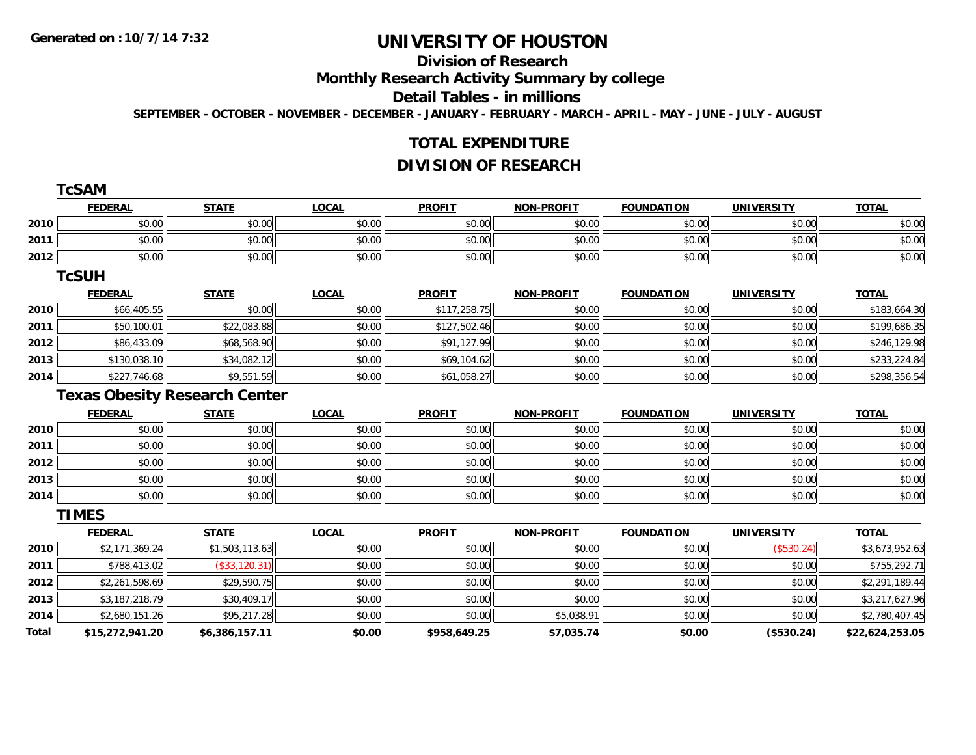# **Division of Research**

**Monthly Research Activity Summary by college**

#### **Detail Tables - in millions**

**SEPTEMBER - OCTOBER - NOVEMBER - DECEMBER - JANUARY - FEBRUARY - MARCH - APRIL - MAY - JUNE - JULY - AUGUST**

## **TOTAL EXPENDITURE**

## **DIVISION OF RESEARCH**

|                                      | <b>TcSAM</b>    |                |              |               |                   |                   |                   |                 |
|--------------------------------------|-----------------|----------------|--------------|---------------|-------------------|-------------------|-------------------|-----------------|
|                                      | <b>FEDERAL</b>  | <b>STATE</b>   | <b>LOCAL</b> | <b>PROFIT</b> | <b>NON-PROFIT</b> | <b>FOUNDATION</b> | <b>UNIVERSITY</b> | <b>TOTAL</b>    |
| 2010                                 | \$0.00          | \$0.00         | \$0.00       | \$0.00        | \$0.00            | \$0.00            | \$0.00            | \$0.00          |
| 2011                                 | \$0.00          | \$0.00         | \$0.00       | \$0.00        | \$0.00            | \$0.00            | \$0.00            | \$0.00          |
| 2012                                 | \$0.00          | \$0.00         | \$0.00       | \$0.00        | \$0.00            | \$0.00            | \$0.00            | \$0.00          |
|                                      | <b>TcSUH</b>    |                |              |               |                   |                   |                   |                 |
|                                      | <b>FEDERAL</b>  | <b>STATE</b>   | <b>LOCAL</b> | <b>PROFIT</b> | <b>NON-PROFIT</b> | <b>FOUNDATION</b> | <b>UNIVERSITY</b> | <b>TOTAL</b>    |
| 2010                                 | \$66,405.55     | \$0.00         | \$0.00       | \$117,258.75  | \$0.00            | \$0.00            | \$0.00            | \$183,664.30    |
| 2011                                 | \$50,100.01     | \$22,083.88    | \$0.00       | \$127,502.46  | \$0.00            | \$0.00            | \$0.00            | \$199,686.35    |
| 2012                                 | \$86,433.09     | \$68,568.90    | \$0.00       | \$91,127.99   | \$0.00            | \$0.00            | \$0.00            | \$246,129.98    |
| 2013                                 | \$130,038.10    | \$34,082.12    | \$0.00       | \$69,104.62   | \$0.00            | \$0.00            | \$0.00            | \$233,224.84    |
| 2014                                 | \$227,746.68    | \$9,551.59     | \$0.00       | \$61,058.27   | \$0.00            | \$0.00            | \$0.00            | \$298,356.54    |
| <b>Texas Obesity Research Center</b> |                 |                |              |               |                   |                   |                   |                 |
|                                      | <b>FEDERAL</b>  | <b>STATE</b>   | <b>LOCAL</b> | <b>PROFIT</b> | <b>NON-PROFIT</b> | <b>FOUNDATION</b> | <b>UNIVERSITY</b> | <b>TOTAL</b>    |
| 2010                                 | \$0.00          | \$0.00         | \$0.00       | \$0.00        | \$0.00            | \$0.00            | \$0.00            | \$0.00          |
| 2011                                 | \$0.00          | \$0.00         | \$0.00       | \$0.00        | \$0.00            | \$0.00            | \$0.00            | \$0.00          |
| 2012                                 | \$0.00          | \$0.00         | \$0.00       | \$0.00        | \$0.00            | \$0.00            | \$0.00            | \$0.00          |
| 2013                                 | \$0.00          | \$0.00         | \$0.00       | \$0.00        | \$0.00            | \$0.00            | \$0.00            | \$0.00          |
| 2014                                 | \$0.00          | \$0.00         | \$0.00       | \$0.00        | \$0.00            | \$0.00            | \$0.00            | \$0.00          |
|                                      | <b>TIMES</b>    |                |              |               |                   |                   |                   |                 |
|                                      | <b>FEDERAL</b>  | <b>STATE</b>   | <b>LOCAL</b> | <b>PROFIT</b> | <b>NON-PROFIT</b> | <b>FOUNDATION</b> | <b>UNIVERSITY</b> | <b>TOTAL</b>    |
| 2010                                 | \$2,171,369.24  | \$1,503,113.63 | \$0.00       | \$0.00        | \$0.00            | \$0.00            | (\$530.24)        | \$3,673,952.63  |
| 2011                                 | \$788,413.02    | (\$33,120.31)  | \$0.00       | \$0.00        | \$0.00            | \$0.00            | \$0.00            | \$755,292.71    |
| 2012                                 | \$2,261,598.69  | \$29,590.75    | \$0.00       | \$0.00        | \$0.00            | \$0.00            | \$0.00            | \$2,291,189.44  |
| 2013                                 | \$3,187,218.79  | \$30,409.17    | \$0.00       | \$0.00        | \$0.00            | \$0.00            | \$0.00            | \$3,217,627.96  |
| 2014                                 | \$2,680,151.26  | \$95,217.28    | \$0.00       | \$0.00        | \$5,038.91        | \$0.00            | \$0.00            | \$2,780,407.45  |
| Total                                | \$15,272,941.20 | \$6,386,157.11 | \$0.00       | \$958,649.25  | \$7,035.74        | \$0.00            | (\$530.24)        | \$22,624,253.05 |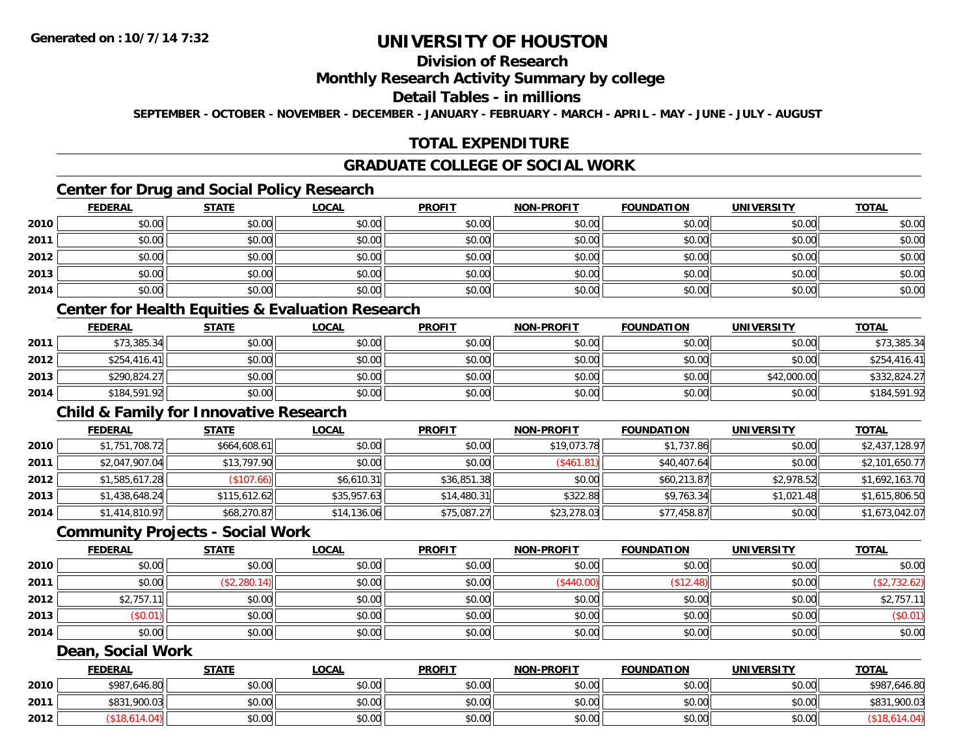# **Division of Research**

### **Monthly Research Activity Summary by college**

### **Detail Tables - in millions**

**SEPTEMBER - OCTOBER - NOVEMBER - DECEMBER - JANUARY - FEBRUARY - MARCH - APRIL - MAY - JUNE - JULY - AUGUST**

## **TOTAL EXPENDITURE**

## **GRADUATE COLLEGE OF SOCIAL WORK**

# **Center for Drug and Social Policy Research**

|      | <b>FEDERAL</b> | <b>STATE</b> | <b>LOCAL</b> | <b>PROFIT</b> | <b>NON-PROFIT</b> | <b>FOUNDATION</b> | <b>UNIVERSITY</b> | <u>TOTAL</u> |
|------|----------------|--------------|--------------|---------------|-------------------|-------------------|-------------------|--------------|
| 2010 | \$0.00         | \$0.00       | \$0.00       | \$0.00        | \$0.00            | \$0.00            | \$0.00            | \$0.00       |
| 2011 | \$0.00         | \$0.00       | \$0.00       | \$0.00        | \$0.00            | \$0.00            | \$0.00            | \$0.00       |
| 2012 | \$0.00         | \$0.00       | \$0.00       | \$0.00        | \$0.00            | \$0.00            | \$0.00            | \$0.00       |
| 2013 | \$0.00         | \$0.00       | \$0.00       | \$0.00        | \$0.00            | \$0.00            | \$0.00            | \$0.00       |
| 2014 | \$0.00         | \$0.00       | \$0.00       | \$0.00        | \$0.00            | \$0.00            | \$0.00            | \$0.00       |

# **Center for Health Equities & Evaluation Research**

|      | <b>FEDERAL</b> | <b>STATE</b> | <u>LOCAL</u> | <b>PROFIT</b> | <b>NON-PROFIT</b> | <b>FOUNDATION</b> | UNIVERSITY  | <b>TOTAL</b> |
|------|----------------|--------------|--------------|---------------|-------------------|-------------------|-------------|--------------|
| 2011 | \$73,385.34    | \$0.00       | \$0.00       | \$0.00        | \$0.00            | \$0.00            | \$0.00      | \$73,385.34  |
| 2012 | \$254,416.41   | \$0.00       | \$0.00       | \$0.00        | \$0.00            | \$0.00            | \$0.00      | \$254,416.41 |
| 2013 | \$290,824.27   | \$0.00       | \$0.00       | \$0.00        | \$0.00            | \$0.00            | \$42,000.00 | \$332,824.27 |
| 2014 | \$184,591.92   | \$0.00       | \$0.00       | \$0.00        | \$0.00            | \$0.00            | \$0.00      | \$184,591.92 |

### **Child & Family for Innovative Research**

|      | <b>FEDERAL</b> | <b>STATE</b> | <b>LOCAL</b> | <b>PROFIT</b> | <b>NON-PROFIT</b> | <b>FOUNDATION</b> | <b>UNIVERSITY</b> | <b>TOTAL</b>   |
|------|----------------|--------------|--------------|---------------|-------------------|-------------------|-------------------|----------------|
| 2010 | \$1,751,708.72 | \$664,608.61 | \$0.00       | \$0.00        | \$19,073.78       | \$1,737.86        | \$0.00            | \$2,437,128.97 |
| 2011 | \$2,047,907.04 | \$13,797.90  | \$0.00       | \$0.00        | (\$461.81)        | \$40,407.64       | \$0.00            | \$2,101,650.77 |
| 2012 | \$1,585,617.28 | (\$107.66)   | \$6.610.31   | \$36,851.38   | \$0.00            | \$60,213.87       | \$2,978.52        | \$1,692,163.70 |
| 2013 | \$1,438,648.24 | \$115,612.62 | \$35,957.63  | \$14,480.31   | \$322.88          | \$9,763.34        | \$1,021.48        | \$1,615,806.50 |
| 2014 | \$1,414,810.97 | \$68,270.87  | \$14,136.06  | \$75,087.27   | \$23,278.03       | \$77,458.87       | \$0.00            | \$1,673,042.07 |

#### **Community Projects - Social Work**

|      | <b>FEDERAL</b>         | <b>STATE</b> | <b>LOCAL</b> | <b>PROFIT</b> | <b>NON-PROFIT</b> | <b>FOUNDATION</b> | <b>UNIVERSITY</b> | <b>TOTAL</b> |
|------|------------------------|--------------|--------------|---------------|-------------------|-------------------|-------------------|--------------|
| 2010 | \$0.00                 | \$0.00       | \$0.00       | \$0.00        | \$0.00            | \$0.00            | \$0.00            | \$0.00       |
| 2011 | \$0.00                 | (\$2,280.14) | \$0.00       | \$0.00        | (\$440.00)        | (\$12.48)         | \$0.00            | \$2,732.62   |
| 2012 | \$2,757.1 <sup>1</sup> | \$0.00       | \$0.00       | \$0.00        | \$0.00            | \$0.00            | \$0.00            | \$2,757.11   |
| 2013 | \$0.01)                | \$0.00       | \$0.00       | \$0.00        | \$0.00            | \$0.00            | \$0.00            | (\$0.01)     |
| 2014 | \$0.00                 | \$0.00       | \$0.00       | \$0.00        | \$0.00            | \$0.00            | \$0.00            | \$0.00       |

### **Dean, Social Work**

|      | <b>FEDERAL</b> | <b>STATE</b>   | <b>LOCAL</b> | <b>PROFIT</b> | <b>NON-PROFIT</b> | <b>FOUNDATION</b> | <b>UNIVERSITY</b> | <b>TOTAL</b>     |
|------|----------------|----------------|--------------|---------------|-------------------|-------------------|-------------------|------------------|
| 2010 | \$987,646.80   | ⊄∩ ∩∩<br>JU.UU | \$0.00       | \$0.00        | \$0.00            | \$0.00            | \$0.00            | \$987<br>646.80  |
| 2011 | \$831,900.03   | \$0.00         | \$0.00       | \$0.00        | \$0.00            | \$0.00            | \$0.00            | \$831<br>,900.03 |
| 2012 |                | \$0.00         | \$0.00       | \$0.00        | \$0.00            | \$0.00            | \$0.00            |                  |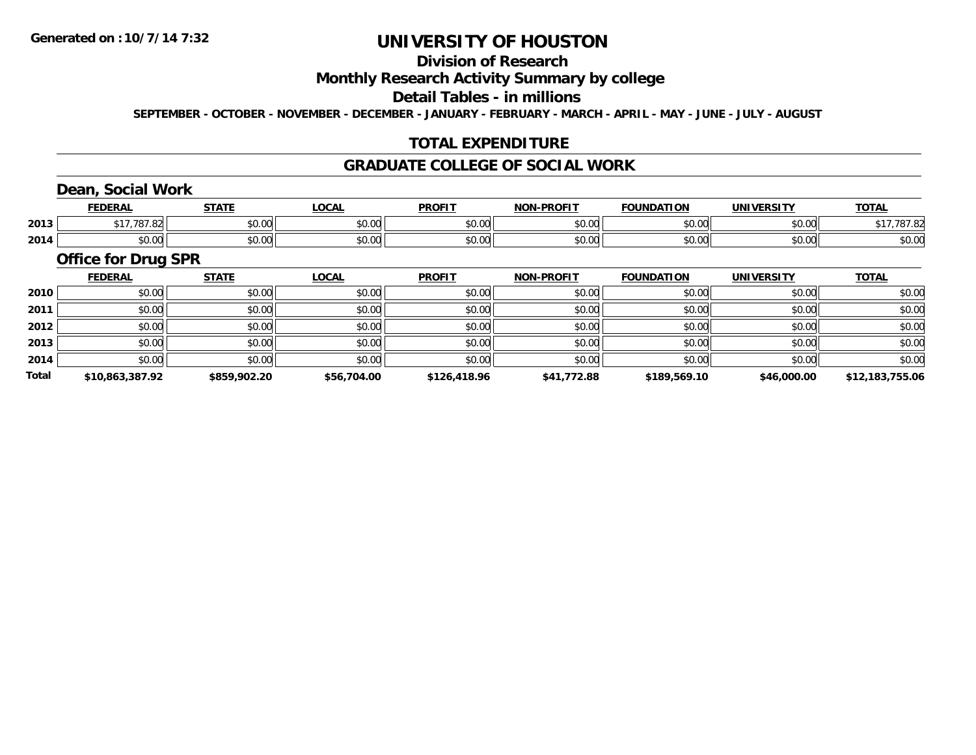# **Division of Research**

### **Monthly Research Activity Summary by college**

#### **Detail Tables - in millions**

**SEPTEMBER - OCTOBER - NOVEMBER - DECEMBER - JANUARY - FEBRUARY - MARCH - APRIL - MAY - JUNE - JULY - AUGUST**

## **TOTAL EXPENDITURE**

#### **GRADUATE COLLEGE OF SOCIAL WORK**

## **Dean, Social Work**

|      | ccncda<br>ERA                                                            | 27.77         | $\sim$<br>. | <b>PROFIT</b> | <b>DDAFIT</b><br><b>NICHI</b> | <b>FOUNDATION</b>                  | UNIVERSITY                | <b>TOTAL</b> |
|------|--------------------------------------------------------------------------|---------------|-------------|---------------|-------------------------------|------------------------------------|---------------------------|--------------|
| 2013 |                                                                          | 0.00<br>vu.vu | 40.00       | 0000<br>JU.UL | $\sim$ 00<br>pu.uu            | $\overline{\phantom{a}}$<br>$\sim$ | $\sim$ $\sim$<br>⊸∪.∪∪    |              |
| 2014 | $\begin{array}{c} \uparrow \\ \uparrow \\ \uparrow \end{array}$<br>vv.vv | 0000<br>JU.UU | vu.vu       | 0000<br>JU.UL | $\sim$ 00<br>pu.uu            |                                    | $\sim$ 00<br><b>JU.UU</b> | \$0.00       |

### **Office for Drug SPR**

|              | <b>FEDERAL</b>  | <b>STATE</b> | <b>LOCAL</b> | <b>PROFIT</b> | <b>NON-PROFIT</b> | <b>FOUNDATION</b> | <b>UNIVERSITY</b> | <b>TOTAL</b>    |
|--------------|-----------------|--------------|--------------|---------------|-------------------|-------------------|-------------------|-----------------|
| 2010         | \$0.00          | \$0.00       | \$0.00       | \$0.00        | \$0.00            | \$0.00            | \$0.00            | \$0.00          |
| 2011         | \$0.00          | \$0.00       | \$0.00       | \$0.00        | \$0.00            | \$0.00            | \$0.00            | \$0.00          |
| 2012         | \$0.00          | \$0.00       | \$0.00       | \$0.00        | \$0.00            | \$0.00            | \$0.00            | \$0.00          |
| 2013         | \$0.00          | \$0.00       | \$0.00       | \$0.00        | \$0.00            | \$0.00            | \$0.00            | \$0.00          |
| 2014         | \$0.00          | \$0.00       | \$0.00       | \$0.00        | \$0.00            | \$0.00            | \$0.00            | \$0.00          |
| <b>Total</b> | \$10,863,387.92 | \$859,902.20 | \$56,704.00  | \$126,418.96  | \$41,772.88       | \$189,569.10      | \$46,000.00       | \$12,183,755.06 |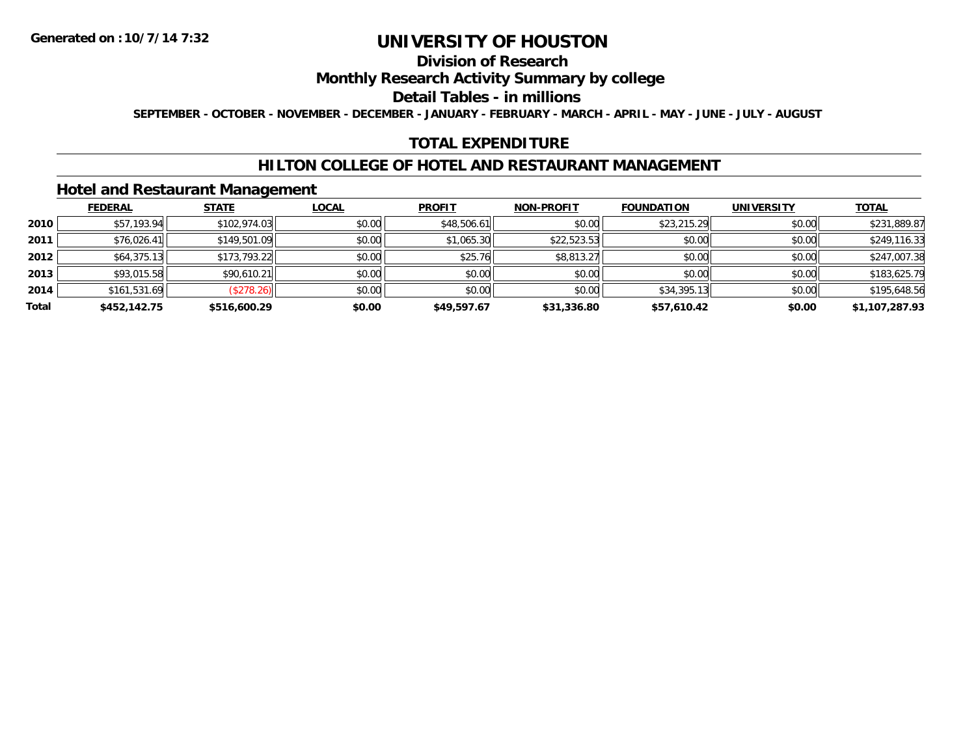## **Division of Research**

### **Monthly Research Activity Summary by college**

#### **Detail Tables - in millions**

**SEPTEMBER - OCTOBER - NOVEMBER - DECEMBER - JANUARY - FEBRUARY - MARCH - APRIL - MAY - JUNE - JULY - AUGUST**

## **TOTAL EXPENDITURE**

#### **HILTON COLLEGE OF HOTEL AND RESTAURANT MANAGEMENT**

### **Hotel and Restaurant Management**

|       | <b>FEDERAL</b> | <b>STATE</b> | <u>LOCAL</u> | <b>PROFIT</b> | <b>NON-PROFIT</b> | <b>FOUNDATION</b> | <b>UNIVERSITY</b> | <b>TOTAL</b>   |
|-------|----------------|--------------|--------------|---------------|-------------------|-------------------|-------------------|----------------|
| 2010  | \$57,193.94    | \$102,974.03 | \$0.00       | \$48,506.61   | \$0.00            | \$23,215.29       | \$0.00            | \$231,889.87   |
| 2011  | \$76,026.41    | \$149,501.09 | \$0.00       | \$1,065.30    | \$22,523.53       | \$0.00            | \$0.00            | \$249,116.33   |
| 2012  | \$64,375.13    | \$173,793.22 | \$0.00       | \$25.76       | \$8,813.27        | \$0.00            | \$0.00            | \$247,007.38   |
| 2013  | \$93,015.58    | \$90,610.21  | \$0.00       | \$0.00        | \$0.00            | \$0.00            | \$0.00            | \$183,625.79   |
| 2014  | \$161,531.69   | (\$278.26)   | \$0.00       | \$0.00        | \$0.00            | \$34,395.13       | \$0.00            | \$195,648.56   |
| Total | \$452,142.75   | \$516,600.29 | \$0.00       | \$49,597.67   | \$31,336.80       | \$57,610.42       | \$0.00            | \$1,107,287.93 |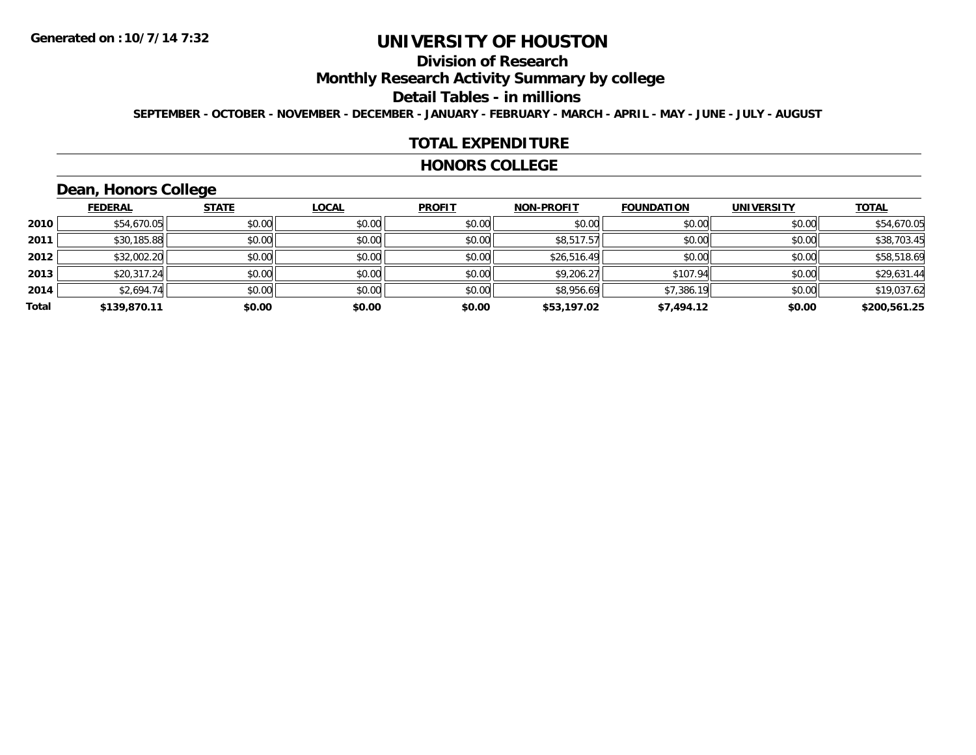# **Division of Research**

**Monthly Research Activity Summary by college**

#### **Detail Tables - in millions**

**SEPTEMBER - OCTOBER - NOVEMBER - DECEMBER - JANUARY - FEBRUARY - MARCH - APRIL - MAY - JUNE - JULY - AUGUST**

#### **TOTAL EXPENDITURE**

#### **HONORS COLLEGE**

# **Dean, Honors College**

|       |                | __           |              |               |                   |                   |                   |              |
|-------|----------------|--------------|--------------|---------------|-------------------|-------------------|-------------------|--------------|
|       | <b>FEDERAL</b> | <b>STATE</b> | <b>LOCAL</b> | <b>PROFIT</b> | <b>NON-PROFIT</b> | <b>FOUNDATION</b> | <b>UNIVERSITY</b> | <b>TOTAL</b> |
| 2010  | \$54,670.05    | \$0.00       | \$0.00       | \$0.00        | \$0.00            | \$0.00            | \$0.00            | \$54,670.05  |
| 2011  | \$30,185.88    | \$0.00       | \$0.00       | \$0.00        | \$8,517.57        | \$0.00            | \$0.00            | \$38,703.45  |
| 2012  | \$32,002.20    | \$0.00       | \$0.00       | \$0.00        | \$26,516.49       | \$0.00            | \$0.00            | \$58,518.69  |
| 2013  | \$20,317.24    | \$0.00       | \$0.00       | \$0.00        | \$9,206.27        | \$107.94          | \$0.00            | \$29,631.44  |
| 2014  | \$2,694.74     | \$0.00       | \$0.00       | \$0.00        | \$8,956.69        | \$7,386.19        | \$0.00            | \$19,037.62  |
| Total | \$139,870.11   | \$0.00       | \$0.00       | \$0.00        | \$53,197.02       | \$7,494.12        | \$0.00            | \$200,561.25 |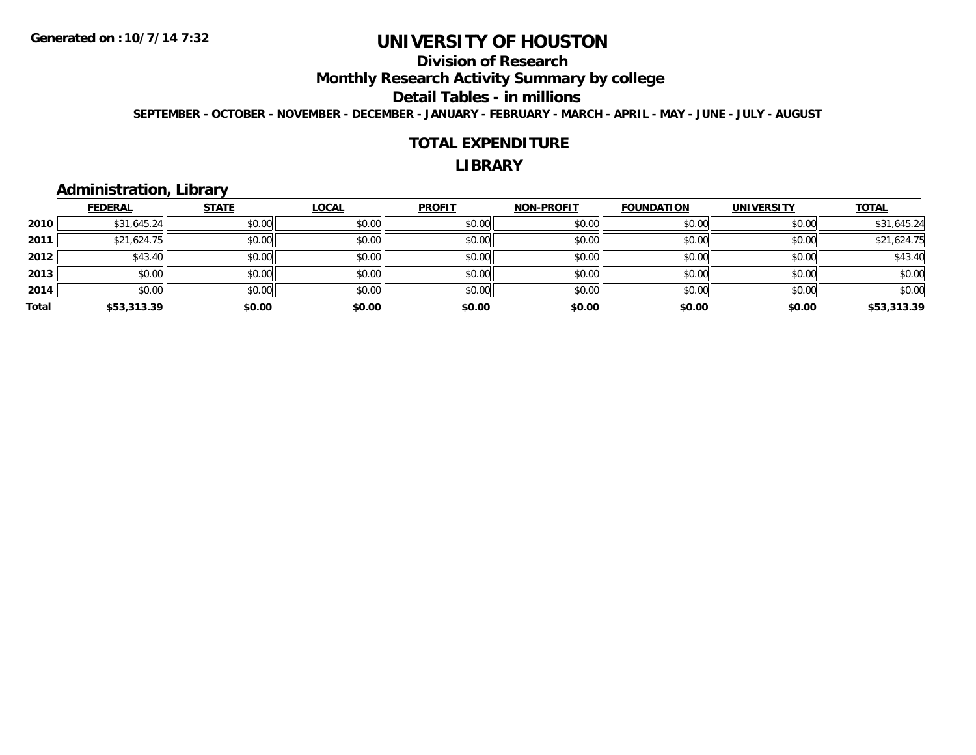# **Division of Research**

**Monthly Research Activity Summary by college**

#### **Detail Tables - in millions**

**SEPTEMBER - OCTOBER - NOVEMBER - DECEMBER - JANUARY - FEBRUARY - MARCH - APRIL - MAY - JUNE - JULY - AUGUST**

#### **TOTAL EXPENDITURE**

#### **LIBRARY**

# **Administration, Library**

|       | <b>FEDERAL</b> | <b>STATE</b> | <b>LOCAL</b> | <b>PROFIT</b> | <b>NON-PROFIT</b> | <b>FOUNDATION</b> | <b>UNIVERSITY</b> | <b>TOTAL</b> |
|-------|----------------|--------------|--------------|---------------|-------------------|-------------------|-------------------|--------------|
| 2010  | \$31,645.24    | \$0.00       | \$0.00       | \$0.00        | \$0.00            | \$0.00            | \$0.00            | \$31,645.24  |
| 2011  | \$21,624.75    | \$0.00       | \$0.00       | \$0.00        | \$0.00            | \$0.00            | \$0.00            | \$21,624.75  |
| 2012  | \$43.40        | \$0.00       | \$0.00       | \$0.00        | \$0.00            | \$0.00            | \$0.00            | \$43.40      |
| 2013  | \$0.00         | \$0.00       | \$0.00       | \$0.00        | \$0.00            | \$0.00            | \$0.00            | \$0.00       |
| 2014  | \$0.00         | \$0.00       | \$0.00       | \$0.00        | \$0.00            | \$0.00            | \$0.00            | \$0.00       |
| Total | \$53,313.39    | \$0.00       | \$0.00       | \$0.00        | \$0.00            | \$0.00            | \$0.00            | \$53,313.39  |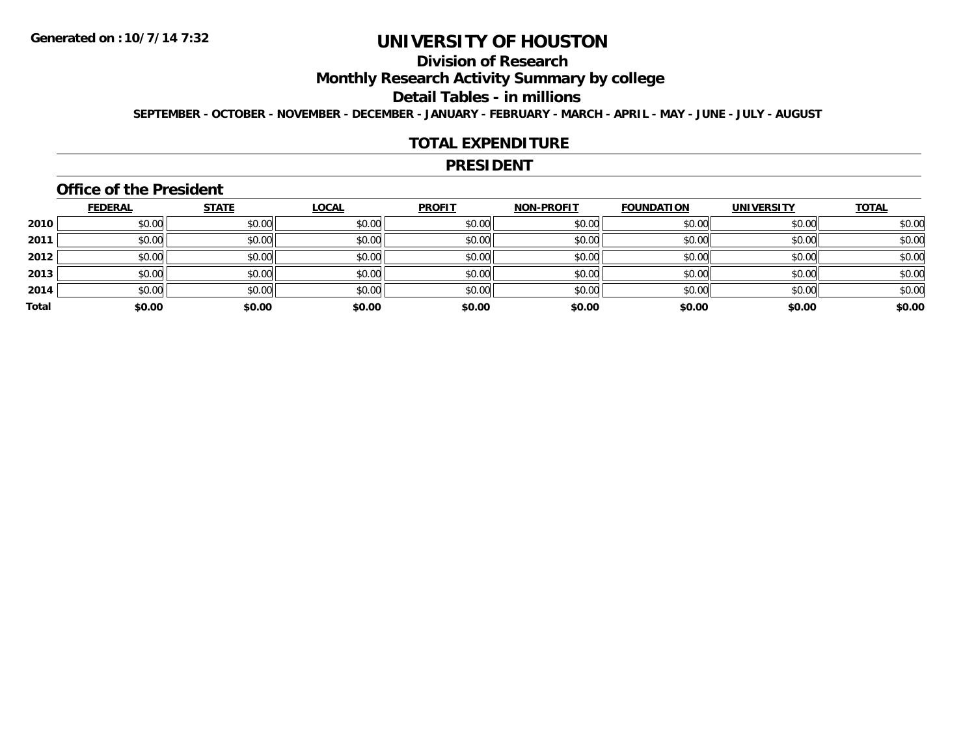# **Division of Research**

**Monthly Research Activity Summary by college**

#### **Detail Tables - in millions**

**SEPTEMBER - OCTOBER - NOVEMBER - DECEMBER - JANUARY - FEBRUARY - MARCH - APRIL - MAY - JUNE - JULY - AUGUST**

#### **TOTAL EXPENDITURE**

#### **PRESIDENT**

#### **Office of the President**

|       | <b>FEDERAL</b> | <b>STATE</b> | <b>LOCAL</b> | <b>PROFIT</b> | <b>NON-PROFIT</b> | <b>FOUNDATION</b> | <b>UNIVERSITY</b> | <b>TOTAL</b> |
|-------|----------------|--------------|--------------|---------------|-------------------|-------------------|-------------------|--------------|
| 2010  | \$0.00         | \$0.00       | \$0.00       | \$0.00        | \$0.00            | \$0.00            | \$0.00            | \$0.00       |
| 2011  | \$0.00         | \$0.00       | \$0.00       | \$0.00        | \$0.00            | \$0.00            | \$0.00            | \$0.00       |
| 2012  | \$0.00         | \$0.00       | \$0.00       | \$0.00        | \$0.00            | \$0.00            | \$0.00            | \$0.00       |
| 2013  | \$0.00         | \$0.00       | \$0.00       | \$0.00        | \$0.00            | \$0.00            | \$0.00            | \$0.00       |
| 2014  | \$0.00         | \$0.00       | \$0.00       | \$0.00        | \$0.00            | \$0.00            | \$0.00            | \$0.00       |
| Total | \$0.00         | \$0.00       | \$0.00       | \$0.00        | \$0.00            | \$0.00            | \$0.00            | \$0.00       |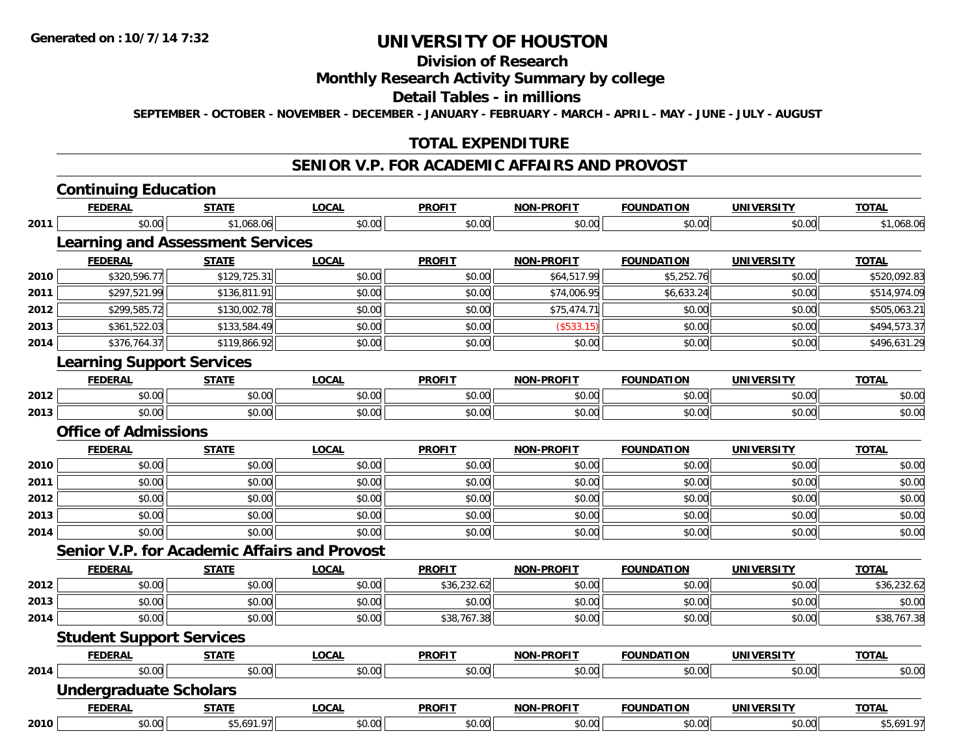#### **Division of Research**

#### **Monthly Research Activity Summary by college**

#### **Detail Tables - in millions**

**SEPTEMBER - OCTOBER - NOVEMBER - DECEMBER - JANUARY - FEBRUARY - MARCH - APRIL - MAY - JUNE - JULY - AUGUST**

## **TOTAL EXPENDITURE**

#### **SENIOR V.P. FOR ACADEMIC AFFAIRS AND PROVOST**

#### **Continuing Education FEDERAL STATE LOCAL PROFIT NON-PROFIT FOUNDATION UNIVERSITY TOTALTOTAL 2011** \$0.00 \$1,068.06 \$0.00 \$0.00 \$0.00 \$0.00 \$0.00 \$1,068.06 **Learning and Assessment Services FEDERAL STATE LOCAL PROFIT NON-PROFIT FOUNDATION UNIVERSITY TOTAL2010**0 \$320,596.77|| \$129,725.31|| \$0.00|| \$0.00|| \$64,517.99|| \$5,252.76|| \$0.00|| \$520,092.83 **2011** \$297,521.99 \$136,811.91 \$0.00 \$0.00 \$74,006.95 \$6,633.24 \$0.00 \$514,974.09 **2012**2 \$299,585.72 \$130,002.78 \$130,002.78 \$0.00 \$0.00 \$0.00 \$0.00 \$75,474.71 \$0.00 \$0.00 \$0.00 \$505,063.21 **2013** \$361,522.03 \$133,584.49 \$0.00 \$0.00 (\$533.15) \$0.00 \$0.00 \$494,573.37 **2014**4 \$376,764.37|| \$119,866.92|| \$0.00|| \$0.00|| \$0.00|| \$0.00|| \$0.00|| \$30.00|| \$0.00|| \$496,631.29 **Learning Support Services FEDERAL STATE LOCAL PROFIT NON-PROFIT FOUNDATION UNIVERSITY TOTAL2012**2 | \$0.00 \$0.00 \$0.00 \$0.00 \$0.00 \$0.00 \$0.00 \$0.00 \$0.00 \$0.00 \$0.00 \$0.00 \$0.00 \$0.00 \$0.00 \$0.00 \$0.00 \$0.0 **2013** \$0.00 \$0.00 \$0.00 \$0.00 \$0.00 \$0.00 \$0.00 \$0.00 **Office of AdmissionsFEDERAL STATE LOCAL PROFIT NON-PROFIT FOUNDATION UNIVERSITY TOTAL2010** $\, \mathsf{D} \, | \,$   $\qquad \qquad \mathsf{80.00} | \,$   $\qquad \qquad \mathsf{80.00} | \,$   $\qquad \qquad \mathsf{80.00} | \,$   $\qquad \qquad \mathsf{80.00} | \,$   $\qquad \qquad \mathsf{80.00} | \,$   $\qquad \qquad \mathsf{80.00} | \,$   $\qquad \qquad \mathsf{80.00} |$ **2011** \$0.00 \$0.00 \$0.00 \$0.00 \$0.00 \$0.00 \$0.00 \$0.00 **2012**2 | \$0.00 \$0.00 \$0.00 \$0.00 \$0.00 \$0.00 \$0.00 \$0.00 \$0.00 \$0.00 \$0.00 \$0.00 \$0.00 \$0.00 \$0.00 \$0.00 \$0.00 \$0.0 **2013** \$0.00 \$0.00 \$0.00 \$0.00 \$0.00 \$0.00 \$0.00 \$0.00 **2014**4 \$0.00 \$0.00 \$0.00 \$0.00 \$0.00 \$0.00 \$0.00 \$0.00 \$0.00 \$0.00 \$0.00 \$0.00 \$0.00 \$0.00 \$0.00 \$0.00 \$0.00 **Senior V.P. for Academic Affairs and ProvostFEDERAL STATE LOCAL PROFIT NON-PROFIT FOUNDATION UNIVERSITY TOTAL2012**2 \$0.00 \$0.00 \$0.00 \$0.00 \$0.00 \$0.00 \$0.00 \$36,232.62 \$0.00 \$0.00 \$0.00 \$0.00 \$0.00 \$0.00 \$36,232.62 **2013** \$0.00 \$0.00 \$0.00 \$0.00 \$0.00 \$0.00 \$0.00 \$0.00 **2014**4 \$0.00 \$0.00 \$0.00 \$0.00 \$0.00 \$0.00 \$38,767.38 \$0.00 \$0.00 \$0.00 \$0.00 \$0.00 \$0.00 \$38,767.38 **Student Support Services FEDERAL STATE LOCAL PROFIT NON-PROFIT FOUNDATION UNIVERSITY TOTALTOTAL 2014**4 \$0.00 \$0.00 \$0.00 \$0.00 \$0.00 \$0.00 \$0.00 \$0.00 \$0.00 \$0.00 \$0.00 \$0.00 \$0.00 \$0.00 \$0.00 \$0.00 \$0.00 **Undergraduate Scholars FEDERAL STATE LOCAL PROFIT NON-PROFIT FOUNDATION UNIVERSITY TOTALTOTAL 2010** $\textsf{[0]} \quad \textsf{[0]} \quad \textsf{[0]} \quad \textsf{[0]} \quad \textsf{[0]} \quad \textsf{[0]} \quad \textsf{[0]} \quad \textsf{[0]} \quad \textsf{[0]} \quad \textsf{[0]} \quad \textsf{[0]} \quad \textsf{[0]} \quad \textsf{[0]} \quad \textsf{[0]} \quad \textsf{[0]} \quad \textsf{[0]} \quad \textsf{[0]} \quad \textsf{[0]} \quad \textsf{[0]} \quad \textsf{[0]} \quad \textsf{[0]} \quad \textsf{[0]} \quad \textsf{[0]} \quad \textsf{[0]} \quad \textsf{$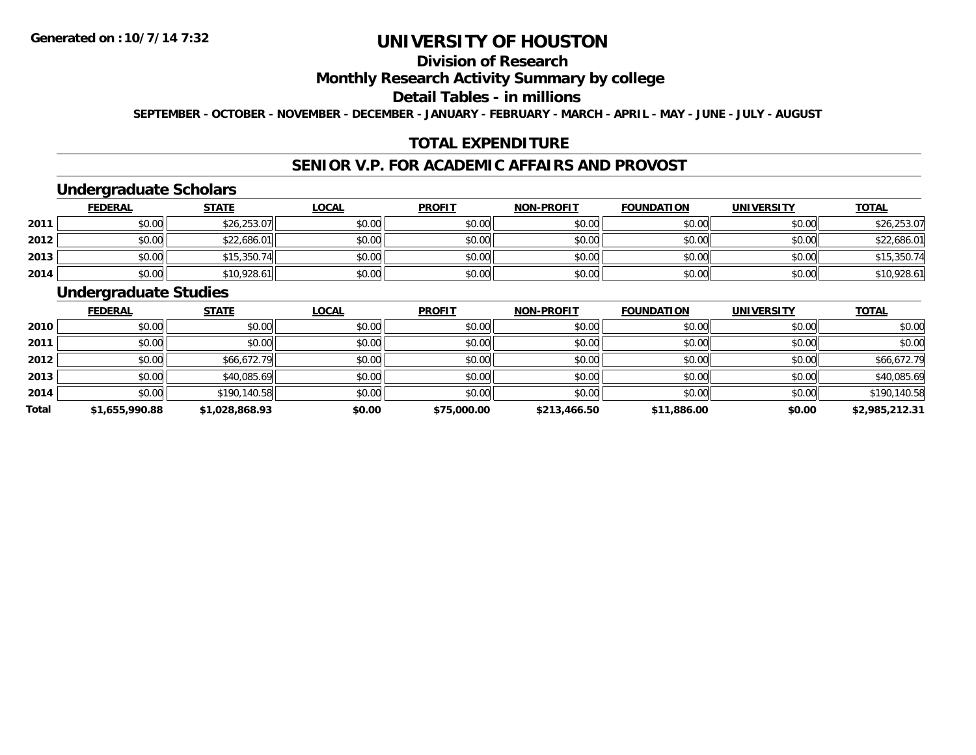## **Division of Research**

### **Monthly Research Activity Summary by college**

#### **Detail Tables - in millions**

**SEPTEMBER - OCTOBER - NOVEMBER - DECEMBER - JANUARY - FEBRUARY - MARCH - APRIL - MAY - JUNE - JULY - AUGUST**

## **TOTAL EXPENDITURE**

#### **SENIOR V.P. FOR ACADEMIC AFFAIRS AND PROVOST**

### **Undergraduate Scholars**

|      | <b>FEDERAL</b> | <u>STATE</u> | <u>LOCAL</u> | <b>PROFIT</b> | <b>NON-PROFIT</b> | <b>FOUNDATION</b> | <b>UNIVERSITY</b> | <b>TOTAL</b> |
|------|----------------|--------------|--------------|---------------|-------------------|-------------------|-------------------|--------------|
| 2011 | \$0.00         | \$26,253.07  | \$0.00       | \$0.00        | \$0.00            | \$0.00            | \$0.00            | \$26,253.07  |
| 2012 | \$0.00         | \$22,686.01  | \$0.00       | \$0.00        | \$0.00            | \$0.00            | \$0.00            | \$22,686.01  |
| 2013 | \$0.00         | \$15,350.74  | \$0.00       | \$0.00        | \$0.00            | \$0.00            | \$0.00            | \$15,350.74  |
| 2014 | \$0.00         | \$10,928.61  | \$0.00       | \$0.00        | \$0.00            | \$0.00            | \$0.00            | \$10,928.61  |

### **Undergraduate Studies**

|              | <b>FEDERAL</b> | <b>STATE</b>   | <u>LOCAL</u> | <b>PROFIT</b> | <b>NON-PROFIT</b> | <b>FOUNDATION</b> | <b>UNIVERSITY</b> | <u>TOTAL</u>   |
|--------------|----------------|----------------|--------------|---------------|-------------------|-------------------|-------------------|----------------|
| 2010         | \$0.00         | \$0.00         | \$0.00       | \$0.00        | \$0.00            | \$0.00            | \$0.00            | \$0.00         |
| 2011         | \$0.00         | \$0.00         | \$0.00       | \$0.00        | \$0.00            | \$0.00            | \$0.00            | \$0.00         |
| 2012         | \$0.00         | \$66,672.79    | \$0.00       | \$0.00        | \$0.00            | \$0.00            | \$0.00            | \$66,672.79    |
| 2013         | \$0.00         | \$40,085.69    | \$0.00       | \$0.00        | \$0.00            | \$0.00            | \$0.00            | \$40,085.69    |
| 2014         | \$0.00         | \$190,140.58   | \$0.00       | \$0.00        | \$0.00            | \$0.00            | \$0.00            | \$190,140.58   |
| <b>Total</b> | \$1,655,990.88 | \$1,028,868.93 | \$0.00       | \$75,000.00   | \$213,466.50      | \$11,886.00       | \$0.00            | \$2,985,212.31 |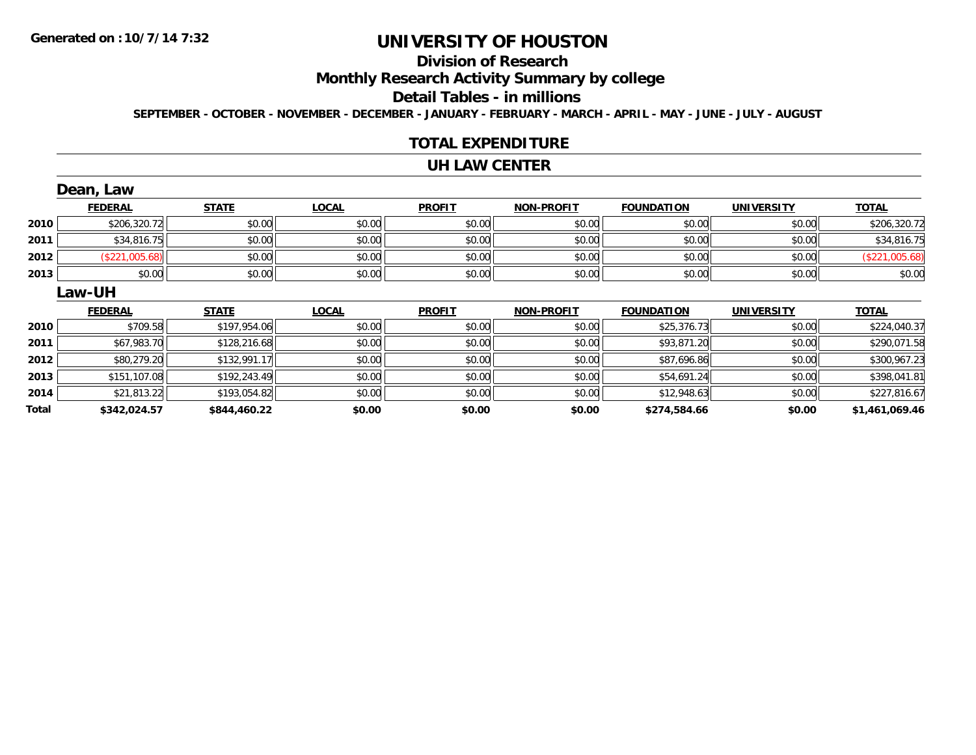# **Division of Research**

**Monthly Research Activity Summary by college**

#### **Detail Tables - in millions**

**SEPTEMBER - OCTOBER - NOVEMBER - DECEMBER - JANUARY - FEBRUARY - MARCH - APRIL - MAY - JUNE - JULY - AUGUST**

#### **TOTAL EXPENDITURE**

#### **UH LAW CENTER**

|      | Dean, Law      |              |              |               |                   |                   |                   |                |
|------|----------------|--------------|--------------|---------------|-------------------|-------------------|-------------------|----------------|
|      | <b>FEDERAL</b> | <b>STATE</b> | <b>LOCAL</b> | <b>PROFIT</b> | <b>NON-PROFIT</b> | <b>FOUNDATION</b> | <b>UNIVERSITY</b> | <b>TOTAL</b>   |
| 2010 | \$206,320.72   | \$0.00       | \$0.00       | \$0.00        | \$0.00            | \$0.00            | \$0.00            | \$206,320.72   |
| 2011 | \$34,816.75    | \$0.00       | \$0.00       | \$0.00        | \$0.00            | \$0.00            | \$0.00            | \$34,816.75    |
| 2012 | (\$221,005.68) | \$0.00       | \$0.00       | \$0.00        | \$0.00            | \$0.00            | \$0.00            | (\$221,005.68) |
| 2013 | \$0.00         | \$0.00       | \$0.00       | \$0.00        | \$0.00            | \$0.00            | \$0.00            | \$0.00         |
|      | Law-UH         |              |              |               |                   |                   |                   |                |
|      |                |              |              |               |                   |                   |                   |                |
|      | <b>FEDERAL</b> | <b>STATE</b> | <b>LOCAL</b> | <b>PROFIT</b> | <b>NON-PROFIT</b> | <b>FOUNDATION</b> | <b>UNIVERSITY</b> | <b>TOTAL</b>   |
| 2010 | \$709.58       | \$197,954.06 | \$0.00       | \$0.00        | \$0.00            | \$25,376.73       | \$0.00            | \$224,040.37   |
| 2011 | \$67,983.70    | \$128,216.68 | \$0.00       | \$0.00        | \$0.00            | \$93,871.20       | \$0.00            | \$290,071.58   |
| 2012 | \$80,279.20    | \$132,991.17 | \$0.00       | \$0.00        | \$0.00            | \$87,696.86       | \$0.00            | \$300,967.23   |
| 2013 | \$151,107.08   | \$192,243.49 | \$0.00       | \$0.00        | \$0.00            | \$54,691.24       | \$0.00            | \$398,041.81   |
| 2014 | \$21,813.22    | \$193,054.82 | \$0.00       | \$0.00        | \$0.00            | \$12,948.63       | \$0.00            | \$227,816.67   |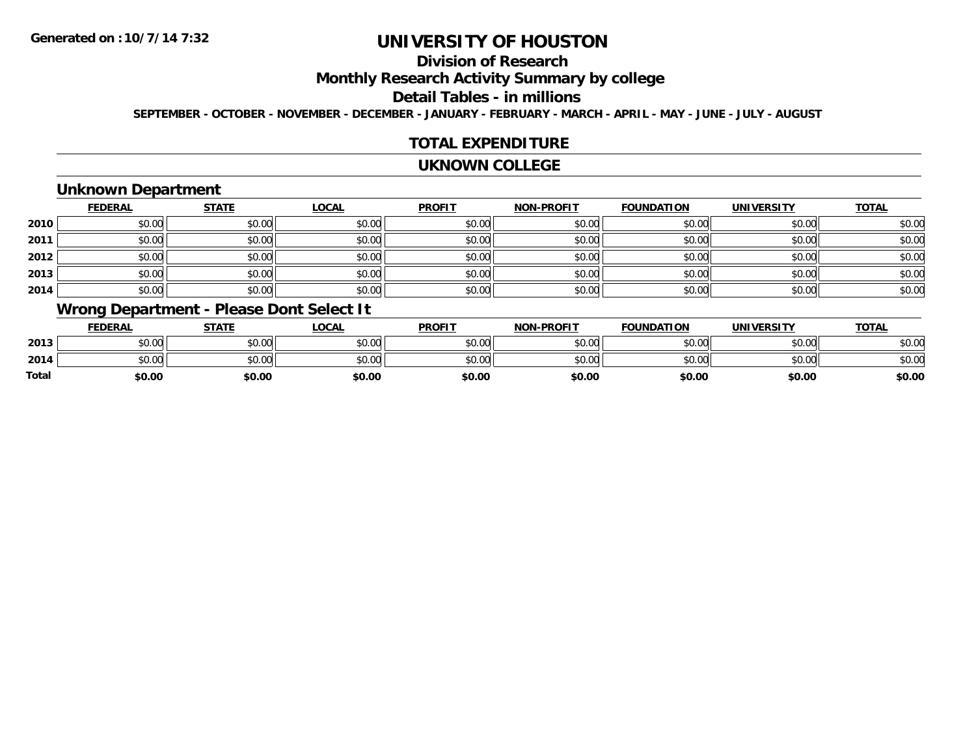# **Division of Research**

**Monthly Research Activity Summary by college**

#### **Detail Tables - in millions**

**SEPTEMBER - OCTOBER - NOVEMBER - DECEMBER - JANUARY - FEBRUARY - MARCH - APRIL - MAY - JUNE - JULY - AUGUST**

### **TOTAL EXPENDITURE**

#### **UKNOWN COLLEGE**

## **Unknown Department**

|      | <b>FEDERAL</b> | <b>STATE</b> | <u>LOCAL</u> | <b>PROFIT</b> | <b>NON-PROFIT</b> | <b>FOUNDATION</b> | <b>UNIVERSITY</b> | <b>TOTAL</b> |
|------|----------------|--------------|--------------|---------------|-------------------|-------------------|-------------------|--------------|
| 2010 | \$0.00         | \$0.00       | \$0.00       | \$0.00        | \$0.00            | \$0.00            | \$0.00            | \$0.00       |
| 2011 | \$0.00         | \$0.00       | \$0.00       | \$0.00        | \$0.00            | \$0.00            | \$0.00            | \$0.00       |
| 2012 | \$0.00         | \$0.00       | \$0.00       | \$0.00        | \$0.00            | \$0.00            | \$0.00            | \$0.00       |
| 2013 | \$0.00         | \$0.00       | \$0.00       | \$0.00        | \$0.00            | \$0.00            | \$0.00            | \$0.00       |
| 2014 | \$0.00         | \$0.00       | \$0.00       | \$0.00        | \$0.00            | \$0.00            | \$0.00            | \$0.00       |

## **Wrong Department - Please Dont Select It**

|              | <u>FEDERAL</u> | <b>STATE</b> | <u>_OCAL</u> | <b>PROFIT</b> | <b>NON-PROFIT</b> | <b>FOUNDATION</b> | UNIVERSITY | <b>TOTAL</b> |
|--------------|----------------|--------------|--------------|---------------|-------------------|-------------------|------------|--------------|
| 2013         | \$0.00         | \$0.00       | \$0.00       | \$0.00        | \$0.00            | \$0.00            | \$0.00     | \$0.00       |
| 2014         | \$0.00         | \$0.00       | \$0.00       | \$0.00        | \$0.00            | \$0.00            | \$0.00     | \$0.00       |
| <b>Total</b> | \$0.00         | \$0.00       | \$0.00       | \$0.00        | \$0.00            | \$0.00            | \$0.00     | \$0.00       |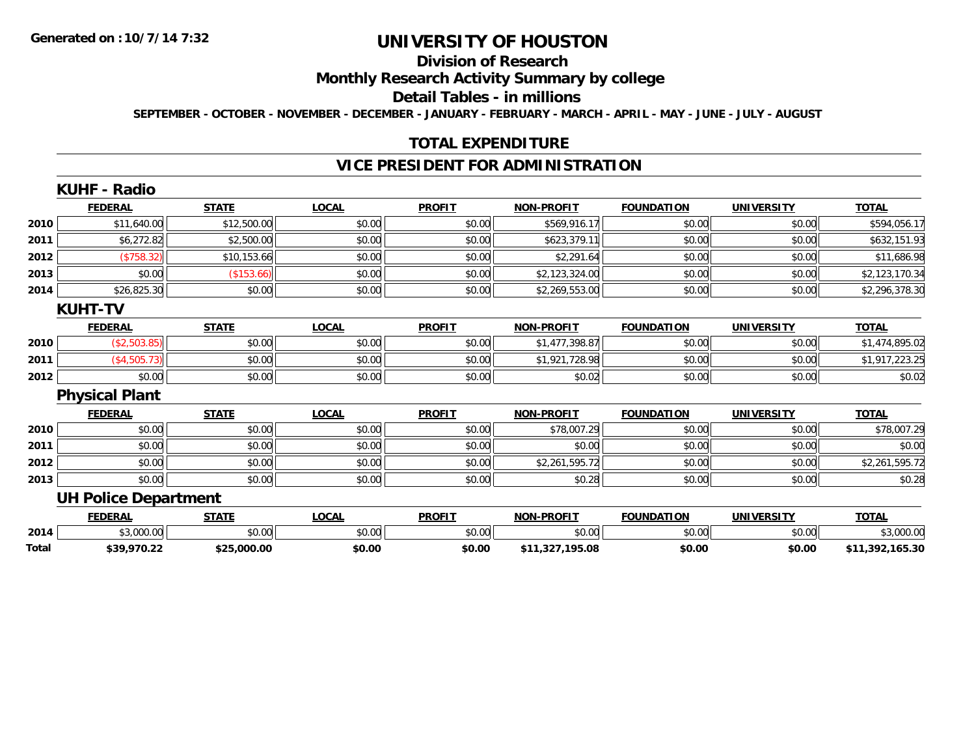# **Division of Research**

### **Monthly Research Activity Summary by college**

#### **Detail Tables - in millions**

**SEPTEMBER - OCTOBER - NOVEMBER - DECEMBER - JANUARY - FEBRUARY - MARCH - APRIL - MAY - JUNE - JULY - AUGUST**

### **TOTAL EXPENDITURE**

## **VICE PRESIDENT FOR ADMINISTRATION**

|              | <b>KUHF - Radio</b>         |              |              |               |                   |                   |                   |                 |
|--------------|-----------------------------|--------------|--------------|---------------|-------------------|-------------------|-------------------|-----------------|
|              | <b>FEDERAL</b>              | <b>STATE</b> | <b>LOCAL</b> | <b>PROFIT</b> | <b>NON-PROFIT</b> | <b>FOUNDATION</b> | <b>UNIVERSITY</b> | <b>TOTAL</b>    |
| 2010         | \$11,640.00                 | \$12,500.00  | \$0.00       | \$0.00        | \$569,916.17      | \$0.00            | \$0.00            | \$594,056.17    |
| 2011         | \$6,272.82                  | \$2,500.00   | \$0.00       | \$0.00        | \$623,379.11      | \$0.00            | \$0.00            | \$632,151.93    |
| 2012         | (\$758.32)                  | \$10,153.66  | \$0.00       | \$0.00        | \$2,291.64        | \$0.00            | \$0.00            | \$11,686.98     |
| 2013         | \$0.00                      | (\$153.66)   | \$0.00       | \$0.00        | \$2,123,324.00    | \$0.00            | \$0.00            | \$2,123,170.34  |
| 2014         | \$26,825.30                 | \$0.00       | \$0.00       | \$0.00        | \$2,269,553.00    | \$0.00            | \$0.00            | \$2,296,378.30  |
|              | <b>KUHT-TV</b>              |              |              |               |                   |                   |                   |                 |
|              | <b>FEDERAL</b>              | <b>STATE</b> | <b>LOCAL</b> | <b>PROFIT</b> | <b>NON-PROFIT</b> | <b>FOUNDATION</b> | <b>UNIVERSITY</b> | <u>TOTAL</u>    |
| 2010         | (\$2,503.85)                | \$0.00       | \$0.00       | \$0.00        | \$1,477,398.87    | \$0.00            | \$0.00            | \$1,474,895.02  |
| 2011         | (\$4,505.73)                | \$0.00       | \$0.00       | \$0.00        | \$1,921,728.98    | \$0.00            | \$0.00            | \$1,917,223.25  |
| 2012         | \$0.00                      | \$0.00       | \$0.00       | \$0.00        | \$0.02            | \$0.00            | \$0.00            | \$0.02          |
|              | <b>Physical Plant</b>       |              |              |               |                   |                   |                   |                 |
|              | <b>FEDERAL</b>              | <b>STATE</b> | <b>LOCAL</b> | <b>PROFIT</b> | <b>NON-PROFIT</b> | <b>FOUNDATION</b> | <b>UNIVERSITY</b> | <b>TOTAL</b>    |
| 2010         | \$0.00                      | \$0.00       | \$0.00       | \$0.00        | \$78,007.29       | \$0.00            | \$0.00            | \$78,007.29     |
| 2011         | \$0.00                      | \$0.00       | \$0.00       | \$0.00        | \$0.00            | \$0.00            | \$0.00            | \$0.00          |
| 2012         | \$0.00                      | \$0.00       | \$0.00       | \$0.00        | \$2,261,595.72    | \$0.00            | \$0.00            | \$2,261,595.72  |
| 2013         | \$0.00                      | \$0.00       | \$0.00       | \$0.00        | \$0.28            | \$0.00            | \$0.00            | \$0.28          |
|              | <b>UH Police Department</b> |              |              |               |                   |                   |                   |                 |
|              | <b>FEDERAL</b>              | <b>STATE</b> | <b>LOCAL</b> | <b>PROFIT</b> | <b>NON-PROFIT</b> | <b>FOUNDATION</b> | <b>UNIVERSITY</b> | <b>TOTAL</b>    |
| 2014         | \$3,000.00                  | \$0.00       | \$0.00       | \$0.00        | \$0.00            | \$0.00            | \$0.00            | \$3,000.00      |
| <b>Total</b> | \$39,970.22                 | \$25,000.00  | \$0.00       | \$0.00        | \$11,327,195.08   | \$0.00            | \$0.00            | \$11,392,165.30 |

**\$39,970.22 \$25,000.00 \$0.00 \$0.00 \$11,327,195.08 \$0.00 \$0.00 \$11,392,165.30**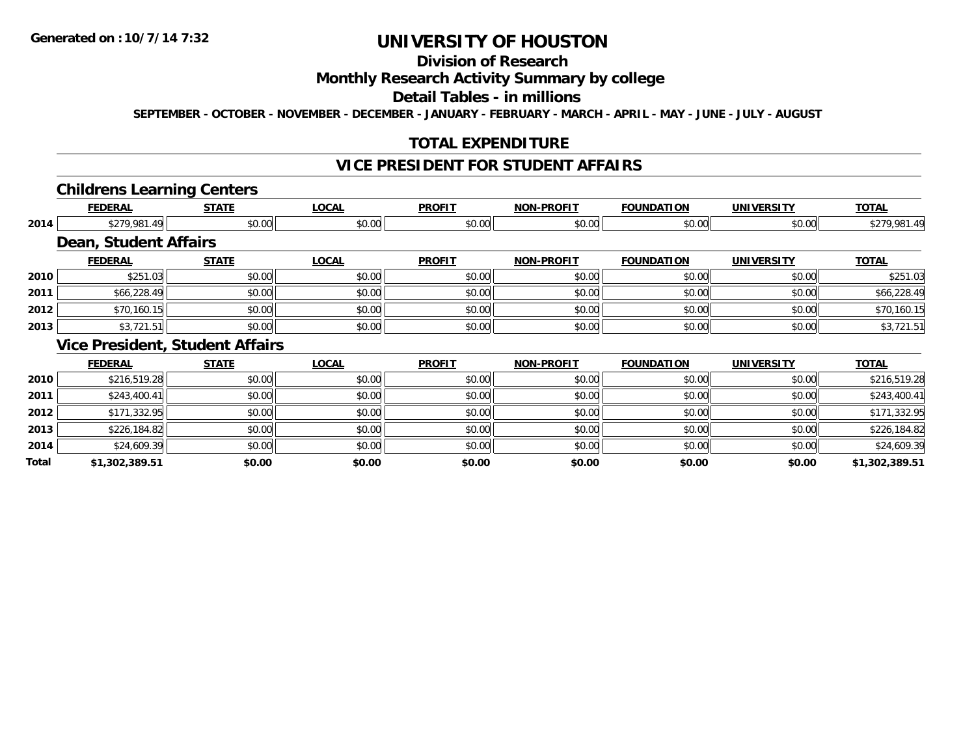**Total**

# **UNIVERSITY OF HOUSTON**

# **Division of Research**

### **Monthly Research Activity Summary by college**

#### **Detail Tables - in millions**

**SEPTEMBER - OCTOBER - NOVEMBER - DECEMBER - JANUARY - FEBRUARY - MARCH - APRIL - MAY - JUNE - JULY - AUGUST**

## **TOTAL EXPENDITURE**

## **VICE PRESIDENT FOR STUDENT AFFAIRS**

#### **Childrens Learning Centers**

|      | <b>FEDERAL</b>               | <b>STATE</b>                           | <b>LOCAL</b> | <b>PROFIT</b> | <b>NON-PROFIT</b> | <b>FOUNDATION</b> | <b>UNIVERSITY</b> | <b>TOTAL</b> |
|------|------------------------------|----------------------------------------|--------------|---------------|-------------------|-------------------|-------------------|--------------|
| 2014 | \$279,981.49                 | \$0.00                                 | \$0.00       | \$0.00        | \$0.00            | \$0.00            | \$0.00            | \$279,981.49 |
|      | <b>Dean, Student Affairs</b> |                                        |              |               |                   |                   |                   |              |
|      | <b>FEDERAL</b>               | <b>STATE</b>                           | <b>LOCAL</b> | <b>PROFIT</b> | <b>NON-PROFIT</b> | <b>FOUNDATION</b> | <b>UNIVERSITY</b> | <b>TOTAL</b> |
| 2010 | \$251.03                     | \$0.00                                 | \$0.00       | \$0.00        | \$0.00            | \$0.00            | \$0.00            | \$251.03     |
| 2011 | \$66,228.49                  | \$0.00                                 | \$0.00       | \$0.00        | \$0.00            | \$0.00            | \$0.00            | \$66,228.49  |
| 2012 | \$70,160.15                  | \$0.00                                 | \$0.00       | \$0.00        | \$0.00            | \$0.00            | \$0.00            | \$70,160.15  |
| 2013 | \$3,721.51                   | \$0.00                                 | \$0.00       | \$0.00        | \$0.00            | \$0.00            | \$0.00            | \$3,721.51   |
|      |                              | <b>Vice President, Student Affairs</b> |              |               |                   |                   |                   |              |
|      | <b>FEDERAL</b>               | <b>STATE</b>                           | <b>LOCAL</b> | <b>PROFIT</b> | <b>NON-PROFIT</b> | <b>FOUNDATION</b> | <b>UNIVERSITY</b> | <b>TOTAL</b> |
| 2010 | \$216,519.28                 | \$0.00                                 | \$0.00       | \$0.00        | \$0.00            | \$0.00            | \$0.00            | \$216,519.28 |
| 2011 | \$243,400.41                 | \$0.00                                 | \$0.00       | \$0.00        | \$0.00            | \$0.00            | \$0.00            | \$243,400.41 |
| 2012 | \$171,332.95                 | \$0.00                                 | \$0.00       | \$0.00        | \$0.00            | \$0.00            | \$0.00            | \$171,332.95 |
| 2013 | \$226,184.82                 | \$0.00                                 | \$0.00       | \$0.00        | \$0.00            | \$0.00            | \$0.00            | \$226,184.82 |
| 2014 | \$24,609.39                  | \$0.00                                 | \$0.00       | \$0.00        | \$0.00            | \$0.00            | \$0.00            | \$24,609.39  |

**\$1,302,389.51 \$0.00 \$0.00 \$0.00 \$0.00 \$0.00 \$0.00 \$1,302,389.51**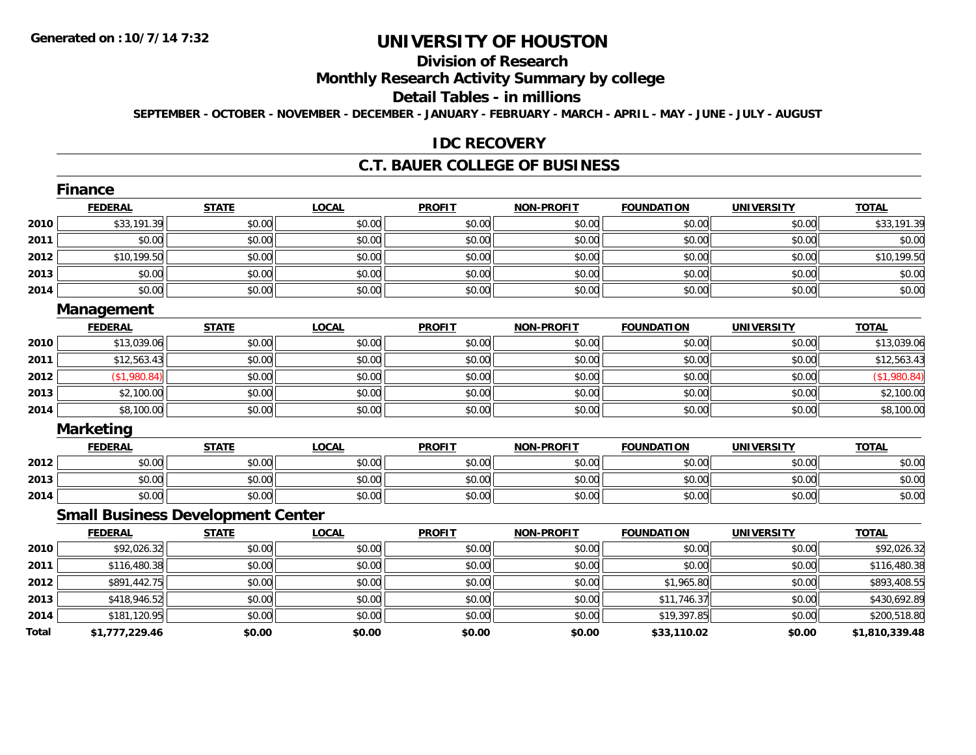# **Division of Research**

# **Monthly Research Activity Summary by college**

#### **Detail Tables - in millions**

**SEPTEMBER - OCTOBER - NOVEMBER - DECEMBER - JANUARY - FEBRUARY - MARCH - APRIL - MAY - JUNE - JULY - AUGUST**

#### **IDC RECOVERY**

#### **C.T. BAUER COLLEGE OF BUSINESS**

|       | Finance                                  |              |              |               |                   |                   |                   |                |
|-------|------------------------------------------|--------------|--------------|---------------|-------------------|-------------------|-------------------|----------------|
|       | <b>FEDERAL</b>                           | <b>STATE</b> | <b>LOCAL</b> | <b>PROFIT</b> | <b>NON-PROFIT</b> | <b>FOUNDATION</b> | <b>UNIVERSITY</b> | <b>TOTAL</b>   |
| 2010  | \$33,191.39                              | \$0.00       | \$0.00       | \$0.00        | \$0.00            | \$0.00            | \$0.00            | \$33,191.39    |
| 2011  | \$0.00                                   | \$0.00       | \$0.00       | \$0.00        | \$0.00            | \$0.00            | \$0.00            | \$0.00         |
| 2012  | \$10,199.50                              | \$0.00       | \$0.00       | \$0.00        | \$0.00            | \$0.00            | \$0.00            | \$10,199.50    |
| 2013  | \$0.00                                   | \$0.00       | \$0.00       | \$0.00        | \$0.00            | \$0.00            | \$0.00            | \$0.00         |
| 2014  | \$0.00                                   | \$0.00       | \$0.00       | \$0.00        | \$0.00            | \$0.00            | \$0.00            | \$0.00         |
|       | <b>Management</b>                        |              |              |               |                   |                   |                   |                |
|       | <b>FEDERAL</b>                           | <b>STATE</b> | <b>LOCAL</b> | <b>PROFIT</b> | <b>NON-PROFIT</b> | <b>FOUNDATION</b> | <b>UNIVERSITY</b> | <b>TOTAL</b>   |
| 2010  | \$13,039.06                              | \$0.00       | \$0.00       | \$0.00        | \$0.00            | \$0.00            | \$0.00            | \$13,039.06    |
| 2011  | \$12,563.43                              | \$0.00       | \$0.00       | \$0.00        | \$0.00            | \$0.00            | \$0.00            | \$12,563.43    |
| 2012  | (\$1,980.84)                             | \$0.00       | \$0.00       | \$0.00        | \$0.00            | \$0.00            | \$0.00            | (\$1,980.84)   |
| 2013  | \$2,100.00                               | \$0.00       | \$0.00       | \$0.00        | \$0.00            | \$0.00            | \$0.00            | \$2,100.00     |
| 2014  | \$8,100.00                               | \$0.00       | \$0.00       | \$0.00        | \$0.00            | \$0.00            | \$0.00            | \$8,100.00     |
|       | <b>Marketing</b>                         |              |              |               |                   |                   |                   |                |
|       | <b>FEDERAL</b>                           | <b>STATE</b> | <b>LOCAL</b> | <b>PROFIT</b> | <b>NON-PROFIT</b> | <b>FOUNDATION</b> | <b>UNIVERSITY</b> | <b>TOTAL</b>   |
| 2012  | \$0.00                                   | \$0.00       | \$0.00       | \$0.00        | \$0.00            | \$0.00            | \$0.00            | \$0.00         |
| 2013  | \$0.00                                   | \$0.00       | \$0.00       | \$0.00        | \$0.00            | \$0.00            | \$0.00            | \$0.00         |
| 2014  | \$0.00                                   | \$0.00       | \$0.00       | \$0.00        | \$0.00            | \$0.00            | \$0.00            | \$0.00         |
|       | <b>Small Business Development Center</b> |              |              |               |                   |                   |                   |                |
|       | <b>FEDERAL</b>                           | <b>STATE</b> | <b>LOCAL</b> | <b>PROFIT</b> | <b>NON-PROFIT</b> | <b>FOUNDATION</b> | <b>UNIVERSITY</b> | <b>TOTAL</b>   |
| 2010  | \$92,026.32                              | \$0.00       | \$0.00       | \$0.00        | \$0.00            | \$0.00            | \$0.00            | \$92,026.32    |
| 2011  | \$116,480.38                             | \$0.00       | \$0.00       | \$0.00        | \$0.00            | \$0.00            | \$0.00            | \$116,480.38   |
| 2012  | \$891,442.75                             | \$0.00       | \$0.00       | \$0.00        | \$0.00            | \$1,965.80        | \$0.00            | \$893,408.55   |
| 2013  | \$418,946.52                             | \$0.00       | \$0.00       | \$0.00        | \$0.00            | \$11,746.37       | \$0.00            | \$430,692.89   |
| 2014  | \$181,120.95                             | \$0.00       | \$0.00       | \$0.00        | \$0.00            | \$19,397.85       | \$0.00            | \$200,518.80   |
| Total | \$1,777,229.46                           | \$0.00       | \$0.00       | \$0.00        | \$0.00            | \$33,110.02       | \$0.00            | \$1,810,339.48 |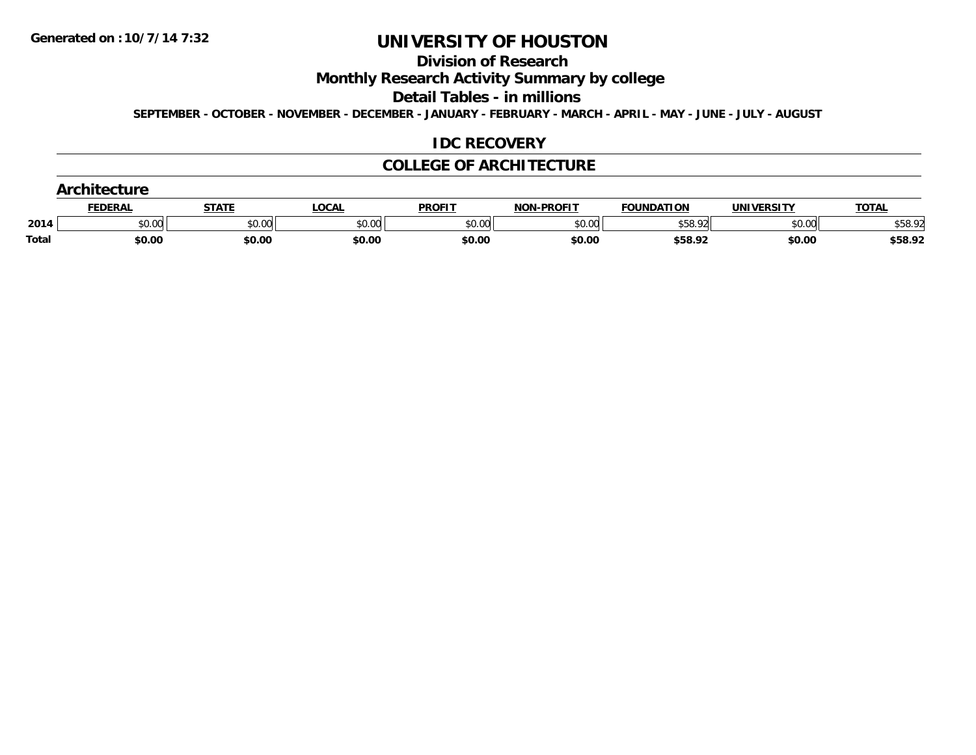#### **Division of Research**

# **Monthly Research Activity Summary by college**

#### **Detail Tables - in millions**

**SEPTEMBER - OCTOBER - NOVEMBER - DECEMBER - JANUARY - FEBRUARY - MARCH - APRIL - MAY - JUNE - JULY - AUGUST**

#### **IDC RECOVERY**

#### **COLLEGE OF ARCHITECTURE**

|       | .              |        |        |               |                        |                   |                   |              |
|-------|----------------|--------|--------|---------------|------------------------|-------------------|-------------------|--------------|
|       | <b>FEDERAL</b> |        | LOCAL  | <b>PROFIT</b> | <b>L-PROFIT</b><br>NON | <b>FOUNDATION</b> | <b>UNIVERSITY</b> | <b>TOTAL</b> |
| 2014  | \$0.00         | \$0.00 | \$0.00 | \$0.00        | \$0.00                 | \$58.92           | \$0.00            | \$58.92      |
| Total | \$0.00         | \$0.00 | \$0.00 | \$0.00        | \$0.00                 | \$58.92           | \$0.00            | \$58.92      |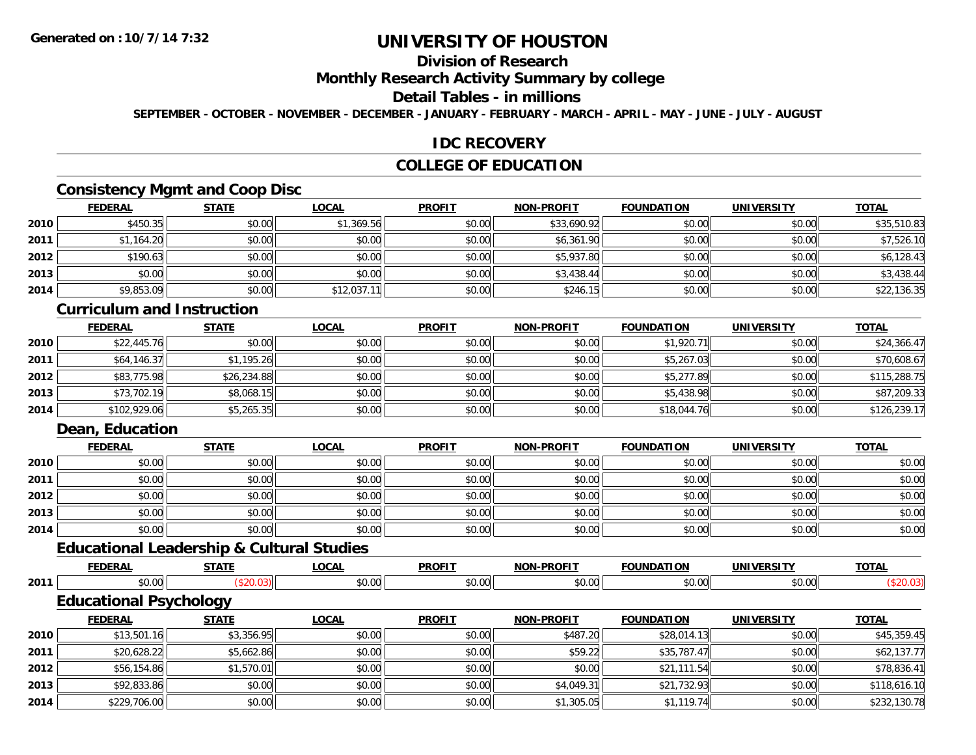# **Division of Research**

#### **Monthly Research Activity Summary by college**

#### **Detail Tables - in millions**

**SEPTEMBER - OCTOBER - NOVEMBER - DECEMBER - JANUARY - FEBRUARY - MARCH - APRIL - MAY - JUNE - JULY - AUGUST**

## **IDC RECOVERY**

## **COLLEGE OF EDUCATION**

## **Consistency Mgmt and Coop Disc**

|      | <b>FEDERAL</b> | <b>STATE</b> | <u>LOCAL</u> | <b>PROFIT</b> | <b>NON-PROFIT</b> | <b>FOUNDATION</b> | <b>UNIVERSITY</b> | <b>TOTAL</b> |
|------|----------------|--------------|--------------|---------------|-------------------|-------------------|-------------------|--------------|
| 2010 | \$450.35       | \$0.00       | \$1,369.56   | \$0.00        | \$33,690.92       | \$0.00            | \$0.00            | \$35,510.83  |
| 2011 | \$1,164.20     | \$0.00       | \$0.00       | \$0.00        | \$6,361.90        | \$0.00            | \$0.00            | \$7,526.10   |
| 2012 | \$190.63       | \$0.00       | \$0.00       | \$0.00        | \$5,937.80        | \$0.00            | \$0.00            | \$6,128.43   |
| 2013 | \$0.00         | \$0.00       | \$0.00       | \$0.00        | \$3,438.44        | \$0.00            | \$0.00            | \$3,438.44   |
| 2014 | \$9,853.09     | \$0.00       | \$12,037.1   | \$0.00        | \$246.15          | \$0.00            | \$0.00            | \$22,136.35  |

### **Curriculum and Instruction**

|      | <u>FEDERAL</u> | <u>STATE</u> | <u>LOCAL</u> | <b>PROFIT</b> | <b>NON-PROFIT</b> | <b>FOUNDATION</b> | <b>UNIVERSITY</b> | <b>TOTAL</b> |
|------|----------------|--------------|--------------|---------------|-------------------|-------------------|-------------------|--------------|
| 2010 | \$22,445.76    | \$0.00       | \$0.00       | \$0.00        | \$0.00            | \$1,920.71        | \$0.00            | \$24,366.47  |
| 2011 | \$64.146.37    | \$1,195.26   | \$0.00       | \$0.00        | \$0.00            | \$5,267.03        | \$0.00            | \$70,608.67  |
| 2012 | \$83,775.98    | \$26,234.88  | \$0.00       | \$0.00        | \$0.00            | \$5,277.89        | \$0.00            | \$115,288.75 |
| 2013 | \$73,702.19    | \$8,068.15   | \$0.00       | \$0.00        | \$0.00            | \$5,438.98        | \$0.00            | \$87,209.33  |
| 2014 | \$102,929.06   | \$5,265.35   | \$0.00       | \$0.00        | \$0.00            | \$18,044.76       | \$0.00            | \$126,239.17 |

## **Dean, Education**

**2014**

|      | <b>FEDERAL</b> | <b>STATE</b> | <b>LOCAL</b> | <b>PROFIT</b> | <b>NON-PROFIT</b> | <b>FOUNDATION</b> | <b>UNIVERSITY</b> | <b>TOTAL</b> |
|------|----------------|--------------|--------------|---------------|-------------------|-------------------|-------------------|--------------|
| 2010 | \$0.00         | \$0.00       | \$0.00       | \$0.00        | \$0.00            | \$0.00            | \$0.00            | \$0.00       |
| 2011 | \$0.00         | \$0.00       | \$0.00       | \$0.00        | \$0.00            | \$0.00            | \$0.00            | \$0.00       |
| 2012 | \$0.00         | \$0.00       | \$0.00       | \$0.00        | \$0.00            | \$0.00            | \$0.00            | \$0.00       |
| 2013 | \$0.00         | \$0.00       | \$0.00       | \$0.00        | \$0.00            | \$0.00            | \$0.00            | \$0.00       |
| 2014 | \$0.00         | \$0.00       | \$0.00       | \$0.00        | \$0.00            | \$0.00            | \$0.00            | \$0.00       |

# **Educational Leadership & Cultural Studies**

|      | -----------------             | -----        |              |               |                   |                   |                   |              |
|------|-------------------------------|--------------|--------------|---------------|-------------------|-------------------|-------------------|--------------|
|      | <b>FEDERAL</b>                | <b>STATE</b> | <b>LOCAL</b> | <b>PROFIT</b> | <b>NON-PROFIT</b> | <b>FOUNDATION</b> | UNIVERSITY        | <b>TOTAL</b> |
| 2011 | \$0.00                        | (\$20.03)    | \$0.00       | \$0.00        | \$0.00            | \$0.00            | \$0.00            | (\$20.03)    |
|      | <b>Educational Psychology</b> |              |              |               |                   |                   |                   |              |
|      | <b>FEDERAL</b>                | <b>STATE</b> | <u>LOCAL</u> | <b>PROFIT</b> | <b>NON-PROFIT</b> | <b>FOUNDATION</b> | <b>UNIVERSITY</b> | <b>TOTAL</b> |
| 2010 | \$13,501.16                   | \$3,356.95   | \$0.00       | \$0.00        | \$487.20          | \$28,014.13       | \$0.00            | \$45,359.45  |
| 2011 | \$20,628.22                   | \$5,662.86   | \$0.00       | \$0.00        | \$59.22           | \$35,787.47       | \$0.00            | \$62,137.77  |
| 2012 | \$56,154.86                   | \$1,570.01   | \$0.00       | \$0.00        | \$0.00            | \$21,111.54       | \$0.00            | \$78,836.41  |
| 2013 | \$92,833.86                   | \$0.00       | \$0.00       | \$0.00        | \$4,049.31        | \$21,732.93       | \$0.00            | \$118,616.10 |

4 \$229,706.00 \$0.00 \$0.00 \$0.00 \$0.00 \$0.00 \$0.00 \$0.00 \$1,305.05 \$1,305.05 \$1,119.74 \$0.00 \$232,130.78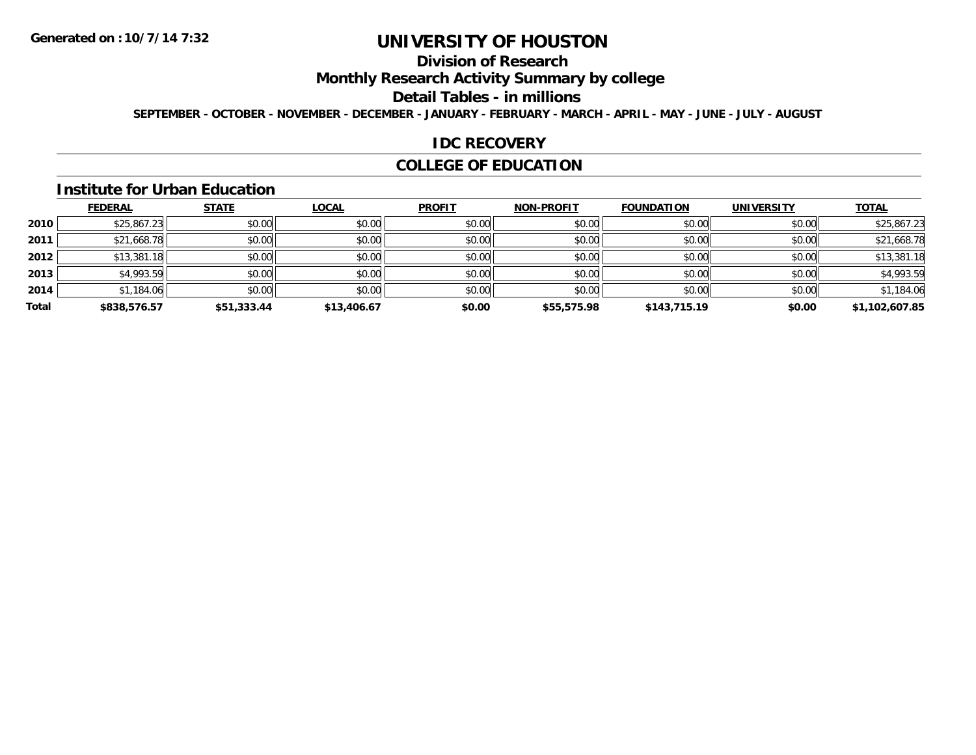# **Division of Research**

**Monthly Research Activity Summary by college**

#### **Detail Tables - in millions**

**SEPTEMBER - OCTOBER - NOVEMBER - DECEMBER - JANUARY - FEBRUARY - MARCH - APRIL - MAY - JUNE - JULY - AUGUST**

#### **IDC RECOVERY**

## **COLLEGE OF EDUCATION**

#### **Institute for Urban Education**

|       | <b>FEDERAL</b> | <b>STATE</b> | <b>LOCAL</b> | <b>PROFIT</b> | <b>NON-PROFIT</b> | <b>FOUNDATION</b> | <b>UNIVERSITY</b> | <b>TOTAL</b>   |
|-------|----------------|--------------|--------------|---------------|-------------------|-------------------|-------------------|----------------|
| 2010  | \$25,867.23    | \$0.00       | \$0.00       | \$0.00        | \$0.00            | \$0.00            | \$0.00            | \$25,867.23    |
| 2011  | \$21,668.78    | \$0.00       | \$0.00       | \$0.00        | \$0.00            | \$0.00            | \$0.00            | \$21,668.78    |
| 2012  | \$13,381.18    | \$0.00       | \$0.00       | \$0.00        | \$0.00            | \$0.00            | \$0.00            | \$13,381.18    |
| 2013  | \$4,993.59     | \$0.00       | \$0.00       | \$0.00        | \$0.00            | \$0.00            | \$0.00            | \$4,993.59     |
| 2014  | \$1,184.06     | \$0.00       | \$0.00       | \$0.00        | \$0.00            | \$0.00            | \$0.00            | \$1,184.06     |
| Total | \$838,576.57   | \$51,333.44  | \$13,406.67  | \$0.00        | \$55,575.98       | \$143,715.19      | \$0.00            | \$1,102,607.85 |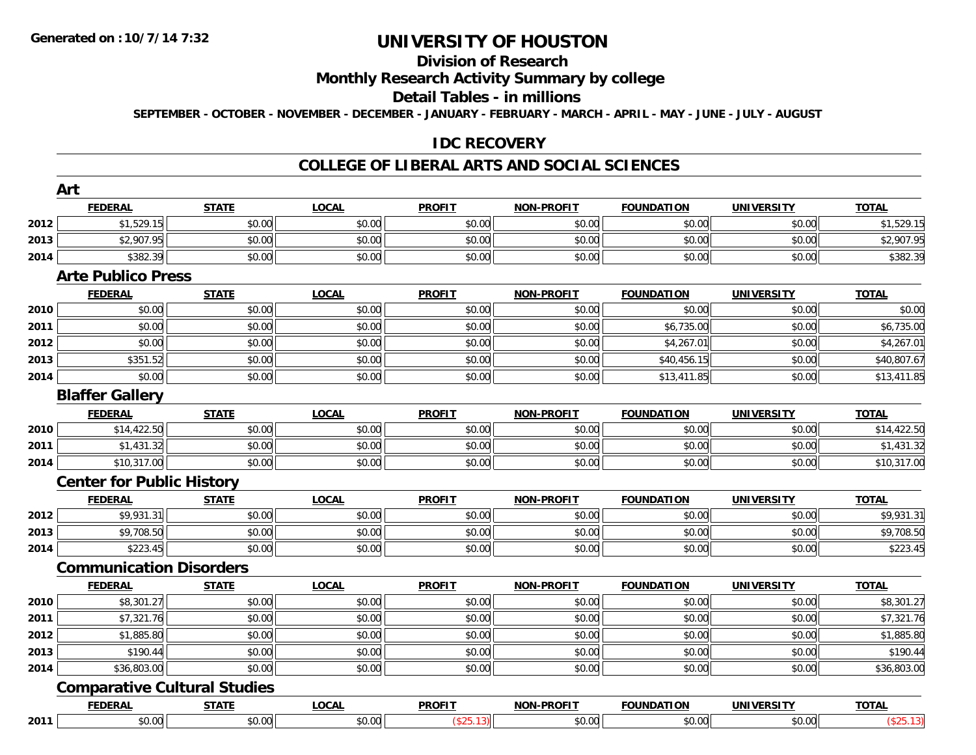## **Division of Research**

## **Monthly Research Activity Summary by college**

#### **Detail Tables - in millions**

**SEPTEMBER - OCTOBER - NOVEMBER - DECEMBER - JANUARY - FEBRUARY - MARCH - APRIL - MAY - JUNE - JULY - AUGUST**

### **IDC RECOVERY**

#### **COLLEGE OF LIBERAL ARTS AND SOCIAL SCIENCES**

|      | <b>FEDERAL</b>                      | <b>STATE</b> | <b>LOCAL</b> | <b>PROFIT</b> | <b>NON-PROFIT</b> | <b>FOUNDATION</b> | <b>UNIVERSITY</b> | <b>TOTAL</b>           |
|------|-------------------------------------|--------------|--------------|---------------|-------------------|-------------------|-------------------|------------------------|
| 2012 | \$1,529.15                          | \$0.00       | \$0.00       | \$0.00        | \$0.00            | \$0.00            | \$0.00            | \$1,529.15             |
| 2013 | \$2,907.95                          | \$0.00       | \$0.00       | \$0.00        | \$0.00            | \$0.00            | \$0.00            | \$2,907.95             |
| 2014 | \$382.39                            | \$0.00       | \$0.00       | \$0.00        | \$0.00            | \$0.00            | \$0.00            | \$382.39               |
|      | <b>Arte Publico Press</b>           |              |              |               |                   |                   |                   |                        |
|      | <b>FEDERAL</b>                      | <b>STATE</b> | <b>LOCAL</b> | <b>PROFIT</b> | <b>NON-PROFIT</b> | <b>FOUNDATION</b> | <b>UNIVERSITY</b> | <b>TOTAL</b>           |
| 2010 | \$0.00                              | \$0.00       | \$0.00       | \$0.00        | \$0.00            | \$0.00            | \$0.00            | \$0.00                 |
| 2011 | \$0.00                              | \$0.00       | \$0.00       | \$0.00        | \$0.00            | \$6,735.00        | \$0.00            | \$6,735.00             |
| 2012 | \$0.00                              | \$0.00       | \$0.00       | \$0.00        | \$0.00            | \$4,267.01        | \$0.00            | \$4,267.01             |
| 2013 | \$351.52                            | \$0.00       | \$0.00       | \$0.00        | \$0.00            | \$40,456.15       | \$0.00            | \$40,807.67            |
| 2014 | \$0.00                              | \$0.00       | \$0.00       | \$0.00        | \$0.00            | \$13,411.85       | \$0.00            | \$13,411.85            |
|      | <b>Blaffer Gallery</b>              |              |              |               |                   |                   |                   |                        |
|      | <b>FEDERAL</b>                      | <b>STATE</b> | <b>LOCAL</b> | <b>PROFIT</b> | <b>NON-PROFIT</b> | <b>FOUNDATION</b> | <b>UNIVERSITY</b> | <b>TOTAL</b>           |
| 2010 | \$14,422.50                         | \$0.00       | \$0.00       | \$0.00        | \$0.00            | \$0.00            | \$0.00            | \$14,422.50            |
| 2011 | \$1,431.32                          | \$0.00       | \$0.00       | \$0.00        | \$0.00            | \$0.00            | \$0.00            | \$1,431.32             |
| 2014 | \$10,317.00                         | \$0.00       | \$0.00       | \$0.00        | \$0.00            | \$0.00            | \$0.00            | \$10,317.00            |
|      | <b>Center for Public History</b>    |              |              |               |                   |                   |                   |                        |
|      | <b>FEDERAL</b>                      | <b>STATE</b> | <b>LOCAL</b> | <b>PROFIT</b> | <b>NON-PROFIT</b> | <b>FOUNDATION</b> | <b>UNIVERSITY</b> | <b>TOTAL</b>           |
| 2012 | \$9,931.31                          | \$0.00       | \$0.00       | \$0.00        | \$0.00            | \$0.00            | \$0.00            | \$9,931.31             |
| 2013 | \$9,708.50                          | \$0.00       | \$0.00       | \$0.00        | \$0.00            | \$0.00            | \$0.00            | \$9,708.50             |
| 2014 | \$223.45                            | \$0.00       | \$0.00       | \$0.00        | \$0.00            | \$0.00            | \$0.00            | \$223.45               |
|      | <b>Communication Disorders</b>      |              |              |               |                   |                   |                   |                        |
|      | <b>FEDERAL</b>                      | <b>STATE</b> | <b>LOCAL</b> | <b>PROFIT</b> | <b>NON-PROFIT</b> | <b>FOUNDATION</b> | <b>UNIVERSITY</b> | <b>TOTAL</b>           |
| 2010 | \$8,301.27                          | \$0.00       | \$0.00       | \$0.00        | \$0.00            | \$0.00            | \$0.00            | $\overline{$8,301.27}$ |
| 2011 | \$7,321.76                          | \$0.00       | \$0.00       | \$0.00        | \$0.00            | \$0.00            | \$0.00            | \$7,321.76             |
| 2012 | \$1,885.80                          | \$0.00       | \$0.00       | \$0.00        | \$0.00            | \$0.00            | \$0.00            | \$1,885.80             |
| 2013 | \$190.44                            | \$0.00       | \$0.00       | \$0.00        | \$0.00            | \$0.00            | \$0.00            | \$190.44               |
| 2014 | \$36,803.00                         | \$0.00       | \$0.00       | \$0.00        | \$0.00            | \$0.00            | \$0.00            | \$36,803.00            |
|      | <b>Comparative Cultural Studies</b> |              |              |               |                   |                   |                   |                        |
|      | <b>FEDERAL</b>                      | <b>STATE</b> | <b>LOCAL</b> | <b>PROFIT</b> | <b>NON-PROFIT</b> | <b>FOUNDATION</b> | <b>UNIVERSITY</b> | <b>TOTAL</b>           |
| 2011 | \$0.00                              | \$0.00       | \$0.00       | (\$25.13)     | \$0.00            | \$0.00            | \$0.00            | (\$25.13)              |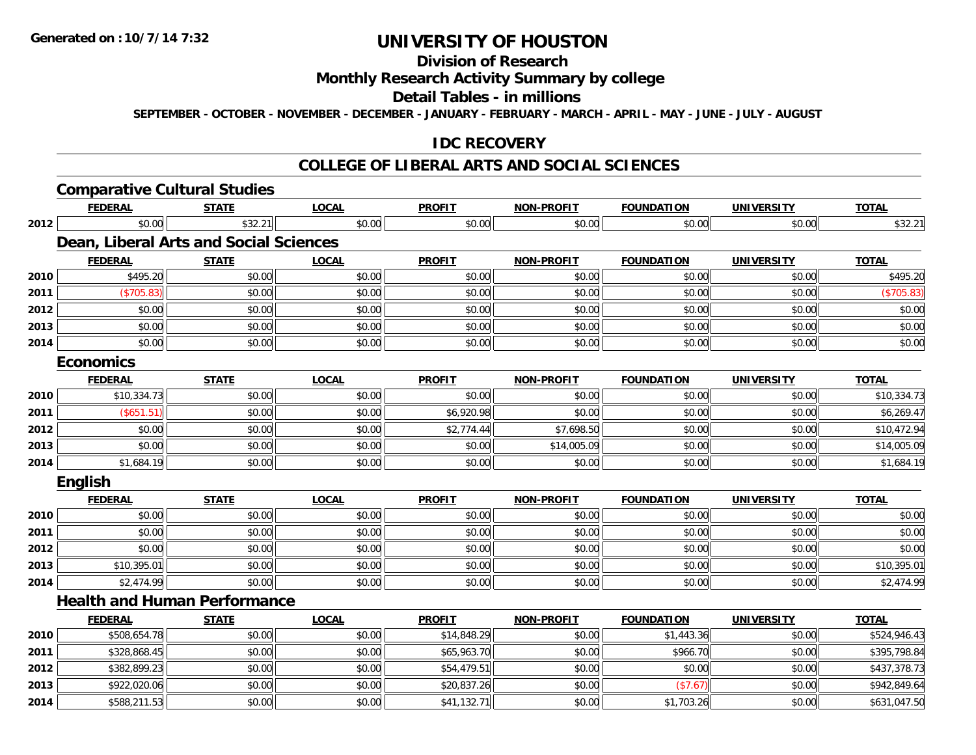**2014**

## **UNIVERSITY OF HOUSTON**

### **Division of Research**

### **Monthly Research Activity Summary by college**

#### **Detail Tables - in millions**

**SEPTEMBER - OCTOBER - NOVEMBER - DECEMBER - JANUARY - FEBRUARY - MARCH - APRIL - MAY - JUNE - JULY - AUGUST**

### **IDC RECOVERY**

#### **COLLEGE OF LIBERAL ARTS AND SOCIAL SCIENCES**

|      | <b>Comparative Cultural Studies</b>    |              |              |               |                   |                   |                   |              |
|------|----------------------------------------|--------------|--------------|---------------|-------------------|-------------------|-------------------|--------------|
|      | <b>FEDERAL</b>                         | <b>STATE</b> | <b>LOCAL</b> | <b>PROFIT</b> | <b>NON-PROFIT</b> | <b>FOUNDATION</b> | <b>UNIVERSITY</b> | <b>TOTAL</b> |
| 2012 | \$0.00                                 | \$32.21      | \$0.00       | \$0.00        | \$0.00            | \$0.00            | \$0.00            | \$32.21      |
|      | Dean, Liberal Arts and Social Sciences |              |              |               |                   |                   |                   |              |
|      | <b>FEDERAL</b>                         | <b>STATE</b> | <b>LOCAL</b> | <b>PROFIT</b> | <b>NON-PROFIT</b> | <b>FOUNDATION</b> | <b>UNIVERSITY</b> | <b>TOTAL</b> |
| 2010 | \$495.20                               | \$0.00       | \$0.00       | \$0.00        | \$0.00            | \$0.00            | \$0.00            | \$495.20     |
| 2011 | (\$705.83)                             | \$0.00       | \$0.00       | \$0.00        | \$0.00            | \$0.00            | \$0.00            | (\$705.83)   |
| 2012 | \$0.00                                 | \$0.00       | \$0.00       | \$0.00        | \$0.00            | \$0.00            | \$0.00            | \$0.00       |
| 2013 | \$0.00                                 | \$0.00       | \$0.00       | \$0.00        | \$0.00            | \$0.00            | \$0.00            | \$0.00       |
| 2014 | \$0.00                                 | \$0.00       | \$0.00       | \$0.00        | \$0.00            | \$0.00            | \$0.00            | \$0.00       |
|      | <b>Economics</b>                       |              |              |               |                   |                   |                   |              |
|      | <b>FEDERAL</b>                         | <b>STATE</b> | <b>LOCAL</b> | <b>PROFIT</b> | <b>NON-PROFIT</b> | <b>FOUNDATION</b> | <b>UNIVERSITY</b> | <b>TOTAL</b> |
| 2010 | \$10,334.73                            | \$0.00       | \$0.00       | \$0.00        | \$0.00            | \$0.00            | \$0.00            | \$10,334.73  |
| 2011 | (\$651.51)                             | \$0.00       | \$0.00       | \$6,920.98    | \$0.00            | \$0.00            | \$0.00            | \$6,269.47   |
| 2012 | \$0.00                                 | \$0.00       | \$0.00       | \$2,774.44    | \$7,698.50        | \$0.00            | \$0.00            | \$10,472.94  |
| 2013 | \$0.00                                 | \$0.00       | \$0.00       | \$0.00        | \$14,005.09       | \$0.00            | \$0.00            | \$14,005.09  |
| 2014 | \$1,684.19                             | \$0.00       | \$0.00       | \$0.00        | \$0.00            | \$0.00            | \$0.00            | \$1,684.19   |
|      | <b>English</b>                         |              |              |               |                   |                   |                   |              |
|      | <b>FEDERAL</b>                         | <b>STATE</b> | <b>LOCAL</b> | <b>PROFIT</b> | <b>NON-PROFIT</b> | <b>FOUNDATION</b> | <b>UNIVERSITY</b> | <b>TOTAL</b> |
| 2010 | \$0.00                                 | \$0.00       | \$0.00       | \$0.00        | \$0.00            | \$0.00            | \$0.00            | \$0.00       |
| 2011 | \$0.00                                 | \$0.00       | \$0.00       | \$0.00        | \$0.00            | \$0.00            | \$0.00            | \$0.00       |
| 2012 | \$0.00                                 | \$0.00       | \$0.00       | \$0.00        | \$0.00            | \$0.00            | \$0.00            | \$0.00       |
| 2013 | \$10,395.01                            | \$0.00       | \$0.00       | \$0.00        | \$0.00            | \$0.00            | \$0.00            | \$10,395.01  |
| 2014 | \$2,474.99                             | \$0.00       | \$0.00       | \$0.00        | \$0.00            | \$0.00            | \$0.00            | \$2,474.99   |
|      | <b>Health and Human Performance</b>    |              |              |               |                   |                   |                   |              |
|      | <b>FEDERAL</b>                         | <b>STATE</b> | <b>LOCAL</b> | <b>PROFIT</b> | <b>NON-PROFIT</b> | <b>FOUNDATION</b> | <b>UNIVERSITY</b> | <b>TOTAL</b> |
| 2010 | \$508,654.78                           | \$0.00       | \$0.00       | \$14,848.29   | \$0.00            | \$1,443.36        | \$0.00            | \$524,946.43 |
| 2011 | \$328,868.45                           | \$0.00       | \$0.00       | \$65,963.70   | \$0.00            | \$966.70          | \$0.00            | \$395,798.84 |
| 2012 | \$382,899.23                           | \$0.00       | \$0.00       | \$54,479.51   | \$0.00            | \$0.00            | \$0.00            | \$437,378.73 |
| 2013 | \$922,020.06                           | \$0.00       | \$0.00       | \$20,837.26   | \$0.00            | (\$7.67)          | \$0.00            | \$942,849.64 |

4 \$588,211.53 \$0.00 \$0.00 \$0.00 \$0.00 \$0.00 \$41,132.71 \$0.00 \$0.00 \$1,703.26 \$1,703.26 \$0.00 \$631,047.50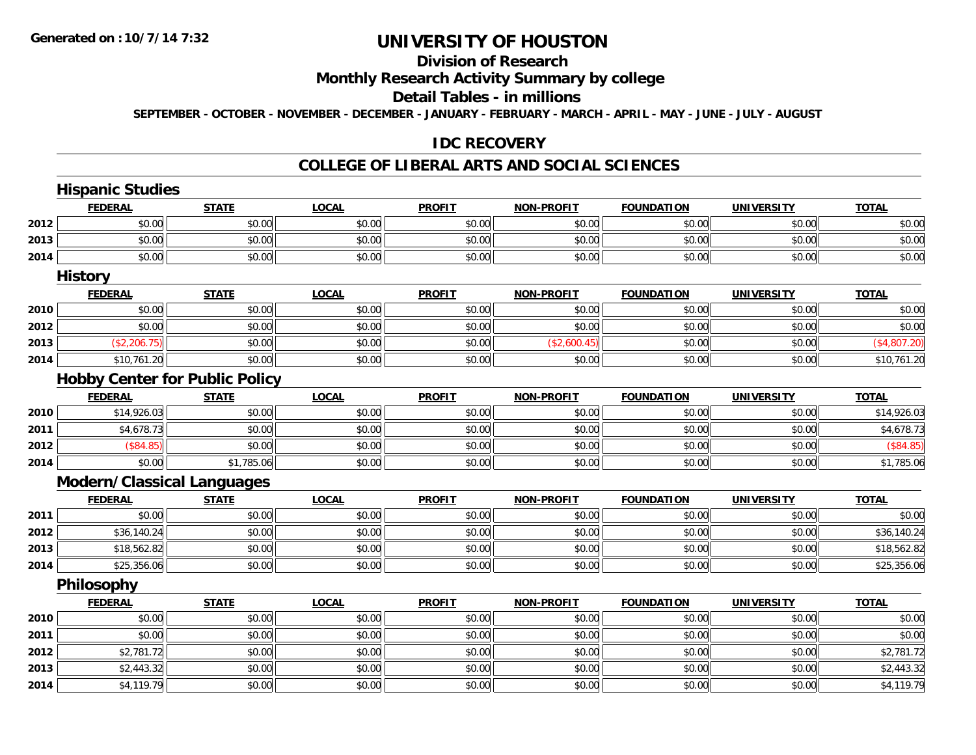#### **Division of Research**

## **Monthly Research Activity Summary by college**

#### **Detail Tables - in millions**

**SEPTEMBER - OCTOBER - NOVEMBER - DECEMBER - JANUARY - FEBRUARY - MARCH - APRIL - MAY - JUNE - JULY - AUGUST**

### **IDC RECOVERY**

#### **COLLEGE OF LIBERAL ARTS AND SOCIAL SCIENCES**

|      | <b>Hispanic Studies</b>               |              |              |               |                   |                   |                   |              |  |
|------|---------------------------------------|--------------|--------------|---------------|-------------------|-------------------|-------------------|--------------|--|
|      | <b>FEDERAL</b>                        | <b>STATE</b> | <b>LOCAL</b> | <b>PROFIT</b> | <b>NON-PROFIT</b> | <b>FOUNDATION</b> | <b>UNIVERSITY</b> | <b>TOTAL</b> |  |
| 2012 | \$0.00                                | \$0.00       | \$0.00       | \$0.00        | \$0.00            | \$0.00            | \$0.00            | \$0.00       |  |
| 2013 | \$0.00                                | \$0.00       | \$0.00       | \$0.00        | \$0.00            | \$0.00            | \$0.00            | \$0.00       |  |
| 2014 | \$0.00                                | \$0.00       | \$0.00       | \$0.00        | \$0.00            | \$0.00            | \$0.00            | \$0.00       |  |
|      | <b>History</b>                        |              |              |               |                   |                   |                   |              |  |
|      | <b>FEDERAL</b>                        | <b>STATE</b> | <b>LOCAL</b> | <b>PROFIT</b> | <b>NON-PROFIT</b> | <b>FOUNDATION</b> | <b>UNIVERSITY</b> | <b>TOTAL</b> |  |
| 2010 | \$0.00                                | \$0.00       | \$0.00       | \$0.00        | \$0.00            | \$0.00            | \$0.00            | \$0.00       |  |
| 2012 | \$0.00                                | \$0.00       | \$0.00       | \$0.00        | \$0.00            | \$0.00            | \$0.00            | \$0.00       |  |
| 2013 | (\$2,206.75)                          | \$0.00       | \$0.00       | \$0.00        | (\$2,600.45)      | \$0.00            | \$0.00            | (\$4,807.20) |  |
| 2014 | \$10,761.20                           | \$0.00       | \$0.00       | \$0.00        | \$0.00            | \$0.00            | \$0.00            | \$10,761.20  |  |
|      | <b>Hobby Center for Public Policy</b> |              |              |               |                   |                   |                   |              |  |
|      | <b>FEDERAL</b>                        | <b>STATE</b> | <b>LOCAL</b> | <b>PROFIT</b> | <b>NON-PROFIT</b> | <b>FOUNDATION</b> | <b>UNIVERSITY</b> | <b>TOTAL</b> |  |
| 2010 | \$14,926.03                           | \$0.00       | \$0.00       | \$0.00        | \$0.00            | \$0.00            | \$0.00            | \$14,926.03  |  |
| 2011 | \$4,678.73                            | \$0.00       | \$0.00       | \$0.00        | \$0.00            | \$0.00            | \$0.00            | \$4,678.73   |  |
| 2012 | (\$84.85)                             | \$0.00       | \$0.00       | \$0.00        | \$0.00            | \$0.00            | \$0.00            | (\$84.85)    |  |
| 2014 | \$0.00                                | \$1,785.06   | \$0.00       | \$0.00        | \$0.00            | \$0.00            | \$0.00            | \$1,785.06   |  |
|      | Modern/Classical Languages            |              |              |               |                   |                   |                   |              |  |
|      | <b>FEDERAL</b>                        | <b>STATE</b> | <b>LOCAL</b> | <b>PROFIT</b> | <b>NON-PROFIT</b> | <b>FOUNDATION</b> | <b>UNIVERSITY</b> | <b>TOTAL</b> |  |
| 2011 | \$0.00                                | \$0.00       | \$0.00       | \$0.00        | \$0.00            | \$0.00            | \$0.00            | \$0.00       |  |
| 2012 | \$36,140.24                           | \$0.00       | \$0.00       | \$0.00        | \$0.00            | \$0.00            | \$0.00            | \$36,140.24  |  |
| 2013 | \$18,562.82                           | \$0.00       | \$0.00       | \$0.00        | \$0.00            | \$0.00            | \$0.00            | \$18,562.82  |  |
| 2014 | \$25,356.06                           | \$0.00       | \$0.00       | \$0.00        | \$0.00            | \$0.00            | \$0.00            | \$25,356.06  |  |
|      | Philosophy                            |              |              |               |                   |                   |                   |              |  |
|      | <b>FEDERAL</b>                        | <b>STATE</b> | <b>LOCAL</b> | <b>PROFIT</b> | <b>NON-PROFIT</b> | <b>FOUNDATION</b> | <b>UNIVERSITY</b> | <b>TOTAL</b> |  |
| 2010 | \$0.00                                | \$0.00       | \$0.00       | \$0.00        | \$0.00            | \$0.00            | \$0.00            | \$0.00       |  |
| 2011 | \$0.00                                | \$0.00       | \$0.00       | \$0.00        | \$0.00            | \$0.00            | \$0.00            | \$0.00       |  |
| 2012 | \$2,781.72                            | \$0.00       | \$0.00       | \$0.00        | \$0.00            | \$0.00            | \$0.00            | \$2,781.72   |  |
| 2013 | \$2,443.32                            | \$0.00       | \$0.00       | \$0.00        | \$0.00            | \$0.00            | \$0.00            | \$2,443.32   |  |
| 2014 | \$4,119.79                            | \$0.00       | \$0.00       | \$0.00        | \$0.00            | \$0.00            | \$0.00            | \$4,119.79   |  |
|      |                                       |              |              |               |                   |                   |                   |              |  |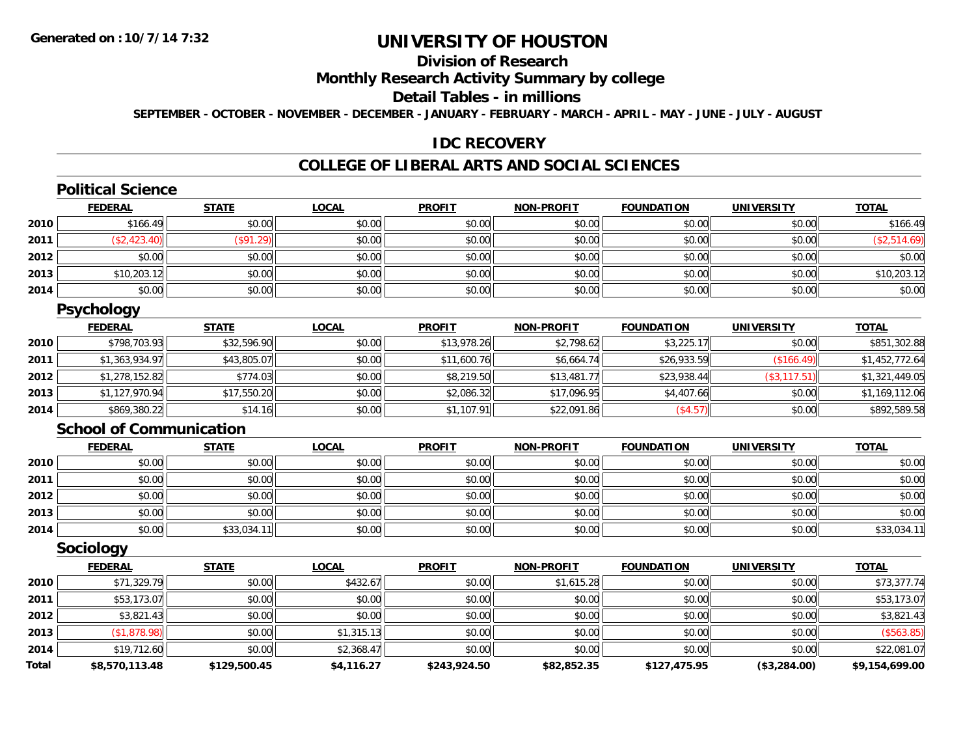### **Division of Research**

### **Monthly Research Activity Summary by college**

### **Detail Tables - in millions**

**SEPTEMBER - OCTOBER - NOVEMBER - DECEMBER - JANUARY - FEBRUARY - MARCH - APRIL - MAY - JUNE - JULY - AUGUST**

### **IDC RECOVERY**

#### **COLLEGE OF LIBERAL ARTS AND SOCIAL SCIENCES**

## **Political Science**

|      | <b>FEDERAL</b> | <b>STATE</b>     | <u>LOCAL</u> | <b>PROFIT</b> | <b>NON-PROFIT</b> | <b>FOUNDATION</b> | <b>UNIVERSITY</b> | <b>TOTAL</b> |
|------|----------------|------------------|--------------|---------------|-------------------|-------------------|-------------------|--------------|
| 2010 | \$166.49       | \$0.00           | \$0.00       | \$0.00        | \$0.00            | \$0.00            | \$0.00            | \$166.49     |
| 2011 | \$2,423.40     | $($ \$91.29) $ $ | \$0.00       | \$0.00        | \$0.00            | \$0.00            | \$0.00            | \$2,514.69   |
| 2012 | \$0.00         | \$0.00           | \$0.00       | \$0.00        | \$0.00            | \$0.00            | \$0.00            | \$0.00       |
| 2013 | \$10,203.12    | \$0.00           | \$0.00       | \$0.00        | \$0.00            | \$0.00            | \$0.00            | \$10,203.12  |
| 2014 | \$0.00         | \$0.00           | \$0.00       | \$0.00        | \$0.00            | \$0.00            | \$0.00            | \$0.00       |

### **Psychology**

|      | <b>FEDERAL</b> | <u>STATE</u> | <b>LOCAL</b> | <b>PROFIT</b> | <b>NON-PROFIT</b> | <b>FOUNDATION</b> | <b>UNIVERSITY</b> | <b>TOTAL</b>   |
|------|----------------|--------------|--------------|---------------|-------------------|-------------------|-------------------|----------------|
| 2010 | \$798,703.93   | \$32,596.90  | \$0.00       | \$13,978.26   | \$2,798.62        | \$3,225.17        | \$0.00            | \$851,302.88   |
| 2011 | \$1,363,934.97 | \$43,805.07  | \$0.00       | \$11,600.76   | \$6,664.74        | \$26,933.59       | (\$166.49)        | \$1,452,772.64 |
| 2012 | \$1,278,152.82 | \$774.03     | \$0.00       | \$8,219.50    | \$13,481.77       | \$23,938.44       | (\$3,117.51)      | \$1,321,449.05 |
| 2013 | \$1,127,970.94 | \$17,550.20  | \$0.00       | \$2,086.32    | \$17,096.95       | \$4,407.66        | \$0.00            | \$1,169,112.06 |
| 2014 | \$869,380.22   | \$14.16      | \$0.00       | \$1,107.91    | \$22,091.86       | (\$4.57)          | \$0.00            | \$892,589.58   |

#### **School of Communication**

|      | <b>FEDERAL</b> | <b>STATE</b> | <b>LOCAL</b> | <b>PROFIT</b> | <b>NON-PROFIT</b> | <b>FOUNDATION</b> | <b>UNIVERSITY</b> | <b>TOTAL</b> |
|------|----------------|--------------|--------------|---------------|-------------------|-------------------|-------------------|--------------|
| 2010 | \$0.00         | \$0.00       | \$0.00       | \$0.00        | \$0.00            | \$0.00            | \$0.00            | \$0.00       |
| 2011 | \$0.00         | \$0.00       | \$0.00       | \$0.00        | \$0.00            | \$0.00            | \$0.00            | \$0.00       |
| 2012 | \$0.00         | \$0.00       | \$0.00       | \$0.00        | \$0.00            | \$0.00            | \$0.00            | \$0.00       |
| 2013 | \$0.00         | \$0.00       | \$0.00       | \$0.00        | \$0.00            | \$0.00            | \$0.00            | \$0.00       |
| 2014 | \$0.00         | \$33,034.1   | \$0.00       | \$0.00        | \$0.00            | \$0.00            | \$0.00            | \$33,034.1   |

#### **Sociology**

|              | <b>FEDERAL</b> | <b>STATE</b> | <b>LOCAL</b> | <b>PROFIT</b> | <b>NON-PROFIT</b> | <b>FOUNDATION</b> | <b>UNIVERSITY</b> | <b>TOTAL</b>   |
|--------------|----------------|--------------|--------------|---------------|-------------------|-------------------|-------------------|----------------|
| 2010         | \$71,329.79    | \$0.00       | \$432.67     | \$0.00        | \$1,615.28        | \$0.00            | \$0.00            | \$73,377.74    |
| 2011         | \$53,173.07    | \$0.00       | \$0.00       | \$0.00        | \$0.00            | \$0.00            | \$0.00            | \$53,173.07    |
| 2012         | \$3,821.43     | \$0.00       | \$0.00       | \$0.00        | \$0.00            | \$0.00            | \$0.00            | \$3,821.43     |
| 2013         | \$1,878.98     | \$0.00       | \$1,315.13   | \$0.00        | \$0.00            | \$0.00            | \$0.00            | (\$563.85)     |
| 2014         | \$19,712.60    | \$0.00       | \$2,368.47   | \$0.00        | \$0.00            | \$0.00            | \$0.00            | \$22,081.07    |
| <b>Total</b> | \$8,570,113.48 | \$129,500.45 | \$4,116.27   | \$243,924.50  | \$82,852.35       | \$127,475.95      | (\$3,284.00)      | \$9,154,699.00 |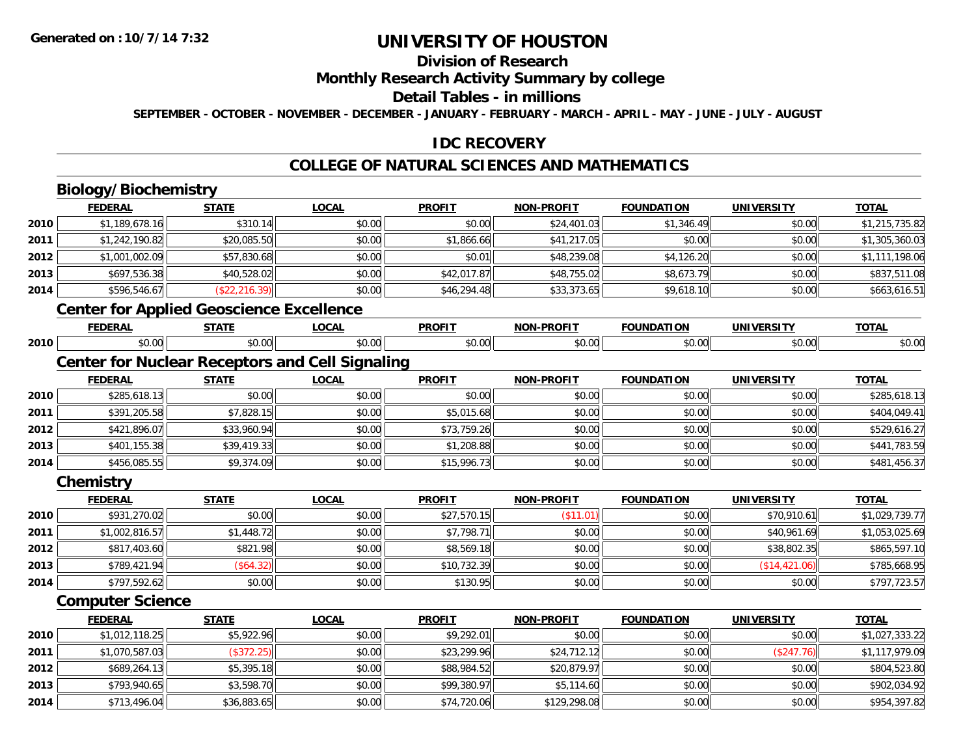### **Division of Research**

### **Monthly Research Activity Summary by college**

#### **Detail Tables - in millions**

**SEPTEMBER - OCTOBER - NOVEMBER - DECEMBER - JANUARY - FEBRUARY - MARCH - APRIL - MAY - JUNE - JULY - AUGUST**

### **IDC RECOVERY**

### **COLLEGE OF NATURAL SCIENCES AND MATHEMATICS**

## **Biology/Biochemistry**

**2014**

|      | <b>FEDERAL</b>          | <b>STATE</b>                                           | <b>LOCAL</b> | <b>PROFIT</b> | <b>NON-PROFIT</b> | <b>FOUNDATION</b> | <b>UNIVERSITY</b> | <b>TOTAL</b>   |
|------|-------------------------|--------------------------------------------------------|--------------|---------------|-------------------|-------------------|-------------------|----------------|
| 2010 | \$1,189,678.16          | \$310.14                                               | \$0.00       | \$0.00        | \$24,401.03       | \$1,346.49        | \$0.00            | \$1,215,735.82 |
| 2011 | \$1,242,190.82          | \$20,085.50                                            | \$0.00       | \$1,866.66    | \$41,217.05       | \$0.00            | \$0.00            | \$1,305,360.03 |
| 2012 | \$1,001,002.09          | \$57,830.68                                            | \$0.00       | \$0.01        | \$48,239.08       | \$4,126.20        | \$0.00            | \$1,111,198.06 |
| 2013 | \$697,536.38            | \$40,528.02                                            | \$0.00       | \$42,017.87   | \$48,755.02       | \$8,673.79        | \$0.00            | \$837,511.08   |
| 2014 | \$596,546.67            | (\$22, 216.39)                                         | \$0.00       | \$46,294.48   | \$33,373.65       | \$9,618.10        | \$0.00            | \$663,616.51   |
|      |                         | <b>Center for Applied Geoscience Excellence</b>        |              |               |                   |                   |                   |                |
|      | <b>FEDERAL</b>          | <b>STATE</b>                                           | <b>LOCAL</b> | <b>PROFIT</b> | <b>NON-PROFIT</b> | <b>FOUNDATION</b> | <b>UNIVERSITY</b> | <b>TOTAL</b>   |
| 2010 | \$0.00                  | \$0.00                                                 | \$0.00       | \$0.00        | \$0.00            | \$0.00            | \$0.00            | \$0.00         |
|      |                         | <b>Center for Nuclear Receptors and Cell Signaling</b> |              |               |                   |                   |                   |                |
|      | <b>FEDERAL</b>          | <b>STATE</b>                                           | <b>LOCAL</b> | <b>PROFIT</b> | <b>NON-PROFIT</b> | <b>FOUNDATION</b> | <b>UNIVERSITY</b> | <b>TOTAL</b>   |
| 2010 | \$285,618.13            | \$0.00                                                 | \$0.00       | \$0.00        | \$0.00            | \$0.00            | \$0.00            | \$285,618.13   |
| 2011 | \$391,205.58            | \$7,828.15                                             | \$0.00       | \$5,015.68    | \$0.00            | \$0.00            | \$0.00            | \$404,049.41   |
| 2012 | \$421,896.07            | \$33,960.94                                            | \$0.00       | \$73,759.26   | \$0.00            | \$0.00            | \$0.00            | \$529,616.27   |
| 2013 | \$401,155.38            | \$39,419.33                                            | \$0.00       | \$1,208.88    | \$0.00            | \$0.00            | \$0.00            | \$441,783.59   |
| 2014 | \$456,085.55            | \$9,374.09                                             | \$0.00       | \$15,996.73   | \$0.00            | \$0.00            | \$0.00            | \$481,456.37   |
|      | Chemistry               |                                                        |              |               |                   |                   |                   |                |
|      | <b>FEDERAL</b>          | <b>STATE</b>                                           | <b>LOCAL</b> | <b>PROFIT</b> | <b>NON-PROFIT</b> | <b>FOUNDATION</b> | <b>UNIVERSITY</b> | <b>TOTAL</b>   |
| 2010 | \$931,270.02            | \$0.00                                                 | \$0.00       | \$27,570.15   | (\$11.01)         | \$0.00            | \$70,910.61       | \$1,029,739.77 |
| 2011 | \$1,002,816.57          | \$1,448.72                                             | \$0.00       | \$7,798.71    | \$0.00            | \$0.00            | \$40,961.69       | \$1,053,025.69 |
| 2012 | \$817,403.60            | \$821.98                                               | \$0.00       | \$8,569.18    | \$0.00            | \$0.00            | \$38,802.35       | \$865,597.10   |
| 2013 | \$789,421.94            | (\$64.32)                                              | \$0.00       | \$10,732.39   | \$0.00            | \$0.00            | (\$14,421.06)     | \$785,668.95   |
| 2014 | \$797,592.62            | \$0.00                                                 | \$0.00       | \$130.95      | \$0.00            | \$0.00            | \$0.00            | \$797,723.57   |
|      | <b>Computer Science</b> |                                                        |              |               |                   |                   |                   |                |
|      | <b>FEDERAL</b>          | <b>STATE</b>                                           | <b>LOCAL</b> | <b>PROFIT</b> | <b>NON-PROFIT</b> | <b>FOUNDATION</b> | <b>UNIVERSITY</b> | <b>TOTAL</b>   |
| 2010 | \$1,012,118.25          | \$5,922.96                                             | \$0.00       | \$9,292.01    | \$0.00            | \$0.00            | \$0.00            | \$1,027,333.22 |
| 2011 | \$1,070,587.03          | (\$372.25)                                             | \$0.00       | \$23,299.96   | \$24,712.12       | \$0.00            | (\$247.76)        | \$1,117,979.09 |
| 2012 | \$689,264.13            | \$5,395.18                                             | \$0.00       | \$88,984.52   | \$20,879.97       | \$0.00            | \$0.00            | \$804,523.80   |
| 2013 | \$793,940.65            | \$3,598.70                                             | \$0.00       | \$99,380.97   | \$5,114.60        | \$0.00            | \$0.00            | \$902,034.92   |

4 \$713,496.04|| \$36,883.65|| \$0.00|| \$74,720.06|| \$129,298.08|| \$0.00|| \$0.00|| \$0.00|| \$954,397.82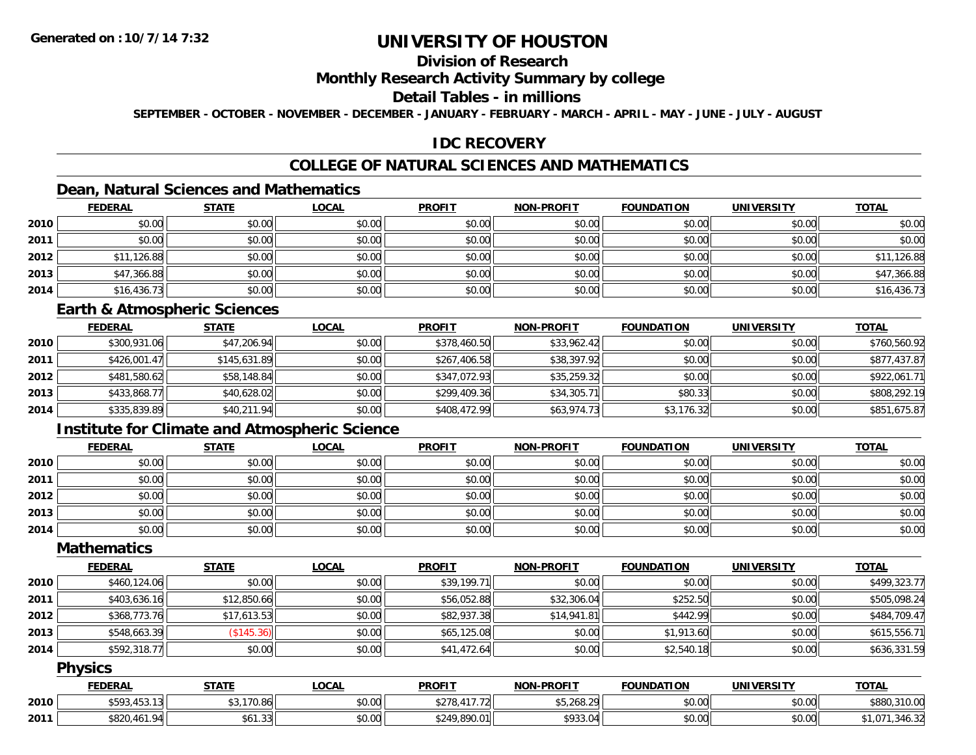### **Division of Research**

### **Monthly Research Activity Summary by college**

### **Detail Tables - in millions**

**SEPTEMBER - OCTOBER - NOVEMBER - DECEMBER - JANUARY - FEBRUARY - MARCH - APRIL - MAY - JUNE - JULY - AUGUST**

### **IDC RECOVERY**

### **COLLEGE OF NATURAL SCIENCES AND MATHEMATICS**

### **Dean, Natural Sciences and Mathematics**

|      | <b>FEDERAL</b> | <b>STATE</b> | <u>LOCAL</u> | <b>PROFIT</b> | <b>NON-PROFIT</b> | <b>FOUNDATION</b> | <b>UNIVERSITY</b> | <b>TOTAL</b> |
|------|----------------|--------------|--------------|---------------|-------------------|-------------------|-------------------|--------------|
| 2010 | \$0.00         | \$0.00       | \$0.00       | \$0.00        | \$0.00            | \$0.00            | \$0.00            | \$0.00       |
| 2011 | \$0.00         | \$0.00       | \$0.00       | \$0.00        | \$0.00            | \$0.00            | \$0.00            | \$0.00       |
| 2012 | \$11,126.88    | \$0.00       | \$0.00       | \$0.00        | \$0.00            | \$0.00            | \$0.00            | \$11,126.88  |
| 2013 | \$47,366.88    | \$0.00       | \$0.00       | \$0.00        | \$0.00            | \$0.00            | \$0.00            | \$47,366.88  |
| 2014 | \$16,436.73    | \$0.00       | \$0.00       | \$0.00        | \$0.00            | \$0.00            | \$0.00            | \$16,436.73  |

#### **Earth & Atmospheric Sciences**

|      | <b>FEDERAL</b> | <u>STATE</u> | <b>LOCAL</b> | <b>PROFIT</b> | <b>NON-PROFIT</b> | <b>FOUNDATION</b> | <b>UNIVERSITY</b> | <u>TOTAL</u> |
|------|----------------|--------------|--------------|---------------|-------------------|-------------------|-------------------|--------------|
| 2010 | \$300,931.06   | \$47,206.94  | \$0.00       | \$378,460.50  | \$33,962.42       | \$0.00            | \$0.00            | \$760,560.92 |
| 2011 | \$426,001.47   | \$145,631.89 | \$0.00       | \$267,406.58  | \$38,397.92       | \$0.00            | \$0.00            | \$877,437.87 |
| 2012 | \$481,580.62   | \$58,148.84  | \$0.00       | \$347,072.93  | \$35,259.32       | \$0.00            | \$0.00            | \$922,061.71 |
| 2013 | \$433,868.77   | \$40,628.02  | \$0.00       | \$299,409.36  | \$34,305.71       | \$80.33           | \$0.00            | \$808,292.19 |
| 2014 | \$335,839.89   | \$40,211.94  | \$0.00       | \$408,472.99  | \$63,974.73       | \$3,176.32        | \$0.00            | \$851,675.87 |

### **Institute for Climate and Atmospheric Science**

|      | <b>FEDERAL</b> | <b>STATE</b> | <u>LOCAL</u> | <b>PROFIT</b> | <b>NON-PROFIT</b> | <b>FOUNDATION</b> | <b>UNIVERSITY</b> | <b>TOTAL</b> |
|------|----------------|--------------|--------------|---------------|-------------------|-------------------|-------------------|--------------|
| 2010 | \$0.00         | \$0.00       | \$0.00       | \$0.00        | \$0.00            | \$0.00            | \$0.00            | \$0.00       |
| 2011 | \$0.00         | \$0.00       | \$0.00       | \$0.00        | \$0.00            | \$0.00            | \$0.00            | \$0.00       |
| 2012 | \$0.00         | \$0.00       | \$0.00       | \$0.00        | \$0.00            | \$0.00            | \$0.00            | \$0.00       |
| 2013 | \$0.00         | \$0.00       | \$0.00       | \$0.00        | \$0.00            | \$0.00            | \$0.00            | \$0.00       |
| 2014 | \$0.00         | \$0.00       | \$0.00       | \$0.00        | \$0.00            | \$0.00            | \$0.00            | \$0.00       |

### **Mathematics**

|      | <b>FEDERAL</b> | <b>STATE</b> | <u>LOCAL</u> | <b>PROFIT</b> | <b>NON-PROFIT</b> | <b>FOUNDATION</b> | <b>UNIVERSITY</b> | <b>TOTAL</b> |
|------|----------------|--------------|--------------|---------------|-------------------|-------------------|-------------------|--------------|
| 2010 | \$460,124.06   | \$0.00       | \$0.00       | \$39,199.71   | \$0.00            | \$0.00            | \$0.00            | \$499,323.77 |
| 2011 | \$403,636.16   | \$12,850.66  | \$0.00       | \$56,052.88   | \$32,306.04       | \$252.50          | \$0.00            | \$505,098.24 |
| 2012 | \$368,773.76   | \$17,613.53  | \$0.00       | \$82,937.38   | \$14,941.81       | \$442.99          | \$0.00            | \$484,709.47 |
| 2013 | \$548,663.39   | (\$145.36)   | \$0.00       | \$65,125.08   | \$0.00            | \$1,913.60        | \$0.00            | \$615,556.71 |
| 2014 | \$592,318.77   | \$0.00       | \$0.00       | \$41,472.64   | \$0.00            | \$2,540.18        | \$0.00            | \$636,331.59 |

#### **Physics**

|      | <u>FEDERAL</u>                             | STATE              | LOCAI  | <b>PROFIT</b>               | <b>NON-PROFIT</b> | <b>FOUNDATION</b> | <b>UNIVERSITY</b> | <b>TOTAL</b>       |
|------|--------------------------------------------|--------------------|--------|-----------------------------|-------------------|-------------------|-------------------|--------------------|
| 2010 | TEO 2 15 2 1 2    <br>3.75                 | 3.170.86           | \$0.00 | 1177<br>$A^{\sim}$<br>17.72 | \$5,268.29        | \$0.00            | \$0.00            | \$880,310.00       |
| 2011 | <b>4820 461 04</b><br>$"1.401.7$ .<br>0OZU | 0.1101<br>\$61.331 | \$0.00 | \$249,890.01                | \$933.04          | \$0.00            | \$0.00            | 340.32.<br>. . U / |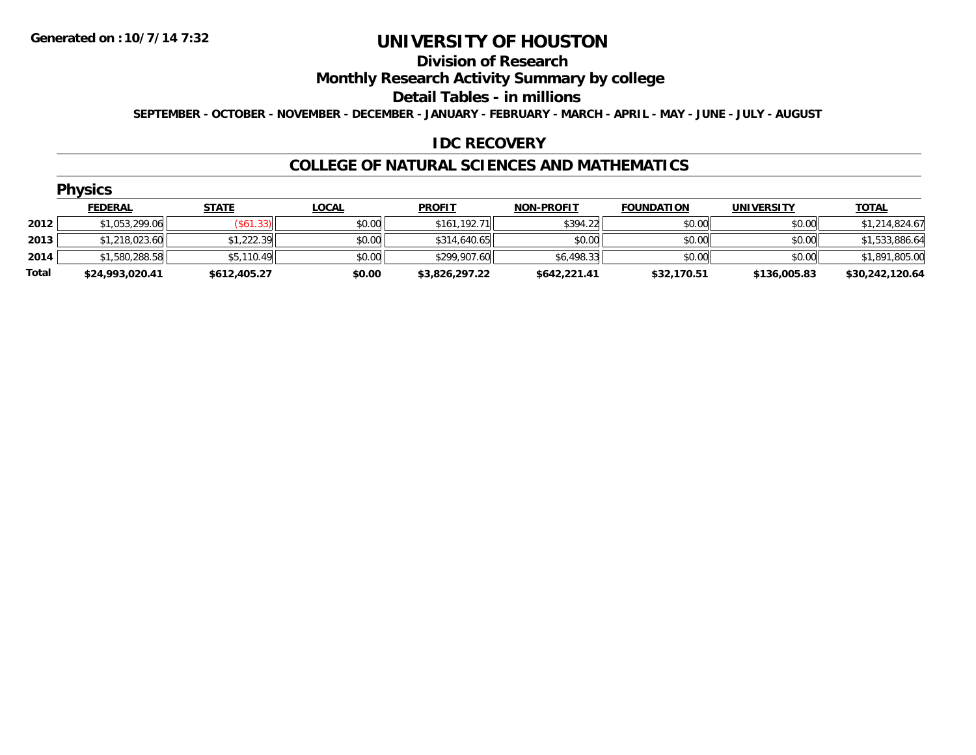#### **Division of Research**

### **Monthly Research Activity Summary by college**

#### **Detail Tables - in millions**

**SEPTEMBER - OCTOBER - NOVEMBER - DECEMBER - JANUARY - FEBRUARY - MARCH - APRIL - MAY - JUNE - JULY - AUGUST**

### **IDC RECOVERY**

#### **COLLEGE OF NATURAL SCIENCES AND MATHEMATICS**

| <b>FEDERAL</b>  | <b>STATE</b>   | <b>LOCAL</b>                                       | <b>PROFIT</b>                                | <b>NON-PROFIT</b> | <b>FOUNDATION</b> | <b>UNIVERSITY</b> | <u>TOTAL</u>    |
|-----------------|----------------|----------------------------------------------------|----------------------------------------------|-------------------|-------------------|-------------------|-----------------|
|                 |                | \$0.00                                             | \$161,192.71                                 | \$394.22          | \$0.00            | \$0.00            | \$1,214,824.67  |
|                 |                | \$0.00                                             | \$314,640.65                                 | \$0.00            | \$0.00            | \$0.00            | \$1,533,886.64  |
|                 |                | \$0.00                                             | \$299,907.60                                 | \$6,498.33        | \$0.00            | \$0.00            | \$1,891,805.00  |
| \$24,993,020.41 | \$612,405.27   | \$0.00                                             | \$3,826,297.22                               | \$642,221.41      | \$32,170.51       | \$136,005.83      | \$30,242,120.64 |
|                 | <b>Physics</b> | \$1,053,299.06<br>\$1,218,023.60<br>\$1,580,288.58 | $($ \$61.33) $ $<br>\$1,222.39<br>\$5,110.49 |                   |                   |                   |                 |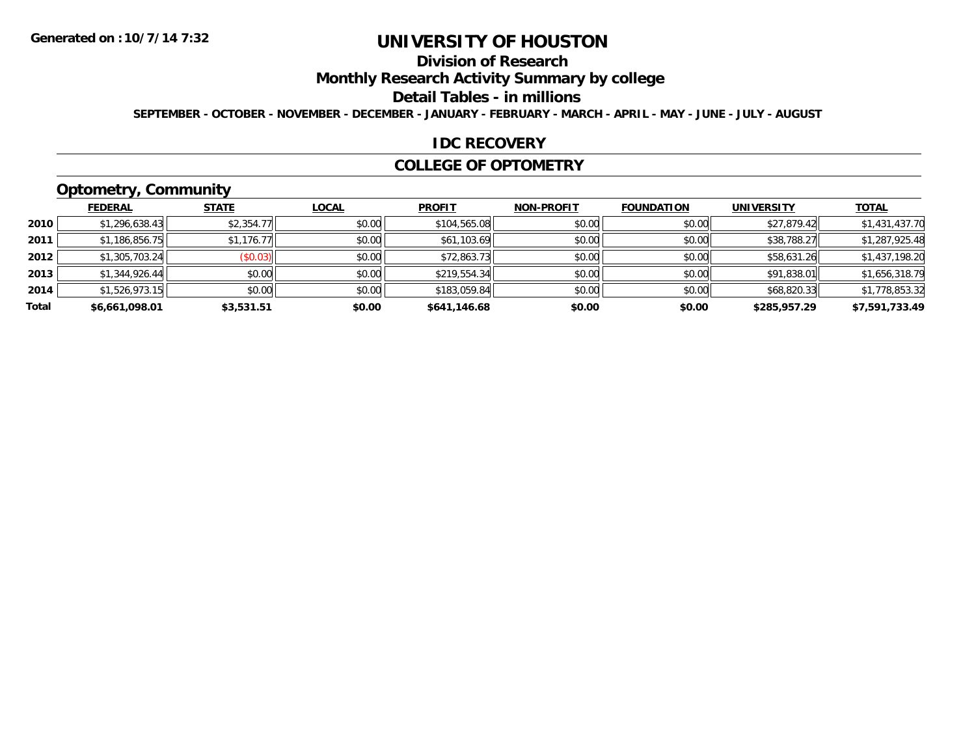### **Division of Research**

### **Monthly Research Activity Summary by college**

#### **Detail Tables - in millions**

**SEPTEMBER - OCTOBER - NOVEMBER - DECEMBER - JANUARY - FEBRUARY - MARCH - APRIL - MAY - JUNE - JULY - AUGUST**

#### **IDC RECOVERY**

#### **COLLEGE OF OPTOMETRY**

### **Optometry, Community**

|       | .              |              |              |               |                   |                   |                   |                |
|-------|----------------|--------------|--------------|---------------|-------------------|-------------------|-------------------|----------------|
|       | <b>FEDERAL</b> | <b>STATE</b> | <b>LOCAL</b> | <b>PROFIT</b> | <b>NON-PROFIT</b> | <b>FOUNDATION</b> | <b>UNIVERSITY</b> | <b>TOTAL</b>   |
| 2010  | \$1,296,638.43 | \$2,354.77   | \$0.00       | \$104,565.08  | \$0.00            | \$0.00            | \$27,879.42       | \$1,431,437.70 |
| 2011  | \$1,186,856.75 | \$1,176.77   | \$0.00       | \$61,103.69   | \$0.00            | \$0.00            | \$38,788.27       | \$1,287,925.48 |
| 2012  | \$1,305,703.24 | (\$0.03)     | \$0.00       | \$72,863.73   | \$0.00            | \$0.00            | \$58,631.26       | \$1,437,198.20 |
| 2013  | \$1,344,926.44 | \$0.00       | \$0.00       | \$219,554.34  | \$0.00            | \$0.00            | \$91,838.01       | \$1,656,318.79 |
| 2014  | \$1,526,973.15 | \$0.00       | \$0.00       | \$183,059.84  | \$0.00            | \$0.00            | \$68,820.33       | \$1,778,853.32 |
| Total | \$6,661,098.01 | \$3,531.51   | \$0.00       | \$641,146.68  | \$0.00            | \$0.00            | \$285,957.29      | \$7,591,733.49 |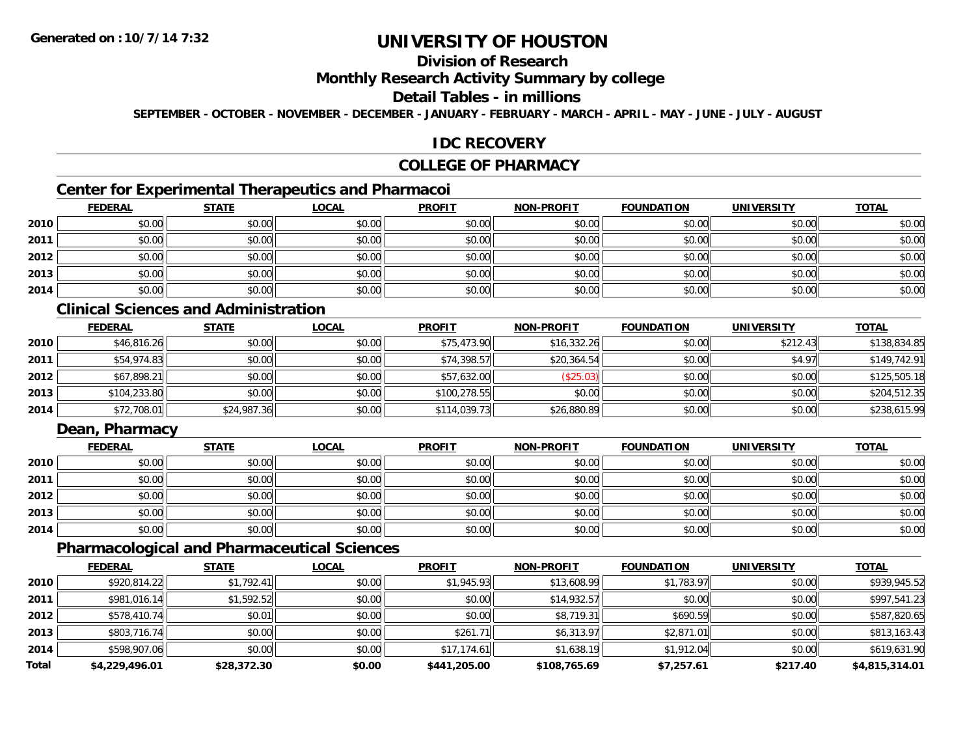### **Division of Research**

### **Monthly Research Activity Summary by college**

### **Detail Tables - in millions**

**SEPTEMBER - OCTOBER - NOVEMBER - DECEMBER - JANUARY - FEBRUARY - MARCH - APRIL - MAY - JUNE - JULY - AUGUST**

### **IDC RECOVERY**

### **COLLEGE OF PHARMACY**

### **Center for Experimental Therapeutics and Pharmacoi**

|      | <b>FEDERAL</b> | <b>STATE</b> | <b>LOCAL</b> | <b>PROFIT</b> | <b>NON-PROFIT</b> | <b>FOUNDATION</b> | <b>UNIVERSITY</b> | <b>TOTAL</b> |
|------|----------------|--------------|--------------|---------------|-------------------|-------------------|-------------------|--------------|
| 2010 | \$0.00         | \$0.00       | \$0.00       | \$0.00        | \$0.00            | \$0.00            | \$0.00            | \$0.00       |
| 2011 | \$0.00         | \$0.00       | \$0.00       | \$0.00        | \$0.00            | \$0.00            | \$0.00            | \$0.00       |
| 2012 | \$0.00         | \$0.00       | \$0.00       | \$0.00        | \$0.00            | \$0.00            | \$0.00            | \$0.00       |
| 2013 | \$0.00         | \$0.00       | \$0.00       | \$0.00        | \$0.00            | \$0.00            | \$0.00            | \$0.00       |
| 2014 | \$0.00         | \$0.00       | \$0.00       | \$0.00        | \$0.00            | \$0.00            | \$0.00            | \$0.00       |

### **Clinical Sciences and Administration**

|      | <b>FEDERAL</b> | <b>STATE</b> | <b>LOCAL</b> | <b>PROFIT</b> | <b>NON-PROFIT</b> | <b>FOUNDATION</b> | <b>UNIVERSITY</b> | <b>TOTAL</b> |
|------|----------------|--------------|--------------|---------------|-------------------|-------------------|-------------------|--------------|
| 2010 | \$46,816.26    | \$0.00       | \$0.00       | \$75,473.90   | \$16,332.26       | \$0.00            | \$212.43          | \$138,834.85 |
| 2011 | \$54,974.83    | \$0.00       | \$0.00       | \$74,398.57   | \$20,364.54       | \$0.00            | \$4.97            | \$149,742.91 |
| 2012 | \$67,898.21    | \$0.00       | \$0.00       | \$57,632.00   | (\$25.03)         | \$0.00            | \$0.00            | \$125,505.18 |
| 2013 | \$104,233.80   | \$0.00       | \$0.00       | \$100,278.55  | \$0.00            | \$0.00            | \$0.00            | \$204,512.35 |
| 2014 | \$72,708.01    | \$24,987.36  | \$0.00       | \$114,039.73  | \$26,880.89       | \$0.00            | \$0.00            | \$238,615.99 |

### **Dean, Pharmacy**

|      | <b>FEDERAL</b> | <b>STATE</b> | <u>LOCAL</u> | <b>PROFIT</b> | <b>NON-PROFIT</b> | <b>FOUNDATION</b> | <b>UNIVERSITY</b> | <b>TOTAL</b> |
|------|----------------|--------------|--------------|---------------|-------------------|-------------------|-------------------|--------------|
| 2010 | \$0.00         | \$0.00       | \$0.00       | \$0.00        | \$0.00            | \$0.00            | \$0.00            | \$0.00       |
| 2011 | \$0.00         | \$0.00       | \$0.00       | \$0.00        | \$0.00            | \$0.00            | \$0.00            | \$0.00       |
| 2012 | \$0.00         | \$0.00       | \$0.00       | \$0.00        | \$0.00            | \$0.00            | \$0.00            | \$0.00       |
| 2013 | \$0.00         | \$0.00       | \$0.00       | \$0.00        | \$0.00            | \$0.00            | \$0.00            | \$0.00       |
| 2014 | \$0.00         | \$0.00       | \$0.00       | \$0.00        | \$0.00            | \$0.00            | \$0.00            | \$0.00       |

### **Pharmacological and Pharmaceutical Sciences**

|              | <b>FEDERAL</b> | <b>STATE</b> | <u>LOCAL</u> | <b>PROFIT</b> | <b>NON-PROFIT</b> | <b>FOUNDATION</b> | <b>UNIVERSITY</b> | <b>TOTAL</b>   |
|--------------|----------------|--------------|--------------|---------------|-------------------|-------------------|-------------------|----------------|
| 2010         | \$920,814.22   | \$1,792.41   | \$0.00       | \$1,945.93    | \$13,608.99       | \$1,783.97        | \$0.00            | \$939,945.52   |
| 2011         | \$981,016.14   | \$1,592.52   | \$0.00       | \$0.00        | \$14,932.57       | \$0.00            | \$0.00            | \$997,541.23   |
| 2012         | \$578,410.74   | \$0.01       | \$0.00       | \$0.00        | \$8,719.31        | \$690.59          | \$0.00            | \$587,820.65   |
| 2013         | \$803,716.74   | \$0.00       | \$0.00       | \$261.71      | \$6,313.97        | \$2,871.01        | \$0.00            | \$813,163.43   |
| 2014         | \$598,907.06   | \$0.00       | \$0.00       | \$17,174.61   | \$1,638.19        | \$1,912.04        | \$0.00            | \$619,631.90   |
| <b>Total</b> | \$4,229,496.01 | \$28,372.30  | \$0.00       | \$441,205.00  | \$108,765.69      | \$7,257.61        | \$217.40          | \$4,815,314.01 |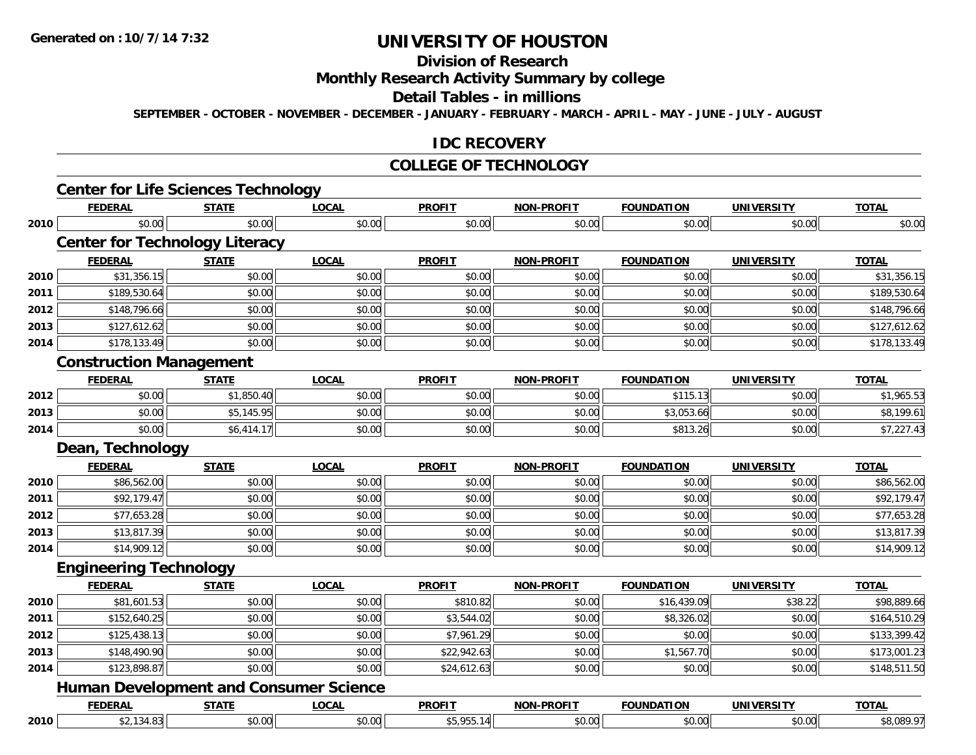### **Division of Research**

### **Monthly Research Activity Summary by college**

#### **Detail Tables - in millions**

**SEPTEMBER - OCTOBER - NOVEMBER - DECEMBER - JANUARY - FEBRUARY - MARCH - APRIL - MAY - JUNE - JULY - AUGUST**

### **IDC RECOVERY**

#### **COLLEGE OF TECHNOLOGY**

|      | <b>FEDERAL</b>                                | <b>STATE</b> | <b>LOCAL</b> | <b>PROFIT</b> | NON-PROFIT        | <b>FOUNDATION</b> | <b>UNIVERSITY</b> | <b>TOTAL</b> |
|------|-----------------------------------------------|--------------|--------------|---------------|-------------------|-------------------|-------------------|--------------|
| 2010 | \$0.00                                        | \$0.00       | \$0.00       | \$0.00        | \$0.00            | \$0.00            | \$0.00            | \$0.00       |
|      | <b>Center for Technology Literacy</b>         |              |              |               |                   |                   |                   |              |
|      | <b>FEDERAL</b>                                | <b>STATE</b> | <b>LOCAL</b> | <b>PROFIT</b> | <b>NON-PROFIT</b> | <b>FOUNDATION</b> | <b>UNIVERSITY</b> | <b>TOTAL</b> |
| 2010 | \$31,356.15                                   | \$0.00       | \$0.00       | \$0.00        | \$0.00            | \$0.00            | \$0.00            | \$31,356.15  |
| 2011 | \$189,530.64                                  | \$0.00       | \$0.00       | \$0.00        | \$0.00            | \$0.00            | \$0.00            | \$189,530.64 |
| 2012 | \$148,796.66                                  | \$0.00       | \$0.00       | \$0.00        | \$0.00            | \$0.00            | \$0.00            | \$148,796.66 |
| 2013 | \$127,612.62                                  | \$0.00       | \$0.00       | \$0.00        | \$0.00            | \$0.00            | \$0.00            | \$127,612.62 |
| 2014 | \$178,133.49                                  | \$0.00       | \$0.00       | \$0.00        | \$0.00            | \$0.00            | \$0.00            | \$178,133.49 |
|      | <b>Construction Management</b>                |              |              |               |                   |                   |                   |              |
|      | <b>FEDERAL</b>                                | <b>STATE</b> | <b>LOCAL</b> | <b>PROFIT</b> | <b>NON-PROFIT</b> | <b>FOUNDATION</b> | <b>UNIVERSITY</b> | <b>TOTAL</b> |
| 2012 | \$0.00                                        | \$1,850.40   | \$0.00       | \$0.00        | \$0.00            | \$115.13          | \$0.00            | \$1,965.53   |
| 2013 | \$0.00                                        | \$5,145.95   | \$0.00       | \$0.00        | \$0.00            | \$3,053.66        | \$0.00            | \$8,199.61   |
| 2014 | \$0.00                                        | \$6,414.17   | \$0.00       | \$0.00        | \$0.00            | \$813.26          | \$0.00            | \$7,227.43   |
|      | Dean, Technology                              |              |              |               |                   |                   |                   |              |
|      | <b>FEDERAL</b>                                | <b>STATE</b> | <b>LOCAL</b> | <b>PROFIT</b> | <b>NON-PROFIT</b> | <b>FOUNDATION</b> | <b>UNIVERSITY</b> | <b>TOTAL</b> |
| 2010 | \$86,562.00                                   | \$0.00       | \$0.00       | \$0.00        | \$0.00            | \$0.00            | \$0.00            | \$86,562.00  |
| 2011 | \$92,179.47                                   | \$0.00       | \$0.00       | \$0.00        | \$0.00            | \$0.00            | \$0.00            | \$92,179.47  |
| 2012 | \$77,653.28                                   | \$0.00       | \$0.00       | \$0.00        | \$0.00            | \$0.00            | \$0.00            | \$77,653.28  |
| 2013 | \$13,817.39                                   | \$0.00       | \$0.00       | \$0.00        | \$0.00            | \$0.00            | \$0.00            | \$13,817.39  |
| 2014 | \$14,909.12                                   | \$0.00       | \$0.00       | \$0.00        | \$0.00            | \$0.00            | \$0.00            | \$14,909.12  |
|      | <b>Engineering Technology</b>                 |              |              |               |                   |                   |                   |              |
|      | <b>FEDERAL</b>                                | <b>STATE</b> | <b>LOCAL</b> | <b>PROFIT</b> | <b>NON-PROFIT</b> | <b>FOUNDATION</b> | <b>UNIVERSITY</b> | <b>TOTAL</b> |
| 2010 | \$81,601.53                                   | \$0.00       | \$0.00       | \$810.82      | \$0.00            | \$16,439.09       | \$38.22           | \$98,889.66  |
| 2011 | \$152,640.25                                  | \$0.00       | \$0.00       | \$3,544.02    | \$0.00            | \$8,326.02        | \$0.00            | \$164,510.29 |
| 2012 | \$125,438.13                                  | \$0.00       | \$0.00       | \$7,961.29    | \$0.00            | \$0.00            | \$0.00            | \$133,399.42 |
| 2013 | \$148,490.90                                  | \$0.00       | \$0.00       | \$22,942.63   | \$0.00            | \$1,567.70        | \$0.00            | \$173,001.23 |
|      | \$123,898.87                                  | \$0.00       | \$0.00       | \$24,612.63   | \$0.00            | \$0.00            | \$0.00            | \$148,511.50 |
|      |                                               |              |              |               |                   |                   |                   |              |
|      | <b>Human Development and Consumer Science</b> |              |              |               |                   |                   |                   |              |
| 2014 | <b>FEDERAL</b>                                | <b>STATE</b> | <b>LOCAL</b> | <b>PROFIT</b> | <b>NON-PROFIT</b> | <b>FOUNDATION</b> | <b>UNIVERSITY</b> | <b>TOTAL</b> |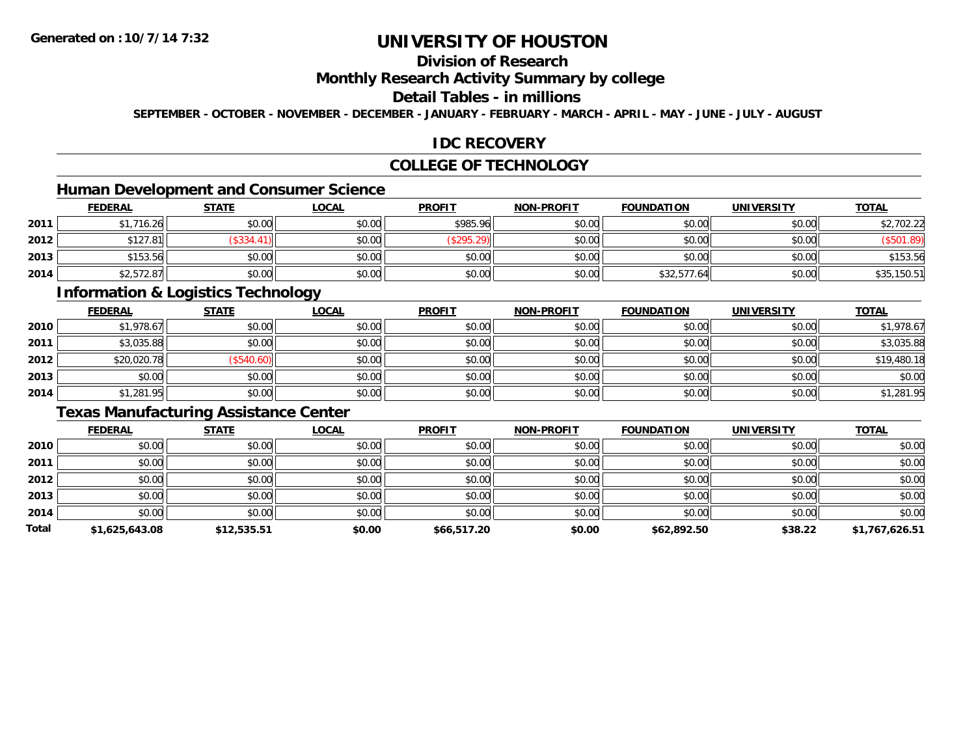### **Division of Research**

### **Monthly Research Activity Summary by college**

### **Detail Tables - in millions**

**SEPTEMBER - OCTOBER - NOVEMBER - DECEMBER - JANUARY - FEBRUARY - MARCH - APRIL - MAY - JUNE - JULY - AUGUST**

### **IDC RECOVERY**

### **COLLEGE OF TECHNOLOGY**

### **Human Development and Consumer Science**

|      | <b>FEDERAL</b> | <u>STATE</u> | <b>LOCAL</b> | <b>PROFIT</b> | <b>NON-PROFIT</b> | <b>FOUNDATION</b> | <b>UNIVERSITY</b> | <b>TOTAL</b> |
|------|----------------|--------------|--------------|---------------|-------------------|-------------------|-------------------|--------------|
| 2011 | 1,716.26       | \$0.00       | \$0.00       | \$985.96      | \$0.00            | \$0.00            | \$0.00            | \$2,702.22   |
| 2012 | \$127.81       | \$334.       | \$0.00       | \$295.2\$     | \$0.00            | \$0.00            | \$0.00            | \$501.89     |
| 2013 | \$153.56       | \$0.00       | \$0.00       | \$0.00        | \$0.00            | \$0.00            | \$0.00            | \$153.56     |
| 2014 | \$2,572.87     | \$0.00       | \$0.00       | \$0.00        | \$0.00            | \$32,577.64       | \$0.00            | \$35,150.51  |

### **Information & Logistics Technology**

|      | <b>FEDERAL</b> | <b>STATE</b> | <b>LOCAL</b> | <b>PROFIT</b> | <b>NON-PROFIT</b> | <b>FOUNDATION</b> | <b>UNIVERSITY</b> | <b>TOTAL</b> |
|------|----------------|--------------|--------------|---------------|-------------------|-------------------|-------------------|--------------|
| 2010 | \$1,978.67     | \$0.00       | \$0.00       | \$0.00        | \$0.00            | \$0.00            | \$0.00            | \$1,978.67   |
| 2011 | \$3,035.88     | \$0.00       | \$0.00       | \$0.00        | \$0.00            | \$0.00            | \$0.00            | \$3,035.88   |
| 2012 | \$20,020.78    | (\$540.60)   | \$0.00       | \$0.00        | \$0.00            | \$0.00            | \$0.00            | \$19,480.18  |
| 2013 | \$0.00         | \$0.00       | \$0.00       | \$0.00        | \$0.00            | \$0.00            | \$0.00            | \$0.00       |
| 2014 | \$1,281.95     | \$0.00       | \$0.00       | \$0.00        | \$0.00            | \$0.00            | \$0.00            | \$1,281.95   |

### **Texas Manufacturing Assistance Center**

|       | <b>FEDERAL</b> | <b>STATE</b> | <b>LOCAL</b> | <b>PROFIT</b> | <b>NON-PROFIT</b> | <b>FOUNDATION</b> | <b>UNIVERSITY</b> | <b>TOTAL</b>   |
|-------|----------------|--------------|--------------|---------------|-------------------|-------------------|-------------------|----------------|
| 2010  | \$0.00         | \$0.00       | \$0.00       | \$0.00        | \$0.00            | \$0.00            | \$0.00            | \$0.00         |
| 2011  | \$0.00         | \$0.00       | \$0.00       | \$0.00        | \$0.00            | \$0.00            | \$0.00            | \$0.00         |
| 2012  | \$0.00         | \$0.00       | \$0.00       | \$0.00        | \$0.00            | \$0.00            | \$0.00            | \$0.00         |
| 2013  | \$0.00         | \$0.00       | \$0.00       | \$0.00        | \$0.00            | \$0.00            | \$0.00            | \$0.00         |
| 2014  | \$0.00         | \$0.00       | \$0.00       | \$0.00        | \$0.00            | \$0.00            | \$0.00            | \$0.00         |
| Total | \$1,625,643.08 | \$12,535.51  | \$0.00       | \$66,517.20   | \$0.00            | \$62,892.50       | \$38.22           | \$1,767,626.51 |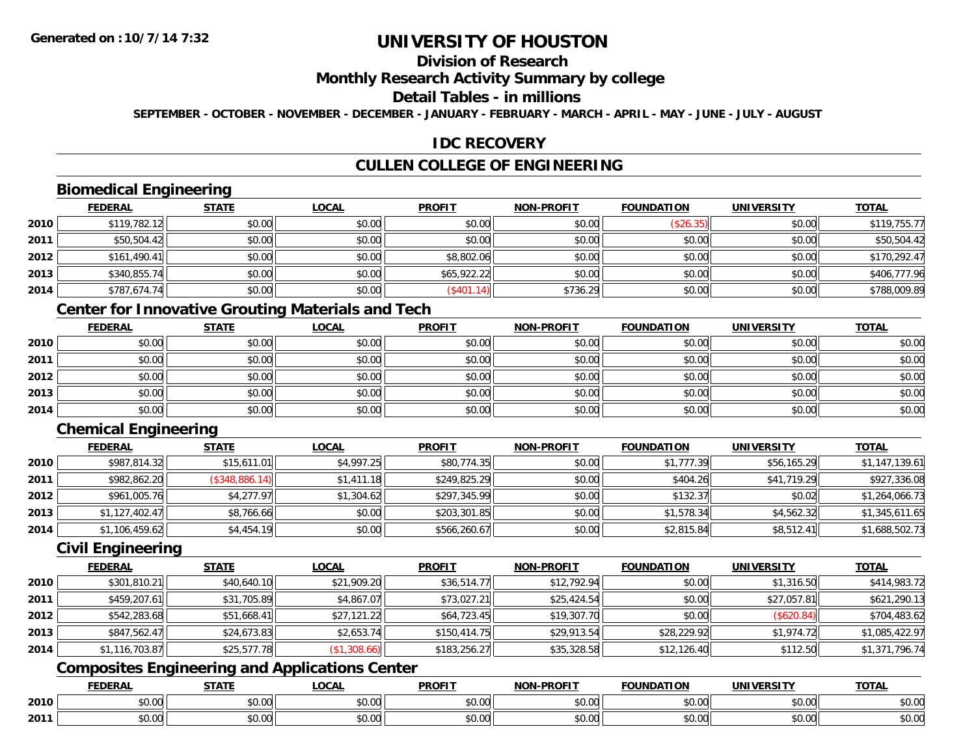### **Division of Research**

### **Monthly Research Activity Summary by college**

#### **Detail Tables - in millions**

**SEPTEMBER - OCTOBER - NOVEMBER - DECEMBER - JANUARY - FEBRUARY - MARCH - APRIL - MAY - JUNE - JULY - AUGUST**

### **IDC RECOVERY**

### **CULLEN COLLEGE OF ENGINEERING**

### **Biomedical Engineering**

|      | <b>FEDERAL</b> | <b>STATE</b> | <b>LOCAL</b> | <b>PROFIT</b> | <b>NON-PROFIT</b> | <b>FOUNDATION</b> | <b>UNIVERSITY</b> | <u>TOTAL</u> |
|------|----------------|--------------|--------------|---------------|-------------------|-------------------|-------------------|--------------|
| 2010 | \$119,782.12   | \$0.00       | \$0.00       | \$0.00        | \$0.00            | (\$26.35)         | \$0.00            | \$119,755.77 |
| 2011 | \$50,504.42    | \$0.00       | \$0.00       | \$0.00        | \$0.00            | \$0.00            | \$0.00            | \$50,504.42  |
| 2012 | \$161,490.41   | \$0.00       | \$0.00       | \$8,802.06    | \$0.00            | \$0.00            | \$0.00            | \$170,292.47 |
| 2013 | \$340,855.74   | \$0.00       | \$0.00       | \$65,922.22   | \$0.00            | \$0.00            | \$0.00            | \$406,777.96 |
| 2014 | \$787,674.74   | \$0.00       | \$0.00       | (\$401.14)    | \$736.29          | \$0.00            | \$0.00            | \$788,009.89 |

### **Center for Innovative Grouting Materials and Tech**

|      | <u>FEDERAL</u> | <u>STATE</u> | <u>LOCAL</u> | <b>PROFIT</b> | <b>NON-PROFIT</b> | <b>FOUNDATION</b> | <b>UNIVERSITY</b> | <b>TOTAL</b> |
|------|----------------|--------------|--------------|---------------|-------------------|-------------------|-------------------|--------------|
| 2010 | \$0.00         | \$0.00       | \$0.00       | \$0.00        | \$0.00            | \$0.00            | \$0.00            | \$0.00       |
| 2011 | \$0.00         | \$0.00       | \$0.00       | \$0.00        | \$0.00            | \$0.00            | \$0.00            | \$0.00       |
| 2012 | \$0.00         | \$0.00       | \$0.00       | \$0.00        | \$0.00            | \$0.00            | \$0.00            | \$0.00       |
| 2013 | \$0.00         | \$0.00       | \$0.00       | \$0.00        | \$0.00            | \$0.00            | \$0.00            | \$0.00       |
| 2014 | \$0.00         | \$0.00       | \$0.00       | \$0.00        | \$0.00            | \$0.00            | \$0.00            | \$0.00       |

### **Chemical Engineering**

|      | <b>FEDERAL</b> | <b>STATE</b>   | <b>LOCAL</b> | <b>PROFIT</b> | <b>NON-PROFIT</b> | <b>FOUNDATION</b> | <b>UNIVERSITY</b> | <b>TOTAL</b>   |
|------|----------------|----------------|--------------|---------------|-------------------|-------------------|-------------------|----------------|
| 2010 | \$987,814.32   | \$15,611.01    | \$4,997.25   | \$80,774.35   | \$0.00            | \$1,777.39        | \$56,165.29       | \$1,147,139.61 |
| 2011 | \$982,862.20   | (\$348,886.14) | \$1,411.18   | \$249,825.29  | \$0.00            | \$404.26          | \$41,719.29       | \$927,336.08   |
| 2012 | \$961,005.76   | \$4,277.97     | \$1,304.62   | \$297,345.99  | \$0.00            | \$132.37          | \$0.02            | \$1,264,066.73 |
| 2013 | \$1.127.402.47 | \$8,766.66     | \$0.00       | \$203,301.85  | \$0.00            | \$1,578.34        | \$4,562.32        | \$1,345,611.65 |
| 2014 | \$1,106,459.62 | \$4,454.19     | \$0.00       | \$566,260.67  | \$0.00            | \$2,815.84        | \$8,512.41        | \$1,688,502.73 |

### **Civil Engineering**

|      | <b>FEDERAL</b> | <b>STATE</b> | <u>LOCAL</u> | <b>PROFIT</b> | <b>NON-PROFIT</b> | <b>FOUNDATION</b> | <b>UNIVERSITY</b> | <b>TOTAL</b>   |
|------|----------------|--------------|--------------|---------------|-------------------|-------------------|-------------------|----------------|
| 2010 | \$301,810.21   | \$40,640.10  | \$21,909.20  | \$36,514.77   | \$12,792.94       | \$0.00            | \$1,316.50        | \$414,983.72   |
| 2011 | \$459,207.61   | \$31,705.89  | \$4,867.07   | \$73,027.21   | \$25,424.54       | \$0.00            | \$27,057.81       | \$621,290.13   |
| 2012 | \$542,283.68   | \$51,668.41  | \$27,121.22  | \$64,723.45   | \$19,307.70       | \$0.00            | (\$620.84)        | \$704,483.62   |
| 2013 | \$847,562.47   | \$24,673.83  | \$2,653.74   | \$150,414.75  | \$29,913.54       | \$28,229.92       | \$1,974.72        | \$1,085,422.97 |
| 2014 | \$1,116,703.87 | \$25,577.78  | (\$1,308.66) | \$183,256.27  | \$35,328.58       | \$12,126.40       | \$112.50          | \$1,371,796.74 |

### **Composites Engineering and Applications Center**

|      | DERAI   | CTATI     | .OCAL     | <b>PROFIT</b> | <b>DDOCIT</b><br><b>ארות</b> | ΓΙΟΝ  | UNIVERSITY                                   | <b>TOTAL</b> |
|------|---------|-----------|-----------|---------------|------------------------------|-------|----------------------------------------------|--------------|
| 2010 | $\sim$  | $\sim$    | $\sim$    | $\cdots$      | 0000                         | 0.00  | $\mathsf{A} \cap \mathsf{A} \cap \mathsf{A}$ | 0000         |
|      | , U. UU | JU.UU     | vv.vv     | vu.vu         | vu.vu                        | JU.UU | PO.OO                                        | <b>JU.UU</b> |
|      | 0.00    | $\sim$ 00 | $\sim$ 00 | $\cdots$      | 0.00                         | 0.00  | $\sim$ $\sim$                                | $\cdots$     |
| 2011 | וט.טי   | JU.L      | JU.UU     | vv.vv         | JU.UU                        | ww.uu | <b>JU.UU</b>                                 | <b>JU.UU</b> |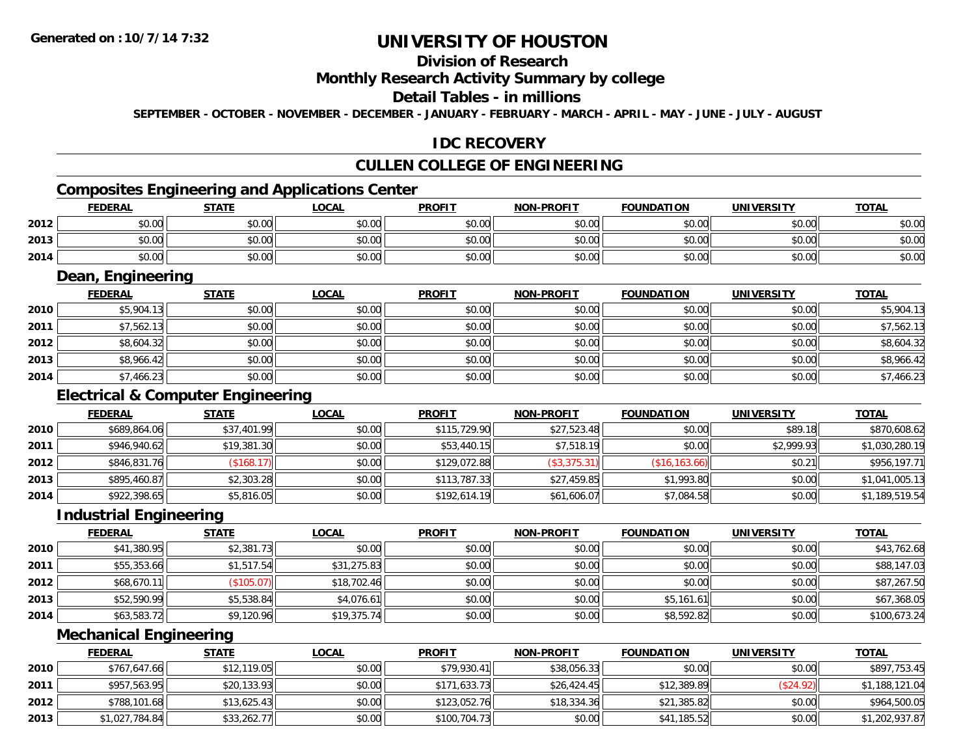### **Division of Research**

### **Monthly Research Activity Summary by college**

#### **Detail Tables - in millions**

**SEPTEMBER - OCTOBER - NOVEMBER - DECEMBER - JANUARY - FEBRUARY - MARCH - APRIL - MAY - JUNE - JULY - AUGUST**

### **IDC RECOVERY**

## **CULLEN COLLEGE OF ENGINEERING**

### **Composites Engineering and Applications Center**

|      | Composites Engineering and Applications Center |        |              |               |                   |                   |            |              |  |  |  |
|------|------------------------------------------------|--------|--------------|---------------|-------------------|-------------------|------------|--------------|--|--|--|
|      | <b>FEDERAL</b>                                 | STATE  | <u>LOCAL</u> | <b>PROFIT</b> | <b>NON-PROFIT</b> | <b>FOUNDATION</b> | UNIVERSITY | <b>TOTAL</b> |  |  |  |
| 2012 | \$0.00                                         | \$0.00 | \$0.00       | \$0.00        | \$0.00            | \$0.00            | \$0.00     | \$0.00       |  |  |  |
| 2013 | \$0.00                                         | \$0.00 | \$0.00       | \$0.00        | \$0.00            | \$0.00            | \$0.00     | \$0.00       |  |  |  |
| 2014 | \$0.00                                         | \$0.00 | \$0.00       | \$0.00        | \$0.00            | \$0.00            | \$0.00     | \$0.00       |  |  |  |

<u> 1989 - Johann Stoff, deutscher Stoffen und der Stoffen und der Stoffen und der Stoffen und der Stoffen und der</u>

### **Dean, Engineering**

|      | <b>FEDERAL</b> | <b>STATE</b> | <b>LOCAL</b> | <b>PROFIT</b> | <b>NON-PROFIT</b> | <b>FOUNDATION</b> | <b>UNIVERSITY</b> | <b>TOTAL</b> |
|------|----------------|--------------|--------------|---------------|-------------------|-------------------|-------------------|--------------|
| 2010 | \$5,904.13     | \$0.00       | \$0.00       | \$0.00        | \$0.00            | \$0.00            | \$0.00            | \$5,904.13   |
| 2011 | \$7,562.13     | \$0.00       | \$0.00       | \$0.00        | \$0.00            | \$0.00            | \$0.00            | \$7,562.13   |
| 2012 | \$8,604.32     | \$0.00       | \$0.00       | \$0.00        | \$0.00            | \$0.00            | \$0.00            | \$8,604.32   |
| 2013 | \$8,966.42     | \$0.00       | \$0.00       | \$0.00        | \$0.00            | \$0.00            | \$0.00            | \$8,966.42   |
| 2014 | \$7,466.23     | \$0.00       | \$0.00       | \$0.00        | \$0.00            | \$0.00            | \$0.00            | \$7,466.23   |

### **Electrical & Computer Engineering**

|      | <b>FEDERAL</b> | <u>STATE</u> | <b>LOCAL</b> | <b>PROFIT</b> | <b>NON-PROFIT</b> | <b>FOUNDATION</b> | <b>UNIVERSITY</b> | <b>TOTAL</b>   |
|------|----------------|--------------|--------------|---------------|-------------------|-------------------|-------------------|----------------|
| 2010 | \$689,864.06   | \$37,401.99  | \$0.00       | \$115,729.90  | \$27,523.48       | \$0.00            | \$89.18           | \$870,608.62   |
| 2011 | \$946,940.62   | \$19,381.30  | \$0.00       | \$53,440.15   | \$7,518.19        | \$0.00            | \$2,999.93        | \$1,030,280.19 |
| 2012 | \$846,831.76   | (\$168.17)   | \$0.00       | \$129,072.88  | (\$3,375.31)      | (\$16, 163.66)    | \$0.21            | \$956,197.71   |
| 2013 | \$895,460.87   | \$2,303.28   | \$0.00       | \$113,787.33  | \$27,459.85       | \$1,993.80        | \$0.00            | \$1,041,005.13 |
| 2014 | \$922,398.65   | \$5,816.05   | \$0.00       | \$192,614.19  | \$61,606.07       | \$7,084.58        | \$0.00            | \$1,189,519.54 |

#### **Industrial Engineering**

|      | Industrial Engineering |              |              |               |                   |                   |                   |              |
|------|------------------------|--------------|--------------|---------------|-------------------|-------------------|-------------------|--------------|
|      | <b>FEDERAL</b>         | <b>STATE</b> | <u>LOCAL</u> | <b>PROFIT</b> | <b>NON-PROFIT</b> | <b>FOUNDATION</b> | <b>UNIVERSITY</b> | <b>TOTAL</b> |
| 2010 | \$41,380.95            | \$2,381.73   | \$0.00       | \$0.00        | \$0.00            | \$0.00            | \$0.00            | \$43,762.68  |
| 2011 | \$55,353.66            | \$1,517.54   | \$31,275.83  | \$0.00        | \$0.00            | \$0.00            | \$0.00            | \$88,147.03  |
| 2012 | \$68,670.11            | (\$105.07)   | \$18,702.46  | \$0.00        | \$0.00            | \$0.00            | \$0.00            | \$87,267.50  |
| 2013 | \$52,590.99            | \$5,538.84   | \$4,076.61   | \$0.00        | \$0.00            | \$5,161.61        | \$0.00            | \$67,368.05  |
| 2014 | \$63,583.72            | \$9,120.96   | \$19,375.74  | \$0.00        | \$0.00            | \$8,592.82        | \$0.00            | \$100,673.24 |

#### **Mechanical Engineering**

|      | <b>FEDERAL</b> | <u>STATE</u> | <u>LOCAL</u> | <b>PROFIT</b> | <b>NON-PROFIT</b> | <b>FOUNDATION</b> | UNIVERSITY | <b>TOTAL</b>   |
|------|----------------|--------------|--------------|---------------|-------------------|-------------------|------------|----------------|
| 2010 | \$767,647.66   | \$12,119.05  | \$0.00       | \$79.930.41   | \$38,056.33       | \$0.00            | \$0.00     | \$897,753.45   |
| 2011 | \$957,563.95   | \$20,133.93  | \$0.00       | \$171,633.73  | \$26,424.45       | \$12,389.89       | (\$24.92)  | \$1,188,121.04 |
| 2012 | \$788,101.68   | \$13,625.43  | \$0.00       | \$123,052.76  | \$18,334.36       | \$21,385.82       | \$0.00     | \$964,500.05   |
| 2013 | \$1,027,784.84 | \$33,262.77  | \$0.00       | \$100,704.73  | \$0.00            | \$41,185.52       | \$0.00     | \$1,202,937.87 |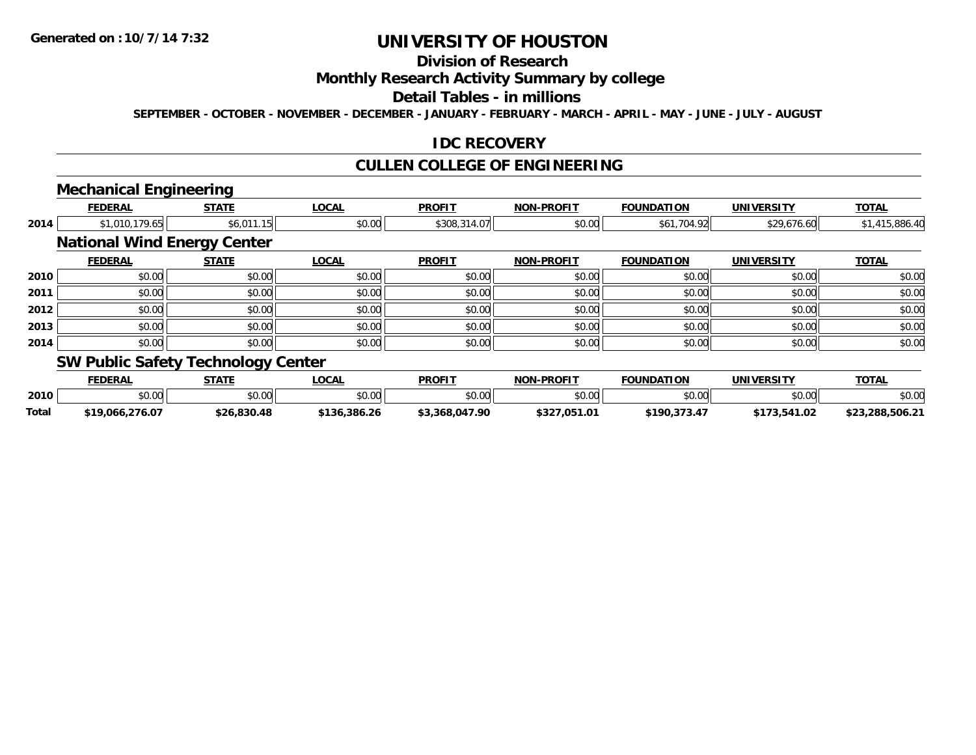### **Division of Research**

### **Monthly Research Activity Summary by college**

### **Detail Tables - in millions**

**SEPTEMBER - OCTOBER - NOVEMBER - DECEMBER - JANUARY - FEBRUARY - MARCH - APRIL - MAY - JUNE - JULY - AUGUST**

#### **IDC RECOVERY**

### **CULLEN COLLEGE OF ENGINEERING**

### **Mechanical Engineering**

|      | <b>FEDERAL</b>                            | <b>STATE</b> | <b>LOCAL</b> | <b>PROFIT</b> | <b>NON-PROFIT</b> | <b>FOUNDATION</b> | <b>UNIVERSITY</b> | <b>TOTAL</b>   |
|------|-------------------------------------------|--------------|--------------|---------------|-------------------|-------------------|-------------------|----------------|
| 2014 | \$1,010,179.65                            | \$6,011.15   | \$0.00       | \$308,314.07  | \$0.00            | \$61,704.92       | \$29,676.60       | \$1,415,886.40 |
|      | <b>National Wind Energy Center</b>        |              |              |               |                   |                   |                   |                |
|      | <b>FEDERAL</b>                            | <b>STATE</b> | <b>LOCAL</b> | <b>PROFIT</b> | <b>NON-PROFIT</b> | <b>FOUNDATION</b> | <b>UNIVERSITY</b> | <b>TOTAL</b>   |
| 2010 | \$0.00                                    | \$0.00       | \$0.00       | \$0.00        | \$0.00            | \$0.00            | \$0.00            | \$0.00         |
| 2011 | \$0.00                                    | \$0.00       | \$0.00       | \$0.00        | \$0.00            | \$0.00            | \$0.00            | \$0.00         |
| 2012 | \$0.00                                    | \$0.00       | \$0.00       | \$0.00        | \$0.00            | \$0.00            | \$0.00            | \$0.00         |
| 2013 | \$0.00                                    | \$0.00       | \$0.00       | \$0.00        | \$0.00            | \$0.00            | \$0.00            | \$0.00         |
| 2014 | \$0.00                                    | \$0.00       | \$0.00       | \$0.00        | \$0.00            | \$0.00            | \$0.00            | \$0.00         |
|      | <b>SW Public Safety Technology Center</b> |              |              |               |                   |                   |                   |                |

#### **FEDERAL STATE LOCAL PROFIT NON-PROFIT FOUNDATION UNIVERSITY TOTALTOTAL 2010**0 \$0.00 \$0.00 \$0.00 \$0.00 \$0.00 \$0.00 \$0.00 \$0.00 \$0.00 \$0.00 \$0.00 \$0.00 \$0.00 \$0.00 \$0.00 \$0.00 \$0.00 \$0.00 **Total\$19,066,276.07 \$26,830.48 \$136,386.26 \$3,368,047.90 \$327,051.01 \$190,373.47 \$173,541.02 \$23,288,506.21**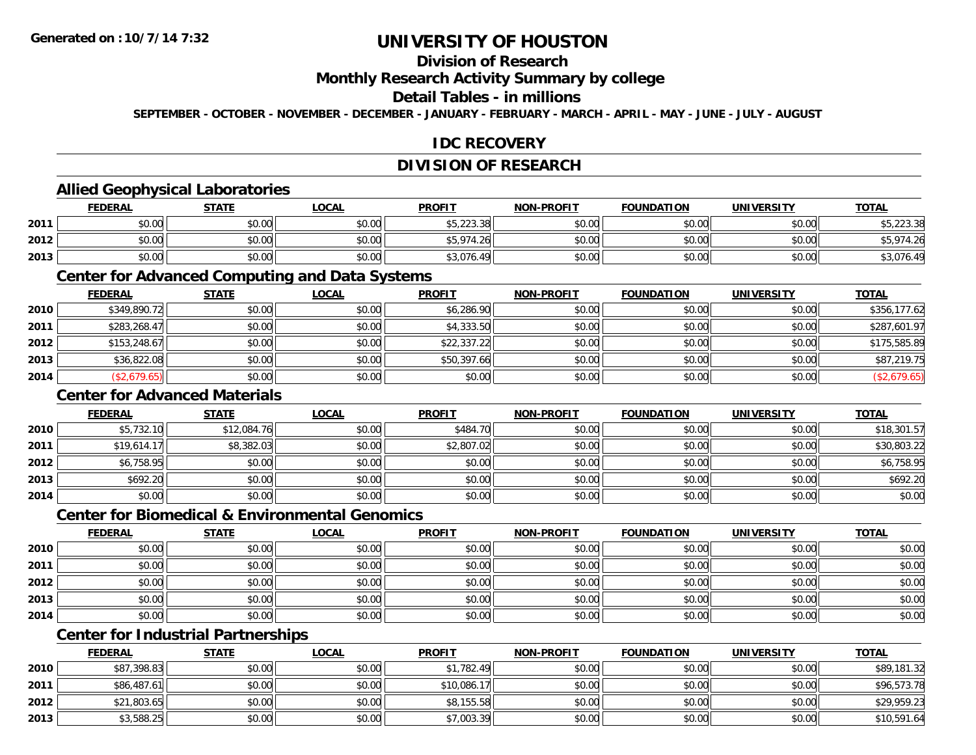### **Division of Research**

### **Monthly Research Activity Summary by college**

#### **Detail Tables - in millions**

**SEPTEMBER - OCTOBER - NOVEMBER - DECEMBER - JANUARY - FEBRUARY - MARCH - APRIL - MAY - JUNE - JULY - AUGUST**

### **IDC RECOVERY**

### **DIVISION OF RESEARCH**

### **Allied Geophysical Laboratories**

|      | <b>FEDERAL</b>                              | <b>STATE</b> | <b>LOCAL</b>  | <b>PROFIT</b>           | <b>NON-PROFIT</b> | <b>FOUNDATION</b> | <b>UNIVERSITY</b> | <b>TOTAL</b>           |
|------|---------------------------------------------|--------------|---------------|-------------------------|-------------------|-------------------|-------------------|------------------------|
| 2011 | $\mathfrak{c}\cap\mathfrak{a}\cap$<br>,u.uu | \$0.00       | \$0.00        | ¢5 223 38<br>99.ZZ3.JOI | \$0.00            | \$0.00            | \$0.00            | $\sim$ $\sim$          |
| 2012 | 0000<br>,u.uu                               | \$0.00       | 0000<br>JU.UU | \$5.974<br>26           | \$0.00            | \$0.00            | \$0.00            | ر م                    |
| 2013 | \$0.00                                      | \$0.00       | \$0.00        | \$3,076.4<br>$\sqrt{2}$ | \$0.00            | \$0.00            | \$0.00            | $\sim$ $\sim$<br>.U/6. |

#### **Center for Advanced Computing and Data Systems**

|      | <b>FEDERAL</b> | <b>STATE</b> | <b>LOCAL</b> | <b>PROFIT</b> | <b>NON-PROFIT</b> | <b>FOUNDATION</b> | <b>UNIVERSITY</b> | <b>TOTAL</b> |
|------|----------------|--------------|--------------|---------------|-------------------|-------------------|-------------------|--------------|
| 2010 | \$349,890.72   | \$0.00       | \$0.00       | \$6,286.90    | \$0.00            | \$0.00            | \$0.00            | \$356,177.62 |
| 2011 | \$283,268.47   | \$0.00       | \$0.00       | \$4,333.50    | \$0.00            | \$0.00            | \$0.00            | \$287,601.97 |
| 2012 | \$153,248.67   | \$0.00       | \$0.00       | \$22,337.22   | \$0.00            | \$0.00            | \$0.00            | \$175,585.89 |
| 2013 | \$36,822.08    | \$0.00       | \$0.00       | \$50,397.66   | \$0.00            | \$0.00            | \$0.00            | \$87,219.75  |
| 2014 | (\$2,679.65)   | \$0.00       | \$0.00       | \$0.00        | \$0.00            | \$0.00            | \$0.00            | (\$2,679.65) |

### **Center for Advanced Materials**

|      | <b>FEDERAL</b> | <b>STATE</b> | <u>LOCAL</u> | <b>PROFIT</b> | <b>NON-PROFIT</b> | <b>FOUNDATION</b> | <b>UNIVERSITY</b> | <b>TOTAL</b> |
|------|----------------|--------------|--------------|---------------|-------------------|-------------------|-------------------|--------------|
| 2010 | \$5,732.10     | \$12,084.76  | \$0.00       | \$484.70      | \$0.00            | \$0.00            | \$0.00            | \$18,301.57  |
| 2011 | \$19,614.17    | \$8,382.03   | \$0.00       | \$2,807.02    | \$0.00            | \$0.00            | \$0.00            | \$30,803.22  |
| 2012 | \$6,758.95     | \$0.00       | \$0.00       | \$0.00        | \$0.00            | \$0.00            | \$0.00            | \$6,758.95   |
| 2013 | \$692.20       | \$0.00       | \$0.00       | \$0.00        | \$0.00            | \$0.00            | \$0.00            | \$692.20     |
| 2014 | \$0.00         | \$0.00       | \$0.00       | \$0.00        | \$0.00            | \$0.00            | \$0.00            | \$0.00       |

#### **Center for Biomedical & Environmental Genomics**

|      | <u>FEDERAL</u> | <b>STATE</b> | <b>LOCAL</b> | <b>PROFIT</b> | NON-PROFIT | <b>FOUNDATION</b> | <b>UNIVERSITY</b> | <b>TOTAL</b> |
|------|----------------|--------------|--------------|---------------|------------|-------------------|-------------------|--------------|
| 2010 | \$0.00         | \$0.00       | \$0.00       | \$0.00        | \$0.00     | \$0.00            | \$0.00            | \$0.00       |
| 2011 | \$0.00         | \$0.00       | \$0.00       | \$0.00        | \$0.00     | \$0.00            | \$0.00            | \$0.00       |
| 2012 | \$0.00         | \$0.00       | \$0.00       | \$0.00        | \$0.00     | \$0.00            | \$0.00            | \$0.00       |
| 2013 | \$0.00         | \$0.00       | \$0.00       | \$0.00        | \$0.00     | \$0.00            | \$0.00            | \$0.00       |
| 2014 | \$0.00         | \$0.00       | \$0.00       | \$0.00        | \$0.00     | \$0.00            | \$0.00            | \$0.00       |

### **Center for Industrial Partnerships**

|      | <u>FEDERAL</u> | <b>STATE</b> | <b>LOCAL</b> | <b>PROFIT</b> | <b>NON-PROFIT</b> | <b>FOUNDATION</b> | <b>UNIVERSITY</b> | <b>TOTAL</b> |
|------|----------------|--------------|--------------|---------------|-------------------|-------------------|-------------------|--------------|
| 2010 | \$87,398.83    | \$0.00       | \$0.00       | \$1,782.49    | \$0.00            | \$0.00            | \$0.00            | \$89,181.32  |
| 2011 | \$86,487.61    | \$0.00       | \$0.00       | \$10,086.17   | \$0.00            | \$0.00            | \$0.00            | \$96,573.78  |
| 2012 | \$21,803.65    | \$0.00       | \$0.00       | \$8,155.58    | \$0.00            | \$0.00            | \$0.00            | \$29,959.23  |
| 2013 | \$3,588.25     | \$0.00       | \$0.00       | \$7,003.39    | \$0.00            | \$0.00            | \$0.00            | \$10,591.64  |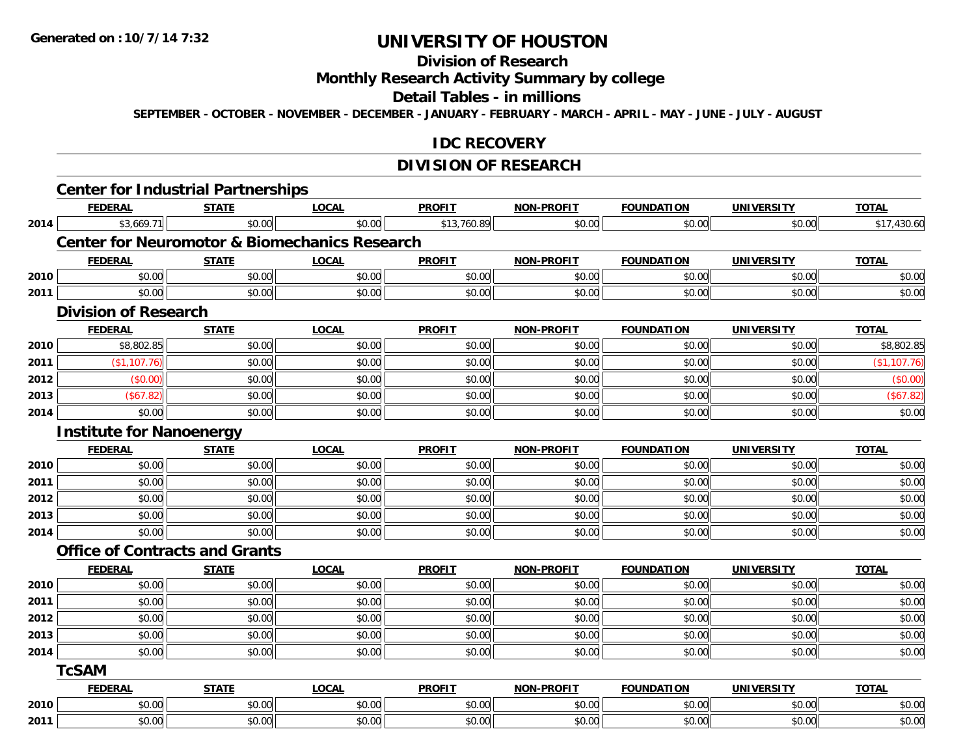### **Division of Research**

### **Monthly Research Activity Summary by college**

#### **Detail Tables - in millions**

**SEPTEMBER - OCTOBER - NOVEMBER - DECEMBER - JANUARY - FEBRUARY - MARCH - APRIL - MAY - JUNE - JULY - AUGUST**

### **IDC RECOVERY**

### **DIVISION OF RESEARCH**

|      | <b>Center for Industrial Partnerships</b> |              |                                                          |               |                   |                   |                   |              |
|------|-------------------------------------------|--------------|----------------------------------------------------------|---------------|-------------------|-------------------|-------------------|--------------|
|      | <b>FEDERAL</b>                            | <b>STATE</b> | <b>LOCAL</b>                                             | <b>PROFIT</b> | <b>NON-PROFIT</b> | <b>FOUNDATION</b> | <b>UNIVERSITY</b> | <b>TOTAL</b> |
| 2014 | \$3,669.71                                | \$0.00       | \$0.00                                                   | \$13,760.89   | \$0.00            | \$0.00            | \$0.00            | \$17,430.60  |
|      |                                           |              | <b>Center for Neuromotor &amp; Biomechanics Research</b> |               |                   |                   |                   |              |
|      | <b>FEDERAL</b>                            | <b>STATE</b> | <b>LOCAL</b>                                             | <b>PROFIT</b> | <b>NON-PROFIT</b> | <b>FOUNDATION</b> | <b>UNIVERSITY</b> | <b>TOTAL</b> |
| 2010 | \$0.00                                    | \$0.00       | \$0.00                                                   | \$0.00        | \$0.00            | \$0.00            | \$0.00            | \$0.00       |
| 2011 | \$0.00                                    | \$0.00       | \$0.00                                                   | \$0.00        | \$0.00            | \$0.00            | \$0.00            | \$0.00       |
|      | <b>Division of Research</b>               |              |                                                          |               |                   |                   |                   |              |
|      | <b>FEDERAL</b>                            | <b>STATE</b> | <b>LOCAL</b>                                             | <b>PROFIT</b> | <b>NON-PROFIT</b> | <b>FOUNDATION</b> | <b>UNIVERSITY</b> | <b>TOTAL</b> |
| 2010 | \$8,802.85                                | \$0.00       | \$0.00                                                   | \$0.00        | \$0.00            | \$0.00            | \$0.00            | \$8,802.85   |
| 2011 | (\$1,107.76)                              | \$0.00       | \$0.00                                                   | \$0.00        | \$0.00            | \$0.00            | \$0.00            | (\$1,107.76) |
| 2012 | (\$0.00)                                  | \$0.00       | \$0.00                                                   | \$0.00        | \$0.00            | \$0.00            | \$0.00            | (\$0.00)     |
| 2013 | (\$67.82)                                 | \$0.00       | \$0.00                                                   | \$0.00        | \$0.00            | \$0.00            | \$0.00            | (\$67.82)    |
| 2014 | \$0.00                                    | \$0.00       | \$0.00                                                   | \$0.00        | \$0.00            | \$0.00            | \$0.00            | \$0.00       |
|      | <b>Institute for Nanoenergy</b>           |              |                                                          |               |                   |                   |                   |              |
|      | <b>FEDERAL</b>                            | <b>STATE</b> | <b>LOCAL</b>                                             | <b>PROFIT</b> | <b>NON-PROFIT</b> | <b>FOUNDATION</b> | <b>UNIVERSITY</b> | <b>TOTAL</b> |
| 2010 | \$0.00                                    | \$0.00       | \$0.00                                                   | \$0.00        | \$0.00            | \$0.00            | \$0.00            | \$0.00       |
| 2011 | \$0.00                                    | \$0.00       | \$0.00                                                   | \$0.00        | \$0.00            | \$0.00            | \$0.00            | \$0.00       |
| 2012 | \$0.00                                    | \$0.00       | \$0.00                                                   | \$0.00        | \$0.00            | \$0.00            | \$0.00            | \$0.00       |
| 2013 | \$0.00                                    | \$0.00       | \$0.00                                                   | \$0.00        | \$0.00            | \$0.00            | \$0.00            | \$0.00       |
| 2014 | \$0.00                                    | \$0.00       | \$0.00                                                   | \$0.00        | \$0.00            | \$0.00            | \$0.00            | \$0.00       |
|      | <b>Office of Contracts and Grants</b>     |              |                                                          |               |                   |                   |                   |              |
|      | <b>FEDERAL</b>                            | <b>STATE</b> | <b>LOCAL</b>                                             | <b>PROFIT</b> | <b>NON-PROFIT</b> | <b>FOUNDATION</b> | <b>UNIVERSITY</b> | <b>TOTAL</b> |
| 2010 | \$0.00                                    | \$0.00       | \$0.00                                                   | \$0.00        | \$0.00            | \$0.00            | \$0.00            | \$0.00       |
| 2011 | \$0.00                                    | \$0.00       | \$0.00                                                   | \$0.00        | \$0.00            | \$0.00            | \$0.00            | \$0.00       |
| 2012 | \$0.00                                    | \$0.00       | \$0.00                                                   | \$0.00        | \$0.00            | \$0.00            | \$0.00            | \$0.00       |
| 2013 | \$0.00                                    | \$0.00       | \$0.00                                                   | \$0.00        | \$0.00            | \$0.00            | \$0.00            | \$0.00       |
| 2014 | \$0.00                                    | \$0.00       | \$0.00                                                   | \$0.00        | \$0.00            | \$0.00            | \$0.00            | \$0.00       |
|      | <b>TcSAM</b>                              |              |                                                          |               |                   |                   |                   |              |
|      | <b>FEDERAL</b>                            | <b>STATE</b> | <b>LOCAL</b>                                             | <b>PROFIT</b> | <b>NON-PROFIT</b> | <b>FOUNDATION</b> | <b>UNIVERSITY</b> | <b>TOTAL</b> |
| 2010 | \$0.00                                    | \$0.00       | \$0.00                                                   | \$0.00        | \$0.00            | \$0.00            | \$0.00            | \$0.00       |
| 2011 | \$0.00                                    | \$0.00       | \$0.00                                                   | \$0.00        | \$0.00            | \$0.00            | \$0.00            | \$0.00       |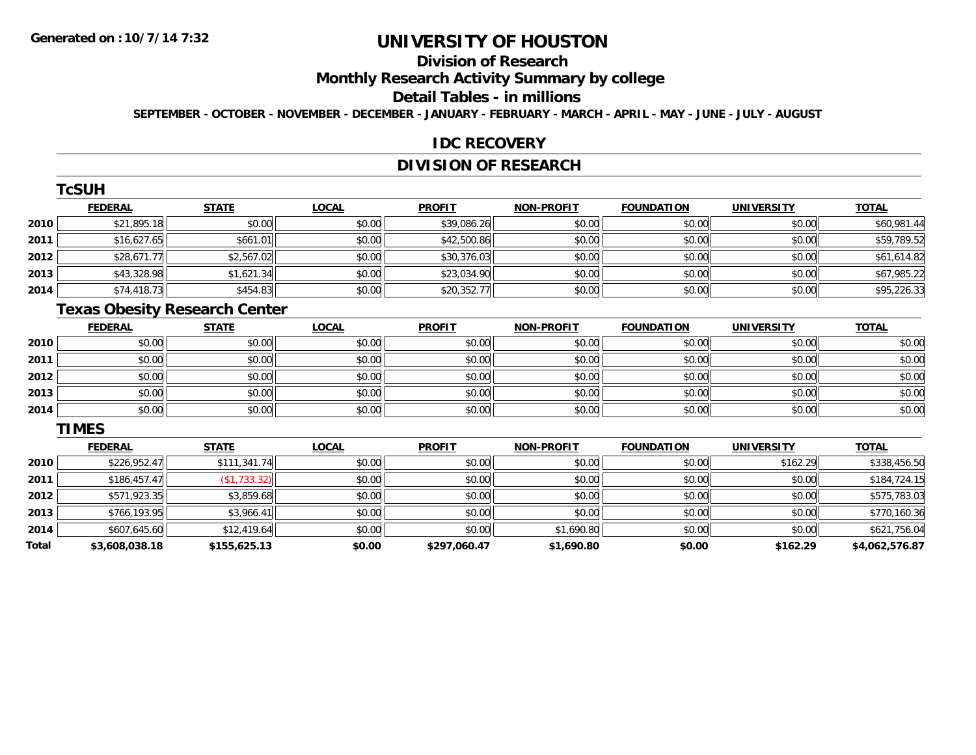## **Division of Research**

### **Monthly Research Activity Summary by college**

#### **Detail Tables - in millions**

**SEPTEMBER - OCTOBER - NOVEMBER - DECEMBER - JANUARY - FEBRUARY - MARCH - APRIL - MAY - JUNE - JULY - AUGUST**

#### **IDC RECOVERY**

### **DIVISION OF RESEARCH**

|      | TcSUH          |              |              |               |                   |                   |                   |              |
|------|----------------|--------------|--------------|---------------|-------------------|-------------------|-------------------|--------------|
|      | <b>FEDERAL</b> | <b>STATE</b> | <b>LOCAL</b> | <b>PROFIT</b> | <b>NON-PROFIT</b> | <b>FOUNDATION</b> | <b>UNIVERSITY</b> | <b>TOTAL</b> |
| 2010 | \$21,895.18    | \$0.00       | \$0.00       | \$39,086.26   | \$0.00            | \$0.00            | \$0.00            | \$60,981.44  |
| 2011 | \$16,627.65    | \$661.01     | \$0.00       | \$42,500.86   | \$0.00            | \$0.00            | \$0.00            | \$59,789.52  |
| 2012 | \$28,671.77    | \$2,567.02   | \$0.00       | \$30,376.03   | \$0.00            | \$0.00            | \$0.00            | \$61,614.82  |
| 2013 | \$43,328.98    | \$1,621.34   | \$0.00       | \$23,034.90   | \$0.00            | \$0.00            | \$0.00            | \$67,985.22  |
| 2014 | \$74,418.73    | \$454.83     | \$0.00       | \$20,352.77   | \$0.00            | \$0.00            | \$0.00            | \$95,226.33  |

### **Texas Obesity Research Center**

|      | <b>FEDERAL</b> | <b>STATE</b> | <u>LOCAL</u> | <b>PROFIT</b> | <b>NON-PROFIT</b> | <b>FOUNDATION</b> | <b>UNIVERSITY</b> | <b>TOTAL</b> |
|------|----------------|--------------|--------------|---------------|-------------------|-------------------|-------------------|--------------|
| 2010 | \$0.00         | \$0.00       | \$0.00       | \$0.00        | \$0.00            | \$0.00            | \$0.00            | \$0.00       |
| 2011 | \$0.00         | \$0.00       | \$0.00       | \$0.00        | \$0.00            | \$0.00            | \$0.00            | \$0.00       |
| 2012 | \$0.00         | \$0.00       | \$0.00       | \$0.00        | \$0.00            | \$0.00            | \$0.00            | \$0.00       |
| 2013 | \$0.00         | \$0.00       | \$0.00       | \$0.00        | \$0.00            | \$0.00            | \$0.00            | \$0.00       |
| 2014 | \$0.00         | \$0.00       | \$0.00       | \$0.00        | \$0.00            | \$0.00            | \$0.00            | \$0.00       |

#### **TIMES**

|       | <b>FEDERAL</b> | <b>STATE</b> | <b>LOCAL</b> | <b>PROFIT</b> | <b>NON-PROFIT</b> | <b>FOUNDATION</b> | <b>UNIVERSITY</b> | <b>TOTAL</b>   |
|-------|----------------|--------------|--------------|---------------|-------------------|-------------------|-------------------|----------------|
| 2010  | \$226,952.47   | \$111,341.74 | \$0.00       | \$0.00        | \$0.00            | \$0.00            | \$162.29          | \$338,456.50   |
| 2011  | \$186,457.47   | (\$1,733.32) | \$0.00       | \$0.00        | \$0.00            | \$0.00            | \$0.00            | \$184,724.15   |
| 2012  | \$571,923.35   | \$3,859.68   | \$0.00       | \$0.00        | \$0.00            | \$0.00            | \$0.00            | \$575,783.03   |
| 2013  | \$766,193.95   | \$3,966.41   | \$0.00       | \$0.00        | \$0.00            | \$0.00            | \$0.00            | \$770,160.36   |
| 2014  | \$607,645.60   | \$12,419.64  | \$0.00       | \$0.00        | \$1,690.80        | \$0.00            | \$0.00            | \$621,756.04   |
| Total | \$3,608,038.18 | \$155,625.13 | \$0.00       | \$297.060.47  | \$1,690.80        | \$0.00            | \$162.29          | \$4,062,576.87 |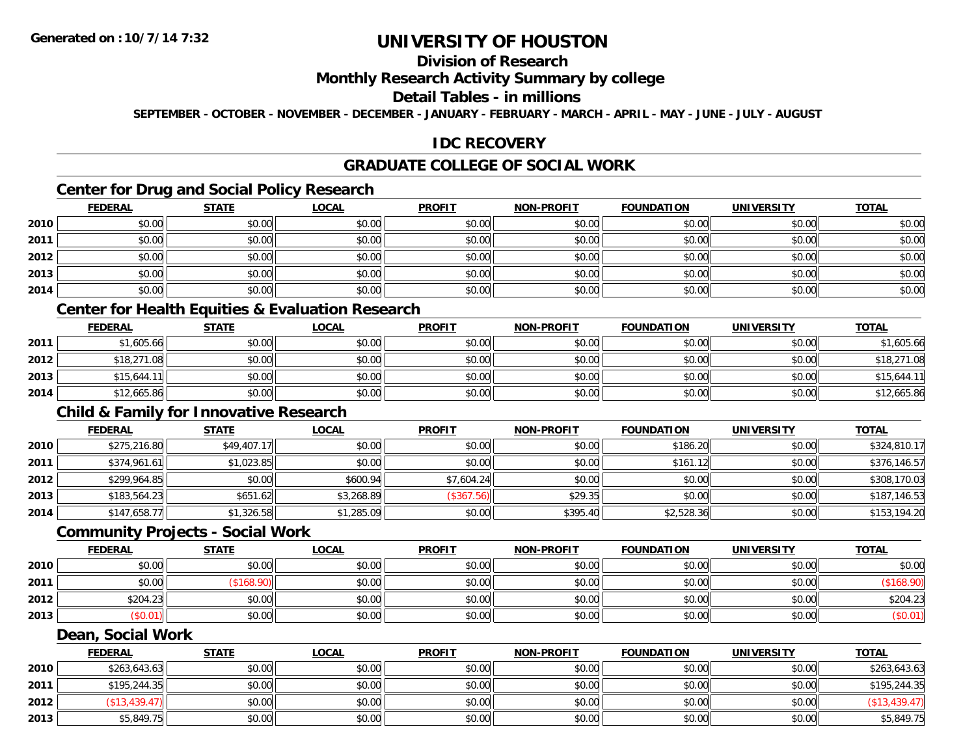### **Division of Research**

### **Monthly Research Activity Summary by college**

#### **Detail Tables - in millions**

**SEPTEMBER - OCTOBER - NOVEMBER - DECEMBER - JANUARY - FEBRUARY - MARCH - APRIL - MAY - JUNE - JULY - AUGUST**

### **IDC RECOVERY**

### **GRADUATE COLLEGE OF SOCIAL WORK**

### **Center for Drug and Social Policy Research**

|      | <b>FEDERAL</b> | <b>STATE</b> | <u>LOCAL</u> | <b>PROFIT</b> | <b>NON-PROFIT</b> | <b>FOUNDATION</b> | <b>UNIVERSITY</b> | <u>TOTAL</u> |
|------|----------------|--------------|--------------|---------------|-------------------|-------------------|-------------------|--------------|
| 2010 | \$0.00         | \$0.00       | \$0.00       | \$0.00        | \$0.00            | \$0.00            | \$0.00            | \$0.00       |
| 2011 | \$0.00         | \$0.00       | \$0.00       | \$0.00        | \$0.00            | \$0.00            | \$0.00            | \$0.00       |
| 2012 | \$0.00         | \$0.00       | \$0.00       | \$0.00        | \$0.00            | \$0.00            | \$0.00            | \$0.00       |
| 2013 | \$0.00         | \$0.00       | \$0.00       | \$0.00        | \$0.00            | \$0.00            | \$0.00            | \$0.00       |
| 2014 | \$0.00         | \$0.00       | \$0.00       | \$0.00        | \$0.00            | \$0.00            | \$0.00            | \$0.00       |

### **Center for Health Equities & Evaluation Research**

|      | <b>FEDERAL</b> | <b>STATE</b> | <u>LOCAL</u> | <b>PROFIT</b> | <b>NON-PROFIT</b> | <b>FOUNDATION</b> | UNIVERSITY | <u>TOTAL</u> |
|------|----------------|--------------|--------------|---------------|-------------------|-------------------|------------|--------------|
| 2011 | \$1,605.66     | \$0.00       | \$0.00       | \$0.00        | \$0.00            | \$0.00            | \$0.00     | \$1,605.66   |
| 2012 | \$18,271.08    | \$0.00       | \$0.00       | \$0.00        | \$0.00            | \$0.00            | \$0.00     | \$18,271.08  |
| 2013 | \$15,644.11    | \$0.00       | \$0.00       | \$0.00        | \$0.00            | \$0.00            | \$0.00     | \$15,644.11  |
| 2014 | \$12,665.86    | \$0.00       | \$0.00       | \$0.00        | \$0.00            | \$0.00            | \$0.00     | \$12,665.86  |

### **Child & Family for Innovative Research**

|      | <u>FEDERAL</u> | <u>STATE</u> | <u>LOCAL</u> | <b>PROFIT</b> | <b>NON-PROFIT</b> | <b>FOUNDATION</b> | <b>UNIVERSITY</b> | <b>TOTAL</b> |
|------|----------------|--------------|--------------|---------------|-------------------|-------------------|-------------------|--------------|
| 2010 | \$275,216.80   | \$49,407.17  | \$0.00       | \$0.00        | \$0.00            | \$186.20          | \$0.00            | \$324,810.17 |
| 2011 | \$374,961.61   | \$1,023.85   | \$0.00       | \$0.00        | \$0.00            | \$161.12          | \$0.00            | \$376,146.57 |
| 2012 | \$299,964.85   | \$0.00       | \$600.94     | \$7,604.24    | \$0.00            | \$0.00            | \$0.00            | \$308,170.03 |
| 2013 | \$183,564.23   | \$651.62     | \$3,268.89   | (\$367.56)    | \$29.35           | \$0.00            | \$0.00            | \$187,146.53 |
| 2014 | \$147,658.77   | \$1,326.58   | \$1,285.09   | \$0.00        | \$395.40          | \$2,528.36        | \$0.00            | \$153,194.20 |

#### **Community Projects - Social Work**

|      | <b>FEDERAL</b> | <b>STATE</b> | <u>LOCAL</u> | <b>PROFIT</b> | <b>NON-PROFIT</b> | <b>FOUNDATION</b> | <b>UNIVERSITY</b> | <b>TOTAL</b> |
|------|----------------|--------------|--------------|---------------|-------------------|-------------------|-------------------|--------------|
| 2010 | \$0.00         | \$0.00       | \$0.00       | \$0.00        | \$0.00            | \$0.00            | \$0.00            | \$0.00       |
| 2011 | \$0.00         |              | \$0.00       | \$0.00        | \$0.00            | \$0.00            | \$0.00            |              |
| 2012 | \$204.23       | \$0.00       | \$0.00       | \$0.00        | \$0.00            | \$0.00            | \$0.00            | \$204.23     |
| 2013 | (\$0.01)       | \$0.00       | \$0.00       | \$0.00        | \$0.00            | \$0.00            | \$0.00            | \$0.01       |

#### **Dean, Social Work**

|      | <b>FEDERAL</b> | <b>STATE</b> | <b>LOCAL</b> | <b>PROFIT</b> | <b>NON-PROFIT</b> | <b>FOUNDATION</b> | <b>UNIVERSITY</b> | <b>TOTAL</b>     |
|------|----------------|--------------|--------------|---------------|-------------------|-------------------|-------------------|------------------|
| 2010 | \$263,643.63   | \$0.00       | \$0.00       | \$0.00        | \$0.00            | \$0.00            | \$0.00            | \$263,643.63     |
| 2011 | \$195,244.35   | \$0.00       | \$0.00       | \$0.00        | \$0.00            | \$0.00            | \$0.00            | \$195,244.35     |
| 2012 | \$13,439.47    | \$0.00       | \$0.00       | \$0.00        | \$0.00            | \$0.00            | \$0.00            | $($ \$13,439.47) |
| 2013 | \$5,849.75     | \$0.00       | \$0.00       | \$0.00        | \$0.00            | \$0.00            | \$0.00            | \$5,849.75       |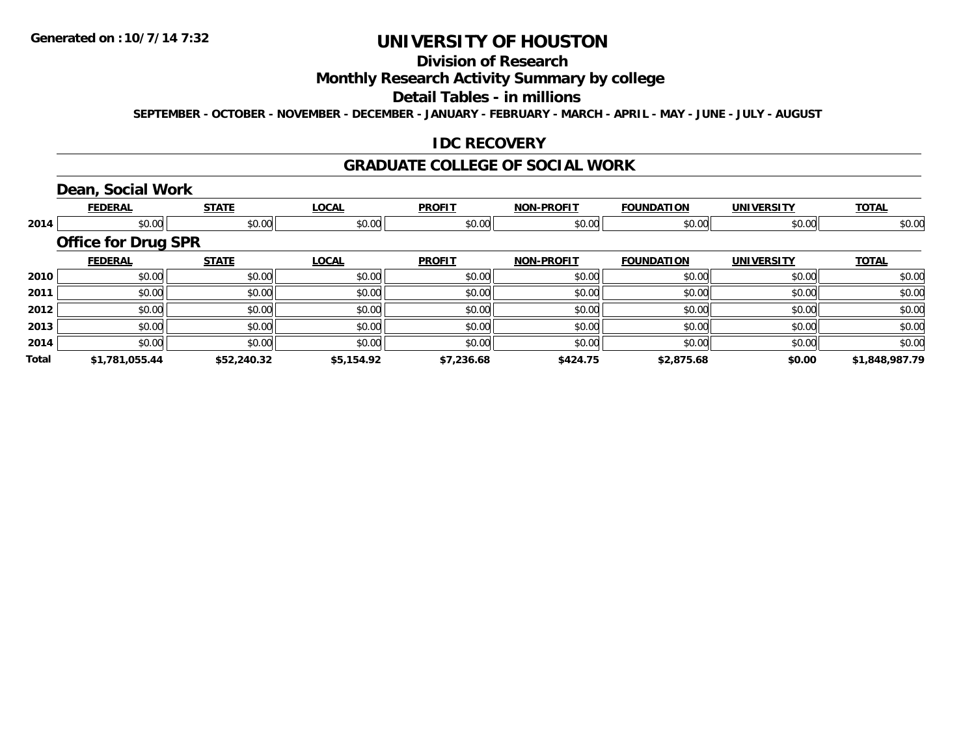### **Division of Research**

### **Monthly Research Activity Summary by college**

#### **Detail Tables - in millions**

**SEPTEMBER - OCTOBER - NOVEMBER - DECEMBER - JANUARY - FEBRUARY - MARCH - APRIL - MAY - JUNE - JULY - AUGUST**

### **IDC RECOVERY**

#### **GRADUATE COLLEGE OF SOCIAL WORK**

## **Dean, Social Work**

|       | <b>FEDERAL</b>             | <b>STATE</b> | <b>LOCAL</b> | <b>PROFIT</b> | <b>NON-PROFIT</b> | <b>FOUNDATION</b> | <b>UNIVERSITY</b> | <b>TOTAL</b>   |
|-------|----------------------------|--------------|--------------|---------------|-------------------|-------------------|-------------------|----------------|
| 2014  | \$0.00                     | \$0.00       | \$0.00       | \$0.00        | \$0.00            | \$0.00            | \$0.00            | \$0.00         |
|       | <b>Office for Drug SPR</b> |              |              |               |                   |                   |                   |                |
|       | <b>FEDERAL</b>             | <b>STATE</b> | <b>LOCAL</b> | <b>PROFIT</b> | <b>NON-PROFIT</b> | <b>FOUNDATION</b> | <b>UNIVERSITY</b> | <b>TOTAL</b>   |
| 2010  | \$0.00                     | \$0.00       | \$0.00       | \$0.00        | \$0.00            | \$0.00            | \$0.00            | \$0.00         |
| 2011  | \$0.00                     | \$0.00       | \$0.00       | \$0.00        | \$0.00            | \$0.00            | \$0.00            | \$0.00         |
| 2012  | \$0.00                     | \$0.00       | \$0.00       | \$0.00        | \$0.00            | \$0.00            | \$0.00            | \$0.00         |
| 2013  | \$0.00                     | \$0.00       | \$0.00       | \$0.00        | \$0.00            | \$0.00            | \$0.00            | \$0.00         |
| 2014  | \$0.00                     | \$0.00       | \$0.00       | \$0.00        | \$0.00            | \$0.00            | \$0.00            | \$0.00         |
| Total | \$1,781,055.44             | \$52,240.32  | \$5,154.92   | \$7,236.68    | \$424.75          | \$2,875.68        | \$0.00            | \$1,848,987.79 |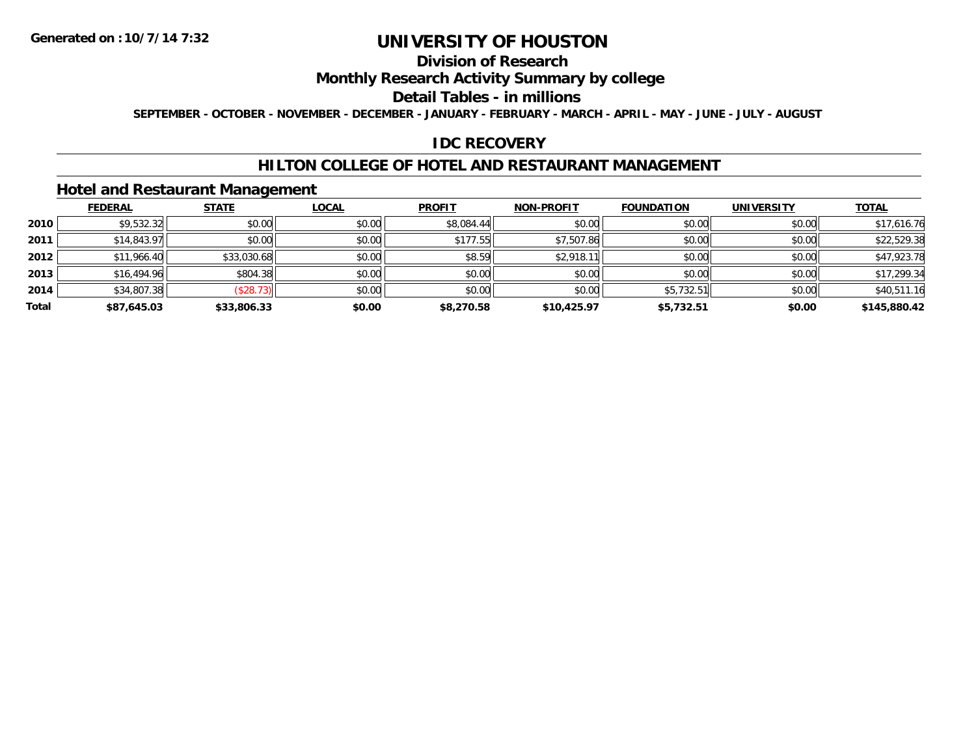### **Division of Research**

### **Monthly Research Activity Summary by college**

#### **Detail Tables - in millions**

**SEPTEMBER - OCTOBER - NOVEMBER - DECEMBER - JANUARY - FEBRUARY - MARCH - APRIL - MAY - JUNE - JULY - AUGUST**

### **IDC RECOVERY**

### **HILTON COLLEGE OF HOTEL AND RESTAURANT MANAGEMENT**

### **Hotel and Restaurant Management**

|       | <b>FEDERAL</b> | <b>STATE</b> | <u>LOCAL</u> | <b>PROFIT</b> | <b>NON-PROFIT</b> | <b>FOUNDATION</b> | <b>UNIVERSITY</b> | <b>TOTAL</b> |
|-------|----------------|--------------|--------------|---------------|-------------------|-------------------|-------------------|--------------|
| 2010  | \$9,532.32     | \$0.00       | \$0.00       | \$8,084.44    | \$0.00            | \$0.00            | \$0.00            | \$17,616.76  |
| 2011  | \$14,843.97    | \$0.00       | \$0.00       | \$177.55      | \$7,507.86        | \$0.00            | \$0.00            | \$22,529.38  |
| 2012  | \$11,966.40    | \$33,030.68  | \$0.00       | \$8.59        | \$2,918.11        | \$0.00            | \$0.00            | \$47,923.78  |
| 2013  | \$16,494.96    | \$804.38     | \$0.00       | \$0.00        | \$0.00            | \$0.00            | \$0.00            | \$17,299.34  |
| 2014  | \$34,807.38    | (\$28.73)    | \$0.00       | \$0.00        | \$0.00            | \$5,732.51        | \$0.00            | \$40,511.16  |
| Total | \$87,645.03    | \$33,806.33  | \$0.00       | \$8,270.58    | \$10,425.97       | \$5,732.51        | \$0.00            | \$145,880.42 |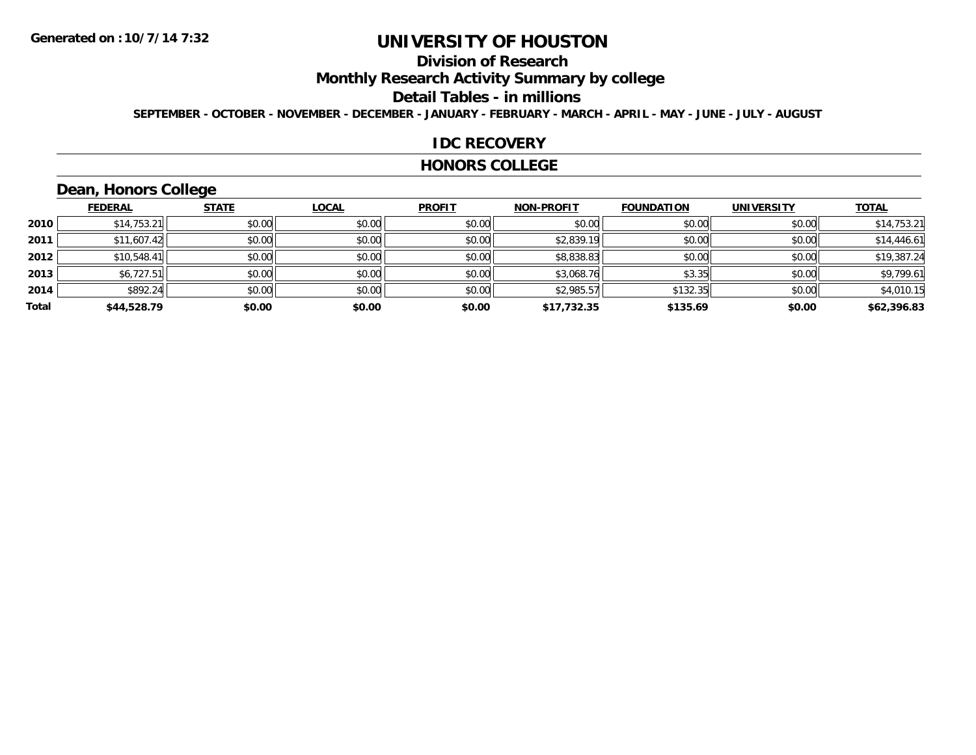### **Division of Research**

**Monthly Research Activity Summary by college**

#### **Detail Tables - in millions**

**SEPTEMBER - OCTOBER - NOVEMBER - DECEMBER - JANUARY - FEBRUARY - MARCH - APRIL - MAY - JUNE - JULY - AUGUST**

#### **IDC RECOVERY**

#### **HONORS COLLEGE**

### **Dean, Honors College**

|       |                | $\sim$       |              |               |                   |                   |                   |              |
|-------|----------------|--------------|--------------|---------------|-------------------|-------------------|-------------------|--------------|
|       | <b>FEDERAL</b> | <b>STATE</b> | <b>LOCAL</b> | <b>PROFIT</b> | <b>NON-PROFIT</b> | <b>FOUNDATION</b> | <b>UNIVERSITY</b> | <b>TOTAL</b> |
| 2010  | \$14,753.21    | \$0.00       | \$0.00       | \$0.00        | \$0.00            | \$0.00            | \$0.00            | \$14,753.21  |
| 2011  | \$11,607.42    | \$0.00       | \$0.00       | \$0.00        | \$2,839.19        | \$0.00            | \$0.00            | \$14,446.61  |
| 2012  | \$10,548.41    | \$0.00       | \$0.00       | \$0.00        | \$8,838.83        | \$0.00            | \$0.00            | \$19,387.24  |
| 2013  | \$6,727.51     | \$0.00       | \$0.00       | \$0.00        | \$3,068.76        | \$3.35            | \$0.00            | \$9,799.61   |
| 2014  | \$892.24       | \$0.00       | \$0.00       | \$0.00        | \$2,985.57        | \$132.35          | \$0.00            | \$4,010.15   |
| Total | \$44,528.79    | \$0.00       | \$0.00       | \$0.00        | \$17,732.35       | \$135.69          | \$0.00            | \$62,396.83  |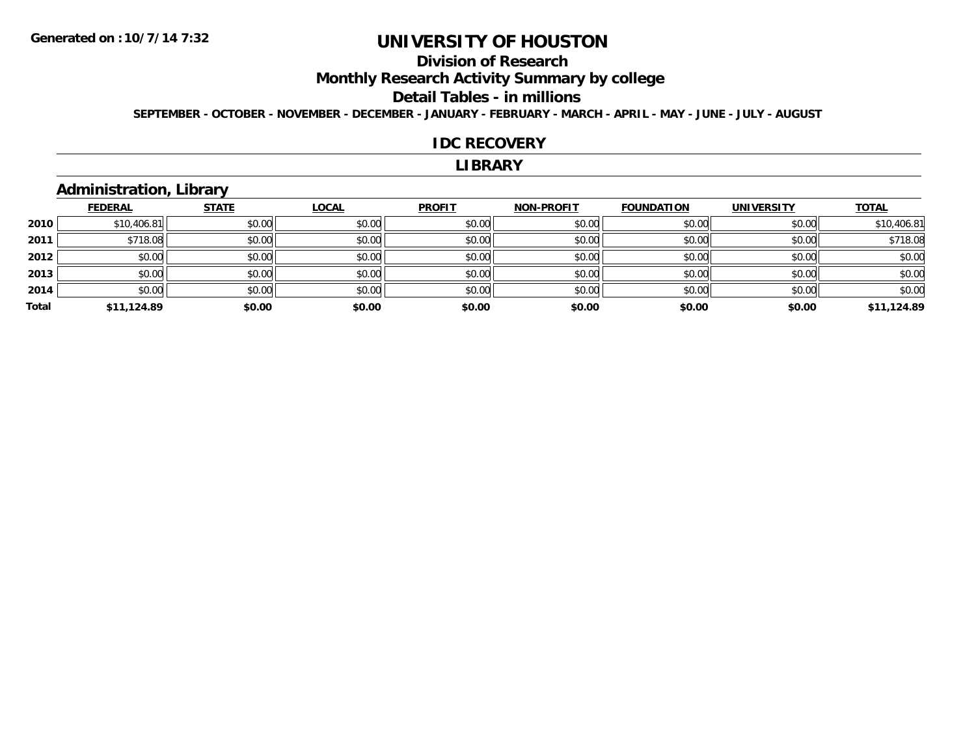### **Division of Research**

**Monthly Research Activity Summary by college**

#### **Detail Tables - in millions**

**SEPTEMBER - OCTOBER - NOVEMBER - DECEMBER - JANUARY - FEBRUARY - MARCH - APRIL - MAY - JUNE - JULY - AUGUST**

#### **IDC RECOVERY**

#### **LIBRARY**

### **Administration, Library**

|       | <b>FEDERAL</b> | <b>STATE</b> | <b>LOCAL</b> | <b>PROFIT</b> | <b>NON-PROFIT</b> | <b>FOUNDATION</b> | <b>UNIVERSITY</b> | <b>TOTAL</b> |
|-------|----------------|--------------|--------------|---------------|-------------------|-------------------|-------------------|--------------|
| 2010  | \$10,406.81    | \$0.00       | \$0.00       | \$0.00        | \$0.00            | \$0.00            | \$0.00            | \$10,406.81  |
| 2011  | \$718.08       | \$0.00       | \$0.00       | \$0.00        | \$0.00            | \$0.00            | \$0.00            | \$718.08     |
| 2012  | \$0.00         | \$0.00       | \$0.00       | \$0.00        | \$0.00            | \$0.00            | \$0.00            | \$0.00       |
| 2013  | \$0.00         | \$0.00       | \$0.00       | \$0.00        | \$0.00            | \$0.00            | \$0.00            | \$0.00       |
| 2014  | \$0.00         | \$0.00       | \$0.00       | \$0.00        | \$0.00            | \$0.00            | \$0.00            | \$0.00       |
| Total | \$11,124.89    | \$0.00       | \$0.00       | \$0.00        | \$0.00            | \$0.00            | \$0.00            | \$11,124.89  |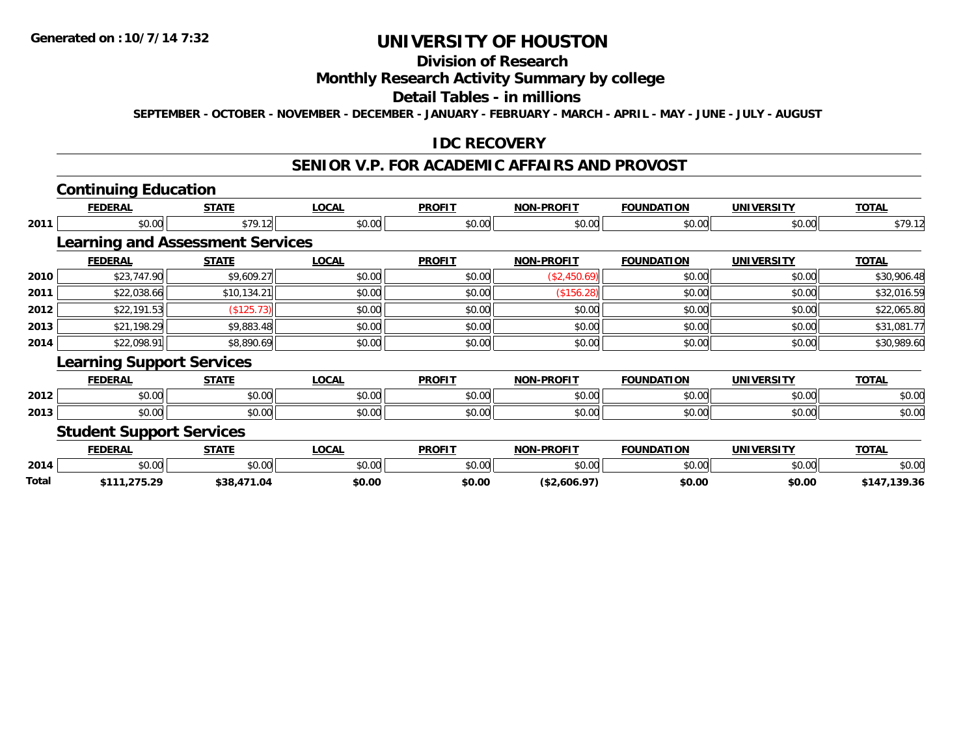### **Division of Research**

#### **Monthly Research Activity Summary by college**

#### **Detail Tables - in millions**

**SEPTEMBER - OCTOBER - NOVEMBER - DECEMBER - JANUARY - FEBRUARY - MARCH - APRIL - MAY - JUNE - JULY - AUGUST**

### **IDC RECOVERY**

### **SENIOR V.P. FOR ACADEMIC AFFAIRS AND PROVOST**

# **Continuing Education**

**Total**

|      | <b>FEDERAL</b>                   | <b>STATE</b>                            | <b>LOCAL</b> | <b>PROFIT</b> | <b>NON-PROFIT</b> | <b>FOUNDATION</b> | <b>UNIVERSITY</b> | <b>TOTAL</b> |
|------|----------------------------------|-----------------------------------------|--------------|---------------|-------------------|-------------------|-------------------|--------------|
| 2011 | \$0.00                           | \$79.12                                 | \$0.00       | \$0.00        | \$0.00            | \$0.00            | \$0.00            | \$79.12      |
|      |                                  | <b>Learning and Assessment Services</b> |              |               |                   |                   |                   |              |
|      | <b>FEDERAL</b>                   | <b>STATE</b>                            | <b>LOCAL</b> | <b>PROFIT</b> | <b>NON-PROFIT</b> | <b>FOUNDATION</b> | <b>UNIVERSITY</b> | <b>TOTAL</b> |
| 2010 | \$23,747.90                      | \$9,609.27                              | \$0.00       | \$0.00        | (\$2,450.69)      | \$0.00            | \$0.00            | \$30,906.48  |
| 2011 | \$22,038.66                      | \$10,134.21                             | \$0.00       | \$0.00        | (\$156.28)        | \$0.00            | \$0.00            | \$32,016.59  |
| 2012 | \$22,191.53                      | (\$125.73)                              | \$0.00       | \$0.00        | \$0.00            | \$0.00            | \$0.00            | \$22,065.80  |
| 2013 | \$21,198.29                      | \$9,883.48                              | \$0.00       | \$0.00        | \$0.00            | \$0.00            | \$0.00            | \$31,081.77  |
| 2014 | \$22,098.91                      | \$8,890.69                              | \$0.00       | \$0.00        | \$0.00            | \$0.00            | \$0.00            | \$30,989.60  |
|      | <b>Learning Support Services</b> |                                         |              |               |                   |                   |                   |              |
|      | <b>FEDERAL</b>                   | <b>STATE</b>                            | <b>LOCAL</b> | <b>PROFIT</b> | <b>NON-PROFIT</b> | <b>FOUNDATION</b> | <b>UNIVERSITY</b> | <b>TOTAL</b> |
| 2012 | \$0.00                           | \$0.00                                  | \$0.00       | \$0.00        | \$0.00            | \$0.00            | \$0.00            | \$0.00       |
| 2013 | \$0.00                           | \$0.00                                  | \$0.00       | \$0.00        | \$0.00            | \$0.00            | \$0.00            | \$0.00       |
|      | <b>Student Support Services</b>  |                                         |              |               |                   |                   |                   |              |
|      | <b>FEDERAL</b>                   | <b>STATE</b>                            | <b>LOCAL</b> | <b>PROFIT</b> | <b>NON-PROFIT</b> | <b>FOUNDATION</b> | <b>UNIVERSITY</b> | <b>TOTAL</b> |
| 2014 | \$0.00                           | \$0.00                                  | \$0.00       | \$0.00        | \$0.00            | \$0.00            | \$0.00            | \$0.00       |

**\$111,275.29 \$38,471.04 \$0.00 \$0.00 (\$2,606.97) \$0.00 \$0.00 \$147,139.36**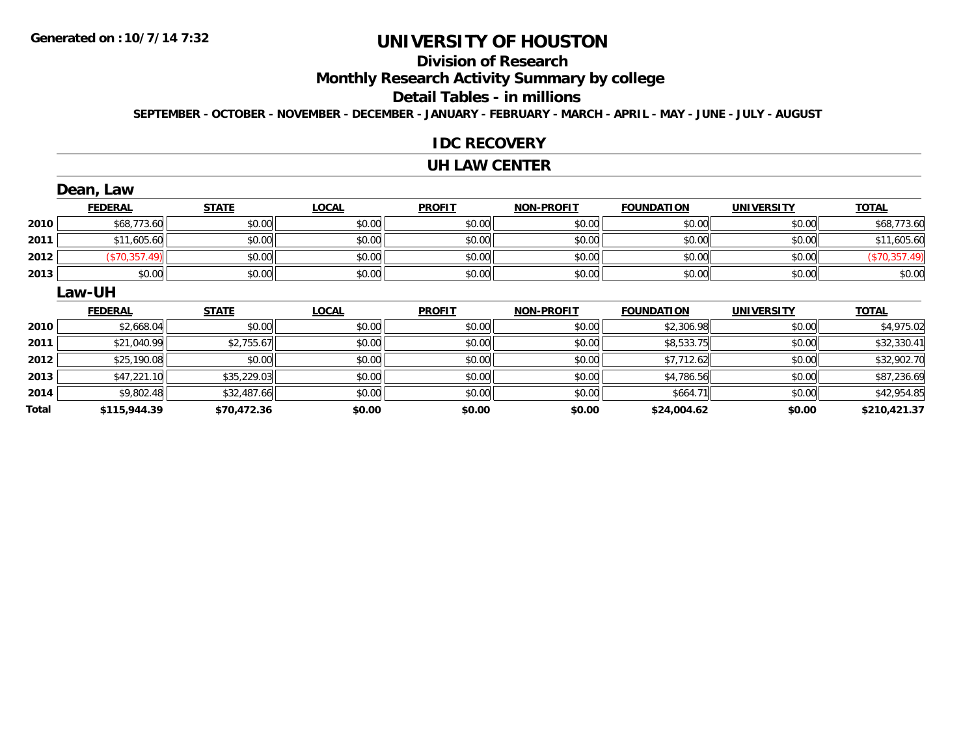### **Division of Research**

**Monthly Research Activity Summary by college**

#### **Detail Tables - in millions**

**SEPTEMBER - OCTOBER - NOVEMBER - DECEMBER - JANUARY - FEBRUARY - MARCH - APRIL - MAY - JUNE - JULY - AUGUST**

#### **IDC RECOVERY**

#### **UH LAW CENTER**

|      | Dean, Law      |              |              |               |                   |                   |                   |               |
|------|----------------|--------------|--------------|---------------|-------------------|-------------------|-------------------|---------------|
|      | <b>FEDERAL</b> | <b>STATE</b> | <b>LOCAL</b> | <b>PROFIT</b> | <b>NON-PROFIT</b> | <b>FOUNDATION</b> | <b>UNIVERSITY</b> | <b>TOTAL</b>  |
| 2010 | \$68,773.60    | \$0.00       | \$0.00       | \$0.00        | \$0.00            | \$0.00            | \$0.00            | \$68,773.60   |
| 2011 | \$11,605.60    | \$0.00       | \$0.00       | \$0.00        | \$0.00            | \$0.00            | \$0.00            | \$11,605.60   |
| 2012 | (\$70,357.49)  | \$0.00       | \$0.00       | \$0.00        | \$0.00            | \$0.00            | \$0.00            | (\$70,357.49) |
| 2013 | \$0.00         | \$0.00       | \$0.00       | \$0.00        | \$0.00            | \$0.00            | \$0.00            | \$0.00        |
|      | Law-UH         |              |              |               |                   |                   |                   |               |
|      | <b>FEDERAL</b> | <b>STATE</b> | <b>LOCAL</b> | <b>PROFIT</b> | <b>NON-PROFIT</b> | <b>FOUNDATION</b> | <b>UNIVERSITY</b> | <b>TOTAL</b>  |
| 2010 |                |              |              |               |                   |                   |                   |               |
|      | \$2,668.04     | \$0.00       | \$0.00       | \$0.00        | \$0.00            | \$2,306.98        | \$0.00            | \$4,975.02    |
| 2011 | \$21,040.99    | \$2,755.67   | \$0.00       | \$0.00        | \$0.00            | \$8,533.75        | \$0.00            | \$32,330.41   |
| 2012 | \$25,190.08    | \$0.00       | \$0.00       | \$0.00        | \$0.00            | \$7,712.62        | \$0.00            | \$32,902.70   |
| 2013 | \$47,221.10    | \$35,229.03  | \$0.00       | \$0.00        | \$0.00            | \$4,786.56        | \$0.00            | \$87,236.69   |
| 2014 | \$9,802.48     | \$32,487.66  | \$0.00       | \$0.00        | \$0.00            | \$664.71          | \$0.00            | \$42,954.85   |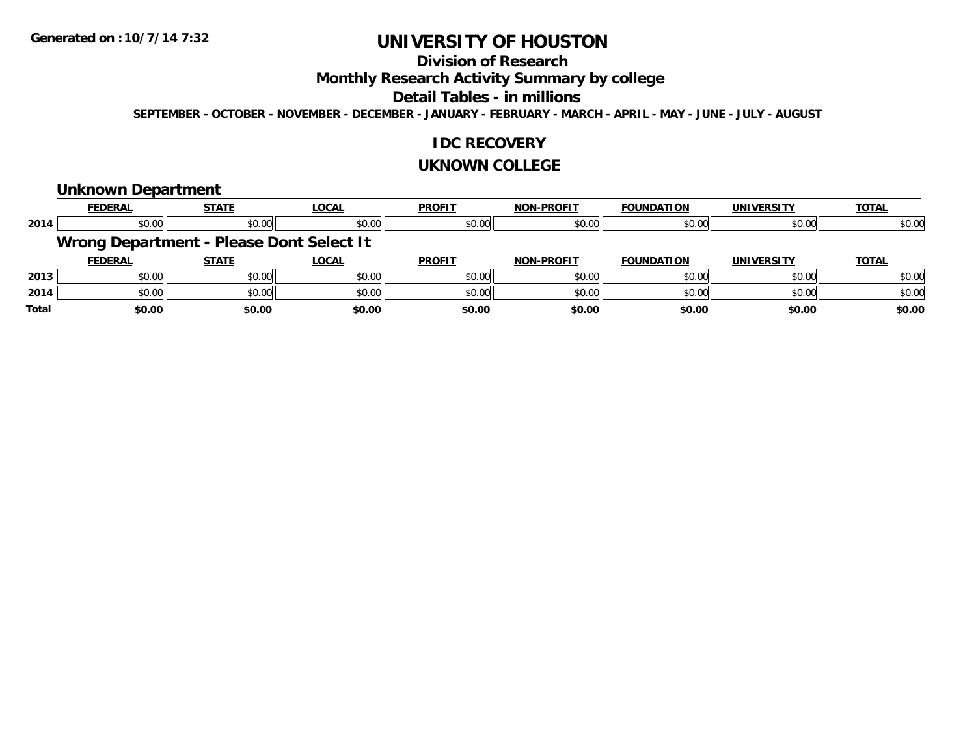### **Division of Research**

### **Monthly Research Activity Summary by college**

#### **Detail Tables - in millions**

**SEPTEMBER - OCTOBER - NOVEMBER - DECEMBER - JANUARY - FEBRUARY - MARCH - APRIL - MAY - JUNE - JULY - AUGUST**

### **IDC RECOVERY**

#### **UKNOWN COLLEGE**

### **Unknown Department**

|              | <b>FEDERAL</b> | <b>STATE</b>                             | <b>LOCAL</b> | <b>PROFIT</b> | <b>NON-PROFIT</b> | <b>FOUNDATION</b> | <b>UNIVERSITY</b> | <b>TOTAL</b> |
|--------------|----------------|------------------------------------------|--------------|---------------|-------------------|-------------------|-------------------|--------------|
| 2014         | \$0.00         | \$0.00                                   | \$0.00       | \$0.00        | \$0.00            | \$0.00            | \$0.00            | \$0.00       |
|              |                | Wrong Department - Please Dont Select It |              |               |                   |                   |                   |              |
|              | <b>FEDERAL</b> | <b>STATE</b>                             | <b>LOCAL</b> | <b>PROFIT</b> | <b>NON-PROFIT</b> | <b>FOUNDATION</b> | <b>UNIVERSITY</b> | <b>TOTAL</b> |
| 2013         | \$0.00         | \$0.00                                   | \$0.00       | \$0.00        | \$0.00            | \$0.00            | \$0.00            | \$0.00       |
| 2014         | \$0.00         | \$0.00                                   | \$0.00       | \$0.00        | \$0.00            | \$0.00            | \$0.00            | \$0.00       |
| <b>Total</b> | \$0.00         | \$0.00                                   | \$0.00       | \$0.00        | \$0.00            | \$0.00            | \$0.00            | \$0.00       |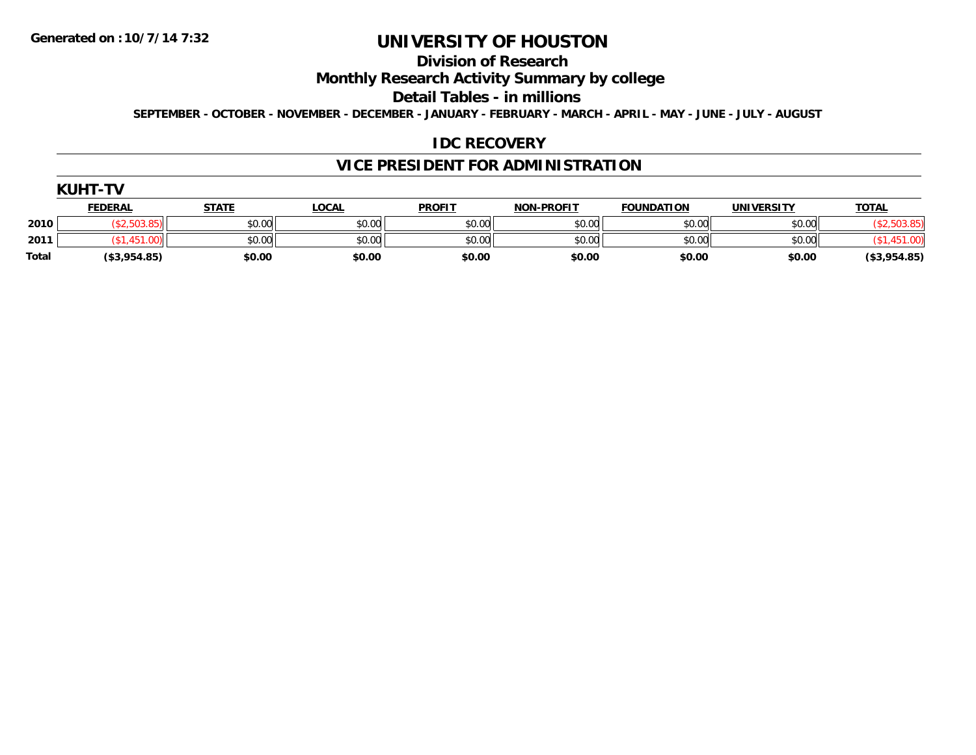### **Division of Research**

### **Monthly Research Activity Summary by college**

#### **Detail Tables - in millions**

**SEPTEMBER - OCTOBER - NOVEMBER - DECEMBER - JANUARY - FEBRUARY - MARCH - APRIL - MAY - JUNE - JULY - AUGUST**

### **IDC RECOVERY**

### **VICE PRESIDENT FOR ADMINISTRATION**

| <b>KUHT-TV</b> |                |              |              |               |                   |                   |                   |              |
|----------------|----------------|--------------|--------------|---------------|-------------------|-------------------|-------------------|--------------|
|                | <b>FEDERAL</b> | <b>STATE</b> | <u>LOCAL</u> | <b>PROFIT</b> | <b>NON-PROFIT</b> | <b>FOUNDATION</b> | <b>UNIVERSITY</b> | <b>TOTAL</b> |
| 2010           | (\$2,503.85)   | \$0.00       | \$0.00       | \$0.00        | \$0.00            | \$0.00            | \$0.00            |              |
| 2011           |                | \$0.00       | \$0.00       | \$0.00        | \$0.00            | \$0.00            | \$0.00            |              |
| Total          | (\$3,954.85)   | \$0.00       | \$0.00       | \$0.00        | \$0.00            | \$0.00            | \$0.00            | (\$3,954.85) |